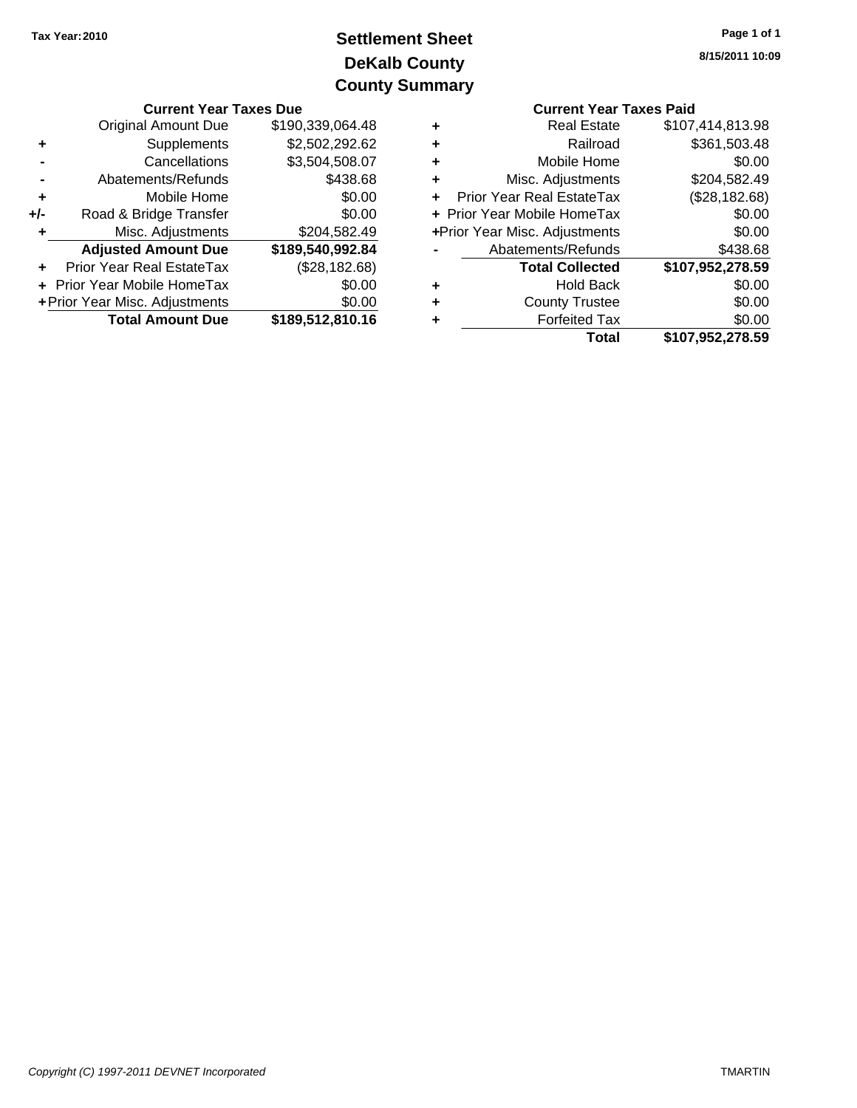## **DeKalb County Settlement Sheet Tax Year:2010 County Summary**

|                         | <b>Current Year Taxes Due</b>    |                  |    | <b>Current Year Taxes Paid</b>   |                        |  |
|-------------------------|----------------------------------|------------------|----|----------------------------------|------------------------|--|
|                         | Original Amount Due              | \$190,339,064.48 | ٠  | <b>Real Estate</b>               | \$107,414,813.98       |  |
|                         | Supplements                      | \$2,502,292.62   | ٠  | Railroad                         | \$361,503.48           |  |
|                         | Cancellations                    | \$3,504,508.07   | ٠  | Mobile Home                      | \$0.00                 |  |
|                         | Abatements/Refunds               | \$438.68         | ٠  | Misc. Adjustments                | \$204,582.49           |  |
|                         | Mobile Home                      | \$0.00           | ÷. | <b>Prior Year Real EstateTax</b> | (\$28,182.68)          |  |
| $+/-$                   | Road & Bridge Transfer           | \$0.00           |    | + Prior Year Mobile HomeTax      | \$0.00                 |  |
|                         | Misc. Adjustments                | \$204,582.49     |    | +Prior Year Misc. Adjustments    | \$0.00                 |  |
|                         | <b>Adjusted Amount Due</b>       | \$189,540,992.84 |    | Abatements/Refunds               | \$438.68               |  |
|                         | <b>Prior Year Real EstateTax</b> | (\$28,182.68)    |    | <b>Total Collected</b>           | \$107,952,278.59       |  |
|                         | + Prior Year Mobile HomeTax      | \$0.00           | ٠  | <b>Hold Back</b>                 | \$0.00                 |  |
|                         | + Prior Year Misc. Adjustments   | \$0.00           | ٠  | <b>County Trustee</b>            | \$0.00                 |  |
| <b>Total Amount Due</b> |                                  | \$189,512,810.16 | ٠  |                                  | \$0.00                 |  |
|                         |                                  |                  |    | T <sub>ofol</sub>                | <b>C407 052 279 50</b> |  |

|   | <b>Current Year Taxes Paid</b> |                  |
|---|--------------------------------|------------------|
| ٠ | <b>Real Estate</b>             | \$107,414,813.98 |
| ٠ | Railroad                       | \$361,503.48     |
| ٠ | Mobile Home                    | \$0.00           |
| ٠ | Misc. Adjustments              | \$204,582.49     |
| ÷ | Prior Year Real EstateTax      | (\$28,182.68)    |
|   | + Prior Year Mobile HomeTax    | \$0.00           |
|   | +Prior Year Misc. Adjustments  | \$0.00           |
|   | Abatements/Refunds             | \$438.68         |
|   | <b>Total Collected</b>         | \$107,952,278.59 |
| ٠ | <b>Hold Back</b>               | \$0.00           |
| ٠ | <b>County Trustee</b>          | \$0.00           |
| ٠ | <b>Forfeited Tax</b>           | \$0.00           |
|   | Total                          | \$107,952,278.59 |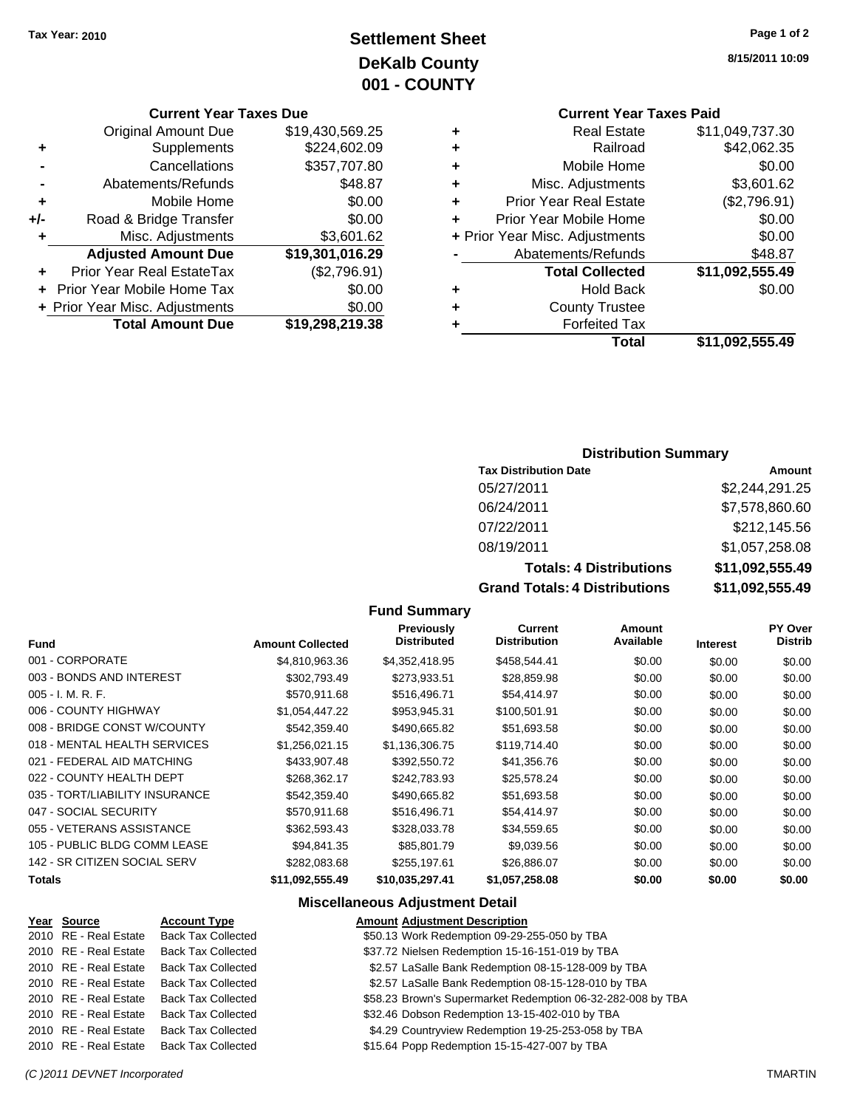### **Settlement Sheet Tax Year: 2010 Page 1 of 2 DeKalb County 001 - COUNTY**

#### **Current Year Taxes Due**

|       | <b>Original Amount Due</b>     | \$19,430,569.25 |
|-------|--------------------------------|-----------------|
| ٠     | Supplements                    | \$224,602.09    |
|       | Cancellations                  | \$357,707.80    |
|       | Abatements/Refunds             | \$48.87         |
| ٠     | Mobile Home                    | \$0.00          |
| $+/-$ | Road & Bridge Transfer         | \$0.00          |
| ٠     | Misc. Adjustments              | \$3,601.62      |
|       | <b>Adjusted Amount Due</b>     | \$19,301,016.29 |
|       | Prior Year Real EstateTax      | (\$2,796.91)    |
|       | Prior Year Mobile Home Tax     | \$0.00          |
|       | + Prior Year Misc. Adjustments | \$0.00          |
|       | <b>Total Amount Due</b>        | \$19,298,219.38 |

### **Current Year Taxes Paid**

| ٠ | <b>Real Estate</b>             | \$11,049,737.30 |
|---|--------------------------------|-----------------|
| ÷ | Railroad                       | \$42,062.35     |
| ٠ | Mobile Home                    | \$0.00          |
| ٠ | Misc. Adjustments              | \$3,601.62      |
| ٠ | <b>Prior Year Real Estate</b>  | (\$2,796.91)    |
| ÷ | Prior Year Mobile Home         | \$0.00          |
|   | + Prior Year Misc. Adjustments | \$0.00          |
|   | Abatements/Refunds             | \$48.87         |
|   | <b>Total Collected</b>         | \$11,092,555.49 |
| ٠ | <b>Hold Back</b>               | \$0.00          |
| ٠ | <b>County Trustee</b>          |                 |
| ٠ | <b>Forfeited Tax</b>           |                 |
|   | Total                          | \$11,092,555.49 |
|   |                                |                 |

#### **Distribution Summary**

| <b>Tax Distribution Date</b>   | Amount          |
|--------------------------------|-----------------|
| 05/27/2011                     | \$2,244,291.25  |
| 06/24/2011                     | \$7,578,860.60  |
| 07/22/2011                     | \$212,145.56    |
| 08/19/2011                     | \$1,057,258.08  |
| <b>Totals: 4 Distributions</b> | \$11,092,555.49 |
|                                |                 |

**Grand Totals: 4 Distributions \$11,092,555.49**

#### **Fund Summary**

| <b>Fund</b>                    | <b>Amount Collected</b> | <b>Previously</b><br><b>Distributed</b> | Current<br><b>Distribution</b> | Amount<br>Available | <b>Interest</b> | <b>PY Over</b><br><b>Distrib</b> |
|--------------------------------|-------------------------|-----------------------------------------|--------------------------------|---------------------|-----------------|----------------------------------|
| 001 - CORPORATE                | \$4,810,963.36          | \$4,352,418.95                          | \$458,544.41                   | \$0.00              | \$0.00          | \$0.00                           |
| 003 - BONDS AND INTEREST       | \$302.793.49            | \$273.933.51                            | \$28,859.98                    | \$0.00              | \$0.00          | \$0.00                           |
| $005 - I. M. R. F.$            | \$570,911.68            | \$516,496.71                            | \$54,414.97                    | \$0.00              | \$0.00          | \$0.00                           |
| 006 - COUNTY HIGHWAY           | \$1,054,447.22          | \$953,945.31                            | \$100,501.91                   | \$0.00              | \$0.00          | \$0.00                           |
| 008 - BRIDGE CONST W/COUNTY    | \$542,359.40            | \$490,665.82                            | \$51,693.58                    | \$0.00              | \$0.00          | \$0.00                           |
| 018 - MENTAL HEALTH SERVICES   | \$1,256,021.15          | \$1,136,306.75                          | \$119,714.40                   | \$0.00              | \$0.00          | \$0.00                           |
| 021 - FEDERAL AID MATCHING     | \$433,907.48            | \$392,550.72                            | \$41,356.76                    | \$0.00              | \$0.00          | \$0.00                           |
| 022 - COUNTY HEALTH DEPT       | \$268.362.17            | \$242,783,93                            | \$25,578.24                    | \$0.00              | \$0.00          | \$0.00                           |
| 035 - TORT/LIABILITY INSURANCE | \$542,359.40            | \$490,665.82                            | \$51,693.58                    | \$0.00              | \$0.00          | \$0.00                           |
| 047 - SOCIAL SECURITY          | \$570,911.68            | \$516,496.71                            | \$54,414.97                    | \$0.00              | \$0.00          | \$0.00                           |
| 055 - VETERANS ASSISTANCE      | \$362,593.43            | \$328,033.78                            | \$34,559.65                    | \$0.00              | \$0.00          | \$0.00                           |
| 105 - PUBLIC BLDG COMM LEASE   | \$94.841.35             | \$85,801.79                             | \$9,039.56                     | \$0.00              | \$0.00          | \$0.00                           |
| 142 - SR CITIZEN SOCIAL SERV   | \$282,083.68            | \$255.197.61                            | \$26,886.07                    | \$0.00              | \$0.00          | \$0.00                           |
| <b>Totals</b>                  | \$11,092,555.49         | \$10,035,297.41                         | \$1,057,258.08                 | \$0.00              | \$0.00          | \$0.00                           |

#### **Miscellaneous Adjustment Detail**

#### **Year Source Account Type Amount Adjustment Description** 2010 RE - Real Estate Back Tax Collected \$50.13 Work Redemption 09-29-255-050 by TBA 2010 RE - Real Estate Back Tax Collected \$37.72 Nielsen Redemption 15-16-151-019 by TBA 2010 RE - Real Estate Back Tax Collected \$2.57 LaSalle Bank Redemption 08-15-128-009 by TBA 2010 RE - Real Estate Back Tax Collected \$2.57 LaSalle Bank Redemption 08-15-128-010 by TBA 2010 RE - Real Estate Back Tax Collected \$58.23 Brown's Supermarket Redemption 06-32-282-008 by TBA 2010 RE - Real Estate Back Tax Collected \$32.46 Dobson Redemption 13-15-402-010 by TBA 2010 RE - Real Estate Back Tax Collected \$4.29 Countryview Redemption 19-25-253-058 by TBA 2010 RE - Real Estate Back Tax Collected \$15.64 Popp Redemption 15-15-427-007 by TBA

*(C )2011 DEVNET Incorporated* TMARTIN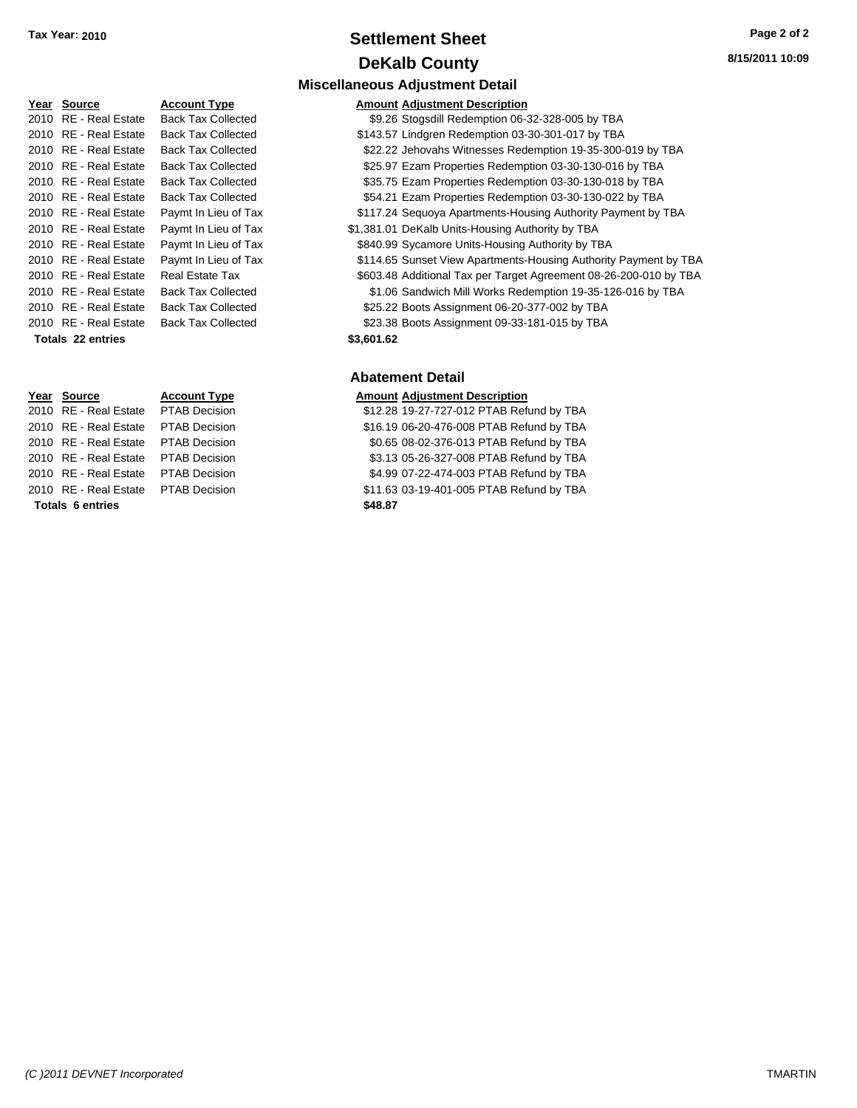### **Settlement Sheet Tax Year: 2010 Page 2 of 2 DeKalb County**

| Year | <b>Source</b>           | <b>Accour</b> |
|------|-------------------------|---------------|
| 2010 | RE - Real Estate        | Back Ta       |
| 2010 | RE - Real Estate        | Back Ta       |
| 2010 | RE - Real Estate        | Back Ta       |
| 2010 | <b>RE</b> - Real Estate | Back Ta       |
| 2010 | <b>RE</b> - Real Estate | Back Ta       |
| 2010 | RE - Real Estate        | Back Ta       |
| 2010 | <b>RE</b> - Real Estate | Paymt I       |
| 2010 | <b>RE</b> - Real Estate | Paymt I       |
| 2010 | <b>RE</b> - Real Estate | Paymt I       |
| 2010 | <b>RE</b> - Real Estate | Paymt I       |
| 2010 | RE - Real Estate        | Real Es       |
| 2010 | <b>RE</b> - Real Estate | Back Ta       |
| 2010 | RE - Real Estate        | Back Ta       |
| 2010 | <b>RE</b> - Real Estate | Back Ta       |
|      | Totals 22 entries       |               |

### **Miscellaneous Adjustment Detail Year Source Account Type Amount Adjustment Description** 2020 ax Collected **Estate State Stops** \$9.26 Stogsdill Redemption 06-32-328-005 by TBA ax Collected **2010 State State State State State State State State State State Tax Collected** ax Collected **2010 S22.22 Jehovahs Witnesses Redemption 19-35-300-019 by TBA** ax Collected **2010 S25.97 Ezam Properties Redemption 03-30-130-016 by TBA** ax Collected **2010 Back Same Same Properties Redemption 03-30-130-018 by TBA** ax Collected **2010 SEA.21 Ezam Properties Redemption 03-30-130-022 by TBA** In Lieu of Tax **2010 Real Estate State State State State State State State In Lieu of Tax** Payment by TBA 2010 In Lieu of Tax 61,381.01 DeKalb Units-Housing Authority by TBA In Lieu of Tax **2010 Real Estate \$840.99 Sycamore Units-Housing Authority by TBA** In Lieu of Tax **3000 BM** 5114.65 Sunset View Apartments-Housing Authority Payment by TBA 2010 82010 Real Estate Tax Farget Agreement 08-26-200-010 by TBA ax Collected **2010 State State State State State State State State State Tax Collected** by TBA ax Collected **2010 Back Collected** \$25.22 Boots Assignment 06-20-377-002 by TBA ax Collected **2001 Collected** \$23.38 Boots Assignment 09-33-181-015 by TBA **Totals \$3,601.62 22 entries Abatement Detail Year Source Account Type Amount Adjustment Description** 2010 RE - Real Estate \$12.28 19-27-727-012 PTAB Refund by TBA PTAB Decision

**Totals \$48.87 6 entries**

2010 RE - Real Estate \$16.19 06-20-476-008 PTAB Refund by TBA PTAB Decision 2010 RE - Real Estate \$0.65 08-02-376-013 PTAB Refund by TBA PTAB Decision 2010 RE - Real Estate \$3.13 05-26-327-008 PTAB Refund by TBA PTAB Decision 2010 RE - Real Estate \$4.99 07-22-474-003 PTAB Refund by TBA PTAB Decision 2010 RE - Real Estate \$11.63 03-19-401-005 PTAB Refund by TBA PTAB Decision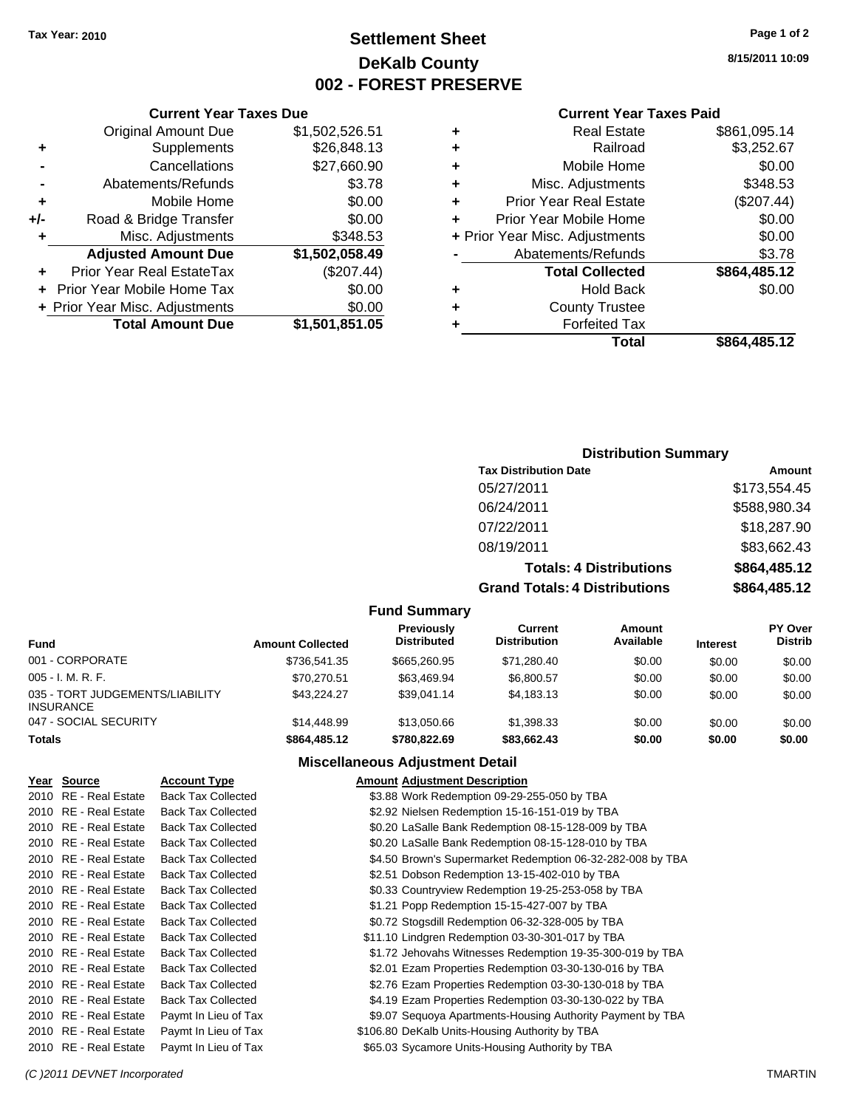### **Settlement Sheet Tax Year: 2010 Page 1 of 2 DeKalb County 002 - FOREST PRESERVE**

**8/15/2011 10:09**

#### **Current Year Taxes Paid**

| ٠ | <b>Real Estate</b>             | \$861,095.14 |
|---|--------------------------------|--------------|
| ٠ | Railroad                       | \$3,252.67   |
| ÷ | Mobile Home                    | \$0.00       |
| ٠ | Misc. Adjustments              | \$348.53     |
| ٠ | <b>Prior Year Real Estate</b>  | (\$207.44)   |
|   | Prior Year Mobile Home         | \$0.00       |
|   | + Prior Year Misc. Adjustments | \$0.00       |
|   | Abatements/Refunds             | \$3.78       |
|   | <b>Total Collected</b>         | \$864,485.12 |
| ٠ | <b>Hold Back</b>               | \$0.00       |
|   | <b>County Trustee</b>          |              |
|   | <b>Forfeited Tax</b>           |              |
|   | Total                          | \$864.485.12 |

### **Current Year Taxes Due** Original Amount Due \$1,502,526.51 **+** Supplements \$26,848.13 **-** Cancellations \$27,660.90 **-** Abatements/Refunds \$3.78 **+** Mobile Home \$0.00 **+/-** Road & Bridge Transfer \$0.00 **+** Misc. Adjustments \$348.53 **Adjusted Amount Due \$1,502,058.49 +** Prior Year Real EstateTax (\$207.44) **+** Prior Year Mobile Home Tax \$0.00 **+ Prior Year Misc. Adjustments**  $$0.00$ **Total Amount Due \$1,501,851.05**

### **Distribution Summary**

| <b>Tax Distribution Date</b>                    | Amount              |
|-------------------------------------------------|---------------------|
| 05/27/2011                                      | \$173,554.45        |
| 06/24/2011                                      | \$588,980.34        |
| 07/22/2011                                      | \$18,287.90         |
| 08/19/2011                                      | \$83,662.43         |
| <b>Totals: 4 Distributions</b>                  | \$864,485.12        |
| Associated to the Later of Black and the second | <u> ANAI INF IN</u> |

**Grand Totals: 4 Distributions** 

| .  | <b>THE</b>   |
|----|--------------|
| ns | \$864,485.12 |
|    |              |

| Fund                                                | <b>Amount Collected</b> | Previously<br><b>Distributed</b> | Current<br><b>Distribution</b> | Amount<br>Available | <b>Interest</b> | <b>PY Over</b><br><b>Distrib</b> |
|-----------------------------------------------------|-------------------------|----------------------------------|--------------------------------|---------------------|-----------------|----------------------------------|
| 001 - CORPORATE                                     | \$736,541.35            | \$665,260.95                     | \$71.280.40                    | \$0.00              | \$0.00          | \$0.00                           |
| $005 - I. M. R. F.$                                 | \$70,270.51             | \$63.469.94                      | \$6,800.57                     | \$0.00              | \$0.00          | \$0.00                           |
| 035 - TORT JUDGEMENTS/LIABILITY<br><b>INSURANCE</b> | \$43.224.27             | \$39.041.14                      | \$4.183.13                     | \$0.00              | \$0.00          | \$0.00                           |
| 047 - SOCIAL SECURITY                               | \$14,448.99             | \$13,050.66                      | \$1.398.33                     | \$0.00              | \$0.00          | \$0.00                           |
| <b>Totals</b>                                       | \$864,485.12            | \$780,822,69                     | \$83,662,43                    | \$0.00              | \$0.00          | \$0.00                           |

**Fund Summary**

### **Miscellaneous Adjustment Detail**

| Year Source           | <b>Account Type</b>       | <b>Amount Adjustment Description</b>                       |
|-----------------------|---------------------------|------------------------------------------------------------|
| 2010 RE - Real Estate | <b>Back Tax Collected</b> | \$3.88 Work Redemption 09-29-255-050 by TBA                |
| 2010 RE - Real Estate | <b>Back Tax Collected</b> | \$2.92 Nielsen Redemption 15-16-151-019 by TBA             |
| 2010 RE - Real Estate | <b>Back Tax Collected</b> | \$0.20 LaSalle Bank Redemption 08-15-128-009 by TBA        |
| 2010 RE - Real Estate | <b>Back Tax Collected</b> | \$0.20 LaSalle Bank Redemption 08-15-128-010 by TBA        |
| 2010 RE - Real Estate | <b>Back Tax Collected</b> | \$4.50 Brown's Supermarket Redemption 06-32-282-008 by TBA |
| 2010 RE - Real Estate | <b>Back Tax Collected</b> | \$2.51 Dobson Redemption 13-15-402-010 by TBA              |
| 2010 RE - Real Estate | <b>Back Tax Collected</b> | \$0.33 Countryview Redemption 19-25-253-058 by TBA         |
| 2010 RE - Real Estate | <b>Back Tax Collected</b> | \$1.21 Popp Redemption 15-15-427-007 by TBA                |
| 2010 RE - Real Estate | <b>Back Tax Collected</b> | \$0.72 Stogsdill Redemption 06-32-328-005 by TBA           |
| 2010 RE - Real Estate | <b>Back Tax Collected</b> | \$11.10 Lindgren Redemption 03-30-301-017 by TBA           |
| 2010 RE - Real Estate | <b>Back Tax Collected</b> | \$1.72 Jehovahs Witnesses Redemption 19-35-300-019 by TBA  |
| 2010 RE - Real Estate | <b>Back Tax Collected</b> | \$2.01 Ezam Properties Redemption 03-30-130-016 by TBA     |
| 2010 RE - Real Estate | <b>Back Tax Collected</b> | \$2.76 Ezam Properties Redemption 03-30-130-018 by TBA     |
| 2010 RE - Real Estate | <b>Back Tax Collected</b> | \$4.19 Ezam Properties Redemption 03-30-130-022 by TBA     |
| 2010 RE - Real Estate | Paymt In Lieu of Tax      | \$9.07 Sequoya Apartments-Housing Authority Payment by TBA |
| 2010 RE - Real Estate | Paymt In Lieu of Tax      | \$106.80 DeKalb Units-Housing Authority by TBA             |
| 2010 RE - Real Estate | Paymt In Lieu of Tax      | \$65.03 Sycamore Units-Housing Authority by TBA            |

#### *(C )2011 DEVNET Incorporated* TMARTIN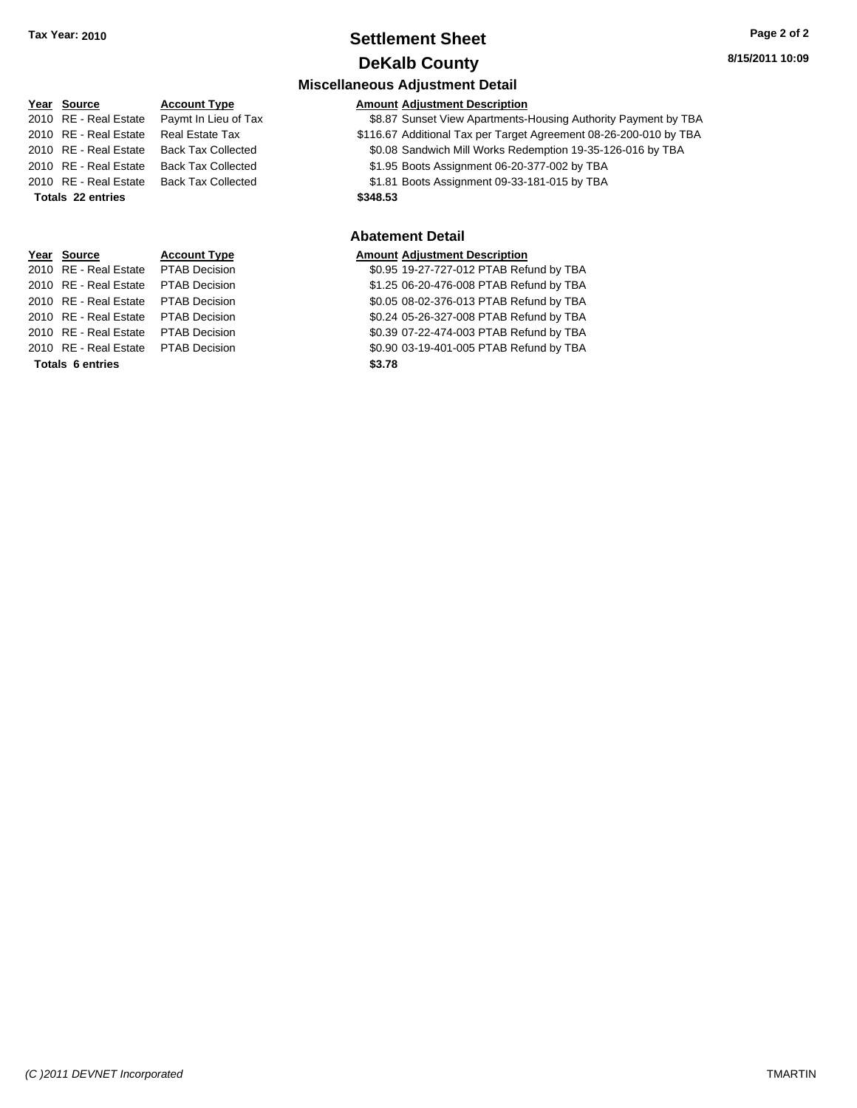### **Settlement Sheet Tax Year: 2010 Page 2 of 2 DeKalb County**

**Miscellaneous Adjustment Detail**

|      | Year Source           | <b>Account Type</b>       | <b>Amount Adjustment Description</b> |
|------|-----------------------|---------------------------|--------------------------------------|
|      | 2010 RE - Real Estate | Paymt In Lieu of Tax      | \$8.87 Sunset View Apartments-       |
|      | 2010 RE - Real Estate | <b>Real Estate Tax</b>    | \$116.67 Additional Tax per Target   |
|      | 2010 RE - Real Estate | <b>Back Tax Collected</b> | \$0.08 Sandwich Mill Works Red       |
|      | 2010 RE - Real Estate | <b>Back Tax Collected</b> | \$1.95 Boots Assignment 06-20-       |
|      | 2010 RE - Real Estate | <b>Back Tax Collected</b> | \$1.81 Boots Assignment 09-33-       |
|      | Totals 22 entries     |                           | \$348.53                             |
|      |                       |                           | <b>Abatement Detail</b>              |
| Year | <b>Source</b>         | <b>Account Type</b>       | <b>Amount Adjustment Description</b> |

**Totals \$3.78 6 entries**

# Tax **30.87 Sunset View Apartments-Housing Authority Payment by TBA**

2010 RE - Real Estate Real Estate Tax **Additional Tax per Target Agreement 08-26-200-010 by TBA** 2010 RE - Real Estate Back Tax Collected \$0.08 Sandwich Mill Works Redemption 19-35-126-016 by TBA 2010 RE - Real Estate Back Tax Collected \$1.95 Boots Assignment 06-20-377-002 by TBA 2010 RE - Real Estate Back Tax Collected \$1.81 Boots Assignment 09-33-181-015 by TBA

### **Abatement Detail**

#### **Amount Adjustment Description**

2010 RE - Real Estate \$0.95 19-27-727-012 PTAB Refund by TBA PTAB Decision 2010 RE - Real Estate \$1.25 06-20-476-008 PTAB Refund by TBA PTAB Decision 2010 RE - Real Estate \$0.05 08-02-376-013 PTAB Refund by TBA PTAB Decision 2010 RE - Real Estate \$0.24 05-26-327-008 PTAB Refund by TBA PTAB Decision 2010 RE - Real Estate \$0.39 07-22-474-003 PTAB Refund by TBA PTAB Decision 2010 RE - Real Estate \$0.90 03-19-401-005 PTAB Refund by TBA PTAB Decision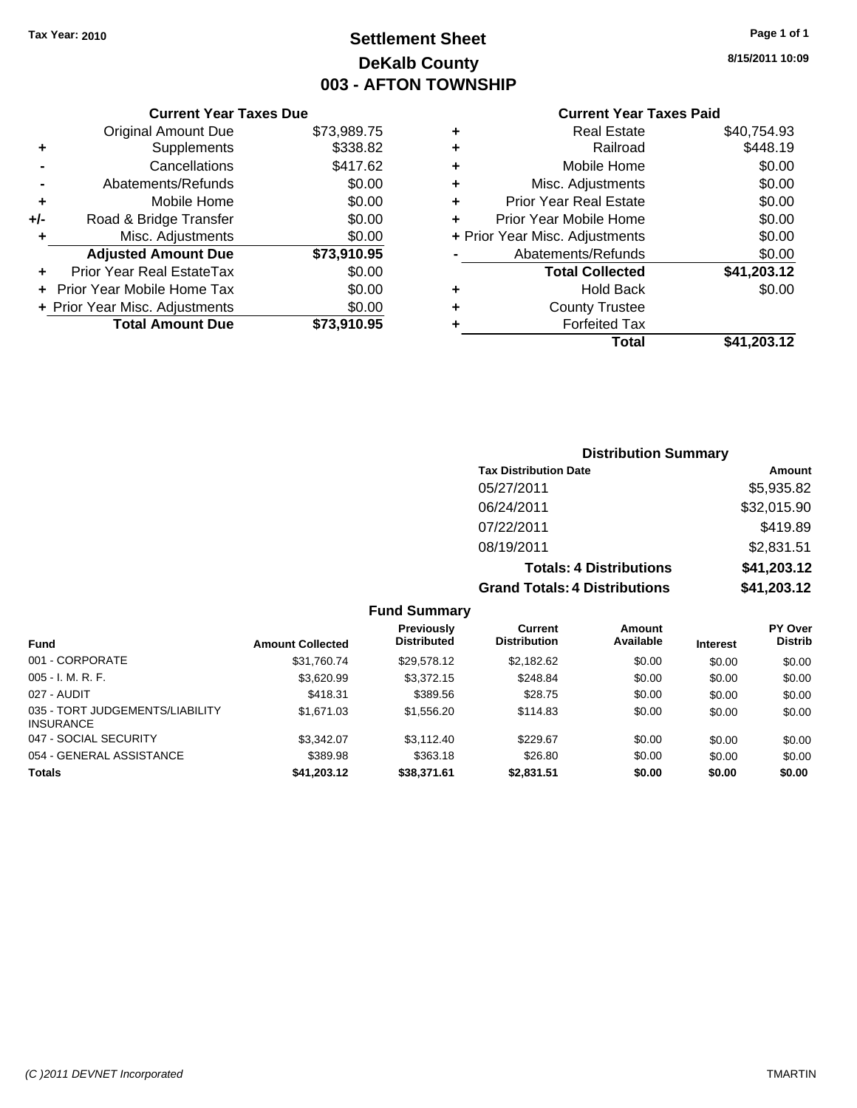### **Settlement Sheet Tax Year: 2010 Page 1 of 1 DeKalb County 003 - AFTON TOWNSHIP**

**8/15/2011 10:09**

#### **Current Year Taxes Paid**

|     | <b>Current Year Taxes Due</b>  |             |
|-----|--------------------------------|-------------|
|     | <b>Original Amount Due</b>     | \$73,989.75 |
| ٠   | Supplements                    | \$338.82    |
|     | Cancellations                  | \$417.62    |
|     | Abatements/Refunds             | \$0.00      |
| ٠   | Mobile Home                    | \$0.00      |
| +/- | Road & Bridge Transfer         | \$0.00      |
| ٠   | Misc. Adjustments              | \$0.00      |
|     | <b>Adjusted Amount Due</b>     | \$73,910.95 |
| ٠   | Prior Year Real EstateTax      | \$0.00      |
|     | Prior Year Mobile Home Tax     | \$0.00      |
|     | + Prior Year Misc. Adjustments | \$0.00      |
|     | <b>Total Amount Due</b>        | \$73,910.95 |

| ٠ | Real Estate                    | \$40,754.93 |
|---|--------------------------------|-------------|
| ٠ | Railroad                       | \$448.19    |
| ٠ | Mobile Home                    | \$0.00      |
| ٠ | Misc. Adjustments              | \$0.00      |
| ÷ | <b>Prior Year Real Estate</b>  | \$0.00      |
|   | Prior Year Mobile Home         | \$0.00      |
|   | + Prior Year Misc. Adjustments | \$0.00      |
|   | Abatements/Refunds             | \$0.00      |
|   | <b>Total Collected</b>         | \$41,203.12 |
| ٠ | <b>Hold Back</b>               | \$0.00      |
| ٠ | <b>County Trustee</b>          |             |
| ٠ | <b>Forfeited Tax</b>           |             |
|   | Total                          | \$41,203.12 |
|   |                                |             |

### **Distribution Summary Tax Distribution Date Amount** 05/27/2011 \$5,935.82 06/24/2011 \$32,015.90 07/22/2011 \$419.89 08/19/2011 \$2,831.51 **Totals: 4 Distributions \$41,203.12 Grand Totals: 4 Distributions \$41,203.12**

#### **Fund Summary**

| <b>Fund</b>                                  | <b>Amount Collected</b> | Previously<br><b>Distributed</b> | Current<br><b>Distribution</b> | Amount<br>Available | <b>Interest</b> | <b>PY Over</b><br><b>Distrib</b> |
|----------------------------------------------|-------------------------|----------------------------------|--------------------------------|---------------------|-----------------|----------------------------------|
| 001 - CORPORATE                              | \$31.760.74             | \$29.578.12                      | \$2,182.62                     | \$0.00              | \$0.00          | \$0.00                           |
| $005 - I. M. R. F.$                          | \$3,620.99              | \$3,372.15                       | \$248.84                       | \$0.00              | \$0.00          | \$0.00                           |
| 027 - AUDIT                                  | \$418.31                | \$389.56                         | \$28.75                        | \$0.00              | \$0.00          | \$0.00                           |
| 035 - TORT JUDGEMENTS/LIABILITY<br>INSURANCE | \$1,671.03              | \$1,556.20                       | \$114.83                       | \$0.00              | \$0.00          | \$0.00                           |
| 047 - SOCIAL SECURITY                        | \$3.342.07              | \$3,112,40                       | \$229.67                       | \$0.00              | \$0.00          | \$0.00                           |
| 054 - GENERAL ASSISTANCE                     | \$389.98                | \$363.18                         | \$26.80                        | \$0.00              | \$0.00          | \$0.00                           |
| <b>Totals</b>                                | \$41,203.12             | \$38,371.61                      | \$2,831.51                     | \$0.00              | \$0.00          | \$0.00                           |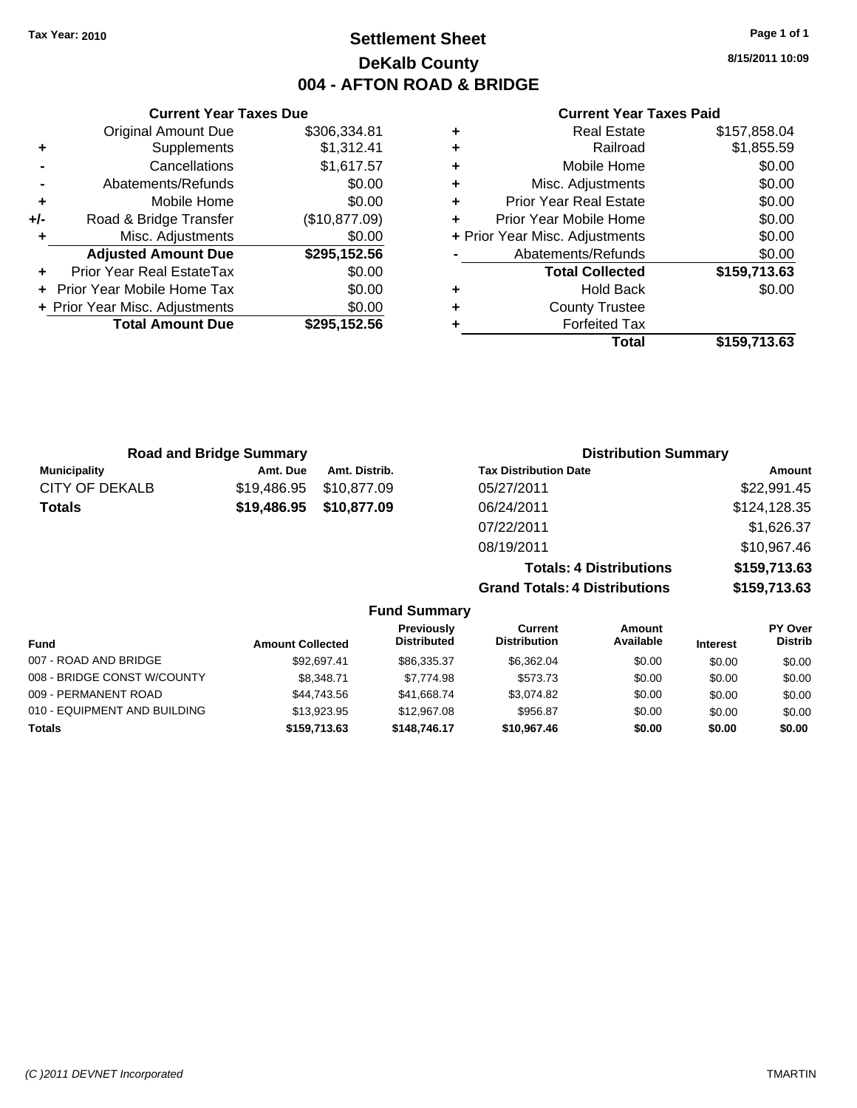### **Settlement Sheet Tax Year: 2010 Page 1 of 1 DeKalb County 004 - AFTON ROAD & BRIDGE**

**8/15/2011 10:09**

#### **Current Year Taxes Paid**

**Grand Totals: 4 Distributions \$159,713.63**

|   | Total                          | \$159,713.63 |
|---|--------------------------------|--------------|
| ٠ | <b>Forfeited Tax</b>           |              |
| ٠ | <b>County Trustee</b>          |              |
| ٠ | <b>Hold Back</b>               | \$0.00       |
|   | <b>Total Collected</b>         | \$159,713.63 |
|   | Abatements/Refunds             | \$0.00       |
|   | + Prior Year Misc. Adjustments | \$0.00       |
| ÷ | Prior Year Mobile Home         | \$0.00       |
| ÷ | <b>Prior Year Real Estate</b>  | \$0.00       |
| ٠ | Misc. Adjustments              | \$0.00       |
| ÷ | Mobile Home                    | \$0.00       |
| ٠ | Railroad                       | \$1,855.59   |
| ٠ | <b>Real Estate</b>             | \$157,858.04 |

|     | <b>Current Year Taxes Due</b>  |               |  |  |  |  |
|-----|--------------------------------|---------------|--|--|--|--|
|     | <b>Original Amount Due</b>     | \$306,334.81  |  |  |  |  |
| ٠   | Supplements                    | \$1,312.41    |  |  |  |  |
|     | Cancellations                  | \$1,617.57    |  |  |  |  |
|     | Abatements/Refunds             | \$0.00        |  |  |  |  |
| ٠   | Mobile Home                    | \$0.00        |  |  |  |  |
| +/- | Road & Bridge Transfer         | (\$10,877.09) |  |  |  |  |
| ٠   | Misc. Adjustments              | \$0.00        |  |  |  |  |
|     | <b>Adjusted Amount Due</b>     | \$295,152.56  |  |  |  |  |
|     | Prior Year Real EstateTax      | \$0.00        |  |  |  |  |
|     | Prior Year Mobile Home Tax     | \$0.00        |  |  |  |  |
|     | + Prior Year Misc. Adjustments | \$0.00        |  |  |  |  |
|     | <b>Total Amount Due</b>        | \$295,152.56  |  |  |  |  |

| <b>Road and Bridge Summary</b> |             |               | <b>Distribution Summary</b>    |              |  |
|--------------------------------|-------------|---------------|--------------------------------|--------------|--|
| <b>Municipality</b>            | Amt. Due    | Amt. Distrib. | <b>Tax Distribution Date</b>   | Amount       |  |
| CITY OF DEKALB                 | \$19.486.95 | \$10.877.09   | 05/27/2011                     | \$22,991.45  |  |
| <b>Totals</b>                  | \$19,486.95 | \$10,877.09   | 06/24/2011                     | \$124,128.35 |  |
|                                |             |               | 07/22/2011                     | \$1,626.37   |  |
|                                |             |               | 08/19/2011                     | \$10,967.46  |  |
|                                |             |               | <b>Totals: 4 Distributions</b> | \$159,713.63 |  |

**Fund Summary Fund Interest Amount Collected Distributed PY Over Distrib Amount Available Current Distribution Previously** 007 - ROAD AND BRIDGE 60.00 \$92,697.41 \$86,335.37 \$6,362.04 \$0.00 \$0.00 \$0.00 008 - BRIDGE CONST W/COUNTY  $$8,348.71$   $$7,774.98$   $$573.73$   $$0.00$   $$0.00$   $$0.00$ 009 - PERMANENT ROAD \$44,743.56 \$41,668.74 \$3,074.82 \$0.00 \$0.00 \$0.00 010 - EQUIPMENT AND BUILDING \$13,923.95 \$12,967.08 \$956.87 \$0.00 \$0.00 \$0.00 **Totals \$159,713.63 \$148,746.17 \$10,967.46 \$0.00 \$0.00 \$0.00**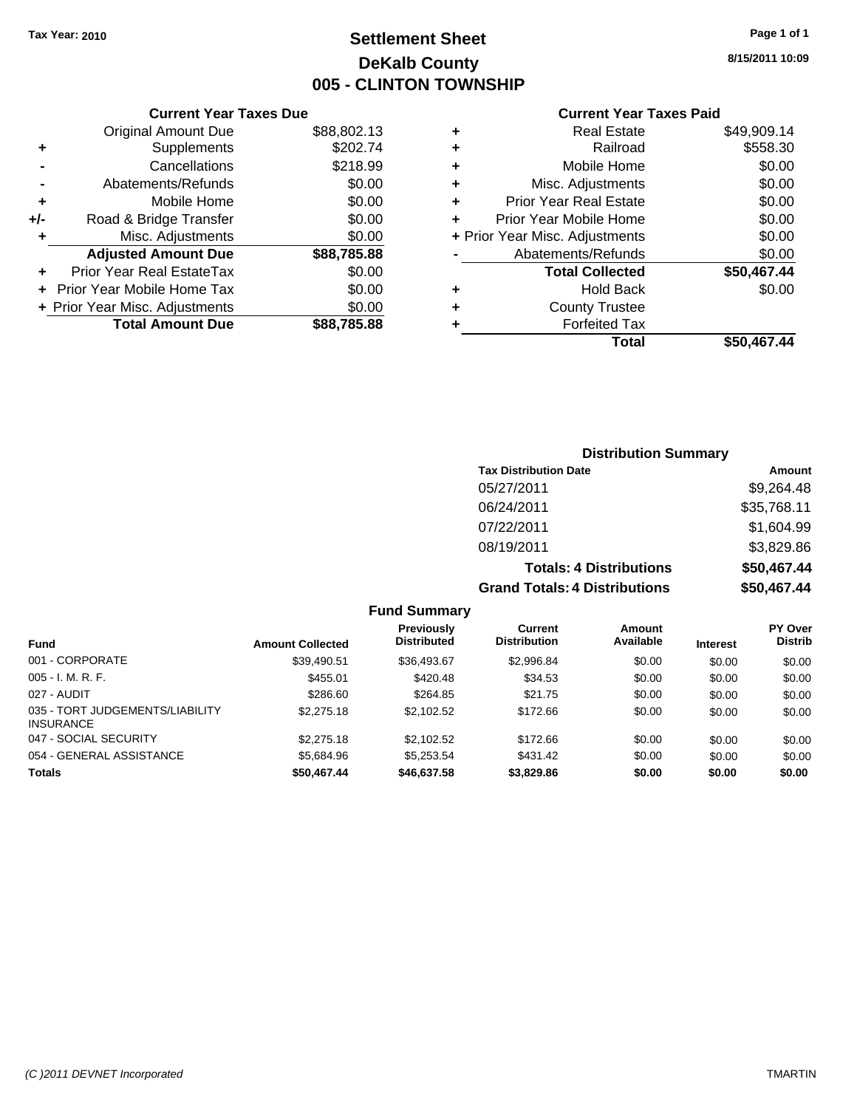### **Settlement Sheet Tax Year: 2010 Page 1 of 1 DeKalb County 005 - CLINTON TOWNSHIP**

**8/15/2011 10:09**

### **Current Year Taxes Paid**

|      |   | <b>Total</b>                   | \$50,467.44 |
|------|---|--------------------------------|-------------|
| 5.88 | ٠ | <b>Forfeited Tax</b>           |             |
| 0.00 | ٠ | <b>County Trustee</b>          |             |
| 0.00 | ٠ | <b>Hold Back</b>               | \$0.00      |
| 0.00 |   | <b>Total Collected</b>         | \$50,467.44 |
| 5.88 |   | Abatements/Refunds             | \$0.00      |
| 0.00 |   | + Prior Year Misc. Adjustments | \$0.00      |
| 0.00 | ÷ | Prior Year Mobile Home         | \$0.00      |
| 0.00 | ٠ | <b>Prior Year Real Estate</b>  | \$0.00      |
| 0.00 | ٠ | Misc. Adjustments              | \$0.00      |
| 8.99 | ÷ | Mobile Home                    | \$0.00      |
| 2.74 | ٠ | Railroad                       | \$558.30    |
| 2.13 | ٠ | <b>Real Estate</b>             | \$49,909.14 |
|      |   |                                |             |

|     | <b>Current Year Taxes Due</b>  |             |
|-----|--------------------------------|-------------|
|     | <b>Original Amount Due</b>     | \$88,802.13 |
| ٠   | Supplements                    | \$202.74    |
|     | Cancellations                  | \$218.99    |
|     | Abatements/Refunds             | \$0.00      |
| ٠   | Mobile Home                    | \$0.00      |
| +/- | Road & Bridge Transfer         | \$0.00      |
| ٠   | Misc. Adjustments              | \$0.00      |
|     | <b>Adjusted Amount Due</b>     | \$88,785.88 |
|     | Prior Year Real EstateTax      | \$0.00      |
|     | Prior Year Mobile Home Tax     | \$0.00      |
|     | + Prior Year Misc. Adjustments | \$0.00      |
|     | <b>Total Amount Due</b>        | \$88,785.88 |

### **Distribution Summary**

| <b>Tax Distribution Date</b>   | Amount      |
|--------------------------------|-------------|
| 05/27/2011                     | \$9.264.48  |
| 06/24/2011                     | \$35,768.11 |
| 07/22/2011                     | \$1,604.99  |
| 08/19/2011                     | \$3,829.86  |
| <b>Totals: 4 Distributions</b> | \$50,467.44 |
| Crond Totolou & Diotributions  | ¢EN AC7 AA  |

**Grand Totals: 4 Distributions \$50,467.44**

| Fund                                                | <b>Amount Collected</b> | <b>Previously</b><br><b>Distributed</b> | Current<br><b>Distribution</b> | Amount<br>Available | <b>Interest</b> | PY Over<br><b>Distrib</b> |
|-----------------------------------------------------|-------------------------|-----------------------------------------|--------------------------------|---------------------|-----------------|---------------------------|
| 001 - CORPORATE                                     | \$39,490.51             | \$36,493.67                             | \$2,996.84                     | \$0.00              | \$0.00          | \$0.00                    |
| $005 - I. M. R. F.$                                 | \$455.01                | \$420.48                                | \$34.53                        | \$0.00              | \$0.00          | \$0.00                    |
| 027 - AUDIT                                         | \$286.60                | \$264.85                                | \$21.75                        | \$0.00              | \$0.00          | \$0.00                    |
| 035 - TORT JUDGEMENTS/LIABILITY<br><b>INSURANCE</b> | \$2,275.18              | \$2.102.52                              | \$172.66                       | \$0.00              | \$0.00          | \$0.00                    |
| 047 - SOCIAL SECURITY                               | \$2,275.18              | \$2.102.52                              | \$172.66                       | \$0.00              | \$0.00          | \$0.00                    |
| 054 - GENERAL ASSISTANCE                            | \$5.684.96              | \$5.253.54                              | \$431.42                       | \$0.00              | \$0.00          | \$0.00                    |
| <b>Totals</b>                                       | \$50,467.44             | \$46,637.58                             | \$3,829.86                     | \$0.00              | \$0.00          | \$0.00                    |

**Fund Summary**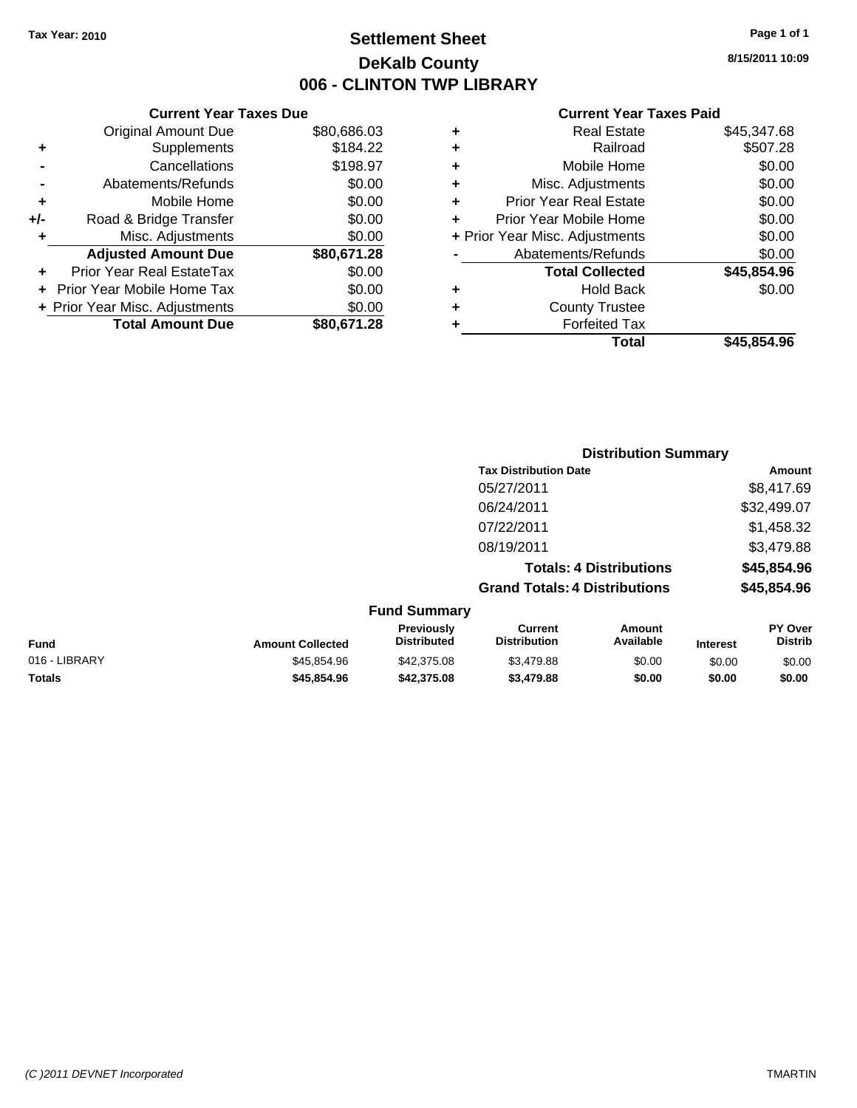### **Settlement Sheet Tax Year: 2010 Page 1 of 1 DeKalb County 006 - CLINTON TWP LIBRARY**

### **Current Year Taxes Due**

|     | <b>Original Amount Due</b>       | \$80,686.03 |
|-----|----------------------------------|-------------|
|     | Supplements                      | \$184.22    |
|     | Cancellations                    | \$198.97    |
|     | Abatements/Refunds               | \$0.00      |
| ٠   | Mobile Home                      | \$0.00      |
| +/- | Road & Bridge Transfer           | \$0.00      |
| ٠   | Misc. Adjustments                | \$0.00      |
|     | <b>Adjusted Amount Due</b>       | \$80,671.28 |
|     | <b>Prior Year Real EstateTax</b> | \$0.00      |
|     | Prior Year Mobile Home Tax       | \$0.00      |
|     | + Prior Year Misc. Adjustments   | \$0.00      |
|     | <b>Total Amount Due</b>          | \$80,671.28 |

#### **Current Year Taxes Paid**

|   | <b>Real Estate</b>             | \$45,347.68 |
|---|--------------------------------|-------------|
| ٠ | Railroad                       | \$507.28    |
| ٠ | Mobile Home                    | \$0.00      |
| ٠ | Misc. Adjustments              | \$0.00      |
| ٠ | <b>Prior Year Real Estate</b>  | \$0.00      |
| ÷ | Prior Year Mobile Home         | \$0.00      |
|   | + Prior Year Misc. Adjustments | \$0.00      |
|   | Abatements/Refunds             | \$0.00      |
|   | <b>Total Collected</b>         | \$45,854.96 |
| ٠ | Hold Back                      | \$0.00      |
| ٠ | <b>County Trustee</b>          |             |
| ٠ | <b>Forfeited Tax</b>           |             |
|   | Total                          | \$45,854.96 |
|   |                                |             |

#### **Distribution Summary Tax Distribution Date Amount** 05/27/2011 \$8,417.69 06/24/2011 \$32,499.07 07/22/2011 \$1,458.32 08/19/2011 \$3,479.88 **Totals: 4 Distributions \$45,854.96 Grand Totals: 4 Distributions \$45,854.96 Fund Summary PY Over Amount Current Previously**

| <b>Fund</b>   | <b>Amount Collected</b> | Previously<br><b>Distributed</b> | Current<br><b>Distribution</b> | Amount<br>Available | <b>Interest</b> | PY Over<br>Distrib |
|---------------|-------------------------|----------------------------------|--------------------------------|---------------------|-----------------|--------------------|
| 016 - LIBRARY | \$45.854.96             | \$42,375,08                      | \$3,479.88                     | \$0.00              | \$0.00          | \$0.00             |
| <b>Totals</b> | \$45.854.96             | \$42,375,08                      | \$3,479.88                     | \$0.00              | \$0.00          | \$0.00             |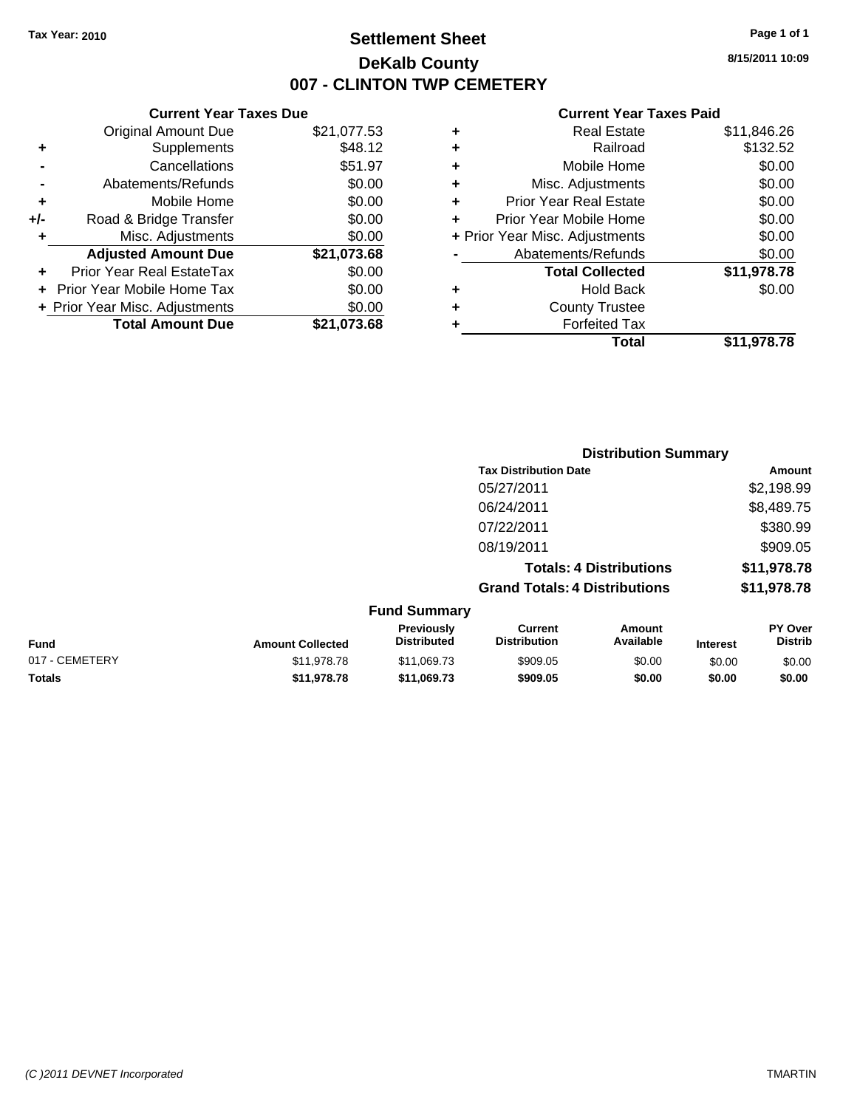**Current Year Taxes Due** Original Amount Due \$21,077.53

**Adjusted Amount Due \$21,073.68**

**Total Amount Due \$21,073.68**

**+** Supplements \$48.12 **-** Cancellations \$51.97 **-** Abatements/Refunds \$0.00 **+** Mobile Home \$0.00 **+/-** Road & Bridge Transfer \$0.00 **+** Misc. Adjustments \$0.00

**+** Prior Year Real EstateTax \$0.00 **+** Prior Year Mobile Home Tax \$0.00 **+ Prior Year Misc. Adjustments**  $$0.00$ 

### **Settlement Sheet Tax Year: 2010 Page 1 of 1 DeKalb County 007 - CLINTON TWP CEMETERY**

**8/15/2011 10:09**

#### **Current Year Taxes Paid**

|                                | \$11.978.78 |
|--------------------------------|-------------|
| <b>Forfeited Tax</b>           |             |
| <b>County Trustee</b>          |             |
| <b>Hold Back</b>               | \$0.00      |
| <b>Total Collected</b>         | \$11,978.78 |
| Abatements/Refunds             | \$0.00      |
| + Prior Year Misc. Adjustments | \$0.00      |
| Prior Year Mobile Home         | \$0.00      |
| <b>Prior Year Real Estate</b>  | \$0.00      |
| Misc. Adjustments              | \$0.00      |
| Mobile Home                    | \$0.00      |
| Railroad                       | \$132.52    |
| <b>Real Estate</b>             | \$11,846.26 |
|                                | Total       |

|                |                         |                                  |                                       | <b>Distribution Summary</b>    |                 |                           |
|----------------|-------------------------|----------------------------------|---------------------------------------|--------------------------------|-----------------|---------------------------|
|                |                         |                                  | <b>Tax Distribution Date</b>          |                                |                 | Amount                    |
|                |                         |                                  | 05/27/2011                            |                                |                 | \$2,198.99                |
|                |                         |                                  | 06/24/2011                            |                                |                 | \$8,489.75                |
|                |                         |                                  | 07/22/2011                            |                                |                 | \$380.99                  |
|                |                         |                                  | 08/19/2011                            |                                |                 | \$909.05                  |
|                |                         |                                  |                                       | <b>Totals: 4 Distributions</b> |                 | \$11,978.78               |
|                |                         |                                  | <b>Grand Totals: 4 Distributions</b>  |                                |                 | \$11,978.78               |
|                |                         | <b>Fund Summary</b>              |                                       |                                |                 |                           |
| <b>Fund</b>    | <b>Amount Collected</b> | Previously<br><b>Distributed</b> | <b>Current</b><br><b>Distribution</b> | <b>Amount</b><br>Available     | <b>Interest</b> | PY Over<br><b>Distrib</b> |
| 017 - CEMETERY | \$11,978.78             | \$11,069.73                      | \$909.05                              | \$0.00                         | \$0.00          | \$0.00                    |
| Totals         | \$11,978.78             | \$11,069.73                      | \$909.05                              | \$0.00                         | \$0.00          | \$0.00                    |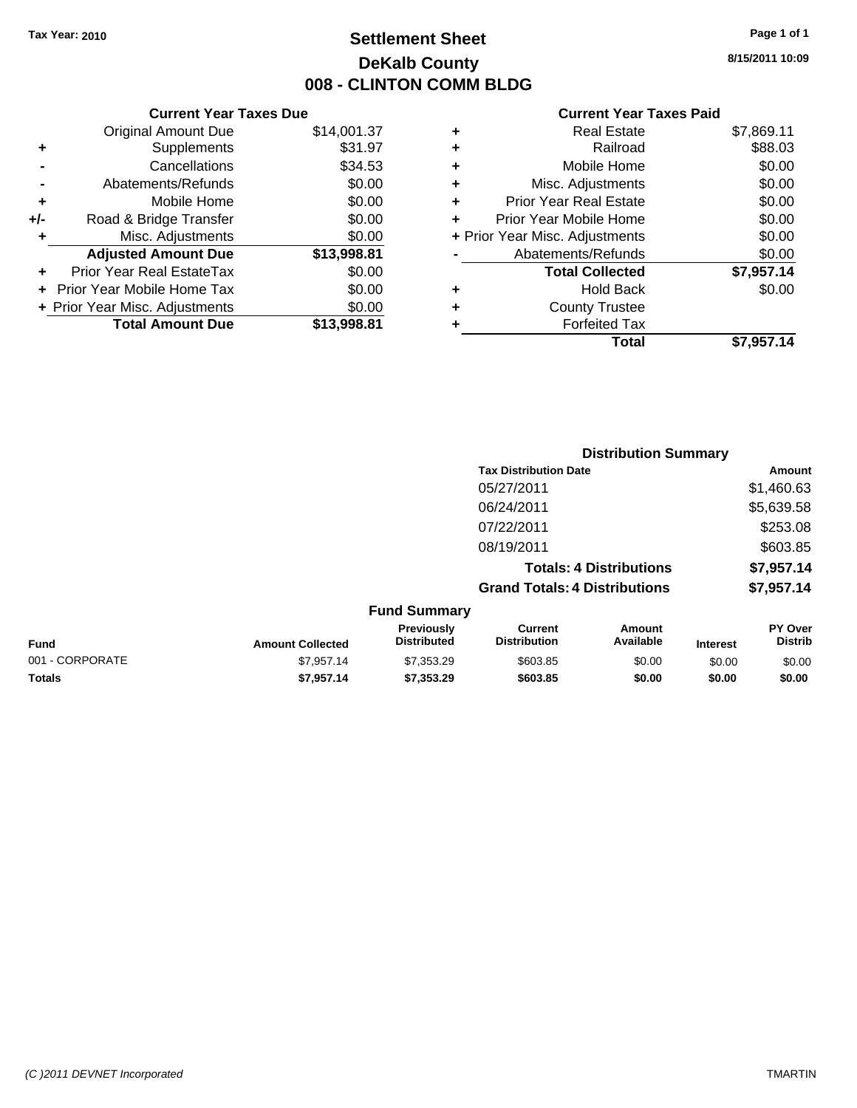### **Settlement Sheet Tax Year: 2010 Page 1 of 1 DeKalb County 008 - CLINTON COMM BLDG**

**8/15/2011 10:09**

#### **Current Year Taxes Paid**

|     | <b>Current Year Taxes Due</b>  |             |   | <b>Current Year Taxes Paid</b> |            |
|-----|--------------------------------|-------------|---|--------------------------------|------------|
|     | <b>Original Amount Due</b>     | \$14,001.37 | ٠ | <b>Real Estate</b>             | \$7,869.11 |
| ٠   | Supplements                    | \$31.97     | ٠ | Railroad                       | \$88.03    |
|     | Cancellations                  | \$34.53     |   | Mobile Home                    | \$0.00     |
|     | Abatements/Refunds             | \$0.00      | ٠ | Misc. Adjustments              | \$0.00     |
| ٠   | Mobile Home                    | \$0.00      | ٠ | <b>Prior Year Real Estate</b>  | \$0.00     |
| +/- | Road & Bridge Transfer         | \$0.00      |   | Prior Year Mobile Home         | \$0.00     |
|     | Misc. Adjustments              | \$0.00      |   | + Prior Year Misc. Adjustments | \$0.00     |
|     | <b>Adjusted Amount Due</b>     | \$13,998.81 |   | Abatements/Refunds             | \$0.00     |
| ٠   | Prior Year Real EstateTax      | \$0.00      |   | <b>Total Collected</b>         | \$7,957.14 |
|     | + Prior Year Mobile Home Tax   | \$0.00      | ٠ | <b>Hold Back</b>               | \$0.00     |
|     | + Prior Year Misc. Adjustments | \$0.00      | ٠ | <b>County Trustee</b>          |            |
|     | <b>Total Amount Due</b>        | \$13,998.81 |   | <b>Forfeited Tax</b>           |            |
|     |                                |             |   | <b>Tatal</b>                   | 67 OE7 4 A |

|   | Total                          | \$7,957.14 |
|---|--------------------------------|------------|
| ٠ | <b>Forfeited Tax</b>           |            |
| ÷ | <b>County Trustee</b>          |            |
| ٠ | <b>Hold Back</b>               | \$0.00     |
|   | <b>Total Collected</b>         | \$7,957.14 |
|   | Abatements/Refunds             | \$0.00     |
|   | + Prior Year Misc. Adjustments | \$0.00     |

|                 |                         |                                  | <b>Distribution Summary</b>           |                                |                 |                           |
|-----------------|-------------------------|----------------------------------|---------------------------------------|--------------------------------|-----------------|---------------------------|
|                 |                         |                                  | <b>Tax Distribution Date</b>          |                                |                 | Amount                    |
|                 |                         |                                  | 05/27/2011                            |                                |                 | \$1,460.63                |
|                 |                         |                                  | 06/24/2011                            |                                |                 | \$5,639.58                |
|                 |                         |                                  | 07/22/2011                            |                                |                 | \$253.08                  |
|                 |                         |                                  | 08/19/2011                            |                                |                 | \$603.85                  |
|                 |                         |                                  |                                       | <b>Totals: 4 Distributions</b> |                 | \$7,957.14                |
|                 |                         |                                  | <b>Grand Totals: 4 Distributions</b>  |                                |                 | \$7,957.14                |
|                 |                         | <b>Fund Summary</b>              |                                       |                                |                 |                           |
| <b>Fund</b>     | <b>Amount Collected</b> | Previously<br><b>Distributed</b> | <b>Current</b><br><b>Distribution</b> | <b>Amount</b><br>Available     | <b>Interest</b> | PY Over<br><b>Distrib</b> |
| 001 - CORPORATE | \$7.957.14              | \$7,353.29                       | \$603.85                              | \$0.00                         | \$0.00          | \$0.00                    |
| <b>Totals</b>   | \$7,957.14              | \$7,353.29                       | \$603.85                              | \$0.00                         | \$0.00          | \$0.00                    |

#### *(C )2011 DEVNET Incorporated* TMARTIN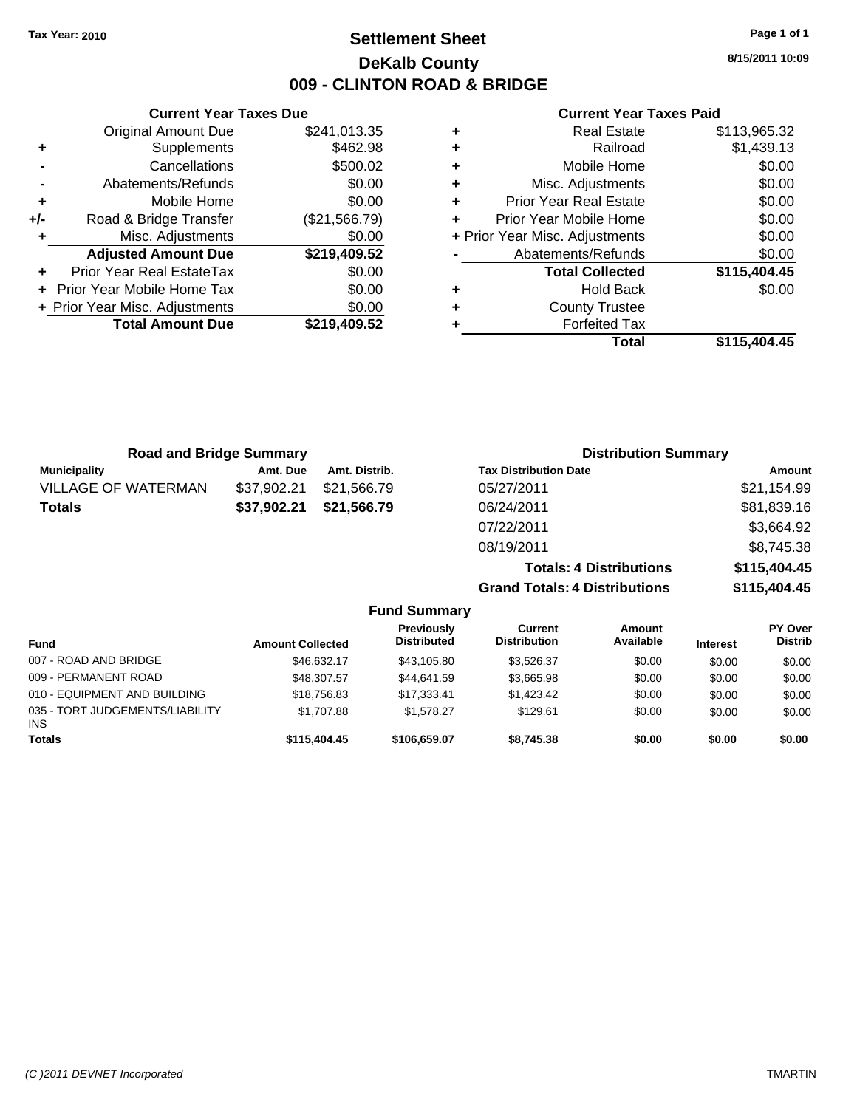**Current Year Taxes Due** Original Amount Due \$241,013.35

**Adjusted Amount Due \$219,409.52**

**Total Amount Due \$219,409.52**

**+** Supplements \$462.98 **-** Cancellations \$500.02 **-** Abatements/Refunds \$0.00 **+** Mobile Home \$0.00 **+/-** Road & Bridge Transfer (\$21,566.79) **+** Misc. Adjustments \$0.00

**+** Prior Year Real EstateTax \$0.00 **+** Prior Year Mobile Home Tax \$0.00 **+ Prior Year Misc. Adjustments**  $$0.00$ 

### **Settlement Sheet Tax Year: 2010 Page 1 of 1 DeKalb County 009 - CLINTON ROAD & BRIDGE**

**8/15/2011 10:09**

#### **Current Year Taxes Paid**

|   | Total                          | \$115,404.45 |
|---|--------------------------------|--------------|
| ٠ | <b>Forfeited Tax</b>           |              |
| ٠ | <b>County Trustee</b>          |              |
| ٠ | <b>Hold Back</b>               | \$0.00       |
|   | <b>Total Collected</b>         | \$115,404.45 |
|   | Abatements/Refunds             | \$0.00       |
|   | + Prior Year Misc. Adjustments | \$0.00       |
| ٠ | Prior Year Mobile Home         | \$0.00       |
| ٠ | Prior Year Real Estate         | \$0.00       |
| ٠ | Misc. Adjustments              | \$0.00       |
| ٠ | Mobile Home                    | \$0.00       |
| ٠ | Railroad                       | \$1,439.13   |
| ٠ | <b>Real Estate</b>             | \$113,965.32 |
|   |                                |              |

| <b>Road and Bridge Summary</b> |             |               | <b>Distribution Summary</b>          |               |
|--------------------------------|-------------|---------------|--------------------------------------|---------------|
| <b>Municipality</b>            | Amt. Due    | Amt. Distrib. | <b>Tax Distribution Date</b>         | <b>Amount</b> |
| <b>VILLAGE OF WATERMAN</b>     | \$37,902.21 | \$21,566.79   | 05/27/2011                           | \$21,154.99   |
| <b>Totals</b>                  | \$37,902.21 | \$21,566.79   | 06/24/2011                           | \$81,839.16   |
|                                |             |               | 07/22/2011                           | \$3,664.92    |
|                                |             |               | 08/19/2011                           | \$8,745.38    |
|                                |             |               | <b>Totals: 4 Distributions</b>       | \$115,404.45  |
|                                |             |               | <b>Grand Totals: 4 Distributions</b> | \$115,404.45  |

| <b>Fund Summary</b>                           |                         |                                         |                                |                     |                 |                                  |
|-----------------------------------------------|-------------------------|-----------------------------------------|--------------------------------|---------------------|-----------------|----------------------------------|
| <b>Fund</b>                                   | <b>Amount Collected</b> | <b>Previously</b><br><b>Distributed</b> | Current<br><b>Distribution</b> | Amount<br>Available | <b>Interest</b> | <b>PY Over</b><br><b>Distrib</b> |
| 007 - ROAD AND BRIDGE                         | \$46.632.17             | \$43.105.80                             | \$3,526.37                     | \$0.00              | \$0.00          | \$0.00                           |
| 009 - PERMANENT ROAD                          | \$48,307.57             | \$44.641.59                             | \$3,665.98                     | \$0.00              | \$0.00          | \$0.00                           |
| 010 - EQUIPMENT AND BUILDING                  | \$18,756.83             | \$17,333.41                             | \$1,423.42                     | \$0.00              | \$0.00          | \$0.00                           |
| 035 - TORT JUDGEMENTS/LIABILITY<br><b>INS</b> | \$1,707.88              | \$1,578.27                              | \$129.61                       | \$0.00              | \$0.00          | \$0.00                           |
| <b>Totals</b>                                 | \$115,404.45            | \$106,659.07                            | \$8,745.38                     | \$0.00              | \$0.00          | \$0.00                           |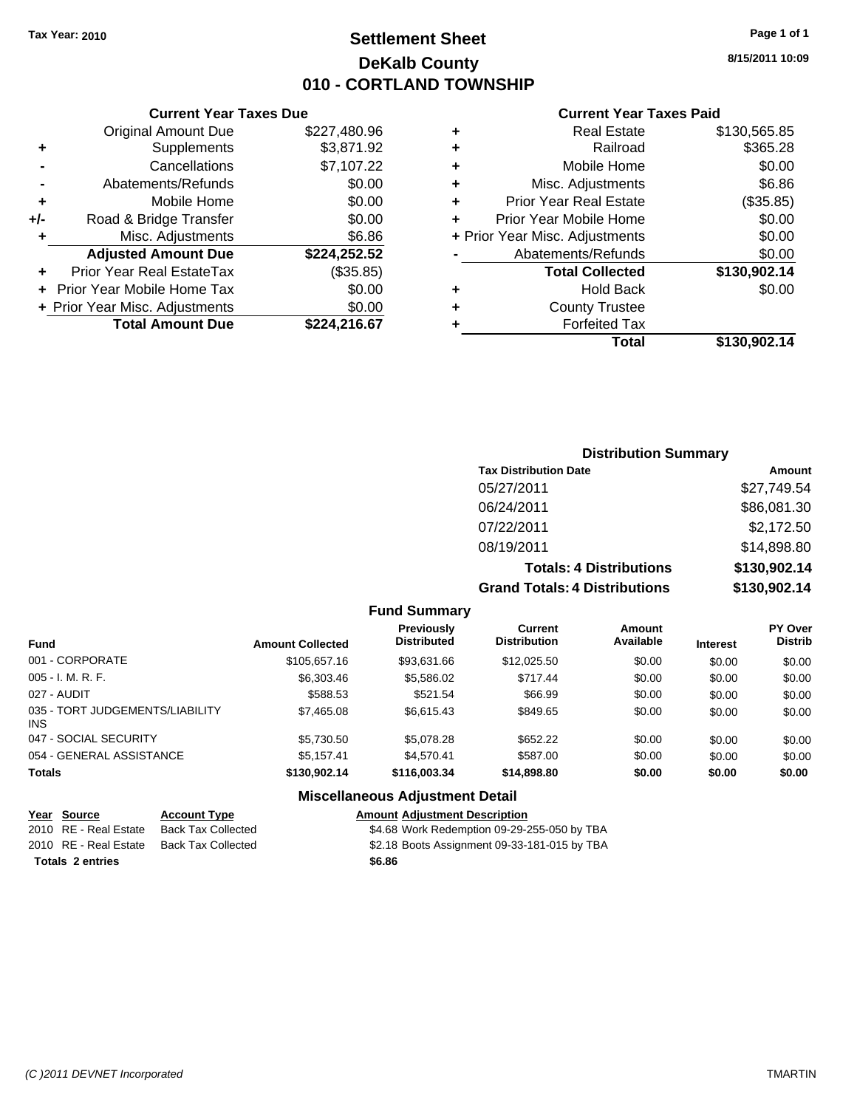### **Settlement Sheet Tax Year: 2010 Page 1 of 1 DeKalb County 010 - CORTLAND TOWNSHIP**

### **Current Year Taxes Due**

|     | <b>Original Amount Due</b>       | \$227,480.96 |
|-----|----------------------------------|--------------|
| ٠   | Supplements                      | \$3,871.92   |
|     | Cancellations                    | \$7,107.22   |
|     | Abatements/Refunds               | \$0.00       |
| ٠   | Mobile Home                      | \$0.00       |
| +/- | Road & Bridge Transfer           | \$0.00       |
| ٠   | Misc. Adjustments                | \$6.86       |
|     | <b>Adjusted Amount Due</b>       | \$224,252.52 |
|     | <b>Prior Year Real EstateTax</b> | (\$35.85)    |
|     | Prior Year Mobile Home Tax       | \$0.00       |
|     | + Prior Year Misc. Adjustments   | \$0.00       |
|     | <b>Total Amount Due</b>          | \$224.216.67 |

#### **Current Year Taxes Paid**

|          | \$130,565.85                                                                                                                                                                                                                                                             |
|----------|--------------------------------------------------------------------------------------------------------------------------------------------------------------------------------------------------------------------------------------------------------------------------|
| Railroad | \$365.28                                                                                                                                                                                                                                                                 |
|          | \$0.00                                                                                                                                                                                                                                                                   |
|          | \$6.86                                                                                                                                                                                                                                                                   |
|          | (\$35.85)                                                                                                                                                                                                                                                                |
|          | \$0.00                                                                                                                                                                                                                                                                   |
|          | \$0.00                                                                                                                                                                                                                                                                   |
|          | \$0.00                                                                                                                                                                                                                                                                   |
|          | \$130,902.14                                                                                                                                                                                                                                                             |
|          | \$0.00                                                                                                                                                                                                                                                                   |
|          |                                                                                                                                                                                                                                                                          |
|          |                                                                                                                                                                                                                                                                          |
| Total    | \$130,902.14                                                                                                                                                                                                                                                             |
|          | <b>Real Estate</b><br>Mobile Home<br>Misc. Adjustments<br><b>Prior Year Real Estate</b><br>Prior Year Mobile Home<br>+ Prior Year Misc. Adjustments<br>Abatements/Refunds<br><b>Total Collected</b><br><b>Hold Back</b><br><b>County Trustee</b><br><b>Forfeited Tax</b> |

## **Distribution Summary Tax Distribution Date Amount**<br>05/27/2011 **Amount Amount** 05/27/2011 \$27,749.54

| <b>Grand Totals: 4 Distributions</b> | \$130,902.14        |
|--------------------------------------|---------------------|
| <b>Totals: 4 Distributions</b>       | \$130,902.14        |
| 08/19/2011                           | \$14,898.80         |
| 07/22/2011                           | \$2,172.50          |
| 06/24/2011                           | \$86,081.30         |
| <u>UJILII LUIT</u>                   | <b>PU. GPI, 140</b> |

**Fund Summary**

| Fund                                   | <b>Amount Collected</b> | Previously<br><b>Distributed</b> | Current<br><b>Distribution</b> | <b>Amount</b><br>Available | <b>Interest</b> | <b>PY Over</b><br><b>Distrib</b> |
|----------------------------------------|-------------------------|----------------------------------|--------------------------------|----------------------------|-----------------|----------------------------------|
| 001 - CORPORATE                        | \$105,657.16            | \$93,631.66                      | \$12,025.50                    | \$0.00                     | \$0.00          | \$0.00                           |
| 005 - I. M. R. F.                      | \$6,303.46              | \$5,586.02                       | \$717.44                       | \$0.00                     | \$0.00          | \$0.00                           |
| 027 - AUDIT                            | \$588.53                | \$521.54                         | \$66.99                        | \$0.00                     | \$0.00          | \$0.00                           |
| 035 - TORT JUDGEMENTS/LIABILITY<br>INS | \$7,465.08              | \$6.615.43                       | \$849.65                       | \$0.00                     | \$0.00          | \$0.00                           |
| 047 - SOCIAL SECURITY                  | \$5,730.50              | \$5.078.28                       | \$652.22                       | \$0.00                     | \$0.00          | \$0.00                           |
| 054 - GENERAL ASSISTANCE               | \$5.157.41              | \$4.570.41                       | \$587.00                       | \$0.00                     | \$0.00          | \$0.00                           |
| Totals                                 | \$130,902.14            | \$116,003.34                     | \$14,898.80                    | \$0.00                     | \$0.00          | \$0.00                           |

### **Miscellaneous Adjustment Detail**

| Year Source             | <b>Account Type</b>       | <b>Amount Adiustment Description</b>         |
|-------------------------|---------------------------|----------------------------------------------|
| 2010 RE - Real Estate   | <b>Back Tax Collected</b> | \$4.68 Work Redemption 09-29-255-050 by TBA  |
| 2010 RE - Real Estate   | <b>Back Tax Collected</b> | \$2.18 Boots Assignment 09-33-181-015 by TBA |
| <b>Totals 2 entries</b> |                           | \$6.86                                       |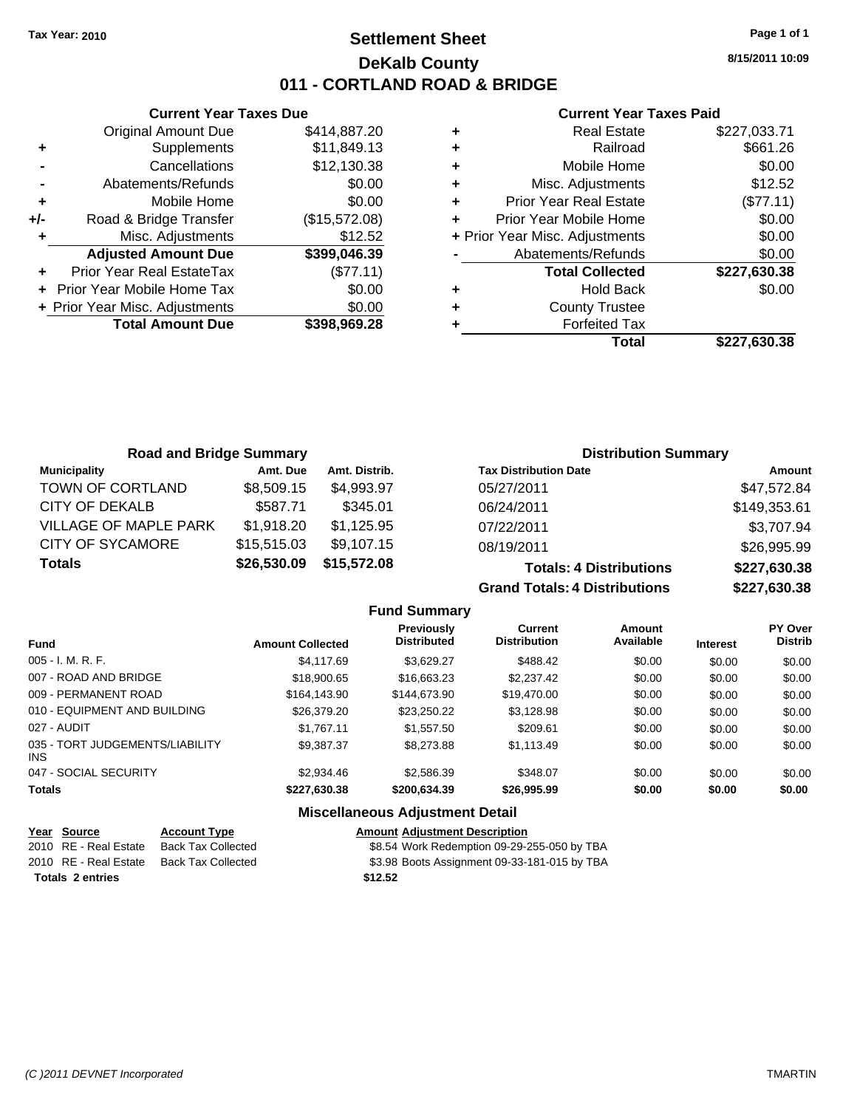### **Settlement Sheet Tax Year: 2010 Page 1 of 1 DeKalb County 011 - CORTLAND ROAD & BRIDGE**

**8/15/2011 10:09**

### **Current Year Taxes Paid**

|     | <b>Current Year Taxes Due</b>  |               |
|-----|--------------------------------|---------------|
|     | <b>Original Amount Due</b>     | \$414,887.20  |
| ٠   | Supplements                    | \$11,849.13   |
|     | Cancellations                  | \$12,130.38   |
|     | Abatements/Refunds             | \$0.00        |
| ٠   | Mobile Home                    | \$0.00        |
| +/- | Road & Bridge Transfer         | (\$15,572.08) |
| ٠   | Misc. Adjustments              | \$12.52       |
|     | <b>Adjusted Amount Due</b>     | \$399,046.39  |
| ٠   | Prior Year Real EstateTax      | (\$77.11)     |
|     | Prior Year Mobile Home Tax     | \$0.00        |
|     | + Prior Year Misc. Adjustments | \$0.00        |
|     | <b>Total Amount Due</b>        | \$398,969.28  |
|     |                                |               |

| ٠ | <b>Real Estate</b>             | \$227,033.71 |
|---|--------------------------------|--------------|
| ٠ | Railroad                       | \$661.26     |
| ٠ | Mobile Home                    | \$0.00       |
| ٠ | Misc. Adjustments              | \$12.52      |
| ÷ | <b>Prior Year Real Estate</b>  | (\$77.11)    |
| ÷ | Prior Year Mobile Home         | \$0.00       |
|   | + Prior Year Misc. Adjustments | \$0.00       |
|   | Abatements/Refunds             | \$0.00       |
|   | <b>Total Collected</b>         | \$227,630.38 |
| ٠ | <b>Hold Back</b>               | \$0.00       |
| ٠ | <b>County Trustee</b>          |              |
| ٠ | <b>Forfeited Tax</b>           |              |
|   | Total                          | \$227.630.38 |

| <b>Road and Bridge Summary</b> |             |               | <b>Distribution Summary</b>    |              |
|--------------------------------|-------------|---------------|--------------------------------|--------------|
| <b>Municipality</b>            | Amt. Due    | Amt. Distrib. | <b>Tax Distribution Date</b>   | Amount       |
| TOWN OF CORTLAND               | \$8,509.15  | \$4,993.97    | 05/27/2011                     | \$47,572.84  |
| CITY OF DEKALB                 | \$587.71    | \$345.01      | 06/24/2011                     | \$149,353.61 |
| <b>VILLAGE OF MAPLE PARK</b>   | \$1,918.20  | \$1,125.95    | 07/22/2011                     | \$3,707.94   |
| <b>CITY OF SYCAMORE</b>        | \$15,515.03 | \$9,107.15    | 08/19/2011                     | \$26,995.99  |
| <b>Totals</b>                  | \$26,530.09 | \$15,572.08   | <b>Totals: 4 Distributions</b> | \$227,630.38 |

**Grand Totals: 4 Distribions** 

| \$227,630.38 |
|--------------|
| \$227,630.38 |
|              |

|                                         |                         | <b>Fund Summary</b>                              |                                |                     |                 |                           |
|-----------------------------------------|-------------------------|--------------------------------------------------|--------------------------------|---------------------|-----------------|---------------------------|
| <b>Fund</b>                             | <b>Amount Collected</b> | Previously<br><b>Distributed</b>                 | Current<br><b>Distribution</b> | Amount<br>Available | <b>Interest</b> | PY Over<br><b>Distrib</b> |
| 005 - I. M. R. F.                       | \$4,117.69              | \$3.629.27                                       | \$488.42                       | \$0.00              | \$0.00          | \$0.00                    |
| 007 - ROAD AND BRIDGE                   | \$18,900.65             | \$16,663,23                                      | \$2,237.42                     | \$0.00              | \$0.00          | \$0.00                    |
| 009 - PERMANENT ROAD                    | \$164,143.90            | \$144,673.90                                     | \$19,470.00                    | \$0.00              | \$0.00          | \$0.00                    |
| 010 - EQUIPMENT AND BUILDING            | \$26,379.20             | \$23.250.22                                      | \$3.128.98                     | \$0.00              | \$0.00          | \$0.00                    |
| 027 - AUDIT                             | \$1.767.11              | \$1,557.50                                       | \$209.61                       | \$0.00              | \$0.00          | \$0.00                    |
| 035 - TORT JUDGEMENTS/LIABILITY<br>INS. | \$9.387.37              | \$8,273,88                                       | \$1,113.49                     | \$0.00              | \$0.00          | \$0.00                    |
| 047 - SOCIAL SECURITY                   | \$2,934.46              | \$2.586.39                                       | \$348.07                       | \$0.00              | \$0.00          | \$0.00                    |
| <b>Totals</b>                           | \$227,630.38            | \$200,634.39                                     | \$26,995.99                    | \$0.00              | \$0.00          | \$0.00                    |
|                                         |                         | <b>Address House Court A. Househouse Product</b> |                                |                     |                 |                           |

### **Miscellaneous Adjustment Detail**

| Year Source             | <b>Account Type</b>                      | <b>Amount Adjustment Description</b>         |
|-------------------------|------------------------------------------|----------------------------------------------|
| 2010 RE - Real Estate   | Back Tax Collected                       | \$8.54 Work Redemption 09-29-255-050 by TBA  |
|                         | 2010 RE - Real Estate Back Tax Collected | \$3.98 Boots Assignment 09-33-181-015 by TBA |
| <b>Totals 2 entries</b> |                                          | \$12.52                                      |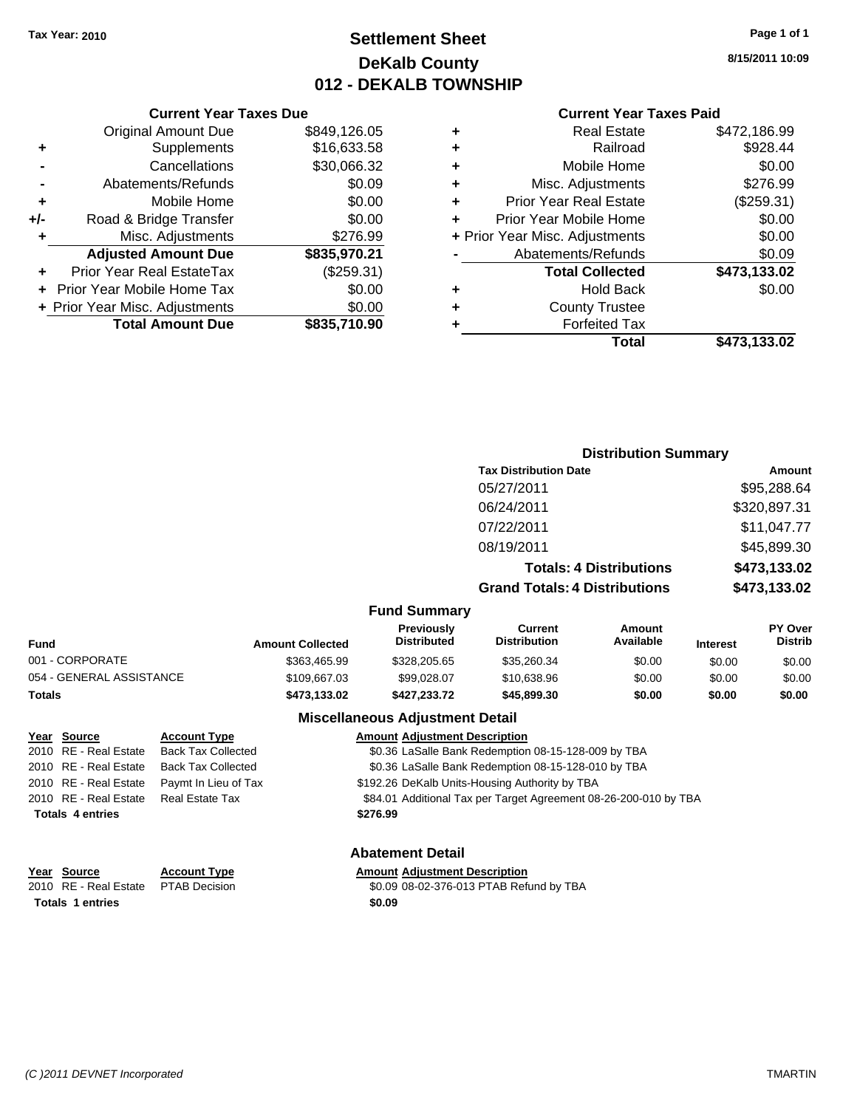### **Settlement Sheet Tax Year: 2010 Page 1 of 1 DeKalb County 012 - DEKALB TOWNSHIP**

**8/15/2011 10:09**

|     | <b>Current Year Taxes Due</b>  |              |  |  |
|-----|--------------------------------|--------------|--|--|
|     | <b>Original Amount Due</b>     | \$849,126.05 |  |  |
| ٠   | Supplements                    | \$16,633.58  |  |  |
|     | Cancellations                  | \$30,066.32  |  |  |
|     | Abatements/Refunds             | \$0.09       |  |  |
| ٠   | Mobile Home                    | \$0.00       |  |  |
| +/- | Road & Bridge Transfer         | \$0.00       |  |  |
|     | Misc. Adjustments              | \$276.99     |  |  |
|     | <b>Adjusted Amount Due</b>     | \$835,970.21 |  |  |
|     | Prior Year Real EstateTax      | (\$259.31)   |  |  |
|     | Prior Year Mobile Home Tax     | \$0.00       |  |  |
|     | + Prior Year Misc. Adjustments | \$0.00       |  |  |
|     | <b>Total Amount Due</b>        | \$835,710.90 |  |  |
|     |                                |              |  |  |

#### **Current Year Taxes Paid**

| ٠ | <b>Real Estate</b>             | \$472,186.99 |
|---|--------------------------------|--------------|
| ٠ | Railroad                       | \$928.44     |
| ٠ | Mobile Home                    | \$0.00       |
| ٠ | Misc. Adjustments              | \$276.99     |
| ٠ | <b>Prior Year Real Estate</b>  | (\$259.31)   |
| ÷ | Prior Year Mobile Home         | \$0.00       |
|   | + Prior Year Misc. Adjustments | \$0.00       |
|   | Abatements/Refunds             | \$0.09       |
|   | <b>Total Collected</b>         | \$473,133.02 |
| ٠ | Hold Back                      | \$0.00       |
| ٠ | <b>County Trustee</b>          |              |
| ٠ | <b>Forfeited Tax</b>           |              |
|   | Total                          | \$473,133.02 |
|   |                                |              |

#### **Distribution Summary Tax Distribution Date Amount** 05/27/2011 \$95,288.64 06/24/2011 \$320,897.31 07/22/2011 \$11,047.77 08/19/2011 \$45,899.30 **Totals: 4 Distributions \$473,133.02 Grand Totals: 4 Distributions \$473,133.02 Fund Summary Fund Interest Amount Collected Distributed PY Over Distrib Amount Available Current Distribution Previously** 001 - CORPORATE \$363,465.99 \$328,205.65 \$35,260.34 \$0.00 \$0.00 \$0.00 054 - GENERAL ASSISTANCE 60.00 \$109,667.03 \$99,028.07 \$10,638.96 \$0.00 \$0.00 \$0.00 **Totals \$473,133.02 \$427,233.72 \$45,899.30 \$0.00 \$0.00 \$0.00 Miscellaneous Adjustment Detail**

| Year Source             | <b>Account Type</b>       | <b>Amount Adjustment Description</b>                             |
|-------------------------|---------------------------|------------------------------------------------------------------|
| 2010 RE - Real Estate   | <b>Back Tax Collected</b> | \$0.36 LaSalle Bank Redemption 08-15-128-009 by TBA              |
| 2010 RE - Real Estate   | <b>Back Tax Collected</b> | \$0.36 LaSalle Bank Redemption 08-15-128-010 by TBA              |
| 2010 RE - Real Estate   | Paymt In Lieu of Tax      | \$192.26 DeKalb Units-Housing Authority by TBA                   |
| 2010 RE - Real Estate   | Real Estate Tax           | \$84.01 Additional Tax per Target Agreement 08-26-200-010 by TBA |
| <b>Totals 4 entries</b> |                           | \$276.99                                                         |
|                         |                           |                                                                  |

**Totals 1 entries** \$0.09

### **Abatement Detail**

### **Year Source Account Type Amount Adjustment Description**

2010 RE - Real Estate \$0.09 08-02-376-013 PTAB Refund by TBA PTAB Decision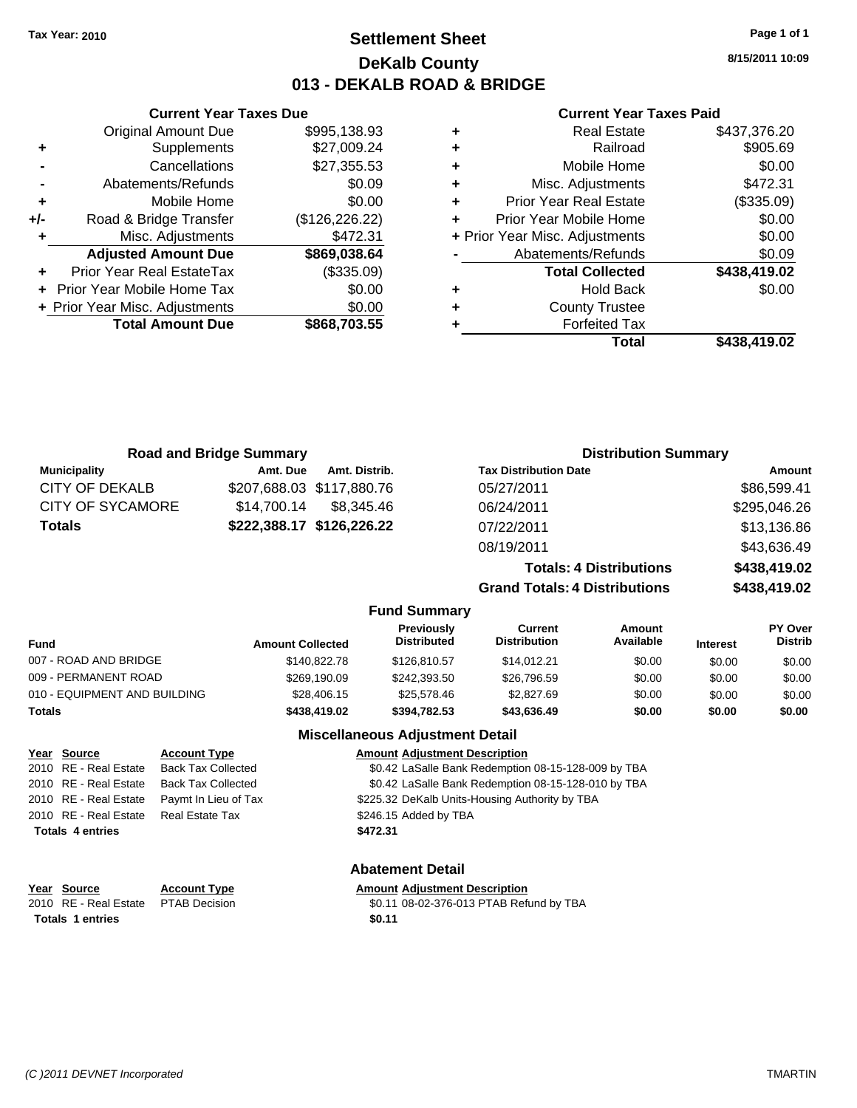### **Settlement Sheet Tax Year: 2010 Page 1 of 1 DeKalb County 013 - DEKALB ROAD & BRIDGE**

**8/15/2011 10:09**

#### **Current Year Taxes Paid**

|   | <b>Real Estate</b>             | \$437,376.20 |
|---|--------------------------------|--------------|
| ٠ | Railroad                       | \$905.69     |
| ٠ | Mobile Home                    | \$0.00       |
| ٠ | Misc. Adjustments              | \$472.31     |
| ٠ | <b>Prior Year Real Estate</b>  | (\$335.09)   |
| ÷ | Prior Year Mobile Home         | \$0.00       |
|   | + Prior Year Misc. Adjustments | \$0.00       |
|   | Abatements/Refunds             | \$0.09       |
|   | <b>Total Collected</b>         | \$438,419.02 |
| ٠ | <b>Hold Back</b>               | \$0.00       |
| ٠ | <b>County Trustee</b>          |              |
|   | <b>Forfeited Tax</b>           |              |
|   | Total                          | \$438,419.02 |

|     | <b>Total Amount Due</b>          | \$868,703.55    |
|-----|----------------------------------|-----------------|
|     | + Prior Year Misc. Adjustments   | \$0.00          |
|     | Prior Year Mobile Home Tax       | \$0.00          |
|     | <b>Prior Year Real EstateTax</b> | (\$335.09)      |
|     | <b>Adjusted Amount Due</b>       | \$869,038.64    |
| ٠   | Misc. Adjustments                | \$472.31        |
| +/- | Road & Bridge Transfer           | (\$126, 226.22) |
| ٠   | Mobile Home                      | \$0.00          |
|     | Abatements/Refunds               | \$0.09          |
|     | Cancellations                    | \$27,355.53     |
| ٠   | Supplements                      | \$27,009.24     |
|     | <b>Original Amount Due</b>       | \$995,138.93    |

**Current Year Taxes Due**

| <b>Road and Bridge Summary</b> |             |                           | <b>Distribution Summary</b>          |              |
|--------------------------------|-------------|---------------------------|--------------------------------------|--------------|
| <b>Municipality</b>            | Amt. Due    | Amt. Distrib.             | <b>Tax Distribution Date</b>         | Amount       |
| <b>CITY OF DEKALB</b>          |             | \$207,688.03 \$117,880.76 | 05/27/2011                           | \$86,599.41  |
| <b>CITY OF SYCAMORE</b>        | \$14.700.14 | \$8.345.46                | 06/24/2011                           | \$295,046.26 |
| <b>Totals</b>                  |             | \$222,388.17 \$126,226.22 | 07/22/2011                           | \$13,136.86  |
|                                |             |                           | 08/19/2011                           | \$43,636.49  |
|                                |             |                           | <b>Totals: 4 Distributions</b>       | \$438,419.02 |
|                                |             |                           | <b>Grand Totals: 4 Distributions</b> | \$438,419.02 |
|                                |             | <b>Fund Summary</b>       |                                      |              |

| Fund                         | <b>Amount Collected</b> | Previously<br><b>Distributed</b> | Current<br><b>Distribution</b> | Amount<br>Available | <b>Interest</b> | <b>PY Over</b><br><b>Distrib</b> |
|------------------------------|-------------------------|----------------------------------|--------------------------------|---------------------|-----------------|----------------------------------|
| 007 - ROAD AND BRIDGE        | \$140,822,78            | \$126,810.57                     | \$14.012.21                    | \$0.00              | \$0.00          | \$0.00                           |
| 009 - PERMANENT ROAD         | \$269,190.09            | \$242,393.50                     | \$26,796.59                    | \$0.00              | \$0.00          | \$0.00                           |
| 010 - EQUIPMENT AND BUILDING | \$28,406.15             | \$25,578,46                      | \$2,827.69                     | \$0.00              | \$0.00          | \$0.00                           |
| Totals                       | \$438,419.02            | \$394.782.53                     | \$43,636,49                    | \$0.00              | \$0.00          | \$0.00                           |

#### **Miscellaneous Adjustment Detail**

| Year Source             | <b>Account Type</b>       | <b>Amount Adiustment Description</b>                |
|-------------------------|---------------------------|-----------------------------------------------------|
| 2010 RE - Real Estate   | <b>Back Tax Collected</b> | \$0.42 LaSalle Bank Redemption 08-15-128-009 by TBA |
| 2010 RE - Real Estate   | <b>Back Tax Collected</b> | \$0.42 LaSalle Bank Redemption 08-15-128-010 by TBA |
| 2010 RE - Real Estate   | Paymt In Lieu of Tax      | \$225.32 DeKalb Units-Housing Authority by TBA      |
| 2010 RE - Real Estate   | <b>Real Estate Tax</b>    | \$246.15 Added by TBA                               |
| <b>Totals 4 entries</b> |                           | \$472.31                                            |
|                         |                           | <b>Abatement Detail</b>                             |
| Year Source             | <b>Account Type</b>       | <b>Amount Adjustment Description</b>                |
| 2010 RE - Real Estate   | <b>PTAB Decision</b>      | \$0.11 08-02-376-013 PTAB Refund by TBA             |

**Totals 1 entries** \$0.11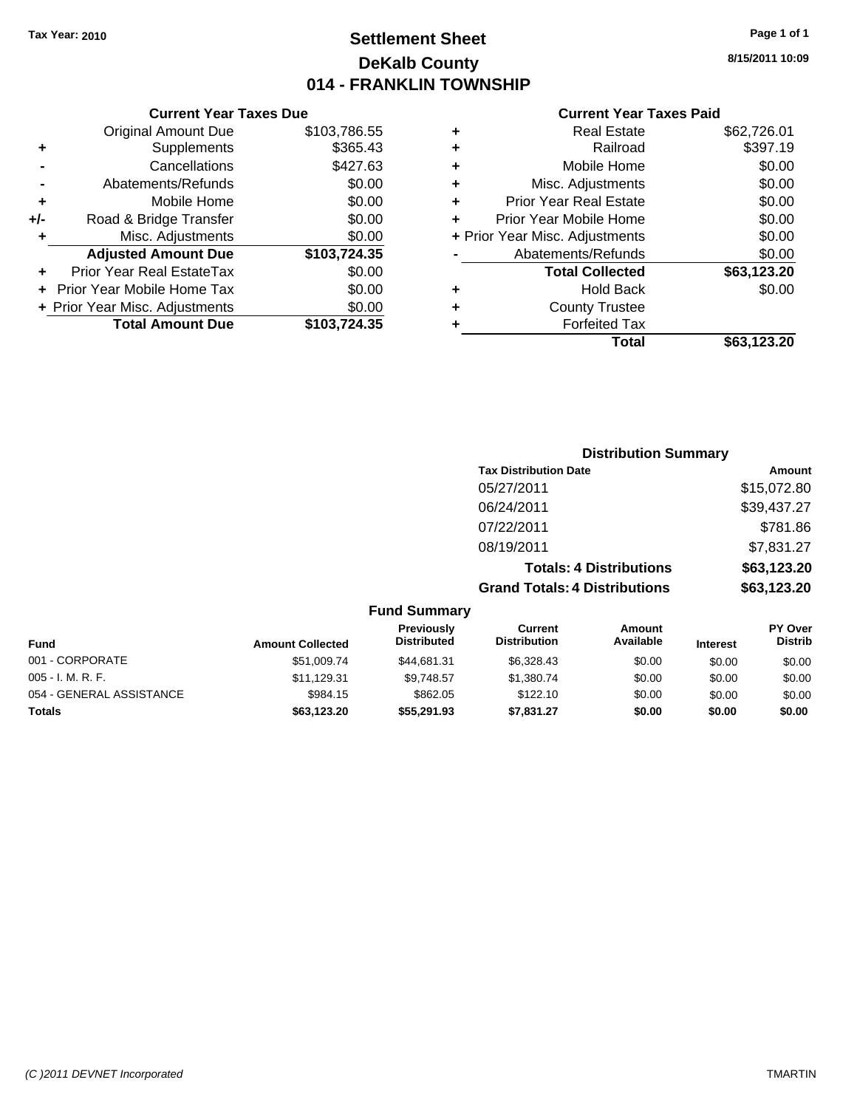### **Settlement Sheet Tax Year: 2010 Page 1 of 1 DeKalb County 014 - FRANKLIN TOWNSHIP**

**8/15/2011 10:09**

### **Current Year Taxes Paid**

|     | <b>Current Year Taxes Due</b>     |              |           |
|-----|-----------------------------------|--------------|-----------|
|     | <b>Original Amount Due</b>        | \$103,786.55 | ٠         |
|     | <b>Supplements</b>                | \$365.43     | ٠         |
|     | Cancellations                     | \$427.63     | ٠         |
|     | Abatements/Refunds                | \$0.00       | ٠         |
|     | Mobile Home                       | \$0.00       | ٠         |
| +/- | Road & Bridge Transfer            | \$0.00       | Р         |
|     | Misc. Adjustments                 | \$0.00       | + Prior \ |
|     | <b>Adjusted Amount Due</b>        | \$103,724.35 |           |
|     | Prior Year Real EstateTax         | \$0.00       |           |
|     | <b>Prior Year Mobile Home Tax</b> | \$0.00       | ٠         |
|     | + Prior Year Misc. Adjustments    | \$0.00       |           |
|     | <b>Total Amount Due</b>           | \$103,724.35 |           |
|     |                                   |              |           |

| ٠ | <b>Real Estate</b>             | \$62,726.01 |
|---|--------------------------------|-------------|
| ٠ | Railroad                       | \$397.19    |
| ٠ | Mobile Home                    | \$0.00      |
| ٠ | Misc. Adjustments              | \$0.00      |
| ٠ | <b>Prior Year Real Estate</b>  | \$0.00      |
| ÷ | Prior Year Mobile Home         | \$0.00      |
|   | + Prior Year Misc. Adjustments | \$0.00      |
|   | Abatements/Refunds             | \$0.00      |
|   | <b>Total Collected</b>         | \$63,123.20 |
| ٠ | Hold Back                      | \$0.00      |
| ٠ | <b>County Trustee</b>          |             |
| ٠ | <b>Forfeited Tax</b>           |             |
|   | Total                          | \$63,123.20 |
|   |                                |             |

|                          |                         |                                  |                                       | <b>Distribution Summary</b>    |                 |                           |
|--------------------------|-------------------------|----------------------------------|---------------------------------------|--------------------------------|-----------------|---------------------------|
|                          |                         |                                  | <b>Tax Distribution Date</b>          |                                |                 | <b>Amount</b>             |
|                          |                         |                                  | 05/27/2011                            |                                |                 | \$15,072.80               |
|                          |                         |                                  | 06/24/2011                            |                                |                 | \$39,437.27               |
|                          |                         |                                  | 07/22/2011                            |                                |                 | \$781.86                  |
|                          |                         |                                  | 08/19/2011                            |                                |                 | \$7,831.27                |
|                          |                         |                                  |                                       | <b>Totals: 4 Distributions</b> |                 | \$63,123.20               |
|                          |                         |                                  | <b>Grand Totals: 4 Distributions</b>  |                                |                 | \$63,123.20               |
|                          |                         | <b>Fund Summary</b>              |                                       |                                |                 |                           |
| <b>Fund</b>              | <b>Amount Collected</b> | Previously<br><b>Distributed</b> | <b>Current</b><br><b>Distribution</b> | Amount<br>Available            | <b>Interest</b> | PY Over<br><b>Distrib</b> |
| 001 - CORPORATE          | \$51,009.74             | \$44,681.31                      | \$6,328.43                            | \$0.00                         | \$0.00          | \$0.00                    |
| 005 - I. M. R. F.        | \$11,129.31             | \$9,748.57                       | \$1,380.74                            | \$0.00                         | \$0.00          | \$0.00                    |
| 054 - GENERAL ASSISTANCE | \$984.15                | \$862.05                         | \$122.10                              | \$0.00                         | \$0.00          | \$0.00                    |
| Totals                   | \$63,123.20             | \$55,291.93                      | \$7,831.27                            | \$0.00                         | \$0.00          | \$0.00                    |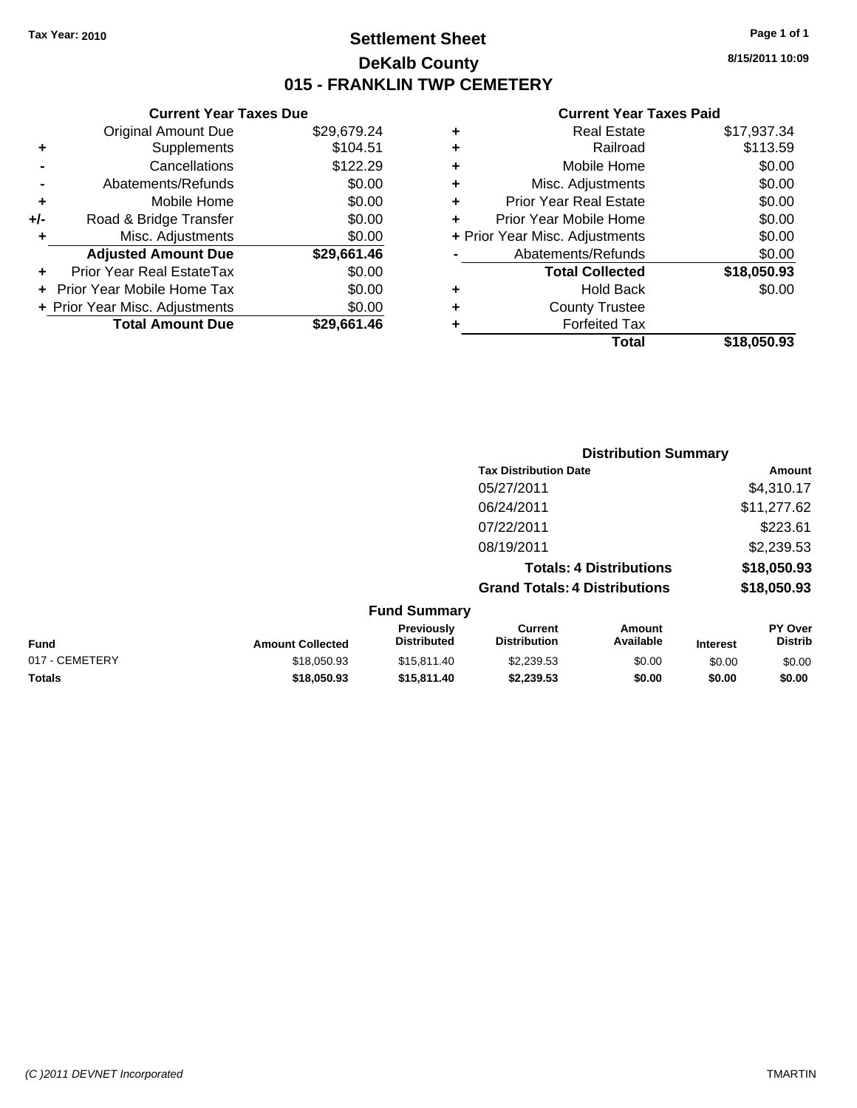### **Settlement Sheet Tax Year: 2010 Page 1 of 1 DeKalb County 015 - FRANKLIN TWP CEMETERY**

### **Current Year Taxes Due**

|       | <b>Original Amount Due</b>        | \$29,679.24 |
|-------|-----------------------------------|-------------|
| ٠     | Supplements                       | \$104.51    |
|       | Cancellations                     | \$122.29    |
|       | Abatements/Refunds                | \$0.00      |
| ٠     | Mobile Home                       | \$0.00      |
| $+/-$ | Road & Bridge Transfer            | \$0.00      |
| ٠     | Misc. Adjustments                 | \$0.00      |
|       | <b>Adjusted Amount Due</b>        | \$29,661.46 |
|       | <b>Prior Year Real EstateTax</b>  | \$0.00      |
|       | <b>Prior Year Mobile Home Tax</b> | \$0.00      |
|       | + Prior Year Misc. Adjustments    | \$0.00      |
|       | <b>Total Amount Due</b>           | \$29.661.46 |

### **Current Year Taxes Paid**

|   | <b>Real Estate</b>             | \$17,937.34 |
|---|--------------------------------|-------------|
| ٠ | Railroad                       | \$113.59    |
| ٠ | Mobile Home                    | \$0.00      |
| ٠ | Misc. Adjustments              | \$0.00      |
| ٠ | <b>Prior Year Real Estate</b>  | \$0.00      |
|   | Prior Year Mobile Home         | \$0.00      |
|   | + Prior Year Misc. Adjustments | \$0.00      |
|   | Abatements/Refunds             | \$0.00      |
|   | <b>Total Collected</b>         | \$18,050.93 |
| ٠ | <b>Hold Back</b>               | \$0.00      |
| ٠ | <b>County Trustee</b>          |             |
| ٠ | <b>Forfeited Tax</b>           |             |
|   | Total                          | \$18,050.93 |
|   |                                |             |

|                     | <b>Distribution Summary</b>          |                                |             |  |
|---------------------|--------------------------------------|--------------------------------|-------------|--|
|                     | <b>Tax Distribution Date</b>         |                                | Amount      |  |
|                     | 05/27/2011                           |                                | \$4,310.17  |  |
|                     | 06/24/2011                           |                                | \$11,277.62 |  |
|                     | 07/22/2011                           |                                | \$223.61    |  |
|                     | 08/19/2011                           |                                | \$2,239.53  |  |
|                     |                                      | <b>Totals: 4 Distributions</b> | \$18,050.93 |  |
|                     | <b>Grand Totals: 4 Distributions</b> |                                | \$18,050.93 |  |
| <b>Fund Summary</b> |                                      |                                |             |  |
| <b>Previously</b>   | <b>Current</b>                       | Amount                         | PY Over     |  |

| <b>Fund</b>    | <b>Amount Collected</b> | Previously<br><b>Distributed</b> | Current<br><b>Distribution</b> | Amount<br>Available | <b>Interest</b> | PY Over<br>Distrib |
|----------------|-------------------------|----------------------------------|--------------------------------|---------------------|-----------------|--------------------|
| 017 - CEMETERY | \$18,050.93             | \$15.811.40                      | \$2.239.53                     | \$0.00              | \$0.00          | \$0.00             |
| Totals         | \$18.050.93             | \$15,811,40                      | \$2.239.53                     | \$0.00              | \$0.00          | \$0.00             |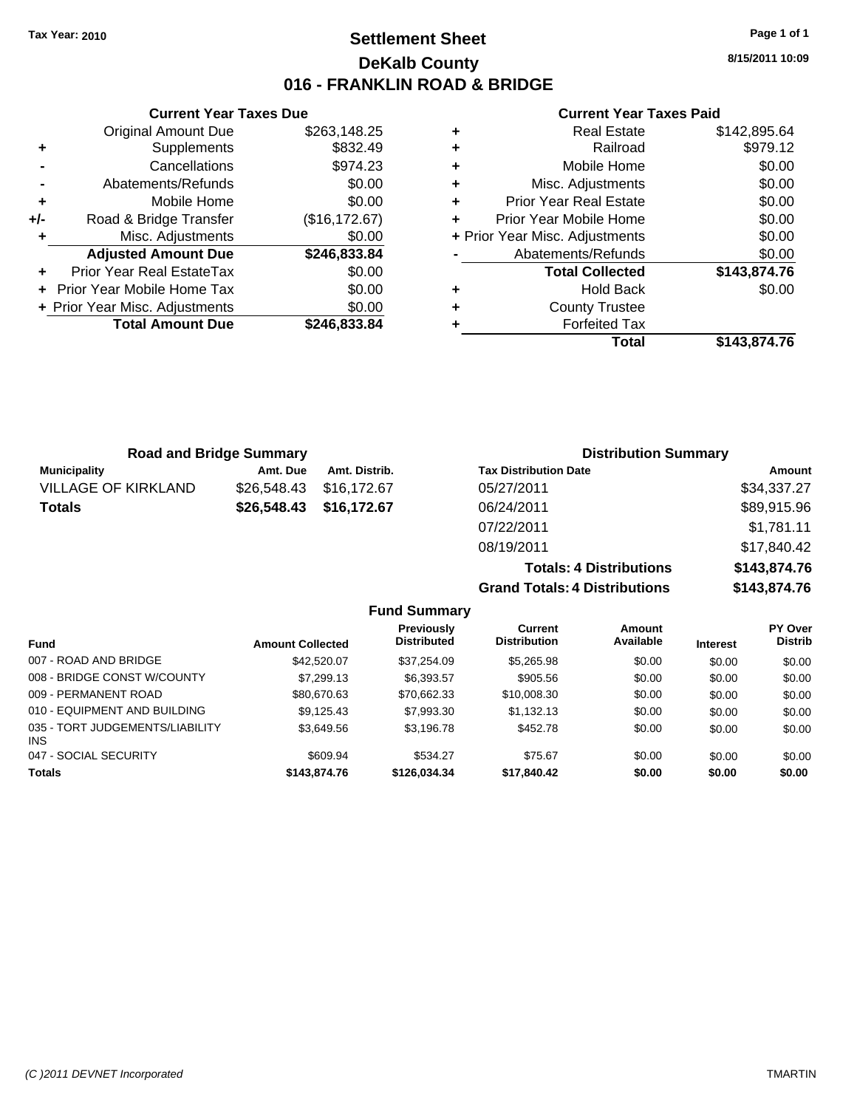### **Settlement Sheet Tax Year: 2010 Page 1 of 1 DeKalb County 016 - FRANKLIN ROAD & BRIDGE**

**8/15/2011 10:09**

#### **Current Year Taxes Paid**

|   | Total                          | \$143.874.76 |
|---|--------------------------------|--------------|
|   | <b>Forfeited Tax</b>           |              |
| ÷ | <b>County Trustee</b>          |              |
| ٠ | <b>Hold Back</b>               | \$0.00       |
|   | <b>Total Collected</b>         | \$143,874.76 |
|   | Abatements/Refunds             | \$0.00       |
|   | + Prior Year Misc. Adjustments | \$0.00       |
| ÷ | Prior Year Mobile Home         | \$0.00       |
| ٠ | <b>Prior Year Real Estate</b>  | \$0.00       |
| ٠ | Misc. Adjustments              | \$0.00       |
| ٠ | Mobile Home                    | \$0.00       |
| ٠ | Railroad                       | \$979.12     |
| ٠ | <b>Real Estate</b>             | \$142,895.64 |

| <b>Road and Bridge Summary</b> |             |               | <b>Distribution Summary</b>  |             |  |
|--------------------------------|-------------|---------------|------------------------------|-------------|--|
| <b>Municipality</b>            | Amt. Due    | Amt. Distrib. | <b>Tax Distribution Date</b> | Amount      |  |
| <b>VILLAGE OF KIRKLAND</b>     | \$26,548.43 | \$16.172.67   | 05/27/2011                   | \$34,337.27 |  |
| <b>Totals</b>                  | \$26,548.43 | \$16,172.67   | 06/24/2011                   | \$89,915.96 |  |
|                                |             |               | 07/22/2011                   | \$1,781.11  |  |
|                                |             |               | -- <i>----</i> ---           | .           |  |

|                     | 08/19/2011                           |              |                |
|---------------------|--------------------------------------|--------------|----------------|
|                     | <b>Totals: 4 Distributions</b>       | \$143,874.76 |                |
|                     | <b>Grand Totals: 4 Distributions</b> | \$143,874.76 |                |
| <b>Fund Summary</b> |                                      |              |                |
| <b>Previously</b>   | <b>Current</b>                       | Amount       | <b>PY Over</b> |

| Fund                                          | <b>Amount Collected</b> | Previously<br><b>Distributed</b> | Current<br><b>Distribution</b> | Amount<br>Available | <b>Interest</b> | <b>PY Over</b><br><b>Distrib</b> |
|-----------------------------------------------|-------------------------|----------------------------------|--------------------------------|---------------------|-----------------|----------------------------------|
| 007 - ROAD AND BRIDGE                         | \$42,520.07             | \$37.254.09                      | \$5,265.98                     | \$0.00              | \$0.00          | \$0.00                           |
| 008 - BRIDGE CONST W/COUNTY                   | \$7,299.13              | \$6,393.57                       | \$905.56                       | \$0.00              | \$0.00          | \$0.00                           |
| 009 - PERMANENT ROAD                          | \$80,670.63             | \$70,662.33                      | \$10,008.30                    | \$0.00              | \$0.00          | \$0.00                           |
| 010 - EQUIPMENT AND BUILDING                  | \$9.125.43              | \$7,993.30                       | \$1,132.13                     | \$0.00              | \$0.00          | \$0.00                           |
| 035 - TORT JUDGEMENTS/LIABILITY<br><b>INS</b> | \$3.649.56              | \$3.196.78                       | \$452.78                       | \$0.00              | \$0.00          | \$0.00                           |
| 047 - SOCIAL SECURITY                         | \$609.94                | \$534.27                         | \$75.67                        | \$0.00              | \$0.00          | \$0.00                           |
| <b>Totals</b>                                 | \$143,874.76            | \$126,034.34                     | \$17,840.42                    | \$0.00              | \$0.00          | \$0.00                           |

# **Current Year Taxes Due**<br>J Amount Due

|     | <b>Original Amount Due</b>     | \$263,148.25   |
|-----|--------------------------------|----------------|
| ٠   | Supplements                    | \$832.49       |
|     | Cancellations                  | \$974.23       |
|     | Abatements/Refunds             | \$0.00         |
| ÷   | Mobile Home                    | \$0.00         |
| +/- | Road & Bridge Transfer         | (\$16, 172.67) |
| ٠   | Misc. Adjustments              | \$0.00         |
|     | <b>Adjusted Amount Due</b>     | \$246,833.84   |
|     | Prior Year Real EstateTax      | \$0.00         |
|     | Prior Year Mobile Home Tax     | \$0.00         |
|     | + Prior Year Misc. Adjustments | \$0.00         |
|     | <b>Total Amount Due</b>        | \$246,833.84   |
|     |                                |                |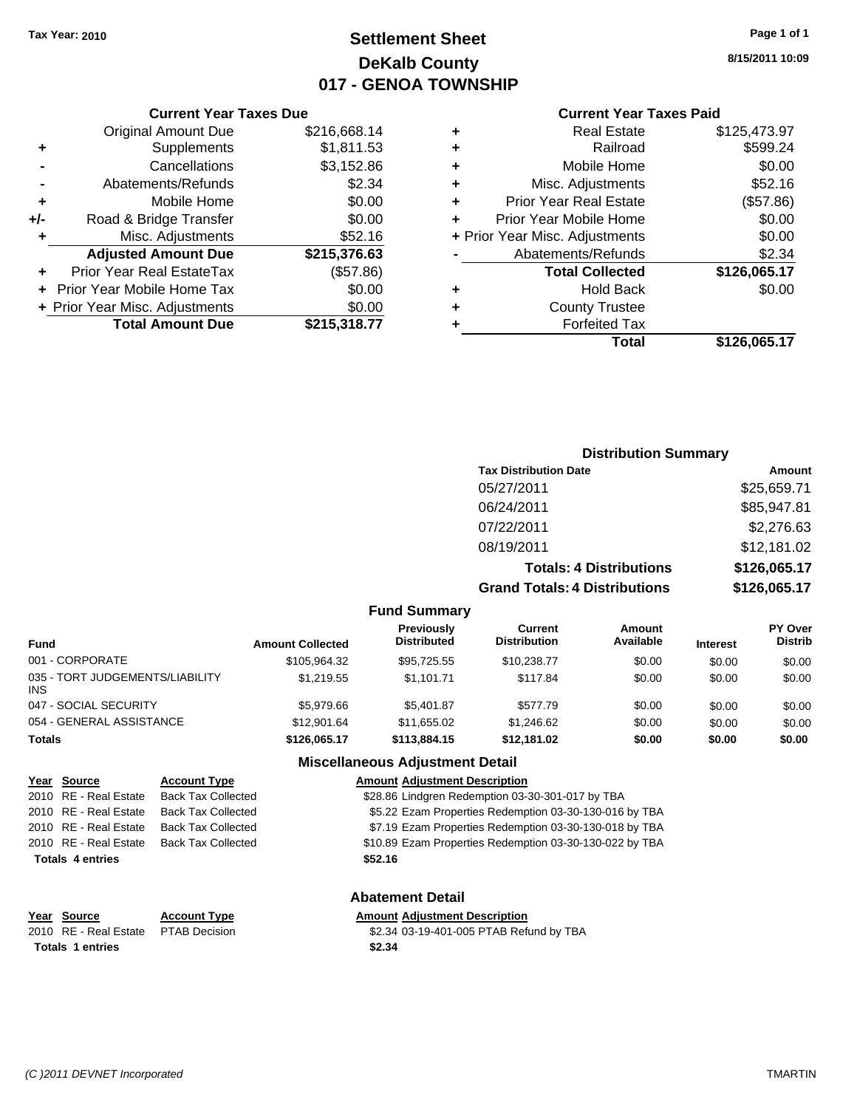## **Settlement Sheet Tax Year: 2010 Page 1 of 1 DeKalb County 017 - GENOA TOWNSHIP**

**8/15/2011 10:09**

#### **Current Year Taxes Paid**

| <b>Current Ye</b>           |   |              | <b>Current Year Taxes Due</b>  |       |
|-----------------------------|---|--------------|--------------------------------|-------|
| <b>Real Est</b>             | ٠ | \$216,668.14 | <b>Original Amount Due</b>     |       |
| Railro                      | ٠ | \$1,811.53   | <b>Supplements</b>             | ٠     |
| Mobile Ho                   | ٠ | \$3,152.86   | Cancellations                  |       |
| Misc. Adjustme              | ٠ | \$2.34       | Abatements/Refunds             |       |
| <b>Prior Year Real Est</b>  | ÷ | \$0.00       | Mobile Home                    | ٠     |
| Prior Year Mobile Ho        | ٠ | \$0.00       | Road & Bridge Transfer         | $+/-$ |
| + Prior Year Misc. Adjustme |   | \$52.16      | Misc. Adjustments              | ٠     |
| Abatements/Refur            |   | \$215,376.63 | <b>Adjusted Amount Due</b>     |       |
| <b>Total Collect</b>        |   | (\$57.86)    | Prior Year Real EstateTax      |       |
| Hold Ba                     | ٠ | \$0.00       | + Prior Year Mobile Home Tax   |       |
| <b>County Trus</b>          | ٠ | \$0.00       | + Prior Year Misc. Adjustments |       |
| Forfeited 1                 |   | \$215,318.77 | <b>Total Amount Due</b>        |       |
| т.                          |   |              |                                |       |

|   | <b>Real Estate</b>             | \$125,473.97 |
|---|--------------------------------|--------------|
| ÷ | Railroad                       | \$599.24     |
| ٠ | Mobile Home                    | \$0.00       |
| ٠ | Misc. Adjustments              | \$52.16      |
| ٠ | <b>Prior Year Real Estate</b>  | (\$57.86)    |
| ÷ | Prior Year Mobile Home         | \$0.00       |
|   | + Prior Year Misc. Adjustments | \$0.00       |
|   | Abatements/Refunds             | \$2.34       |
|   | <b>Total Collected</b>         | \$126,065.17 |
| ٠ | <b>Hold Back</b>               | \$0.00       |
| ٠ | <b>County Trustee</b>          |              |
|   | <b>Forfeited Tax</b>           |              |
|   | Total                          | \$126,065.17 |
|   |                                |              |

#### **Distribution Summary Tax Distribution Date Amount** 05/27/2011 \$25,659.71 06/24/2011 \$85,947.81 07/22/2011 \$2,276.63 08/19/2011 \$12,181.02 **Totals: 4 Distributions \$126,065.17 Grand Totals: 4 Distributions \$126,065.17 Fund Summary PY Over Distrib Amount Available Current Distribution Previously Amount Collected Distributed**

| <b>Fund</b>                             | <b>Amount Collected</b> | <b>Distributed</b>                     | <b>Distribution</b> | Available | <b>Interest</b> | <b>Distrib</b> |
|-----------------------------------------|-------------------------|----------------------------------------|---------------------|-----------|-----------------|----------------|
| 001 - CORPORATE                         | \$105,964.32            | \$95.725.55                            | \$10.238.77         | \$0.00    | \$0.00          | \$0.00         |
| 035 - TORT JUDGEMENTS/LIABILITY<br>INS. | \$1.219.55              | \$1.101.71                             | \$117.84            | \$0.00    | \$0.00          | \$0.00         |
| 047 - SOCIAL SECURITY                   | \$5,979.66              | \$5.401.87                             | \$577.79            | \$0.00    | \$0.00          | \$0.00         |
| 054 - GENERAL ASSISTANCE                | \$12,901.64             | \$11.655.02                            | \$1.246.62          | \$0.00    | \$0.00          | \$0.00         |
| <b>Totals</b>                           | \$126.065.17            | \$113,884,15                           | \$12,181.02         | \$0.00    | \$0.00          | \$0.00         |
|                                         |                         | <b>Miscellaneous Adjustment Detail</b> |                     |           |                 |                |

### **Year Source Account Type Amount Adjustment Description** 2010 RE - Real Estate Back Tax Collected \$28.86 Lindgren Redemption 03-30-301-017 by TBA 2010 RE - Real Estate Back Tax Collected \$5.22 Ezam Properties Redemption 03-30-130-016 by TBA 2010 RE - Real Estate Back Tax Collected \$7.19 Ezam Properties Redemption 03-30-130-018 by TBA 2010 RE - Real Estate Back Tax Collected \$10.89 Ezam Properties Redemption 03-30-130-022 by TBA **Totals \$52.16 4 entries**

**Year Source Account Type Amount Adjustment Description Totals \$2.34 1 entries**

**Abatement Detail**

2010 RE - Real Estate \$2.34 03-19-401-005 PTAB Refund by TBA PTAB Decision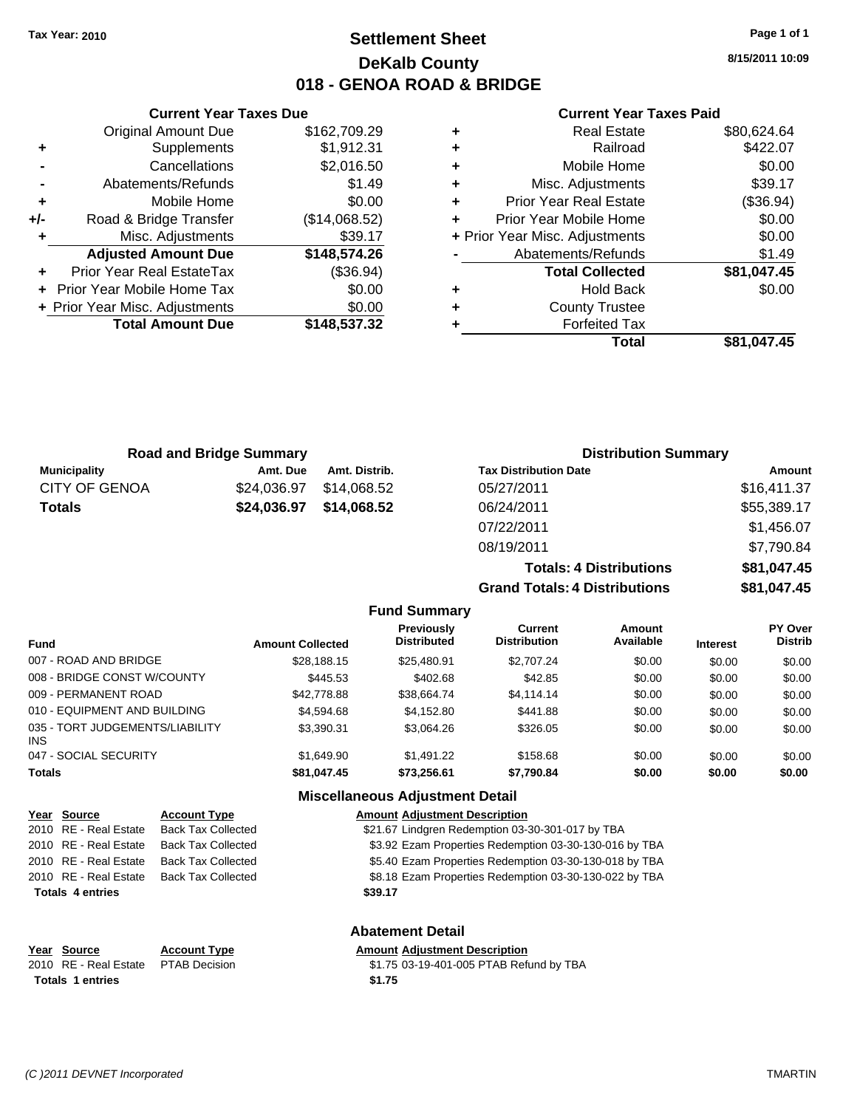### **Settlement Sheet Tax Year: 2010 Page 1 of 1 DeKalb County 018 - GENOA ROAD & BRIDGE**

**8/15/2011 10:09**

### **Current Year Taxes Paid**

| ٠ | <b>Real Estate</b>             | \$80,624.64 |
|---|--------------------------------|-------------|
| ٠ | Railroad                       | \$422.07    |
| ٠ | Mobile Home                    | \$0.00      |
| ٠ | Misc. Adjustments              | \$39.17     |
| ٠ | <b>Prior Year Real Estate</b>  | (\$36.94)   |
| ٠ | Prior Year Mobile Home         | \$0.00      |
|   | + Prior Year Misc. Adjustments | \$0.00      |
|   | Abatements/Refunds             | \$1.49      |
|   | <b>Total Collected</b>         | \$81,047.45 |
| ٠ | <b>Hold Back</b>               | \$0.00      |
| ٠ | <b>County Trustee</b>          |             |
|   | <b>Forfeited Tax</b>           |             |
|   | Total                          | \$81.047.45 |

**Grand Totals: 4 Distributions \$81,047.45**

|       | <b>Current Year Taxes Due</b>  |               |  |  |  |
|-------|--------------------------------|---------------|--|--|--|
|       | <b>Original Amount Due</b>     | \$162,709.29  |  |  |  |
| ٠     | Supplements                    | \$1,912.31    |  |  |  |
|       | Cancellations                  | \$2,016.50    |  |  |  |
|       | Abatements/Refunds             | \$1.49        |  |  |  |
| ٠     | Mobile Home                    | \$0.00        |  |  |  |
| $+/-$ | Road & Bridge Transfer         | (\$14,068.52) |  |  |  |
|       | Misc. Adjustments              | \$39.17       |  |  |  |
|       | <b>Adjusted Amount Due</b>     | \$148,574.26  |  |  |  |
|       | Prior Year Real EstateTax      | (\$36.94)     |  |  |  |
|       | Prior Year Mobile Home Tax     | \$0.00        |  |  |  |
|       | + Prior Year Misc. Adjustments | \$0.00        |  |  |  |
|       | <b>Total Amount Due</b>        | \$148.537.32  |  |  |  |
|       |                                |               |  |  |  |

| <b>Road and Bridge Summary</b> |             |               | <b>Distribution Summary</b>    |             |  |
|--------------------------------|-------------|---------------|--------------------------------|-------------|--|
| <b>Municipality</b>            | Amt. Due    | Amt. Distrib. | <b>Tax Distribution Date</b>   | Amount      |  |
| <b>CITY OF GENOA</b>           | \$24,036.97 | \$14.068.52   | 05/27/2011                     | \$16,411.37 |  |
| <b>Totals</b>                  | \$24,036.97 | \$14,068.52   | 06/24/2011                     | \$55,389.17 |  |
|                                |             |               | 07/22/2011                     | \$1,456.07  |  |
|                                |             |               | 08/19/2011                     | \$7,790.84  |  |
|                                |             |               | <b>Totals: 4 Distributions</b> | \$81,047.45 |  |

| <b>Fund Summary</b> |  |
|---------------------|--|

| <b>Fund</b>                             | <b>Amount Collected</b> | <b>Previously</b><br><b>Distributed</b> | Current<br><b>Distribution</b> | Amount<br>Available | <b>Interest</b> | <b>PY Over</b><br><b>Distrib</b> |  |
|-----------------------------------------|-------------------------|-----------------------------------------|--------------------------------|---------------------|-----------------|----------------------------------|--|
| 007 - ROAD AND BRIDGE                   | \$28,188.15             | \$25,480.91                             | \$2,707.24                     | \$0.00              | \$0.00          | \$0.00                           |  |
| 008 - BRIDGE CONST W/COUNTY             | \$445.53                | \$402.68                                | \$42.85                        | \$0.00              | \$0.00          | \$0.00                           |  |
| 009 - PERMANENT ROAD                    | \$42,778.88             | \$38.664.74                             | \$4,114.14                     | \$0.00              | \$0.00          | \$0.00                           |  |
| 010 - EQUIPMENT AND BUILDING            | \$4,594.68              | \$4.152.80                              | \$441.88                       | \$0.00              | \$0.00          | \$0.00                           |  |
| 035 - TORT JUDGEMENTS/LIABILITY<br>INS. | \$3.390.31              | \$3.064.26                              | \$326.05                       | \$0.00              | \$0.00          | \$0.00                           |  |
| 047 - SOCIAL SECURITY                   | \$1.649.90              | \$1,491.22                              | \$158.68                       | \$0.00              | \$0.00          | \$0.00                           |  |
| <b>Totals</b>                           | \$81,047.45             | \$73,256.61                             | \$7,790.84                     | \$0.00              | \$0.00          | \$0.00                           |  |
|                                         |                         |                                         |                                |                     |                 |                                  |  |

### **Miscellaneous Adjustment Detail**

| Year Source             | <b>Account Type</b>       | <b>Amount Adjustment Description</b>                   |
|-------------------------|---------------------------|--------------------------------------------------------|
| 2010 RE - Real Estate   | <b>Back Tax Collected</b> | \$21.67 Lindgren Redemption 03-30-301-017 by TBA       |
| 2010 RE - Real Estate   | <b>Back Tax Collected</b> | \$3.92 Ezam Properties Redemption 03-30-130-016 by TBA |
| 2010 RE - Real Estate   | <b>Back Tax Collected</b> | \$5.40 Ezam Properties Redemption 03-30-130-018 by TBA |
| 2010 RE - Real Estate   | <b>Back Tax Collected</b> | \$8.18 Ezam Properties Redemption 03-30-130-022 by TBA |
| <b>Totals 4 entries</b> |                           | \$39.17                                                |
|                         |                           | <b>Abatement Detail</b>                                |

| Year Source                         | <b>Account Type</b> | <b>Amount Adjustment Description</b>    |
|-------------------------------------|---------------------|-----------------------------------------|
| 2010 RE - Real Estate PTAB Decision |                     | \$1.75 03-19-401-005 PTAB Refund by TBA |
| Totals 1 entries                    |                     | \$1.75                                  |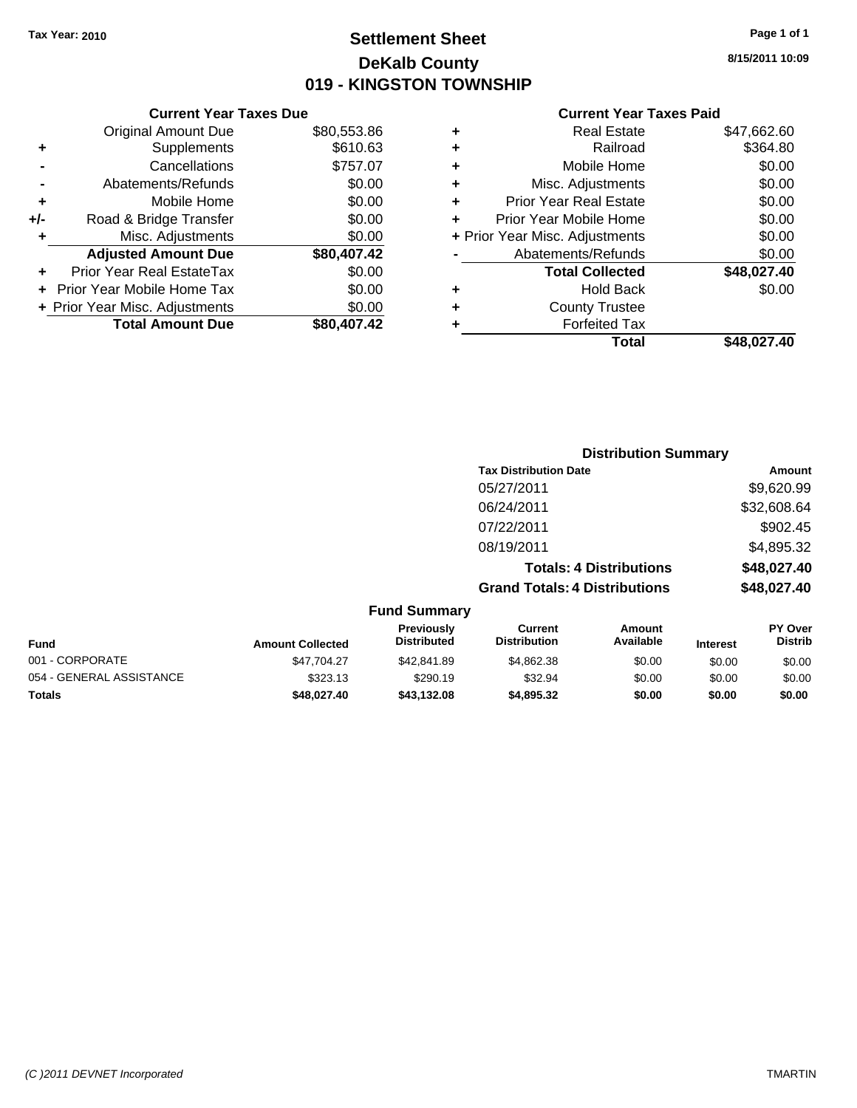### **Settlement Sheet Tax Year: 2010 Page 1 of 1 DeKalb County 019 - KINGSTON TOWNSHIP**

**8/15/2011 10:09**

### **Current Year Taxes Paid**

| ٠ | <b>Real Estate</b>             | \$47,662.60 |
|---|--------------------------------|-------------|
| ÷ | Railroad                       | \$364.80    |
| ÷ | Mobile Home                    | \$0.00      |
| ٠ | Misc. Adjustments              | \$0.00      |
| ÷ | <b>Prior Year Real Estate</b>  | \$0.00      |
| ÷ | Prior Year Mobile Home         | \$0.00      |
|   | + Prior Year Misc. Adjustments | \$0.00      |
|   | Abatements/Refunds             | \$0.00      |
|   | <b>Total Collected</b>         | \$48,027.40 |
| ٠ | <b>Hold Back</b>               | \$0.00      |
| ٠ | <b>County Trustee</b>          |             |
| ٠ | <b>Forfeited Tax</b>           |             |
|   | Total                          | \$48.027.40 |

|                          |                         |                                  | <b>Distribution Summary</b>           |                                |                 |                           |
|--------------------------|-------------------------|----------------------------------|---------------------------------------|--------------------------------|-----------------|---------------------------|
|                          |                         |                                  | <b>Tax Distribution Date</b>          |                                |                 | Amount                    |
|                          |                         |                                  | 05/27/2011                            |                                |                 | \$9,620.99                |
|                          |                         |                                  | 06/24/2011                            |                                |                 | \$32,608.64               |
|                          |                         |                                  | 07/22/2011                            |                                |                 | \$902.45                  |
|                          |                         |                                  | 08/19/2011                            |                                |                 | \$4,895.32                |
|                          |                         |                                  |                                       | <b>Totals: 4 Distributions</b> |                 | \$48,027.40               |
|                          |                         |                                  | <b>Grand Totals: 4 Distributions</b>  |                                |                 | \$48,027.40               |
|                          |                         | <b>Fund Summary</b>              |                                       |                                |                 |                           |
| Fund                     | <b>Amount Collected</b> | Previously<br><b>Distributed</b> | <b>Current</b><br><b>Distribution</b> | Amount<br>Available            | <b>Interest</b> | PY Over<br><b>Distrib</b> |
| 001 - CORPORATE          | \$47,704.27             | \$42,841.89                      | \$4,862.38                            | \$0.00                         | \$0.00          | \$0.00                    |
| 054 - GENERAL ASSISTANCE | \$323.13                | \$290.19                         | \$32.94                               | \$0.00                         | \$0.00          | \$0.00                    |

**Totals \$48,027.40 \$43,132.08 \$4,895.32 \$0.00 \$0.00 \$0.00**

|     | <b>Current Year Taxes Due</b>  |             |
|-----|--------------------------------|-------------|
|     | <b>Original Amount Due</b>     | \$80,553.86 |
| ٠   | Supplements                    | \$610.63    |
|     | Cancellations                  | \$757.07    |
|     | Abatements/Refunds             | \$0.00      |
| ٠   | Mobile Home                    | \$0.00      |
| +/- | Road & Bridge Transfer         | \$0.00      |
|     | Misc. Adjustments              | \$0.00      |
|     | <b>Adjusted Amount Due</b>     | \$80,407.42 |
|     | Prior Year Real EstateTax      | \$0.00      |
|     | Prior Year Mobile Home Tax     | \$0.00      |
|     | + Prior Year Misc. Adjustments | \$0.00      |
|     | <b>Total Amount Due</b>        | \$80,407.42 |

*(C )2011 DEVNET Incorporated* TMARTIN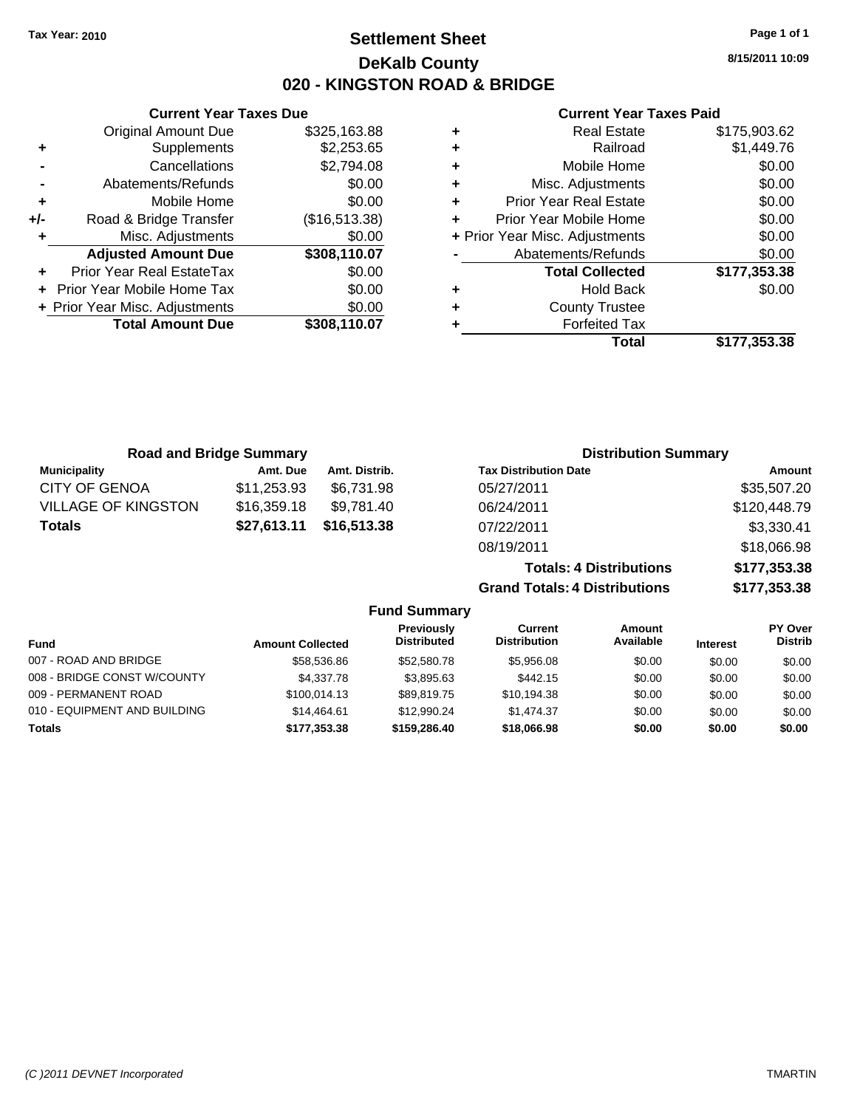**Current Year Taxes Due** Original Amount Due \$325,163.88

**Adjusted Amount Due \$308,110.07**

**Total Amount Due \$308,110.07**

**+** Supplements \$2,253.65 **-** Cancellations \$2,794.08 **-** Abatements/Refunds \$0.00 **+** Mobile Home \$0.00 **+/-** Road & Bridge Transfer (\$16,513.38) **+** Misc. Adjustments \$0.00

**+** Prior Year Real EstateTax \$0.00 **+** Prior Year Mobile Home Tax \$0.00 **+ Prior Year Misc. Adjustments**  $$0.00$ 

### **Settlement Sheet Tax Year: 2010 Page 1 of 1 DeKalb County 020 - KINGSTON ROAD & BRIDGE**

**8/15/2011 10:09**

#### **Current Year Taxes Paid**

|   | Total                          | \$177.353.38 |
|---|--------------------------------|--------------|
|   | <b>Forfeited Tax</b>           |              |
| ٠ | <b>County Trustee</b>          |              |
| ٠ | <b>Hold Back</b>               | \$0.00       |
|   | <b>Total Collected</b>         | \$177,353.38 |
|   | Abatements/Refunds             | \$0.00       |
|   | + Prior Year Misc. Adjustments | \$0.00       |
| ٠ | Prior Year Mobile Home         | \$0.00       |
| ٠ | <b>Prior Year Real Estate</b>  | \$0.00       |
| ٠ | Misc. Adjustments              | \$0.00       |
| ٠ | Mobile Home                    | \$0.00       |
| ٠ | Railroad                       | \$1,449.76   |
| ٠ | <b>Real Estate</b>             | \$175,903.62 |
|   |                                |              |

| <b>Road and Bridge Summary</b> |             |               | <b>Distribution Summary</b>    |              |
|--------------------------------|-------------|---------------|--------------------------------|--------------|
| <b>Municipality</b>            | Amt. Due    | Amt. Distrib. | <b>Tax Distribution Date</b>   | Amount       |
| <b>CITY OF GENOA</b>           | \$11,253.93 | \$6,731.98    | 05/27/2011                     | \$35,507.20  |
| <b>VILLAGE OF KINGSTON</b>     | \$16,359.18 | \$9,781.40    | 06/24/2011                     | \$120,448.79 |
| <b>Totals</b>                  | \$27,613.11 | \$16,513.38   | 07/22/2011                     | \$3,330.41   |
|                                |             |               | 08/19/2011                     | \$18,066.98  |
|                                |             |               | <b>Totals: 4 Distributions</b> | \$177,353.38 |

**Grand Totals: 4 Distributions \$177,353.38**

|                              |                         | <b>Fund Summary</b>              |                                |                     |                 |                                  |  |  |
|------------------------------|-------------------------|----------------------------------|--------------------------------|---------------------|-----------------|----------------------------------|--|--|
| Fund                         | <b>Amount Collected</b> | <b>Previously</b><br>Distributed | Current<br><b>Distribution</b> | Amount<br>Available | <b>Interest</b> | <b>PY Over</b><br><b>Distrib</b> |  |  |
| 007 - ROAD AND BRIDGE        | \$58,536.86             | \$52,580.78                      | \$5.956.08                     | \$0.00              | \$0.00          | \$0.00                           |  |  |
| 008 - BRIDGE CONST W/COUNTY  | \$4,337.78              | \$3,895.63                       | \$442.15                       | \$0.00              | \$0.00          | \$0.00                           |  |  |
| 009 - PERMANENT ROAD         | \$100,014.13            | \$89,819.75                      | \$10,194.38                    | \$0.00              | \$0.00          | \$0.00                           |  |  |
| 010 - EQUIPMENT AND BUILDING | \$14,464.61             | \$12,990.24                      | \$1.474.37                     | \$0.00              | \$0.00          | \$0.00                           |  |  |
| Totals                       | \$177.353.38            | \$159,286,40                     | \$18,066.98                    | \$0.00              | \$0.00          | \$0.00                           |  |  |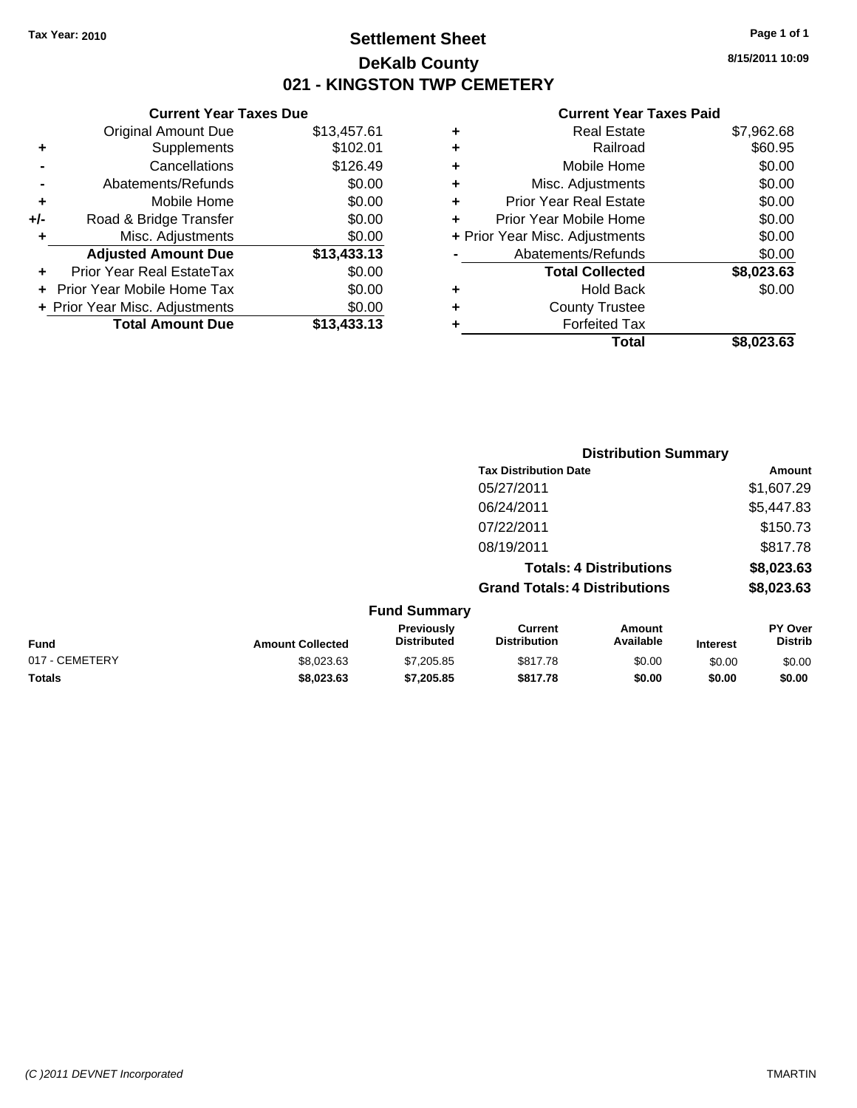### **Settlement Sheet Tax Year: 2010 Page 1 of 1 DeKalb County 021 - KINGSTON TWP CEMETERY**

### **Current Year Taxes Due** Original Amount Due \$13,457.61 **+** Supplements \$102.01 **-** Cancellations \$126.49 **-** Abatements/Refunds \$0.00 **+** Mobile Home \$0.00 **+/-** Road & Bridge Transfer \$0.00 **+** Misc. Adjustments \$0.00 **Adjusted Amount Due \$13,433.13 +** Prior Year Real EstateTax \$0.00 **+** Prior Year Mobile Home Tax \$0.00 **+ Prior Year Misc. Adjustments \$0.00<br>
<b>Total Amount Due** \$13,433.13 **Total Amount Due**

#### **Current Year Taxes Paid**

|   | Total                          | \$8,023.63 |
|---|--------------------------------|------------|
| ٠ | <b>Forfeited Tax</b>           |            |
| ٠ | <b>County Trustee</b>          |            |
| ٠ | <b>Hold Back</b>               | \$0.00     |
|   | <b>Total Collected</b>         | \$8,023.63 |
|   | Abatements/Refunds             | \$0.00     |
|   | + Prior Year Misc. Adjustments | \$0.00     |
| ÷ | Prior Year Mobile Home         | \$0.00     |
| ٠ | Prior Year Real Estate         | \$0.00     |
| ٠ | Misc. Adjustments              | \$0.00     |
| ÷ | Mobile Home                    | \$0.00     |
| ٠ | Railroad                       | \$60.95    |
| ٠ | <b>Real Estate</b>             | \$7,962.68 |

|                |                         |                                         |                                       | <b>Distribution Summary</b>    |                 |                                  |
|----------------|-------------------------|-----------------------------------------|---------------------------------------|--------------------------------|-----------------|----------------------------------|
|                |                         |                                         | <b>Tax Distribution Date</b>          |                                |                 | Amount                           |
|                |                         |                                         | 05/27/2011                            |                                |                 | \$1,607.29                       |
|                |                         |                                         | 06/24/2011                            |                                |                 | \$5,447.83                       |
|                |                         |                                         | 07/22/2011                            |                                |                 | \$150.73                         |
|                |                         |                                         | 08/19/2011                            |                                |                 | \$817.78                         |
|                |                         |                                         |                                       | <b>Totals: 4 Distributions</b> |                 | \$8,023.63                       |
|                |                         |                                         | <b>Grand Totals: 4 Distributions</b>  |                                |                 | \$8,023.63                       |
|                |                         | <b>Fund Summary</b>                     |                                       |                                |                 |                                  |
| Fund           | <b>Amount Collected</b> | <b>Previously</b><br><b>Distributed</b> | <b>Current</b><br><b>Distribution</b> | Amount<br>Available            | <b>Interest</b> | <b>PY Over</b><br><b>Distrib</b> |
| 017 - CEMETERY | \$8,023.63              | \$7,205.85                              | \$817.78                              | \$0.00                         | \$0.00          | \$0.00                           |
| Totals         | \$8,023.63              | \$7,205.85                              | \$817.78                              | \$0.00                         | \$0.00          | \$0.00                           |

**8/15/2011 10:09**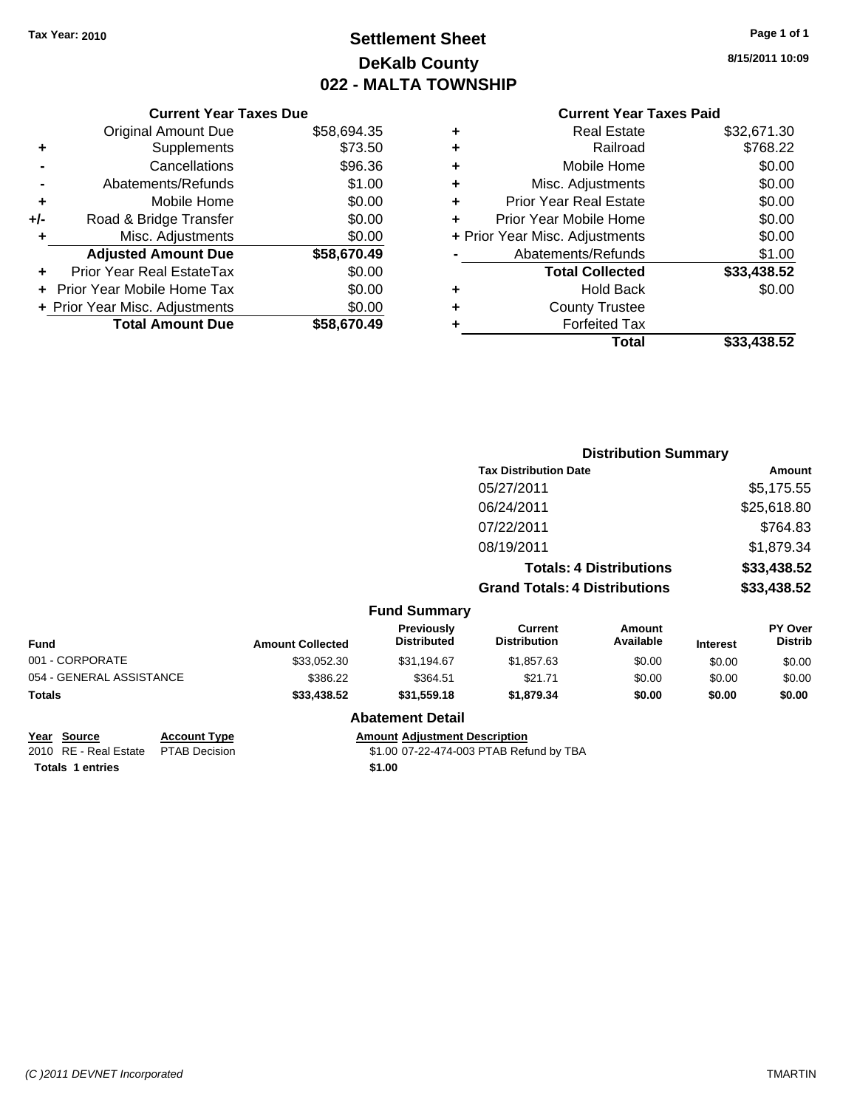## **Settlement Sheet Tax Year: 2010 Page 1 of 1 DeKalb County 022 - MALTA TOWNSHIP**

**8/15/2011 10:09**

#### **Current Year Taxes Paid**

|     | <b>Current Year Taxes Due</b>    |             |  |
|-----|----------------------------------|-------------|--|
|     | <b>Original Amount Due</b>       | \$58,694.35 |  |
| ٠   | Supplements                      | \$73.50     |  |
|     | Cancellations                    | \$96.36     |  |
|     | Abatements/Refunds               | \$1.00      |  |
| ٠   | Mobile Home                      | \$0.00      |  |
| +/- | Road & Bridge Transfer           | \$0.00      |  |
| ٠   | \$0.00<br>Misc. Adjustments      |             |  |
|     | <b>Adjusted Amount Due</b>       | \$58,670.49 |  |
| ٠   | <b>Prior Year Real EstateTax</b> | \$0.00      |  |
|     | Prior Year Mobile Home Tax       | \$0.00      |  |
|     | + Prior Year Misc. Adjustments   | \$0.00      |  |
|     | <b>Total Amount Due</b>          | \$58,670.49 |  |
|     |                                  |             |  |

|   | <b>Real Estate</b>             | \$32,671.30 |
|---|--------------------------------|-------------|
| ٠ | Railroad                       | \$768.22    |
| ٠ | Mobile Home                    | \$0.00      |
| ٠ | Misc. Adjustments              | \$0.00      |
| ٠ | <b>Prior Year Real Estate</b>  | \$0.00      |
|   | Prior Year Mobile Home         | \$0.00      |
|   | + Prior Year Misc. Adjustments | \$0.00      |
|   | Abatements/Refunds             | \$1.00      |
|   | <b>Total Collected</b>         | \$33,438.52 |
| ٠ | Hold Back                      | \$0.00      |
| ٠ | <b>County Trustee</b>          |             |
| ٠ | <b>Forfeited Tax</b>           |             |
|   | Total                          | \$33,438.52 |
|   |                                |             |

|                          |                         |                                         |                                       | <b>Distribution Summary</b>    |                 |                                  |
|--------------------------|-------------------------|-----------------------------------------|---------------------------------------|--------------------------------|-----------------|----------------------------------|
|                          |                         |                                         | <b>Tax Distribution Date</b>          |                                |                 | Amount                           |
|                          |                         |                                         | 05/27/2011                            |                                |                 | \$5,175.55                       |
|                          |                         |                                         | 06/24/2011                            |                                |                 | \$25,618.80                      |
|                          |                         |                                         | 07/22/2011                            |                                |                 | \$764.83                         |
|                          |                         |                                         | 08/19/2011                            |                                |                 | \$1,879.34                       |
|                          |                         |                                         |                                       | <b>Totals: 4 Distributions</b> |                 | \$33,438.52                      |
|                          |                         |                                         | <b>Grand Totals: 4 Distributions</b>  |                                |                 | \$33,438.52                      |
|                          |                         | <b>Fund Summary</b>                     |                                       |                                |                 |                                  |
| Fund                     | <b>Amount Collected</b> | <b>Previously</b><br><b>Distributed</b> | <b>Current</b><br><b>Distribution</b> | <b>Amount</b><br>Available     | <b>Interest</b> | <b>PY Over</b><br><b>Distrib</b> |
| 001 - CORPORATE          | \$33,052.30             | \$31,194.67                             | \$1,857.63                            | \$0.00                         | \$0.00          | \$0.00                           |
| 054 - GENERAL ASSISTANCE | \$386.22                | \$364.51                                | \$21.71                               | \$0.00                         | \$0.00          | \$0.00                           |
| Totals                   | \$33,438.52             | \$31,559.18                             | \$1,879.34                            | \$0.00                         | \$0.00          | \$0.00                           |
|                          |                         | <b>Abatement Detail</b>                 |                                       |                                |                 |                                  |

**Year Source Account Type Amount Adjustment Description**

2010 RE - Real Estate \$1.00 07-22-474-003 PTAB Refund by TBA PTAB Decision **Totals 1 entries** \$1.00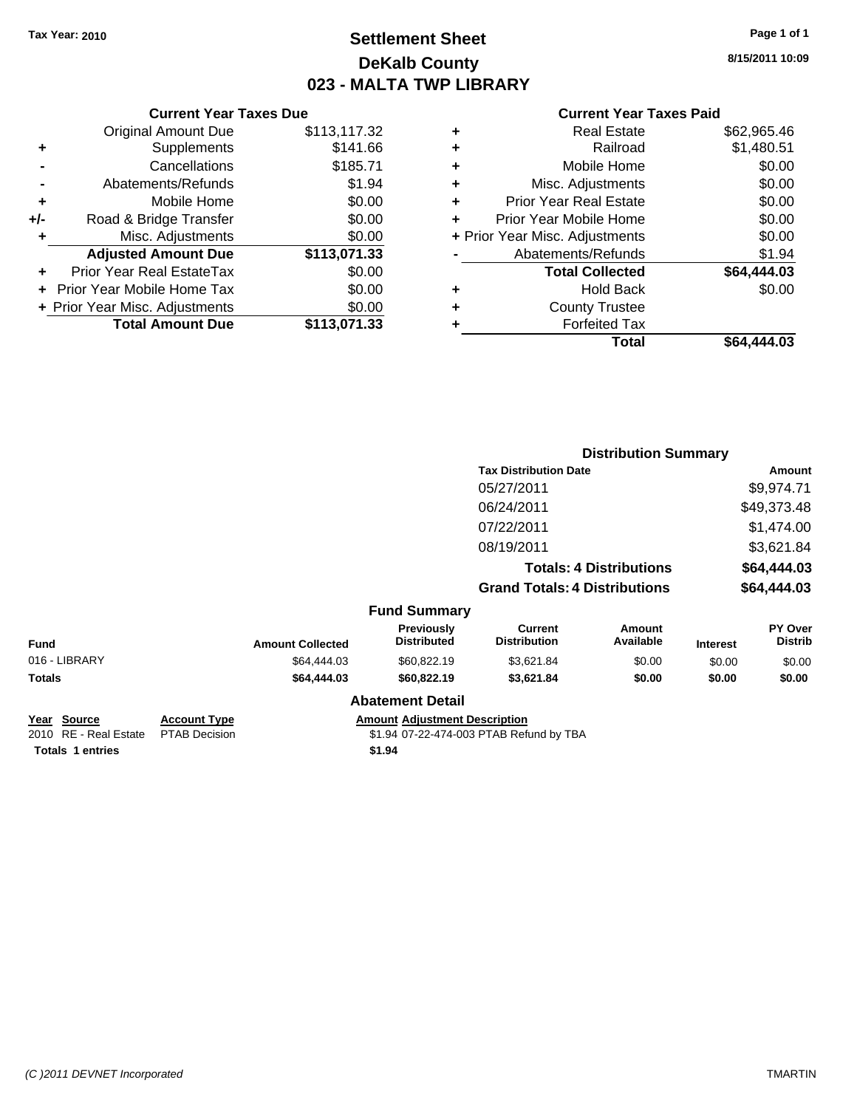### **Settlement Sheet Tax Year: 2010 Page 1 of 1 DeKalb County 023 - MALTA TWP LIBRARY**

**8/15/2011 10:09**

#### **Current Year Taxes Paid**

### **Current Year Taxes Due** Original Amount Due \$113,117 **+** Supplements \$14 **-** Cancellations \$185 **-** Abatements/Refunds \$ **+** Mobile Home \$0.00 **+/-** Road & Bridge Transfer \$0.000 **+**<br>**+** Misc. Adjustments \$0.000 \$ **+** Misc. Adjustments Adjusted Amount Due \$113,07 **+** Prior Year Real EstateTax \$0.000 **+** Prior Year Mobile Home Tax \$0.000 **+ Prior Year Misc. Adjustments**  $\frac{1}{2}$ **.** Total Amount Due \$113,07

|               |                         |                                  |                                       | <b>Distribution Summary</b>    |                 |                                  |
|---------------|-------------------------|----------------------------------|---------------------------------------|--------------------------------|-----------------|----------------------------------|
|               |                         |                                  | <b>Tax Distribution Date</b>          |                                |                 | Amount                           |
|               |                         |                                  | 05/27/2011                            |                                |                 | \$9,974.71                       |
|               |                         |                                  | 06/24/2011                            |                                |                 | \$49,373.48                      |
|               |                         |                                  | 07/22/2011                            |                                |                 | \$1,474.00                       |
|               |                         |                                  | 08/19/2011                            |                                |                 | \$3,621.84                       |
|               |                         |                                  |                                       | <b>Totals: 4 Distributions</b> |                 | \$64,444.03                      |
|               |                         |                                  | <b>Grand Totals: 4 Distributions</b>  |                                |                 | \$64,444.03                      |
|               |                         | <b>Fund Summary</b>              |                                       |                                |                 |                                  |
| Fund          | <b>Amount Collected</b> | Previously<br><b>Distributed</b> | <b>Current</b><br><b>Distribution</b> | <b>Amount</b><br>Available     | <b>Interest</b> | <b>PY Over</b><br><b>Distrib</b> |
| 016 - LIBRARY | \$64,444.03             | \$60,822.19                      | \$3,621.84                            | \$0.00                         | \$0.00          | \$0.00                           |
| Totals        | \$64,444.03             | \$60,822.19                      | \$3,621.84                            | \$0.00                         | \$0.00          | \$0.00                           |
|               |                         | <b>Abatement Detail</b>          |                                       |                                |                 |                                  |

2010 RE - Real Estate \$1.94 07-22-474-003 PTAB Refund by TBA PTAB Decision **Totals \$1.94 1 entries**

#### **Year Source Account Type Amount Adjustment Description**

*(C )2011 DEVNET Incorporated* TMARTIN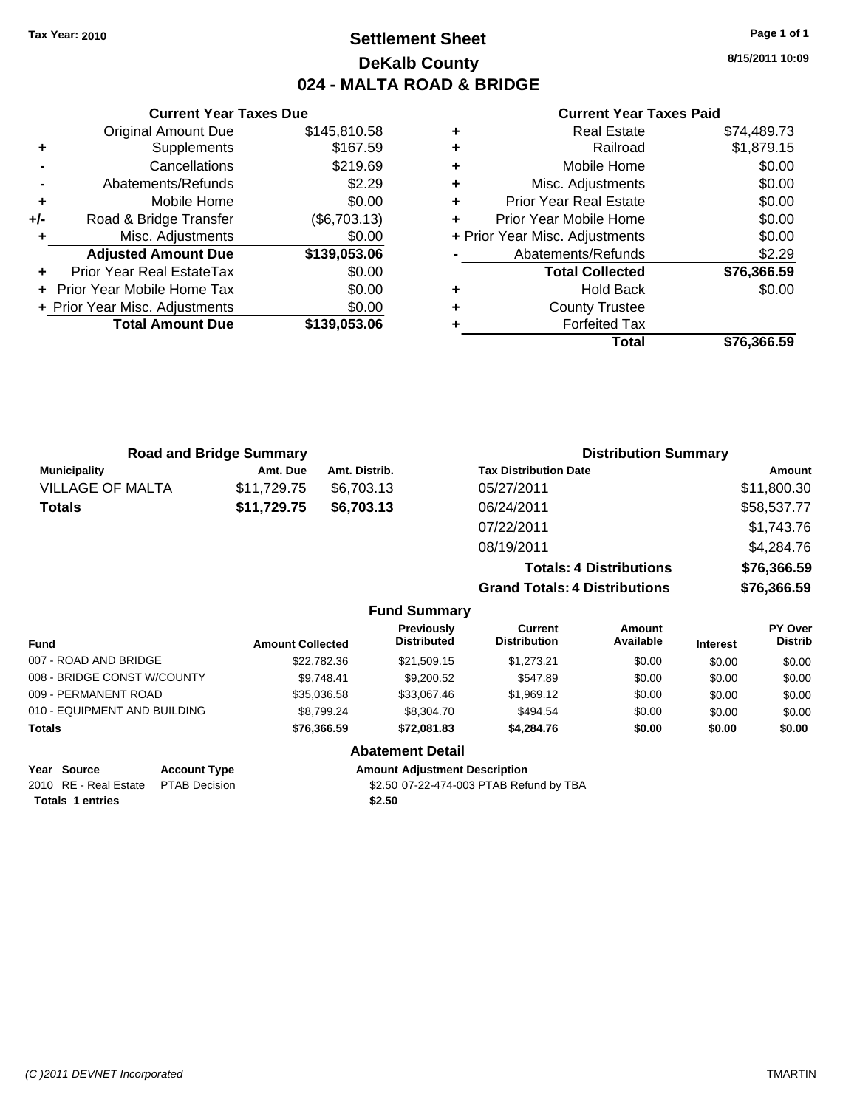### **Settlement Sheet Tax Year: 2010 Page 1 of 1 DeKalb County 024 - MALTA ROAD & BRIDGE**

**8/15/2011 10:09**

### **Current Year Taxes Paid**

|                                          | <b>Current Year Taxes Due</b>        |              |  |  |  |
|------------------------------------------|--------------------------------------|--------------|--|--|--|
|                                          | Original Amount Due                  | \$145,810.58 |  |  |  |
| ٠                                        | Supplements                          | \$167.59     |  |  |  |
|                                          | Cancellations                        | \$219.69     |  |  |  |
|                                          | Abatements/Refunds                   | \$2.29       |  |  |  |
| ٠                                        | Mobile Home                          | \$0.00       |  |  |  |
| +/-                                      | Road & Bridge Transfer               | (\$6,703.13) |  |  |  |
|                                          | Misc. Adjustments                    | \$0.00       |  |  |  |
|                                          | <b>Adjusted Amount Due</b>           | \$139,053.06 |  |  |  |
| ÷                                        | Prior Year Real EstateTax            | \$0.00       |  |  |  |
|                                          | \$0.00<br>Prior Year Mobile Home Tax |              |  |  |  |
| \$0.00<br>+ Prior Year Misc. Adjustments |                                      |              |  |  |  |
|                                          | <b>Total Amount Due</b>              | \$139,053.06 |  |  |  |
|                                          |                                      |              |  |  |  |

| ٠ | <b>Real Estate</b>             | \$74,489.73 |
|---|--------------------------------|-------------|
| ٠ | Railroad                       | \$1,879.15  |
| ٠ | Mobile Home                    | \$0.00      |
| ÷ | Misc. Adjustments              | \$0.00      |
| ٠ | <b>Prior Year Real Estate</b>  | \$0.00      |
| ÷ | Prior Year Mobile Home         | \$0.00      |
|   | + Prior Year Misc. Adjustments | \$0.00      |
|   | Abatements/Refunds             | \$2.29      |
|   | <b>Total Collected</b>         | \$76,366.59 |
| ٠ | Hold Back                      | \$0.00      |
| ٠ | <b>County Trustee</b>          |             |
| ٠ | <b>Forfeited Tax</b>           |             |
|   | Total                          | \$76.366.59 |

|                              | <b>Road and Bridge Summary</b> |                     | <b>Distribution Summary</b>          |             |
|------------------------------|--------------------------------|---------------------|--------------------------------------|-------------|
| <b>Municipality</b>          | Amt. Due                       | Amt. Distrib.       | <b>Tax Distribution Date</b>         | Amount      |
| <b>VILLAGE OF MALTA</b>      | \$11,729.75                    | \$6,703.13          | 05/27/2011                           | \$11,800.30 |
| \$11,729.75<br><b>Totals</b> |                                | \$6,703.13          | 06/24/2011                           | \$58,537.77 |
|                              |                                |                     | 07/22/2011                           | \$1,743.76  |
|                              |                                |                     | 08/19/2011                           | \$4,284.76  |
|                              |                                |                     | <b>Totals: 4 Distributions</b>       | \$76,366.59 |
|                              |                                |                     | <b>Grand Totals: 4 Distributions</b> | \$76,366.59 |
|                              |                                | <b>Fund Summary</b> |                                      |             |

| <b>Fund</b>                  | <b>Amount Collected</b> | Previously<br><b>Distributed</b> | Current<br><b>Distribution</b> | Amount<br>Available | <b>Interest</b> | <b>PY Over</b><br><b>Distrib</b> |
|------------------------------|-------------------------|----------------------------------|--------------------------------|---------------------|-----------------|----------------------------------|
| 007 - ROAD AND BRIDGE        | \$22,782.36             | \$21,509.15                      | \$1,273.21                     | \$0.00              | \$0.00          | \$0.00                           |
| 008 - BRIDGE CONST W/COUNTY  | \$9.748.41              | \$9,200.52                       | \$547.89                       | \$0.00              | \$0.00          | \$0.00                           |
| 009 - PERMANENT ROAD         | \$35,036.58             | \$33,067.46                      | \$1,969.12                     | \$0.00              | \$0.00          | \$0.00                           |
| 010 - EQUIPMENT AND BUILDING | \$8.799.24              | \$8,304.70                       | \$494.54                       | \$0.00              | \$0.00          | \$0.00                           |
| <b>Totals</b>                | \$76.366.59             | \$72,081.83                      | \$4.284.76                     | \$0.00              | \$0.00          | \$0.00                           |
|                              |                         | <b>Abatement Detail</b>          |                                |                     |                 |                                  |

| Year Source                         | <b>Account Type</b> | <b>Amount Adiustment Description</b>    |
|-------------------------------------|---------------------|-----------------------------------------|
| 2010 RE - Real Estate PTAB Decision |                     | \$2.50 07-22-474-003 PTAB Refund by TBA |
| <b>Totals 1 entries</b>             |                     | \$2.50                                  |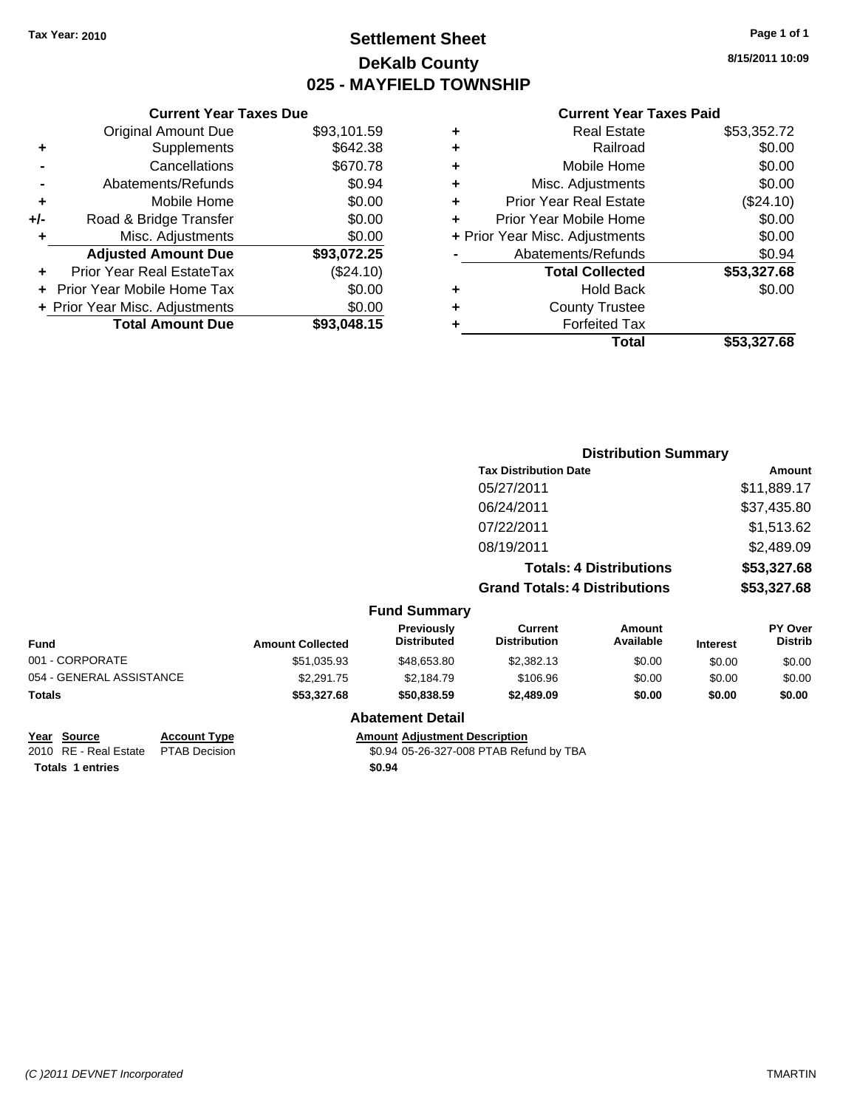### **Settlement Sheet Tax Year: 2010 Page 1 of 1 DeKalb County 025 - MAYFIELD TOWNSHIP**

**8/15/2011 10:09**

#### **Current Year Taxes Paid**

|     | <b>Current Year Taxes Due</b>     |             |  |  |  |
|-----|-----------------------------------|-------------|--|--|--|
|     | <b>Original Amount Due</b>        | \$93,101.59 |  |  |  |
| ÷   | Supplements                       | \$642.38    |  |  |  |
|     | Cancellations                     | \$670.78    |  |  |  |
|     | Abatements/Refunds                | \$0.94      |  |  |  |
| ٠   | Mobile Home                       | \$0.00      |  |  |  |
| +/- | Road & Bridge Transfer            | \$0.00      |  |  |  |
|     | Misc. Adjustments                 | \$0.00      |  |  |  |
|     | <b>Adjusted Amount Due</b>        | \$93,072.25 |  |  |  |
|     | Prior Year Real EstateTax         | (\$24.10)   |  |  |  |
|     | <b>Prior Year Mobile Home Tax</b> | \$0.00      |  |  |  |
|     | + Prior Year Misc. Adjustments    | \$0.00      |  |  |  |
|     | <b>Total Amount Due</b>           | \$93,048.15 |  |  |  |
|     |                                   |             |  |  |  |

|   | <b>Real Estate</b>             | \$53,352.72 |
|---|--------------------------------|-------------|
| ٠ | Railroad                       | \$0.00      |
| ٠ | Mobile Home                    | \$0.00      |
| ٠ | Misc. Adjustments              | \$0.00      |
| ٠ | <b>Prior Year Real Estate</b>  | (\$24.10)   |
| ÷ | Prior Year Mobile Home         | \$0.00      |
|   | + Prior Year Misc. Adjustments | \$0.00      |
|   | Abatements/Refunds             | \$0.94      |
|   | <b>Total Collected</b>         | \$53,327.68 |
| ٠ | <b>Hold Back</b>               | \$0.00      |
| ٠ | <b>County Trustee</b>          |             |
|   | <b>Forfeited Tax</b>           |             |
|   | Total                          | \$53,327.68 |

|                          |                         |                                  | <b>Distribution Summary</b>           |                                |                 |                           |
|--------------------------|-------------------------|----------------------------------|---------------------------------------|--------------------------------|-----------------|---------------------------|
|                          |                         |                                  | <b>Tax Distribution Date</b>          |                                |                 | Amount                    |
|                          |                         |                                  | 05/27/2011                            |                                |                 | \$11,889.17               |
|                          |                         |                                  | 06/24/2011                            |                                |                 | \$37,435.80               |
|                          |                         |                                  | 07/22/2011                            |                                |                 | \$1,513.62                |
|                          |                         |                                  | 08/19/2011                            |                                |                 | \$2,489.09                |
|                          |                         |                                  |                                       | <b>Totals: 4 Distributions</b> |                 | \$53,327.68               |
|                          |                         |                                  | <b>Grand Totals: 4 Distributions</b>  |                                |                 | \$53,327.68               |
|                          |                         | <b>Fund Summary</b>              |                                       |                                |                 |                           |
| Fund                     | <b>Amount Collected</b> | Previously<br><b>Distributed</b> | <b>Current</b><br><b>Distribution</b> | <b>Amount</b><br>Available     | <b>Interest</b> | PY Over<br><b>Distrib</b> |
| 001 - CORPORATE          | \$51,035.93             | \$48,653.80                      | \$2,382.13                            | \$0.00                         | \$0.00          | \$0.00                    |
| 054 - GENERAL ASSISTANCE | \$2,291.75              | \$2,184.79                       | \$106.96                              | \$0.00                         | \$0.00          | \$0.00                    |
| Totals                   | \$53,327.68             | \$50,838.59                      | \$2,489.09                            | \$0.00                         | \$0.00          | \$0.00                    |
|                          |                         | <b>Abatement Detail</b>          |                                       |                                |                 |                           |

## **Year Source Account Type Amount Adjustment Description**

2010 RE - Real Estate \$0.94 05-26-327-008 PTAB Refund by TBA PTAB Decision **Totals \$0.94 1 entries**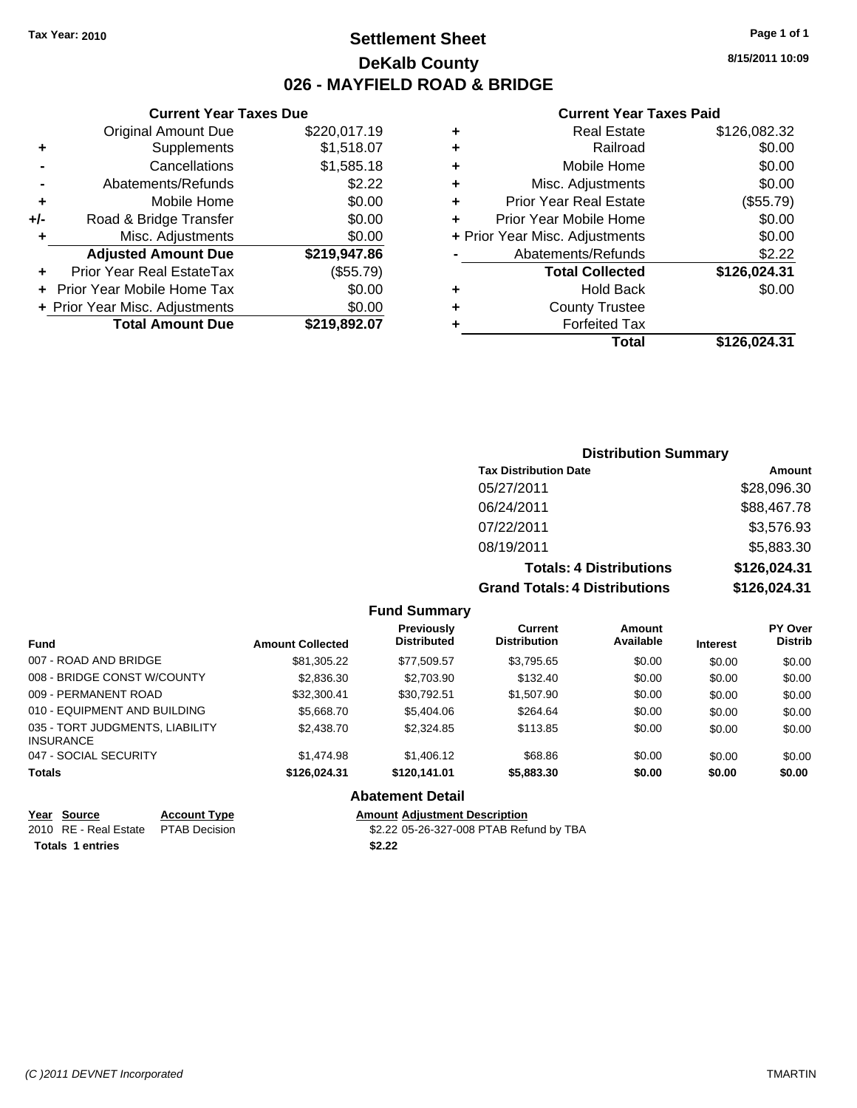### **Settlement Sheet Tax Year: 2010 Page 1 of 1 DeKalb County 026 - MAYFIELD ROAD & BRIDGE**

**8/15/2011 10:09**

### **Current Year Taxes Paid**

| ٠ | <b>Real Estate</b>             | \$126,082.32 |
|---|--------------------------------|--------------|
| ٠ | Railroad                       | \$0.00       |
| ٠ | Mobile Home                    | \$0.00       |
| ÷ | Misc. Adjustments              | \$0.00       |
| ٠ | <b>Prior Year Real Estate</b>  | (\$55.79)    |
| ٠ | Prior Year Mobile Home         | \$0.00       |
|   | + Prior Year Misc. Adjustments | \$0.00       |
|   | Abatements/Refunds             | \$2.22       |
|   | <b>Total Collected</b>         | \$126,024.31 |
| ٠ | <b>Hold Back</b>               | \$0.00       |
| ٠ | <b>County Trustee</b>          |              |
|   | <b>Forfeited Tax</b>           |              |
|   | Total                          | \$126.024.31 |

|     | <b>Current Year Taxes Due</b>  |              |
|-----|--------------------------------|--------------|
|     | <b>Original Amount Due</b>     | \$220,017.19 |
| ٠   | Supplements                    | \$1,518.07   |
|     | Cancellations                  | \$1,585.18   |
|     | Abatements/Refunds             | \$2.22       |
| ٠   | Mobile Home                    | \$0.00       |
| +/- | Road & Bridge Transfer         | \$0.00       |
| ٠   | Misc. Adjustments              | \$0.00       |
|     | <b>Adjusted Amount Due</b>     | \$219,947.86 |
|     | Prior Year Real EstateTax      | (\$55.79)    |
|     | Prior Year Mobile Home Tax     | \$0.00       |
|     | + Prior Year Misc. Adjustments | \$0.00       |
|     | <b>Total Amount Due</b>        | \$219,892.07 |

### **Distribution Summary**

| <b>Tax Distribution Date</b>         | Amount       |
|--------------------------------------|--------------|
| 05/27/2011                           | \$28,096.30  |
| 06/24/2011                           | \$88,467.78  |
| 07/22/2011                           | \$3,576.93   |
| 08/19/2011                           | \$5,883.30   |
| <b>Totals: 4 Distributions</b>       | \$126,024.31 |
| <b>Grand Totals: 4 Distributions</b> | \$126,024.31 |

**Fund Summary**

| <b>Fund</b>                                         | <b>Amount Collected</b> | <b>Previously</b><br><b>Distributed</b> | <b>Current</b><br><b>Distribution</b> | Amount<br>Available | <b>Interest</b> | <b>PY Over</b><br><b>Distrib</b> |
|-----------------------------------------------------|-------------------------|-----------------------------------------|---------------------------------------|---------------------|-----------------|----------------------------------|
| 007 - ROAD AND BRIDGE                               | \$81,305.22             | \$77,509.57                             | \$3,795.65                            | \$0.00              | \$0.00          | \$0.00                           |
| 008 - BRIDGE CONST W/COUNTY                         | \$2,836.30              | \$2,703.90                              | \$132.40                              | \$0.00              | \$0.00          | \$0.00                           |
| 009 - PERMANENT ROAD                                | \$32,300.41             | \$30,792.51                             | \$1,507.90                            | \$0.00              | \$0.00          | \$0.00                           |
| 010 - EQUIPMENT AND BUILDING                        | \$5,668.70              | \$5,404.06                              | \$264.64                              | \$0.00              | \$0.00          | \$0.00                           |
| 035 - TORT JUDGMENTS, LIABILITY<br><b>INSURANCE</b> | \$2,438.70              | \$2,324.85                              | \$113.85                              | \$0.00              | \$0.00          | \$0.00                           |
| 047 - SOCIAL SECURITY                               | \$1,474.98              | \$1,406.12                              | \$68.86                               | \$0.00              | \$0.00          | \$0.00                           |
| <b>Totals</b>                                       | \$126,024.31            | \$120,141,01                            | \$5,883.30                            | \$0.00              | \$0.00          | \$0.00                           |
|                                                     |                         | <b>Abatement Detail</b>                 |                                       |                     |                 |                                  |

| Year Source                         | <b>Account Type</b> | <b>Amount Adiustment Description</b> |
|-------------------------------------|---------------------|--------------------------------------|
| 2010 RE - Real Estate PTAB Decision |                     | \$2.22 05-26-327-008 PTAB Refu       |
| <b>Totals 1 entries</b>             |                     | \$2.22                               |

2.22 05-26-327-008 PTAB Refund by TBA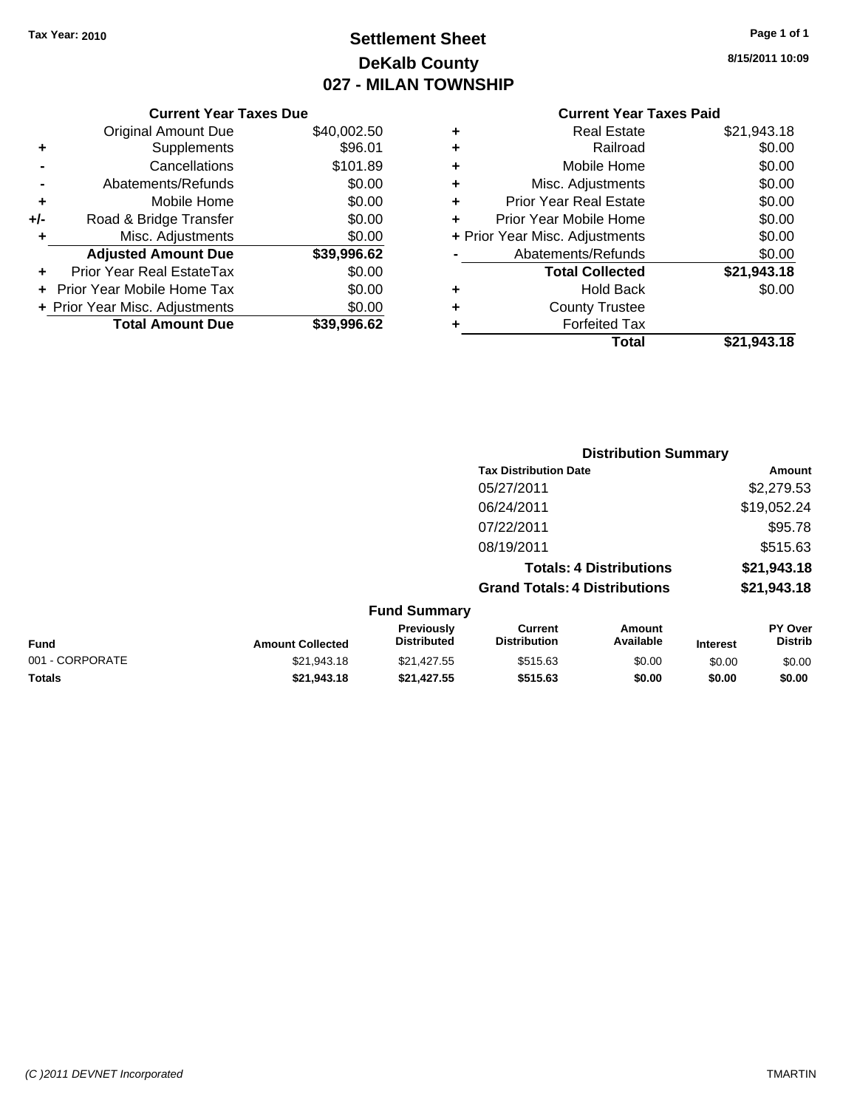## **Settlement Sheet Tax Year: 2010 Page 1 of 1 DeKalb County 027 - MILAN TOWNSHIP**

| Page 1 of 1 |  |  |  |
|-------------|--|--|--|
|-------------|--|--|--|

**8/15/2011 10:09**

| <b>Current Year Taxes Due</b> |                            |             |  |  |  |
|-------------------------------|----------------------------|-------------|--|--|--|
|                               | <b>Original Amount Due</b> | \$40,002.50 |  |  |  |
| ٠                             | Supplements                | \$96.01     |  |  |  |
|                               | Cancellations              | \$101.89    |  |  |  |
|                               | Abatements/Refunds         | \$0.00      |  |  |  |
| ٠                             | Mobile Home                | \$0.00      |  |  |  |
| +/-                           | Road & Bridge Transfer     | \$0.00      |  |  |  |
| ٠                             | Misc. Adjustments          | \$0.00      |  |  |  |
|                               | <b>Adjusted Amount Due</b> | \$39,996.62 |  |  |  |
|                               | Prior Year Real EstateTax  | \$0.00      |  |  |  |

**+** Prior Year Mobile Home Tax \$0.00 **+ Prior Year Misc. Adjustments \$0.00<br>Total Amount Due \$39,996.62** 

**Total Amount Due** 

### **Current Year Taxes Paid**

| \$0.00      |
|-------------|
|             |
| \$0.00      |
| \$0.00      |
| \$0.00      |
| \$0.00      |
| \$0.00      |
| \$0.00      |
| \$21,943.18 |
| \$0.00      |
|             |
|             |
| \$21,943.18 |
|             |

|                 |                         |                                  | <b>Distribution Summary</b>           |                                |                 |                           |
|-----------------|-------------------------|----------------------------------|---------------------------------------|--------------------------------|-----------------|---------------------------|
|                 |                         |                                  | <b>Tax Distribution Date</b>          |                                |                 | Amount                    |
|                 |                         |                                  | 05/27/2011                            |                                |                 | \$2,279.53                |
|                 |                         |                                  | 06/24/2011                            |                                |                 | \$19,052.24               |
|                 |                         |                                  | 07/22/2011                            |                                |                 | \$95.78                   |
|                 |                         |                                  | 08/19/2011                            |                                |                 | \$515.63                  |
|                 |                         |                                  |                                       | <b>Totals: 4 Distributions</b> |                 | \$21,943.18               |
|                 |                         |                                  | <b>Grand Totals: 4 Distributions</b>  |                                |                 | \$21,943.18               |
|                 |                         | <b>Fund Summary</b>              |                                       |                                |                 |                           |
| <b>Fund</b>     | <b>Amount Collected</b> | Previously<br><b>Distributed</b> | <b>Current</b><br><b>Distribution</b> | Amount<br>Available            | <b>Interest</b> | PY Over<br><b>Distrib</b> |
| 001 - CORPORATE | \$21,943.18             | \$21,427.55                      | \$515.63                              | \$0.00                         | \$0.00          | \$0.00                    |
| Totals          | \$21,943.18             | \$21,427.55                      | \$515.63                              | \$0.00                         | \$0.00          | \$0.00                    |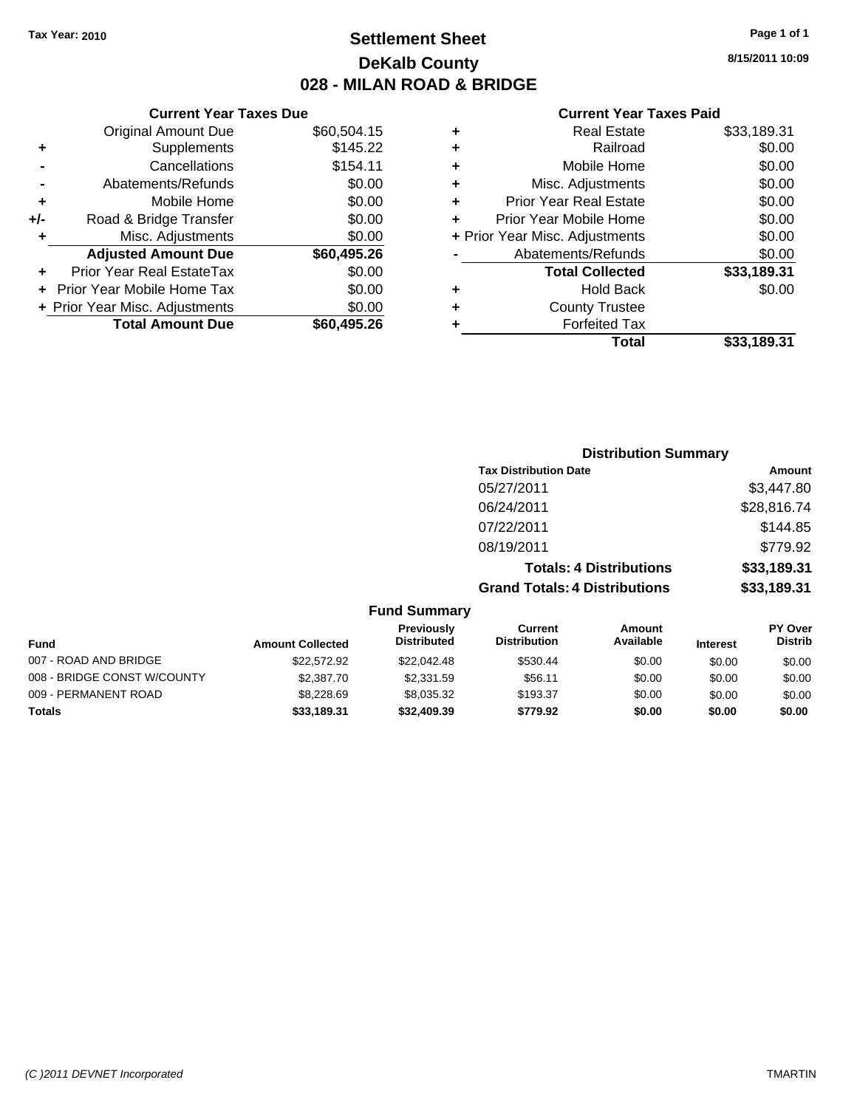### **Settlement Sheet Tax Year: 2010 Page 1 of 1 DeKalb County 028 - MILAN ROAD & BRIDGE**

|     | <b>Current Year Taxes Due</b>  |             |  |  |  |
|-----|--------------------------------|-------------|--|--|--|
|     | <b>Original Amount Due</b>     | \$60,504.15 |  |  |  |
| ٠   | Supplements                    | \$145.22    |  |  |  |
|     | Cancellations                  | \$154.11    |  |  |  |
|     | Abatements/Refunds             | \$0.00      |  |  |  |
| ÷   | Mobile Home                    | \$0.00      |  |  |  |
| +/- | Road & Bridge Transfer         | \$0.00      |  |  |  |
| ٠   | Misc. Adjustments              | \$0.00      |  |  |  |
|     | <b>Adjusted Amount Due</b>     | \$60,495.26 |  |  |  |
|     | Prior Year Real EstateTax      | \$0.00      |  |  |  |
|     | Prior Year Mobile Home Tax     | \$0.00      |  |  |  |
|     | + Prior Year Misc. Adjustments | \$0.00      |  |  |  |
|     | <b>Total Amount Due</b>        | \$60,495.26 |  |  |  |
|     |                                |             |  |  |  |

### **Current Year Taxes Paid**

|   | Total                          | \$33,189.31 |
|---|--------------------------------|-------------|
| ٠ | <b>Forfeited Tax</b>           |             |
| ٠ | <b>County Trustee</b>          |             |
| ٠ | <b>Hold Back</b>               | \$0.00      |
|   | <b>Total Collected</b>         | \$33,189.31 |
|   | Abatements/Refunds             | \$0.00      |
|   | + Prior Year Misc. Adjustments | \$0.00      |
| ÷ | Prior Year Mobile Home         | \$0.00      |
| ٠ | <b>Prior Year Real Estate</b>  | \$0.00      |
| ٠ | Misc. Adjustments              | \$0.00      |
| ٠ | Mobile Home                    | \$0.00      |
| ÷ | Railroad                       | \$0.00      |
| ٠ | <b>Real Estate</b>             | \$33,189.31 |

|                                                             |                                       | <b>Distribution Summary</b>    |                 |                                  |
|-------------------------------------------------------------|---------------------------------------|--------------------------------|-----------------|----------------------------------|
|                                                             | <b>Tax Distribution Date</b>          |                                |                 | Amount                           |
|                                                             | 05/27/2011                            |                                |                 | \$3,447.80                       |
|                                                             | 06/24/2011                            |                                |                 | \$28,816.74                      |
|                                                             | 07/22/2011                            |                                |                 | \$144.85                         |
|                                                             | 08/19/2011                            |                                |                 | \$779.92                         |
|                                                             |                                       | <b>Totals: 4 Distributions</b> |                 | \$33,189.31                      |
|                                                             | <b>Grand Totals: 4 Distributions</b>  |                                |                 | \$33,189.31                      |
| <b>Fund Summary</b>                                         |                                       |                                |                 |                                  |
| Previously<br><b>Distributed</b><br><b>Amount Collected</b> | <b>Current</b><br><b>Distribution</b> | Amount<br>Available            | <b>Interest</b> | <b>PY Over</b><br><b>Distrib</b> |

| <b>Fund</b>                 | <b>Amount Collected</b> | <b>FIGVIOUSIV</b><br><b>Distributed</b> | <b>GULLELL</b><br><b>Distribution</b> | Allivulit<br>Available | <b>Interest</b> | г і мег<br><b>Distrib</b> |
|-----------------------------|-------------------------|-----------------------------------------|---------------------------------------|------------------------|-----------------|---------------------------|
| 007 - ROAD AND BRIDGE       | \$22,572.92             | \$22,042.48                             | \$530.44                              | \$0.00                 | \$0.00          | \$0.00                    |
| 008 - BRIDGE CONST W/COUNTY | \$2,387.70              | \$2,331.59                              | \$56.11                               | \$0.00                 | \$0.00          | \$0.00                    |
| 009 - PERMANENT ROAD        | \$8,228.69              | \$8.035.32                              | \$193.37                              | \$0.00                 | \$0.00          | \$0.00                    |
| <b>Totals</b>               | \$33,189.31             | \$32,409.39                             | \$779.92                              | \$0.00                 | \$0.00          | \$0.00                    |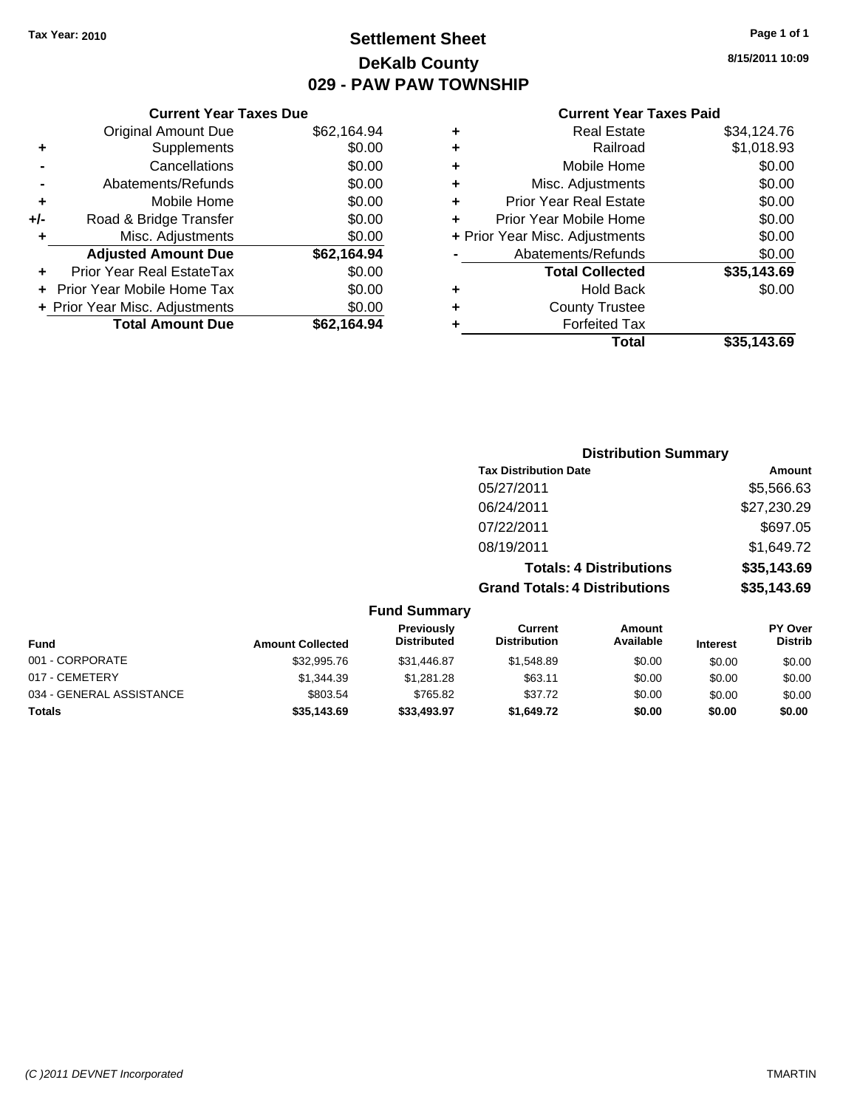### **Settlement Sheet Tax Year: 2010 Page 1 of 1 DeKalb County 029 - PAW PAW TOWNSHIP**

**8/15/2011 10:09**

|     | <b>Current Year Taxes Due</b>  |             |
|-----|--------------------------------|-------------|
|     | Original Amount Due            | \$62,164.94 |
| ٠   | Supplements                    | \$0.00      |
|     | Cancellations                  | \$0.00      |
|     | Abatements/Refunds             | \$0.00      |
| ٠   | Mobile Home                    | \$0.00      |
| +/- | Road & Bridge Transfer         | \$0.00      |
| ٠   | Misc. Adjustments              | \$0.00      |
|     | <b>Adjusted Amount Due</b>     | \$62,164.94 |
| ÷   | Prior Year Real EstateTax      | \$0.00      |
|     | Prior Year Mobile Home Tax     | \$0.00      |
|     | + Prior Year Misc. Adjustments | \$0.00      |
|     | <b>Total Amount Due</b>        | \$62.164.94 |
|     |                                |             |

### **Current Year Taxes Paid**

|   | Total                          | \$35,143.69 |
|---|--------------------------------|-------------|
| ٠ | <b>Forfeited Tax</b>           |             |
| ٠ | <b>County Trustee</b>          |             |
| ٠ | Hold Back                      | \$0.00      |
|   | <b>Total Collected</b>         | \$35,143.69 |
|   | Abatements/Refunds             | \$0.00      |
|   | + Prior Year Misc. Adjustments | \$0.00      |
| ÷ | Prior Year Mobile Home         | \$0.00      |
| ٠ | <b>Prior Year Real Estate</b>  | \$0.00      |
| ٠ | Misc. Adjustments              | \$0.00      |
| ٠ | Mobile Home                    | \$0.00      |
| ٠ | Railroad                       | \$1,018.93  |
| ٠ | Real Estate                    | \$34,124.76 |

|                          |                         |                                         | <b>Distribution Summary</b>           |                                |                 |                                  |
|--------------------------|-------------------------|-----------------------------------------|---------------------------------------|--------------------------------|-----------------|----------------------------------|
|                          |                         |                                         | <b>Tax Distribution Date</b>          |                                |                 | Amount                           |
|                          |                         |                                         | 05/27/2011                            |                                |                 | \$5,566.63                       |
|                          |                         |                                         | 06/24/2011                            |                                |                 | \$27,230.29                      |
|                          |                         |                                         | 07/22/2011                            |                                |                 | \$697.05                         |
|                          |                         |                                         | 08/19/2011                            |                                |                 | \$1,649.72                       |
|                          |                         |                                         |                                       | <b>Totals: 4 Distributions</b> |                 | \$35,143.69                      |
|                          |                         |                                         | <b>Grand Totals: 4 Distributions</b>  |                                |                 | \$35,143.69                      |
|                          |                         | <b>Fund Summary</b>                     |                                       |                                |                 |                                  |
| <b>Fund</b>              | <b>Amount Collected</b> | <b>Previously</b><br><b>Distributed</b> | <b>Current</b><br><b>Distribution</b> | Amount<br>Available            | <b>Interest</b> | <b>PY Over</b><br><b>Distrib</b> |
| 001 - CORPORATE          | \$32,995.76             | \$31,446.87                             | \$1,548.89                            | \$0.00                         | \$0.00          | \$0.00                           |
| 017 - CEMETERY           | \$1,344.39              | \$1,281.28                              | \$63.11                               | \$0.00                         | \$0.00          | \$0.00                           |
| 034 - GENERAL ASSISTANCE | \$803.54                | \$765.82                                | \$37.72                               | \$0.00                         | \$0.00          | \$0.00                           |

**Totals \$35,143.69 \$33,493.97 \$1,649.72 \$0.00 \$0.00 \$0.00**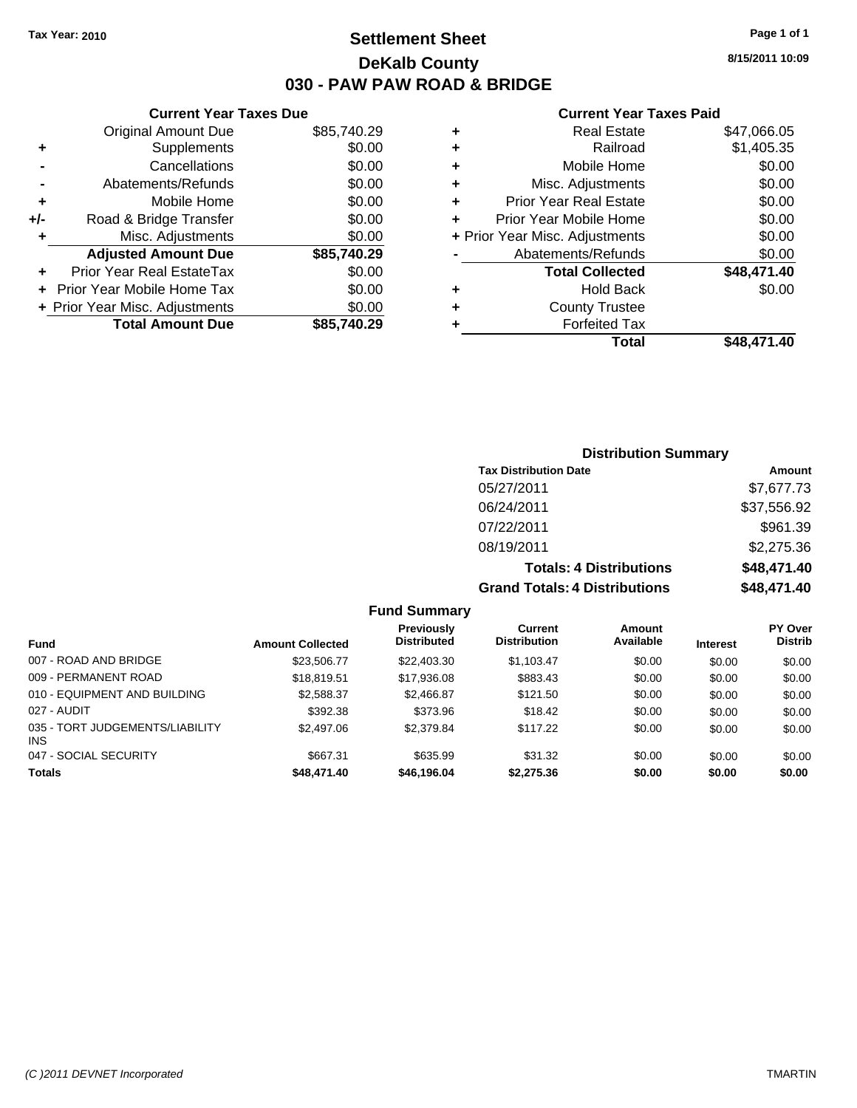### **Settlement Sheet Tax Year: 2010 Page 1 of 1 DeKalb County 030 - PAW PAW ROAD & BRIDGE**

**Current Year Taxes Paid**

|   | Total                          | \$48.471.40 |
|---|--------------------------------|-------------|
| ٠ | <b>Forfeited Tax</b>           |             |
| ÷ | <b>County Trustee</b>          |             |
| ٠ | <b>Hold Back</b>               | \$0.00      |
|   | <b>Total Collected</b>         | \$48,471.40 |
|   | Abatements/Refunds             | \$0.00      |
|   | + Prior Year Misc. Adjustments | \$0.00      |
| ÷ | Prior Year Mobile Home         | \$0.00      |
| ٠ | <b>Prior Year Real Estate</b>  | \$0.00      |
| ٠ | Misc. Adjustments              | \$0.00      |
| ٠ | Mobile Home                    | \$0.00      |
| ٠ | Railroad                       | \$1,405.35  |
| ٠ | <b>Real Estate</b>             | \$47,066.05 |
|   |                                |             |

|     | <b>Current Year Taxes Due</b>  |             |
|-----|--------------------------------|-------------|
|     | <b>Original Amount Due</b>     | \$85,740.29 |
| ٠   | Supplements                    | \$0.00      |
|     | Cancellations                  | \$0.00      |
|     | Abatements/Refunds             | \$0.00      |
| ÷   | Mobile Home                    | \$0.00      |
| +/- | Road & Bridge Transfer         | \$0.00      |
| ٠   | Misc. Adjustments              | \$0.00      |
|     | <b>Adjusted Amount Due</b>     | \$85,740.29 |
|     | Prior Year Real EstateTax      | \$0.00      |
|     | Prior Year Mobile Home Tax     | \$0.00      |
|     | + Prior Year Misc. Adjustments | \$0.00      |
|     | <b>Total Amount Due</b>        | \$85.740.29 |

| <b>Distribution Summary</b>          |             |
|--------------------------------------|-------------|
| <b>Tax Distribution Date</b>         | Amount      |
| 05/27/2011                           | \$7,677.73  |
| 06/24/2011                           | \$37,556.92 |
| 07/22/2011                           | \$961.39    |
| 08/19/2011                           | \$2,275.36  |
| <b>Totals: 4 Distributions</b>       | \$48,471.40 |
| <b>Grand Totals: 4 Distributions</b> | \$48,471.40 |

**Fund Summary**

| <b>Fund</b>                             | <b>Amount Collected</b> | Previously<br><b>Distributed</b> | Current<br><b>Distribution</b> | Amount<br>Available | <b>Interest</b> | <b>PY Over</b><br><b>Distrib</b> |
|-----------------------------------------|-------------------------|----------------------------------|--------------------------------|---------------------|-----------------|----------------------------------|
| 007 - ROAD AND BRIDGE                   | \$23,506.77             | \$22,403.30                      | \$1,103.47                     | \$0.00              | \$0.00          | \$0.00                           |
| 009 - PERMANENT ROAD                    | \$18.819.51             | \$17,936,08                      | \$883.43                       | \$0.00              | \$0.00          | \$0.00                           |
| 010 - EQUIPMENT AND BUILDING            | \$2,588.37              | \$2,466.87                       | \$121.50                       | \$0.00              | \$0.00          | \$0.00                           |
| 027 - AUDIT                             | \$392.38                | \$373.96                         | \$18.42                        | \$0.00              | \$0.00          | \$0.00                           |
| 035 - TORT JUDGEMENTS/LIABILITY<br>INS. | \$2,497.06              | \$2,379.84                       | \$117.22                       | \$0.00              | \$0.00          | \$0.00                           |
| 047 - SOCIAL SECURITY                   | \$667.31                | \$635.99                         | \$31.32                        | \$0.00              | \$0.00          | \$0.00                           |
| <b>Totals</b>                           | \$48,471.40             | \$46,196.04                      | \$2,275.36                     | \$0.00              | \$0.00          | \$0.00                           |

**8/15/2011 10:09**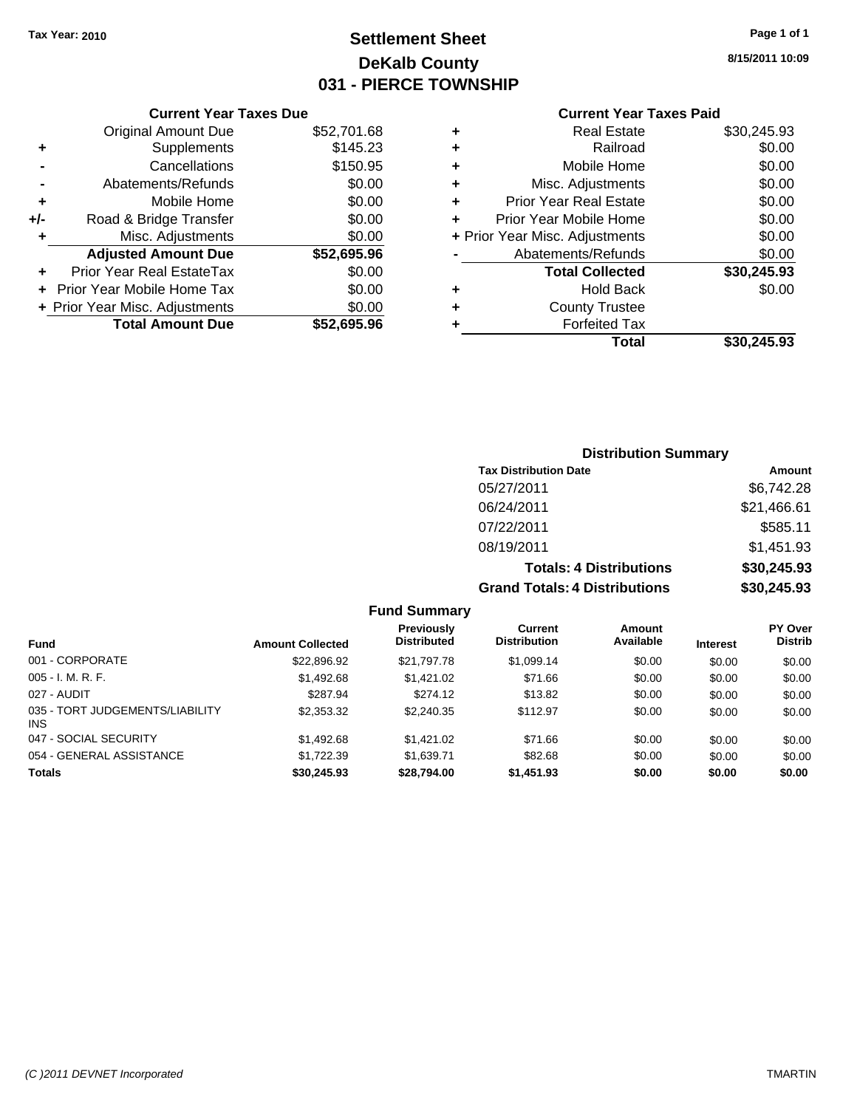### **Settlement Sheet Tax Year: 2010 Page 1 of 1 DeKalb County 031 - PIERCE TOWNSHIP**

### **Current Year Taxes Due**

|     | <b>Original Amount Due</b>     | \$52,701.68 |
|-----|--------------------------------|-------------|
| ٠   | Supplements                    | \$145.23    |
|     | Cancellations                  | \$150.95    |
|     | Abatements/Refunds             | \$0.00      |
| ٠   | Mobile Home                    | \$0.00      |
| +/- | Road & Bridge Transfer         | \$0.00      |
| ÷   | Misc. Adjustments              | \$0.00      |
|     | <b>Adjusted Amount Due</b>     | \$52,695.96 |
|     | Prior Year Real EstateTax      | \$0.00      |
|     | Prior Year Mobile Home Tax     | \$0.00      |
|     | + Prior Year Misc. Adjustments | \$0.00      |
|     | <b>Total Amount Due</b>        | \$52.695.96 |

#### **Current Year Taxes Paid**

| ٠ | <b>Real Estate</b>             | \$30,245.93 |
|---|--------------------------------|-------------|
| ٠ | Railroad                       | \$0.00      |
| ٠ | Mobile Home                    | \$0.00      |
| ٠ | Misc. Adjustments              | \$0.00      |
| ÷ | Prior Year Real Estate         | \$0.00      |
| ÷ | Prior Year Mobile Home         | \$0.00      |
|   | + Prior Year Misc. Adjustments | \$0.00      |
|   | Abatements/Refunds             | \$0.00      |
|   | <b>Total Collected</b>         | \$30,245.93 |
| ٠ | Hold Back                      | \$0.00      |
| ٠ | <b>County Trustee</b>          |             |
| ٠ | <b>Forfeited Tax</b>           |             |
|   | Total                          | \$30,245.93 |
|   |                                |             |

### **Distribution Summary Tax Distribution Date Amount** 05/27/2011 \$6,742.28 06/24/2011 \$21,466.61 07/22/2011 \$585.11 08/19/2011 \$1,451.93 **Totals: 4 Distributions \$30,245.93**

| <b>Grand Totals: 4 Distributions</b> | \$30,245.93 |
|--------------------------------------|-------------|
|                                      |             |

| <b>Fund</b>                                   | <b>Amount Collected</b> | <b>Previously</b><br><b>Distributed</b> | Current<br><b>Distribution</b> | Amount<br>Available | <b>Interest</b> | PY Over<br><b>Distrib</b> |
|-----------------------------------------------|-------------------------|-----------------------------------------|--------------------------------|---------------------|-----------------|---------------------------|
| 001 - CORPORATE                               | \$22,896.92             | \$21,797.78                             | \$1,099.14                     | \$0.00              | \$0.00          | \$0.00                    |
| $005 - I. M. R. F.$                           | \$1,492.68              | \$1,421.02                              | \$71.66                        | \$0.00              | \$0.00          | \$0.00                    |
| 027 - AUDIT                                   | \$287.94                | \$274.12                                | \$13.82                        | \$0.00              | \$0.00          | \$0.00                    |
| 035 - TORT JUDGEMENTS/LIABILITY<br><b>INS</b> | \$2,353.32              | \$2,240.35                              | \$112.97                       | \$0.00              | \$0.00          | \$0.00                    |
| 047 - SOCIAL SECURITY                         | \$1,492.68              | \$1,421.02                              | \$71.66                        | \$0.00              | \$0.00          | \$0.00                    |
| 054 - GENERAL ASSISTANCE                      | \$1.722.39              | \$1.639.71                              | \$82.68                        | \$0.00              | \$0.00          | \$0.00                    |
| <b>Totals</b>                                 | \$30,245.93             | \$28,794.00                             | \$1,451.93                     | \$0.00              | \$0.00          | \$0.00                    |

**Fund Summary**

**8/15/2011 10:09**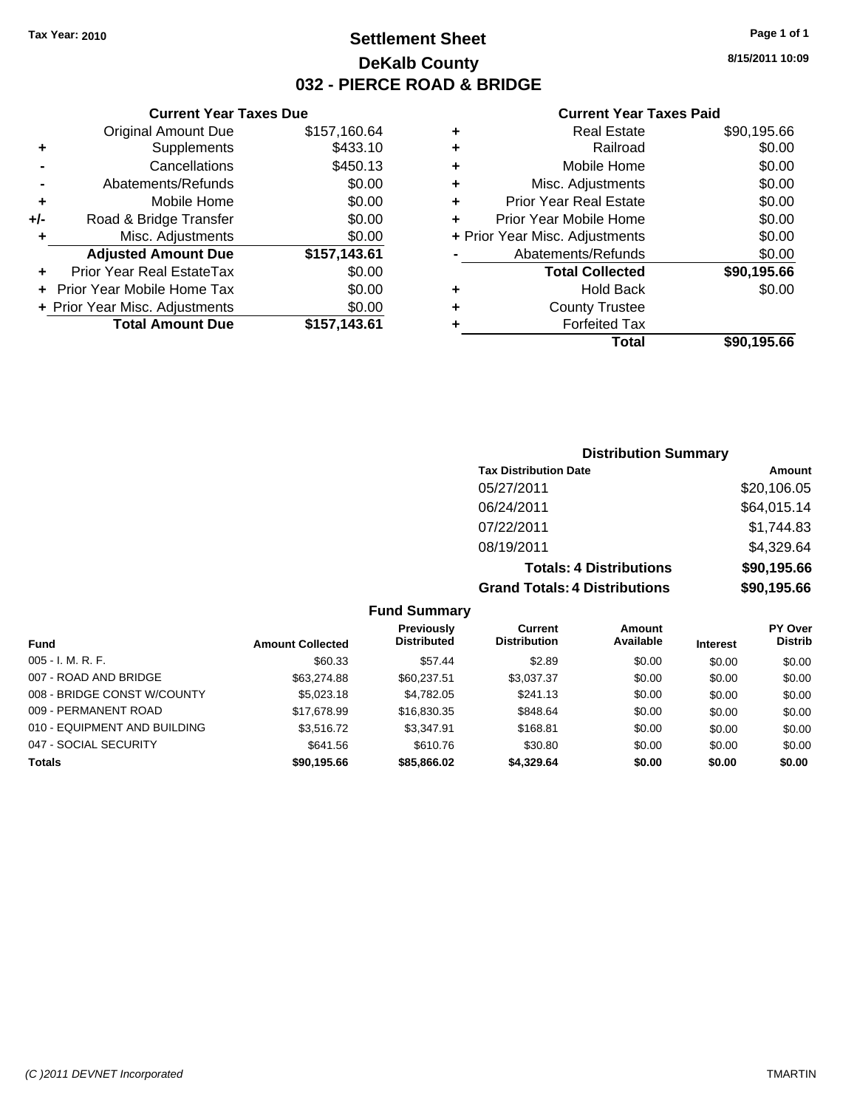Original Amount Due

**Adjusted Amount Due** 

**Total Amount Due** 

**+** Supplements **-** Cancellations **-** Abatements/Refunds **+** Mobile Home **+/-** Road & Bridge Transfer **+** Misc. Adjustments

**+** Prior Year Real EstateTax \$0.00 **+** Prior Year Mobile Home Tax **+ Prior Year Misc. Adjustments** 

### **Settlement Sheet Tax Year: 2010 Page 1 of 1 DeKalb County 032 - PIERCE ROAD & BRIDGE**

**8/15/2011 10:09**

### **Current Year Taxes Paid**

| <b>Current Year Taxes Due</b> |              |   | <b>Current Year Taxes Paid</b> |             |  |  |
|-------------------------------|--------------|---|--------------------------------|-------------|--|--|
| ıl Amount Due                 | \$157,160.64 | ٠ | <b>Real Estate</b>             | \$90,195.66 |  |  |
| Supplements                   | \$433.10     | ٠ | Railroad                       | \$0.00      |  |  |
| Cancellations                 | \$450.13     | ٠ | Mobile Home                    | \$0.00      |  |  |
| าents/Refunds                 | \$0.00       | ÷ | Misc. Adjustments              | \$0.00      |  |  |
| Mobile Home                   | \$0.00       | ÷ | <b>Prior Year Real Estate</b>  | \$0.00      |  |  |
| ridge Transfer                | \$0.00       | ٠ | Prior Year Mobile Home         | \$0.00      |  |  |
| :. Adjustments                | \$0.00       |   | + Prior Year Misc. Adjustments | \$0.00      |  |  |
| <b>Amount Due</b>             | \$157,143.61 |   | Abatements/Refunds             | \$0.00      |  |  |
| eal EstateTax                 | \$0.00       |   | <b>Total Collected</b>         | \$90,195.66 |  |  |
| pile Home Tax                 | \$0.00       | ٠ | <b>Hold Back</b>               | \$0.00      |  |  |
| . Adjustments                 | \$0.00       | ٠ | <b>County Trustee</b>          |             |  |  |
| <b>Amount Due</b>             | \$157,143.61 |   | <b>Forfeited Tax</b>           |             |  |  |
|                               |              |   | Total                          | \$90,195.66 |  |  |

### **Distribution Summary**

| <b>Tax Distribution Date</b>         | Amount      |  |  |  |
|--------------------------------------|-------------|--|--|--|
| 05/27/2011                           | \$20,106.05 |  |  |  |
| 06/24/2011                           | \$64,015.14 |  |  |  |
| 07/22/2011                           | \$1,744.83  |  |  |  |
| 08/19/2011                           | \$4,329.64  |  |  |  |
| <b>Totals: 4 Distributions</b>       | \$90,195.66 |  |  |  |
| <b>Grand Totals: 4 Distributions</b> | \$90,195.66 |  |  |  |

**Fund Summary**

|                              |                         | <b>Previously</b>  | Current             | Amount    |                 | <b>PY Over</b> |
|------------------------------|-------------------------|--------------------|---------------------|-----------|-----------------|----------------|
| <b>Fund</b>                  | <b>Amount Collected</b> | <b>Distributed</b> | <b>Distribution</b> | Available | <b>Interest</b> | <b>Distrib</b> |
| $005 - I. M. R. F.$          | \$60.33                 | \$57.44            | \$2.89              | \$0.00    | \$0.00          | \$0.00         |
| 007 - ROAD AND BRIDGE        | \$63,274.88             | \$60.237.51        | \$3,037.37          | \$0.00    | \$0.00          | \$0.00         |
| 008 - BRIDGE CONST W/COUNTY  | \$5,023.18              | \$4,782.05         | \$241.13            | \$0.00    | \$0.00          | \$0.00         |
| 009 - PERMANENT ROAD         | \$17.678.99             | \$16,830,35        | \$848.64            | \$0.00    | \$0.00          | \$0.00         |
| 010 - EQUIPMENT AND BUILDING | \$3,516.72              | \$3.347.91         | \$168.81            | \$0.00    | \$0.00          | \$0.00         |
| 047 - SOCIAL SECURITY        | \$641.56                | \$610.76           | \$30.80             | \$0.00    | \$0.00          | \$0.00         |
| <b>Totals</b>                | \$90,195.66             | \$85,866.02        | \$4,329.64          | \$0.00    | \$0.00          | \$0.00         |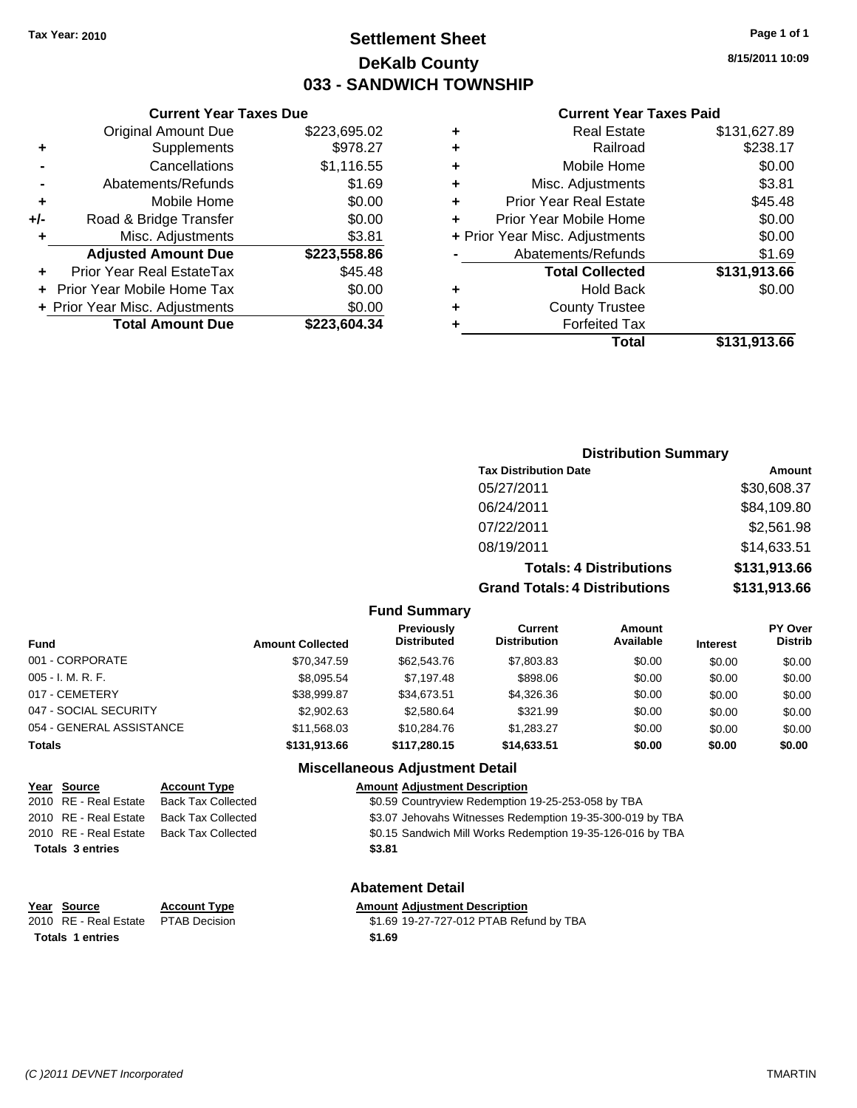### **Settlement Sheet Tax Year: 2010 Page 1 of 1 DeKalb County 033 - SANDWICH TOWNSHIP**

#### **Current Year Taxes Due**

|     | <b>Original Amount Due</b>        | \$223,695.02 |
|-----|-----------------------------------|--------------|
| ٠   | Supplements                       | \$978.27     |
|     | Cancellations                     | \$1,116.55   |
|     | Abatements/Refunds                | \$1.69       |
| ٠   | Mobile Home                       | \$0.00       |
| +/- | Road & Bridge Transfer            | \$0.00       |
| ٠   | Misc. Adjustments                 | \$3.81       |
|     | <b>Adjusted Amount Due</b>        | \$223,558.86 |
|     | Prior Year Real EstateTax         | \$45.48      |
|     | <b>Prior Year Mobile Home Tax</b> | \$0.00       |
|     | + Prior Year Misc. Adjustments    | \$0.00       |
|     | <b>Total Amount Due</b>           | \$223,604.34 |

#### **Current Year Taxes Paid**

|                                | <b>Real Estate</b>            | \$131,627.89 |
|--------------------------------|-------------------------------|--------------|
| ٠                              | Railroad                      | \$238.17     |
| ٠                              | Mobile Home                   | \$0.00       |
| ٠                              | Misc. Adjustments             | \$3.81       |
| ٠                              | <b>Prior Year Real Estate</b> | \$45.48      |
| ٠                              | Prior Year Mobile Home        | \$0.00       |
| + Prior Year Misc. Adjustments |                               | \$0.00       |
|                                | Abatements/Refunds            | \$1.69       |
|                                | <b>Total Collected</b>        | \$131,913.66 |
| ٠                              | <b>Hold Back</b>              | \$0.00       |
| ٠                              | <b>County Trustee</b>         |              |
| ٠                              | <b>Forfeited Tax</b>          |              |
|                                | Total                         | \$131,913.66 |
|                                |                               |              |

### **8/15/2011 10:09**

| <b>Distribution Summary</b> |  |
|-----------------------------|--|
|-----------------------------|--|

| <b>Tax Distribution Date</b>         | Amount       |  |  |  |
|--------------------------------------|--------------|--|--|--|
| 05/27/2011                           | \$30,608.37  |  |  |  |
| 06/24/2011                           | \$84,109.80  |  |  |  |
| 07/22/2011                           | \$2,561.98   |  |  |  |
| 08/19/2011                           | \$14,633.51  |  |  |  |
| <b>Totals: 4 Distributions</b>       | \$131,913.66 |  |  |  |
| <b>Grand Totals: 4 Distributions</b> | \$131,913.66 |  |  |  |

#### **Fund Summary**

| Fund                     | <b>Amount Collected</b> | <b>Previously</b><br><b>Distributed</b> | Current<br><b>Distribution</b> | Amount<br>Available | <b>Interest</b> | <b>PY Over</b><br><b>Distrib</b> |
|--------------------------|-------------------------|-----------------------------------------|--------------------------------|---------------------|-----------------|----------------------------------|
| 001 - CORPORATE          | \$70.347.59             | \$62,543.76                             | \$7,803.83                     | \$0.00              | \$0.00          | \$0.00                           |
| 005 - I. M. R. F.        | \$8.095.54              | \$7.197.48                              | \$898.06                       | \$0.00              | \$0.00          | \$0.00                           |
| 017 - CEMETERY           | \$38,999.87             | \$34.673.51                             | \$4,326.36                     | \$0.00              | \$0.00          | \$0.00                           |
| 047 - SOCIAL SECURITY    | \$2,902.63              | \$2,580.64                              | \$321.99                       | \$0.00              | \$0.00          | \$0.00                           |
| 054 - GENERAL ASSISTANCE | \$11.568.03             | \$10,284.76                             | \$1.283.27                     | \$0.00              | \$0.00          | \$0.00                           |
| Totals                   | \$131.913.66            | \$117,280,15                            | \$14,633,51                    | \$0.00              | \$0.00          | \$0.00                           |

#### **Miscellaneous Adjustment Detail**

### **Year Source Account Type Amount Adjustment Description** 2010 RE - Real Estate Back Tax Collected \$0.59 Countryview Redemption 19-25-253-058 by TBA 2010 RE - Real Estate Back Tax Collected \$3.07 Jehovahs Witnesses Redemption 19-35-300-019 by TBA 2010 RE - Real Estate Back Tax Collected \$0.15 Sandwich Mill Works Redemption 19-35-126-016 by TBA **Totals \$3.81 3 entries**

### **Year Source Account Type Amount Adjustment Description Totals 1 entries** \$1.69

**Abatement Detail**

2010 RE - Real Estate \$1.69 19-27-727-012 PTAB Refund by TBA PTAB Decision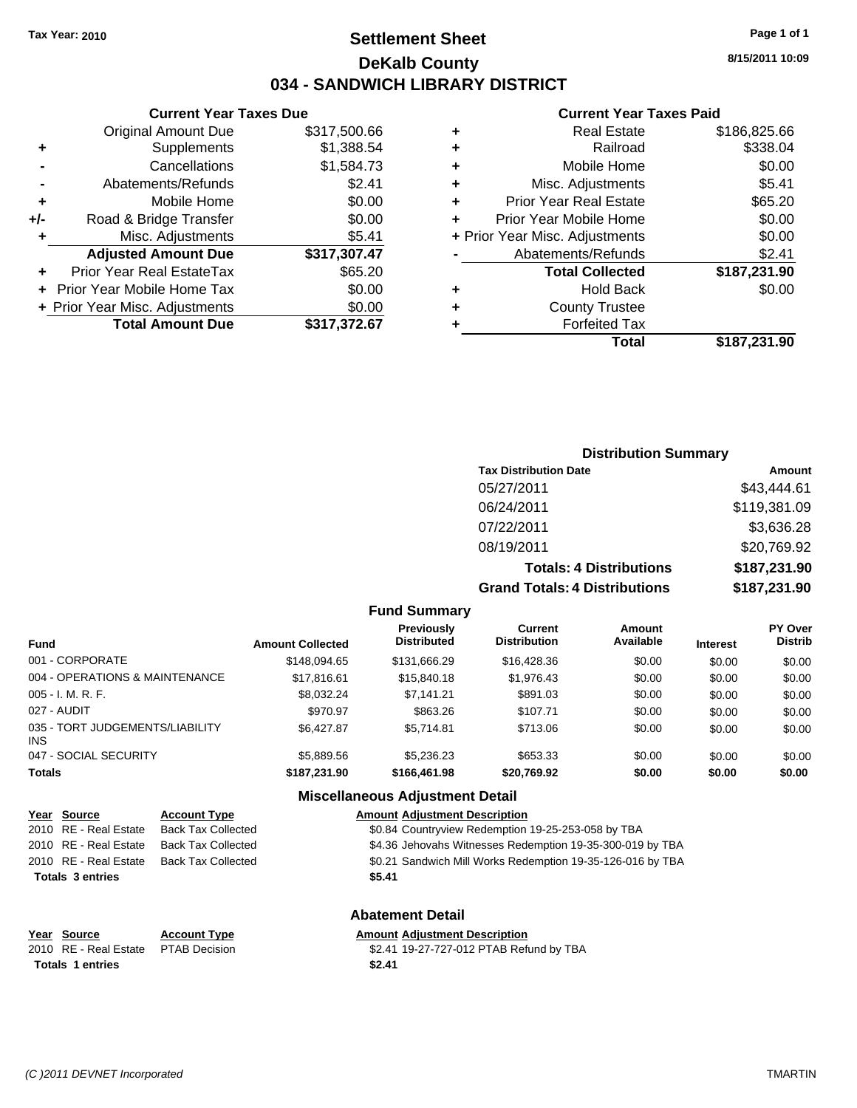## **Settlement Sheet Tax Year: 2010 Page 1 of 1 DeKalb County 034 - SANDWICH LIBRARY DISTRICT**

**8/15/2011 10:09**

#### **Current Year Taxes Paid**

|     | <b>Current Year Taxes Due</b>  |              |  |  |  |  |  |
|-----|--------------------------------|--------------|--|--|--|--|--|
|     | <b>Original Amount Due</b>     | \$317,500.66 |  |  |  |  |  |
| ٠   | Supplements                    | \$1,388.54   |  |  |  |  |  |
|     | Cancellations                  | \$1,584.73   |  |  |  |  |  |
|     | Abatements/Refunds             | \$2.41       |  |  |  |  |  |
| ٠   | Mobile Home                    | \$0.00       |  |  |  |  |  |
| +/- | Road & Bridge Transfer         | \$0.00       |  |  |  |  |  |
| ٠   | Misc. Adjustments              | \$5.41       |  |  |  |  |  |
|     | <b>Adjusted Amount Due</b>     | \$317,307.47 |  |  |  |  |  |
| ÷   | Prior Year Real EstateTax      | \$65.20      |  |  |  |  |  |
|     | Prior Year Mobile Home Tax     | \$0.00       |  |  |  |  |  |
|     | + Prior Year Misc. Adjustments | \$0.00       |  |  |  |  |  |
|     | <b>Total Amount Due</b>        | \$317,372.67 |  |  |  |  |  |
|     |                                |              |  |  |  |  |  |

| ٠ | <b>Real Estate</b>             | \$186,825.66 |
|---|--------------------------------|--------------|
| ٠ | Railroad                       | \$338.04     |
| ٠ | Mobile Home                    | \$0.00       |
| ٠ | Misc. Adjustments              | \$5.41       |
| ٠ | <b>Prior Year Real Estate</b>  | \$65.20      |
| ٠ | Prior Year Mobile Home         | \$0.00       |
|   | + Prior Year Misc. Adjustments | \$0.00       |
|   | Abatements/Refunds             | \$2.41       |
|   | <b>Total Collected</b>         | \$187,231.90 |
| ٠ | Hold Back                      | \$0.00       |
| ٠ | <b>County Trustee</b>          |              |
| ٠ | <b>Forfeited Tax</b>           |              |
|   | Total                          | \$187,231.90 |
|   |                                |              |

## **Distribution Summary**

| <b>Tax Distribution Date</b>         | Amount       |
|--------------------------------------|--------------|
| 05/27/2011                           | \$43,444.61  |
| 06/24/2011                           | \$119,381.09 |
| 07/22/2011                           | \$3,636.28   |
| 08/19/2011                           | \$20,769.92  |
| <b>Totals: 4 Distributions</b>       | \$187,231.90 |
| <b>Grand Totals: 4 Distributions</b> | \$187,231.90 |

#### **Fund Summary**

| Fund                                   | <b>Amount Collected</b> | Previously<br><b>Distributed</b> | <b>Current</b><br><b>Distribution</b> | Amount<br>Available | <b>Interest</b> | <b>PY Over</b><br><b>Distrib</b> |
|----------------------------------------|-------------------------|----------------------------------|---------------------------------------|---------------------|-----------------|----------------------------------|
| 001 - CORPORATE                        | \$148.094.65            | \$131,666.29                     | \$16,428.36                           | \$0.00              | \$0.00          | \$0.00                           |
| 004 - OPERATIONS & MAINTENANCE         | \$17,816.61             | \$15,840.18                      | \$1,976.43                            | \$0.00              | \$0.00          | \$0.00                           |
| 005 - I. M. R. F.                      | \$8.032.24              | \$7.141.21                       | \$891.03                              | \$0.00              | \$0.00          | \$0.00                           |
| 027 - AUDIT                            | \$970.97                | \$863.26                         | \$107.71                              | \$0.00              | \$0.00          | \$0.00                           |
| 035 - TORT JUDGEMENTS/LIABILITY<br>INS | \$6,427.87              | \$5.714.81                       | \$713.06                              | \$0.00              | \$0.00          | \$0.00                           |
| 047 - SOCIAL SECURITY                  | \$5,889.56              | \$5,236.23                       | \$653.33                              | \$0.00              | \$0.00          | \$0.00                           |
| Totals                                 | \$187,231.90            | \$166,461.98                     | \$20,769.92                           | \$0.00              | \$0.00          | \$0.00                           |

## **Miscellaneous Adjustment Detail**

| Year Source             | <b>Account Type</b>       | <b>Amount Adjustment Description</b>                       |
|-------------------------|---------------------------|------------------------------------------------------------|
| 2010 RE - Real Estate   | <b>Back Tax Collected</b> | \$0.84 Countryview Redemption 19-25-253-058 by TBA         |
| 2010 RE - Real Estate   | <b>Back Tax Collected</b> | \$4.36 Jehovahs Witnesses Redemption 19-35-300-019 by TBA  |
| 2010 RE - Real Estate   | <b>Back Tax Collected</b> | \$0.21 Sandwich Mill Works Redemption 19-35-126-016 by TBA |
| <b>Totals 3 entries</b> |                           | \$5.41                                                     |
|                         |                           |                                                            |

## **Abatement Detail**

| Year Source                         | <b>Account Type</b> | <b>Amount Adiustment Description</b>    |
|-------------------------------------|---------------------|-----------------------------------------|
| 2010 RE - Real Estate PTAB Decision |                     | \$2.41 19-27-727-012 PTAB Refund by TBA |
| Totals 1 entries                    |                     | \$2.41                                  |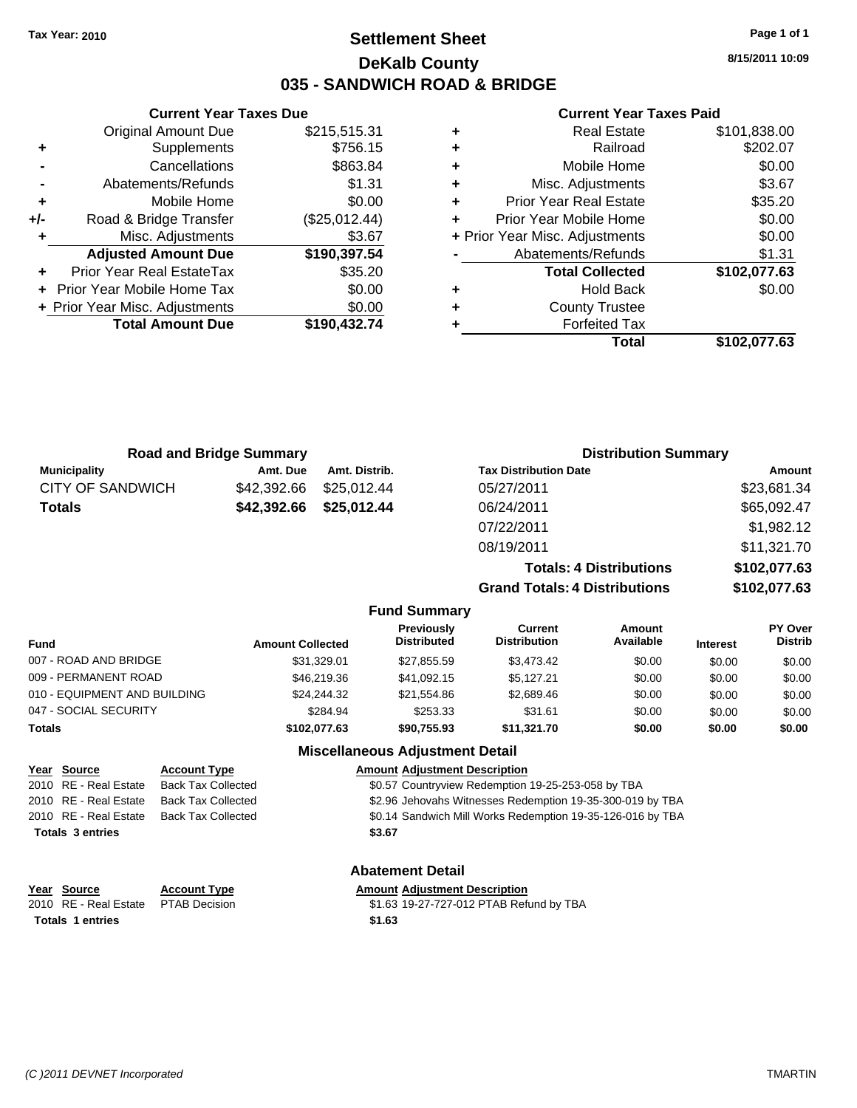## **Settlement Sheet Tax Year: 2010 Page 1 of 1 DeKalb County 035 - SANDWICH ROAD & BRIDGE**

**8/15/2011 10:09**

#### **Current Year Taxes Paid**

|     | <b>Original Amount Due</b>        | \$215,515.31  |
|-----|-----------------------------------|---------------|
| ٠   | Supplements                       | \$756.15      |
|     | Cancellations                     | \$863.84      |
| -   | Abatements/Refunds                | \$1.31        |
| ٠   | Mobile Home                       | \$0.00        |
| +/- | Road & Bridge Transfer            | (\$25,012.44) |
| ٠   | Misc. Adjustments                 | \$3.67        |
|     | <b>Adjusted Amount Due</b>        | \$190,397.54  |
| ٠   | <b>Prior Year Real EstateTax</b>  | \$35.20       |
|     | <b>Prior Year Mobile Home Tax</b> | \$0.00        |
|     | + Prior Year Misc. Adjustments    | \$0.00        |
|     | <b>Total Amount Due</b>           | \$190,432.74  |
|     |                                   |               |

**Current Year Taxes Due**

|   | Real Estate                    | \$101,838.00 |
|---|--------------------------------|--------------|
| ٠ | Railroad                       | \$202.07     |
| ٠ | Mobile Home                    | \$0.00       |
| ٠ | Misc. Adjustments              | \$3.67       |
| ٠ | <b>Prior Year Real Estate</b>  | \$35.20      |
| ٠ | Prior Year Mobile Home         | \$0.00       |
|   | + Prior Year Misc. Adjustments | \$0.00       |
|   | Abatements/Refunds             | \$1.31       |
|   | <b>Total Collected</b>         | \$102,077.63 |
| ٠ | <b>Hold Back</b>               | \$0.00       |
| ٠ | <b>County Trustee</b>          |              |
| ٠ | <b>Forfeited Tax</b>           |              |
|   | Total                          | \$102.077.63 |

|                       | <b>Road and Bridge Summary</b> |               |                                         |                                      | <b>Distribution Summary</b>    |                 |                           |
|-----------------------|--------------------------------|---------------|-----------------------------------------|--------------------------------------|--------------------------------|-----------------|---------------------------|
| <b>Municipality</b>   | Amt. Due                       | Amt. Distrib. |                                         | <b>Tax Distribution Date</b>         |                                |                 | Amount                    |
| CITY OF SANDWICH      | \$42,392.66                    | \$25,012.44   |                                         | 05/27/2011                           |                                |                 | \$23,681.34               |
| <b>Totals</b>         | \$42,392.66                    | \$25,012.44   |                                         | 06/24/2011                           |                                |                 | \$65,092.47               |
|                       |                                |               |                                         | 07/22/2011                           |                                |                 | \$1,982.12                |
|                       |                                |               |                                         | 08/19/2011                           |                                |                 | \$11,321.70               |
|                       |                                |               |                                         |                                      | <b>Totals: 4 Distributions</b> |                 | \$102,077.63              |
|                       |                                |               |                                         | <b>Grand Totals: 4 Distributions</b> |                                |                 | \$102,077.63              |
|                       |                                |               | <b>Fund Summary</b>                     |                                      |                                |                 |                           |
| <b>Fund</b>           | <b>Amount Collected</b>        |               | <b>Previously</b><br><b>Distributed</b> | Current<br><b>Distribution</b>       | Amount<br>Available            | <b>Interest</b> | PY Over<br><b>Distrib</b> |
| 007 - ROAD AND BRIDGE |                                | \$31,329.01   | \$27,855.59                             | \$3,473.42                           | \$0.00                         | \$0.00          | \$0.00                    |
| 009 - PERMANENT ROAD  |                                | \$46,219.36   | \$41,092.15                             | \$5.127.21                           | \$0.00                         | \$0.00          | \$0.00                    |

| <b>Miscellaneous Adjustment Detail</b><br>$\sim$ |              |             |             |        |        |        |
|--------------------------------------------------|--------------|-------------|-------------|--------|--------|--------|
| Totals                                           | \$102.077.63 | \$90.755.93 | \$11.321.70 | \$0.00 | \$0.00 | \$0.00 |
| 047 - SOCIAL SECURITY                            | \$284.94     | \$253.33    | \$31.61     | \$0.00 | \$0.00 | \$0.00 |
| 010 - EQUIPMENT AND BUILDING                     | \$24.244.32  | \$21.554.86 | \$2,689.46  | \$0.00 | \$0.00 | \$0.00 |
| UUY - PERIVANENT RUAD                            | \$46.219.36  | \$41.092.15 | \$5.127.21  | PO.OQ  | \$0.00 | \$0.00 |

## **Year Source Account Type Amount Adjustment Description** 2010 RE - Real Estate Back Tax Collected \$0.57 Countryview Redemption 19-25-253-058 by TBA 2010 RE - Real Estate Back Tax Collected \$2.96 Jehovahs Witnesses Redemption 19-35-300-019 by TBA 2010 RE - Real Estate Back Tax Collected \$0.14 Sandwich Mill Works Redemption 19-35-126-016 by TBA **Totals \$3.67 3 entries**

# **Abatement Detail**

| Year Source                         | <b>Account Type</b> | <b>Amount Adiustment Description</b>    |
|-------------------------------------|---------------------|-----------------------------------------|
| 2010 RE - Real Estate PTAB Decision |                     | \$1.63 19-27-727-012 PTAB Refund by TBA |
| Totals 1 entries                    |                     | \$1.63                                  |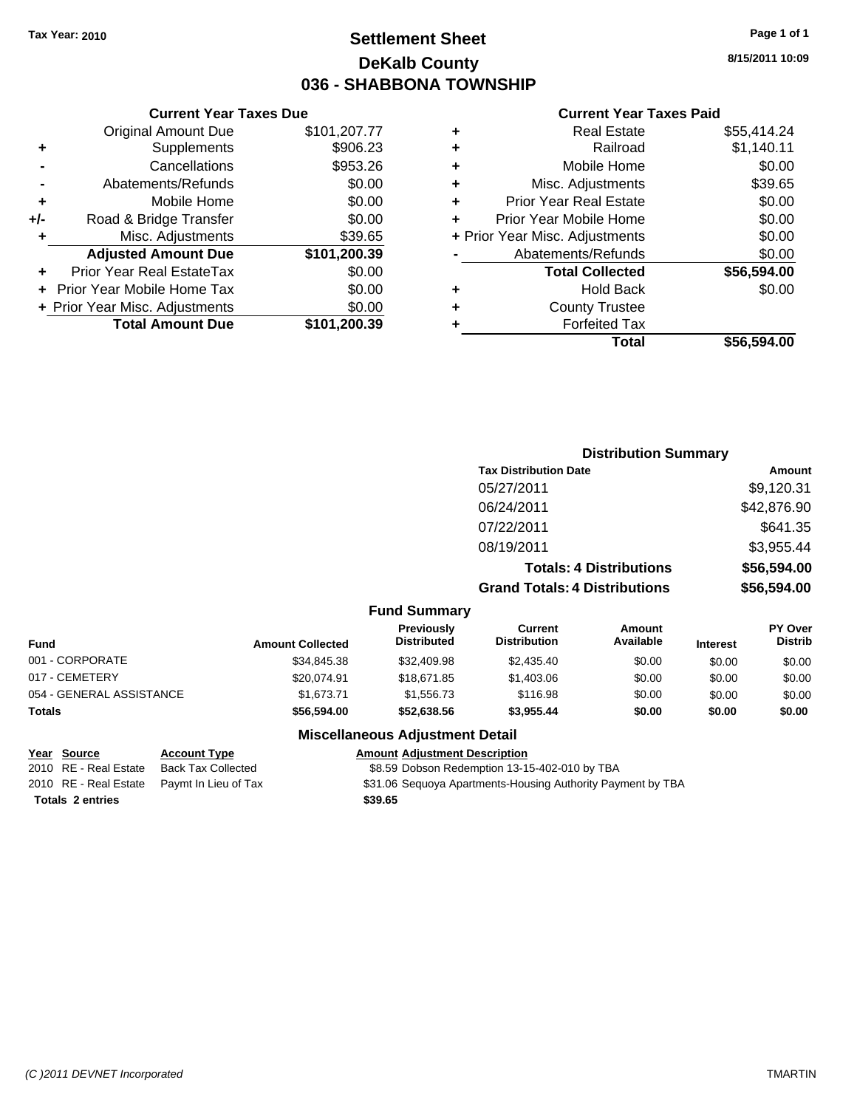## **Settlement Sheet Tax Year: 2010 Page 1 of 1 DeKalb County 036 - SHABBONA TOWNSHIP**

**8/15/2011 10:09**

#### **Current Year Taxes Paid**

| ٠ | <b>Real Estate</b>             | \$55,414.24 |
|---|--------------------------------|-------------|
| ٠ | Railroad                       | \$1,140.11  |
| ٠ | Mobile Home                    | \$0.00      |
| ÷ | Misc. Adjustments              | \$39.65     |
| ÷ | <b>Prior Year Real Estate</b>  | \$0.00      |
| ÷ | Prior Year Mobile Home         | \$0.00      |
|   | + Prior Year Misc. Adjustments | \$0.00      |
|   | Abatements/Refunds             | \$0.00      |
|   | <b>Total Collected</b>         | \$56,594.00 |
| ٠ | <b>Hold Back</b>               | \$0.00      |
| ٠ | <b>County Trustee</b>          |             |
| ٠ | <b>Forfeited Tax</b>           |             |
|   | Total                          | \$56.594.00 |

|     | <b>Current Year Taxes Due</b>    |              |
|-----|----------------------------------|--------------|
|     | <b>Original Amount Due</b>       | \$101,207.77 |
| ٠   | Supplements                      | \$906.23     |
|     | Cancellations                    | \$953.26     |
|     | Abatements/Refunds               | \$0.00       |
| ٠   | Mobile Home                      | \$0.00       |
| +/- | Road & Bridge Transfer           | \$0.00       |
| ٠   | Misc. Adjustments                | \$39.65      |
|     | <b>Adjusted Amount Due</b>       | \$101,200.39 |
|     | <b>Prior Year Real EstateTax</b> | \$0.00       |
|     | Prior Year Mobile Home Tax       | \$0.00       |
|     | + Prior Year Misc. Adjustments   | \$0.00       |
|     | <b>Total Amount Due</b>          | \$101,200.39 |

|                     | <b>Distribution Summary</b>          |             |
|---------------------|--------------------------------------|-------------|
|                     | <b>Tax Distribution Date</b>         | Amount      |
|                     | 05/27/2011                           | \$9,120.31  |
|                     | 06/24/2011                           | \$42,876.90 |
|                     | 07/22/2011                           | \$641.35    |
|                     | 08/19/2011                           | \$3,955.44  |
|                     | <b>Totals: 4 Distributions</b>       | \$56,594.00 |
|                     | <b>Grand Totals: 4 Distributions</b> | \$56,594.00 |
| <b>Fund Summary</b> |                                      |             |

| <b>Fund</b>              | <b>Amount Collected</b> | <b>Previously</b><br><b>Distributed</b> | Current<br><b>Distribution</b> | Amount<br>Available | <b>Interest</b> | <b>PY Over</b><br><b>Distrib</b> |
|--------------------------|-------------------------|-----------------------------------------|--------------------------------|---------------------|-----------------|----------------------------------|
| 001 - CORPORATE          | \$34,845.38             | \$32,409.98                             | \$2,435.40                     | \$0.00              | \$0.00          | \$0.00                           |
| 017 - CEMETERY           | \$20.074.91             | \$18,671.85                             | \$1,403.06                     | \$0.00              | \$0.00          | \$0.00                           |
| 054 - GENERAL ASSISTANCE | \$1.673.71              | \$1,556,73                              | \$116.98                       | \$0.00              | \$0.00          | \$0.00                           |
| Totals                   | \$56,594.00             | \$52.638.56                             | \$3.955.44                     | \$0.00              | \$0.00          | \$0.00                           |

### **Miscellaneous Adjustment Detail**

**Year Source Account Type Amount Adjustment Description** 2010 RE - Real Estate Back Tax Collected \$8.59 Dobson Redemption 13-15-402-010 by TBA 2010 RE - Real Estate Paymt In Lieu of Tax <br>\$31.06 Sequoya Apartments-Housing Authority Payment by TBA **Totals \$39.65 2 entries**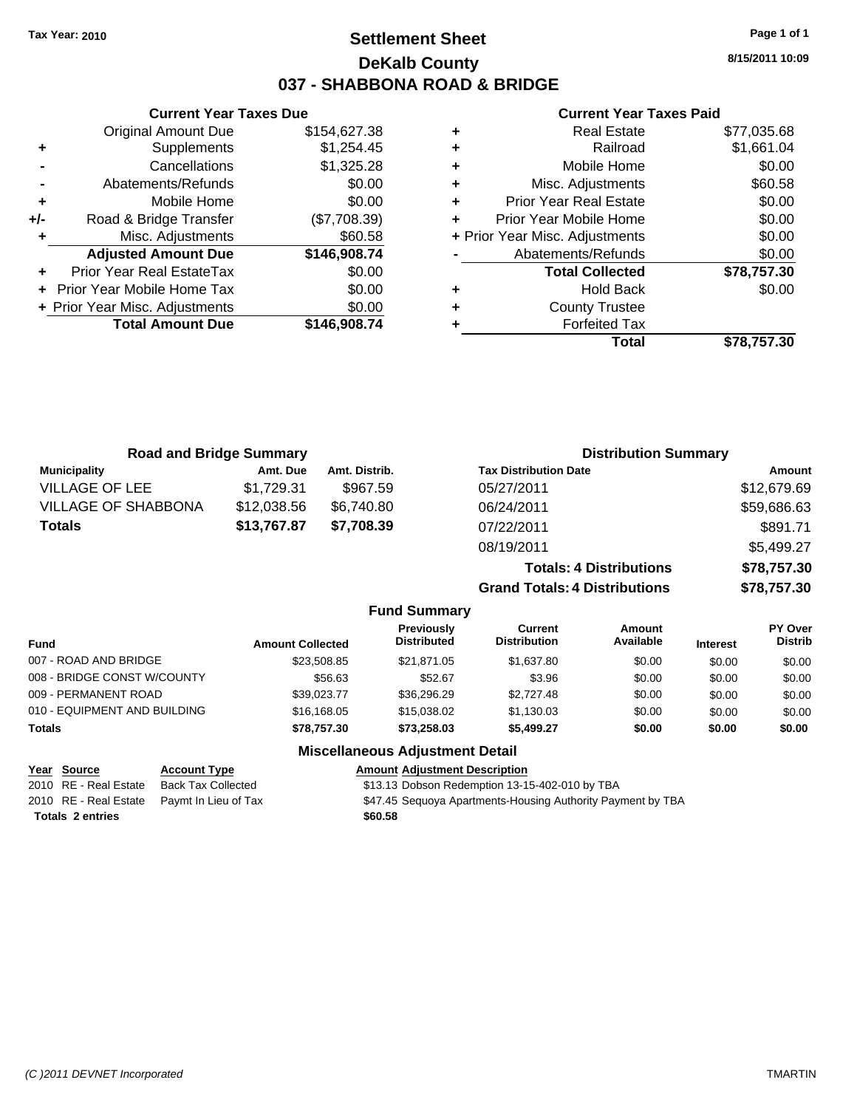## **Settlement Sheet Tax Year: 2010 Page 1 of 1 DeKalb County 037 - SHABBONA ROAD & BRIDGE**

**8/15/2011 10:09**

## **Current Year Taxes Paid**

|     | <b>Current Year Taxes Due</b>  |              |
|-----|--------------------------------|--------------|
|     | <b>Original Amount Due</b>     | \$154,627.38 |
| ٠   | Supplements                    | \$1,254.45   |
|     | Cancellations                  | \$1,325.28   |
|     | Abatements/Refunds             | \$0.00       |
| ٠   | Mobile Home                    | \$0.00       |
| +/- | Road & Bridge Transfer         | (\$7,708.39) |
| ٠   | Misc. Adjustments              | \$60.58      |
|     | <b>Adjusted Amount Due</b>     | \$146,908.74 |
|     | Prior Year Real EstateTax      | \$0.00       |
|     | Prior Year Mobile Home Tax     | \$0.00       |
|     | + Prior Year Misc. Adjustments | \$0.00       |
|     | <b>Total Amount Due</b>        | \$146,908.74 |
|     |                                |              |

|   | Total                          | \$78,757.30 |
|---|--------------------------------|-------------|
|   | <b>Forfeited Tax</b>           |             |
| ٠ | <b>County Trustee</b>          |             |
| ٠ | Hold Back                      | \$0.00      |
|   | <b>Total Collected</b>         | \$78,757.30 |
|   | Abatements/Refunds             | \$0.00      |
|   | + Prior Year Misc. Adjustments | \$0.00      |
|   | Prior Year Mobile Home         | \$0.00      |
| ٠ | <b>Prior Year Real Estate</b>  | \$0.00      |
| ٠ | Misc. Adjustments              | \$60.58     |
| ٠ | Mobile Home                    | \$0.00      |
| ٠ | Railroad                       | \$1,661.04  |
| ٠ | <b>Real Estate</b>             | \$77,035.68 |

| <b>Road and Bridge Summary</b> |             |               | <b>Distribution Summary</b>          |               |  |
|--------------------------------|-------------|---------------|--------------------------------------|---------------|--|
| <b>Municipality</b>            | Amt. Due    | Amt. Distrib. | <b>Tax Distribution Date</b>         | <b>Amount</b> |  |
| <b>VILLAGE OF LEE</b>          | \$1,729.31  | \$967.59      | 05/27/2011                           | \$12,679.69   |  |
| <b>VILLAGE OF SHABBONA</b>     | \$12,038.56 | \$6,740.80    | 06/24/2011                           | \$59,686.63   |  |
| <b>Totals</b>                  | \$13,767.87 | \$7,708.39    | 07/22/2011                           | \$891.71      |  |
|                                |             |               | 08/19/2011                           | \$5,499.27    |  |
|                                |             |               | <b>Totals: 4 Distributions</b>       | \$78,757.30   |  |
|                                |             |               | <b>Grand Totals: 4 Distributions</b> | \$78,757.30   |  |

|                              |                         | <b>Fund Summary</b>                     |                                |                            |                 |                                  |
|------------------------------|-------------------------|-----------------------------------------|--------------------------------|----------------------------|-----------------|----------------------------------|
| <b>Fund</b>                  | <b>Amount Collected</b> | <b>Previously</b><br><b>Distributed</b> | Current<br><b>Distribution</b> | <b>Amount</b><br>Available | <b>Interest</b> | <b>PY Over</b><br><b>Distrib</b> |
| 007 - ROAD AND BRIDGE        | \$23,508.85             | \$21,871.05                             | \$1,637.80                     | \$0.00                     | \$0.00          | \$0.00                           |
| 008 - BRIDGE CONST W/COUNTY  | \$56.63                 | \$52.67                                 | \$3.96                         | \$0.00                     | \$0.00          | \$0.00                           |
| 009 - PERMANENT ROAD         | \$39.023.77             | \$36,296.29                             | \$2,727.48                     | \$0.00                     | \$0.00          | \$0.00                           |
| 010 - EQUIPMENT AND BUILDING | \$16,168,05             | \$15,038.02                             | \$1,130.03                     | \$0.00                     | \$0.00          | \$0.00                           |
| <b>Totals</b>                | \$78.757.30             | \$73.258.03                             | \$5,499.27                     | \$0.00                     | \$0.00          | \$0.00                           |
|                              |                         | <b>Miscellaneous Adjustment Detail</b>  |                                |                            |                 |                                  |

| Year Source             | <b>Account Type</b>                        | <b>Amount Adiustment Description</b>                        |
|-------------------------|--------------------------------------------|-------------------------------------------------------------|
| 2010 RE - Real Estate   | Back Tax Collected                         | \$13.13 Dobson Redemption 13-15-402-010 by TBA              |
|                         | 2010 RE - Real Estate Paymt In Lieu of Tax | \$47.45 Seguoya Apartments-Housing Authority Payment by TBA |
| <b>Totals 2 entries</b> |                                            | \$60.58                                                     |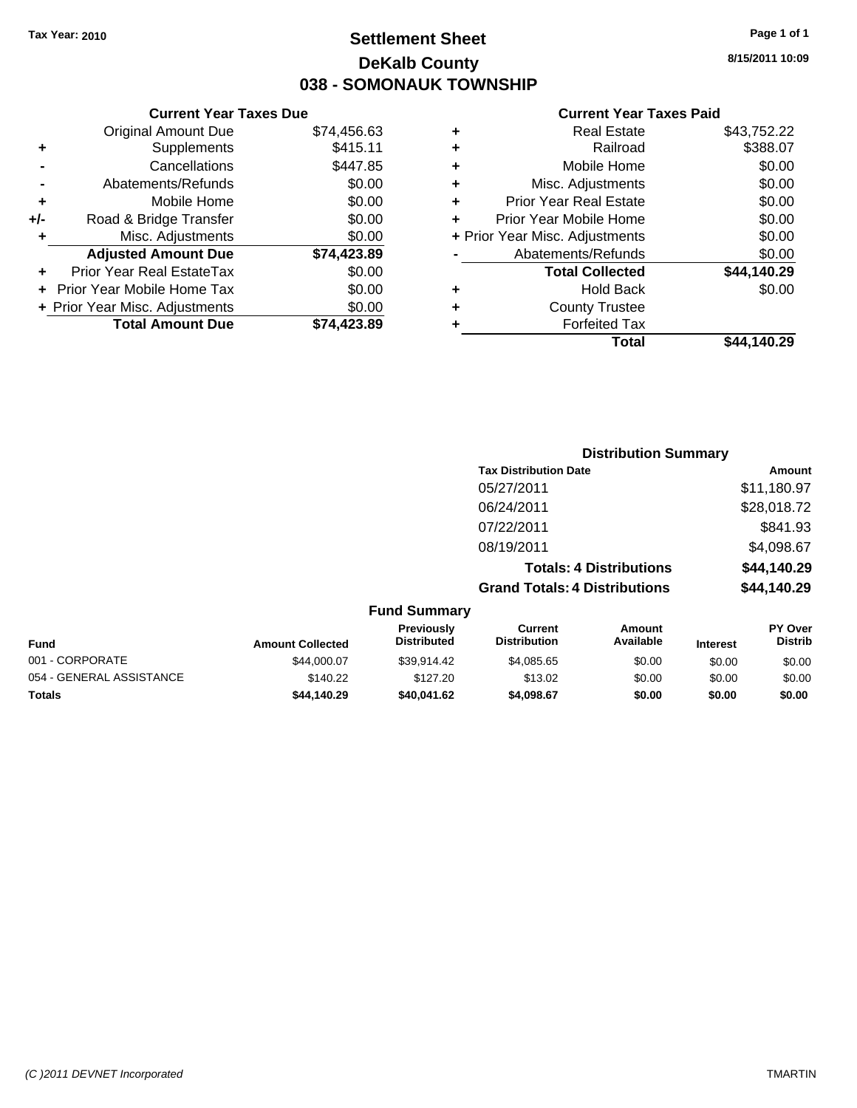## **Settlement Sheet Tax Year: 2010 Page 1 of 1 DeKalb County 038 - SOMONAUK TOWNSHIP**

**8/15/2011 10:09**

## **Current Year Taxes Paid**

|     | <b>Current Year Taxes Due</b>     |             |  |  |  |
|-----|-----------------------------------|-------------|--|--|--|
|     | <b>Original Amount Due</b>        | \$74,456.63 |  |  |  |
| ٠   | Supplements                       | \$415.11    |  |  |  |
|     | Cancellations                     | \$447.85    |  |  |  |
|     | Abatements/Refunds                | \$0.00      |  |  |  |
| ٠   | Mobile Home                       | \$0.00      |  |  |  |
| +/- | Road & Bridge Transfer            | \$0.00      |  |  |  |
| ٠   | Misc. Adjustments                 | \$0.00      |  |  |  |
|     | <b>Adjusted Amount Due</b>        | \$74,423.89 |  |  |  |
|     | Prior Year Real EstateTax         | \$0.00      |  |  |  |
|     | <b>Prior Year Mobile Home Tax</b> | \$0.00      |  |  |  |
|     | + Prior Year Misc. Adjustments    | \$0.00      |  |  |  |
|     | <b>Total Amount Due</b>           | \$74,423.89 |  |  |  |
|     |                                   |             |  |  |  |

| ٠ | <b>Real Estate</b>             | \$43,752.22 |
|---|--------------------------------|-------------|
| ٠ | Railroad                       | \$388.07    |
| ٠ | Mobile Home                    | \$0.00      |
| ٠ | Misc. Adjustments              | \$0.00      |
| ٠ | <b>Prior Year Real Estate</b>  | \$0.00      |
| ÷ | Prior Year Mobile Home         | \$0.00      |
|   | + Prior Year Misc. Adjustments | \$0.00      |
|   | Abatements/Refunds             | \$0.00      |
|   | <b>Total Collected</b>         | \$44,140.29 |
| ٠ | Hold Back                      | \$0.00      |
| ٠ | <b>County Trustee</b>          |             |
| ٠ | <b>Forfeited Tax</b>           |             |
|   | Total                          | \$44.140.29 |
|   |                                |             |

|                         |                                  |                                      | <b>Distribution Summary</b>    |                 |                                  |
|-------------------------|----------------------------------|--------------------------------------|--------------------------------|-----------------|----------------------------------|
|                         |                                  | <b>Tax Distribution Date</b>         |                                |                 | Amount                           |
|                         |                                  | 05/27/2011                           |                                |                 | \$11,180.97                      |
|                         |                                  | 06/24/2011                           |                                |                 | \$28,018.72                      |
|                         |                                  | 07/22/2011                           |                                |                 | \$841.93                         |
|                         |                                  | 08/19/2011                           |                                |                 | \$4,098.67                       |
|                         |                                  |                                      | <b>Totals: 4 Distributions</b> |                 | \$44,140.29                      |
|                         |                                  | <b>Grand Totals: 4 Distributions</b> |                                |                 | \$44,140.29                      |
|                         | <b>Fund Summary</b>              |                                      |                                |                 |                                  |
| <b>Amount Collected</b> | Previously<br><b>Distributed</b> | Current<br><b>Distribution</b>       | Amount<br>Available            | <b>Interest</b> | <b>PY Over</b><br><b>Distrib</b> |

| <b>Fund</b>              | <b>Amount Collected</b> | .<br><b>Distributed</b> | ------<br><b>Distribution</b> | ________<br>Available | <b>Interest</b> | .<br>Distrib |
|--------------------------|-------------------------|-------------------------|-------------------------------|-----------------------|-----------------|--------------|
| 001 - CORPORATE          | \$44,000.07             | \$39.914.42             | \$4.085.65                    | \$0.00                | \$0.00          | \$0.00       |
| 054 - GENERAL ASSISTANCE | \$140.22                | \$127.20                | \$13.02                       | \$0.00                | \$0.00          | \$0.00       |
| <b>Totals</b>            | \$44,140.29             | \$40.041.62             | \$4,098.67                    | \$0.00                | \$0.00          | \$0.00       |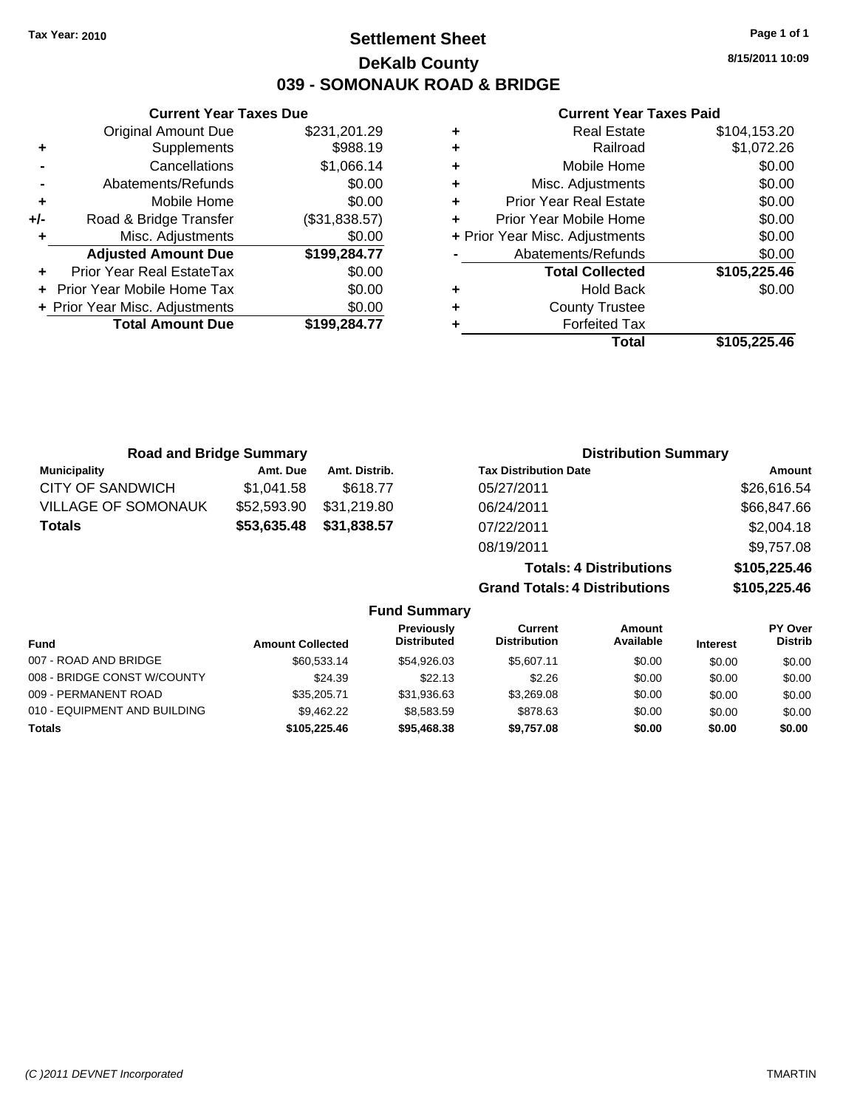## **Settlement Sheet Tax Year: 2010 Page 1 of 1 DeKalb County 039 - SOMONAUK ROAD & BRIDGE**

**8/15/2011 10:09**

## **Current Year Taxes Paid**

| ٠ | Railroad                       | \$1,072.26   |
|---|--------------------------------|--------------|
| ÷ | Mobile Home                    | \$0.00       |
| ٠ | Misc. Adjustments              | \$0.00       |
| ٠ | <b>Prior Year Real Estate</b>  | \$0.00       |
| ÷ | Prior Year Mobile Home         | \$0.00       |
|   | + Prior Year Misc. Adjustments | \$0.00       |
|   | Abatements/Refunds             | \$0.00       |
|   | <b>Total Collected</b>         | \$105,225.46 |
|   |                                |              |
| ٠ | <b>Hold Back</b>               | \$0.00       |
| ٠ | <b>County Trustee</b>          |              |
|   | <b>Forfeited Tax</b>           |              |

|     | <b>Total Amount Due</b>        | \$199,284.77  |
|-----|--------------------------------|---------------|
|     | + Prior Year Misc. Adjustments | \$0.00        |
|     | Prior Year Mobile Home Tax     | \$0.00        |
|     | Prior Year Real EstateTax      | \$0.00        |
|     | <b>Adjusted Amount Due</b>     | \$199,284.77  |
| ÷   | Misc. Adjustments              | \$0.00        |
| +/- | Road & Bridge Transfer         | (\$31,838.57) |
| ÷   | Mobile Home                    | \$0.00        |
|     | Abatements/Refunds             | \$0.00        |
|     | Cancellations                  | \$1,066.14    |
| ٠   | Supplements                    | \$988.19      |
|     | <b>Original Amount Due</b>     | \$231,201.29  |

**Current Year Taxes Due**

| <b>Road and Bridge Summary</b> |             |               | <b>Distribution Summary</b>    |              |
|--------------------------------|-------------|---------------|--------------------------------|--------------|
| <b>Municipality</b>            | Amt. Due    | Amt. Distrib. | <b>Tax Distribution Date</b>   | Amount       |
| CITY OF SANDWICH               | \$1,041.58  | \$618.77      | 05/27/2011                     | \$26,616.54  |
| <b>VILLAGE OF SOMONAUK</b>     | \$52,593.90 | \$31,219.80   | 06/24/2011                     | \$66,847.66  |
| <b>Totals</b>                  | \$53,635.48 | \$31,838.57   | 07/22/2011                     | \$2,004.18   |
|                                |             |               | 08/19/2011                     | \$9,757.08   |
|                                |             |               | <b>Totals: 4 Distributions</b> | \$105,225.46 |

**Grand Totals: 4 Distributions \$105,225.46**

|                              |                         | <b>Fund Summary</b>              |                                |                     |                 |                                  |
|------------------------------|-------------------------|----------------------------------|--------------------------------|---------------------|-----------------|----------------------------------|
| Fund                         | <b>Amount Collected</b> | Previously<br><b>Distributed</b> | Current<br><b>Distribution</b> | Amount<br>Available | <b>Interest</b> | <b>PY Over</b><br><b>Distrib</b> |
| 007 - ROAD AND BRIDGE        | \$60,533,14             | \$54.926.03                      | \$5.607.11                     | \$0.00              | \$0.00          | \$0.00                           |
| 008 - BRIDGE CONST W/COUNTY  | \$24.39                 | \$22.13                          | \$2.26                         | \$0.00              | \$0.00          | \$0.00                           |
| 009 - PERMANENT ROAD         | \$35,205.71             | \$31,936.63                      | \$3,269.08                     | \$0.00              | \$0.00          | \$0.00                           |
| 010 - EQUIPMENT AND BUILDING | \$9.462.22              | \$8,583,59                       | \$878.63                       | \$0.00              | \$0.00          | \$0.00                           |
| <b>Totals</b>                | \$105,225,46            | \$95,468.38                      | \$9,757.08                     | \$0.00              | \$0.00          | \$0.00                           |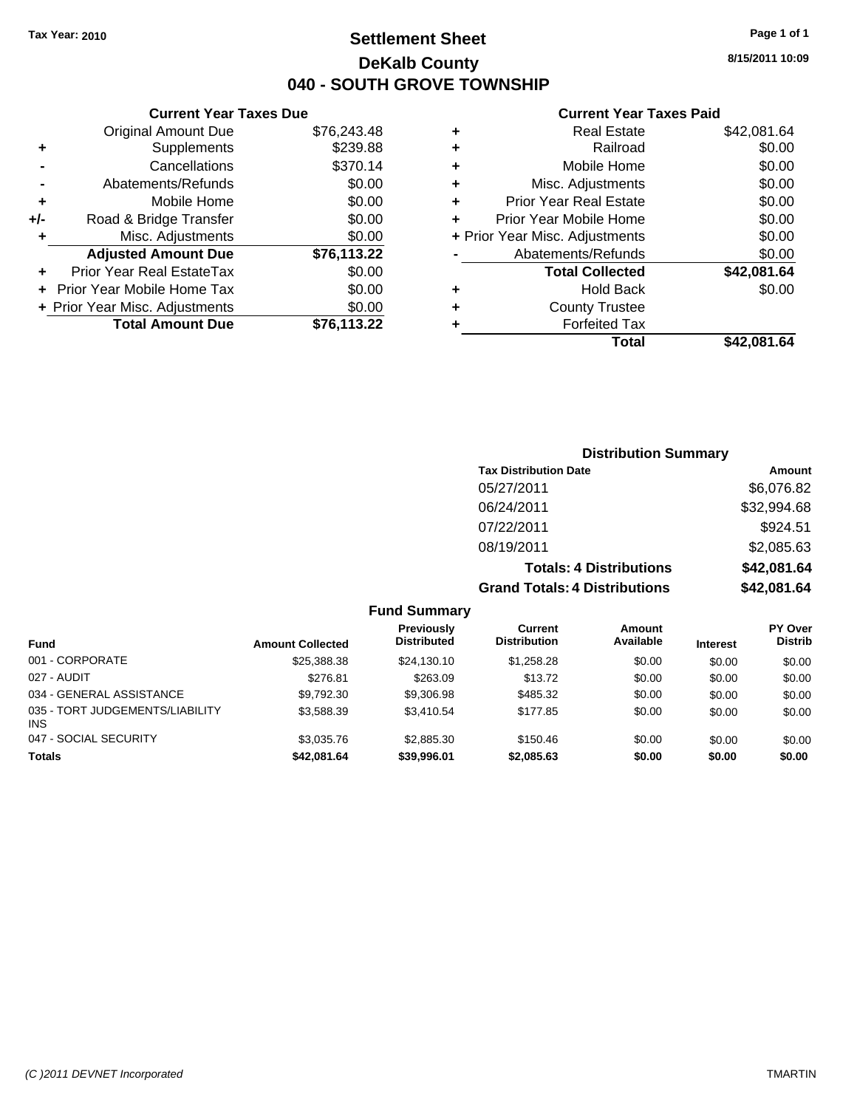## **Settlement Sheet Tax Year: 2010 Page 1 of 1 DeKalb County 040 - SOUTH GROVE TOWNSHIP**

**8/15/2011 10:09**

## **Current Year Taxes Paid**

|   | Total                          | \$42,081.64 |
|---|--------------------------------|-------------|
|   | <b>Forfeited Tax</b>           |             |
| ٠ | <b>County Trustee</b>          |             |
| ٠ | <b>Hold Back</b>               | \$0.00      |
|   | <b>Total Collected</b>         | \$42,081.64 |
|   | Abatements/Refunds             | \$0.00      |
|   | + Prior Year Misc. Adjustments | \$0.00      |
|   | Prior Year Mobile Home         | \$0.00      |
| ٠ | <b>Prior Year Real Estate</b>  | \$0.00      |
| ٠ | Misc. Adjustments              | \$0.00      |
| ٠ | Mobile Home                    | \$0.00      |
| ٠ | Railroad                       | \$0.00      |
| ٠ | <b>Real Estate</b>             | \$42,081.64 |

|     | <b>Current Year Taxes Due</b>  |             |
|-----|--------------------------------|-------------|
|     | <b>Original Amount Due</b>     | \$76,243.48 |
| ٠   | Supplements                    | \$239.88    |
|     | Cancellations                  | \$370.14    |
|     | Abatements/Refunds             | \$0.00      |
| ٠   | Mobile Home                    | \$0.00      |
| +/- | Road & Bridge Transfer         | \$0.00      |
| ٠   | Misc. Adjustments              | \$0.00      |
|     | <b>Adjusted Amount Due</b>     | \$76,113.22 |
|     | Prior Year Real EstateTax      | \$0.00      |
|     | Prior Year Mobile Home Tax     | \$0.00      |
|     | + Prior Year Misc. Adjustments | \$0.00      |
|     | <b>Total Amount Due</b>        | \$76,113.22 |

# **Distribution Summary**

| <b>Tax Distribution Date</b>         | Amount      |
|--------------------------------------|-------------|
| 05/27/2011                           | \$6,076.82  |
| 06/24/2011                           | \$32,994.68 |
| 07/22/2011                           | \$924.51    |
| 08/19/2011                           | \$2,085.63  |
| <b>Totals: 4 Distributions</b>       | \$42,081.64 |
| <b>Grand Totals: 4 Distributions</b> | \$42,081.64 |

**Fund Summary**

| <b>Fund</b>                            | <b>Amount Collected</b> | <b>Previously</b><br><b>Distributed</b> | Current<br><b>Distribution</b> | Amount<br>Available | <b>Interest</b> | PY Over<br><b>Distrib</b> |
|----------------------------------------|-------------------------|-----------------------------------------|--------------------------------|---------------------|-----------------|---------------------------|
| 001 - CORPORATE                        | \$25,388.38             | \$24.130.10                             | \$1.258.28                     | \$0.00              | \$0.00          | \$0.00                    |
| 027 - AUDIT                            | \$276.81                | \$263.09                                | \$13.72                        | \$0.00              | \$0.00          | \$0.00                    |
| 034 - GENERAL ASSISTANCE               | \$9.792.30              | \$9,306.98                              | \$485.32                       | \$0.00              | \$0.00          | \$0.00                    |
| 035 - TORT JUDGEMENTS/LIABILITY<br>INS | \$3.588.39              | \$3,410.54                              | \$177.85                       | \$0.00              | \$0.00          | \$0.00                    |
| 047 - SOCIAL SECURITY                  | \$3.035.76              | \$2,885.30                              | \$150.46                       | \$0.00              | \$0.00          | \$0.00                    |
| <b>Totals</b>                          | \$42.081.64             | \$39,996.01                             | \$2,085.63                     | \$0.00              | \$0.00          | \$0.00                    |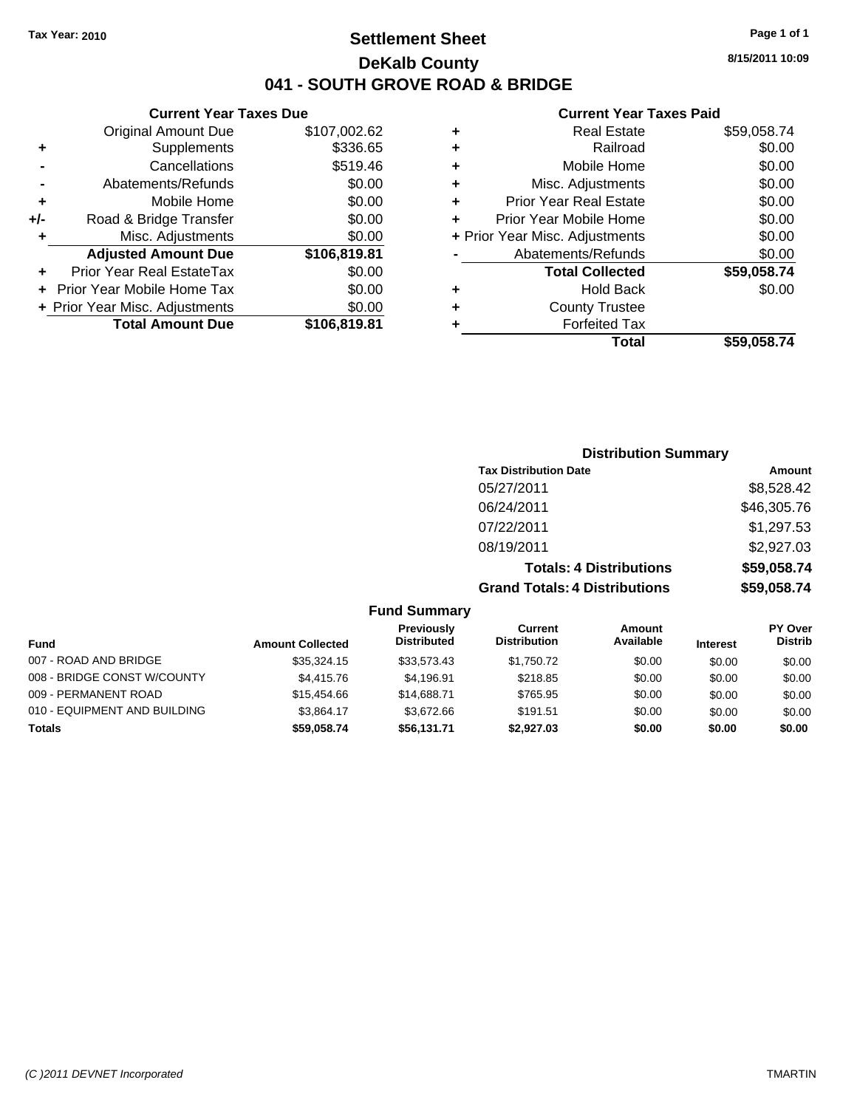## **Settlement Sheet Tax Year: 2010 Page 1 of 1 DeKalb County 041 - SOUTH GROVE ROAD & BRIDGE**

## **Current Year Taxes Due**

|     | <b>Original Amount Due</b>       | \$107,002.62 |
|-----|----------------------------------|--------------|
| ٠   | Supplements                      | \$336.65     |
|     | Cancellations                    | \$519.46     |
|     | Abatements/Refunds               | \$0.00       |
| ٠   | Mobile Home                      | \$0.00       |
| +/- | Road & Bridge Transfer           | \$0.00       |
|     | Misc. Adjustments                | \$0.00       |
|     |                                  |              |
|     | <b>Adjusted Amount Due</b>       | \$106,819.81 |
|     | <b>Prior Year Real EstateTax</b> | \$0.00       |
|     | Prior Year Mobile Home Tax       | \$0.00       |
|     | + Prior Year Misc. Adjustments   | \$0.00       |
|     | <b>Total Amount Due</b>          | \$106,819.81 |

#### **Current Year Taxes Paid**

|   | <b>Real Estate</b>             | \$59,058.74 |
|---|--------------------------------|-------------|
| ٠ | Railroad                       | \$0.00      |
| ٠ | Mobile Home                    | \$0.00      |
| ٠ | Misc. Adjustments              | \$0.00      |
| ٠ | <b>Prior Year Real Estate</b>  | \$0.00      |
|   | Prior Year Mobile Home         | \$0.00      |
|   | + Prior Year Misc. Adjustments | \$0.00      |
|   | Abatements/Refunds             | \$0.00      |
|   | <b>Total Collected</b>         | \$59,058.74 |
| ٠ | <b>Hold Back</b>               | \$0.00      |
| ٠ | <b>County Trustee</b>          |             |
| ٠ | <b>Forfeited Tax</b>           |             |
|   | Total                          | \$59,058.74 |
|   |                                |             |

## **Distribution Summary Tax Distribution Date Amount** 05/27/2011 \$8,528.42 06/24/2011 \$46,305.76 07/22/2011 \$1,297.53 08/19/2011 \$2,927.03 **Totals: 4 Distributions \$59,058.74**

**Grand Totals: 4 Distributions \$59,058.74**

|                              | <b>Fund Summary</b>     |                                         |                                |                     |                 |                                  |
|------------------------------|-------------------------|-----------------------------------------|--------------------------------|---------------------|-----------------|----------------------------------|
| <b>Fund</b>                  | <b>Amount Collected</b> | <b>Previously</b><br><b>Distributed</b> | Current<br><b>Distribution</b> | Amount<br>Available | <b>Interest</b> | <b>PY Over</b><br><b>Distrib</b> |
| 007 - ROAD AND BRIDGE        | \$35,324.15             | \$33,573,43                             | \$1,750.72                     | \$0.00              | \$0.00          | \$0.00                           |
| 008 - BRIDGE CONST W/COUNTY  | \$4,415.76              | \$4,196.91                              | \$218.85                       | \$0.00              | \$0.00          | \$0.00                           |
| 009 - PERMANENT ROAD         | \$15,454.66             | \$14.688.71                             | \$765.95                       | \$0.00              | \$0.00          | \$0.00                           |
| 010 - EQUIPMENT AND BUILDING | \$3.864.17              | \$3,672.66                              | \$191.51                       | \$0.00              | \$0.00          | \$0.00                           |
| <b>Totals</b>                | \$59.058.74             | \$56,131.71                             | \$2,927.03                     | \$0.00              | \$0.00          | \$0.00                           |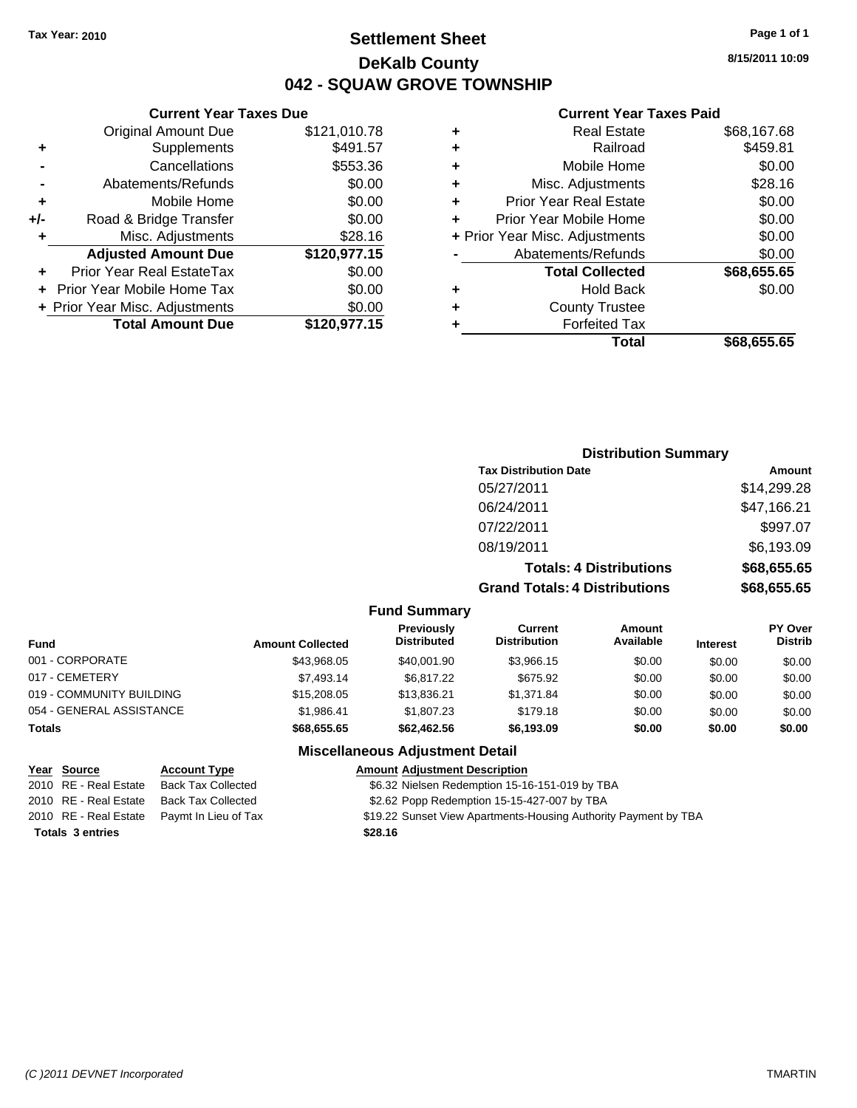## **Settlement Sheet Tax Year: 2010 Page 1 of 1 DeKalb County 042 - SQUAW GROVE TOWNSHIP**

**8/15/2011 10:09**

## **Current Year Taxes Paid**

| ٠ | <b>Real Estate</b>             | \$68,167.68 |
|---|--------------------------------|-------------|
| ٠ | Railroad                       | \$459.81    |
| ٠ | Mobile Home                    | \$0.00      |
| ٠ | Misc. Adjustments              | \$28.16     |
| ٠ | <b>Prior Year Real Estate</b>  | \$0.00      |
| ÷ | Prior Year Mobile Home         | \$0.00      |
|   | + Prior Year Misc. Adjustments | \$0.00      |
|   | Abatements/Refunds             | \$0.00      |
|   | <b>Total Collected</b>         | \$68,655.65 |
| ٠ | <b>Hold Back</b>               | \$0.00      |
| ٠ | <b>County Trustee</b>          |             |
|   | <b>Forfeited Tax</b>           |             |
|   | Total                          | \$68.655.65 |

|     | <b>Current Year Taxes Due</b>  |              |
|-----|--------------------------------|--------------|
|     | <b>Original Amount Due</b>     | \$121,010.78 |
| ٠   | Supplements                    | \$491.57     |
|     | Cancellations                  | \$553.36     |
|     | Abatements/Refunds             | \$0.00       |
| ٠   | Mobile Home                    | \$0.00       |
| +/- | Road & Bridge Transfer         | \$0.00       |
| ٠   | Misc. Adjustments              | \$28.16      |
|     | <b>Adjusted Amount Due</b>     | \$120,977.15 |
|     | Prior Year Real EstateTax      | \$0.00       |
|     | Prior Year Mobile Home Tax     | \$0.00       |
|     | + Prior Year Misc. Adjustments | \$0.00       |
|     | <b>Total Amount Due</b>        | \$120,977.15 |

| <b>Distribution Summary</b>          |             |
|--------------------------------------|-------------|
| <b>Tax Distribution Date</b>         | Amount      |
| 05/27/2011                           | \$14,299.28 |
| 06/24/2011                           | \$47,166.21 |
| 07/22/2011                           | \$997.07    |
| 08/19/2011                           | \$6,193.09  |
| <b>Totals: 4 Distributions</b>       | \$68,655.65 |
| <b>Grand Totals: 4 Distributions</b> | \$68,655.65 |
|                                      |             |

**Fund Summary**

| <b>Fund</b>              | <b>Amount Collected</b> | <b>Previously</b><br><b>Distributed</b> | Current<br><b>Distribution</b> | Amount<br>Available | <b>Interest</b> | <b>PY Over</b><br><b>Distrib</b> |
|--------------------------|-------------------------|-----------------------------------------|--------------------------------|---------------------|-----------------|----------------------------------|
|                          |                         |                                         |                                |                     |                 |                                  |
| 001 - CORPORATE          | \$43,968.05             | \$40,001.90                             | \$3,966.15                     | \$0.00              | \$0.00          | \$0.00                           |
| 017 - CEMETERY           | \$7.493.14              | \$6.817.22                              | \$675.92                       | \$0.00              | \$0.00          | \$0.00                           |
| 019 - COMMUNITY BUILDING | \$15,208.05             | \$13.836.21                             | \$1.371.84                     | \$0.00              | \$0.00          | \$0.00                           |
| 054 - GENERAL ASSISTANCE | \$1.986.41              | \$1,807.23                              | \$179.18                       | \$0.00              | \$0.00          | \$0.00                           |
| Totals                   | \$68,655.65             | \$62,462.56                             | \$6,193.09                     | \$0.00              | \$0.00          | \$0.00                           |

## **Miscellaneous Adjustment Detail**

| Year Source             | <b>Account Type</b>                        | <b>Amount Adjustment Description</b>                            |
|-------------------------|--------------------------------------------|-----------------------------------------------------------------|
| 2010 RE - Real Estate   | Back Tax Collected                         | \$6.32 Nielsen Redemption 15-16-151-019 by TBA                  |
|                         | 2010 RE - Real Estate Back Tax Collected   | \$2.62 Popp Redemption 15-15-427-007 by TBA                     |
|                         | 2010 RE - Real Estate Paymt In Lieu of Tax | \$19.22 Sunset View Apartments-Housing Authority Payment by TBA |
| <b>Totals 3 entries</b> |                                            | \$28.16                                                         |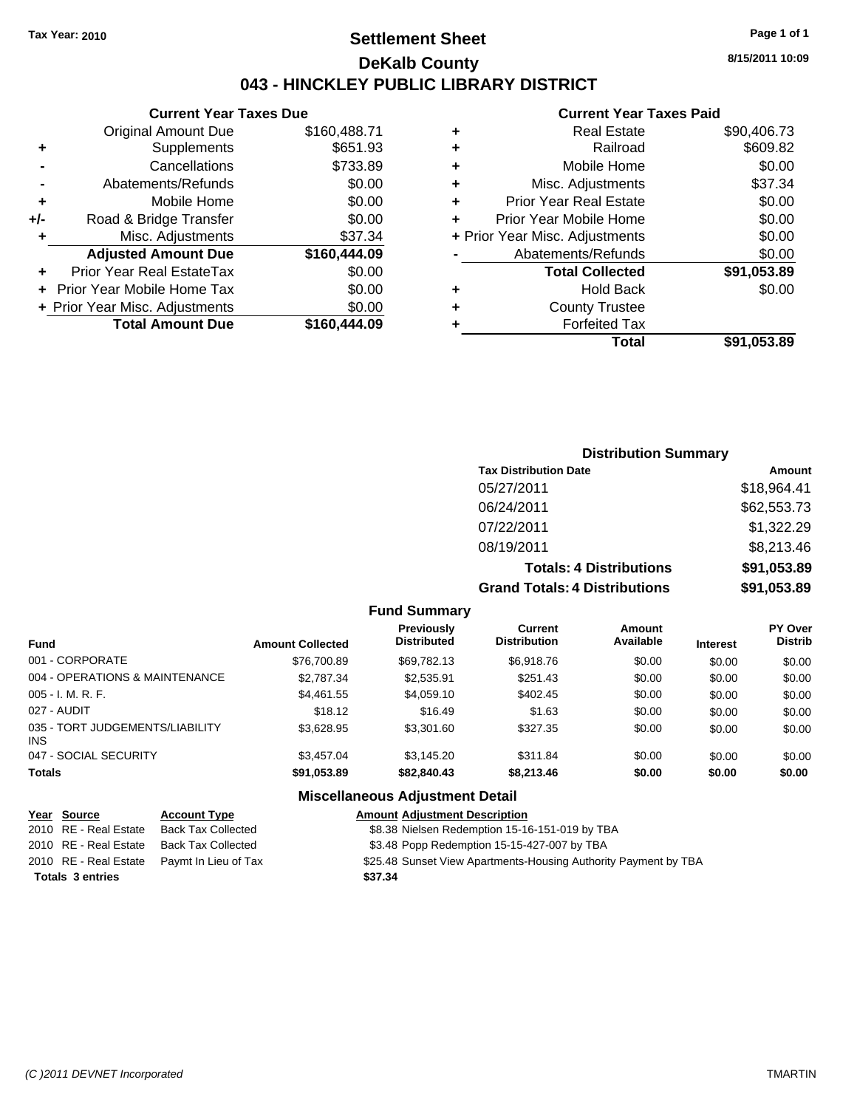## **Settlement Sheet Tax Year: 2010 Page 1 of 1 DeKalb County 043 - HINCKLEY PUBLIC LIBRARY DISTRICT**

**Current Year Taxes Due**

|       | <b>Original Amount Due</b>     | \$160,488.71 |
|-------|--------------------------------|--------------|
| ÷     | Supplements                    | \$651.93     |
|       | Cancellations                  | \$733.89     |
|       | Abatements/Refunds             | \$0.00       |
| ÷     | Mobile Home                    | \$0.00       |
| $+/-$ | Road & Bridge Transfer         | \$0.00       |
|       | Misc. Adjustments              | \$37.34      |
|       | <b>Adjusted Amount Due</b>     | \$160,444.09 |
|       | Prior Year Real EstateTax      | \$0.00       |
|       | Prior Year Mobile Home Tax     | \$0.00       |
|       | + Prior Year Misc. Adjustments | \$0.00       |
|       | <b>Total Amount Due</b>        | \$160,444.09 |

#### **Current Year Taxes Paid**

| ٠ | <b>Real Estate</b>             | \$90,406.73 |
|---|--------------------------------|-------------|
| ٠ | Railroad                       | \$609.82    |
| ٠ | Mobile Home                    | \$0.00      |
| ٠ | Misc. Adjustments              | \$37.34     |
| ٠ | <b>Prior Year Real Estate</b>  | \$0.00      |
| ٠ | Prior Year Mobile Home         | \$0.00      |
|   | + Prior Year Misc. Adjustments | \$0.00      |
|   | Abatements/Refunds             | \$0.00      |
|   | <b>Total Collected</b>         | \$91,053.89 |
| ٠ | <b>Hold Back</b>               | \$0.00      |
| ٠ | <b>County Trustee</b>          |             |
| ٠ | <b>Forfeited Tax</b>           |             |
|   | Total                          | \$91,053.89 |
|   |                                |             |

## **Distribution Summary Tax Distribution Date Amount** 05/27/2011 \$18,964.41 06/24/2011 \$62,553.73 07/22/2011 \$1,322.29 08/19/2011 \$8,213.46 **Totals: 4 Distributions \$91,053.89 Grand Totals: 4 Distributions \$91,053.89**

#### **Fund Summary**

| <b>Fund</b>                             | <b>Amount Collected</b> | <b>Previously</b><br><b>Distributed</b> | Current<br><b>Distribution</b> | Amount<br>Available | <b>Interest</b> | <b>PY Over</b><br><b>Distrib</b> |
|-----------------------------------------|-------------------------|-----------------------------------------|--------------------------------|---------------------|-----------------|----------------------------------|
| 001 - CORPORATE                         | \$76,700.89             | \$69,782.13                             | \$6,918.76                     | \$0.00              | \$0.00          | \$0.00                           |
| 004 - OPERATIONS & MAINTENANCE          | \$2,787.34              | \$2,535.91                              | \$251.43                       | \$0.00              | \$0.00          | \$0.00                           |
| 005 - I. M. R. F.                       | \$4.461.55              | \$4,059.10                              | \$402.45                       | \$0.00              | \$0.00          | \$0.00                           |
| 027 - AUDIT                             | \$18.12                 | \$16.49                                 | \$1.63                         | \$0.00              | \$0.00          | \$0.00                           |
| 035 - TORT JUDGEMENTS/LIABILITY<br>INS. | \$3.628.95              | \$3,301.60                              | \$327.35                       | \$0.00              | \$0.00          | \$0.00                           |
| 047 - SOCIAL SECURITY                   | \$3,457.04              | \$3,145.20                              | \$311.84                       | \$0.00              | \$0.00          | \$0.00                           |
| <b>Totals</b>                           | \$91,053.89             | \$82,840.43                             | \$8,213.46                     | \$0.00              | \$0.00          | \$0.00                           |

## **Miscellaneous Adjustment Detail**

| Year Source             | <b>Account Type</b>                        | <b>Amount Adjustment Description</b>                            |
|-------------------------|--------------------------------------------|-----------------------------------------------------------------|
| 2010 RE - Real Estate   | Back Tax Collected                         | \$8.38 Nielsen Redemption 15-16-151-019 by TBA                  |
|                         | 2010 RE - Real Estate Back Tax Collected   | \$3.48 Popp Redemption 15-15-427-007 by TBA                     |
|                         | 2010 RE - Real Estate Paymt In Lieu of Tax | \$25.48 Sunset View Apartments-Housing Authority Payment by TBA |
| <b>Totals 3 entries</b> |                                            | \$37.34                                                         |

**8/15/2011 10:09**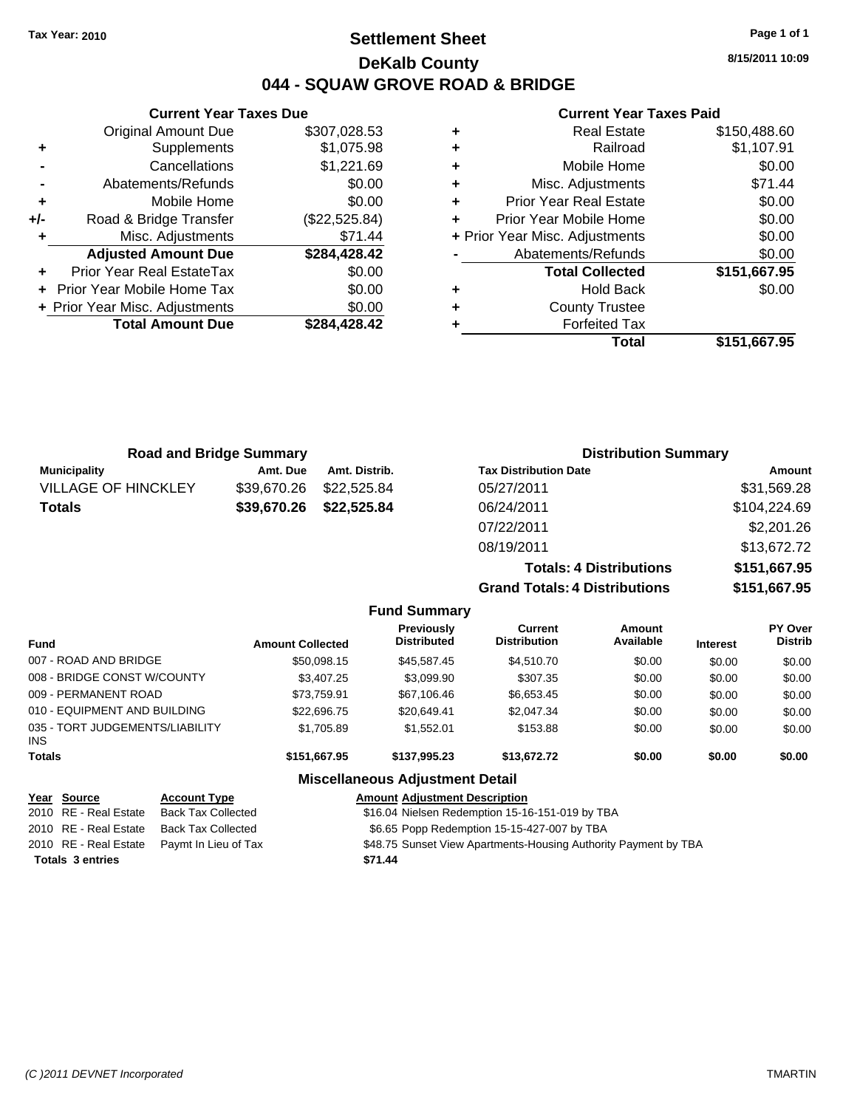## **Settlement Sheet Tax Year: 2010 Page 1 of 1 DeKalb County 044 - SQUAW GROVE ROAD & BRIDGE**

**8/15/2011 10:09**

#### **Current Year Taxes Paid**

|     | <b>Current Year Taxes Due</b>  |               |   |
|-----|--------------------------------|---------------|---|
|     | <b>Original Amount Due</b>     | \$307,028.53  |   |
|     | Supplements                    | \$1,075.98    | ٠ |
|     | Cancellations                  | \$1,221.69    | ٠ |
|     | Abatements/Refunds             | \$0.00        | ٠ |
|     | Mobile Home                    | \$0.00        | ٠ |
| +/- | Road & Bridge Transfer         | (\$22,525.84) |   |
|     | Misc. Adjustments              | \$71.44       |   |
|     | <b>Adjusted Amount Due</b>     | \$284,428.42  |   |
|     | Prior Year Real EstateTax      | \$0.00        |   |
|     | Prior Year Mobile Home Tax     | \$0.00        | ٠ |
|     | + Prior Year Misc. Adjustments | \$0.00        |   |
|     | <b>Total Amount Due</b>        | \$284,428.42  |   |
|     |                                |               |   |

| ٠ | <b>Real Estate</b>             | \$150,488.60 |
|---|--------------------------------|--------------|
| ٠ | Railroad                       | \$1,107.91   |
| ٠ | Mobile Home                    | \$0.00       |
| ٠ | Misc. Adjustments              | \$71.44      |
| ÷ | <b>Prior Year Real Estate</b>  | \$0.00       |
| ٠ | Prior Year Mobile Home         | \$0.00       |
|   | + Prior Year Misc. Adjustments | \$0.00       |
|   | Abatements/Refunds             | \$0.00       |
|   | <b>Total Collected</b>         | \$151,667.95 |
| ٠ | <b>Hold Back</b>               | \$0.00       |
| ٠ | <b>County Trustee</b>          |              |
| ٠ | <b>Forfeited Tax</b>           |              |
|   | Total                          | \$151,667.95 |

**Totals: 4 Distributions \$151,667.95**

**Grand Totals: 4 Distributions \$151,667.95**

| <b>Road and Bridge Summary</b> |             |               | <b>Distribution Summary</b>  |              |  |
|--------------------------------|-------------|---------------|------------------------------|--------------|--|
| <b>Municipality</b>            | Amt. Due    | Amt. Distrib. | <b>Tax Distribution Date</b> | Amount       |  |
| <b>VILLAGE OF HINCKLEY</b>     | \$39,670.26 | \$22.525.84   | 05/27/2011                   | \$31,569.28  |  |
| <b>Totals</b>                  | \$39,670.26 | \$22,525.84   | 06/24/2011                   | \$104,224.69 |  |
|                                |             |               | 07/22/2011                   | \$2,201.26   |  |
|                                |             |               | 08/19/2011                   | \$13,672.72  |  |

| <b>Fund Summary</b>                     |                         |                                         |                                       |                     |                 |                                  |  |
|-----------------------------------------|-------------------------|-----------------------------------------|---------------------------------------|---------------------|-----------------|----------------------------------|--|
| <b>Fund</b>                             | <b>Amount Collected</b> | <b>Previously</b><br><b>Distributed</b> | <b>Current</b><br><b>Distribution</b> | Amount<br>Available | <b>Interest</b> | <b>PY Over</b><br><b>Distrib</b> |  |
| 007 - ROAD AND BRIDGE                   | \$50,098.15             | \$45,587.45                             | \$4,510.70                            | \$0.00              | \$0.00          | \$0.00                           |  |
| 008 - BRIDGE CONST W/COUNTY             | \$3,407.25              | \$3,099.90                              | \$307.35                              | \$0.00              | \$0.00          | \$0.00                           |  |
| 009 - PERMANENT ROAD                    | \$73,759.91             | \$67,106.46                             | \$6,653.45                            | \$0.00              | \$0.00          | \$0.00                           |  |
| 010 - EQUIPMENT AND BUILDING            | \$22,696.75             | \$20,649.41                             | \$2,047.34                            | \$0.00              | \$0.00          | \$0.00                           |  |
| 035 - TORT JUDGEMENTS/LIABILITY<br>INS. | \$1,705.89              | \$1,552.01                              | \$153.88                              | \$0.00              | \$0.00          | \$0.00                           |  |
| <b>Totals</b>                           | \$151,667.95            | \$137.995.23                            | \$13,672.72                           | \$0.00              | \$0.00          | \$0.00                           |  |
|                                         |                         | <b>Miscellaneous Adjustment Detail</b>  |                                       |                     |                 |                                  |  |

| Year Source             | <b>Account Type</b>                        | <b>Amount Adjustment Description</b>                            |
|-------------------------|--------------------------------------------|-----------------------------------------------------------------|
| 2010 RE - Real Estate   | <b>Back Tax Collected</b>                  | \$16.04 Nielsen Redemption 15-16-151-019 by TBA                 |
| 2010 RE - Real Estate   | Back Tax Collected                         | \$6.65 Popp Redemption 15-15-427-007 by TBA                     |
|                         | 2010 RE - Real Estate Paymt In Lieu of Tax | \$48.75 Sunset View Apartments-Housing Authority Payment by TBA |
| <b>Totals 3 entries</b> |                                            | \$71.44                                                         |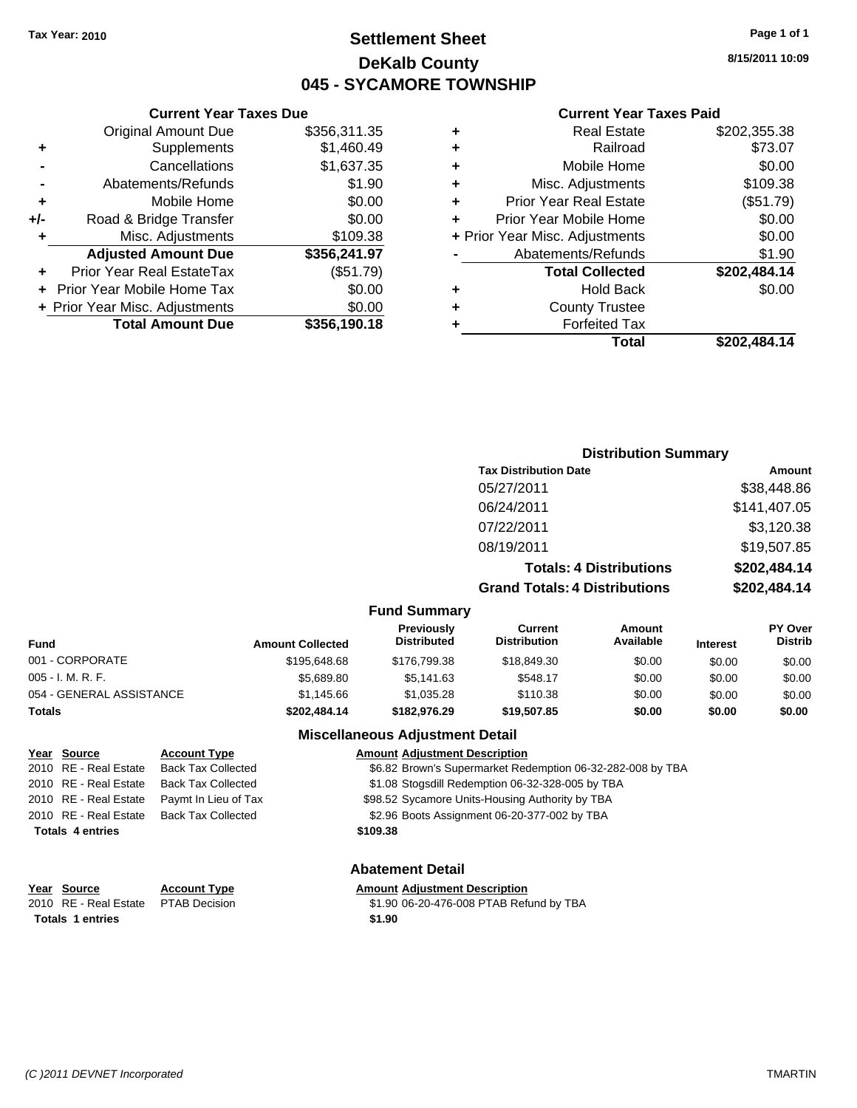## **Settlement Sheet Tax Year: 2010 Page 1 of 1 DeKalb County 045 - SYCAMORE TOWNSHIP**

#### **Current Year Taxes Due**

| \$1,460.49   |
|--------------|
|              |
| \$1,637.35   |
| \$1.90       |
| \$0.00       |
| \$0.00       |
| \$109.38     |
| \$356,241.97 |
| (\$51.79)    |
| \$0.00       |
|              |
| \$0.00       |
|              |

#### **Current Year Taxes Paid**

| ٠ | <b>Real Estate</b>             | \$202,355.38 |
|---|--------------------------------|--------------|
| ٠ | Railroad                       | \$73.07      |
| ٠ | Mobile Home                    | \$0.00       |
| ٠ | Misc. Adjustments              | \$109.38     |
| ٠ | <b>Prior Year Real Estate</b>  | (\$51.79)    |
| ٠ | Prior Year Mobile Home         | \$0.00       |
|   | + Prior Year Misc. Adjustments | \$0.00       |
|   | Abatements/Refunds             | \$1.90       |
|   | <b>Total Collected</b>         | \$202,484.14 |
| ٠ | <b>Hold Back</b>               | \$0.00       |
| ٠ | <b>County Trustee</b>          |              |
| ٠ | <b>Forfeited Tax</b>           |              |
|   | Total                          | \$202,484.14 |
|   |                                |              |

#### **Distribution Summary Tax Distribution Date Amount** 05/27/2011 \$38,448.86 06/24/2011 \$141,407.05 07/22/2011 \$3,120.38 08/19/2011 \$19,507.85 **Totals: 4 Distributions \$202,484.14 Grand Totals: 4 Distributions \$202,484.14 Fund Summary Fund Interest Amount Collected Distributed PY Over Distrib Amount Available Current Distribution Previously** 001 - CORPORATE \$195,648.68 \$176,799.38 \$18,849.30 \$0.00 \$0.00 \$0.00

| <b>Totals</b>            | \$202.484.14 | \$182.976.29 | \$19,507.85 | \$0.00 | \$0.00 | \$0.00 |
|--------------------------|--------------|--------------|-------------|--------|--------|--------|
| 054 - GENERAL ASSISTANCE | \$1.145.66   | \$1.035.28   | \$110.38    | \$0.00 | \$0.00 | \$0.00 |
| 005 - I. M. R. F.        | \$5,689.80   | \$5.141.63   | \$548.17    | \$0.00 | \$0.00 | \$0.00 |
| UUT - CORPORATE          | \$195.648.68 | \$176.799.38 | \$18.849.30 | \$0.00 | \$0.00 | \$0.00 |

## **Miscellaneous Adjustment Detail**

## **Year Source Account Type Amount Adjustment Description** 2010 RE - Real Estate Back Tax Collected \$6.82 Brown's Supermarket Redemption 06-32-282-008 by TBA 2010 RE - Real Estate Back Tax Collected \$1.08 Stogsdill Redemption 06-32-328-005 by TBA 2010 RE - Real Estate Paymt In Lieu of Tax \$98.52 Sycamore Units-Housing Authority by TBA 2010 RE - Real Estate Back Tax Collected \$2.96 Boots Assignment 06-20-377-002 by TBA **Totals \$109.38 4 entries Abatement Detail**

# **Totals 1 entries** \$1.90

#### **Year Source Account Type Amount Adjustment Description**

2010 RE - Real Estate \$1.90 06-20-476-008 PTAB Refund by TBA PTAB Decision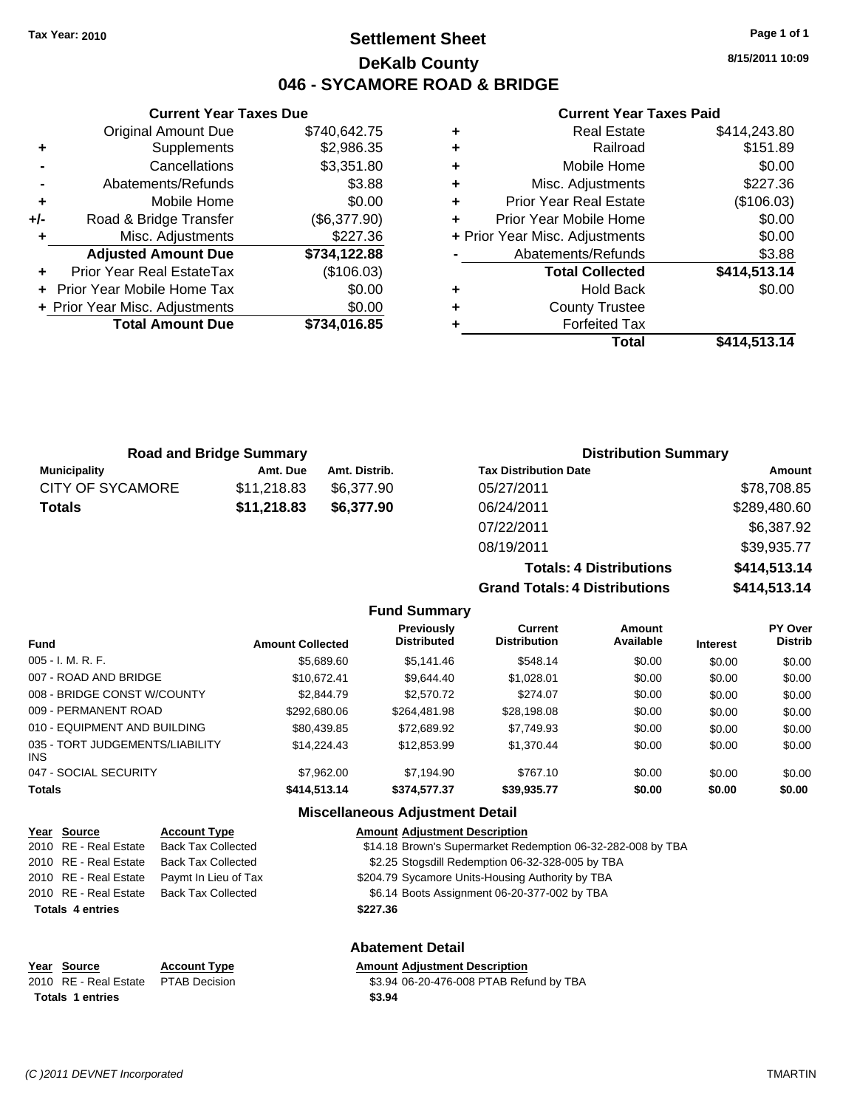## **Settlement Sheet Tax Year: 2010 Page 1 of 1 DeKalb County 046 - SYCAMORE ROAD & BRIDGE**

**8/15/2011 10:09**

#### **Current Year Taxes Paid**

|   | Total                          | \$414,513.14 |
|---|--------------------------------|--------------|
|   | <b>Forfeited Tax</b>           |              |
| ٠ | <b>County Trustee</b>          |              |
| ٠ | <b>Hold Back</b>               | \$0.00       |
|   | <b>Total Collected</b>         | \$414,513.14 |
|   | Abatements/Refunds             | \$3.88       |
|   | + Prior Year Misc. Adjustments | \$0.00       |
| ÷ | Prior Year Mobile Home         | \$0.00       |
| ٠ | <b>Prior Year Real Estate</b>  | (\$106.03)   |
| ٠ | Misc. Adjustments              | \$227.36     |
| ٠ | Mobile Home                    | \$0.00       |
| ٠ | Railroad                       | \$151.89     |
| ٠ | <b>Real Estate</b>             | \$414,243.80 |

| +/-       | Road & Bridge Transfer         | (\$6,377.90) |   | <b>Prior Year</b> |
|-----------|--------------------------------|--------------|---|-------------------|
| $\ddot{}$ | Misc. Adjustments              | \$227.36     |   | + Prior Year Misc |
|           | <b>Adjusted Amount Due</b>     | \$734,122.88 |   | Abatem            |
|           | Prior Year Real EstateTax      | (\$106.03)   |   | To                |
|           | + Prior Year Mobile Home Tax   | \$0.00       | ٠ |                   |
|           | + Prior Year Misc. Adjustments | \$0.00       | ٠ | C.                |
|           | <b>Total Amount Due</b>        | \$734,016.85 | ٠ |                   |
|           |                                |              |   |                   |
|           |                                |              |   |                   |
|           |                                |              |   |                   |

**Current Year Taxes Due** Original Amount Due \$740,642.75

**+** Supplements \$2,986.35 **-** Cancellations \$3,351.80 **-** Abatements/Refunds \$3.88 **+** Mobile Home \$0.00

| <b>Road and Bridge Summary</b> |             |               | <b>Distribution Summary</b>  |              |  |
|--------------------------------|-------------|---------------|------------------------------|--------------|--|
| <b>Municipality</b>            | Amt. Due    | Amt. Distrib. | <b>Tax Distribution Date</b> | Amount       |  |
| <b>CITY OF SYCAMORE</b>        | \$11,218.83 | \$6.377.90    | 05/27/2011                   | \$78,708.85  |  |
| <b>Totals</b>                  | \$11,218.83 | \$6,377.90    | 06/24/2011                   | \$289,480.60 |  |
|                                |             |               | 07/22/2011                   | \$6,387.92   |  |

**Totals: 4 Distributions \$414,513.14 Grand Totals: 4 Distributions \$414,513.14**

08/19/2011 \$39,935.77

|                                 |                         | Grand Totals. 4 Distributions           |                                |                            | <b>J414,313.14</b> |                                  |
|---------------------------------|-------------------------|-----------------------------------------|--------------------------------|----------------------------|--------------------|----------------------------------|
|                                 |                         | <b>Fund Summary</b>                     |                                |                            |                    |                                  |
| <b>Fund</b>                     | <b>Amount Collected</b> | <b>Previously</b><br><b>Distributed</b> | Current<br><b>Distribution</b> | <b>Amount</b><br>Available | <b>Interest</b>    | <b>PY Over</b><br><b>Distrib</b> |
| $005 - I. M. R. F.$             | \$5,689.60              | \$5,141.46                              | \$548.14                       | \$0.00                     | \$0.00             | \$0.00                           |
| 007 - ROAD AND BRIDGE           | \$10.672.41             | \$9.644.40                              | \$1,028.01                     | \$0.00                     | \$0.00             | \$0.00                           |
| 008 - BRIDGE CONST W/COUNTY     | \$2,844.79              | \$2,570.72                              | \$274.07                       | \$0.00                     | \$0.00             | \$0.00                           |
| 009 - PERMANENT ROAD            | \$292,680.06            | \$264.481.98                            | \$28,198.08                    | \$0.00                     | \$0.00             | \$0.00                           |
| 010 - EQUIPMENT AND BUILDING    | \$80,439.85             | \$72,689.92                             | \$7,749.93                     | \$0.00                     | \$0.00             | \$0.00                           |
| 035 - TORT JUDGEMENTS/LIABILITY | \$14.224.43             | \$12,853.99                             | \$1,370.44                     | \$0.00                     | \$0.00             | \$0.00                           |

| 047 - SOCIAL SECURITY   |                           | \$7,962.00   | \$7.194.90                             | \$767.10                                                    | \$0.00 | \$0.00 | \$0.00 |
|-------------------------|---------------------------|--------------|----------------------------------------|-------------------------------------------------------------|--------|--------|--------|
| Totals                  |                           | \$414,513,14 | \$374,577,37                           | \$39,935,77                                                 | \$0.00 | \$0.00 | \$0.00 |
|                         |                           |              | <b>Miscellaneous Adjustment Detail</b> |                                                             |        |        |        |
| Year Source             | <b>Account Type</b>       |              | <b>Amount Adiustment Description</b>   |                                                             |        |        |        |
| 2010 RE - Real Estate   | <b>Back Tax Collected</b> |              |                                        | \$14.18 Brown's Supermarket Redemption 06-32-282-008 by TBA |        |        |        |
| 2010 RE - Real Estate   | <b>Back Tax Collected</b> |              |                                        | \$2.25 Stogsdill Redemption 06-32-328-005 by TBA            |        |        |        |
| 2010 RE - Real Estate   | Paymt In Lieu of Tax      |              |                                        | \$204.79 Sycamore Units-Housing Authority by TBA            |        |        |        |
| 2010 RE - Real Estate   | <b>Back Tax Collected</b> |              |                                        | \$6.14 Boots Assignment 06-20-377-002 by TBA                |        |        |        |
| <b>Totals 4 entries</b> |                           |              | \$227.36                               |                                                             |        |        |        |

| Year Source                         | <b>Account Type</b> | <b>Amount Adiustment Description</b> |
|-------------------------------------|---------------------|--------------------------------------|
| 2010 RE - Real Estate PTAB Decision |                     | \$3.94 06-20-476-008 PTAB Ref        |
| <b>Totals 1 entries</b>             |                     | \$3.94                               |

## **Abatement Detail**

\$3.94 06-20-476-008 PTAB Refund by TBA

INS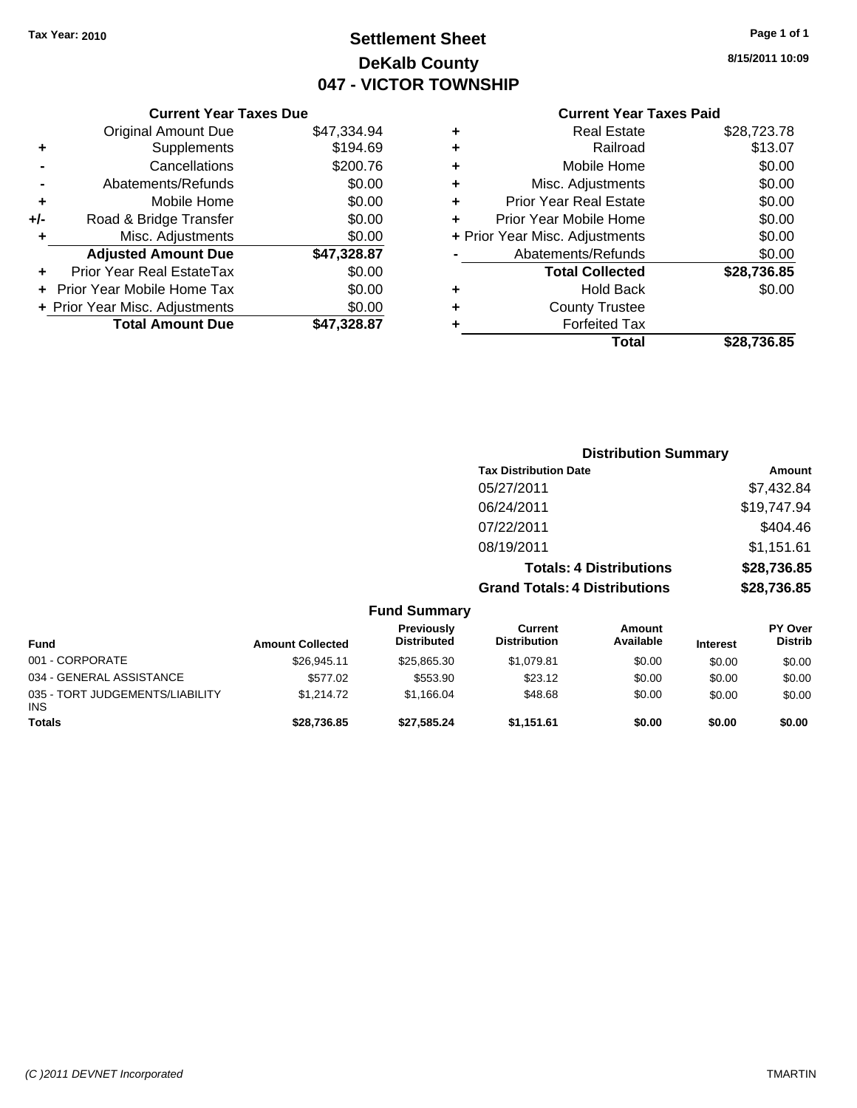## **Settlement Sheet Tax Year: 2010 Page 1 of 1 DeKalb County 047 - VICTOR TOWNSHIP**

**8/15/2011 10:09**

## **Current Year Taxes Paid**

|     | <b>Current Year Taxes Due</b>  |             |
|-----|--------------------------------|-------------|
|     | <b>Original Amount Due</b>     | \$47,334.94 |
| ÷   | Supplements                    | \$194.69    |
|     | Cancellations                  | \$200.76    |
|     | Abatements/Refunds             | \$0.00      |
| ٠   | Mobile Home                    | \$0.00      |
| +/- | Road & Bridge Transfer         | \$0.00      |
|     | Misc. Adjustments              | \$0.00      |
|     | <b>Adjusted Amount Due</b>     | \$47,328.87 |
| ÷   | Prior Year Real EstateTax      | \$0.00      |
|     | Prior Year Mobile Home Tax     | \$0.00      |
|     | + Prior Year Misc. Adjustments | \$0.00      |
|     | <b>Total Amount Due</b>        | \$47.328.87 |

|   | <b>Real Estate</b>             | \$28,723.78 |
|---|--------------------------------|-------------|
| ٠ | Railroad                       | \$13.07     |
| ٠ | Mobile Home                    | \$0.00      |
| ٠ | Misc. Adjustments              | \$0.00      |
| ÷ | <b>Prior Year Real Estate</b>  | \$0.00      |
| ٠ | Prior Year Mobile Home         | \$0.00      |
|   | + Prior Year Misc. Adjustments | \$0.00      |
|   | Abatements/Refunds             | \$0.00      |
|   | <b>Total Collected</b>         | \$28,736.85 |
| ٠ | <b>Hold Back</b>               | \$0.00      |
| ٠ | <b>County Trustee</b>          |             |
| ٠ | <b>Forfeited Tax</b>           |             |
|   | Total                          | \$28.736.85 |
|   |                                |             |

|                                 |                         |                                  | <b>Distribution Summary</b>           |                                |                 |                           |
|---------------------------------|-------------------------|----------------------------------|---------------------------------------|--------------------------------|-----------------|---------------------------|
|                                 |                         |                                  | <b>Tax Distribution Date</b>          |                                |                 | Amount                    |
|                                 |                         |                                  | 05/27/2011                            |                                |                 | \$7,432.84                |
|                                 |                         |                                  | 06/24/2011                            |                                |                 | \$19,747.94               |
|                                 |                         |                                  | 07/22/2011                            |                                |                 | \$404.46                  |
|                                 |                         |                                  | 08/19/2011                            |                                |                 | \$1,151.61                |
|                                 |                         |                                  |                                       | <b>Totals: 4 Distributions</b> |                 | \$28,736.85               |
|                                 |                         |                                  | <b>Grand Totals: 4 Distributions</b>  |                                |                 | \$28,736.85               |
|                                 |                         | <b>Fund Summary</b>              |                                       |                                |                 |                           |
| <b>Fund</b>                     | <b>Amount Collected</b> | Previously<br><b>Distributed</b> | <b>Current</b><br><b>Distribution</b> | Amount<br>Available            | <b>Interest</b> | PY Over<br><b>Distrib</b> |
| 001 - CORPORATE                 | \$26,945.11             | \$25,865.30                      | \$1,079.81                            | \$0.00                         | \$0.00          | \$0.00                    |
| 034 - GENERAL ASSISTANCE        | \$577.02                | \$553.90                         | \$23.12                               | \$0.00                         | \$0.00          | \$0.00                    |
| 035 - TORT JUDGEMENTS/LIABILITY | \$1,214.72              | \$1,166.04                       | \$48.68                               | \$0.00                         | \$0.00          | \$0.00                    |

**Totals \$28,736.85 \$27,585.24 \$1,151.61 \$0.00 \$0.00 \$0.00**

INS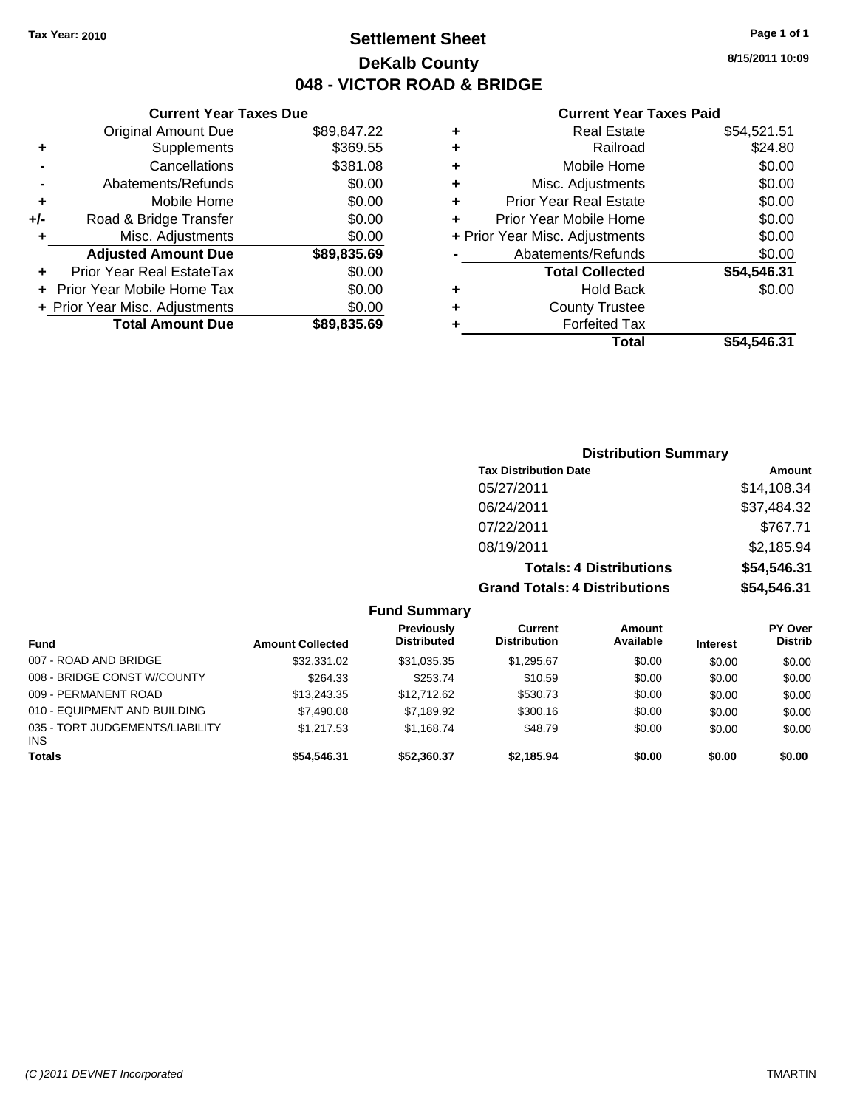## **Settlement Sheet Tax Year: 2010 Page 1 of 1 DeKalb County 048 - VICTOR ROAD & BRIDGE**

**8/15/2011 10:09**

#### **Current Year Taxes Paid**

| ÷ | <b>Real Estate</b>             | \$54,521.51 |
|---|--------------------------------|-------------|
| ٠ | Railroad                       | \$24.80     |
| ٠ | Mobile Home                    | \$0.00      |
| ٠ | Misc. Adjustments              | \$0.00      |
| ٠ | <b>Prior Year Real Estate</b>  | \$0.00      |
| ÷ | Prior Year Mobile Home         | \$0.00      |
|   | + Prior Year Misc. Adjustments | \$0.00      |
|   | Abatements/Refunds             | \$0.00      |
|   | <b>Total Collected</b>         | \$54,546.31 |
| ٠ | <b>Hold Back</b>               | \$0.00      |
| ٠ | <b>County Trustee</b>          |             |
|   | <b>Forfeited Tax</b>           |             |
|   | Total                          | \$54.546.31 |

| <b>Current Year Taxes Due</b> |
|-------------------------------|
| \$89,847.22                   |
| \$369.55                      |
| \$381.08                      |
| \$0.00                        |
| \$0.00                        |
| \$0.00                        |
| \$0.00                        |
| \$89,835.69                   |
| \$0.00                        |
| \$0.00                        |
| \$0.00                        |
|                               |
|                               |

## **Distribution Summary Tax Distribution Date Amount** 05/27/2011 \$14,108.34 06/24/2011 \$37,484.32 07/22/2011 \$767.71 08/19/2011 \$2,185.94 **Totals: 4 Distributions \$54,546.31 Grand Totals: 4 Distributions \$54,546.31**

#### **Fund Summary**

| <b>Fund</b>                                   | <b>Amount Collected</b> | Previously<br><b>Distributed</b> | Current<br><b>Distribution</b> | <b>Amount</b><br>Available | <b>Interest</b> | <b>PY Over</b><br><b>Distrib</b> |
|-----------------------------------------------|-------------------------|----------------------------------|--------------------------------|----------------------------|-----------------|----------------------------------|
| 007 - ROAD AND BRIDGE                         | \$32,331.02             | \$31.035.35                      | \$1.295.67                     | \$0.00                     | \$0.00          | \$0.00                           |
| 008 - BRIDGE CONST W/COUNTY                   | \$264.33                | \$253.74                         | \$10.59                        | \$0.00                     | \$0.00          | \$0.00                           |
| 009 - PERMANENT ROAD                          | \$13,243,35             | \$12,712.62                      | \$530.73                       | \$0.00                     | \$0.00          | \$0.00                           |
| 010 - EQUIPMENT AND BUILDING                  | \$7,490.08              | \$7,189.92                       | \$300.16                       | \$0.00                     | \$0.00          | \$0.00                           |
| 035 - TORT JUDGEMENTS/LIABILITY<br><b>INS</b> | \$1.217.53              | \$1.168.74                       | \$48.79                        | \$0.00                     | \$0.00          | \$0.00                           |
| <b>Totals</b>                                 | \$54,546,31             | \$52,360,37                      | \$2.185.94                     | \$0.00                     | \$0.00          | \$0.00                           |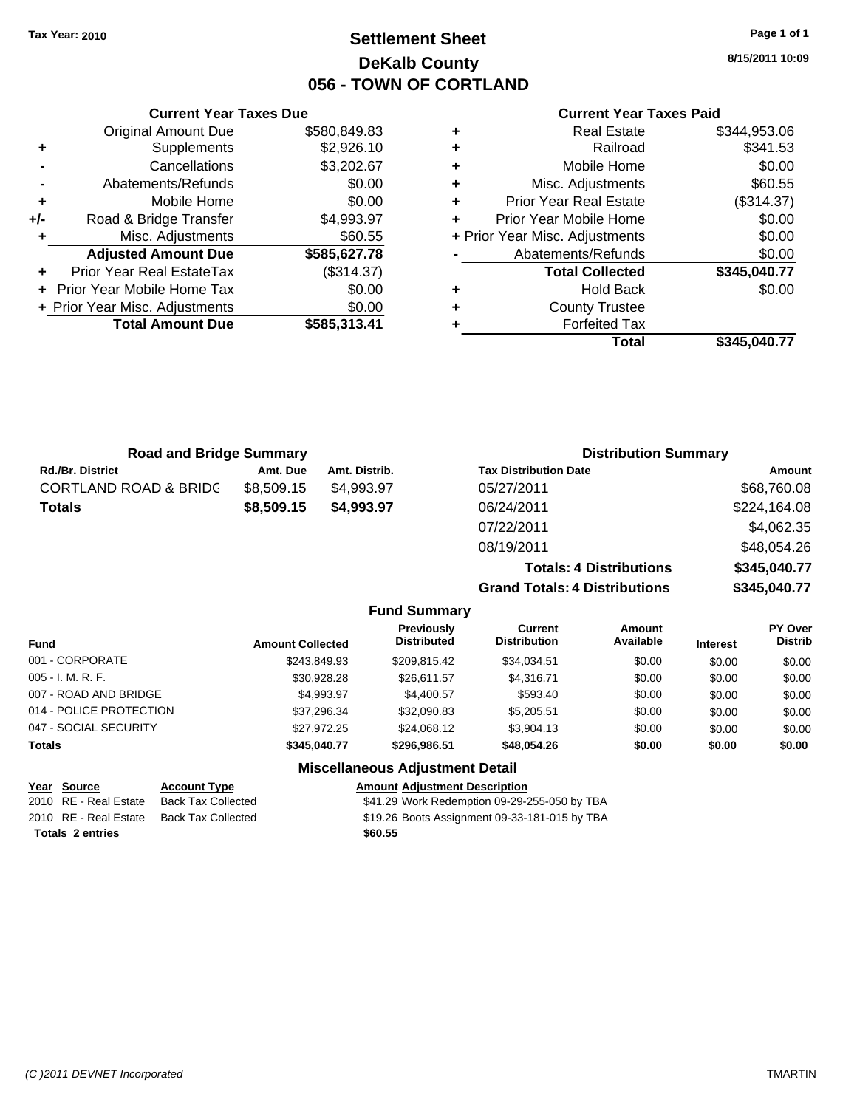## **Settlement Sheet Tax Year: 2010 Page 1 of 1 DeKalb County 056 - TOWN OF CORTLAND**

**8/15/2011 10:09**

#### **Current Year Taxes Paid**

| ٠ | <b>Real Estate</b>             | \$344,953.06 |
|---|--------------------------------|--------------|
| ٠ | Railroad                       | \$341.53     |
| ٠ | Mobile Home                    | \$0.00       |
| ٠ | Misc. Adjustments              | \$60.55      |
| ٠ | <b>Prior Year Real Estate</b>  | (\$314.37)   |
| ٠ | Prior Year Mobile Home         | \$0.00       |
|   | + Prior Year Misc. Adjustments | \$0.00       |
|   | Abatements/Refunds             | \$0.00       |
|   | <b>Total Collected</b>         | \$345,040.77 |
| ٠ | <b>Hold Back</b>               | \$0.00       |
| ٠ | <b>County Trustee</b>          |              |
| ٠ | <b>Forfeited Tax</b>           |              |
|   | Total                          | \$345.040.77 |

| <b>Original Amount Due</b>        | \$580,849.83            |
|-----------------------------------|-------------------------|
| Supplements                       | \$2,926.10              |
| Cancellations                     | \$3,202.67              |
| Abatements/Refunds                | \$0.00                  |
| Mobile Home                       | \$0.00                  |
| Road & Bridge Transfer            | \$4,993.97              |
| Misc. Adjustments                 | \$60.55                 |
| <b>Adjusted Amount Due</b>        | \$585,627.78            |
| Prior Year Real EstateTax         | (\$314.37)              |
| <b>Prior Year Mobile Home Tax</b> | \$0.00                  |
| + Prior Year Misc. Adjustments    | \$0.00                  |
|                                   | \$585,313.41            |
|                                   | <b>Total Amount Due</b> |

**Current Year Taxes Due**

| <b>Road and Bridge Summary</b>   |            | <b>Distribution Summary</b> |                                |              |
|----------------------------------|------------|-----------------------------|--------------------------------|--------------|
| <b>Rd./Br. District</b>          | Amt. Due   | Amt. Distrib.               | <b>Tax Distribution Date</b>   | Amount       |
| <b>CORTLAND ROAD &amp; BRIDC</b> | \$8,509.15 | \$4,993.97                  | 05/27/2011                     | \$68,760.08  |
| <b>Totals</b>                    | \$8,509.15 | \$4.993.97                  | 06/24/2011                     | \$224,164.08 |
|                                  |            |                             | 07/22/2011                     | \$4,062.35   |
|                                  |            |                             | 08/19/2011                     | \$48,054.26  |
|                                  |            |                             | <b>Totals: 4 Distributions</b> | \$345,040.77 |

**Grand Totals: 4 Distrib** 

| งutions | \$345,040.77 |
|---------|--------------|
|         |              |

|                                        |                         | <b>Fund Summary</b>                     |                                       |                     |                 |                           |
|----------------------------------------|-------------------------|-----------------------------------------|---------------------------------------|---------------------|-----------------|---------------------------|
| <b>Fund</b>                            | <b>Amount Collected</b> | <b>Previously</b><br><b>Distributed</b> | <b>Current</b><br><b>Distribution</b> | Amount<br>Available | <b>Interest</b> | PY Over<br><b>Distrib</b> |
| 001 - CORPORATE                        | \$243,849.93            | \$209.815.42                            | \$34,034.51                           | \$0.00              | \$0.00          | \$0.00                    |
| $005 - I. M. R. F.$                    | \$30,928.28             | \$26,611.57                             | \$4,316.71                            | \$0.00              | \$0.00          | \$0.00                    |
| 007 - ROAD AND BRIDGE                  | \$4,993.97              | \$4,400.57                              | \$593.40                              | \$0.00              | \$0.00          | \$0.00                    |
| 014 - POLICE PROTECTION                | \$37.296.34             | \$32,090.83                             | \$5,205.51                            | \$0.00              | \$0.00          | \$0.00                    |
| 047 - SOCIAL SECURITY                  | \$27.972.25             | \$24.068.12                             | \$3,904.13                            | \$0.00              | \$0.00          | \$0.00                    |
| <b>Totals</b>                          | \$345.040.77            | \$296.986.51                            | \$48,054.26                           | \$0.00              | \$0.00          | \$0.00                    |
| <b>Miscellaneous Adjustment Detail</b> |                         |                                         |                                       |                     |                 |                           |

#### **Year Source Account Type Amount Adjustment Description**

2010 RE - Real Estate Back Tax Collected **681.29 Work Redemption 09-29-255-050 by TBA** 

2010 RE - Real Estate Back Tax Collected \$19.26 Boots Assignment 09-33-181-015 by TBA

**Totals \$60.55 2 entries**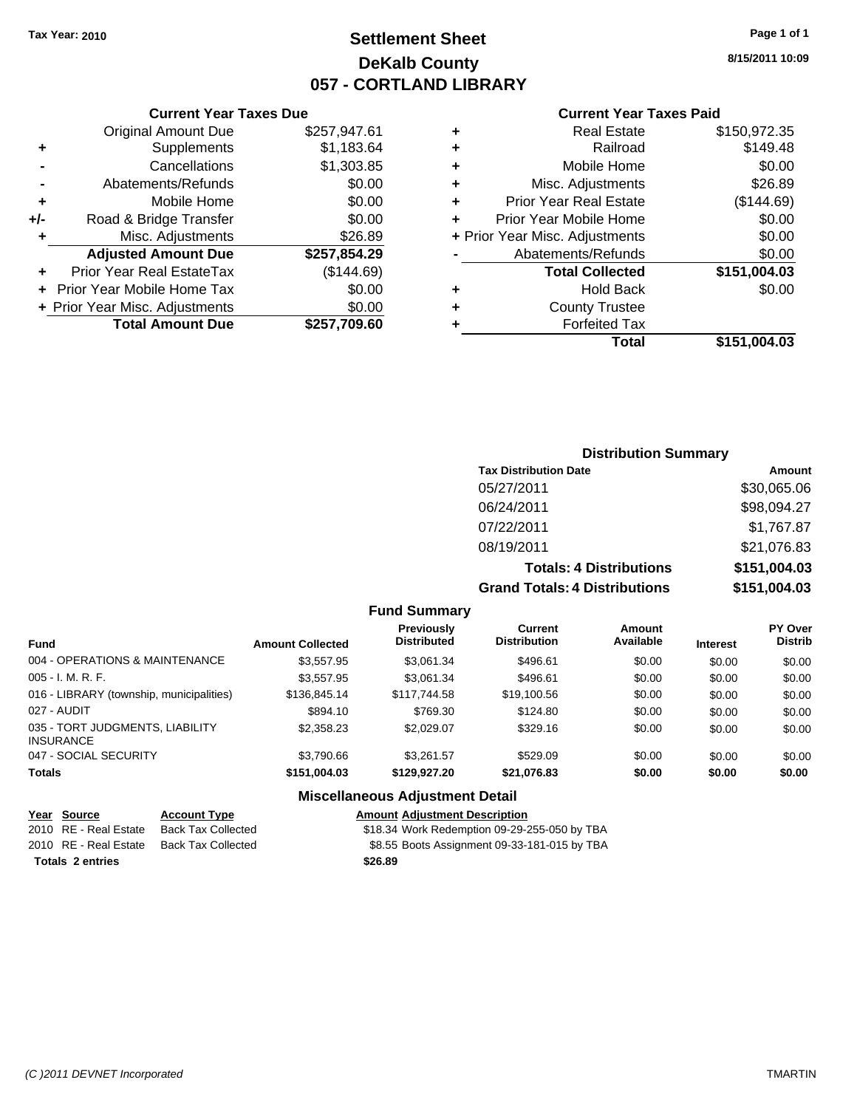## **Settlement Sheet Tax Year: 2010 Page 1 of 1 DeKalb County 057 - CORTLAND LIBRARY**

**8/15/2011 10:09**

#### **Current Year Taxes Paid**

| \$150,972.35 | <b>Real Estate</b>             | ٠ | 17.61  |
|--------------|--------------------------------|---|--------|
| \$149.48     | Railroad                       | ٠ | 33.64  |
| \$0.00       | Mobile Home                    | ٠ | 03.85  |
| \$26.89      | Misc. Adjustments              | ٠ | \$0.00 |
| (\$144.69)   | <b>Prior Year Real Estate</b>  | ٠ | 60.00  |
| \$0.00       | Prior Year Mobile Home         | ٠ | 50.00  |
| \$0.00       | + Prior Year Misc. Adjustments |   | 26.89  |
| \$0.00       | Abatements/Refunds             |   | 54.29  |
| \$151,004.03 | <b>Total Collected</b>         |   | 4.69)  |
| \$0.00       | <b>Hold Back</b>               | ٠ | \$0.00 |
|              | <b>County Trustee</b>          | ٠ | \$0.00 |
|              | <b>Forfeited Tax</b>           |   | 09.60  |
| \$151,004.03 | <b>Total</b>                   |   |        |

## Original Amount Due \$257,94 **+** Supplements \$1,18 **-** Cancellations \$1,30 **-** Abatements/Refunds \$ **+** Mobile Home \$ **+/-** Road & Bridge Transfer \$<br> **+** Misc. Adjustments \$2.000 **+** Misc. Adjustments Adjusted Amount Due \$257,85 **+** Prior Year Real EstateTax (\$144.69) **+ Prior Year Mobile Home Tax** \$ **+** Prior Year Misc. Adjustments<br>Total Amount Due \$257,70

**Total Amount Due** 

**Current Year Taxes Due**

| <b>Distribution Summary</b> |  |
|-----------------------------|--|
|-----------------------------|--|

| <b>Tax Distribution Date</b>         | Amount       |
|--------------------------------------|--------------|
| 05/27/2011                           | \$30,065.06  |
| 06/24/2011                           | \$98,094.27  |
| 07/22/2011                           | \$1,767.87   |
| 08/19/2011                           | \$21,076.83  |
| <b>Totals: 4 Distributions</b>       | \$151,004.03 |
| <b>Grand Totals: 4 Distributions</b> | \$151,004.03 |

**Fund Summary**

| <b>Fund</b>                                         | <b>Amount Collected</b> | <b>Previously</b><br><b>Distributed</b> | Current<br><b>Distribution</b> | Amount<br>Available | <b>Interest</b> | <b>PY Over</b><br><b>Distrib</b> |
|-----------------------------------------------------|-------------------------|-----------------------------------------|--------------------------------|---------------------|-----------------|----------------------------------|
| 004 - OPERATIONS & MAINTENANCE                      | \$3,557.95              | \$3.061.34                              | \$496.61                       | \$0.00              | \$0.00          | \$0.00                           |
| $005 - I. M. R. F.$                                 | \$3.557.95              | \$3.061.34                              | \$496.61                       | \$0.00              | \$0.00          | \$0.00                           |
| 016 - LIBRARY (township, municipalities)            | \$136,845.14            | \$117.744.58                            | \$19,100.56                    | \$0.00              | \$0.00          | \$0.00                           |
| 027 - AUDIT                                         | \$894.10                | \$769.30                                | \$124.80                       | \$0.00              | \$0.00          | \$0.00                           |
| 035 - TORT JUDGMENTS, LIABILITY<br><b>INSURANCE</b> | \$2,358,23              | \$2.029.07                              | \$329.16                       | \$0.00              | \$0.00          | \$0.00                           |
| 047 - SOCIAL SECURITY                               | \$3,790.66              | \$3.261.57                              | \$529.09                       | \$0.00              | \$0.00          | \$0.00                           |
| <b>Totals</b>                                       | \$151,004.03            | \$129.927.20                            | \$21,076.83                    | \$0.00              | \$0.00          | \$0.00                           |

## **Miscellaneous Adjustment Detail**

| Year Source             | <b>Account Type</b> | <b>Amount Adjustment Description</b>         |
|-------------------------|---------------------|----------------------------------------------|
| 2010 RE - Real Estate   | Back Tax Collected  | \$18.34 Work Redemption 09-29-255-050 by TBA |
| 2010 RE - Real Estate   | Back Tax Collected  | \$8.55 Boots Assignment 09-33-181-015 by TBA |
| <b>Totals 2 entries</b> |                     | \$26.89                                      |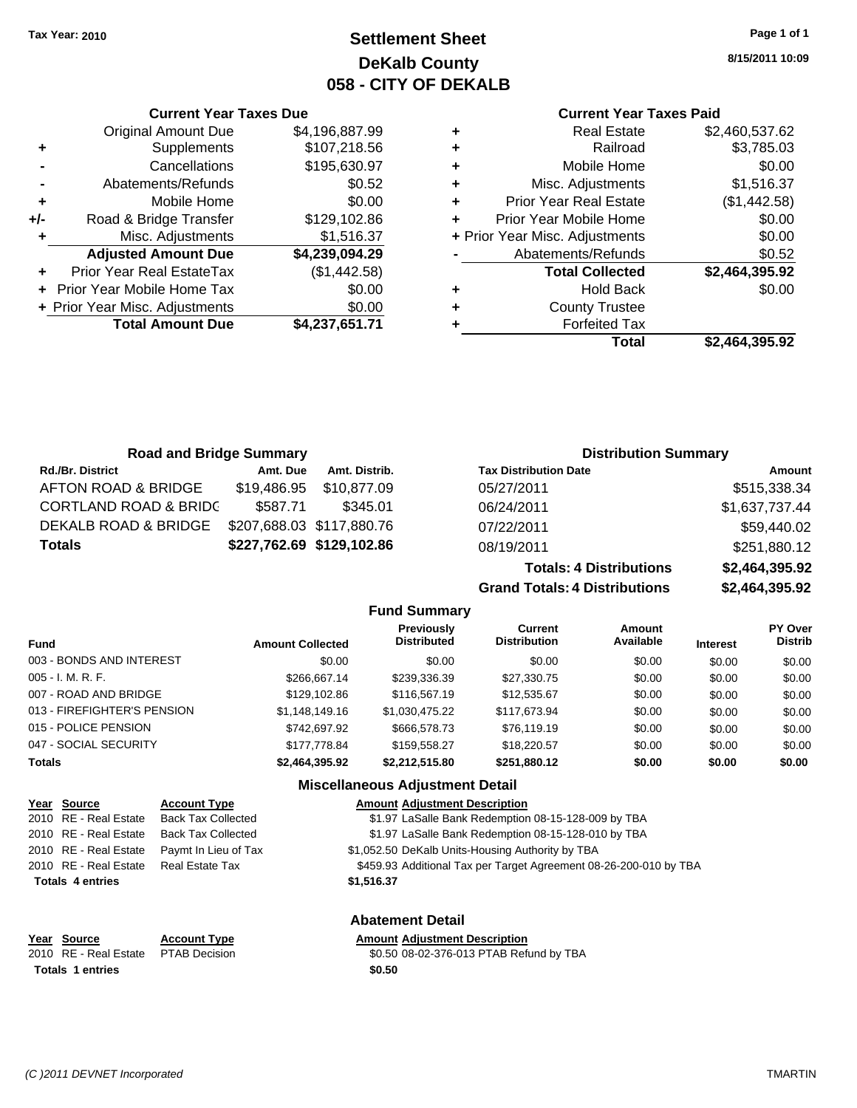**Current Year Taxes Due** Original Amount Due \$4,196,887.99

**Adjusted Amount Due \$4,239,094.29**

**Total Amount Due \$4,237,651.71**

**+** Supplements \$107,218.56 **-** Cancellations \$195,630.97 **-** Abatements/Refunds \$0.52 **+** Mobile Home \$0.00 **+/-** Road & Bridge Transfer \$129,102.86 **+** Misc. Adjustments \$1,516.37

**+** Prior Year Real EstateTax (\$1,442.58) **+** Prior Year Mobile Home Tax \$0.00 **+ Prior Year Misc. Adjustments**  $$0.00$ 

## **Settlement Sheet Tax Year: 2010 Page 1 of 1 DeKalb County 058 - CITY OF DEKALB**

**8/15/2011 10:09**

#### **Current Year Taxes Paid**

| ٠ | <b>Real Estate</b>             | \$2,460,537.62 |
|---|--------------------------------|----------------|
| ٠ | Railroad                       | \$3,785.03     |
| ٠ | Mobile Home                    | \$0.00         |
| ٠ | Misc. Adjustments              | \$1,516.37     |
| ٠ | <b>Prior Year Real Estate</b>  | (\$1,442.58)   |
| ٠ | Prior Year Mobile Home         | \$0.00         |
|   | + Prior Year Misc. Adjustments | \$0.00         |
|   | Abatements/Refunds             | \$0.52         |
|   | <b>Total Collected</b>         | \$2,464,395.92 |
| ٠ | <b>Hold Back</b>               | \$0.00         |
| ٠ | <b>County Trustee</b>          |                |
| ٠ | <b>Forfeited Tax</b>           |                |
|   | Total                          | \$2.464.395.92 |

**Grand Totals: 4 Distributions \$2,464,395.92**

| <b>Road and Bridge Summary</b>   |             |                           | <b>Distribution Summary</b>    |                |  |
|----------------------------------|-------------|---------------------------|--------------------------------|----------------|--|
| <b>Rd./Br. District</b>          | Amt. Due    | Amt. Distrib.             | <b>Tax Distribution Date</b>   | Amount         |  |
| AFTON ROAD & BRIDGE              | \$19,486.95 | \$10.877.09               | 05/27/2011                     | \$515,338.34   |  |
| <b>CORTLAND ROAD &amp; BRIDC</b> | \$587.71    | \$345.01                  | 06/24/2011                     | \$1,637,737.44 |  |
| DEKALB ROAD & BRIDGE             |             | \$207,688.03 \$117,880.76 | 07/22/2011                     | \$59,440.02    |  |
| <b>Totals</b>                    |             | \$227,762.69 \$129,102.86 | 08/19/2011                     | \$251,880.12   |  |
|                                  |             |                           | <b>Totals: 4 Distributions</b> | \$2,464,395.92 |  |

**Fund Summary Fund Interest Amount Collected Distributed PY Over Distrib Amount Available Current Distribution Previously** 003 - BONDS AND INTEREST  $$0.00$   $$0.00$   $$0.00$   $$0.00$   $$0.00$   $$0.00$   $$0.00$   $$0.00$ 005 - I. M. R. F. \$266,667.14 \$239,336.39 \$27,330.75 \$0.00 \$0.00 \$0.00 007 - ROAD AND BRIDGE 60.00 \$129,102.86 \$116,567.19 \$12,535.67 \$0.00 \$0.00 \$0.00 013 - FIREFIGHTER'S PENSION \$1,148,149.16 \$1,030,475.22 \$117,673.94 \$0.00 \$0.00 \$0.00 015 - POLICE PENSION 6742,697.92 \$666.578.73 \$76.119.19 \$0.00 \$0.00 \$0.00 \$0.00 047 - SOCIAL SECURITY 66.00 \$177,778.84 \$159,558.27 \$18,220.57 \$0.00 \$0.00 \$0.00 **Totals \$2,464,395.92 \$2,212,515.80 \$251,880.12 \$0.00 \$0.00 \$0.00**

#### **Miscellaneous Adjustment Detail**

| Year Source             | <b>Account Type</b>       | <b>Amount Adjustment Description</b>                              |
|-------------------------|---------------------------|-------------------------------------------------------------------|
| 2010 RE - Real Estate   | <b>Back Tax Collected</b> | \$1.97 LaSalle Bank Redemption 08-15-128-009 by TBA               |
| 2010 RE - Real Estate   | <b>Back Tax Collected</b> | \$1.97 LaSalle Bank Redemption 08-15-128-010 by TBA               |
| 2010 RE - Real Estate   | Paymt In Lieu of Tax      | \$1,052.50 DeKalb Units-Housing Authority by TBA                  |
| 2010 RE - Real Estate   | Real Estate Tax           | \$459.93 Additional Tax per Target Agreement 08-26-200-010 by TBA |
| <b>Totals 4 entries</b> |                           | \$1,516.37                                                        |
|                         |                           |                                                                   |
|                         |                           |                                                                   |

**Year Source Account Type Amount Adjustment Description** Totals 1 entries \$0.50

**Abatement Detail**

2010 RE - Real Estate \$0.50 08-02-376-013 PTAB Refund by TBA PTAB Decision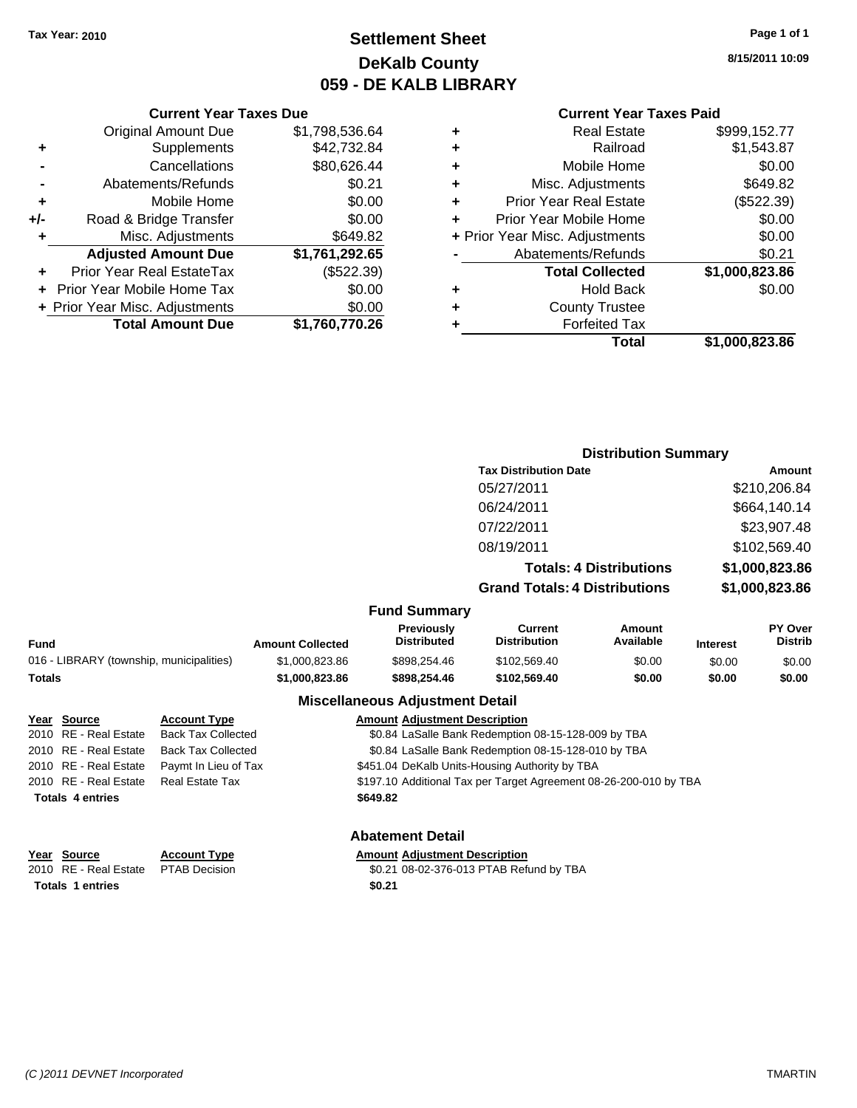## **Settlement Sheet Tax Year: 2010 Page 1 of 1 DeKalb County 059 - DE KALB LIBRARY**

**8/15/2011 10:09**

#### **Current Year Taxes Paid**

|   | Total                          | \$1,000,823.86 |
|---|--------------------------------|----------------|
| ٠ | <b>Forfeited Tax</b>           |                |
| ٠ | <b>County Trustee</b>          |                |
| ٠ | <b>Hold Back</b>               | \$0.00         |
|   | <b>Total Collected</b>         | \$1,000,823.86 |
|   | Abatements/Refunds             | \$0.21         |
|   | + Prior Year Misc. Adjustments | \$0.00         |
| ÷ | Prior Year Mobile Home         | \$0.00         |
| ÷ | <b>Prior Year Real Estate</b>  | (\$522.39)     |
| ÷ | Misc. Adjustments              | \$649.82       |
| ÷ | Mobile Home                    | \$0.00         |
| ٠ | Railroad                       | \$1,543.87     |
| ٠ | <b>Real Estate</b>             | \$999,152.77   |

|     | <b>Current Year Taxes Due</b>    |                |
|-----|----------------------------------|----------------|
|     | <b>Original Amount Due</b>       | \$1,798,536.64 |
| ٠   | Supplements                      | \$42,732.84    |
|     | Cancellations                    | \$80,626.44    |
|     | Abatements/Refunds               | \$0.21         |
| ٠   | Mobile Home                      | \$0.00         |
| +/- | Road & Bridge Transfer           | \$0.00         |
| ٠   | Misc. Adjustments                | \$649.82       |
|     | <b>Adjusted Amount Due</b>       | \$1,761,292.65 |
|     | <b>Prior Year Real EstateTax</b> | (\$522.39)     |
|     | Prior Year Mobile Home Tax       | \$0.00         |
|     | + Prior Year Misc. Adjustments   | \$0.00         |
|     | <b>Total Amount Due</b>          | \$1,760,770.26 |

|         |                                  |                                      | <b>Distribution Summary</b>    |             |                           |
|---------|----------------------------------|--------------------------------------|--------------------------------|-------------|---------------------------|
|         |                                  | <b>Tax Distribution Date</b>         |                                |             | Amount                    |
|         |                                  | 05/27/2011                           |                                |             | \$210,206.84              |
|         |                                  | 06/24/2011                           |                                |             | \$664,140.14              |
|         |                                  | 07/22/2011                           |                                |             | \$23,907.48               |
|         |                                  | 08/19/2011                           |                                |             | \$102,569.40              |
|         |                                  |                                      | <b>Totals: 4 Distributions</b> |             | \$1,000,823.86            |
|         |                                  | <b>Grand Totals: 4 Distributions</b> |                                |             | \$1,000,823.86            |
|         | <b>Fund Summary</b>              |                                      |                                |             |                           |
| اء مۂمہ | <b>Previously</b><br>Distributed | Current<br><b>Distribution</b>       | Amount<br>Available            | In terms of | PY Over<br><b>Distrib</b> |

| <b>Fund</b> |                                          |                           | <b>Amount Collected</b> | <b>Previously</b><br><b>Distributed</b>                           | Current<br><b>Distribution</b>                      | Amount<br>Available | <b>Interest</b> | <b>PY Over</b><br><b>Distrib</b> |
|-------------|------------------------------------------|---------------------------|-------------------------|-------------------------------------------------------------------|-----------------------------------------------------|---------------------|-----------------|----------------------------------|
|             | 016 - LIBRARY (township, municipalities) |                           | \$1,000,823.86          | \$898,254,46                                                      | \$102,569.40                                        | \$0.00              | \$0.00          | \$0.00                           |
|             | <b>Totals</b>                            |                           | \$1,000,823.86          | \$898,254,46                                                      | \$102,569,40                                        | \$0.00              | \$0.00          | \$0.00                           |
|             |                                          |                           |                         | <b>Miscellaneous Adjustment Detail</b>                            |                                                     |                     |                 |                                  |
|             | Year Source                              | <b>Account Type</b>       |                         | <b>Amount Adiustment Description</b>                              |                                                     |                     |                 |                                  |
|             | 2010 RE - Real Estate                    | <b>Back Tax Collected</b> |                         |                                                                   | \$0.84 LaSalle Bank Redemption 08-15-128-009 by TBA |                     |                 |                                  |
|             | 2010 RE - Real Estate                    | <b>Back Tax Collected</b> |                         |                                                                   | \$0.84 LaSalle Bank Redemption 08-15-128-010 by TBA |                     |                 |                                  |
|             | 2010 RE - Real Estate                    | Paymt In Lieu of Tax      |                         | \$451.04 DeKalb Units-Housing Authority by TBA                    |                                                     |                     |                 |                                  |
|             | 2010 RE - Real Estate                    | <b>Real Estate Tax</b>    |                         | \$197.10 Additional Tax per Target Agreement 08-26-200-010 by TBA |                                                     |                     |                 |                                  |
|             | <b>Totals 4 entries</b>                  |                           |                         | \$649.82                                                          |                                                     |                     |                 |                                  |

| Year Source                         | <b>Account Type</b> | Amount |
|-------------------------------------|---------------------|--------|
| 2010 RE - Real Estate PTAB Decision |                     | \$0.21 |
| <b>Totals 1 entries</b>             |                     | \$0.21 |

## **Abatement Detail**

#### **Amount Adjustment Description**

\$0.21 08-02-376-013 PTAB Refund by TBA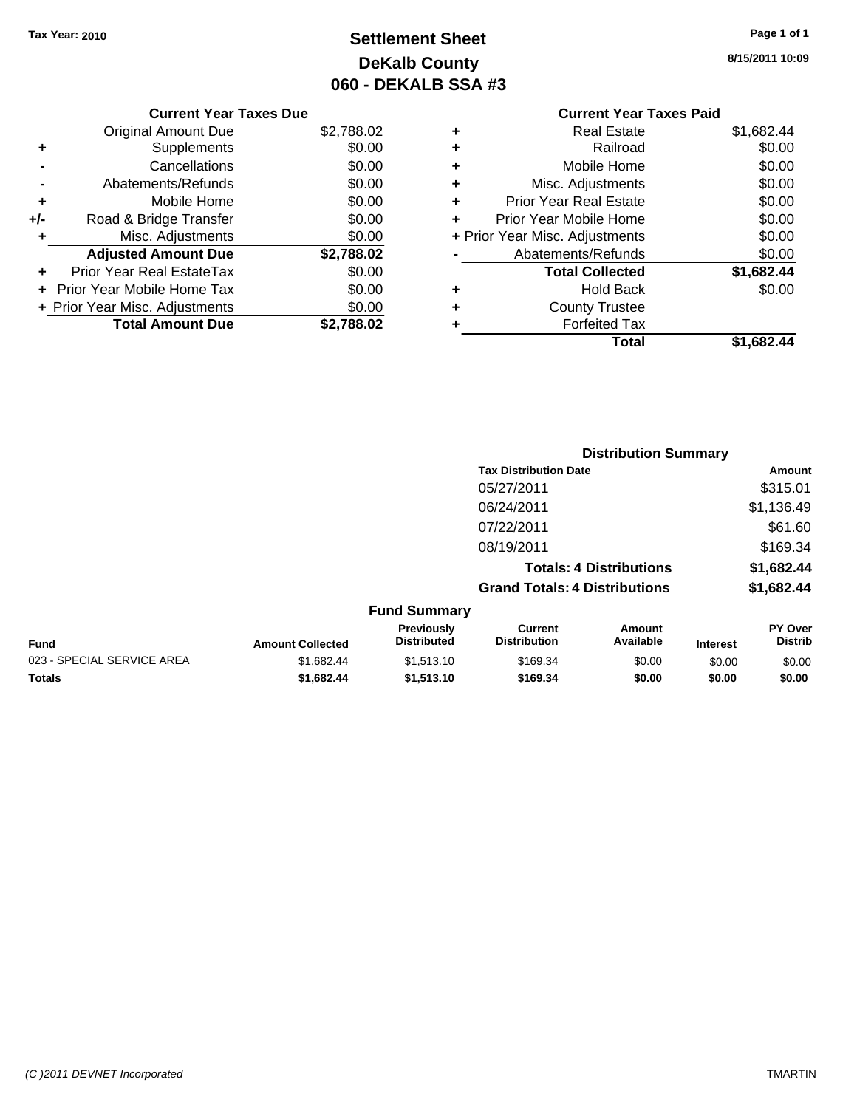## **Settlement Sheet Tax Year: 2010 Page 1 of 1 DeKalb County 060 - DEKALB SSA #3**

**8/15/2011 10:09**

## **Current Year Taxes Paid +** Real Estate \$1,682.44 **+** Railroad \$0.00 **+** Mobile Home \$0.00 **+** Misc. Adjustments \$0.00 **+** Prior Year Real Estate \$0.00 **+** Prior Year Mobile Home \$0.00 **+ Prior Year Misc. Adjustments**  $$0.00$ **-** Abatements/Refunds \$0.00 **Total Collected \$1,682.44 +** Hold Back \$0.00 **+** County Trustee **+** Forfeited Tax **Total \$1,682.44**

|     | <b>Current Year Taxes Due</b>     |            |
|-----|-----------------------------------|------------|
|     | Original Amount Due               | \$2,788.02 |
| ٠   | Supplements                       | \$0.00     |
|     | Cancellations                     | \$0.00     |
|     | Abatements/Refunds                | \$0.00     |
| ٠   | Mobile Home                       | \$0.00     |
| +/- | Road & Bridge Transfer            | \$0.00     |
| ٠   | Misc. Adjustments                 | \$0.00     |
|     | <b>Adjusted Amount Due</b>        | \$2,788.02 |
|     | Prior Year Real EstateTax         | \$0.00     |
|     | <b>Prior Year Mobile Home Tax</b> | \$0.00     |
|     | + Prior Year Misc. Adjustments    | \$0.00     |
|     | <b>Total Amount Due</b>           | \$2,788.02 |

|                            |                         |                                         | <b>Distribution Summary</b>           |                                |                 |                                  |
|----------------------------|-------------------------|-----------------------------------------|---------------------------------------|--------------------------------|-----------------|----------------------------------|
|                            |                         |                                         | <b>Tax Distribution Date</b>          |                                |                 | <b>Amount</b>                    |
|                            |                         |                                         | 05/27/2011                            |                                |                 | \$315.01                         |
|                            |                         |                                         | 06/24/2011                            |                                |                 | \$1,136.49                       |
|                            |                         |                                         | 07/22/2011                            |                                |                 | \$61.60                          |
|                            |                         |                                         | 08/19/2011                            |                                |                 | \$169.34                         |
|                            |                         |                                         |                                       | <b>Totals: 4 Distributions</b> |                 | \$1,682.44                       |
|                            |                         |                                         | <b>Grand Totals: 4 Distributions</b>  |                                |                 | \$1,682.44                       |
|                            |                         | <b>Fund Summary</b>                     |                                       |                                |                 |                                  |
| <b>Fund</b>                | <b>Amount Collected</b> | <b>Previously</b><br><b>Distributed</b> | <b>Current</b><br><b>Distribution</b> | Amount<br>Available            | <b>Interest</b> | <b>PY Over</b><br><b>Distrib</b> |
| 023 - SPECIAL SERVICE AREA | \$1,682.44              | \$1,513.10                              | \$169.34                              | \$0.00                         | \$0.00          | \$0.00                           |

**Totals \$1,682.44 \$1,513.10 \$169.34 \$0.00 \$0.00 \$0.00**

#### *(C )2011 DEVNET Incorporated* TMARTIN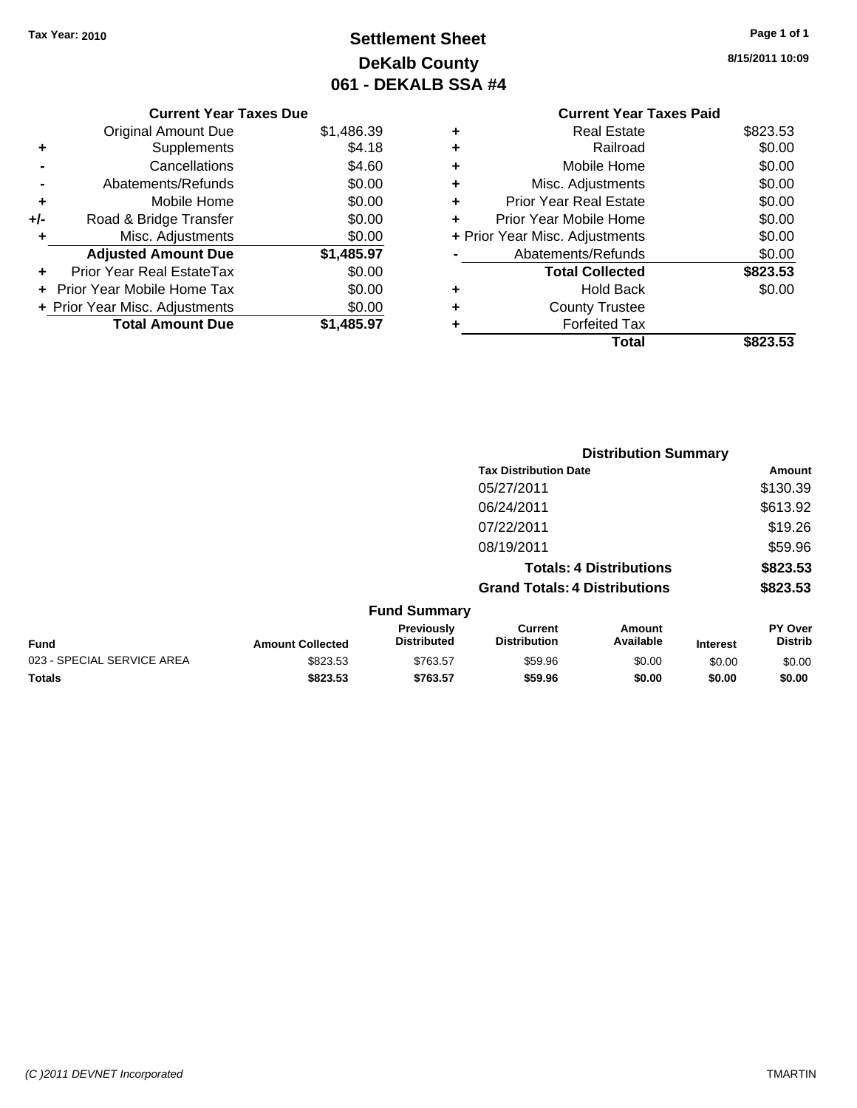## **Settlement Sheet Tax Year: 2010 Page 1 of 1 DeKalb County 061 - DEKALB SSA #4**

**8/15/2011 10:09**

## **Current Year Taxes Paid +** Real Estate \$823.53 **+** Railroad \$0.00 **+** Mobile Home \$0.00 **+** Misc. Adjustments \$0.00 **+** Prior Year Real Estate \$0.00 **+** Prior Year Mobile Home \$0.00 **+ Prior Year Misc. Adjustments**  $$0.00$ **-** Abatements/Refunds \$0.00 **Total Collected \$823.53 +** Hold Back \$0.00 **+** County Trustee **+** Forfeited Tax **Total \$823.53**

|     | <b>Current Year Taxes Due</b>     |            |
|-----|-----------------------------------|------------|
|     | Original Amount Due               | \$1,486.39 |
| ٠   | Supplements                       | \$4.18     |
|     | Cancellations                     | \$4.60     |
|     | Abatements/Refunds                | \$0.00     |
| ٠   | Mobile Home                       | \$0.00     |
| +/- | Road & Bridge Transfer            | \$0.00     |
|     | Misc. Adjustments                 | \$0.00     |
|     | <b>Adjusted Amount Due</b>        | \$1,485.97 |
|     | Prior Year Real EstateTax         | \$0.00     |
|     | <b>Prior Year Mobile Home Tax</b> | \$0.00     |
|     | + Prior Year Misc. Adjustments    | \$0.00     |
|     | <b>Total Amount Due</b>           | \$1.485.97 |
|     |                                   |            |

|                            |                         |                                  |                                      | <b>Distribution Summary</b>    |                 |                                  |
|----------------------------|-------------------------|----------------------------------|--------------------------------------|--------------------------------|-----------------|----------------------------------|
|                            |                         |                                  | <b>Tax Distribution Date</b>         |                                |                 | <b>Amount</b>                    |
|                            |                         |                                  | 05/27/2011                           |                                |                 | \$130.39                         |
|                            |                         |                                  | 06/24/2011                           |                                |                 | \$613.92                         |
|                            |                         |                                  | 07/22/2011                           |                                |                 | \$19.26                          |
|                            |                         |                                  | 08/19/2011                           |                                |                 | \$59.96                          |
|                            |                         |                                  |                                      | <b>Totals: 4 Distributions</b> |                 | \$823.53                         |
|                            |                         |                                  | <b>Grand Totals: 4 Distributions</b> |                                |                 | \$823.53                         |
|                            |                         | <b>Fund Summary</b>              |                                      |                                |                 |                                  |
| Fund                       | <b>Amount Collected</b> | Previously<br><b>Distributed</b> | Current<br><b>Distribution</b>       | Amount<br>Available            | <b>Interest</b> | <b>PY Over</b><br><b>Distrib</b> |
| 023 - SPECIAL SERVICE AREA | \$823.53                | \$763.57                         | \$59.96                              | \$0.00                         | \$0.00          | \$0.00                           |
| Totals                     | \$823.53                | \$763.57                         | \$59.96                              | \$0.00                         | \$0.00          | \$0.00                           |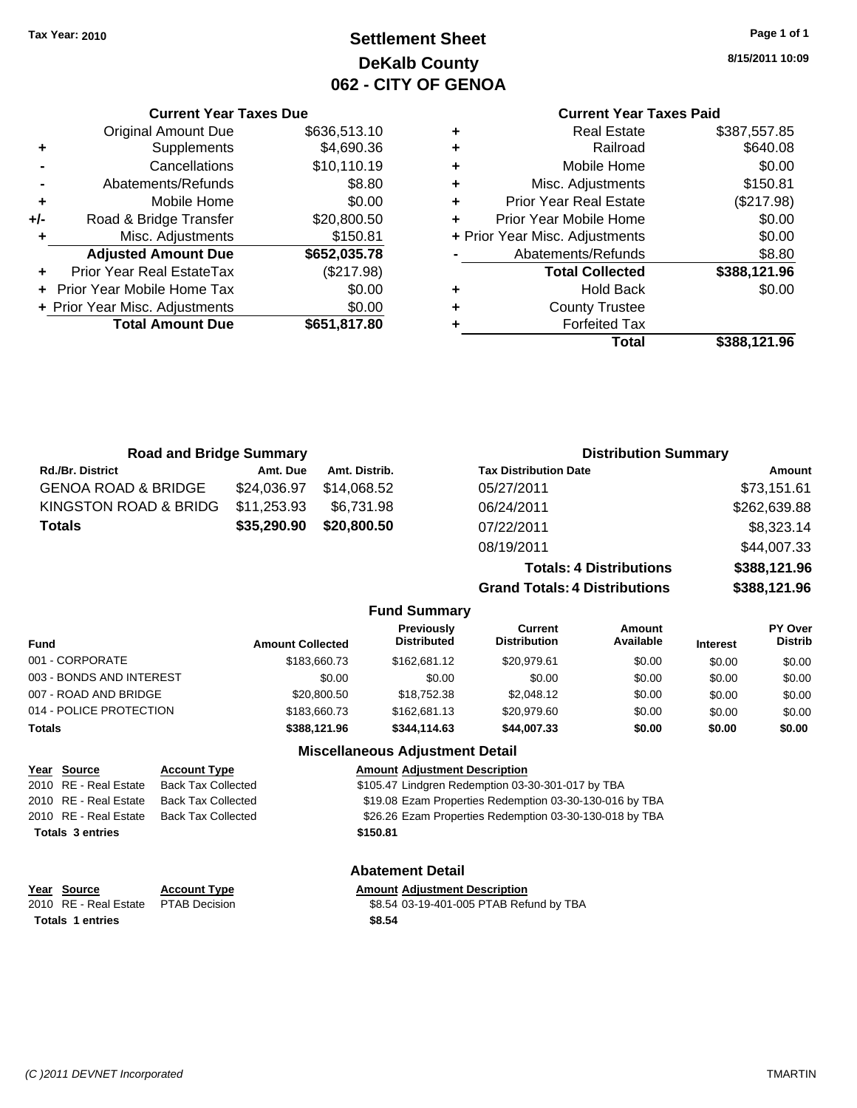## **Settlement Sheet Tax Year: 2010 Page 1 of 1 DeKalb County 062 - CITY OF GENOA**

**8/15/2011 10:09**

## **Current Year Taxes Paid**

| \$387,557.85 |
|--------------|
| \$640.08     |
| \$0.00       |
| \$150.81     |
| (\$217.98)   |
| \$0.00       |
| \$0.00       |
| \$8.80       |
| \$388,121.96 |
| \$0.00       |
|              |
|              |
| \$388,121.96 |
|              |

**Grand Totals: 4 Distributions \$388,121.96**

|     | <b>Current Year Taxes Due</b>              |              |  |  |  |  |
|-----|--------------------------------------------|--------------|--|--|--|--|
|     | \$636,513.10<br><b>Original Amount Due</b> |              |  |  |  |  |
| ٠   | Supplements                                | \$4,690.36   |  |  |  |  |
|     | Cancellations                              | \$10,110.19  |  |  |  |  |
|     | Abatements/Refunds                         | \$8.80       |  |  |  |  |
| ٠   | Mobile Home                                | \$0.00       |  |  |  |  |
| +/- | Road & Bridge Transfer                     | \$20,800.50  |  |  |  |  |
| ٠   | \$150.81<br>Misc. Adjustments              |              |  |  |  |  |
|     | <b>Adjusted Amount Due</b>                 | \$652,035.78 |  |  |  |  |
|     | Prior Year Real EstateTax                  | (\$217.98)   |  |  |  |  |
|     | <b>Prior Year Mobile Home Tax</b>          | \$0.00       |  |  |  |  |
|     | \$0.00<br>+ Prior Year Misc. Adjustments   |              |  |  |  |  |
|     | <b>Total Amount Due</b>                    | \$651,817.80 |  |  |  |  |

| <b>Road and Bridge Summary</b> |             |               | <b>Distribution Summary</b>    |              |  |
|--------------------------------|-------------|---------------|--------------------------------|--------------|--|
| <b>Rd./Br. District</b>        | Amt. Due    | Amt. Distrib. | <b>Tax Distribution Date</b>   | Amount       |  |
| <b>GENOA ROAD &amp; BRIDGE</b> | \$24,036.97 | \$14,068.52   | 05/27/2011                     | \$73,151.61  |  |
| KINGSTON ROAD & BRIDG          | \$11,253.93 | \$6.731.98    | 06/24/2011                     | \$262,639.88 |  |
| <b>Totals</b>                  | \$35,290.90 | \$20,800.50   | 07/22/2011                     | \$8,323.14   |  |
|                                |             |               | 08/19/2011                     | \$44,007.33  |  |
|                                |             |               | <b>Totals: 4 Distributions</b> | \$388,121.96 |  |

**Fund Summary Fund Interest Amount Collected Distributed PY Over Distrib Amount Available Current Distribution Previously** 001 - CORPORATE \$183,660.73 \$162,681.12 \$20,979.61 \$0.00 \$0.00 \$0.00 003 - BONDS AND INTEREST  $$0.00$   $$0.00$   $$0.00$   $$0.00$   $$0.00$   $$0.00$   $$0.00$   $$0.00$ 007 - ROAD AND BRIDGE 60.00 \$20,800.50 \$18,752.38 \$2,048.12 \$0.00 \$0.00 \$0.00 \$0.00 014 - POLICE PROTECTION \$183,660.73 \$162,681.13 \$20,979.60 \$0.00 \$0.00 \$0.00 **Totals \$388,121.96 \$344,114.63 \$44,007.33 \$0.00 \$0.00 \$0.00 Miscellaneous Adjustment Detail**

| Year Source             | <b>Account Type</b>       | <b>Amount Adjustment Description</b>                    |
|-------------------------|---------------------------|---------------------------------------------------------|
| 2010 RE - Real Estate   | <b>Back Tax Collected</b> | \$105.47 Lindgren Redemption 03-30-301-017 by TBA       |
| 2010 RE - Real Estate   | <b>Back Tax Collected</b> | \$19.08 Ezam Properties Redemption 03-30-130-016 by TBA |
| 2010 RE - Real Estate   | <b>Back Tax Collected</b> | \$26.26 Ezam Properties Redemption 03-30-130-018 by TBA |
| <b>Totals 3 entries</b> |                           | \$150.81                                                |
|                         |                           |                                                         |
|                         |                           |                                                         |

**Abatement Detail**

#### **Year Source Account Type Amount Adjustment Description**

2010 RE - Real Estate PTAB Decision \$8.54 03-19-401-005 PTAB Refund by TBA **Totals \$8.54 1 entries**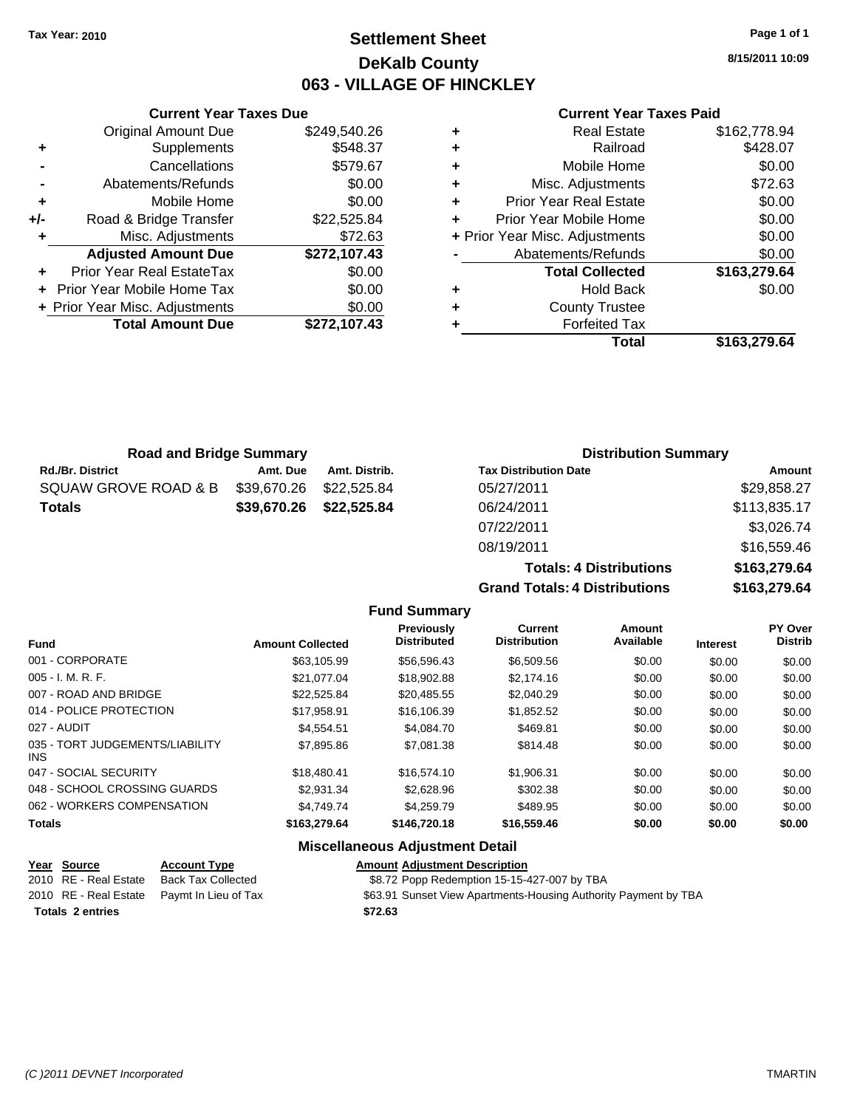## **Settlement Sheet Tax Year: 2010 Page 1 of 1 DeKalb County 063 - VILLAGE OF HINCKLEY**

**8/15/2011 10:09**

## **Current Year Taxes Paid**

|     | <b>Current Year Taxes Due</b>         |              |  |  |  |  |
|-----|---------------------------------------|--------------|--|--|--|--|
|     | <b>Original Amount Due</b>            | \$249,540.26 |  |  |  |  |
| ٠   | \$548.37<br>Supplements               |              |  |  |  |  |
|     | Cancellations                         | \$579.67     |  |  |  |  |
|     | Abatements/Refunds                    | \$0.00       |  |  |  |  |
| ٠   | Mobile Home                           | \$0.00       |  |  |  |  |
| +/- | \$22,525.84<br>Road & Bridge Transfer |              |  |  |  |  |
| ٠   | Misc. Adjustments                     | \$72.63      |  |  |  |  |
|     | <b>Adjusted Amount Due</b>            | \$272,107.43 |  |  |  |  |
|     | Prior Year Real EstateTax             | \$0.00       |  |  |  |  |
|     | \$0.00<br>Prior Year Mobile Home Tax  |              |  |  |  |  |
|     | + Prior Year Misc. Adjustments        | \$0.00       |  |  |  |  |
|     | <b>Total Amount Due</b>               | \$272,107.43 |  |  |  |  |
|     |                                       |              |  |  |  |  |

|   | <b>Real Estate</b>             | \$162,778.94 |
|---|--------------------------------|--------------|
| ٠ | Railroad                       | \$428.07     |
| ٠ | Mobile Home                    | \$0.00       |
| ٠ | Misc. Adjustments              | \$72.63      |
| ٠ | <b>Prior Year Real Estate</b>  | \$0.00       |
| ٠ | Prior Year Mobile Home         | \$0.00       |
|   | + Prior Year Misc. Adjustments | \$0.00       |
|   | Abatements/Refunds             | \$0.00       |
|   | <b>Total Collected</b>         | \$163,279.64 |
| ٠ | <b>Hold Back</b>               | \$0.00       |
| ٠ | <b>County Trustee</b>          |              |
|   | <b>Forfeited Tax</b>           |              |
|   | Total                          | \$163,279.64 |

| <b>Road and Bridge Summary</b> |             |               | <b>Distribution Summary</b>  |              |  |
|--------------------------------|-------------|---------------|------------------------------|--------------|--|
| <b>Rd./Br. District</b>        | Amt. Due    | Amt. Distrib. | <b>Tax Distribution Date</b> | Amount       |  |
| SQUAW GROVE ROAD & B           | \$39,670.26 | \$22,525.84   | 05/27/2011                   | \$29,858.27  |  |
| <b>Totals</b>                  | \$39,670.26 | \$22,525.84   | 06/24/2011                   | \$113,835.17 |  |
|                                |             |               | 07/22/2011                   | \$3,026.74   |  |
|                                |             |               | 08/19/2011                   | \$16,559.46  |  |

**Grand Totals: 4 Distri** 

| <b>Totals: 4 Distributions</b> | \$163,279.64 |
|--------------------------------|--------------|
| <b>Totals: 4 Distributions</b> | \$163,279.64 |

|                                         |                         | <b>Previously</b><br><b>Distributed</b> | <b>Current</b><br><b>Distribution</b> | Amount<br>Available |                 | PY Over<br><b>Distrib</b> |
|-----------------------------------------|-------------------------|-----------------------------------------|---------------------------------------|---------------------|-----------------|---------------------------|
| <b>Fund</b>                             | <b>Amount Collected</b> |                                         |                                       |                     | <b>Interest</b> |                           |
| 001 - CORPORATE                         | \$63,105.99             | \$56,596.43                             | \$6,509.56                            | \$0.00              | \$0.00          | \$0.00                    |
| $005 - I. M. R. F.$                     | \$21.077.04             | \$18,902.88                             | \$2,174.16                            | \$0.00              | \$0.00          | \$0.00                    |
| 007 - ROAD AND BRIDGE                   | \$22,525.84             | \$20,485.55                             | \$2,040.29                            | \$0.00              | \$0.00          | \$0.00                    |
| 014 - POLICE PROTECTION                 | \$17,958.91             | \$16,106.39                             | \$1,852.52                            | \$0.00              | \$0.00          | \$0.00                    |
| 027 - AUDIT                             | \$4,554.51              | \$4,084.70                              | \$469.81                              | \$0.00              | \$0.00          | \$0.00                    |
| 035 - TORT JUDGEMENTS/LIABILITY<br>INS. | \$7,895.86              | \$7,081.38                              | \$814.48                              | \$0.00              | \$0.00          | \$0.00                    |
| 047 - SOCIAL SECURITY                   | \$18,480.41             | \$16,574.10                             | \$1,906.31                            | \$0.00              | \$0.00          | \$0.00                    |
| 048 - SCHOOL CROSSING GUARDS            | \$2.931.34              | \$2,628.96                              | \$302.38                              | \$0.00              | \$0.00          | \$0.00                    |
| 062 - WORKERS COMPENSATION              | \$4,749.74              | \$4,259.79                              | \$489.95                              | \$0.00              | \$0.00          | \$0.00                    |
| <b>Totals</b>                           | \$163,279.64            | \$146,720.18                            | \$16,559.46                           | \$0.00              | \$0.00          | \$0.00                    |
| <b>Miscellaneous Adjustment Detail</b>  |                         |                                         |                                       |                     |                 |                           |

**Fund Summary**

|                         | Year Source           | <b>Account Type</b>                        | <b>Amount Adjustment Description</b>                            |
|-------------------------|-----------------------|--------------------------------------------|-----------------------------------------------------------------|
|                         | 2010 RE - Real Estate | Back Tax Collected                         | \$8.72 Popp Redemption 15-15-427-007 by TBA                     |
|                         |                       | 2010 RE - Real Estate Paymt In Lieu of Tax | \$63.91 Sunset View Apartments-Housing Authority Payment by TBA |
| <b>Totals 2 entries</b> |                       |                                            | \$72.63                                                         |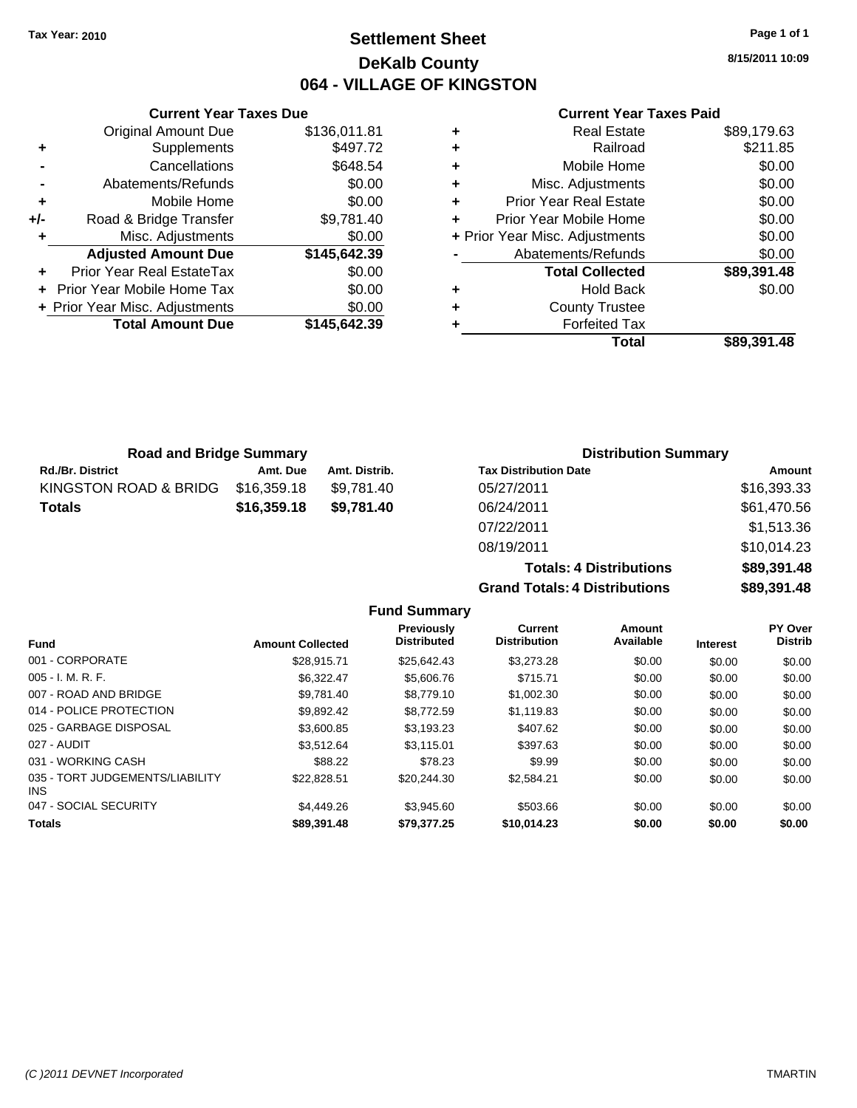## **Settlement Sheet Tax Year: 2010 Page 1 of 1 DeKalb County 064 - VILLAGE OF KINGSTON**

**8/15/2011 10:09**

## **Current Year Taxes Paid**

|   | <b>Real Estate</b>             | \$89,179.63 |
|---|--------------------------------|-------------|
| ٠ | Railroad                       | \$211.85    |
| ٠ | Mobile Home                    | \$0.00      |
| ٠ | Misc. Adjustments              | \$0.00      |
| ٠ | <b>Prior Year Real Estate</b>  | \$0.00      |
| ÷ | Prior Year Mobile Home         | \$0.00      |
|   | + Prior Year Misc. Adjustments | \$0.00      |
|   | Abatements/Refunds             | \$0.00      |
|   | <b>Total Collected</b>         | \$89,391.48 |
| ٠ | <b>Hold Back</b>               | \$0.00      |
| ٠ | <b>County Trustee</b>          |             |
|   | <b>Forfeited Tax</b>           |             |
|   | Total                          | \$89.391.48 |

|     | <b>Current Year Taxes Due</b>  |              |
|-----|--------------------------------|--------------|
|     | <b>Original Amount Due</b>     | \$136,011.81 |
| ٠   | Supplements                    | \$497.72     |
|     | Cancellations                  | \$648.54     |
|     | Abatements/Refunds             | \$0.00       |
| ٠   | Mobile Home                    | \$0.00       |
| +/- | Road & Bridge Transfer         | \$9,781.40   |
| ٠   | Misc. Adjustments              | \$0.00       |
|     | <b>Adjusted Amount Due</b>     | \$145,642.39 |
|     | Prior Year Real EstateTax      | \$0.00       |
|     | Prior Year Mobile Home Tax     | \$0.00       |
|     | + Prior Year Misc. Adjustments | \$0.00       |
|     | <b>Total Amount Due</b>        | \$145,642.39 |
|     |                                |              |

| <b>Road and Bridge Summary</b> |             |               | <b>Distribution Summary</b>  |             |  |
|--------------------------------|-------------|---------------|------------------------------|-------------|--|
| <b>Rd./Br. District</b>        | Amt. Due    | Amt. Distrib. | <b>Tax Distribution Date</b> | Amount      |  |
| KINGSTON ROAD & BRIDG          | \$16,359.18 | \$9.781.40    | 05/27/2011                   | \$16,393.33 |  |
| <b>Totals</b>                  | \$16,359.18 | \$9,781.40    | 06/24/2011                   | \$61,470.56 |  |
|                                |             |               | 07/22/2011                   | \$1,513.36  |  |
|                                |             |               |                              |             |  |

08/19/2011  $Totals: 4$ **Grand Totals: 4 D** 

|                      | \$10,014.23 |
|----------------------|-------------|
| <b>Distributions</b> | \$89,391.48 |
| Distributions        | \$89,391,48 |

|                                         |                         | Previously<br><b>Distributed</b> | <b>Current</b><br><b>Distribution</b> | Amount<br>Available |                 | <b>PY Over</b><br><b>Distrib</b> |
|-----------------------------------------|-------------------------|----------------------------------|---------------------------------------|---------------------|-----------------|----------------------------------|
| <b>Fund</b>                             | <b>Amount Collected</b> |                                  |                                       |                     | <b>Interest</b> |                                  |
| 001 - CORPORATE                         | \$28.915.71             | \$25.642.43                      | \$3,273,28                            | \$0.00              | \$0.00          | \$0.00                           |
| $005 - I. M. R. F.$                     | \$6.322.47              | \$5,606.76                       | \$715.71                              | \$0.00              | \$0.00          | \$0.00                           |
| 007 - ROAD AND BRIDGE                   | \$9.781.40              | \$8,779.10                       | \$1,002.30                            | \$0.00              | \$0.00          | \$0.00                           |
| 014 - POLICE PROTECTION                 | \$9.892.42              | \$8,772.59                       | \$1,119.83                            | \$0.00              | \$0.00          | \$0.00                           |
| 025 - GARBAGE DISPOSAL                  | \$3,600.85              | \$3.193.23                       | \$407.62                              | \$0.00              | \$0.00          | \$0.00                           |
| 027 - AUDIT                             | \$3.512.64              | \$3.115.01                       | \$397.63                              | \$0.00              | \$0.00          | \$0.00                           |
| 031 - WORKING CASH                      | \$88.22                 | \$78.23                          | \$9.99                                | \$0.00              | \$0.00          | \$0.00                           |
| 035 - TORT JUDGEMENTS/LIABILITY<br>INS. | \$22.828.51             | \$20.244.30                      | \$2.584.21                            | \$0.00              | \$0.00          | \$0.00                           |
| 047 - SOCIAL SECURITY                   | \$4,449.26              | \$3.945.60                       | \$503.66                              | \$0.00              | \$0.00          | \$0.00                           |
| <b>Totals</b>                           | \$89.391.48             | \$79.377.25                      | \$10,014.23                           | \$0.00              | \$0.00          | \$0.00                           |

**Fund Summary**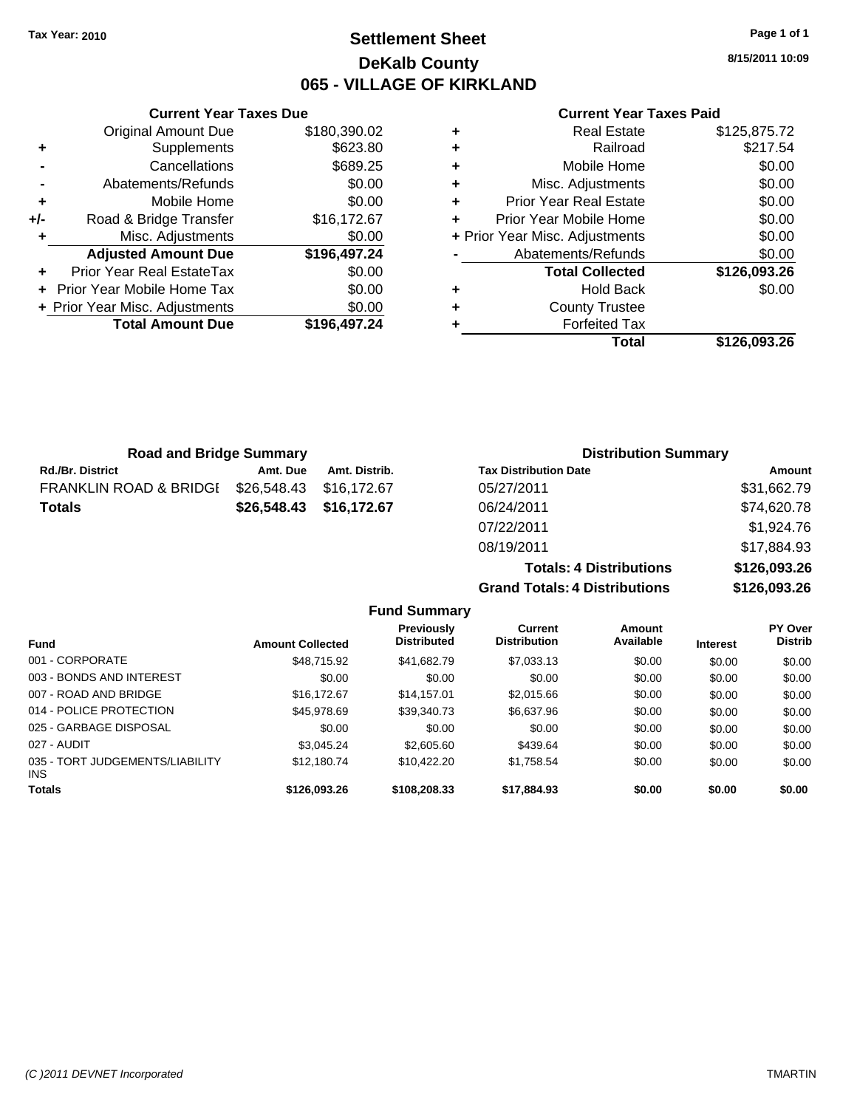## **Settlement Sheet Tax Year: 2010 Page 1 of 1 DeKalb County 065 - VILLAGE OF KIRKLAND**

**8/15/2011 10:09**

## **Current Year Taxes Paid**

|   | Total                          | \$126,093.26 |
|---|--------------------------------|--------------|
|   | <b>Forfeited Tax</b>           |              |
| ٠ | <b>County Trustee</b>          |              |
| ٠ | <b>Hold Back</b>               | \$0.00       |
|   | <b>Total Collected</b>         | \$126,093.26 |
|   | Abatements/Refunds             | \$0.00       |
|   | + Prior Year Misc. Adjustments | \$0.00       |
|   | Prior Year Mobile Home         | \$0.00       |
| ٠ | <b>Prior Year Real Estate</b>  | \$0.00       |
| ٠ | Misc. Adjustments              | \$0.00       |
| ٠ | Mobile Home                    | \$0.00       |
| ٠ | Railroad                       | \$217.54     |
|   | <b>Real Estate</b>             | \$125,875.72 |

| <b>Road and Bridge Summary</b> |               |                              |                             |
|--------------------------------|---------------|------------------------------|-----------------------------|
| Amt. Due                       | Amt. Distrib. | <b>Tax Distribution Date</b> | Amount                      |
| \$26,548.43                    |               | 05/27/2011                   | \$31,662.79                 |
| \$26,548.43                    |               | 06/24/2011                   | \$74,620.78                 |
|                                |               | 07/22/2011                   | \$1,924.76                  |
|                                |               | \$16.172.67<br>\$16,172.67   | <b>Distribution Summary</b> |

|                     | 08/19/2011                           | \$17,884.93  |
|---------------------|--------------------------------------|--------------|
|                     |                                      |              |
|                     | <b>Totals: 4 Distributions</b>       | \$126,093.26 |
|                     | <b>Grand Totals: 4 Distributions</b> | \$126,093,26 |
| <b>Fund Summary</b> |                                      |              |

| <b>Amount Collected</b> | Previously<br><b>Distributed</b> | Current<br><b>Distribution</b> | Amount<br>Available | <b>Interest</b> | <b>PY Over</b><br><b>Distrib</b> |
|-------------------------|----------------------------------|--------------------------------|---------------------|-----------------|----------------------------------|
| \$48.715.92             | \$41.682.79                      | \$7,033.13                     | \$0.00              | \$0.00          | \$0.00                           |
| \$0.00                  | \$0.00                           | \$0.00                         | \$0.00              | \$0.00          | \$0.00                           |
| \$16,172.67             | \$14,157.01                      | \$2,015.66                     | \$0.00              | \$0.00          | \$0.00                           |
| \$45,978.69             | \$39,340.73                      | \$6,637.96                     | \$0.00              | \$0.00          | \$0.00                           |
| \$0.00                  | \$0.00                           | \$0.00                         | \$0.00              | \$0.00          | \$0.00                           |
| \$3.045.24              | \$2,605.60                       | \$439.64                       | \$0.00              | \$0.00          | \$0.00                           |
| \$12,180.74             | \$10.422.20                      | \$1,758.54                     | \$0.00              | \$0.00          | \$0.00                           |
| \$126,093.26            | \$108,208.33                     | \$17,884.93                    | \$0.00              | \$0.00          | \$0.00                           |
|                         |                                  |                                |                     |                 |                                  |

# **Current Year Taxes Due**<br>J Amount Due **180 390 02**

|     | <b>Original Amount Due</b>     | \$180,390.02 |
|-----|--------------------------------|--------------|
| ٠   | Supplements                    | \$623.80     |
|     | Cancellations                  | \$689.25     |
|     | Abatements/Refunds             | \$0.00       |
| ٠   | Mobile Home                    | \$0.00       |
| +/- | Road & Bridge Transfer         | \$16,172.67  |
|     | Misc. Adjustments              | \$0.00       |
|     | <b>Adjusted Amount Due</b>     | \$196,497.24 |
|     | Prior Year Real EstateTax      | \$0.00       |
|     | - Prior Year Mobile Home Tax   | \$0.00       |
|     | + Prior Year Misc. Adjustments | \$0.00       |
|     | <b>Total Amount Due</b>        | \$196,497.24 |
|     |                                |              |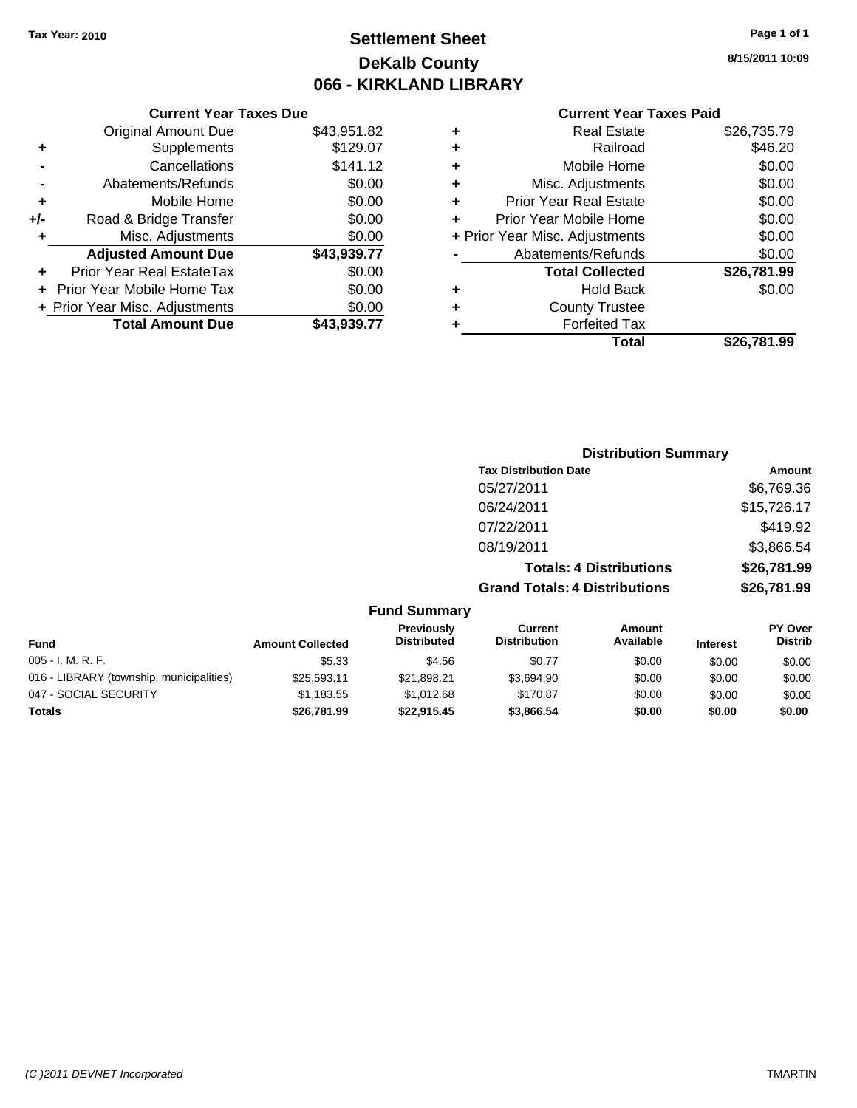## **Settlement Sheet Tax Year: 2010 Page 1 of 1 DeKalb County 066 - KIRKLAND LIBRARY**

## **Current Year Taxes Due**

|     | <b>Original Amount Due</b>       | \$43,951.82 |
|-----|----------------------------------|-------------|
| ٠   | Supplements                      | \$129.07    |
|     | Cancellations                    | \$141.12    |
|     | Abatements/Refunds               | \$0.00      |
| ٠   | Mobile Home                      | \$0.00      |
| +/- | Road & Bridge Transfer           | \$0.00      |
| ÷   | Misc. Adjustments                | \$0.00      |
|     | <b>Adjusted Amount Due</b>       | \$43,939.77 |
|     | <b>Prior Year Real EstateTax</b> | \$0.00      |
|     | Prior Year Mobile Home Tax       | \$0.00      |
|     | + Prior Year Misc. Adjustments   | \$0.00      |
|     | <b>Total Amount Due</b>          | \$43.939.77 |

#### **Current Year Taxes Paid**

|   | <b>Real Estate</b>             | \$26,735.79 |
|---|--------------------------------|-------------|
| ٠ | Railroad                       | \$46.20     |
| ٠ | Mobile Home                    | \$0.00      |
| ٠ | Misc. Adjustments              | \$0.00      |
| ٠ | <b>Prior Year Real Estate</b>  | \$0.00      |
|   | Prior Year Mobile Home         | \$0.00      |
|   | + Prior Year Misc. Adjustments | \$0.00      |
|   | Abatements/Refunds             | \$0.00      |
|   | <b>Total Collected</b>         | \$26,781.99 |
| ٠ | Hold Back                      | \$0.00      |
| ٠ | <b>County Trustee</b>          |             |
| ٠ | <b>Forfeited Tax</b>           |             |
|   | Total                          | \$26.781.99 |
|   |                                |             |

## **Distribution Summary Tax Distribution Date Amount** 05/27/2011 \$6,769.36 06/24/2011 \$15,726.17 07/22/2011 \$419.92 08/19/2011 \$3,866.54 **Totals: 4 Distributions \$26,781.99 Grand Totals: 4 Distributions \$26,781.99**

#### **Fund Summary**

| <b>Fund</b>                              | <b>Amount Collected</b> | Previously<br><b>Distributed</b> | Current<br><b>Distribution</b> | Amount<br>Available | <b>Interest</b> | <b>PY Over</b><br><b>Distrib</b> |
|------------------------------------------|-------------------------|----------------------------------|--------------------------------|---------------------|-----------------|----------------------------------|
| $005 - I. M. R. F.$                      | \$5.33                  | \$4.56                           | \$0.77                         | \$0.00              | \$0.00          | \$0.00                           |
| 016 - LIBRARY (township, municipalities) | \$25.593.11             | \$21.898.21                      | \$3.694.90                     | \$0.00              | \$0.00          | \$0.00                           |
| 047 - SOCIAL SECURITY                    | \$1.183.55              | \$1.012.68                       | \$170.87                       | \$0.00              | \$0.00          | \$0.00                           |
| Totals                                   | \$26,781.99             | \$22.915.45                      | \$3,866.54                     | \$0.00              | \$0.00          | \$0.00                           |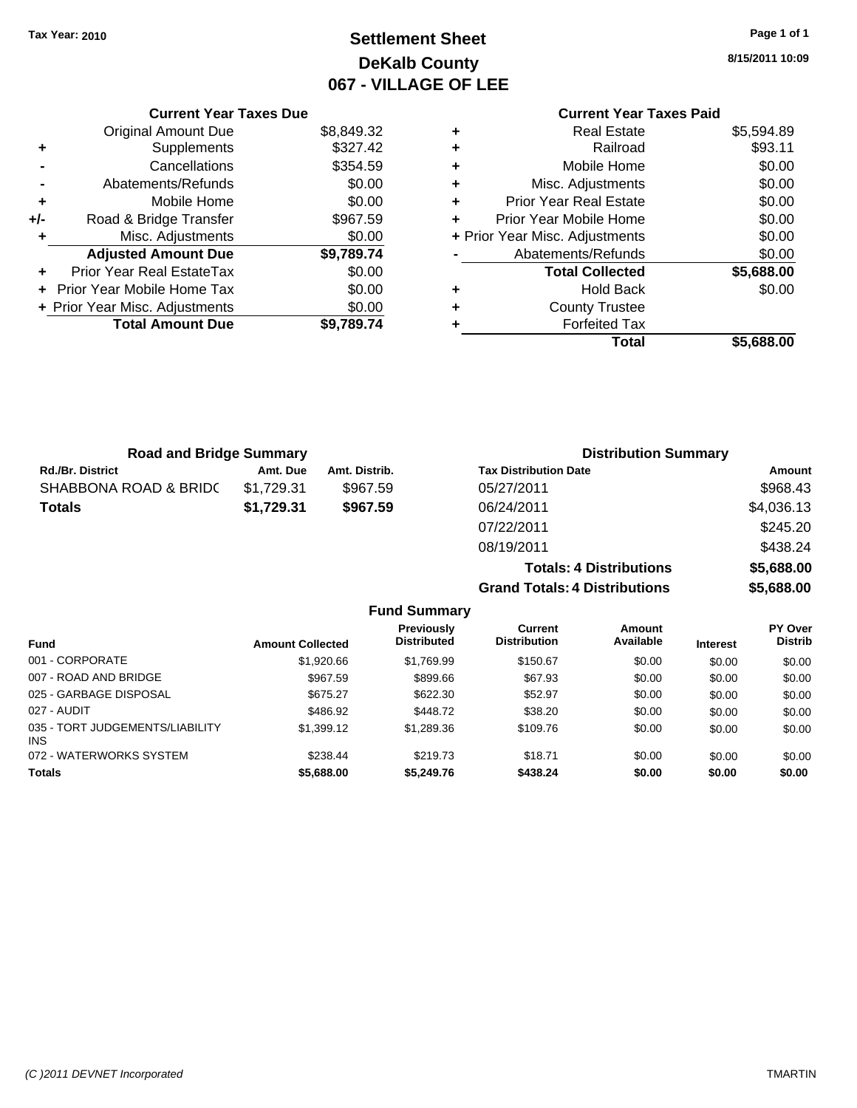## **Settlement Sheet Tax Year: 2010 Page 1 of 1 DeKalb County 067 - VILLAGE OF LEE**

**8/15/2011 10:09**

#### **Current Year Taxes Due** Original Amount Due \$8,849.32 **Total Amount Due \$9,789.74 Current Year Taxes Paid +** Real Estate \$5,594.89 **Provided** Assemble 2011  $\text{Mobile Home}$  \$0.00 **Misc. Adjustments** \$0.00 **Prior Year Real Estate \$0.00 Prior Year Mobile Home**  $$0.00$ **Prior Year Misc. Adjustments** \$0.00 Abatements/Refunds \$0.00 **Total Collected \$5,688.00 +** Hold Back \$0.00 **+** County Trustee **+** Forfeited Tax **Total \$5,688.00**

|     | Supplements                    | \$327.42         | ٠  |
|-----|--------------------------------|------------------|----|
|     | Cancellations                  | \$354.59         | ÷  |
|     | Abatements/Refunds             | \$0.00           | ÷  |
| ٠   | Mobile Home                    | \$0.00           | ٠  |
| +/- | Road & Bridge Transfer         | \$967.59         | ÷  |
| ÷   | Misc. Adjustments              | \$0.00           | ٠  |
|     | <b>Adjusted Amount Due</b>     | \$9,789.74       |    |
|     | Prior Year Real EstateTax      | \$0.00           |    |
|     | Prior Year Mobile Home Tax     | \$0.00           | ÷. |
|     | + Prior Year Misc. Adjustments | \$0.00           | ٠  |
|     | Total Amount Duo               | <b>CO 700 74</b> |    |

#### Rd./Br. District **Amt. Due** Amt. Distrib. **Road and Bridge Summary** SHABBONA ROAD & BRID( \$1,729.31 \$967.59 **Totals \$1,729.31 \$967.59 Distribution Summary Tax Distribution Date Amount** 05/27/2011 \$968.43 06/24/2011 \$4,036.13 07/22/2011 \$245.20

## 08/19/2011 \$438.24 **Totals: 4 Distributions \$5,688.00 Grand Totals: 4 Distributions \$5,688.00 Fund Summary**

| <b>Fund</b>                            | <b>Amount Collected</b> | <b>Previously</b><br><b>Distributed</b> | Current<br><b>Distribution</b> | Amount<br>Available | <b>Interest</b> | <b>PY Over</b><br><b>Distrib</b> |
|----------------------------------------|-------------------------|-----------------------------------------|--------------------------------|---------------------|-----------------|----------------------------------|
| 001 - CORPORATE                        | \$1,920.66              | \$1,769.99                              | \$150.67                       | \$0.00              | \$0.00          | \$0.00                           |
| 007 - ROAD AND BRIDGE                  | \$967.59                | \$899.66                                | \$67.93                        | \$0.00              | \$0.00          | \$0.00                           |
| 025 - GARBAGE DISPOSAL                 | \$675.27                | \$622.30                                | \$52.97                        | \$0.00              | \$0.00          | \$0.00                           |
| 027 - AUDIT                            | \$486.92                | \$448.72                                | \$38.20                        | \$0.00              | \$0.00          | \$0.00                           |
| 035 - TORT JUDGEMENTS/LIABILITY<br>INS | \$1,399.12              | \$1,289.36                              | \$109.76                       | \$0.00              | \$0.00          | \$0.00                           |
| 072 - WATERWORKS SYSTEM                | \$238.44                | \$219.73                                | \$18.71                        | \$0.00              | \$0.00          | \$0.00                           |
| <b>Totals</b>                          | \$5,688.00              | \$5,249.76                              | \$438.24                       | \$0.00              | \$0.00          | \$0.00                           |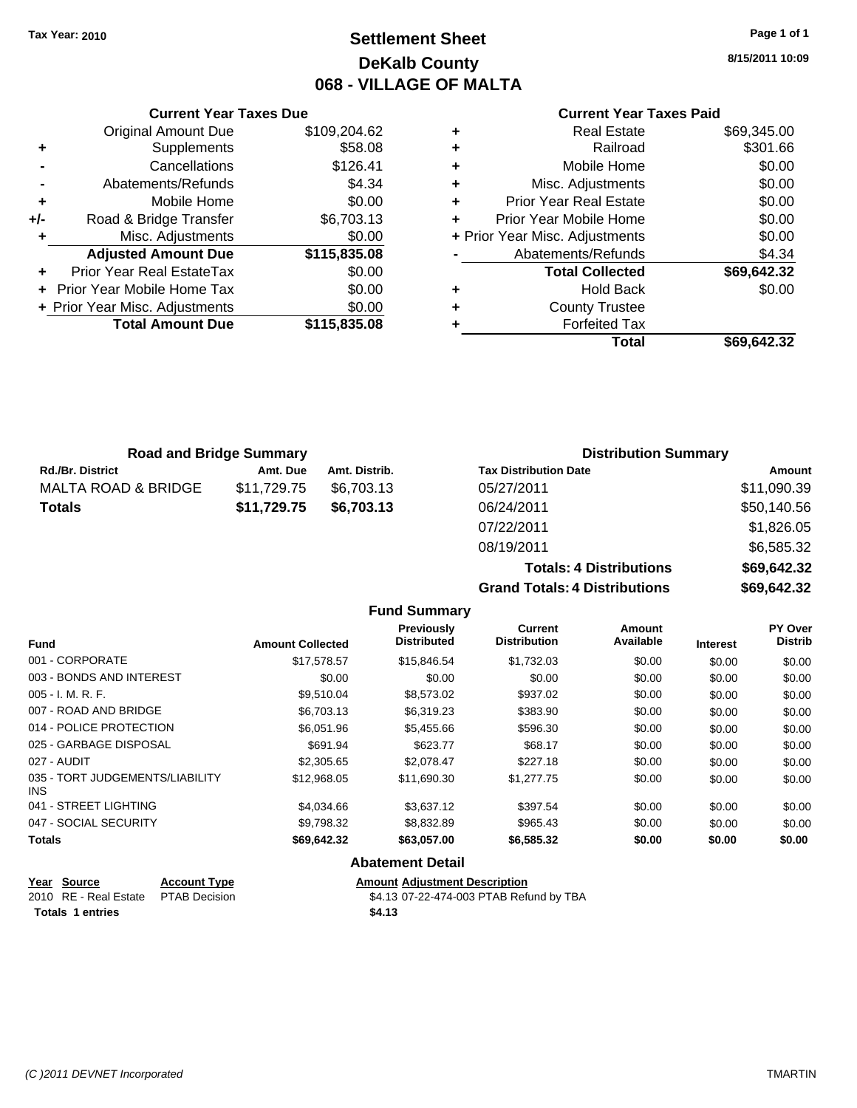## **Settlement Sheet Tax Year: 2010 Page 1 of 1 DeKalb County 068 - VILLAGE OF MALTA**

**8/15/2011 10:09**

## **Current Year Taxes Paid**

|     | <b>Current Year Taxes Due</b>     |              |       |
|-----|-----------------------------------|--------------|-------|
|     | <b>Original Amount Due</b>        | \$109,204.62 | ÷     |
|     | Supplements                       | \$58.08      | ٠     |
|     | Cancellations                     | \$126.41     | ٠     |
|     | Abatements/Refunds                | \$4.34       | ٠     |
|     | Mobile Home                       | \$0.00       | ٠     |
| +/- | Road & Bridge Transfer            | \$6,703.13   | ٠     |
|     | Misc. Adjustments                 | \$0.00       | + Pri |
|     | <b>Adjusted Amount Due</b>        | \$115,835.08 |       |
|     | Prior Year Real EstateTax         | \$0.00       |       |
|     | <b>Prior Year Mobile Home Tax</b> | \$0.00       |       |
|     | + Prior Year Misc. Adjustments    | \$0.00       |       |
|     | <b>Total Amount Due</b>           | \$115,835.08 |       |
|     |                                   |              |       |

| <b>Real Estate</b>            | \$69,345.00                                              |
|-------------------------------|----------------------------------------------------------|
| Railroad                      | \$301.66                                                 |
| Mobile Home                   | \$0.00                                                   |
| Misc. Adjustments             | \$0.00                                                   |
| <b>Prior Year Real Estate</b> | \$0.00                                                   |
|                               | \$0.00                                                   |
|                               | \$0.00                                                   |
| Abatements/Refunds            | \$4.34                                                   |
| <b>Total Collected</b>        | \$69,642.32                                              |
| <b>Hold Back</b>              | \$0.00                                                   |
| <b>County Trustee</b>         |                                                          |
| <b>Forfeited Tax</b>          |                                                          |
| Total                         | \$69.642.32                                              |
|                               | Prior Year Mobile Home<br>+ Prior Year Misc. Adjustments |

| <b>Road and Bridge Summary</b> |             |               | <b>Distribution Summary</b>  |             |  |
|--------------------------------|-------------|---------------|------------------------------|-------------|--|
| <b>Rd./Br. District</b>        | Amt. Due    | Amt. Distrib. | <b>Tax Distribution Date</b> | Amount      |  |
| MALTA ROAD & BRIDGE            | \$11.729.75 | \$6.703.13    | 05/27/2011                   | \$11,090.39 |  |
| <b>Totals</b>                  | \$11,729.75 | \$6,703.13    | 06/24/2011                   | \$50,140.56 |  |
|                                |             |               | 07/22/2011                   | \$1,826.05  |  |

**Totals: 4 Dis Grand Totals: 4 Dis** 

| stributions | \$69,642.32 |
|-------------|-------------|
| stributions | \$69,642.32 |

08/19/2011 \$6,585.32

|                                              |                         | <b>Fund Summary</b>                     |                                       |                     |                 |                           |
|----------------------------------------------|-------------------------|-----------------------------------------|---------------------------------------|---------------------|-----------------|---------------------------|
| <b>Fund</b>                                  | <b>Amount Collected</b> | <b>Previously</b><br><b>Distributed</b> | <b>Current</b><br><b>Distribution</b> | Amount<br>Available | <b>Interest</b> | PY Over<br><b>Distrib</b> |
| 001 - CORPORATE                              | \$17,578.57             | \$15,846.54                             | \$1,732.03                            | \$0.00              | \$0.00          | \$0.00                    |
| 003 - BONDS AND INTEREST                     | \$0.00                  | \$0.00                                  | \$0.00                                | \$0.00              | \$0.00          | \$0.00                    |
| $005 - I. M. R. F.$                          | \$9,510.04              | \$8,573.02                              | \$937.02                              | \$0.00              | \$0.00          | \$0.00                    |
| 007 - ROAD AND BRIDGE                        | \$6,703.13              | \$6,319.23                              | \$383.90                              | \$0.00              | \$0.00          | \$0.00                    |
| 014 - POLICE PROTECTION                      | \$6,051.96              | \$5,455.66                              | \$596.30                              | \$0.00              | \$0.00          | \$0.00                    |
| 025 - GARBAGE DISPOSAL                       | \$691.94                | \$623.77                                | \$68.17                               | \$0.00              | \$0.00          | \$0.00                    |
| 027 - AUDIT                                  | \$2,305.65              | \$2,078.47                              | \$227.18                              | \$0.00              | \$0.00          | \$0.00                    |
| 035 - TORT JUDGEMENTS/LIABILITY<br>INS.      | \$12.968.05             | \$11,690.30                             | \$1,277.75                            | \$0.00              | \$0.00          | \$0.00                    |
| 041 - STREET LIGHTING                        | \$4,034.66              | \$3,637.12                              | \$397.54                              | \$0.00              | \$0.00          | \$0.00                    |
| 047 - SOCIAL SECURITY                        | \$9,798.32              | \$8,832.89                              | \$965.43                              | \$0.00              | \$0.00          | \$0.00                    |
| <b>Totals</b>                                | \$69,642.32             | \$63,057.00                             | \$6,585.32                            | \$0.00              | \$0.00          | \$0.00                    |
|                                              |                         | <b>Abatement Detail</b>                 |                                       |                     |                 |                           |
| Year<br><b>Source</b><br><b>Account Type</b> |                         | <b>Amount Adiustment Description</b>    |                                       |                     |                 |                           |

\$4.13 07-22-474-003 PTAB Refund by TBA

| Year Source                         | <b>Account Type</b> | Amount |
|-------------------------------------|---------------------|--------|
| 2010 RE - Real Estate PTAB Decision |                     | \$4.13 |
| <b>Totals 1 entries</b>             |                     | \$4.13 |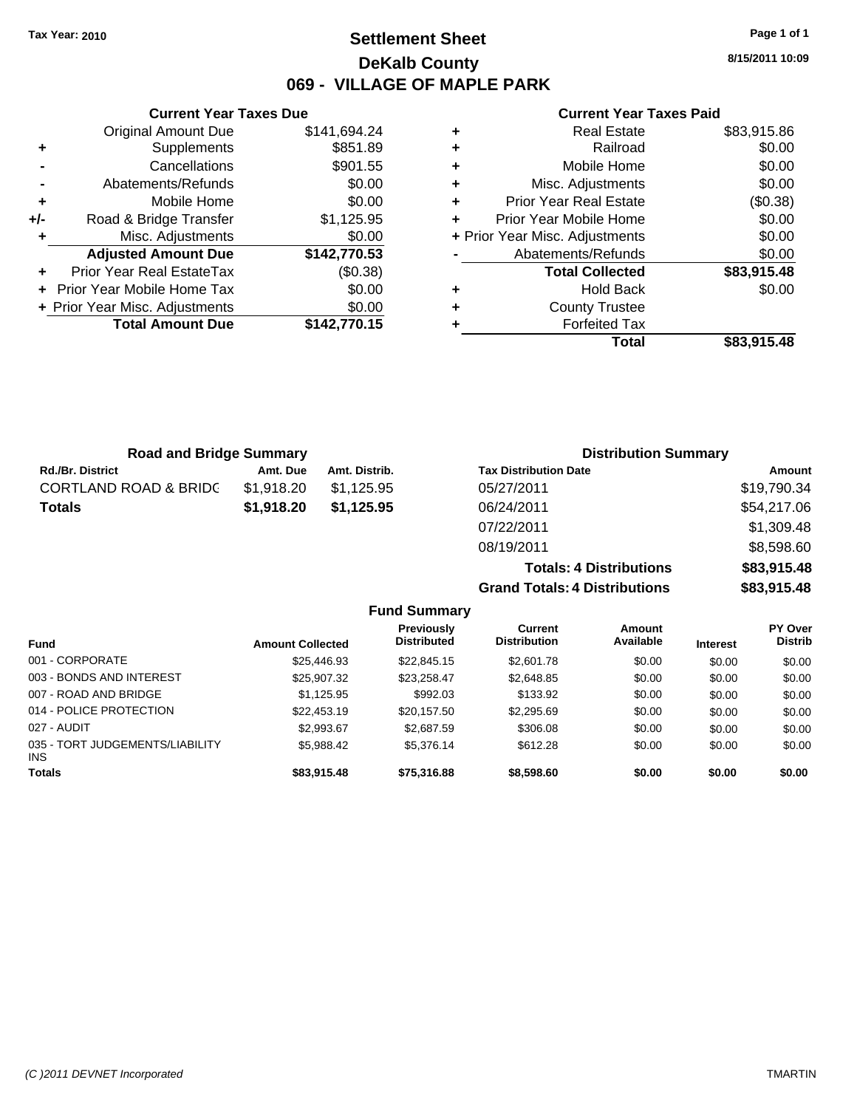## **Settlement Sheet Tax Year: 2010 Page 1 of 1 DeKalb County 069 - VILLAGE OF MAPLE PARK**

**8/15/2011 10:09**

## **Current Year Taxes Paid**

| Current                   |   | <b>Current Year Taxes Due</b> |                                |       |
|---------------------------|---|-------------------------------|--------------------------------|-------|
| Real                      | ٠ | \$141,694.24                  | <b>Original Amount Due</b>     |       |
| R                         | ٠ | \$851.89                      | <b>Supplements</b>             | ٠     |
| Mobile                    | ٠ | \$901.55                      | Cancellations                  |       |
| Misc. Adjust              | ÷ | \$0.00                        | Abatements/Refunds             |       |
| Prior Year Real           | ÷ | \$0.00                        | Mobile Home                    | ٠     |
| <b>Prior Year Mobile</b>  | ٠ | \$1,125.95                    | Road & Bridge Transfer         | $+/-$ |
| + Prior Year Misc. Adjust |   | \$0.00                        | Misc. Adjustments              |       |
| Abatements/Re             |   | \$142,770.53                  | <b>Adjusted Amount Due</b>     |       |
| <b>Total Col</b>          |   | (\$0.38)                      | Prior Year Real EstateTax      |       |
| Hold                      | ٠ | \$0.00                        | + Prior Year Mobile Home Tax   |       |
| County T                  | ٠ | \$0.00                        | + Prior Year Misc. Adjustments |       |
| Forfeite                  |   | \$142,770.15                  | <b>Total Amount Due</b>        |       |
|                           |   |                               |                                |       |

| <b>Real Estate</b>                 | \$83,915.86 |
|------------------------------------|-------------|
| Railroad<br>÷                      | \$0.00      |
| Mobile Home<br>٠                   | \$0.00      |
| Misc. Adjustments<br>٠             | \$0.00      |
| <b>Prior Year Real Estate</b><br>٠ | (\$0.38)    |
| Prior Year Mobile Home             | \$0.00      |
| + Prior Year Misc. Adjustments     | \$0.00      |
| Abatements/Refunds                 | \$0.00      |
| <b>Total Collected</b>             | \$83,915.48 |
| <b>Hold Back</b><br>٠              | \$0.00      |
| <b>County Trustee</b><br>٠         |             |
| <b>Forfeited Tax</b>               |             |
| Total                              | \$83,915.48 |

**Totals: 4 Distributions \$83,915.48**

**Grand Totals: 4 Distributions \$83,915.48**

| <b>Road and Bridge Summary</b>   |            |               | <b>Distribution Summary</b>  |             |  |
|----------------------------------|------------|---------------|------------------------------|-------------|--|
| <b>Rd./Br. District</b>          | Amt. Due   | Amt. Distrib. | <b>Tax Distribution Date</b> | Amount      |  |
| <b>CORTLAND ROAD &amp; BRIDC</b> | \$1,918.20 | \$1.125.95    | 05/27/2011                   | \$19,790.34 |  |
| <b>Totals</b>                    | \$1,918.20 | \$1,125.95    | 06/24/2011                   | \$54,217.06 |  |
|                                  |            |               | 07/22/2011                   | \$1,309.48  |  |
|                                  |            |               | 08/19/2011                   | \$8,598.60  |  |

|                                         |                         | <b>Fund Summary</b>              |                                       |                     |                 |                                  |
|-----------------------------------------|-------------------------|----------------------------------|---------------------------------------|---------------------|-----------------|----------------------------------|
| <b>Fund</b>                             | <b>Amount Collected</b> | Previously<br><b>Distributed</b> | <b>Current</b><br><b>Distribution</b> | Amount<br>Available | <b>Interest</b> | <b>PY Over</b><br><b>Distrib</b> |
| 001 - CORPORATE                         | \$25,446.93             | \$22,845.15                      | \$2,601.78                            | \$0.00              | \$0.00          | \$0.00                           |
| 003 - BONDS AND INTEREST                | \$25,907.32             | \$23,258.47                      | \$2,648.85                            | \$0.00              | \$0.00          | \$0.00                           |
| 007 - ROAD AND BRIDGE                   | \$1,125.95              | \$992.03                         | \$133.92                              | \$0.00              | \$0.00          | \$0.00                           |
| 014 - POLICE PROTECTION                 | \$22,453.19             | \$20,157.50                      | \$2,295.69                            | \$0.00              | \$0.00          | \$0.00                           |
| 027 - AUDIT                             | \$2,993.67              | \$2,687.59                       | \$306.08                              | \$0.00              | \$0.00          | \$0.00                           |
| 035 - TORT JUDGEMENTS/LIABILITY<br>INS. | \$5.988.42              | \$5,376.14                       | \$612.28                              | \$0.00              | \$0.00          | \$0.00                           |
| Totals                                  | \$83,915.48             | \$75,316.88                      | \$8,598.60                            | \$0.00              | \$0.00          | \$0.00                           |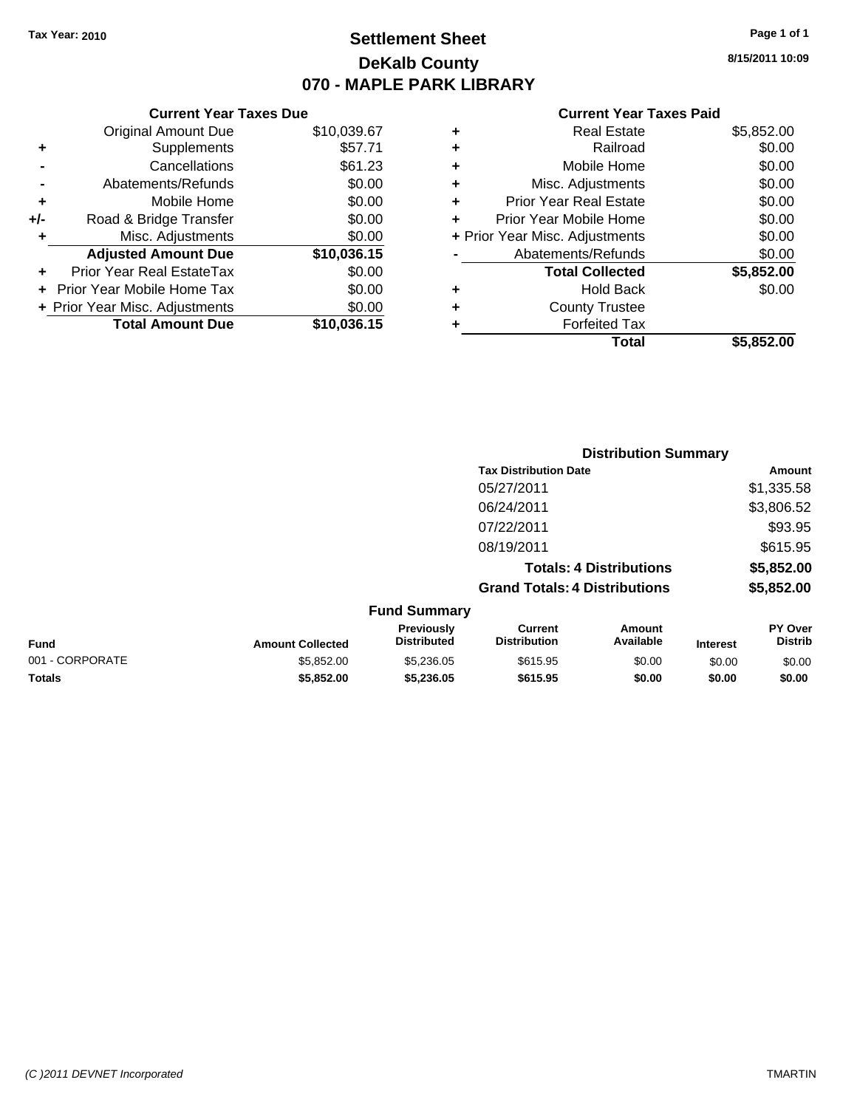## **Settlement Sheet Tax Year: 2010 Page 1 of 1 DeKalb County 070 - MAPLE PARK LIBRARY**

**8/15/2011 10:09**

## **Current Year Taxes Paid**

|                  |   | Total                          | \$5,852.00 |
|------------------|---|--------------------------------|------------|
| $\overline{.15}$ |   | <b>Forfeited Tax</b>           |            |
| .00              | ٠ | <b>County Trustee</b>          |            |
| .00              | ٠ | <b>Hold Back</b>               | \$0.00     |
| .00              |   | <b>Total Collected</b>         | \$5,852.00 |
| .15              |   | Abatements/Refunds             | \$0.00     |
| .00              |   | + Prior Year Misc. Adjustments | \$0.00     |
| .00              |   | Prior Year Mobile Home         | \$0.00     |
| .00              | ٠ | <b>Prior Year Real Estate</b>  | \$0.00     |
| .00              | ٠ | Misc. Adjustments              | \$0.00     |
| .23              | ٠ | Mobile Home                    | \$0.00     |
| .71              | ٠ | Railroad                       | \$0.00     |
| .67              | ٠ | <b>Real Estate</b>             | \$5,852.00 |
|                  |   |                                |            |

|     | Prior Year Real EstateTax<br><b>Prior Year Mobile Home Tax</b> | \$0.00<br>\$0.00 |
|-----|----------------------------------------------------------------|------------------|
|     | <b>Adjusted Amount Due</b>                                     | \$10,036.15      |
| ٠   | Misc. Adjustments                                              | \$0.00           |
| +/- | Road & Bridge Transfer                                         | \$0.00           |
| ٠   | Mobile Home                                                    | \$0.00           |
|     | Abatements/Refunds                                             | \$0.00           |
|     | Cancellations                                                  | \$61.23          |
| ٠   | Supplements                                                    | \$57.71          |
|     | <b>Original Amount Due</b>                                     | \$10,039.67      |

**Current Year Taxes Due**

|                 |                         |                                         | <b>Distribution Summary</b>           |                                |                 |                                  |
|-----------------|-------------------------|-----------------------------------------|---------------------------------------|--------------------------------|-----------------|----------------------------------|
|                 |                         |                                         | <b>Tax Distribution Date</b>          |                                |                 | Amount                           |
|                 |                         |                                         | 05/27/2011                            |                                |                 | \$1,335.58                       |
|                 |                         |                                         | 06/24/2011                            |                                |                 | \$3,806.52                       |
|                 |                         |                                         | 07/22/2011                            |                                |                 | \$93.95                          |
|                 |                         |                                         | 08/19/2011                            |                                |                 | \$615.95                         |
|                 |                         |                                         |                                       | <b>Totals: 4 Distributions</b> |                 | \$5,852.00                       |
|                 |                         |                                         | <b>Grand Totals: 4 Distributions</b>  |                                |                 | \$5,852.00                       |
|                 |                         | <b>Fund Summary</b>                     |                                       |                                |                 |                                  |
| <b>Fund</b>     | <b>Amount Collected</b> | <b>Previously</b><br><b>Distributed</b> | <b>Current</b><br><b>Distribution</b> | Amount<br>Available            | <b>Interest</b> | <b>PY Over</b><br><b>Distrib</b> |
| 001 - CORPORATE | \$5,852,00              | \$5,236,05                              | \$615.95                              | \$0.00                         | \$0.00          | \$0.00                           |

**Totals \$5,852.00 \$5,236.05 \$615.95 \$0.00 \$0.00 \$0.00**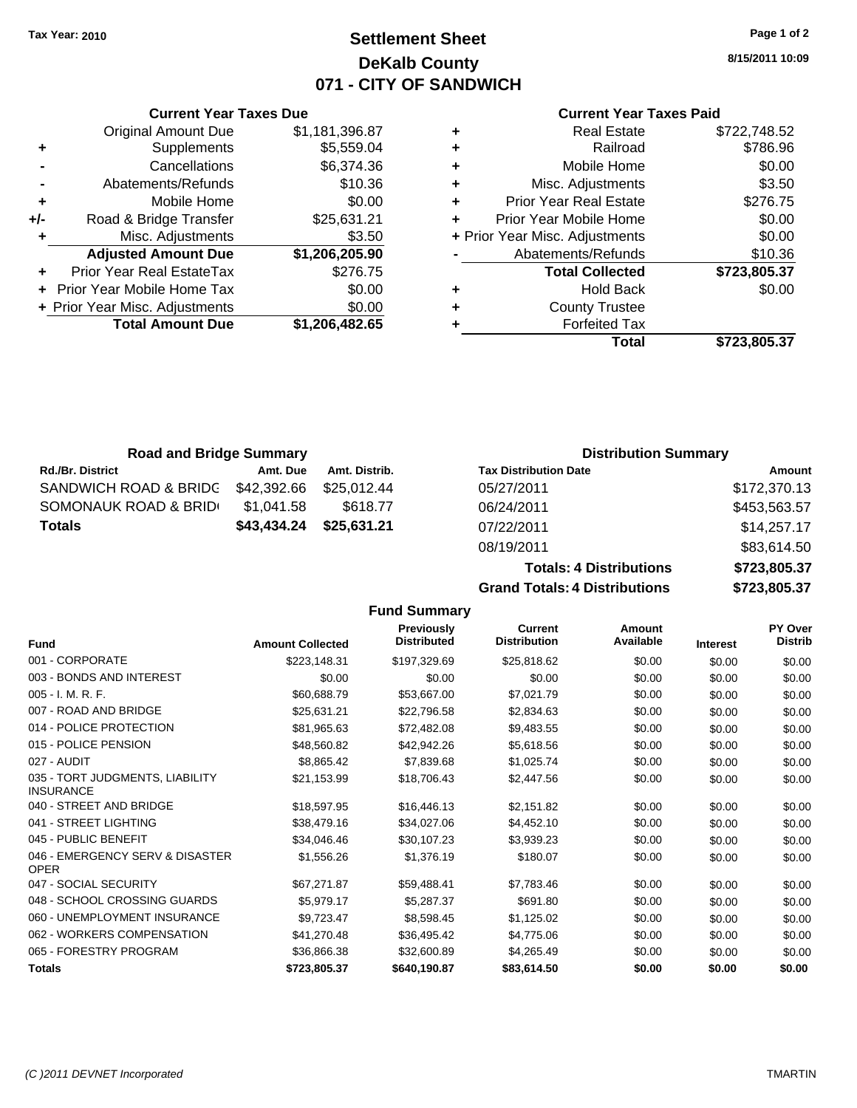## **Settlement Sheet Tax Year: 2010 Page 1 of 2 DeKalb County 071 - CITY OF SANDWICH**

**8/15/2011 10:09**

|     | <b>Current Year Taxes Due</b>     |                |
|-----|-----------------------------------|----------------|
|     | <b>Original Amount Due</b>        | \$1,181,396.87 |
| ٠   | Supplements                       | \$5,559.04     |
|     | Cancellations                     | \$6,374.36     |
|     | Abatements/Refunds                | \$10.36        |
| ٠   | Mobile Home                       | \$0.00         |
| +/- | Road & Bridge Transfer            | \$25,631.21    |
|     | Misc. Adjustments                 | \$3.50         |
|     | <b>Adjusted Amount Due</b>        | \$1,206,205.90 |
|     | Prior Year Real EstateTax         | \$276.75       |
|     | <b>Prior Year Mobile Home Tax</b> | \$0.00         |
|     | + Prior Year Misc. Adjustments    | \$0.00         |
|     | <b>Total Amount Due</b>           | \$1,206,482.65 |
|     |                                   |                |

## **Current Year Taxes Paid**

| ٠ | <b>Real Estate</b>             | \$722,748.52 |
|---|--------------------------------|--------------|
| ٠ | Railroad                       | \$786.96     |
| ÷ | Mobile Home                    | \$0.00       |
| ٠ | Misc. Adjustments              | \$3.50       |
| ٠ | <b>Prior Year Real Estate</b>  | \$276.75     |
| ٠ | Prior Year Mobile Home         | \$0.00       |
|   | + Prior Year Misc. Adjustments | \$0.00       |
|   | Abatements/Refunds             | \$10.36      |
|   | <b>Total Collected</b>         | \$723,805.37 |
| ٠ | <b>Hold Back</b>               | \$0.00       |
| ٠ | <b>County Trustee</b>          |              |
| ٠ | <b>Forfeited Tax</b>           |              |
|   | Total                          | \$723,805.37 |
|   |                                |              |

| <b>Road and Bridge Summary</b> |             |               | <b>Distribution Summary</b>  |                          |
|--------------------------------|-------------|---------------|------------------------------|--------------------------|
| <b>Rd./Br. District</b>        | Amt. Due    | Amt. Distrib. | <b>Tax Distribution Date</b> | Amount                   |
| SANDWICH ROAD & BRIDC          | \$42,392.66 | \$25.012.44   | 05/27/2011                   | \$172,370.13             |
| SOMONAUK ROAD & BRID           | \$1.041.58  | \$618.77      | 06/24/2011                   | \$453,563.57             |
| <b>Totals</b>                  | \$43,434.24 | \$25,631.21   | 07/22/2011                   | \$14,257.17              |
|                                |             |               | -- <i>----</i> ---           | * * * * * * * <b>*</b> * |

**Fund Summary**

# 08/19/2011 \$83,614.50

**Totals: 4 Distributions \$723,805.37 Grand Totals: 4 Distributions \$723,805.37**

| <b>Fund</b>                                         | <b>Amount Collected</b> | <b>Previously</b><br><b>Distributed</b> | <b>Current</b><br><b>Distribution</b> | Amount<br>Available | <b>Interest</b> | PY Over<br><b>Distrib</b> |
|-----------------------------------------------------|-------------------------|-----------------------------------------|---------------------------------------|---------------------|-----------------|---------------------------|
| 001 - CORPORATE                                     | \$223,148.31            | \$197,329.69                            | \$25,818.62                           | \$0.00              | \$0.00          | \$0.00                    |
| 003 - BONDS AND INTEREST                            | \$0.00                  | \$0.00                                  | \$0.00                                | \$0.00              | \$0.00          | \$0.00                    |
| 005 - I. M. R. F.                                   | \$60,688.79             | \$53,667.00                             | \$7,021.79                            | \$0.00              | \$0.00          | \$0.00                    |
| 007 - ROAD AND BRIDGE                               | \$25,631.21             | \$22,796.58                             | \$2,834.63                            | \$0.00              | \$0.00          | \$0.00                    |
| 014 - POLICE PROTECTION                             | \$81,965.63             | \$72,482.08                             | \$9,483.55                            | \$0.00              | \$0.00          | \$0.00                    |
| 015 - POLICE PENSION                                | \$48,560.82             | \$42,942.26                             | \$5,618.56                            | \$0.00              | \$0.00          | \$0.00                    |
| 027 - AUDIT                                         | \$8,865.42              | \$7,839.68                              | \$1,025.74                            | \$0.00              | \$0.00          | \$0.00                    |
| 035 - TORT JUDGMENTS, LIABILITY<br><b>INSURANCE</b> | \$21,153.99             | \$18,706.43                             | \$2,447.56                            | \$0.00              | \$0.00          | \$0.00                    |
| 040 - STREET AND BRIDGE                             | \$18,597.95             | \$16,446.13                             | \$2,151.82                            | \$0.00              | \$0.00          | \$0.00                    |
| 041 - STREET LIGHTING                               | \$38,479.16             | \$34,027.06                             | \$4,452.10                            | \$0.00              | \$0.00          | \$0.00                    |
| 045 - PUBLIC BENEFIT                                | \$34,046.46             | \$30,107.23                             | \$3,939.23                            | \$0.00              | \$0.00          | \$0.00                    |
| 046 - EMERGENCY SERV & DISASTER<br><b>OPER</b>      | \$1,556.26              | \$1,376.19                              | \$180.07                              | \$0.00              | \$0.00          | \$0.00                    |
| 047 - SOCIAL SECURITY                               | \$67,271.87             | \$59,488.41                             | \$7,783.46                            | \$0.00              | \$0.00          | \$0.00                    |
| 048 - SCHOOL CROSSING GUARDS                        | \$5,979.17              | \$5,287.37                              | \$691.80                              | \$0.00              | \$0.00          | \$0.00                    |
| 060 - UNEMPLOYMENT INSURANCE                        | \$9,723.47              | \$8,598.45                              | \$1,125.02                            | \$0.00              | \$0.00          | \$0.00                    |
| 062 - WORKERS COMPENSATION                          | \$41,270.48             | \$36,495.42                             | \$4,775.06                            | \$0.00              | \$0.00          | \$0.00                    |
| 065 - FORESTRY PROGRAM                              | \$36,866.38             | \$32,600.89                             | \$4,265.49                            | \$0.00              | \$0.00          | \$0.00                    |
| <b>Totals</b>                                       | \$723,805.37            | \$640,190.87                            | \$83,614.50                           | \$0.00              | \$0.00          | \$0.00                    |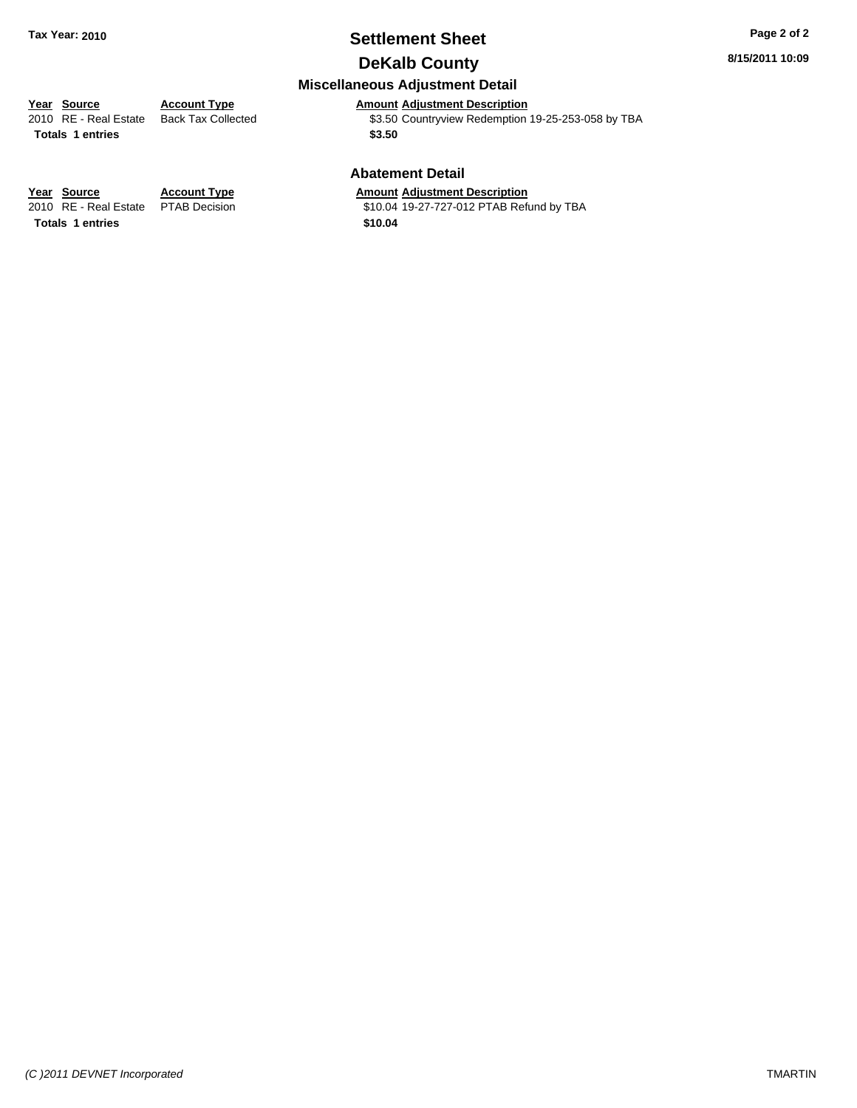## **Settlement Sheet Tax Year: 2010 Page 2 of 2**

**8/15/2011 10:09**

## **DeKalb County**

## **Miscellaneous Adjustment Detail**

**Year Source Account Type Amount Adjustment Description**<br>
2010 RE - Real Estate Back Tax Collected \$3.50 Countryview Redemption \$3.50 Countryview Redemption 19-25-253-058 by TBA Totals 1 entries \$3.50

#### **Abatement Detail**

\$10.04 19-27-727-012 PTAB Refund by TBA

**Year Source Account Type Amount Adjustment Description**<br>2010 RE - Real Estate PTAB Decision **Amount** \$10.04 19-27-727-012 PTAB Refu **Totals \$10.04 1 entries**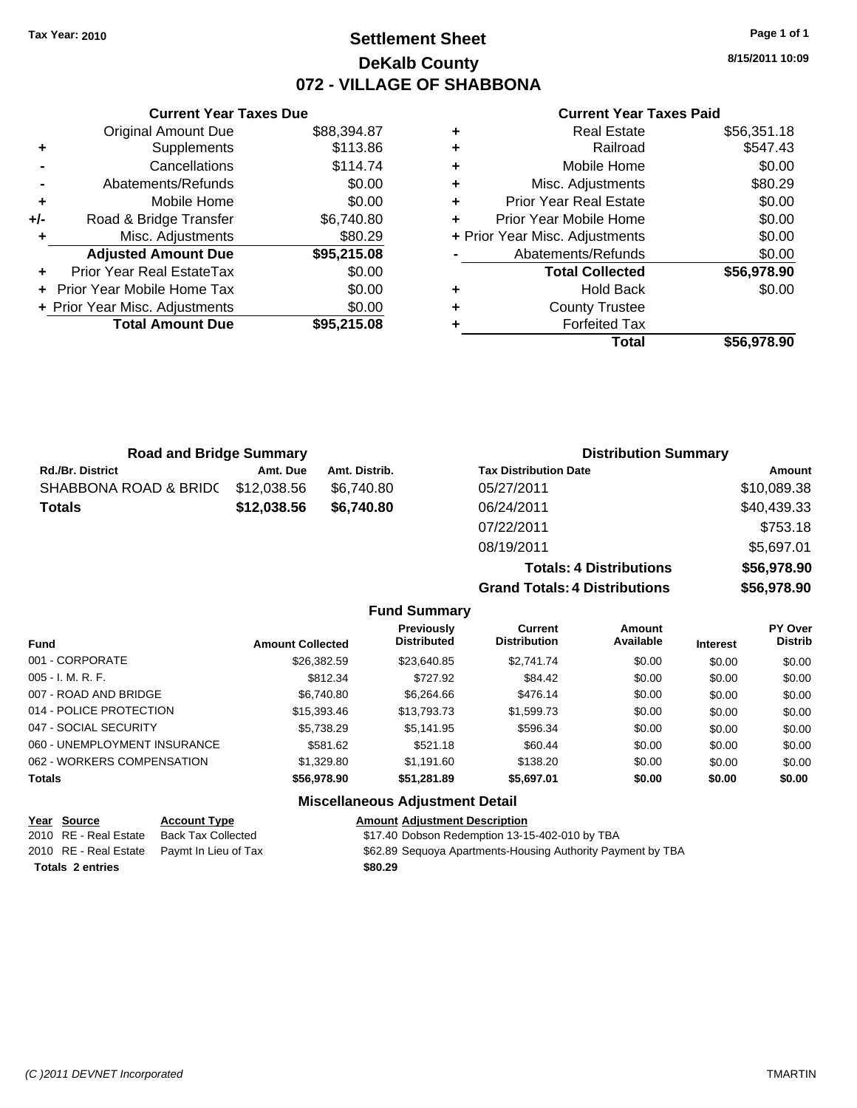## **Settlement Sheet Tax Year: 2010 Page 1 of 1 DeKalb County 072 - VILLAGE OF SHABBONA**

**8/15/2011 10:09**

#### **Current Year Taxes Paid**

|   | <b>Real Estate</b>             | \$56,351.18 |
|---|--------------------------------|-------------|
| ٠ | Railroad                       | \$547.43    |
| ٠ | Mobile Home                    | \$0.00      |
| ٠ | Misc. Adjustments              | \$80.29     |
| ٠ | <b>Prior Year Real Estate</b>  | \$0.00      |
|   | Prior Year Mobile Home         | \$0.00      |
|   | + Prior Year Misc. Adjustments | \$0.00      |
|   | Abatements/Refunds             | \$0.00      |
|   | <b>Total Collected</b>         | \$56,978.90 |
| ٠ | <b>Hold Back</b>               | \$0.00      |
| ٠ | <b>County Trustee</b>          |             |
|   | <b>Forfeited Tax</b>           |             |
|   | Total                          | \$56.978.90 |

**Totals: 4 Distributions \$56,978.90**

**Grand Totals: 4 Distributions \$56,978.90**

| <b>Road and Bridge Summary</b> |             |               | <b>Distribution Summary</b>  |             |
|--------------------------------|-------------|---------------|------------------------------|-------------|
| Rd./Br. District               | Amt. Due    | Amt. Distrib. | <b>Tax Distribution Date</b> | Amount      |
| SHABBONA ROAD & BRID(          | \$12,038.56 | \$6.740.80    | 05/27/2011                   | \$10,089.38 |
| Totals                         | \$12,038.56 | \$6,740.80    | 06/24/2011                   | \$40,439.33 |
|                                |             |               | 07/22/2011                   | \$753.18    |
|                                |             |               | 08/19/2011                   | \$5,697.01  |

**Fund Summary Fund Interest Amount Collected Distributed PY Over Distrib Amount Available Current Distribution Previously** 001 - CORPORATE \$26,382.59 \$23,640.85 \$2,741.74 \$0.00 \$0.00 \$0.00 005 - I. M. R. F. Charles Communication of the State State State State State State State State State State Sta 007 - ROAD AND BRIDGE 6 .000 \$6,740.80 \$6,264.66 \$476.14 \$0.00 \$0.00 \$0.00 \$0.00 014 - POLICE PROTECTION \$15,393.46 \$13,793.73 \$1,599.73 \$0.00 \$0.00 \$0.00 \$0.00 047 - SOCIAL SECURITY \$5,738.29 \$5,141.95 \$596.34 \$0.00 \$0.00 \$0.00 060 - UNEMPLOYMENT INSURANCE 6581.62 \$581.62 \$521.18 \$60.44 \$0.00 \$0.00 \$0.00 \$0.00 062 - WORKERS COMPENSATION \$1,329.80 \$1,191.60 \$138.20 \$0.00 \$0.00 \$0.00 \$0.00 **Totals \$56,978.90 \$51,281.89 \$5,697.01 \$0.00 \$0.00 \$0.00**

#### **Miscellaneous Adjustment Detail**

| Year Source             | <b>Account Type</b>                        | <b>Amount Adiustment Description</b>                        |
|-------------------------|--------------------------------------------|-------------------------------------------------------------|
| 2010 RE - Real Estate   | Back Tax Collected                         | \$17.40 Dobson Redemption 13-15-402-010 by TBA              |
|                         | 2010 RE - Real Estate Paymt In Lieu of Tax | \$62.89 Sequoya Apartments-Housing Authority Payment by TBA |
| <b>Totals 2 entries</b> |                                            | \$80.29                                                     |

#### **Current Year Taxes Due**  $O<sub>signal</sub>$  Amount Due  $88,394.87$

|     | Original Amount Due              | \$88.394.87 |
|-----|----------------------------------|-------------|
| ٠   | Supplements                      | \$113.86    |
|     | Cancellations                    | \$114.74    |
|     | Abatements/Refunds               | \$0.00      |
| ٠   | Mobile Home                      | \$0.00      |
| +/- | Road & Bridge Transfer           | \$6,740.80  |
| ٠   | Misc. Adjustments                | \$80.29     |
|     | <b>Adjusted Amount Due</b>       | \$95,215.08 |
| ٠   | <b>Prior Year Real EstateTax</b> | \$0.00      |
|     | Prior Year Mobile Home Tax       | \$0.00      |
|     | + Prior Year Misc. Adjustments   | \$0.00      |
|     |                                  |             |
|     | <b>Total Amount Due</b>          | \$95,215.08 |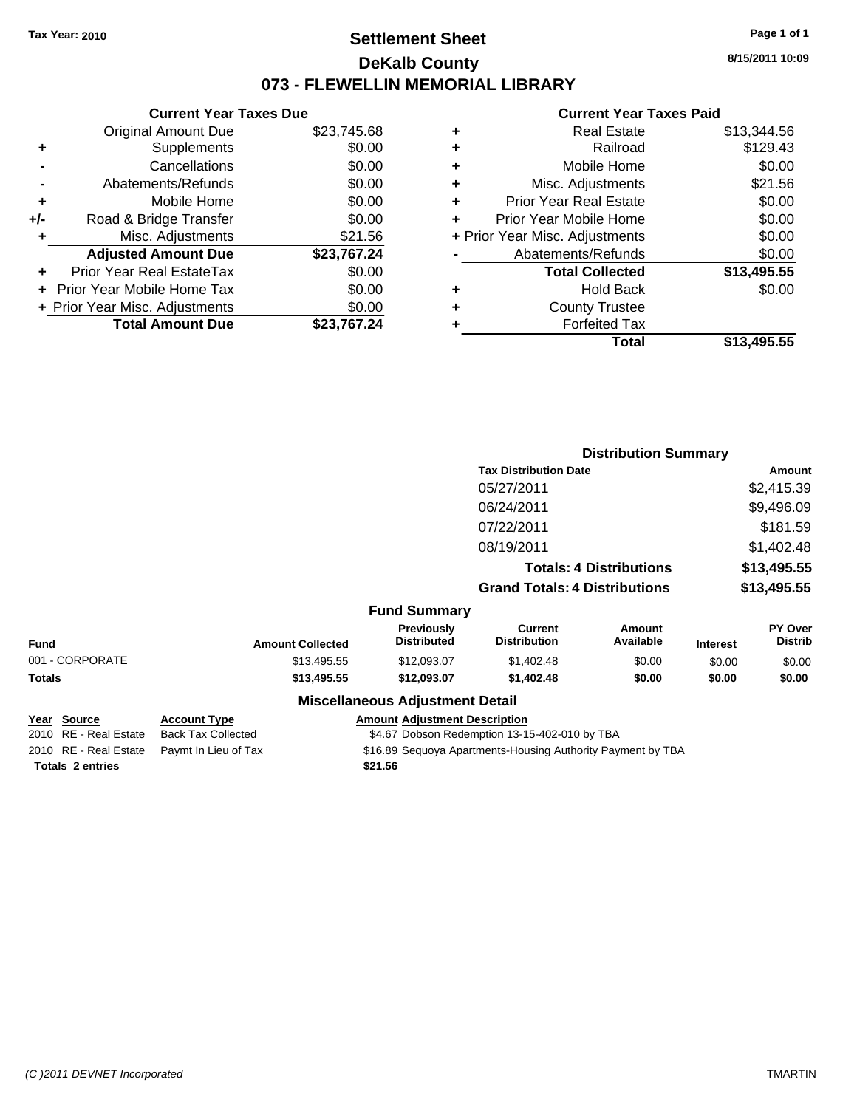## **Settlement Sheet Tax Year: 2010 Page 1 of 1 DeKalb County 073 - FLEWELLIN MEMORIAL LIBRARY**

**8/15/2011 10:09**

#### **Current Year Taxes Paid**

|     | <b>Current Year Taxes Due</b>    |             |
|-----|----------------------------------|-------------|
|     | <b>Original Amount Due</b>       | \$23,745.68 |
| ٠   | Supplements                      | \$0.00      |
|     | Cancellations                    | \$0.00      |
|     | Abatements/Refunds               | \$0.00      |
| ٠   | Mobile Home                      | \$0.00      |
| +/- | Road & Bridge Transfer           | \$0.00      |
| ٠   | Misc. Adjustments                | \$21.56     |
|     | <b>Adjusted Amount Due</b>       | \$23,767.24 |
| ٠   | <b>Prior Year Real EstateTax</b> | \$0.00      |
|     | Prior Year Mobile Home Tax       | \$0.00      |
|     | + Prior Year Misc. Adjustments   | \$0.00      |
|     | <b>Total Amount Due</b>          | \$23.767.24 |
|     |                                  |             |

| ٠ | Real Estate                    | \$13,344.56 |
|---|--------------------------------|-------------|
| ٠ | Railroad                       | \$129.43    |
| ٠ | Mobile Home                    | \$0.00      |
| ٠ | Misc. Adjustments              | \$21.56     |
| ÷ | <b>Prior Year Real Estate</b>  | \$0.00      |
| ٠ | Prior Year Mobile Home         | \$0.00      |
|   | + Prior Year Misc. Adjustments | \$0.00      |
|   | Abatements/Refunds             | \$0.00      |
|   | <b>Total Collected</b>         | \$13,495.55 |
| ٠ | <b>Hold Back</b>               | \$0.00      |
| ٠ | <b>County Trustee</b>          |             |
| ٠ | <b>Forfeited Tax</b>           |             |
|   | Total                          | \$13,495.55 |
|   |                                |             |

|                 |                         |                                         |                                       | <b>Distribution Summary</b>    |                 |                           |
|-----------------|-------------------------|-----------------------------------------|---------------------------------------|--------------------------------|-----------------|---------------------------|
|                 |                         |                                         | <b>Tax Distribution Date</b>          |                                |                 | Amount                    |
|                 |                         |                                         | 05/27/2011                            |                                |                 | \$2,415.39                |
|                 |                         |                                         | 06/24/2011                            |                                |                 | \$9,496.09                |
|                 |                         |                                         | 07/22/2011                            |                                |                 | \$181.59                  |
|                 |                         |                                         | 08/19/2011                            |                                |                 | \$1,402.48                |
|                 |                         |                                         |                                       | <b>Totals: 4 Distributions</b> |                 | \$13,495.55               |
|                 |                         |                                         | <b>Grand Totals: 4 Distributions</b>  |                                |                 | \$13,495.55               |
|                 |                         | <b>Fund Summary</b>                     |                                       |                                |                 |                           |
| Fund            | <b>Amount Collected</b> | <b>Previously</b><br><b>Distributed</b> | <b>Current</b><br><b>Distribution</b> | Amount<br>Available            | <b>Interest</b> | PY Over<br><b>Distrib</b> |
| 001 - CORPORATE | \$13,495.55             | \$12,093.07                             | \$1,402.48                            | \$0.00                         | \$0.00          | \$0.00                    |
| Totals          | \$13,495.55             | \$12,093.07                             | \$1,402.48                            | \$0.00                         | \$0.00          | \$0.00                    |
|                 |                         | <b>Miscellaneous Adjustment Detail</b>  |                                       |                                |                 |                           |

| Year Source             | <b>Account Type</b>                        | <b>Amount Adiustment Description</b>                        |
|-------------------------|--------------------------------------------|-------------------------------------------------------------|
| 2010 RE - Real Estate   | <b>Back Tax Collected</b>                  | \$4.67 Dobson Redemption 13-15-402-010 by TBA               |
|                         | 2010 RE - Real Estate Paymt In Lieu of Tax | \$16.89 Sequoya Apartments-Housing Authority Payment by TBA |
| <b>Totals 2 entries</b> |                                            | \$21.56                                                     |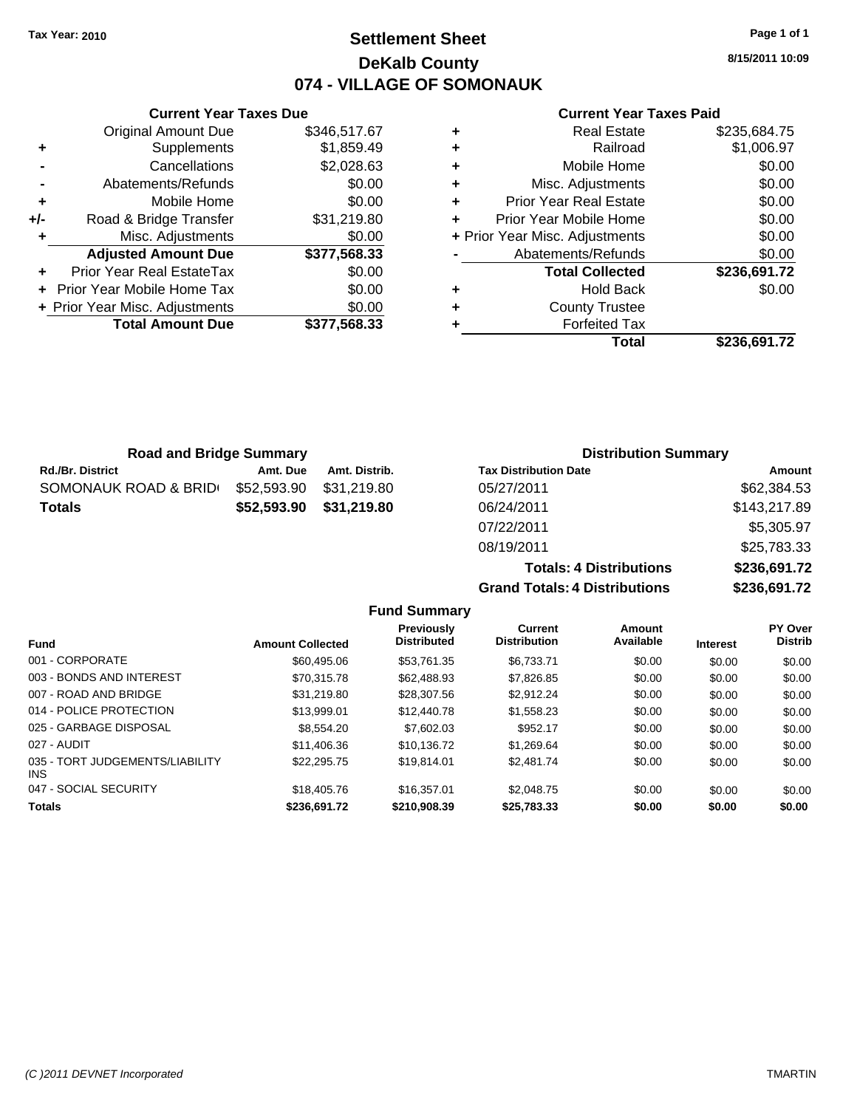**Current Year Taxes Due** Original Amount Due \$346,517.67

**Adjusted Amount Due \$377,568.33**

**Total Amount Due \$377,568.33**

**+** Supplements \$1,859.49 **-** Cancellations \$2,028.63 **-** Abatements/Refunds \$0.00 **+** Mobile Home \$0.00 **+/-** Road & Bridge Transfer \$31,219.80 **+** Misc. Adjustments \$0.00

**+** Prior Year Real EstateTax \$0.00 **+** Prior Year Mobile Home Tax \$0.00 **+ Prior Year Misc. Adjustments**  $$0.00$ 

## **Settlement Sheet Tax Year: 2010 Page 1 of 1 DeKalb County 074 - VILLAGE OF SOMONAUK**

**8/15/2011 10:09**

## **Current Year Taxes Paid**

|   | <b>Real Estate</b>             | \$235,684.75 |
|---|--------------------------------|--------------|
| ٠ | Railroad                       | \$1,006.97   |
| ٠ | Mobile Home                    | \$0.00       |
| ٠ | Misc. Adjustments              | \$0.00       |
| ٠ | Prior Year Real Estate         | \$0.00       |
| ٠ | Prior Year Mobile Home         | \$0.00       |
|   | + Prior Year Misc. Adjustments | \$0.00       |
|   | Abatements/Refunds             | \$0.00       |
|   | <b>Total Collected</b>         | \$236,691.72 |
|   | <b>Hold Back</b>               | \$0.00       |
| ٠ | <b>County Trustee</b>          |              |
|   | <b>Forfeited Tax</b>           |              |
|   | Total                          | \$236.691.72 |

| <b>Road and Bridge Summary</b> |             |               | <b>Distribution Summary</b>  |              |  |
|--------------------------------|-------------|---------------|------------------------------|--------------|--|
| <b>Rd./Br. District</b>        | Amt. Due    | Amt. Distrib. | <b>Tax Distribution Date</b> | Amount       |  |
| SOMONAUK ROAD & BRID           | \$52,593.90 | \$31,219.80   | 05/27/2011                   | \$62,384.53  |  |
| <b>Totals</b>                  | \$52,593.90 | \$31,219.80   | 06/24/2011                   | \$143,217.89 |  |
|                                |             |               | 07/22/2011                   | \$5,305.97   |  |
|                                |             |               | 08/19/2011                   | \$25,783.33  |  |

| <b>Totals: 4 Distributions</b>       | \$236,691.72 |
|--------------------------------------|--------------|
| <b>Grand Totals: 4 Distributions</b> | \$236,691.72 |

| <b>Fund Summary</b> |
|---------------------|
|                     |

| <b>Amount Collected</b> | <b>Previously</b><br><b>Distributed</b> | <b>Current</b><br><b>Distribution</b> | Amount<br>Available | <b>Interest</b> | PY Over<br><b>Distrib</b> |
|-------------------------|-----------------------------------------|---------------------------------------|---------------------|-----------------|---------------------------|
| \$60,495.06             | \$53.761.35                             | \$6.733.71                            | \$0.00              | \$0.00          | \$0.00                    |
| \$70,315.78             | \$62,488.93                             | \$7,826.85                            | \$0.00              | \$0.00          | \$0.00                    |
| \$31.219.80             | \$28,307.56                             | \$2.912.24                            | \$0.00              | \$0.00          | \$0.00                    |
| \$13.999.01             | \$12,440.78                             | \$1,558.23                            | \$0.00              | \$0.00          | \$0.00                    |
| \$8,554,20              | \$7,602.03                              | \$952.17                              | \$0.00              | \$0.00          | \$0.00                    |
| \$11,406.36             | \$10.136.72                             | \$1.269.64                            | \$0.00              | \$0.00          | \$0.00                    |
| \$22,295.75             | \$19,814.01                             | \$2,481.74                            | \$0.00              | \$0.00          | \$0.00                    |
| \$18,405.76             | \$16,357.01                             | \$2.048.75                            | \$0.00              | \$0.00          | \$0.00                    |
| \$236,691.72            | \$210,908.39                            | \$25,783.33                           | \$0.00              | \$0.00          | \$0.00                    |
|                         |                                         |                                       |                     |                 |                           |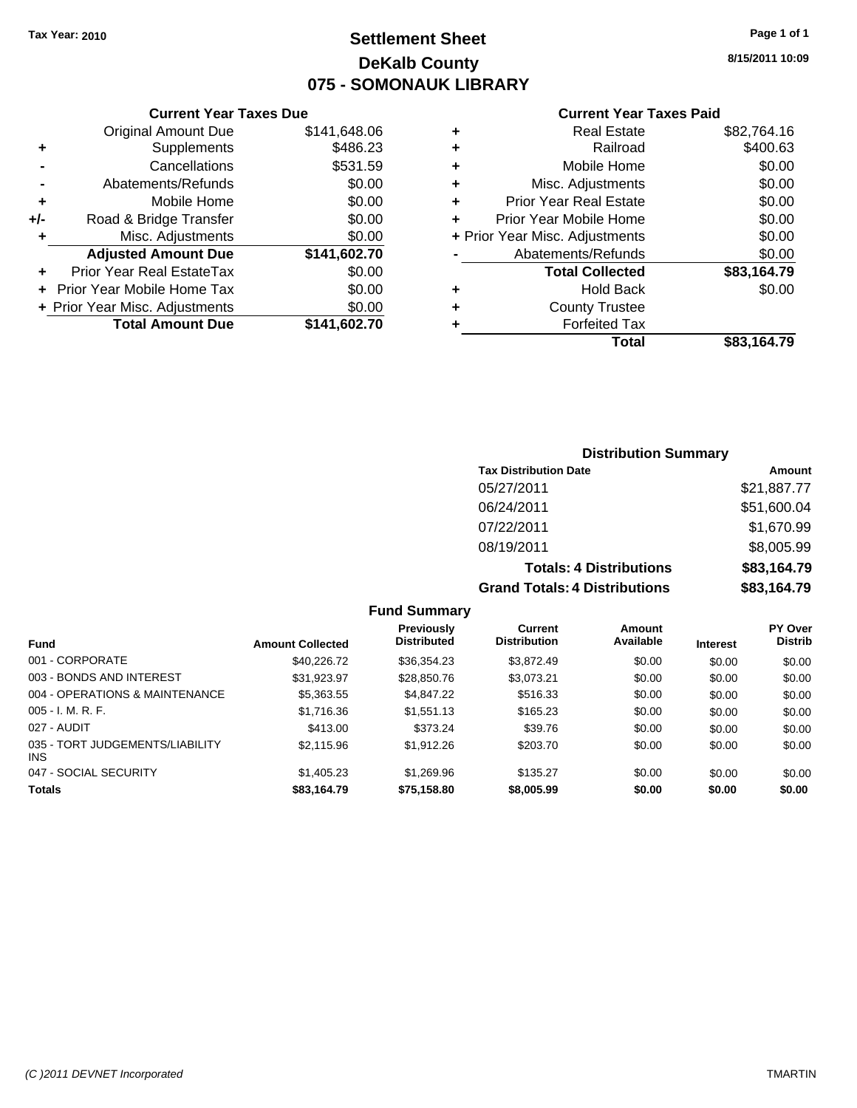## **Settlement Sheet Tax Year: 2010 Page 1 of 1 DeKalb County 075 - SOMONAUK LIBRARY**

**8/15/2011 10:09**

## **Current Year Taxes Paid**

|           |   | Total                          | \$83,164.79 |
|-----------|---|--------------------------------|-------------|
| 41,602.70 |   | <b>Forfeited Tax</b>           |             |
| \$0.00    | ٠ | <b>County Trustee</b>          |             |
| \$0.00    | ٠ | <b>Hold Back</b>               | \$0.00      |
| \$0.00    |   | <b>Total Collected</b>         | \$83,164.79 |
| 41,602.70 |   | Abatements/Refunds             | \$0.00      |
| \$0.00    |   | + Prior Year Misc. Adjustments | \$0.00      |
| \$0.00    |   | Prior Year Mobile Home         | \$0.00      |
| \$0.00    | ٠ | <b>Prior Year Real Estate</b>  | \$0.00      |
| \$0.00    | ٠ | Misc. Adjustments              | \$0.00      |
| \$531.59  | ٠ | Mobile Home                    | \$0.00      |
| \$486.23  | ٠ | Railroad                       | \$400.63    |
| 41,648.06 | ٠ | <b>Real Estate</b>             | \$82,764.16 |
|           |   |                                |             |

|     | <b>Current Year Taxes Due</b>     |              |
|-----|-----------------------------------|--------------|
|     | <b>Original Amount Due</b>        | \$141,648.06 |
| ٠   | Supplements                       | \$486.23     |
|     | Cancellations                     | \$531.59     |
|     | Abatements/Refunds                | \$0.00       |
| ٠   | Mobile Home                       | \$0.00       |
| +/- | Road & Bridge Transfer            | \$0.00       |
| ٠   | Misc. Adjustments                 | \$0.00       |
|     | <b>Adjusted Amount Due</b>        | \$141,602.70 |
|     | Prior Year Real EstateTax         | \$0.00       |
|     | <b>Prior Year Mobile Home Tax</b> | \$0.00       |
|     | + Prior Year Misc. Adjustments    | \$0.00       |
|     | <b>Total Amount Due</b>           | \$141,602.70 |

## **Distribution Summary**

| <b>Tax Distribution Date</b>         | Amount      |
|--------------------------------------|-------------|
| 05/27/2011                           | \$21,887.77 |
| 06/24/2011                           | \$51,600.04 |
| 07/22/2011                           | \$1,670.99  |
| 08/19/2011                           | \$8,005.99  |
| <b>Totals: 4 Distributions</b>       | \$83,164.79 |
| <b>Grand Totals: 4 Distributions</b> | \$83,164.79 |

#### **Fund Summary**

|                                         |                         | Previously         | Current             | Amount    |                 | <b>PY Over</b> |
|-----------------------------------------|-------------------------|--------------------|---------------------|-----------|-----------------|----------------|
| <b>Fund</b>                             | <b>Amount Collected</b> | <b>Distributed</b> | <b>Distribution</b> | Available | <b>Interest</b> | <b>Distrib</b> |
| 001 - CORPORATE                         | \$40.226.72             | \$36,354.23        | \$3,872.49          | \$0.00    | \$0.00          | \$0.00         |
| 003 - BONDS AND INTEREST                | \$31,923.97             | \$28,850.76        | \$3,073.21          | \$0.00    | \$0.00          | \$0.00         |
| 004 - OPERATIONS & MAINTENANCE          | \$5,363.55              | \$4,847.22         | \$516.33            | \$0.00    | \$0.00          | \$0.00         |
| $005 - I. M. R. F.$                     | \$1,716.36              | \$1,551.13         | \$165.23            | \$0.00    | \$0.00          | \$0.00         |
| 027 - AUDIT                             | \$413.00                | \$373.24           | \$39.76             | \$0.00    | \$0.00          | \$0.00         |
| 035 - TORT JUDGEMENTS/LIABILITY<br>INS. | \$2,115.96              | \$1.912.26         | \$203.70            | \$0.00    | \$0.00          | \$0.00         |
| 047 - SOCIAL SECURITY                   | \$1,405.23              | \$1.269.96         | \$135.27            | \$0.00    | \$0.00          | \$0.00         |
| <b>Totals</b>                           | \$83,164.79             | \$75,158.80        | \$8,005.99          | \$0.00    | \$0.00          | \$0.00         |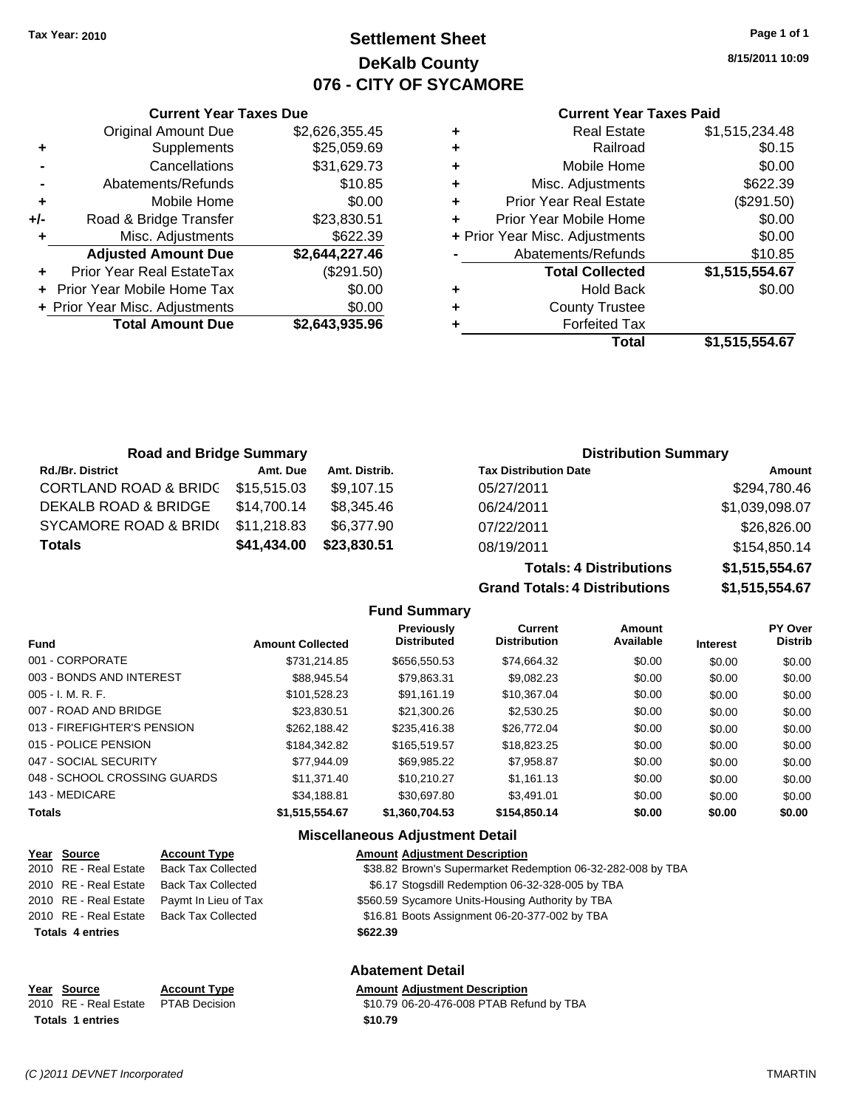**Current Year Taxes Due** Original Amount Due \$2,626,355.45

**Adjusted Amount Due \$2,644,227.46**

**Total Amount Due \$2,643,935.96**

**+** Supplements \$25,059.69 **-** Cancellations \$31,629.73 **-** Abatements/Refunds \$10.85 **+** Mobile Home \$0.00 **+/-** Road & Bridge Transfer \$23,830.51 **+** Misc. Adjustments \$622.39

**+** Prior Year Real EstateTax (\$291.50) **+** Prior Year Mobile Home Tax \$0.00 **+ Prior Year Misc. Adjustments**  $$0.00$ 

## **Settlement Sheet Tax Year: 2010 Page 1 of 1 DeKalb County 076 - CITY OF SYCAMORE**

**8/15/2011 10:09**

### **Current Year Taxes Paid**

| ٠ | <b>Real Estate</b>             | \$1,515,234.48 |
|---|--------------------------------|----------------|
| ٠ | Railroad                       | \$0.15         |
| ٠ | Mobile Home                    | \$0.00         |
| ٠ | Misc. Adjustments              | \$622.39       |
| ÷ | <b>Prior Year Real Estate</b>  | (\$291.50)     |
| ÷ | Prior Year Mobile Home         | \$0.00         |
|   | + Prior Year Misc. Adjustments | \$0.00         |
|   | Abatements/Refunds             | \$10.85        |
|   | <b>Total Collected</b>         | \$1,515,554.67 |
| ٠ | <b>Hold Back</b>               | \$0.00         |
| ٠ | <b>County Trustee</b>          |                |
| ٠ | <b>Forfeited Tax</b>           |                |
|   | Total                          | \$1.515.554.67 |

| <b>Road and Bridge Summary</b> |             |               | <b>Distribution Summary</b>  |                |  |
|--------------------------------|-------------|---------------|------------------------------|----------------|--|
| <b>Rd./Br. District</b>        | Amt. Due    | Amt. Distrib. | <b>Tax Distribution Date</b> | Amount         |  |
| CORTLAND ROAD & BRIDC          | \$15,515.03 | \$9,107.15    | 05/27/2011                   | \$294,780.46   |  |
| DEKALB ROAD & BRIDGE           | \$14,700.14 | \$8,345.46    | 06/24/2011                   | \$1,039,098.07 |  |
| SYCAMORE ROAD & BRID(          | \$11,218.83 | \$6,377.90    | 07/22/2011                   | \$26,826.00    |  |
| <b>Totals</b>                  | \$41,434.00 | \$23,830.51   | 08/19/2011                   | \$154,850.14   |  |

**Grand Totals: 4 Distributions \$1,515,554.67 Fund Summary**

**Totals: 4 Distributions \$1,515,554.67**

| <b>Fund</b>                  | <b>Amount Collected</b> | <b>Previously</b><br><b>Distributed</b> | <b>Current</b><br><b>Distribution</b> | Amount<br>Available | <b>Interest</b> | PY Over<br><b>Distrib</b> |
|------------------------------|-------------------------|-----------------------------------------|---------------------------------------|---------------------|-----------------|---------------------------|
| 001 - CORPORATE              | \$731.214.85            | \$656,550.53                            | \$74.664.32                           | \$0.00              | \$0.00          | \$0.00                    |
| 003 - BONDS AND INTEREST     | \$88.945.54             | \$79.863.31                             | \$9.082.23                            | \$0.00              | \$0.00          | \$0.00                    |
| $005 - I. M. R. F.$          | \$101.528.23            | \$91.161.19                             | \$10.367.04                           | \$0.00              | \$0.00          | \$0.00                    |
| 007 - ROAD AND BRIDGE        | \$23,830.51             | \$21,300.26                             | \$2,530.25                            | \$0.00              | \$0.00          | \$0.00                    |
| 013 - FIREFIGHTER'S PENSION  | \$262.188.42            | \$235,416.38                            | \$26,772.04                           | \$0.00              | \$0.00          | \$0.00                    |
| 015 - POLICE PENSION         | \$184.342.82            | \$165.519.57                            | \$18,823.25                           | \$0.00              | \$0.00          | \$0.00                    |
| 047 - SOCIAL SECURITY        | \$77.944.09             | \$69.985.22                             | \$7,958.87                            | \$0.00              | \$0.00          | \$0.00                    |
| 048 - SCHOOL CROSSING GUARDS | \$11.371.40             | \$10.210.27                             | \$1,161.13                            | \$0.00              | \$0.00          | \$0.00                    |
| 143 - MEDICARE               | \$34,188.81             | \$30.697.80                             | \$3.491.01                            | \$0.00              | \$0.00          | \$0.00                    |
| <b>Totals</b>                | \$1,515,554.67          | \$1,360,704.53                          | \$154,850.14                          | \$0.00              | \$0.00          | \$0.00                    |
|                              |                         |                                         |                                       |                     |                 |                           |

### **Miscellaneous Adjustment Detail**

| Year Source             | <b>Account Type</b>       | <b>Amount Adjustment Description</b>                        |
|-------------------------|---------------------------|-------------------------------------------------------------|
| 2010 RE - Real Estate   | <b>Back Tax Collected</b> | \$38.82 Brown's Supermarket Redemption 06-32-282-008 by TBA |
| 2010 RE - Real Estate   | <b>Back Tax Collected</b> | \$6.17 Stogsdill Redemption 06-32-328-005 by TBA            |
| 2010 RE - Real Estate   | Paymt In Lieu of Tax      | \$560.59 Sycamore Units-Housing Authority by TBA            |
| 2010 RE - Real Estate   | Back Tax Collected        | \$16.81 Boots Assignment 06-20-377-002 by TBA               |
| <b>Totals 4 entries</b> |                           | \$622.39                                                    |
|                         |                           |                                                             |
|                         |                           |                                                             |

### **Abatement Detail**

### **Year Source Account Type Amount Adjustment Description** 2010 RE - Real Estate \$10.79 06-20-476-008 PTAB Refund by TBA PTAB Decision

**Totals \$10.79 1 entries**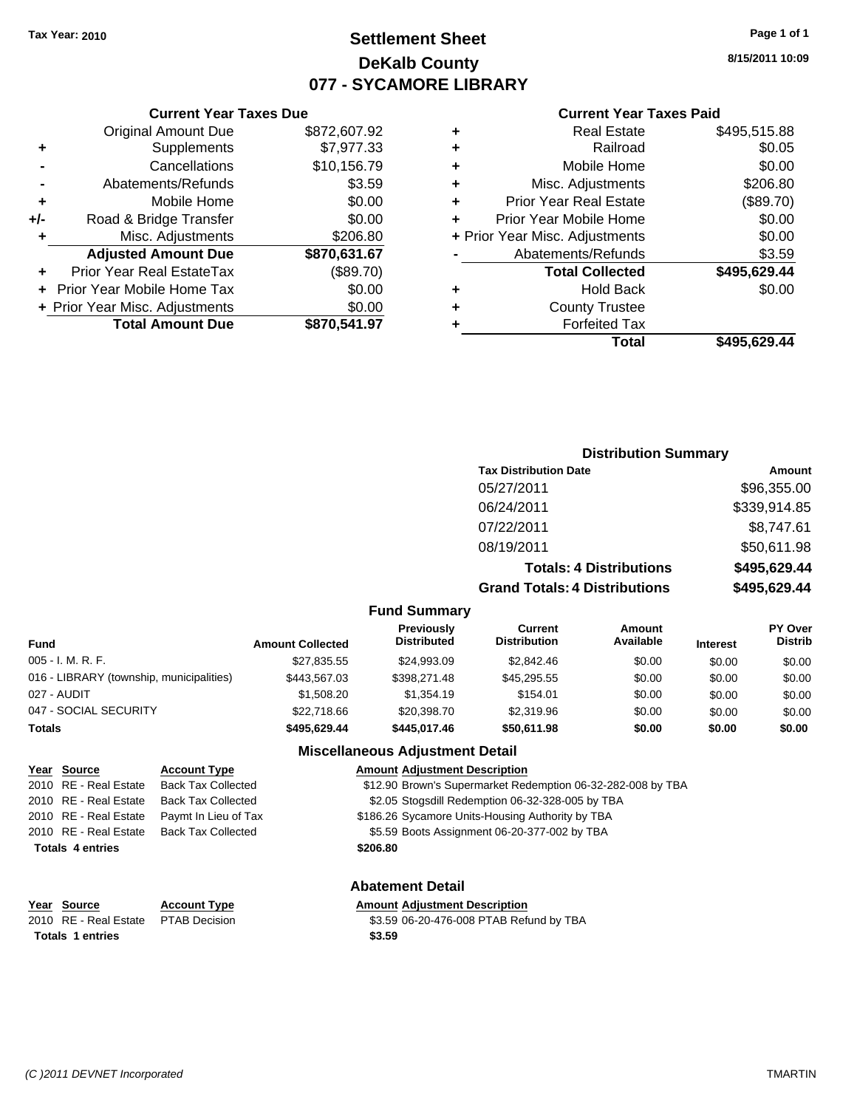## **Settlement Sheet Tax Year: 2010 Page 1 of 1 DeKalb County 077 - SYCAMORE LIBRARY**

**8/15/2011 10:09**

### **Current Year Taxes Paid**

|     | OUITUR TUUT TUAUS DUU          |              |     |
|-----|--------------------------------|--------------|-----|
|     | <b>Original Amount Due</b>     | \$872,607.92 |     |
|     | Supplements                    | \$7,977.33   | ٠   |
|     | Cancellations                  | \$10,156.79  |     |
|     | Abatements/Refunds             | \$3.59       |     |
|     | Mobile Home                    | \$0.00       |     |
| +/- | Road & Bridge Transfer         | \$0.00       | ٠   |
| ٠   | Misc. Adjustments              | \$206.80     | + F |
|     | <b>Adjusted Amount Due</b>     | \$870,631.67 |     |
|     | Prior Year Real EstateTax      | (\$89.70)    |     |
|     | Prior Year Mobile Home Tax     | \$0.00       |     |
|     | + Prior Year Misc. Adjustments | \$0.00       |     |
|     | <b>Total Amount Due</b>        | \$870,541.97 |     |
|     |                                |              |     |

**Current Year Taxes Due**

| ٠ | <b>Real Estate</b>             | \$495,515.88 |
|---|--------------------------------|--------------|
| ٠ | Railroad                       | \$0.05       |
| ٠ | Mobile Home                    | \$0.00       |
| ٠ | Misc. Adjustments              | \$206.80     |
| ٠ | <b>Prior Year Real Estate</b>  | (\$89.70)    |
| ٠ | Prior Year Mobile Home         | \$0.00       |
|   | + Prior Year Misc. Adjustments | \$0.00       |
|   | Abatements/Refunds             | \$3.59       |
|   | <b>Total Collected</b>         | \$495,629.44 |
| ٠ | <b>Hold Back</b>               | \$0.00       |
| ٠ | <b>County Trustee</b>          |              |
| ٠ | <b>Forfeited Tax</b>           |              |
|   | Total                          | \$495,629.44 |
|   |                                |              |

### **Distribution Summary Tax Distribution Date Amount** 05/27/2011 \$96,355.00 06/24/2011 \$339,914.85 07/22/2011 \$8,747.61 08/19/2011 \$50,611.98 **Totals: 4 Distributions \$495,629.44 Grand Totals: 4 Distributions \$495,629.44**

### **Fund Summary**

| Fund                                     | <b>Amount Collected</b> | Previously<br><b>Distributed</b> | Current<br><b>Distribution</b> | Amount<br>Available | <b>Interest</b> | <b>PY Over</b><br><b>Distrib</b> |
|------------------------------------------|-------------------------|----------------------------------|--------------------------------|---------------------|-----------------|----------------------------------|
| 005 - I. M. R. F.                        | \$27,835.55             | \$24,993.09                      | \$2.842.46                     | \$0.00              | \$0.00          | \$0.00                           |
| 016 - LIBRARY (township, municipalities) | \$443.567.03            | \$398,271.48                     | \$45.295.55                    | \$0.00              | \$0.00          | \$0.00                           |
| 027 - AUDIT                              | \$1,508.20              | \$1,354.19                       | \$154.01                       | \$0.00              | \$0.00          | \$0.00                           |
| 047 - SOCIAL SECURITY                    | \$22,718.66             | \$20,398.70                      | \$2,319.96                     | \$0.00              | \$0.00          | \$0.00                           |
| Totals                                   | \$495.629.44            | \$445.017.46                     | \$50,611.98                    | \$0.00              | \$0.00          | \$0.00                           |

### **Miscellaneous Adjustment Detail**

|                         | Year Source             | <b>Account Type</b>                      | <b>Amount Adiustment Description</b>                        |  |
|-------------------------|-------------------------|------------------------------------------|-------------------------------------------------------------|--|
|                         |                         | 2010 RE - Real Estate Back Tax Collected | \$12.90 Brown's Supermarket Redemption 06-32-282-008 by TBA |  |
|                         | 2010 RE - Real Estate   | <b>Back Tax Collected</b>                | \$2.05 Stogsdill Redemption 06-32-328-005 by TBA            |  |
|                         | 2010 RE - Real Estate   | Paymt In Lieu of Tax                     | \$186.26 Sycamore Units-Housing Authority by TBA            |  |
|                         |                         | 2010 RE - Real Estate Back Tax Collected | \$5.59 Boots Assignment 06-20-377-002 by TBA                |  |
|                         | <b>Totals 4 entries</b> |                                          | \$206.80                                                    |  |
| <b>Abatement Detail</b> |                         |                                          |                                                             |  |

| Year Source                         | <b>Account Type</b> | Amount |
|-------------------------------------|---------------------|--------|
| 2010 RE - Real Estate PTAB Decision |                     | \$3.59 |
| <b>Totals 1 entries</b>             |                     | \$3.59 |

## **PE Amount Adjustment Description**

2010 83.59 06-20-476-008 PTAB Refund by TBA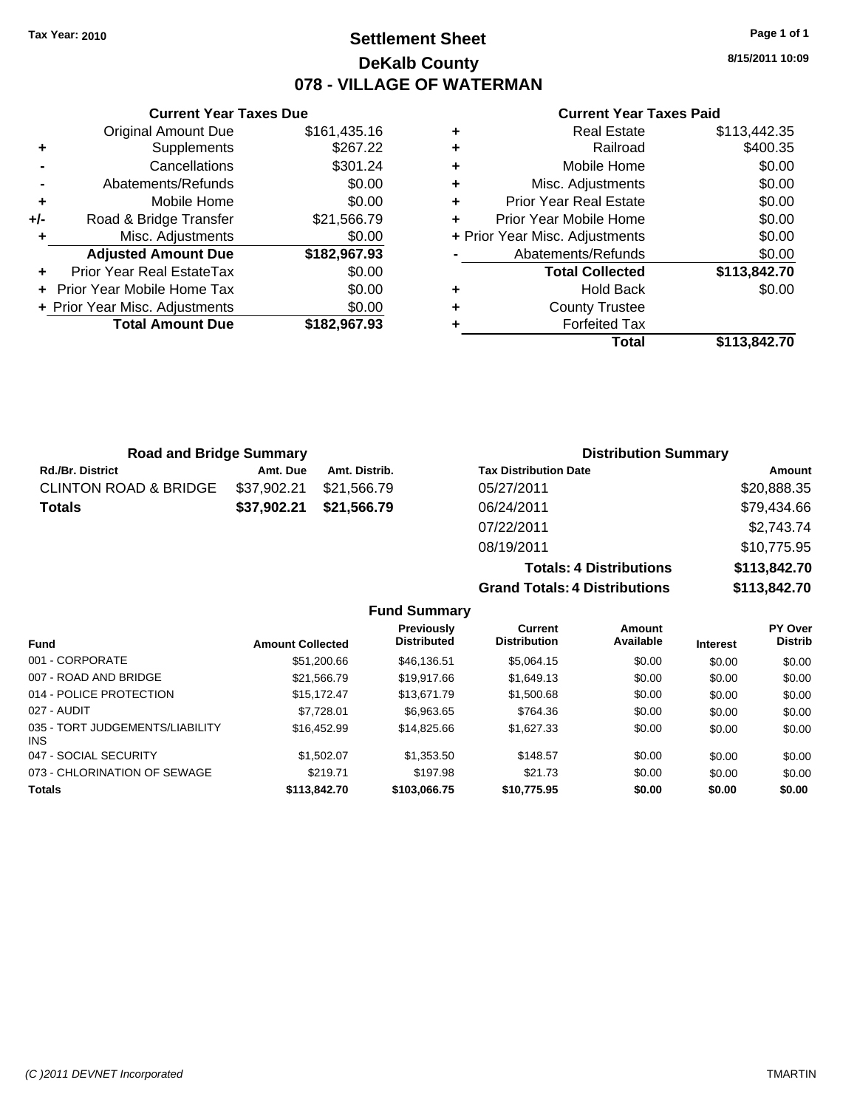**Current Year Taxes Due**

## **Settlement Sheet Tax Year: 2010 Page 1 of 1 DeKalb County 078 - VILLAGE OF WATERMAN**

**8/15/2011 10:09**

### **Current Year Taxes Paid**

| \$113,442.35 | <b>Real Estate</b>             | ٠ | \$161,435.16 | Original Amount Due            |     |
|--------------|--------------------------------|---|--------------|--------------------------------|-----|
| \$400.35     | Railroad                       | ٠ | \$267.22     | Supplements                    | ٠   |
| \$0.00       | Mobile Home                    |   | \$301.24     | Cancellations                  |     |
| \$0.00       | Misc. Adjustments              | ٠ | \$0.00       | Abatements/Refunds             |     |
| \$0.00       | <b>Prior Year Real Estate</b>  | ٠ | \$0.00       | Mobile Home                    | ٠   |
| \$0.00       | Prior Year Mobile Home         |   | \$21,566.79  | Road & Bridge Transfer         | +/- |
| \$0.00       | + Prior Year Misc. Adjustments |   | \$0.00       | Misc. Adjustments              |     |
| \$0.00       | Abatements/Refunds             |   | \$182,967.93 | <b>Adjusted Amount Due</b>     |     |
| \$113,842.70 | <b>Total Collected</b>         |   | \$0.00       | Prior Year Real EstateTax      | ٠   |
| \$0.00       | <b>Hold Back</b>               | ٠ | \$0.00       | + Prior Year Mobile Home Tax   |     |
|              | <b>County Trustee</b>          | ٠ | \$0.00       | + Prior Year Misc. Adjustments |     |
|              | <b>Forfeited Tax</b>           |   | \$182,967.93 | <b>Total Amount Due</b>        |     |
| \$113,842.70 | <b>Total</b>                   |   |              |                                |     |

| <b>Road and Bridge Summary</b>   |             |               | <b>Distribution Summary</b>  |             |  |
|----------------------------------|-------------|---------------|------------------------------|-------------|--|
| <b>Rd./Br. District</b>          | Amt. Due    | Amt. Distrib. | <b>Tax Distribution Date</b> | Amount      |  |
| <b>CLINTON ROAD &amp; BRIDGE</b> | \$37,902.21 | \$21.566.79   | 05/27/2011                   | \$20,888.35 |  |
| <b>Totals</b>                    | \$37.902.21 | \$21,566.79   | 06/24/2011                   | \$79,434.66 |  |
|                                  |             |               | 07/22/2011                   | \$2,743.74  |  |

08/19/2011 \$10,775.95

| <b>Totals: 4 Distributions</b>       | \$113,842.70 |
|--------------------------------------|--------------|
| <b>Grand Totals: 4 Distributions</b> | \$113,842.70 |

| <b>Fund</b>                                   | <b>Amount Collected</b> | <b>Previously</b><br><b>Distributed</b> | Current<br><b>Distribution</b> | Amount<br>Available | <b>Interest</b> | PY Over<br><b>Distrib</b> |
|-----------------------------------------------|-------------------------|-----------------------------------------|--------------------------------|---------------------|-----------------|---------------------------|
| 001 - CORPORATE                               | \$51,200.66             | \$46.136.51                             | \$5.064.15                     | \$0.00              | \$0.00          | \$0.00                    |
| 007 - ROAD AND BRIDGE                         | \$21,566.79             | \$19,917.66                             | \$1,649.13                     | \$0.00              | \$0.00          | \$0.00                    |
| 014 - POLICE PROTECTION                       | \$15.172.47             | \$13,671.79                             | \$1,500.68                     | \$0.00              | \$0.00          | \$0.00                    |
| 027 - AUDIT                                   | \$7.728.01              | \$6,963.65                              | \$764.36                       | \$0.00              | \$0.00          | \$0.00                    |
| 035 - TORT JUDGEMENTS/LIABILITY<br><b>INS</b> | \$16,452.99             | \$14,825,66                             | \$1,627,33                     | \$0.00              | \$0.00          | \$0.00                    |
| 047 - SOCIAL SECURITY                         | \$1,502.07              | \$1,353.50                              | \$148.57                       | \$0.00              | \$0.00          | \$0.00                    |
| 073 - CHLORINATION OF SEWAGE                  | \$219.71                | \$197.98                                | \$21.73                        | \$0.00              | \$0.00          | \$0.00                    |
| <b>Totals</b>                                 | \$113,842.70            | \$103,066.75                            | \$10,775.95                    | \$0.00              | \$0.00          | \$0.00                    |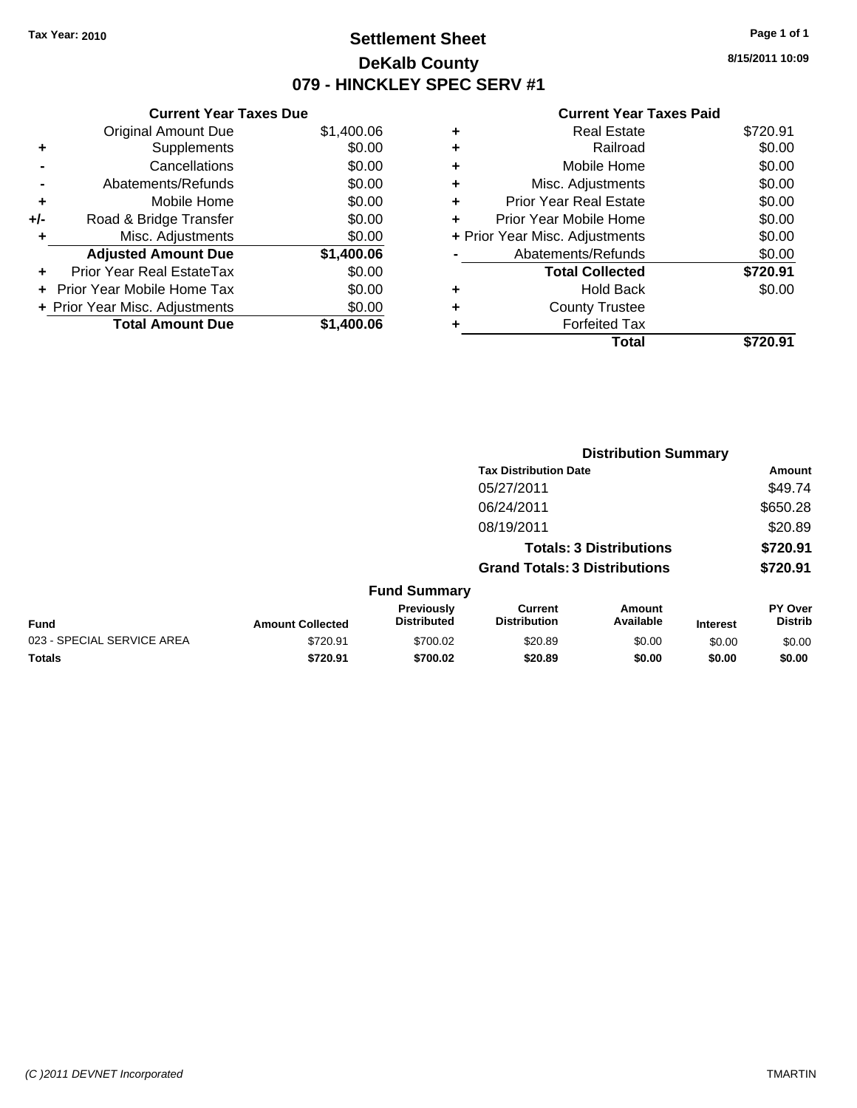## **Settlement Sheet Tax Year: 2010 Page 1 of 1 DeKalb County 079 - HINCKLEY SPEC SERV #1**

**8/15/2011 10:09**

| <b>Current Year Taxes Due</b>     |            |
|-----------------------------------|------------|
| <b>Original Amount Due</b>        | \$1,400.06 |
| Supplements                       | \$0.00     |
| Cancellations                     | \$0.00     |
| Abatements/Refunds                | \$0.00     |
| Mobile Home                       | \$0.00     |
| Road & Bridge Transfer            | \$0.00     |
| Misc. Adjustments                 | \$0.00     |
| <b>Adjusted Amount Due</b>        | \$1,400.06 |
| Prior Year Real EstateTax         | \$0.00     |
| <b>Prior Year Mobile Home Tax</b> | \$0.00     |
| + Prior Year Misc. Adjustments    | \$0.00     |
| <b>Total Amount Due</b>           | \$1.400.06 |
|                                   |            |

| ٠ | <b>Real Estate</b>             | \$720.91 |
|---|--------------------------------|----------|
| ٠ | Railroad                       | \$0.00   |
| ٠ | Mobile Home                    | \$0.00   |
| ٠ | Misc. Adjustments              | \$0.00   |
| ٠ | <b>Prior Year Real Estate</b>  | \$0.00   |
|   | Prior Year Mobile Home         | \$0.00   |
|   | + Prior Year Misc. Adjustments | \$0.00   |
|   | Abatements/Refunds             | \$0.00   |
|   | <b>Total Collected</b>         | \$720.91 |
| ٠ | <b>Hold Back</b>               | \$0.00   |
|   | <b>County Trustee</b>          |          |
| ٠ | <b>Forfeited Tax</b>           |          |
|   | Total                          | \$720.91 |
|   |                                |          |

|                            |                         |                                  | <b>Distribution Summary</b>           |                                |                 |                                  |
|----------------------------|-------------------------|----------------------------------|---------------------------------------|--------------------------------|-----------------|----------------------------------|
|                            |                         |                                  | <b>Tax Distribution Date</b>          |                                |                 | Amount                           |
|                            |                         |                                  | 05/27/2011                            |                                |                 | \$49.74                          |
|                            |                         |                                  | 06/24/2011                            |                                |                 | \$650.28                         |
|                            |                         |                                  | 08/19/2011                            |                                |                 | \$20.89                          |
|                            |                         |                                  |                                       | <b>Totals: 3 Distributions</b> |                 | \$720.91                         |
|                            |                         |                                  | <b>Grand Totals: 3 Distributions</b>  |                                |                 | \$720.91                         |
|                            |                         | <b>Fund Summary</b>              |                                       |                                |                 |                                  |
| Fund                       | <b>Amount Collected</b> | Previously<br><b>Distributed</b> | <b>Current</b><br><b>Distribution</b> | <b>Amount</b><br>Available     | <b>Interest</b> | <b>PY Over</b><br><b>Distrib</b> |
| 023 - SPECIAL SERVICE AREA | \$720.91                | \$700.02                         | \$20.89                               | \$0.00                         | \$0.00          | \$0.00                           |
| Totals                     | \$720.91                | \$700.02                         | \$20.89                               | \$0.00                         | \$0.00          | \$0.00                           |
|                            |                         |                                  |                                       |                                |                 |                                  |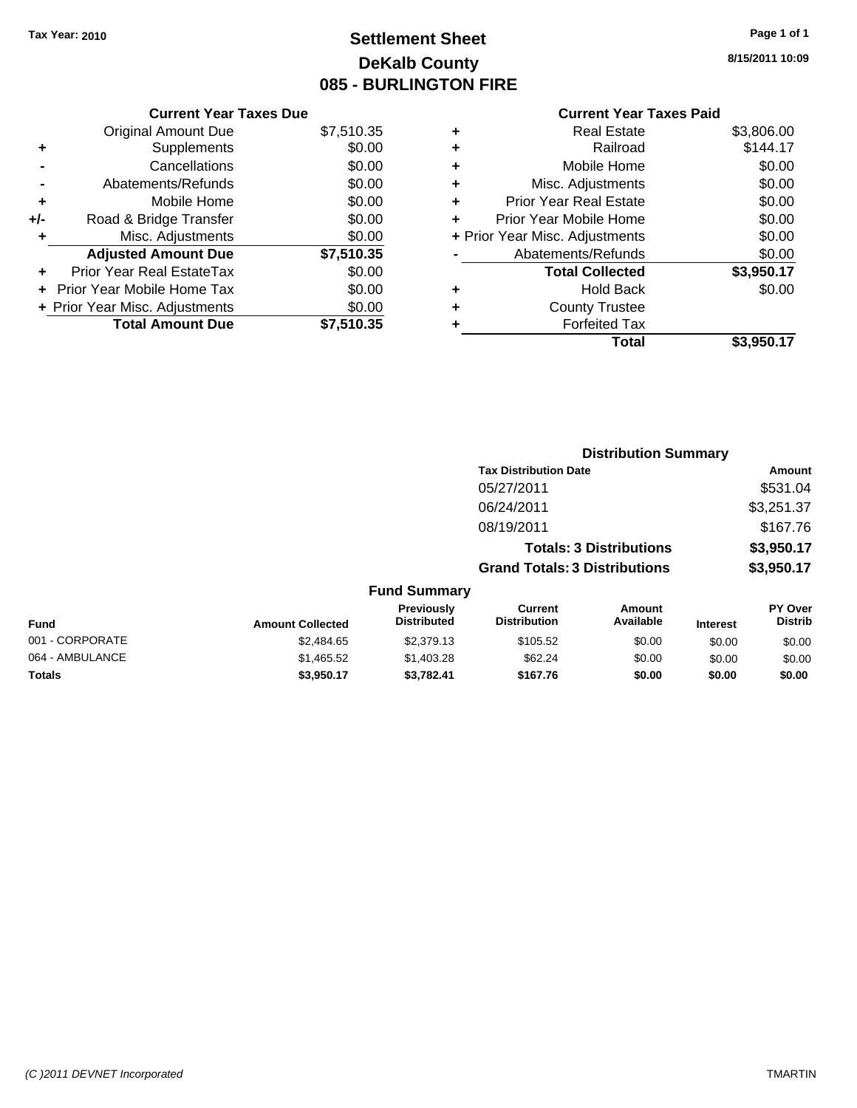## **Settlement Sheet Tax Year: 2010 Page 1 of 1 DeKalb County 085 - BURLINGTON FIRE**

**8/15/2011 10:09**

| <b>Current Year Taxes Due</b>  |            |
|--------------------------------|------------|
| <b>Original Amount Due</b>     | \$7,510.35 |
| Supplements                    | \$0.00     |
| Cancellations                  | \$0.00     |
| Abatements/Refunds             | \$0.00     |
| Mobile Home                    | \$0.00     |
| Road & Bridge Transfer         | \$0.00     |
| Misc. Adjustments              | \$0.00     |
|                                |            |
| <b>Adjusted Amount Due</b>     | \$7,510.35 |
| Prior Year Real EstateTax      | \$0.00     |
| Prior Year Mobile Home Tax     | \$0.00     |
| + Prior Year Misc. Adjustments | \$0.00     |
|                                |            |

| ٠ | <b>Real Estate</b>             | \$3,806.00 |
|---|--------------------------------|------------|
| ٠ | Railroad                       | \$144.17   |
| ٠ | Mobile Home                    | \$0.00     |
| ٠ | Misc. Adjustments              | \$0.00     |
| ÷ | <b>Prior Year Real Estate</b>  | \$0.00     |
|   | Prior Year Mobile Home         | \$0.00     |
|   | + Prior Year Misc. Adjustments | \$0.00     |
|   | Abatements/Refunds             | \$0.00     |
|   | <b>Total Collected</b>         | \$3,950.17 |
| ٠ | <b>Hold Back</b>               | \$0.00     |
| ٠ | <b>County Trustee</b>          |            |
|   | <b>Forfeited Tax</b>           |            |
|   | Total                          | \$3,950.17 |

|                 |                         |                                  | <b>Distribution Summary</b>           |                                |                 |                           |
|-----------------|-------------------------|----------------------------------|---------------------------------------|--------------------------------|-----------------|---------------------------|
|                 |                         |                                  | <b>Tax Distribution Date</b>          |                                |                 | Amount                    |
|                 |                         |                                  | 05/27/2011                            |                                |                 | \$531.04                  |
|                 |                         |                                  | 06/24/2011                            |                                |                 | \$3,251.37                |
|                 |                         |                                  | 08/19/2011                            |                                |                 | \$167.76                  |
|                 |                         |                                  |                                       | <b>Totals: 3 Distributions</b> |                 | \$3,950.17                |
|                 |                         |                                  | <b>Grand Totals: 3 Distributions</b>  |                                |                 | \$3,950.17                |
|                 |                         | <b>Fund Summary</b>              |                                       |                                |                 |                           |
| <b>Fund</b>     | <b>Amount Collected</b> | Previously<br><b>Distributed</b> | <b>Current</b><br><b>Distribution</b> | <b>Amount</b><br>Available     | <b>Interest</b> | PY Over<br><b>Distrib</b> |
| 001 - CORPORATE | \$2,484.65              | \$2,379.13                       | \$105.52                              | \$0.00                         | \$0.00          | \$0.00                    |
| 064 - AMBULANCE | \$1,465.52              | \$1,403.28                       | \$62.24                               | \$0.00                         | \$0.00          | \$0.00                    |
| Totals          | \$3,950.17              | \$3,782.41                       | \$167.76                              | \$0.00                         | \$0.00          | \$0.00                    |
|                 |                         |                                  |                                       |                                |                 |                           |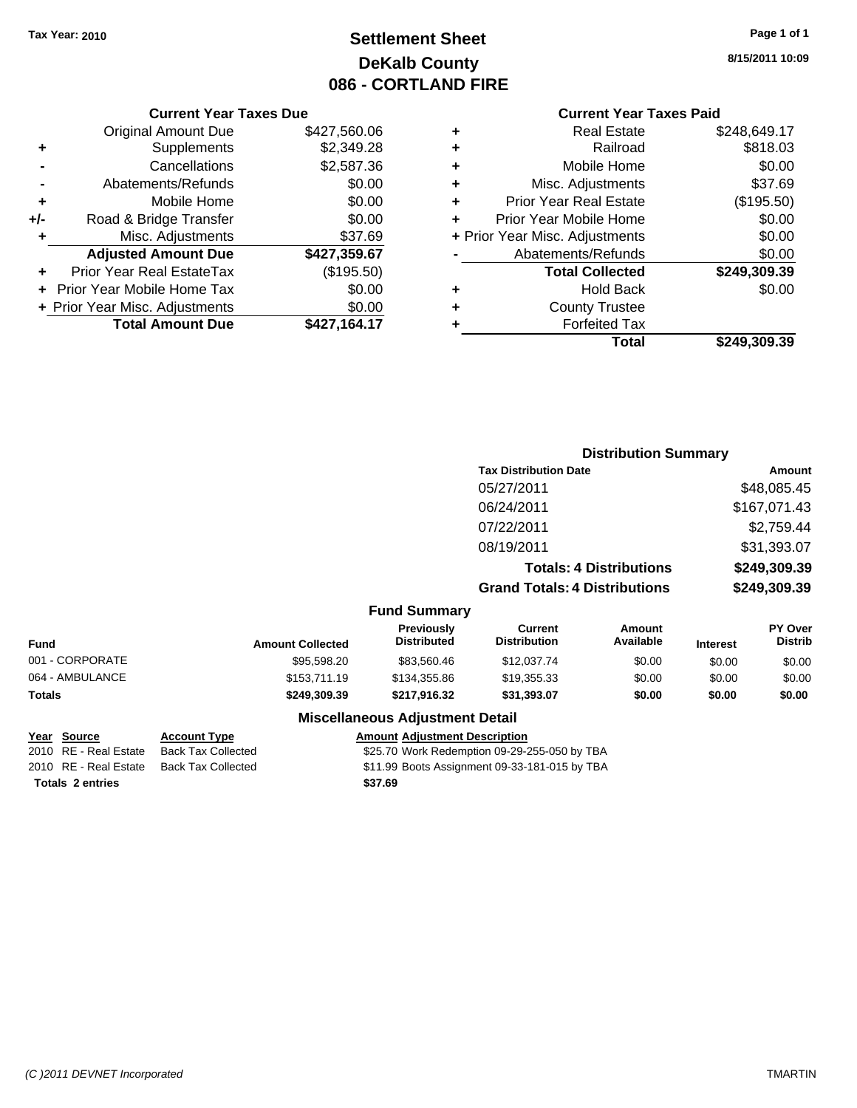## **Settlement Sheet Tax Year: 2010 Page 1 of 1 DeKalb County 086 - CORTLAND FIRE**

### **Current Year Taxes Paid**

|   | VUIIGIIL IGAI TAAGS LAIU       |              |
|---|--------------------------------|--------------|
| ٠ | <b>Real Estate</b>             | \$248,649.17 |
| ٠ | Railroad                       | \$818.03     |
| ÷ | Mobile Home                    | \$0.00       |
| ÷ | Misc. Adjustments              | \$37.69      |
| ٠ | <b>Prior Year Real Estate</b>  | (\$195.50)   |
| ٠ | Prior Year Mobile Home         | \$0.00       |
|   | + Prior Year Misc. Adjustments | \$0.00       |
|   | Abatements/Refunds             | \$0.00       |
|   | <b>Total Collected</b>         | \$249,309.39 |
| ٠ | <b>Hold Back</b>               | \$0.00       |
| ٠ | <b>County Trustee</b>          |              |
| ٠ | <b>Forfeited Tax</b>           |              |
|   | Total                          | \$249,309.39 |
|   |                                |              |

**Distribution Summary Tax Distribution Date Amount** 

### **Current Year Taxes Due** Original Amount Due \$427,560.06 **+** Supplements \$2,349.28 **-** Cancellations \$2,587.36 **-** Abatements/Refunds \$0.00 **+** Mobile Home \$0.00 **+/-** Road & Bridge Transfer \$0.00 **+** Misc. Adjustments \$37.69 **Adjusted Amount Due \$427,359.67 +** Prior Year Real EstateTax (\$195.50) **+** Prior Year Mobile Home Tax \$0.00

**+ Prior Year Misc. Adjustments**  $$0.00$ 

**Total Amount Due \$427,164.17**

### 05/27/2011 \$48,085.45 06/24/2011 \$167,071.43 07/22/2011 \$2,759.44 08/19/2011 \$31,393.07 **Totals: 4 Distributions \$249,309.39 Grand Totals: 4 Distributions \$249,309.39 Fund Summary Fund Interest Amount Collected Distributed PY Over Distrib Amount Available Current Distribution Previously** 001 - CORPORATE \$95,598.20 \$83,560.46 \$12,037.74 \$0.00 \$0.00 \$0.00 064 - AMBULANCE \$153,711.19 \$134,355.86 \$19,355.33 \$0.00 \$0.00 \$0.00 **Totals \$249,309.39 \$217,916.32 \$31,393.07 \$0.00 \$0.00 \$0.00**

### **Miscellaneous Adjustment Detail**

### **Year Source Account Type Amount Adjustment Description**

2010 RE - Real Estate Back Tax Collected \$25.70 Work Redemption 09-29-255-050 by TBA 2010 RE - Real Estate Back Tax Collected \$11.99 Boots Assignment 09-33-181-015 by TBA **Totals \$37.69 2 entries**

**8/15/2011 10:09**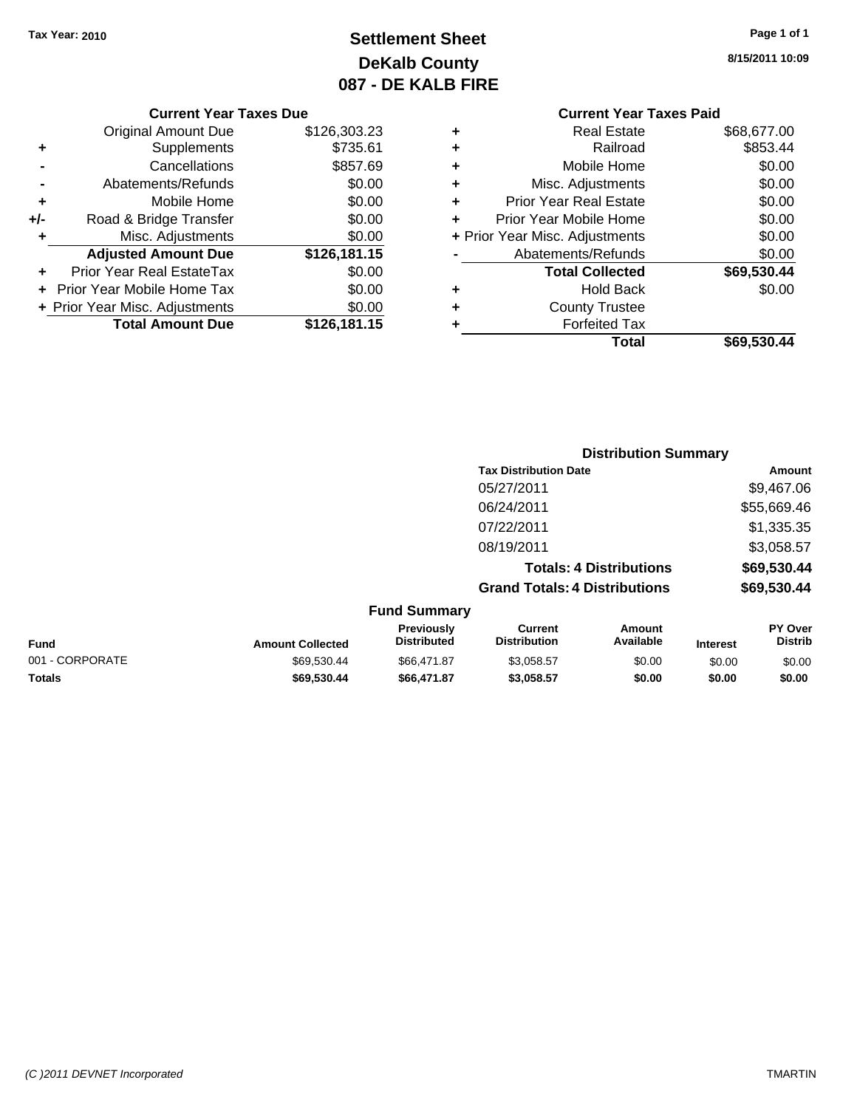## **Settlement Sheet Tax Year: 2010 Page 1 of 1 DeKalb County 087 - DE KALB FIRE**

**8/15/2011 10:09**

### **Current Year Taxes Due**

|     | <b>Original Amount Due</b>       | \$126,303.23 |
|-----|----------------------------------|--------------|
| ٠   | Supplements                      | \$735.61     |
|     | Cancellations                    | \$857.69     |
|     | Abatements/Refunds               | \$0.00       |
| ٠   | Mobile Home                      | \$0.00       |
| +/- | Road & Bridge Transfer           | \$0.00       |
| ÷   | Misc. Adjustments                | \$0.00       |
|     | <b>Adjusted Amount Due</b>       | \$126,181.15 |
|     | <b>Prior Year Real EstateTax</b> | \$0.00       |
|     | Prior Year Mobile Home Tax       | \$0.00       |
|     | + Prior Year Misc. Adjustments   | \$0.00       |
|     | <b>Total Amount Due</b>          | \$126,181.15 |

## **Current Year Taxes Paid**

| ٠ | Real Estate                    | \$68,677.00 |
|---|--------------------------------|-------------|
| ٠ | Railroad                       | \$853.44    |
| ٠ | Mobile Home                    | \$0.00      |
| ٠ | Misc. Adjustments              | \$0.00      |
| ٠ | <b>Prior Year Real Estate</b>  | \$0.00      |
| ٠ | Prior Year Mobile Home         | \$0.00      |
|   | + Prior Year Misc. Adjustments | \$0.00      |
|   | Abatements/Refunds             | \$0.00      |
|   | <b>Total Collected</b>         | \$69,530.44 |
| ٠ | <b>Hold Back</b>               | \$0.00      |
| ٠ | <b>County Trustee</b>          |             |
| ٠ | <b>Forfeited Tax</b>           |             |
|   | Total                          | \$69,530.44 |
|   |                                |             |

## **Distribution Summary Tax Distribution Date Amount** 05/27/2011 \$9,467.06 06/24/2011 \$55,669.46 07/22/2011 \$1,335.35 08/19/2011 \$3,058.57 **Totals: 4 Distributions \$69,530.44 Grand Totals: 4 Distributions \$69,530.44 Fund Summary**

| Fund            | <b>Amount Collected</b> | Previously<br><b>Distributed</b> | Current<br>Distribution | Amount<br>Available | <b>Interest</b> | <b>PY Over</b><br>Distrib |
|-----------------|-------------------------|----------------------------------|-------------------------|---------------------|-----------------|---------------------------|
| 001 - CORPORATE | \$69.530.44             | \$66.471.87                      | \$3.058.57              | \$0.00              | \$0.00          | \$0.00                    |
| <b>Totals</b>   | \$69.530.44             | \$66,471.87                      | \$3.058.57              | \$0.00              | \$0.00          | \$0.00                    |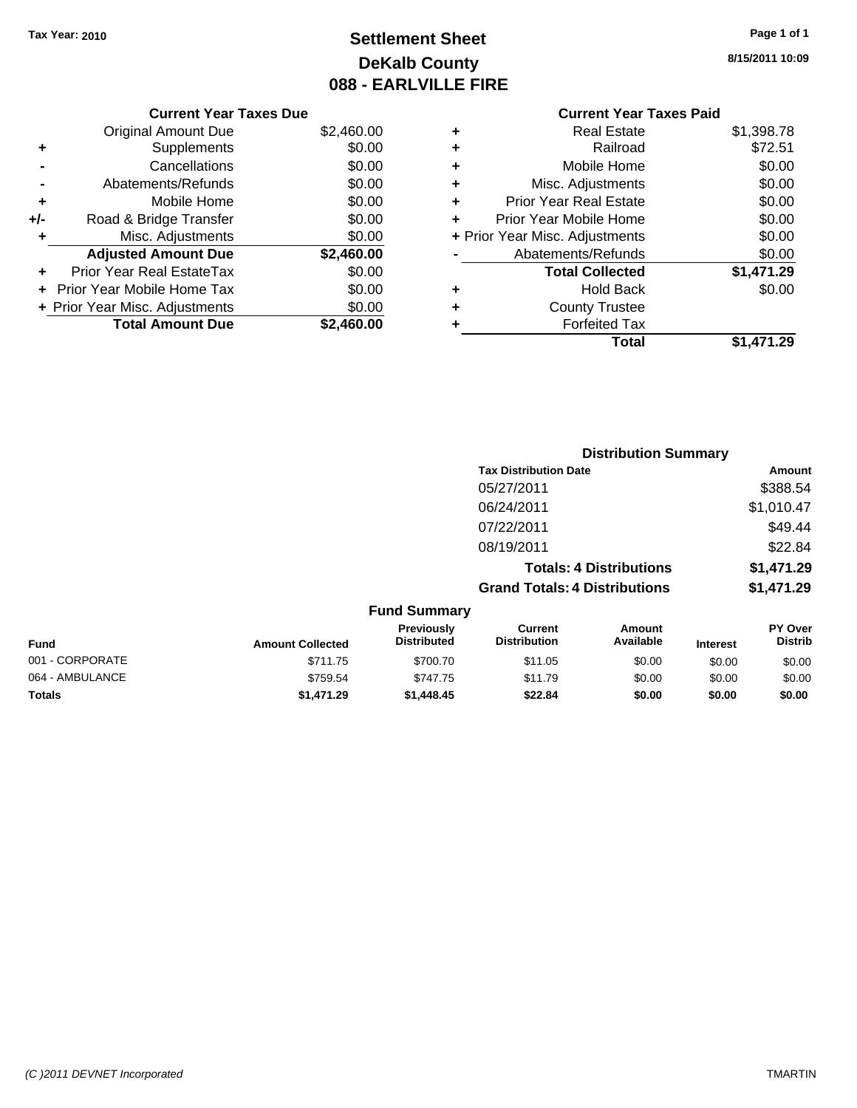## **Settlement Sheet Tax Year: 2010 Page 1 of 1 DeKalb County 088 - EARLVILLE FIRE**

**8/15/2011 10:09**

### **Current Year Taxes Due**

|     | <b>Original Amount Due</b>     | \$2,460.00 |
|-----|--------------------------------|------------|
| ٠   | Supplements                    | \$0.00     |
|     | Cancellations                  | \$0.00     |
|     | Abatements/Refunds             | \$0.00     |
| ٠   | Mobile Home                    | \$0.00     |
| +/- | Road & Bridge Transfer         | \$0.00     |
| ٠   | Misc. Adjustments              | \$0.00     |
|     | <b>Adjusted Amount Due</b>     | \$2,460.00 |
|     | Prior Year Real EstateTax      | \$0.00     |
|     | Prior Year Mobile Home Tax     | \$0.00     |
|     | + Prior Year Misc. Adjustments | \$0.00     |
|     | <b>Total Amount Due</b>        | \$2.460.00 |

| ٠ | Real Estate                    | \$1,398.78 |
|---|--------------------------------|------------|
| ٠ | Railroad                       | \$72.51    |
| ٠ | Mobile Home                    | \$0.00     |
| ٠ | Misc. Adjustments              | \$0.00     |
| ٠ | <b>Prior Year Real Estate</b>  | \$0.00     |
| ÷ | Prior Year Mobile Home         | \$0.00     |
|   | + Prior Year Misc. Adjustments | \$0.00     |
|   | Abatements/Refunds             | \$0.00     |
|   | <b>Total Collected</b>         | \$1,471.29 |
| ٠ | <b>Hold Back</b>               | \$0.00     |
| ٠ | <b>County Trustee</b>          |            |
| ٠ | <b>Forfeited Tax</b>           |            |
|   | Total                          | \$1.471.29 |
|   |                                |            |

|                         |                                  | <b>Distribution Summary</b>           |                                |                 |                           |
|-------------------------|----------------------------------|---------------------------------------|--------------------------------|-----------------|---------------------------|
|                         |                                  | <b>Tax Distribution Date</b>          |                                |                 | Amount                    |
|                         |                                  | 05/27/2011                            |                                |                 | \$388.54                  |
|                         |                                  | 06/24/2011                            |                                |                 | \$1,010.47                |
|                         |                                  | 07/22/2011                            |                                |                 | \$49.44                   |
|                         |                                  | 08/19/2011                            |                                |                 | \$22.84                   |
|                         |                                  |                                       | <b>Totals: 4 Distributions</b> |                 | \$1,471.29                |
|                         |                                  | <b>Grand Totals: 4 Distributions</b>  |                                |                 | \$1,471.29                |
|                         | <b>Fund Summary</b>              |                                       |                                |                 |                           |
| <b>Amount Collected</b> | Previously<br><b>Distributed</b> | <b>Current</b><br><b>Distribution</b> | Amount<br>Available            | <b>Interest</b> | PY Over<br><b>Distrib</b> |
| \$711 75                | \$700.70                         | \$11.05                               | <b>RO 00</b>                   | ደሰ ሰሰ           | ደሰ ሰሰ                     |

| <b>Fund</b>     | <b>Amount Collected</b> | <b>Distributed</b> | <b>Distribution</b> | Available | <b>Interest</b> | <b>Distrib</b> |
|-----------------|-------------------------|--------------------|---------------------|-----------|-----------------|----------------|
| 001 - CORPORATE | \$711.75                | \$700.70           | \$11.05             | \$0.00    | \$0.00          | \$0.00         |
| 064 - AMBULANCE | \$759.54                | \$747.75           | \$11.79             | \$0.00    | \$0.00          | \$0.00         |
| <b>Totals</b>   | \$1,471.29              | \$1,448.45         | \$22.84             | \$0.00    | \$0.00          | \$0.00         |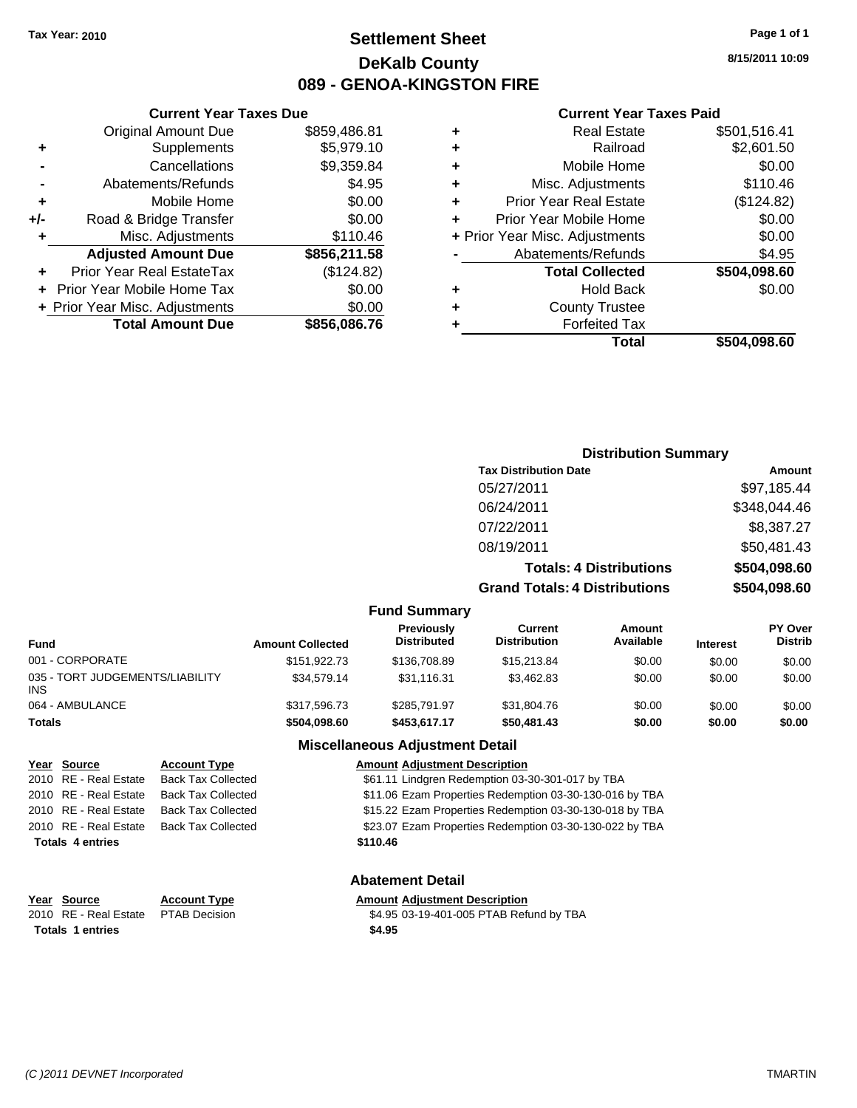## **Settlement Sheet Tax Year: 2010 Page 1 of 1 DeKalb County 089 - GENOA-KINGSTON FIRE**

**8/15/2011 10:09**

### **Current Year Taxes Paid**

|   | <b>Real Estate</b>             | \$501,516.41 |
|---|--------------------------------|--------------|
| ٠ | Railroad                       | \$2,601.50   |
| ٠ | Mobile Home                    | \$0.00       |
| ٠ | Misc. Adjustments              | \$110.46     |
| ٠ | <b>Prior Year Real Estate</b>  | (\$124.82)   |
| ٠ | Prior Year Mobile Home         | \$0.00       |
|   | + Prior Year Misc. Adjustments | \$0.00       |
|   | Abatements/Refunds             | \$4.95       |
|   | <b>Total Collected</b>         | \$504,098.60 |
| ٠ | <b>Hold Back</b>               | \$0.00       |
| ٠ | <b>County Trustee</b>          |              |
|   | <b>Forfeited Tax</b>           |              |
|   | Total                          | \$504.098.60 |

|     | <b>Current Year Taxes Due</b>  |              |
|-----|--------------------------------|--------------|
|     | <b>Original Amount Due</b>     | \$859,486.81 |
| ٠   | Supplements                    | \$5,979.10   |
|     | Cancellations                  | \$9,359.84   |
|     | Abatements/Refunds             | \$4.95       |
| ٠   | Mobile Home                    | \$0.00       |
| +/- | Road & Bridge Transfer         | \$0.00       |
| ٠   | Misc. Adjustments              | \$110.46     |
|     | <b>Adjusted Amount Due</b>     | \$856,211.58 |
|     | Prior Year Real EstateTax      | (\$124.82)   |
|     | Prior Year Mobile Home Tax     | \$0.00       |
|     | + Prior Year Misc. Adjustments | \$0.00       |
|     | <b>Total Amount Due</b>        | \$856,086.76 |
|     |                                |              |

| <b>Distribution Summary</b>  |             |
|------------------------------|-------------|
| <b>Tax Distribution Date</b> | Amount      |
| 05/27/2011                   | \$97,185.44 |

| <b>Grand Totals: 4 Distributions</b> | \$504,098.60 |
|--------------------------------------|--------------|
| <b>Totals: 4 Distributions</b>       | \$504,098.60 |
| 08/19/2011                           | \$50,481.43  |
| 07/22/2011                           | \$8,387.27   |
| 06/24/2011                           | \$348,044.46 |
| 05/27/2011                           | \$97,185.44  |

**Fund Summary**

| <b>Fund</b>                                   | <b>Amount Collected</b> | Previously<br><b>Distributed</b> | Current<br><b>Distribution</b> | Amount<br>Available | <b>Interest</b> | <b>PY Over</b><br><b>Distrib</b> |
|-----------------------------------------------|-------------------------|----------------------------------|--------------------------------|---------------------|-----------------|----------------------------------|
| 001 - CORPORATE                               | \$151.922.73            | \$136,708.89                     | \$15,213.84                    | \$0.00              | \$0.00          | \$0.00                           |
| 035 - TORT JUDGEMENTS/LIABILITY<br><b>INS</b> | \$34,579.14             | \$31.116.31                      | \$3,462.83                     | \$0.00              | \$0.00          | \$0.00                           |
| 064 - AMBULANCE                               | \$317,596.73            | \$285.791.97                     | \$31,804.76                    | \$0.00              | \$0.00          | \$0.00                           |
| <b>Totals</b>                                 | \$504.098.60            | \$453,617.17                     | \$50,481.43                    | \$0.00              | \$0.00          | \$0.00                           |

## **Miscellaneous Adjustment Detail**

|                         | Year Source           | <b>Account Type</b>       | <b>Amount Adjustment Description</b>                    |
|-------------------------|-----------------------|---------------------------|---------------------------------------------------------|
|                         | 2010 RE - Real Estate | <b>Back Tax Collected</b> | \$61.11 Lindgren Redemption 03-30-301-017 by TBA        |
|                         | 2010 RE - Real Estate | Back Tax Collected        | \$11.06 Ezam Properties Redemption 03-30-130-016 by TBA |
|                         | 2010 RE - Real Estate | Back Tax Collected        | \$15.22 Ezam Properties Redemption 03-30-130-018 by TBA |
|                         | 2010 RE - Real Estate | <b>Back Tax Collected</b> | \$23.07 Ezam Properties Redemption 03-30-130-022 by TBA |
| <b>Totals 4 entries</b> |                       |                           | \$110.46                                                |
|                         |                       |                           |                                                         |

**Year Source Account Type Amount Adjustment Description Totals \$4.95 1 entries**

**Year Source Account Type** 

**Abatement Detail**

\$4.95 03-19-401-005 PTAB Refund by TBA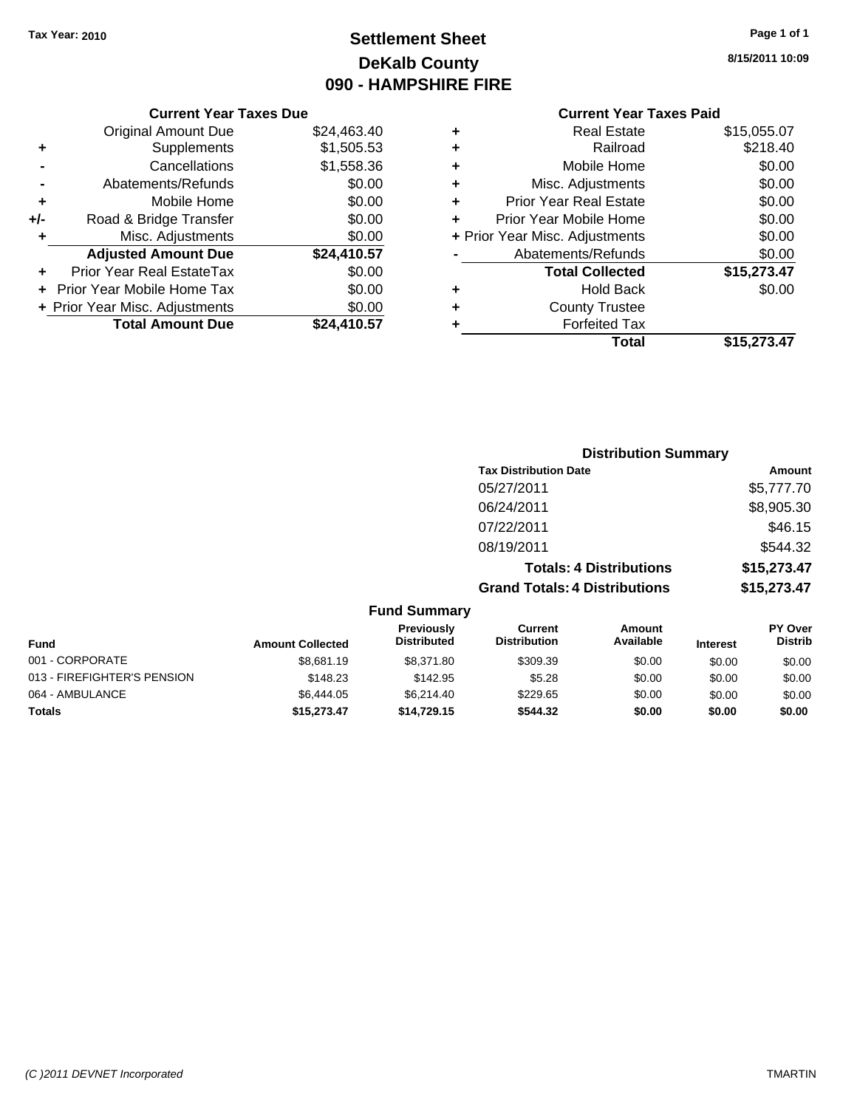## **Settlement Sheet Tax Year: 2010 Page 1 of 1 DeKalb County 090 - HAMPSHIRE FIRE**

**8/15/2011 10:09**

| Current Year Taxes Due |  |  |
|------------------------|--|--|
|                        |  |  |

|     | <b>Total Amount Due</b>           | \$24.410.57 |
|-----|-----------------------------------|-------------|
|     | + Prior Year Misc. Adjustments    | \$0.00      |
|     | <b>Prior Year Mobile Home Tax</b> | \$0.00      |
|     | Prior Year Real EstateTax         | \$0.00      |
|     | <b>Adjusted Amount Due</b>        | \$24,410.57 |
| ٠   | Misc. Adjustments                 | \$0.00      |
| +/- | Road & Bridge Transfer            | \$0.00      |
| ÷   | Mobile Home                       | \$0.00      |
|     | Abatements/Refunds                | \$0.00      |
|     | Cancellations                     | \$1,558.36  |
| ٠   | Supplements                       | \$1,505.53  |
|     | <b>Original Amount Due</b>        | \$24,463.40 |
|     |                                   |             |

| ٠ | <b>Real Estate</b>             | \$15,055.07 |
|---|--------------------------------|-------------|
| ٠ | Railroad                       | \$218.40    |
| ٠ | Mobile Home                    | \$0.00      |
| ٠ | Misc. Adjustments              | \$0.00      |
| ٠ | <b>Prior Year Real Estate</b>  | \$0.00      |
| ٠ | Prior Year Mobile Home         | \$0.00      |
|   | + Prior Year Misc. Adjustments | \$0.00      |
|   | Abatements/Refunds             | \$0.00      |
|   | <b>Total Collected</b>         | \$15,273.47 |
| ٠ | <b>Hold Back</b>               | \$0.00      |
| ٠ | <b>County Trustee</b>          |             |
| ٠ | <b>Forfeited Tax</b>           |             |
|   | Total                          | \$15,273.47 |
|   |                                |             |

|                     | <b>Distribution Summary</b>          |             |
|---------------------|--------------------------------------|-------------|
|                     | <b>Tax Distribution Date</b>         | Amount      |
|                     | 05/27/2011                           | \$5,777.70  |
|                     | 06/24/2011                           | \$8,905.30  |
|                     | 07/22/2011                           | \$46.15     |
|                     | 08/19/2011                           | \$544.32    |
|                     | <b>Totals: 4 Distributions</b>       | \$15,273.47 |
|                     | <b>Grand Totals: 4 Distributions</b> | \$15,273.47 |
| <b>Fund Summary</b> |                                      |             |

| <b>Fund</b>                 | <b>Amount Collected</b> | <b>Previously</b><br><b>Distributed</b> | Current<br><b>Distribution</b> | Amount<br>Available | <b>Interest</b> | <b>PY Over</b><br><b>Distrib</b> |
|-----------------------------|-------------------------|-----------------------------------------|--------------------------------|---------------------|-----------------|----------------------------------|
| 001 - CORPORATE             | \$8.681.19              | \$8.371.80                              | \$309.39                       | \$0.00              | \$0.00          | \$0.00                           |
| 013 - FIREFIGHTER'S PENSION | \$148.23                | \$142.95                                | \$5.28                         | \$0.00              | \$0.00          | \$0.00                           |
| 064 - AMBULANCE             | \$6,444.05              | \$6.214.40                              | \$229.65                       | \$0.00              | \$0.00          | \$0.00                           |
| <b>Totals</b>               | \$15,273,47             | \$14.729.15                             | \$544.32                       | \$0.00              | \$0.00          | \$0.00                           |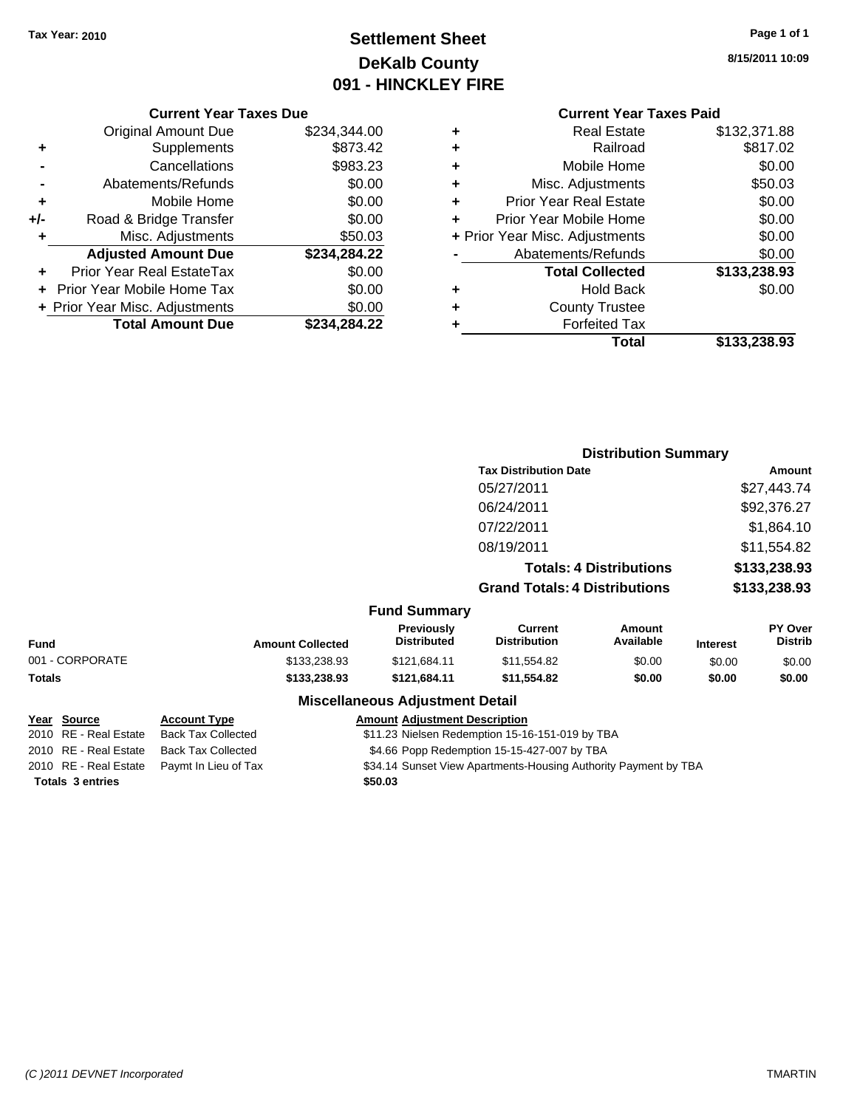## **Settlement Sheet Tax Year: 2010 Page 1 of 1 DeKalb County 091 - HINCKLEY FIRE**

**8/15/2011 10:09**

|     | <b>Original Amount Due</b>     | \$234,344.00 |
|-----|--------------------------------|--------------|
| ٠   | Supplements                    | \$873.42     |
|     | Cancellations                  | \$983.23     |
|     | Abatements/Refunds             | \$0.00       |
| ٠   | Mobile Home                    | \$0.00       |
| +/- | Road & Bridge Transfer         | \$0.00       |
| ÷   | Misc. Adjustments              | \$50.03      |
|     | <b>Adjusted Amount Due</b>     | \$234,284.22 |
|     | Prior Year Real EstateTax      | \$0.00       |
|     | Prior Year Mobile Home Tax     | \$0.00       |
|     | + Prior Year Misc. Adjustments | \$0.00       |
|     | <b>Total Amount Due</b>        | \$234,284.22 |

| ٠ | <b>Real Estate</b>             | \$132,371.88 |
|---|--------------------------------|--------------|
| ÷ | Railroad                       | \$817.02     |
| ٠ | Mobile Home                    | \$0.00       |
| ٠ | Misc. Adjustments              | \$50.03      |
| ٠ | <b>Prior Year Real Estate</b>  | \$0.00       |
| ٠ | Prior Year Mobile Home         | \$0.00       |
|   | + Prior Year Misc. Adjustments | \$0.00       |
|   | Abatements/Refunds             | \$0.00       |
|   | <b>Total Collected</b>         | \$133,238.93 |
| ٠ | <b>Hold Back</b>               | \$0.00       |
| ٠ | <b>County Trustee</b>          |              |
| ٠ | <b>Forfeited Tax</b>           |              |
|   | Total                          | \$133,238.93 |
|   |                                |              |

|                 |                         |                                        |                                       | <b>Distribution Summary</b>    |                 |                           |
|-----------------|-------------------------|----------------------------------------|---------------------------------------|--------------------------------|-----------------|---------------------------|
|                 |                         |                                        | <b>Tax Distribution Date</b>          |                                |                 | Amount                    |
|                 |                         |                                        | 05/27/2011                            |                                |                 | \$27,443.74               |
|                 |                         |                                        | 06/24/2011                            |                                |                 | \$92,376.27               |
|                 |                         |                                        | 07/22/2011                            |                                |                 | \$1,864.10                |
|                 |                         |                                        | 08/19/2011                            |                                |                 | \$11,554.82               |
|                 |                         |                                        |                                       | <b>Totals: 4 Distributions</b> |                 | \$133,238.93              |
|                 |                         |                                        | <b>Grand Totals: 4 Distributions</b>  |                                |                 | \$133,238.93              |
|                 |                         | <b>Fund Summary</b>                    |                                       |                                |                 |                           |
| Fund            | <b>Amount Collected</b> | Previously<br><b>Distributed</b>       | <b>Current</b><br><b>Distribution</b> | Amount<br>Available            | <b>Interest</b> | PY Over<br><b>Distrib</b> |
| 001 - CORPORATE | \$133,238.93            | \$121,684.11                           | \$11,554.82                           | \$0.00                         | \$0.00          | \$0.00                    |
| Totals          | \$133,238.93            | \$121,684.11                           | \$11,554.82                           | \$0.00                         | \$0.00          | \$0.00                    |
|                 |                         | <b>Miscellaneous Adjustment Detail</b> |                                       |                                |                 |                           |

| Year Source             | <b>Account Type</b>                        | <b>Amount Adjustment Description</b>                            |
|-------------------------|--------------------------------------------|-----------------------------------------------------------------|
| 2010 RE - Real Estate   | Back Tax Collected                         | \$11.23 Nielsen Redemption 15-16-151-019 by TBA                 |
| 2010 RE - Real Estate   | Back Tax Collected                         | \$4.66 Popp Redemption 15-15-427-007 by TBA                     |
|                         | 2010 RE - Real Estate Paymt In Lieu of Tax | \$34.14 Sunset View Apartments-Housing Authority Payment by TBA |
| <b>Totals 3 entries</b> |                                            | \$50.03                                                         |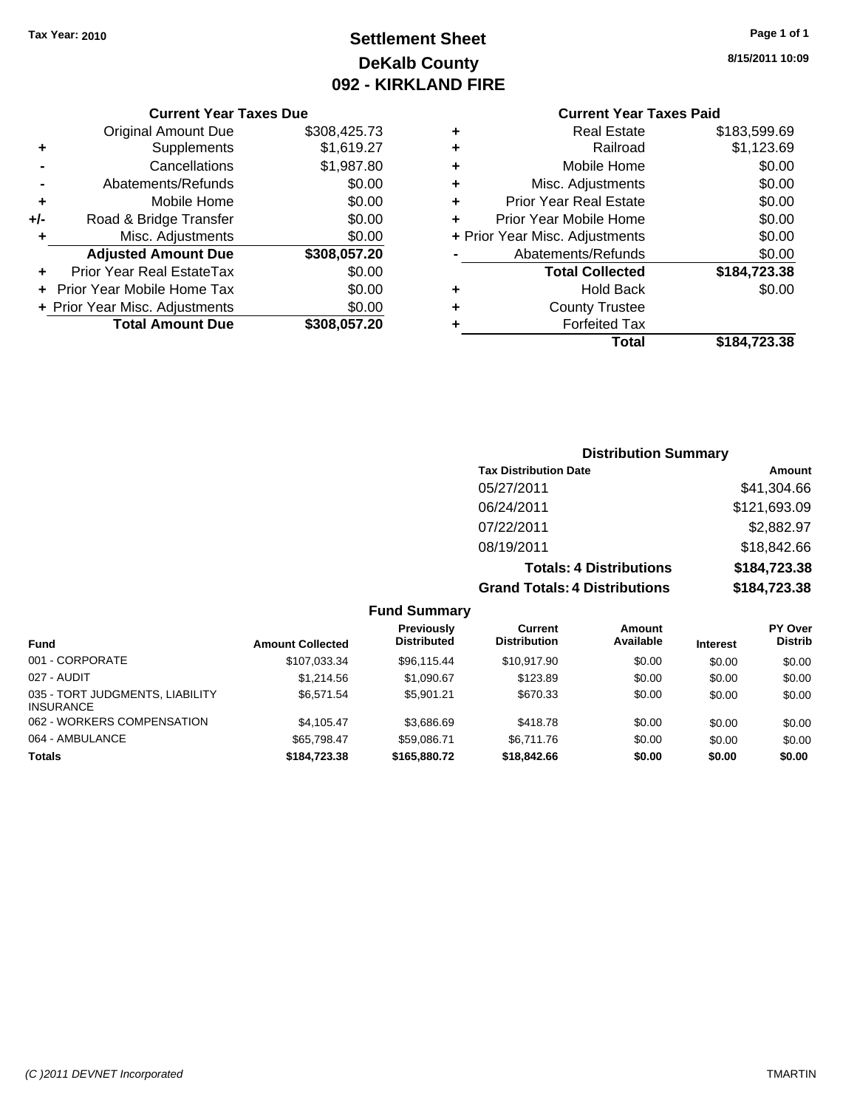## **Settlement Sheet Tax Year: 2010 Page 1 of 1 DeKalb County 092 - KIRKLAND FIRE**

### **8/15/2011 10:09**

### **Current Year Taxes Paid**

| ٠ | <b>Real Estate</b>             | \$183,599.69 |
|---|--------------------------------|--------------|
| ٠ | Railroad                       | \$1,123.69   |
| ٠ | Mobile Home                    | \$0.00       |
| ٠ | Misc. Adjustments              | \$0.00       |
| ٠ | <b>Prior Year Real Estate</b>  | \$0.00       |
|   | Prior Year Mobile Home         | \$0.00       |
|   | + Prior Year Misc. Adjustments | \$0.00       |
|   | Abatements/Refunds             | \$0.00       |
|   | <b>Total Collected</b>         | \$184,723.38 |
| ٠ | <b>Hold Back</b>               | \$0.00       |
| ٠ | <b>County Trustee</b>          |              |
|   | <b>Forfeited Tax</b>           |              |
|   | Total                          | \$184.723.38 |

|     | <b>Current Year Taxes Due</b>     |              |  |  |
|-----|-----------------------------------|--------------|--|--|
|     | <b>Original Amount Due</b>        | \$308,425.73 |  |  |
| ٠   | Supplements                       | \$1,619.27   |  |  |
|     | Cancellations                     | \$1,987.80   |  |  |
|     | Abatements/Refunds                | \$0.00       |  |  |
| ٠   | Mobile Home                       | \$0.00       |  |  |
| +/- | Road & Bridge Transfer            | \$0.00       |  |  |
| ٠   | Misc. Adjustments                 | \$0.00       |  |  |
|     | <b>Adjusted Amount Due</b>        | \$308,057.20 |  |  |
|     | Prior Year Real EstateTax         | \$0.00       |  |  |
|     | <b>Prior Year Mobile Home Tax</b> | \$0.00       |  |  |
|     | + Prior Year Misc. Adjustments    | \$0.00       |  |  |
|     | <b>Total Amount Due</b>           | \$308,057.20 |  |  |

### **Distribution Summary**

| <b>Tax Distribution Date</b>         | Amount       |
|--------------------------------------|--------------|
| 05/27/2011                           | \$41,304.66  |
| 06/24/2011                           | \$121,693.09 |
| 07/22/2011                           | \$2,882.97   |
| 08/19/2011                           | \$18,842.66  |
| <b>Totals: 4 Distributions</b>       | \$184,723.38 |
| <b>Grand Totals: 4 Distributions</b> | \$184,723.38 |

| <b>Fund</b>                                         | <b>Amount Collected</b> | Previously<br><b>Distributed</b> | Current<br><b>Distribution</b> | Amount<br>Available | <b>Interest</b> | <b>PY Over</b><br><b>Distrib</b> |
|-----------------------------------------------------|-------------------------|----------------------------------|--------------------------------|---------------------|-----------------|----------------------------------|
| 001 - CORPORATE                                     | \$107,033.34            | \$96,115.44                      | \$10,917.90                    | \$0.00              | \$0.00          | \$0.00                           |
| 027 - AUDIT                                         | \$1,214.56              | \$1,090.67                       | \$123.89                       | \$0.00              | \$0.00          | \$0.00                           |
| 035 - TORT JUDGMENTS, LIABILITY<br><b>INSURANCE</b> | \$6.571.54              | \$5.901.21                       | \$670.33                       | \$0.00              | \$0.00          | \$0.00                           |
| 062 - WORKERS COMPENSATION                          | \$4.105.47              | \$3.686.69                       | \$418.78                       | \$0.00              | \$0.00          | \$0.00                           |
| 064 - AMBULANCE                                     | \$65.798.47             | \$59.086.71                      | \$6.711.76                     | \$0.00              | \$0.00          | \$0.00                           |
| <b>Totals</b>                                       | \$184,723,38            | \$165,880.72                     | \$18,842.66                    | \$0.00              | \$0.00          | \$0.00                           |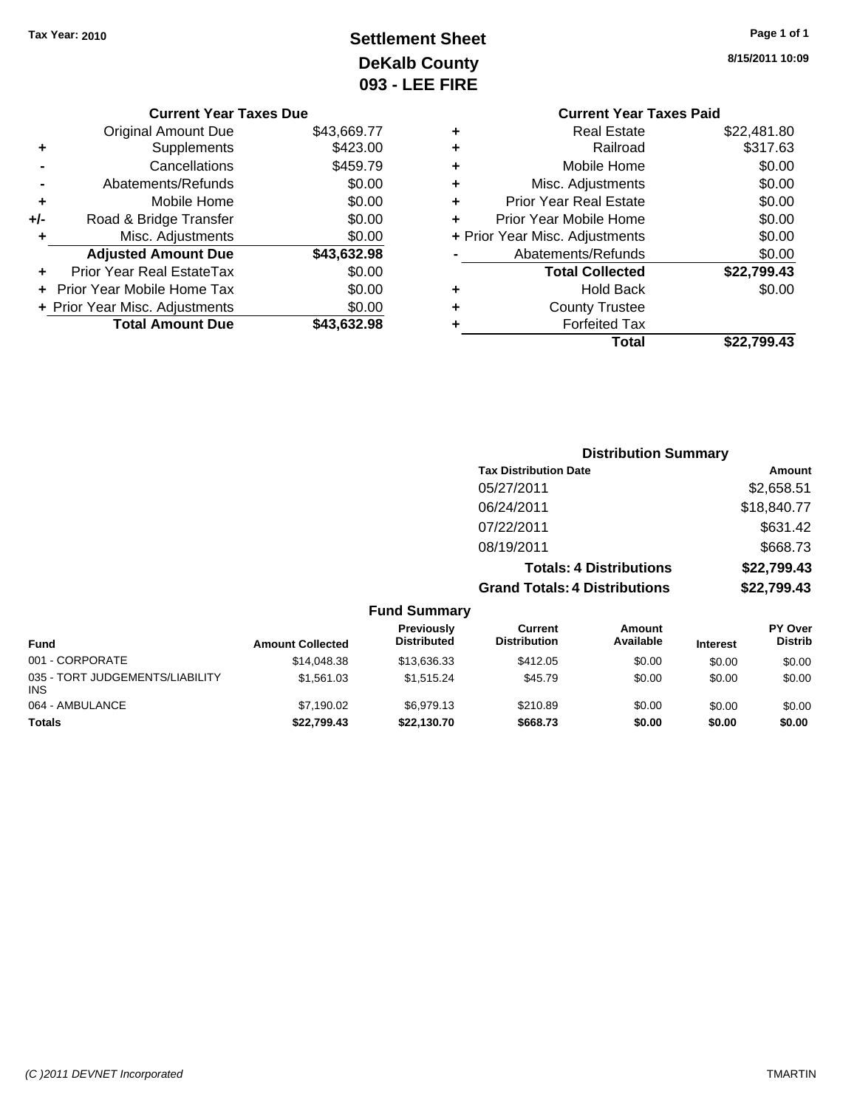## **Settlement Sheet Tax Year: 2010 Page 1 of 1 DeKalb County 093 - LEE FIRE**

**8/15/2011 10:09**

|                                          | <b>Current Year Taxes Paid</b> |             |  |
|------------------------------------------|--------------------------------|-------------|--|
| ٠                                        | <b>Real Estate</b>             | \$22,481.80 |  |
| ٠                                        | Railroad                       | \$317.63    |  |
| ٠                                        | Mobile Home                    | \$0.00      |  |
| ٠                                        | Misc. Adjustments              | \$0.00      |  |
| ٠                                        | <b>Prior Year Real Estate</b>  | \$0.00      |  |
| ÷                                        | Prior Year Mobile Home         | \$0.00      |  |
| \$0.00<br>+ Prior Year Misc. Adjustments |                                |             |  |
|                                          | Abatements/Refunds             | \$0.00      |  |
|                                          | <b>Total Collected</b>         | \$22,799.43 |  |
| ٠                                        | <b>Hold Back</b>               | \$0.00      |  |
|                                          | <b>County Trustee</b>          |             |  |
|                                          | <b>Forfeited Tax</b>           |             |  |
|                                          | Total                          | \$22.799.43 |  |

|     | <b>Current Year Taxes Due</b>  |             |
|-----|--------------------------------|-------------|
|     | <b>Original Amount Due</b>     | \$43,669.77 |
| ٠   | Supplements                    | \$423.00    |
|     | Cancellations                  | \$459.79    |
|     | Abatements/Refunds             | \$0.00      |
| ٠   | Mobile Home                    | \$0.00      |
| +/- | Road & Bridge Transfer         | \$0.00      |
|     | Misc. Adjustments              | \$0.00      |
|     | <b>Adjusted Amount Due</b>     | \$43,632.98 |
| ٠   | Prior Year Real EstateTax      | \$0.00      |
|     | Prior Year Mobile Home Tax     | \$0.00      |
|     | + Prior Year Misc. Adjustments | \$0.00      |
|     | <b>Total Amount Due</b>        | \$43,632.98 |
|     |                                |             |

|                                 |                         | <b>Distribution Summary</b>      |                                       |                                |                 |                           |
|---------------------------------|-------------------------|----------------------------------|---------------------------------------|--------------------------------|-----------------|---------------------------|
|                                 |                         |                                  | <b>Tax Distribution Date</b>          |                                |                 | Amount                    |
|                                 |                         |                                  | 05/27/2011                            |                                |                 | \$2,658.51                |
|                                 |                         |                                  | 06/24/2011                            |                                |                 | \$18,840.77               |
|                                 |                         |                                  | 07/22/2011                            |                                |                 | \$631.42                  |
|                                 |                         |                                  | 08/19/2011                            |                                |                 | \$668.73                  |
|                                 |                         |                                  |                                       | <b>Totals: 4 Distributions</b> |                 | \$22,799.43               |
|                                 |                         |                                  | <b>Grand Totals: 4 Distributions</b>  |                                |                 | \$22,799.43               |
|                                 |                         | <b>Fund Summary</b>              |                                       |                                |                 |                           |
| <b>Fund</b>                     | <b>Amount Collected</b> | Previously<br><b>Distributed</b> | <b>Current</b><br><b>Distribution</b> | <b>Amount</b><br>Available     | <b>Interest</b> | PY Over<br><b>Distrib</b> |
| 001 - CORPORATE                 | \$14,048.38             | \$13,636.33                      | \$412.05                              | \$0.00                         | \$0.00          | \$0.00                    |
| 035 - TORT JUDGEMENTS/LIABILITY | \$1,561.03              | \$1,515.24                       | \$45.79                               | \$0.00                         | \$0.00          | \$0.00                    |

064 - AMBULANCE \$7,190.02 \$6,979.13 \$210.89 \$0.00 \$0.00 \$0.00 **Totals \$22,799.43 \$22,130.70 \$668.73 \$0.00 \$0.00 \$0.00**

INS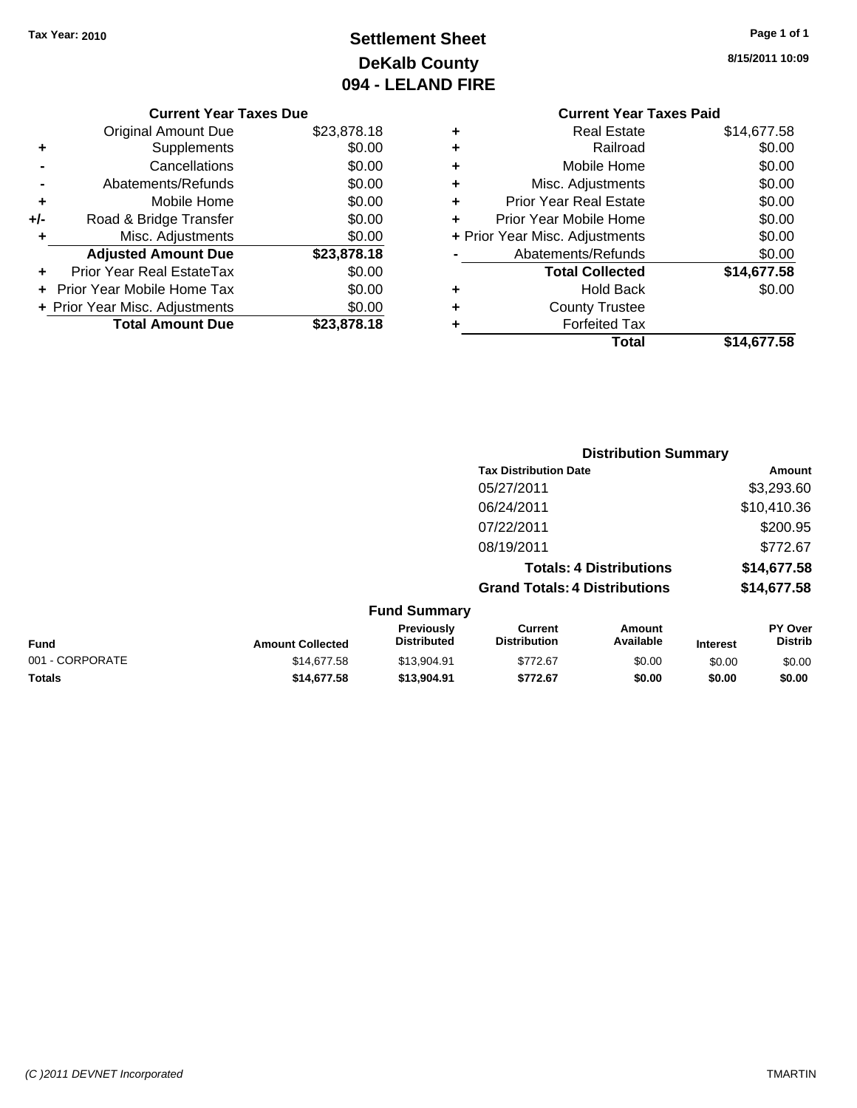## **Settlement Sheet Tax Year: 2010 Page 1 of 1 DeKalb County 094 - LELAND FIRE**

**8/15/2011 10:09**

### **Current Year Taxes Due**

|     | <b>Original Amount Due</b>     | \$23,878.18 |
|-----|--------------------------------|-------------|
| ٠   | Supplements                    | \$0.00      |
|     | Cancellations                  | \$0.00      |
|     | Abatements/Refunds             | \$0.00      |
| ٠   | Mobile Home                    | \$0.00      |
| +/- | Road & Bridge Transfer         | \$0.00      |
| ÷   | Misc. Adjustments              | \$0.00      |
|     | <b>Adjusted Amount Due</b>     | \$23,878.18 |
|     | Prior Year Real EstateTax      | \$0.00      |
|     | Prior Year Mobile Home Tax     | \$0.00      |
|     | + Prior Year Misc. Adjustments | \$0.00      |
|     | <b>Total Amount Due</b>        | \$23,878.18 |

### **Current Year Taxes Paid +** Real Estate \$14,677.58 **+** Railroad \$0.00 **+** Mobile Home \$0.00 **+** Misc. Adjustments \$0.00 **+** Prior Year Real Estate \$0.00 **+** Prior Year Mobile Home \$0.00

|           | Total                          | \$14,677.58 |
|-----------|--------------------------------|-------------|
| ÷         | <b>Forfeited Tax</b>           |             |
|           | <b>County Trustee</b>          |             |
| $\ddot{}$ | <b>Hold Back</b>               | \$0.00      |
|           | <b>Total Collected</b>         | \$14,677.58 |
|           | Abatements/Refunds             | \$0.00      |
|           | + Prior Year Misc. Adjustments | \$0.00      |

|                     |                                      | <b>Distribution Summary</b>    |                |  |  |  |
|---------------------|--------------------------------------|--------------------------------|----------------|--|--|--|
|                     | <b>Tax Distribution Date</b>         |                                | Amount         |  |  |  |
|                     | 05/27/2011                           |                                | \$3,293.60     |  |  |  |
|                     | 06/24/2011                           |                                | \$10,410.36    |  |  |  |
|                     | 07/22/2011                           |                                | \$200.95       |  |  |  |
|                     | 08/19/2011                           |                                | \$772.67       |  |  |  |
|                     |                                      | <b>Totals: 4 Distributions</b> | \$14,677.58    |  |  |  |
|                     | <b>Grand Totals: 4 Distributions</b> |                                | \$14,677.58    |  |  |  |
| <b>Fund Summary</b> |                                      |                                |                |  |  |  |
| Previously          | Current                              | Amount                         | <b>PY Over</b> |  |  |  |

| <b>Fund</b>     | <b>Amount Collected</b> | Previously<br>Distributed | Current<br><b>Distribution</b> | Amount<br>Available | <b>Interest</b> | PY Over<br>Distrib |
|-----------------|-------------------------|---------------------------|--------------------------------|---------------------|-----------------|--------------------|
| 001 - CORPORATE | \$14.677.58             | \$13.904.91               | \$772.67                       | \$0.00              | \$0.00          | \$0.00             |
| <b>Totals</b>   | \$14.677.58             | \$13.904.91               | \$772.67                       | \$0.00              | \$0.00          | \$0.00             |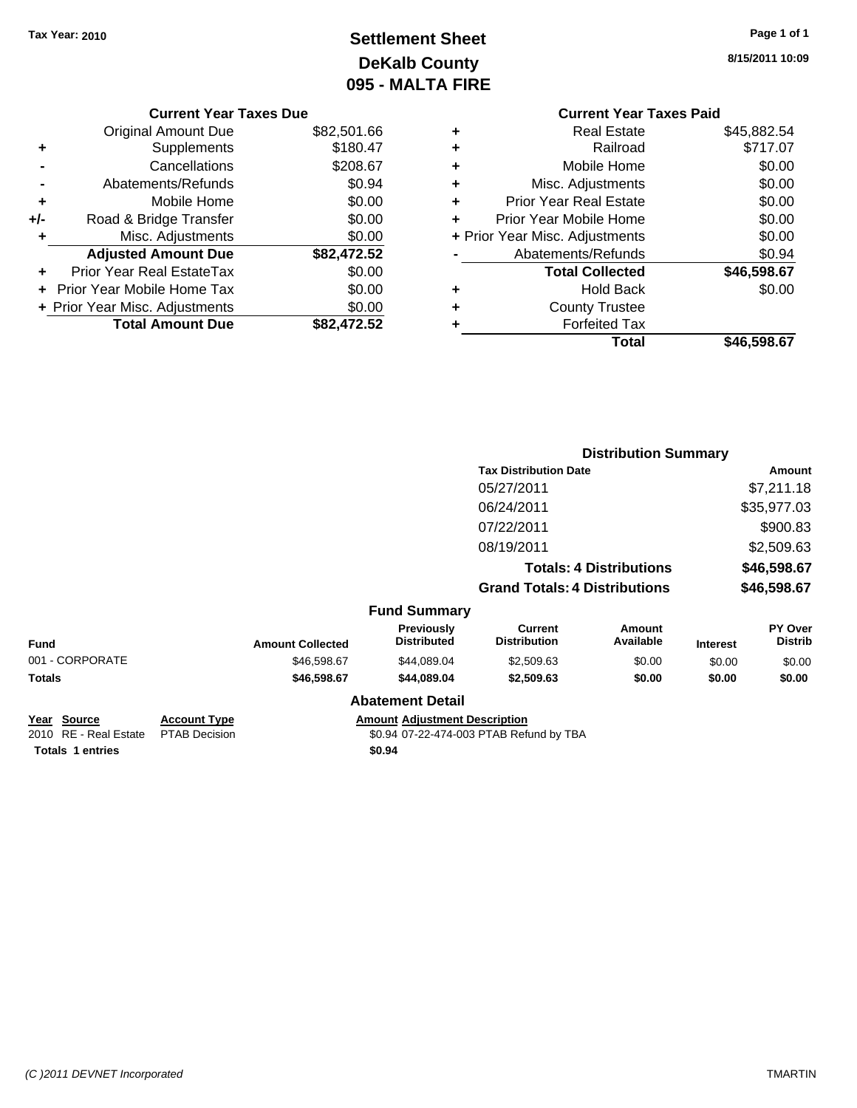## **Settlement Sheet Tax Year: 2010 Page 1 of 1 DeKalb County 095 - MALTA FIRE**

**8/15/2011 10:09**

|   | <b>Current Year Taxes Paid</b> |             |
|---|--------------------------------|-------------|
| ٠ | <b>Real Estate</b>             | \$45,882.54 |
| ٠ | Railroad                       | \$717.07    |
| ٠ | Mobile Home                    | \$0.00      |
| ٠ | Misc. Adjustments              | \$0.00      |
| ٠ | <b>Prior Year Real Estate</b>  | \$0.00      |
| ÷ | Prior Year Mobile Home         | \$0.00      |
|   | + Prior Year Misc. Adjustments | \$0.00      |
|   | Abatements/Refunds             | \$0.94      |
|   | <b>Total Collected</b>         | \$46,598.67 |
| ٠ | <b>Hold Back</b>               | \$0.00      |
| ÷ | <b>County Trustee</b>          |             |
|   | <b>Forfeited Tax</b>           |             |
|   | Total                          | \$46,598.67 |

|     | <b>Current Year Taxes Due</b>  |             |
|-----|--------------------------------|-------------|
|     | <b>Original Amount Due</b>     | \$82,501.66 |
| ٠   | Supplements                    | \$180.47    |
|     | Cancellations                  | \$208.67    |
|     | Abatements/Refunds             | \$0.94      |
| ٠   | Mobile Home                    | \$0.00      |
| +/- | Road & Bridge Transfer         | \$0.00      |
| ٠   | Misc. Adjustments              | \$0.00      |
|     | <b>Adjusted Amount Due</b>     | \$82,472.52 |
|     | Prior Year Real EstateTax      | \$0.00      |
|     | Prior Year Mobile Home Tax     | \$0.00      |
|     | + Prior Year Misc. Adjustments | \$0.00      |
|     | <b>Total Amount Due</b>        | \$82.472.52 |

|                    |                     |                         |                                      | <b>Distribution Summary</b>           |                                |                 |                                  |  |
|--------------------|---------------------|-------------------------|--------------------------------------|---------------------------------------|--------------------------------|-----------------|----------------------------------|--|
|                    |                     |                         |                                      | <b>Tax Distribution Date</b>          |                                |                 | Amount                           |  |
|                    |                     |                         |                                      | 05/27/2011                            |                                |                 | \$7,211.18                       |  |
|                    |                     |                         |                                      | 06/24/2011                            |                                |                 | \$35,977.03                      |  |
|                    |                     |                         |                                      | 07/22/2011                            |                                |                 | \$900.83                         |  |
|                    |                     |                         |                                      | 08/19/2011                            |                                |                 | \$2,509.63                       |  |
|                    |                     |                         |                                      |                                       | <b>Totals: 4 Distributions</b> |                 | \$46,598.67                      |  |
|                    |                     |                         |                                      | <b>Grand Totals: 4 Distributions</b>  |                                |                 | \$46,598.67                      |  |
|                    |                     |                         | <b>Fund Summary</b>                  |                                       |                                |                 |                                  |  |
| <b>Fund</b>        |                     | <b>Amount Collected</b> | Previously<br><b>Distributed</b>     | <b>Current</b><br><b>Distribution</b> | Amount<br>Available            | <b>Interest</b> | <b>PY Over</b><br><b>Distrib</b> |  |
| 001 - CORPORATE    |                     | \$46,598.67             | \$44,089.04                          | \$2,509.63                            | \$0.00                         | \$0.00          | \$0.00                           |  |
| Totals             |                     | \$46,598.67             | \$44,089.04                          | \$2,509.63                            | \$0.00                         | \$0.00          | \$0.00                           |  |
|                    |                     |                         | <b>Abatement Detail</b>              |                                       |                                |                 |                                  |  |
| <u>Year Source</u> | <b>Account Type</b> |                         | <b>Amount Adjustment Description</b> |                                       |                                |                 |                                  |  |

**Totals \$0.94 1 entries**

2010 RE - Real Estate PTAB Decision \$0.94 07-22-474-003 PTAB Refund by TBA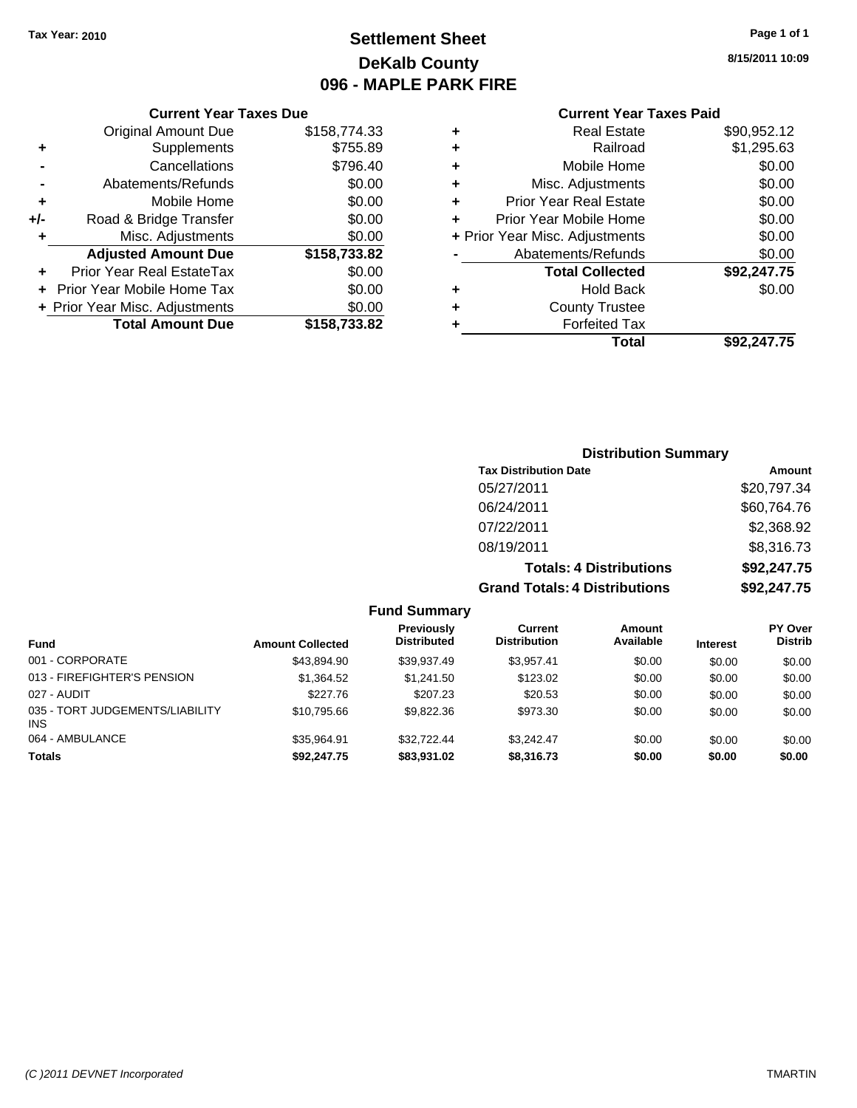**+** Supplements **-** Cancellations **-** Abatements/Refunds **+** Mobile Home **+/-** Road & Bridge Transfer **+** Misc. Adjustments

**+** Prior Year Real EstateTax \$0.00 **+** Prior Year Mobile Home Tax **+ Prior Year Misc. Adjustments** 

## **Settlement Sheet Tax Year: 2010 Page 1 of 1 DeKalb County 096 - MAPLE PARK FIRE**

**8/15/2011 10:09**

### **Current Year Taxes Paid**

| <b>Current Year Taxes Due</b> |              |   | <b>Current Year Taxes Paid</b> |             |
|-------------------------------|--------------|---|--------------------------------|-------------|
| Original Amount Due           | \$158,774.33 | ٠ | <b>Real Estate</b>             | \$90,952.12 |
| Supplements                   | \$755.89     | ٠ | Railroad                       | \$1,295.63  |
| Cancellations                 | \$796.40     | ٠ | Mobile Home                    | \$0.00      |
| Abatements/Refunds            | \$0.00       | ٠ | Misc. Adjustments              | \$0.00      |
| Mobile Home                   | \$0.00       | ٠ | <b>Prior Year Real Estate</b>  | \$0.00      |
| Road & Bridge Transfer        | \$0.00       | ÷ | Prior Year Mobile Home         | \$0.00      |
| Misc. Adjustments             | \$0.00       |   | + Prior Year Misc. Adjustments | \$0.00      |
| <b>Adjusted Amount Due</b>    | \$158,733.82 |   | Abatements/Refunds             | \$0.00      |
| ior Year Real EstateTax       | \$0.00       |   | <b>Total Collected</b>         | \$92,247.75 |
| r Year Mobile Home Tax        | \$0.00       | ٠ | <b>Hold Back</b>               | \$0.00      |
| Year Misc. Adjustments        | \$0.00       | ٠ | <b>County Trustee</b>          |             |
| <b>Total Amount Due</b>       | \$158,733.82 |   | <b>Forfeited Tax</b>           |             |
|                               |              |   | Total                          | \$92,247.75 |

## **Distribution Summary Tax Distribution Date Amount**

| <b>Grand Totals: 4 Distributions</b> | \$92,247.75 |
|--------------------------------------|-------------|
| <b>Totals: 4 Distributions</b>       | \$92,247.75 |
| 08/19/2011                           | \$8,316.73  |
| 07/22/2011                           | \$2,368.92  |
| 06/24/2011                           | \$60,764.76 |
| 05/27/2011                           | \$20,797.34 |
|                                      |             |

| <b>Fund</b>                                   | <b>Amount Collected</b> | Previously<br><b>Distributed</b> | Current<br><b>Distribution</b> | Amount<br>Available | <b>Interest</b> | PY Over<br><b>Distrib</b> |
|-----------------------------------------------|-------------------------|----------------------------------|--------------------------------|---------------------|-----------------|---------------------------|
| 001 - CORPORATE                               | \$43.894.90             | \$39.937.49                      | \$3.957.41                     | \$0.00              | \$0.00          | \$0.00                    |
| 013 - FIREFIGHTER'S PENSION                   | \$1.364.52              | \$1.241.50                       | \$123.02                       | \$0.00              | \$0.00          | \$0.00                    |
| 027 - AUDIT                                   | \$227.76                | \$207.23                         | \$20.53                        | \$0.00              | \$0.00          | \$0.00                    |
| 035 - TORT JUDGEMENTS/LIABILITY<br><b>INS</b> | \$10.795.66             | \$9.822.36                       | \$973.30                       | \$0.00              | \$0.00          | \$0.00                    |
| 064 - AMBULANCE                               | \$35.964.91             | \$32,722,44                      | \$3.242.47                     | \$0.00              | \$0.00          | \$0.00                    |
| <b>Totals</b>                                 | \$92,247.75             | \$83,931.02                      | \$8,316.73                     | \$0.00              | \$0.00          | \$0.00                    |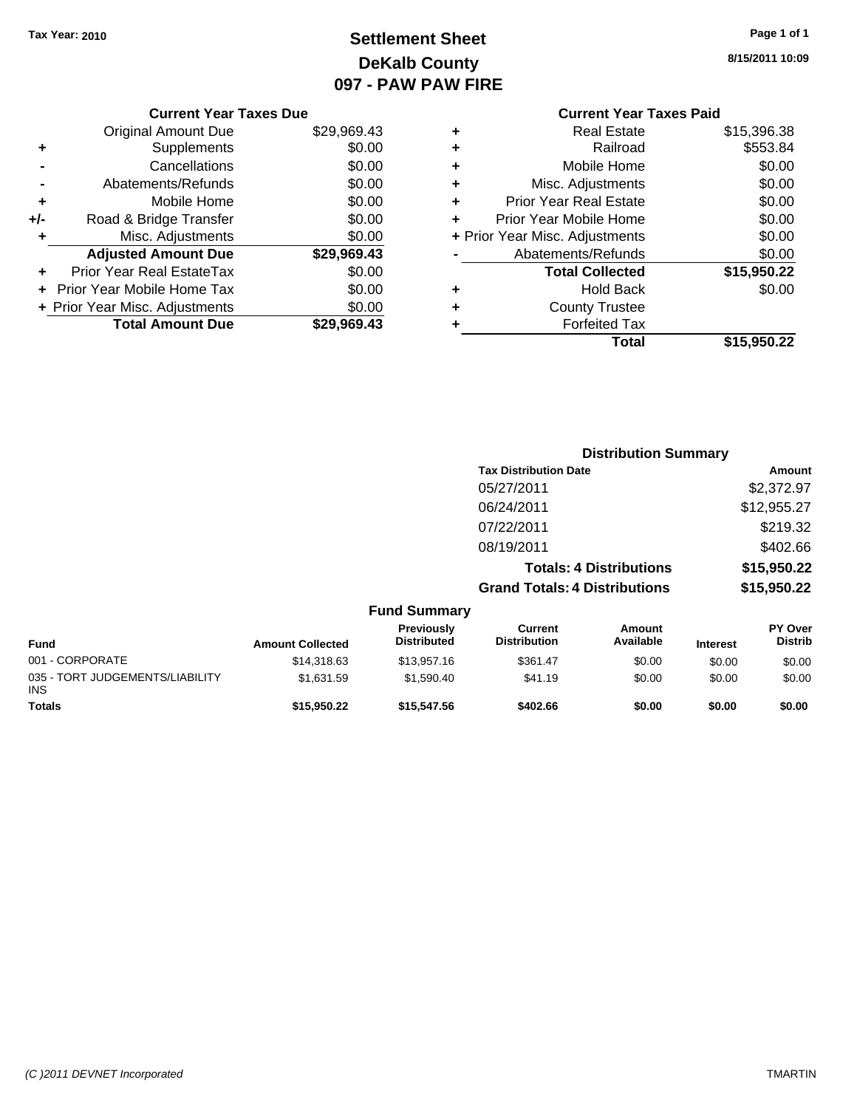## **Settlement Sheet Tax Year: 2010 Page 1 of 1 DeKalb County 097 - PAW PAW FIRE**

**8/15/2011 10:09**

**Total \$15,950.22**

| <b>Forfeited Tax</b>           |                                |
|--------------------------------|--------------------------------|
| <b>County Trustee</b>          |                                |
| <b>Hold Back</b>               | \$0.00                         |
| <b>Total Collected</b>         | \$15,950.22                    |
| Abatements/Refunds             | \$0.00                         |
|                                | \$0.00                         |
| Prior Year Mobile Home         | \$0.00                         |
| <b>Prior Year Real Estate</b>  | \$0.00                         |
| Misc. Adjustments              | \$0.00                         |
| Mobile Home                    | \$0.00                         |
| Railroad                       | \$553.84                       |
| <b>Real Estate</b>             | \$15,396.38                    |
| <b>Current Year Taxes Paid</b> |                                |
|                                | + Prior Year Misc. Adjustments |

|     | <b>Current Year Taxes Due</b>  |             |
|-----|--------------------------------|-------------|
|     | <b>Original Amount Due</b>     | \$29,969.43 |
| ٠   | Supplements                    | \$0.00      |
|     | Cancellations                  | \$0.00      |
|     | Abatements/Refunds             | \$0.00      |
| ٠   | Mobile Home                    | \$0.00      |
| +/- | Road & Bridge Transfer         | \$0.00      |
|     | Misc. Adjustments              | \$0.00      |
|     | <b>Adjusted Amount Due</b>     | \$29,969.43 |
|     | Prior Year Real EstateTax      | \$0.00      |
|     | Prior Year Mobile Home Tax     | \$0.00      |
|     | + Prior Year Misc. Adjustments | \$0.00      |
|     | <b>Total Amount Due</b>        | \$29.969.43 |
|     |                                |             |

|                     |                                      | <b>Distribution Summary</b>    |                |
|---------------------|--------------------------------------|--------------------------------|----------------|
|                     | <b>Tax Distribution Date</b>         |                                | Amount         |
|                     | 05/27/2011                           |                                | \$2,372.97     |
|                     | 06/24/2011                           |                                | \$12,955.27    |
|                     | 07/22/2011                           |                                | \$219.32       |
|                     | 08/19/2011                           |                                | \$402.66       |
|                     |                                      | <b>Totals: 4 Distributions</b> | \$15,950.22    |
|                     | <b>Grand Totals: 4 Distributions</b> |                                | \$15,950.22    |
| <b>Fund Summary</b> |                                      |                                |                |
| <b>Previously</b>   | Current                              | Amount                         | <b>PY Over</b> |

| <b>Fund</b>                                   | <b>Amount Collected</b> | Previously<br><b>Distributed</b> | Current<br><b>Distribution</b> | Amount<br>Available | <b>Interest</b> | <b>PY Over</b><br><b>Distrib</b> |
|-----------------------------------------------|-------------------------|----------------------------------|--------------------------------|---------------------|-----------------|----------------------------------|
| 001 - CORPORATE                               | \$14,318,63             | \$13,957.16                      | \$361.47                       | \$0.00              | \$0.00          | \$0.00                           |
| 035 - TORT JUDGEMENTS/LIABILITY<br><b>INS</b> | \$1.631.59              | \$1.590.40                       | \$41.19                        | \$0.00              | \$0.00          | \$0.00                           |
| <b>Totals</b>                                 | \$15,950.22             | \$15,547.56                      | \$402.66                       | \$0.00              | \$0.00          | \$0.00                           |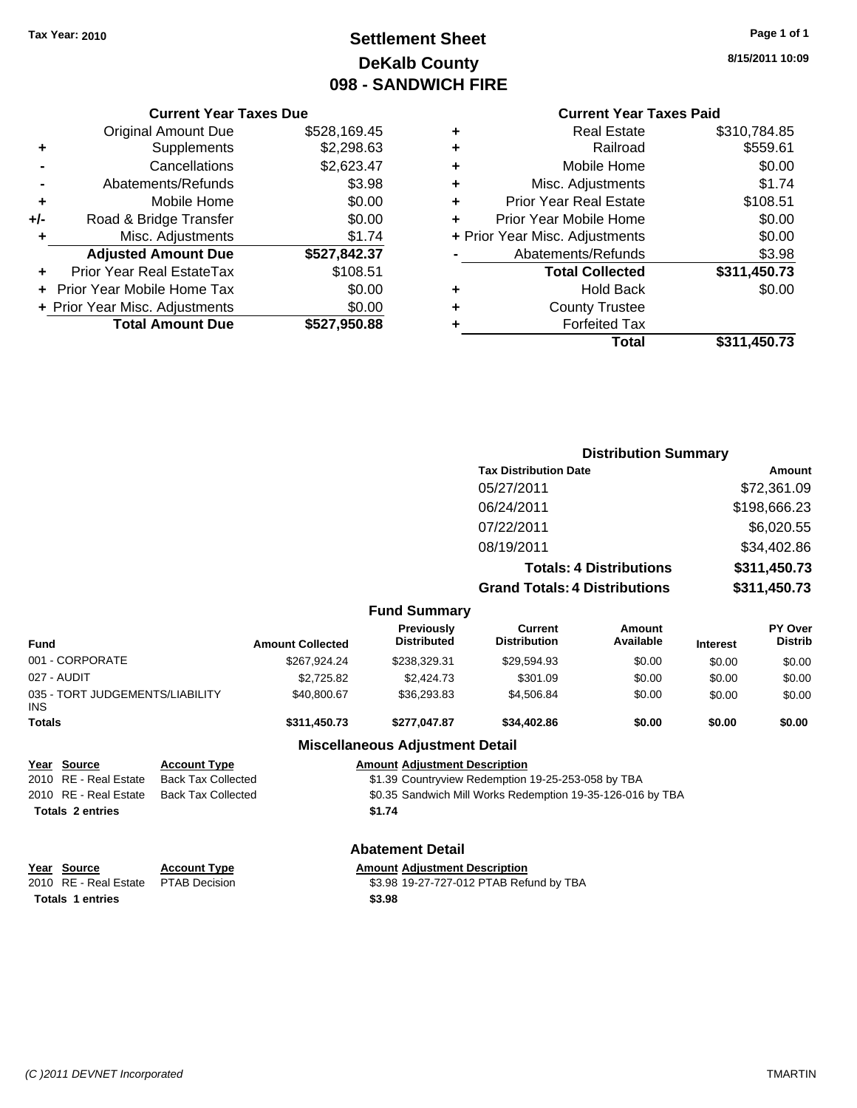## **Settlement Sheet Tax Year: 2010 Page 1 of 1 DeKalb County 098 - SANDWICH FIRE**

**8/15/2011 10:09**

| ٠ | <b>Real Estate</b>             | \$310,784.85 |
|---|--------------------------------|--------------|
| ٠ | Railroad                       | \$559.61     |
| ٠ | Mobile Home                    | \$0.00       |
| ٠ | Misc. Adjustments              | \$1.74       |
| ٠ | <b>Prior Year Real Estate</b>  | \$108.51     |
| ٠ | Prior Year Mobile Home         | \$0.00       |
|   | + Prior Year Misc. Adjustments | \$0.00       |
|   | Abatements/Refunds             | \$3.98       |
|   | <b>Total Collected</b>         | \$311,450.73 |
| ٠ | <b>Hold Back</b>               | \$0.00       |
| ٠ | <b>County Trustee</b>          |              |
|   | <b>Forfeited Tax</b>           |              |
|   | Total                          | \$311.450.73 |

|     | <b>Current Year Taxes Due</b>     |              |
|-----|-----------------------------------|--------------|
|     | <b>Original Amount Due</b>        | \$528,169.45 |
| ٠   | Supplements                       | \$2,298.63   |
|     | Cancellations                     | \$2,623.47   |
|     | Abatements/Refunds                | \$3.98       |
| ٠   | Mobile Home                       | \$0.00       |
| +/- | Road & Bridge Transfer            | \$0.00       |
|     | Misc. Adjustments                 | \$1.74       |
|     | <b>Adjusted Amount Due</b>        | \$527,842.37 |
|     | Prior Year Real EstateTax         | \$108.51     |
|     | <b>Prior Year Mobile Home Tax</b> | \$0.00       |
|     | + Prior Year Misc. Adjustments    | \$0.00       |
|     | <b>Total Amount Due</b>           | \$527,950.88 |

|                                               |                           |                         |                                         |                                                            | <b>Distribution Summary</b>    |                 |                           |
|-----------------------------------------------|---------------------------|-------------------------|-----------------------------------------|------------------------------------------------------------|--------------------------------|-----------------|---------------------------|
|                                               |                           |                         |                                         | <b>Tax Distribution Date</b>                               |                                |                 | Amount                    |
|                                               |                           |                         |                                         | 05/27/2011                                                 |                                |                 | \$72,361.09               |
|                                               |                           |                         |                                         | 06/24/2011                                                 |                                |                 | \$198,666.23              |
|                                               |                           |                         |                                         | 07/22/2011                                                 |                                |                 | \$6,020.55                |
|                                               |                           |                         |                                         | 08/19/2011                                                 |                                |                 | \$34,402.86               |
|                                               |                           |                         |                                         |                                                            |                                |                 |                           |
|                                               |                           |                         |                                         |                                                            | <b>Totals: 4 Distributions</b> |                 | \$311,450.73              |
|                                               |                           |                         |                                         | <b>Grand Totals: 4 Distributions</b>                       |                                |                 | \$311,450.73              |
|                                               |                           |                         | <b>Fund Summary</b>                     |                                                            |                                |                 |                           |
| <b>Fund</b>                                   |                           | <b>Amount Collected</b> | <b>Previously</b><br><b>Distributed</b> | <b>Current</b><br><b>Distribution</b>                      | <b>Amount</b><br>Available     | <b>Interest</b> | PY Over<br><b>Distrib</b> |
| 001 - CORPORATE                               |                           | \$267,924.24            | \$238,329.31                            | \$29,594.93                                                | \$0.00                         | \$0.00          | \$0.00                    |
| 027 - AUDIT                                   |                           | \$2.725.82              | \$2,424.73                              | \$301.09                                                   | \$0.00                         | \$0.00          | \$0.00                    |
| 035 - TORT JUDGEMENTS/LIABILITY<br><b>INS</b> |                           | \$40,800.67             | \$36,293.83                             | \$4,506.84                                                 | \$0.00                         | \$0.00          | \$0.00                    |
| <b>Totals</b>                                 |                           | \$311,450.73            | \$277,047.87                            | \$34,402.86                                                | \$0.00                         | \$0.00          | \$0.00                    |
|                                               |                           |                         | <b>Miscellaneous Adjustment Detail</b>  |                                                            |                                |                 |                           |
| Year Source                                   | <b>Account Type</b>       |                         | <b>Amount Adjustment Description</b>    |                                                            |                                |                 |                           |
| RE - Real Estate<br>2010                      | <b>Back Tax Collected</b> |                         |                                         | \$1.39 Countryview Redemption 19-25-253-058 by TBA         |                                |                 |                           |
| 2010 RE - Real Estate                         | <b>Back Tax Collected</b> |                         |                                         | \$0.35 Sandwich Mill Works Redemption 19-35-126-016 by TBA |                                |                 |                           |
| <b>Totals 2 entries</b>                       |                           |                         | \$1.74                                  |                                                            |                                |                 |                           |
|                                               |                           |                         | <b>Abatement Detail</b>                 |                                                            |                                |                 |                           |
| Year Source                                   | <b>Account Type</b>       |                         | <b>Amount Adjustment Description</b>    |                                                            |                                |                 |                           |
| 2010 RE - Real Estate                         | <b>PTAB Decision</b>      |                         |                                         | \$3.98 19-27-727-012 PTAB Refund by TBA                    |                                |                 |                           |
| <b>Totals 1 entries</b>                       |                           |                         | \$3.98                                  |                                                            |                                |                 |                           |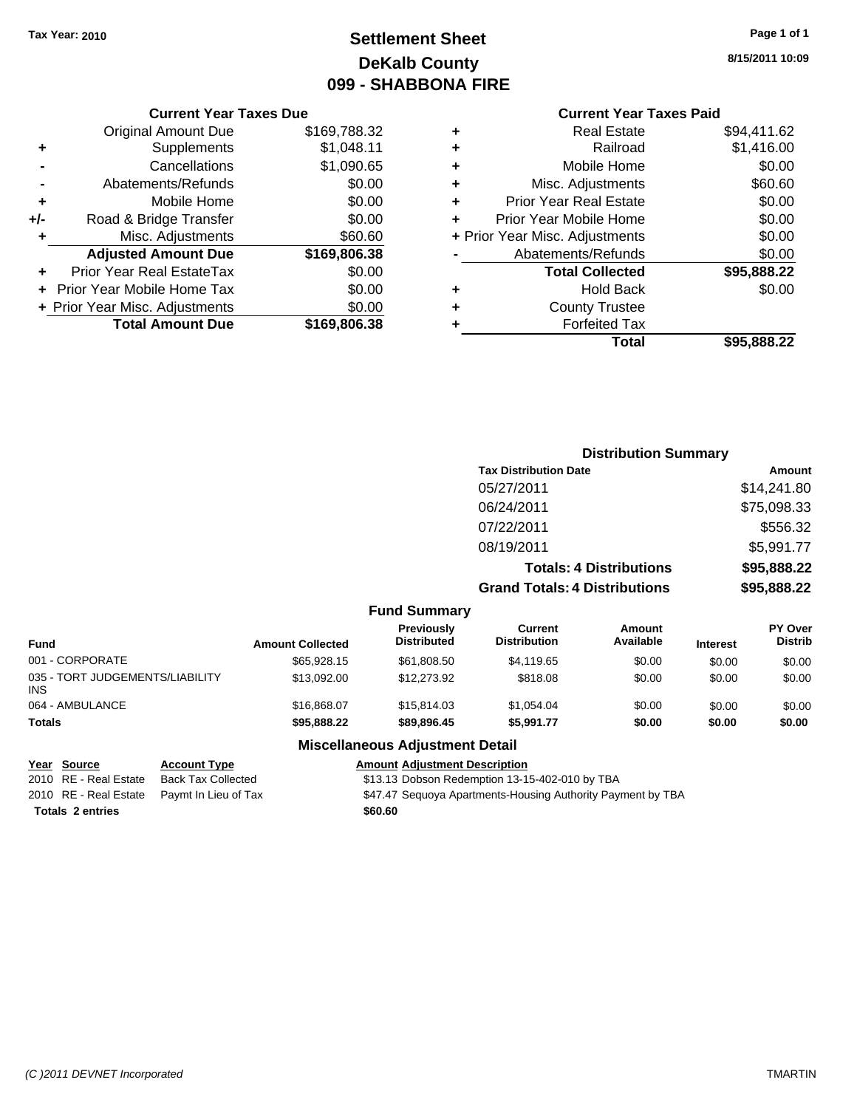## **Settlement Sheet Tax Year: 2010 Page 1 of 1 DeKalb County 099 - SHABBONA FIRE**

**8/15/2011 10:09**

### **Current Year Taxes Paid**

|       | <b>Current Year Taxes Due</b>  |              |  |  |  |  |
|-------|--------------------------------|--------------|--|--|--|--|
|       | <b>Original Amount Due</b>     | \$169,788.32 |  |  |  |  |
| ٠     | Supplements                    | \$1,048.11   |  |  |  |  |
|       | Cancellations                  | \$1,090.65   |  |  |  |  |
|       | Abatements/Refunds             | \$0.00       |  |  |  |  |
| ٠     | Mobile Home                    | \$0.00       |  |  |  |  |
| $+/-$ | Road & Bridge Transfer         | \$0.00       |  |  |  |  |
| ٠     | Misc. Adjustments              | \$60.60      |  |  |  |  |
|       | <b>Adjusted Amount Due</b>     | \$169,806.38 |  |  |  |  |
|       | Prior Year Real EstateTax      | \$0.00       |  |  |  |  |
|       | Prior Year Mobile Home Tax     | \$0.00       |  |  |  |  |
|       | + Prior Year Misc. Adjustments | \$0.00       |  |  |  |  |
|       | <b>Total Amount Due</b>        | \$169,806.38 |  |  |  |  |
|       |                                |              |  |  |  |  |

|   | Total                          | \$95,888.22 |
|---|--------------------------------|-------------|
| ٠ | <b>Forfeited Tax</b>           |             |
| ٠ | <b>County Trustee</b>          |             |
| ٠ | <b>Hold Back</b>               | \$0.00      |
|   | <b>Total Collected</b>         | \$95,888.22 |
|   | Abatements/Refunds             | \$0.00      |
|   | + Prior Year Misc. Adjustments | \$0.00      |
| ٠ | Prior Year Mobile Home         | \$0.00      |
| ÷ | <b>Prior Year Real Estate</b>  | \$0.00      |
| ٠ | Misc. Adjustments              | \$60.60     |
| ÷ | Mobile Home                    | \$0.00      |
| ÷ | Railroad                       | \$1,416.00  |
| ٠ | <b>Real Estate</b>             | \$94,411.62 |
|   |                                |             |

|                                               |                         |                                  |                                       | <b>Distribution Summary</b>    |                 |                                  |
|-----------------------------------------------|-------------------------|----------------------------------|---------------------------------------|--------------------------------|-----------------|----------------------------------|
|                                               |                         |                                  | <b>Tax Distribution Date</b>          |                                |                 | Amount                           |
|                                               |                         |                                  | 05/27/2011                            |                                |                 | \$14,241.80                      |
|                                               |                         |                                  | 06/24/2011                            |                                |                 | \$75,098.33                      |
|                                               |                         |                                  | 07/22/2011                            |                                |                 | \$556.32                         |
|                                               |                         |                                  | 08/19/2011                            |                                |                 | \$5,991.77                       |
|                                               |                         |                                  |                                       | <b>Totals: 4 Distributions</b> |                 | \$95,888.22                      |
|                                               |                         |                                  | <b>Grand Totals: 4 Distributions</b>  |                                | \$95,888.22     |                                  |
|                                               |                         | <b>Fund Summary</b>              |                                       |                                |                 |                                  |
| <b>Fund</b>                                   | <b>Amount Collected</b> | Previously<br><b>Distributed</b> | <b>Current</b><br><b>Distribution</b> | <b>Amount</b><br>Available     | <b>Interest</b> | <b>PY Over</b><br><b>Distrib</b> |
| 001 - CORPORATE                               | \$65,928.15             | \$61,808.50                      | \$4,119.65                            | \$0.00                         | \$0.00          | \$0.00                           |
| 035 - TORT JUDGEMENTS/LIABILITY<br><b>INS</b> | \$13,092.00             | \$12,273.92                      | \$818.08                              | \$0.00                         | \$0.00          | \$0.00                           |
| 064 - AMBULANCE                               | \$16,868.07             | \$15,814.03                      | \$1,054.04                            | \$0.00                         | \$0.00          | \$0.00                           |
| Totals                                        | \$95,888.22             | \$89,896.45                      | \$5,991.77                            | \$0.00                         | \$0.00          | \$0.00                           |

### **Miscellaneous Adjustment Detail**

## **Year Source Account Type Amount Adjustment Description** Totals 2 entries **2 SECO 2 entries 2 SECO 2 SECO**

2010 RE - Real Estate Back Tax Collected \$13.13 Dobson Redemption 13-15-402-010 by TBA 2010 RE - Real Estate Paymt In Lieu of Tax **\$47.47 Sequoya Apartments-Housing Authority Payment by TBA**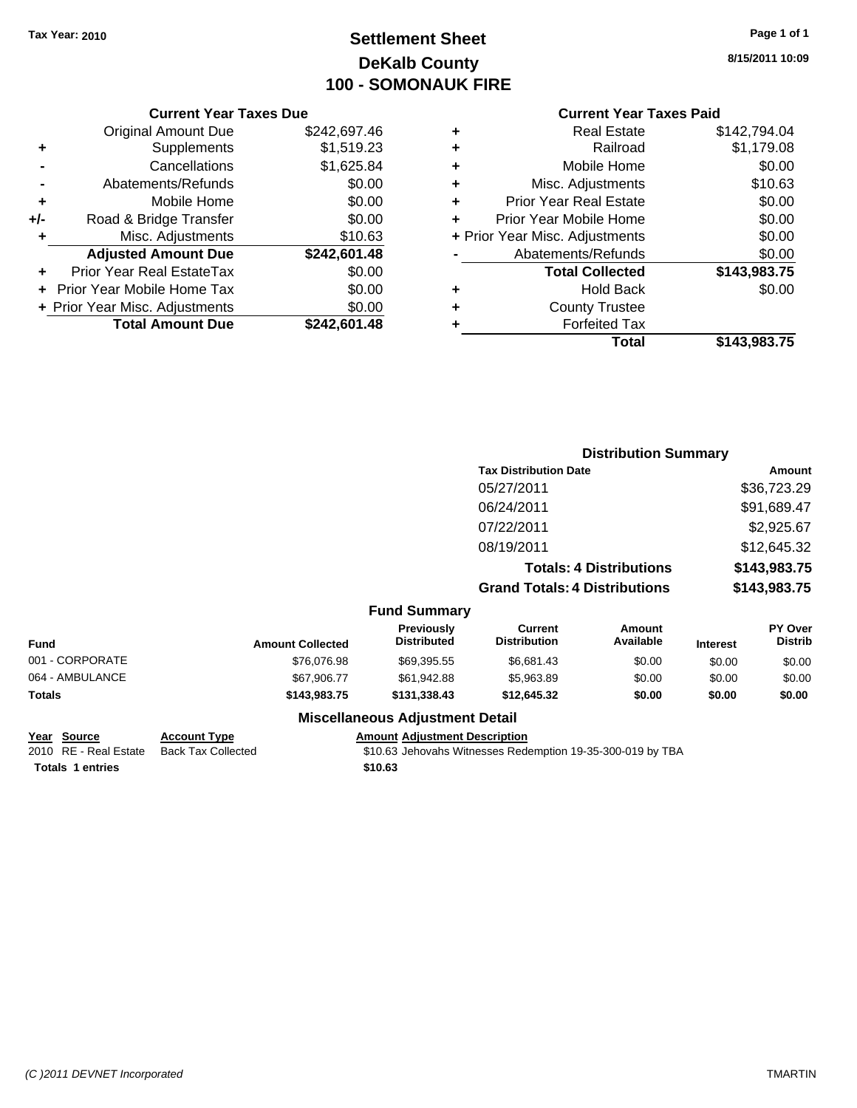## **Settlement Sheet Tax Year: 2010 Page 1 of 1 DeKalb County 100 - SOMONAUK FIRE**

**8/15/2011 10:09**

### **Current Year Taxes Paid**

|     | <b>Current Year Taxes Due</b>     |              |       |
|-----|-----------------------------------|--------------|-------|
|     | <b>Original Amount Due</b>        | \$242,697.46 | ٠     |
|     | <b>Supplements</b>                | \$1,519.23   | ٠     |
|     | Cancellations                     | \$1,625.84   | ٠     |
|     | Abatements/Refunds                | \$0.00       | ٠     |
|     | Mobile Home                       | \$0.00       | ٠     |
| +/- | Road & Bridge Transfer            | \$0.00       | ٠     |
|     | Misc. Adjustments                 | \$10.63      | + Pri |
|     | <b>Adjusted Amount Due</b>        | \$242,601.48 |       |
|     | Prior Year Real EstateTax         | \$0.00       |       |
|     | <b>Prior Year Mobile Home Tax</b> | \$0.00       |       |
|     | + Prior Year Misc. Adjustments    | \$0.00       |       |
|     | <b>Total Amount Due</b>           | \$242,601.48 |       |
|     |                                   |              |       |

| ٠ | <b>Real Estate</b>             | \$142,794.04 |
|---|--------------------------------|--------------|
| ٠ | Railroad                       | \$1,179.08   |
| ٠ | Mobile Home                    | \$0.00       |
| ٠ | Misc. Adjustments              | \$10.63      |
| ٠ | <b>Prior Year Real Estate</b>  | \$0.00       |
| ÷ | Prior Year Mobile Home         | \$0.00       |
|   | + Prior Year Misc. Adjustments | \$0.00       |
|   | Abatements/Refunds             | \$0.00       |
|   | <b>Total Collected</b>         | \$143,983.75 |
| ٠ | <b>Hold Back</b>               | \$0.00       |
| ٠ | <b>County Trustee</b>          |              |
| ٠ | <b>Forfeited Tax</b>           |              |
|   | Total                          | \$143,983.75 |

|                 |                         |                                         | <b>Distribution Summary</b>           |                                |                 |                           |
|-----------------|-------------------------|-----------------------------------------|---------------------------------------|--------------------------------|-----------------|---------------------------|
|                 |                         |                                         | <b>Tax Distribution Date</b>          |                                | Amount          |                           |
|                 |                         |                                         | 05/27/2011                            |                                |                 | \$36,723.29               |
|                 |                         |                                         | 06/24/2011                            |                                |                 | \$91,689.47               |
|                 |                         |                                         | 07/22/2011                            |                                |                 | \$2,925.67                |
|                 |                         |                                         | 08/19/2011                            |                                |                 | \$12,645.32               |
|                 |                         |                                         |                                       | <b>Totals: 4 Distributions</b> |                 | \$143,983.75              |
|                 |                         |                                         | <b>Grand Totals: 4 Distributions</b>  |                                |                 | \$143,983.75              |
|                 |                         | <b>Fund Summary</b>                     |                                       |                                |                 |                           |
| Fund            | <b>Amount Collected</b> | <b>Previously</b><br><b>Distributed</b> | <b>Current</b><br><b>Distribution</b> | <b>Amount</b><br>Available     | <b>Interest</b> | PY Over<br><b>Distrib</b> |
| 001 - CORPORATE | \$76,076.98             | \$69,395.55                             | \$6,681.43                            | \$0.00                         | \$0.00          | \$0.00                    |
| 064 - AMBULANCE | \$67,906.77             | \$61,942.88                             | \$5,963.89                            | \$0.00                         | \$0.00          | \$0.00                    |
| Totals          | \$143,983.75            | \$131,338.43                            | \$12,645.32                           | \$0.00                         | \$0.00          | \$0.00                    |
|                 |                         | <b>Miscellaneous Adjustment Detail</b>  |                                       |                                |                 |                           |

**Totals \$10.63 1 entries**

## **Year Source Account Type Amount Adjustment Description**

2010 RE - Real Estate Back Tax Collected \$10.63 Jehovahs Witnesses Redemption 19-35-300-019 by TBA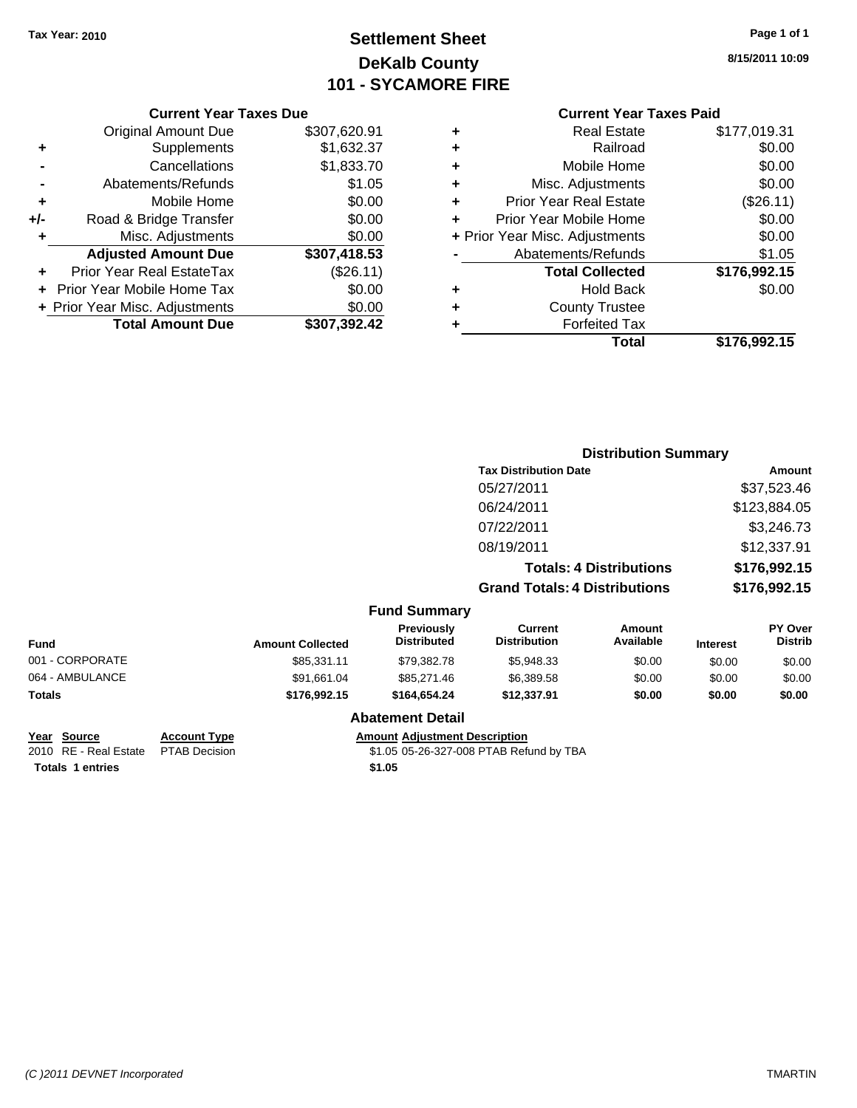## **Settlement Sheet Tax Year: 2010 Page 1 of 1 DeKalb County 101 - SYCAMORE FIRE**

**8/15/2011 10:09**

### **Current Year Taxes Paid**

**Distribution Summary**

|           |   | Total                          | \$176,992.15 |
|-----------|---|--------------------------------|--------------|
| 7,392.42  | ٠ | <b>Forfeited Tax</b>           |              |
| \$0.00    | ٠ | <b>County Trustee</b>          |              |
| \$0.00    | ٠ | <b>Hold Back</b>               | \$0.00       |
| (\$26.11) |   | <b>Total Collected</b>         | \$176,992.15 |
| 7,418.53  |   | Abatements/Refunds             | \$1.05       |
| \$0.00    |   | + Prior Year Misc. Adjustments | \$0.00       |
| \$0.00    |   | Prior Year Mobile Home         | \$0.00       |
| \$0.00    | ٠ | <b>Prior Year Real Estate</b>  | (\$26.11)    |
| \$1.05    | ٠ | Misc. Adjustments              | \$0.00       |
| 1,833.70  | ٠ | Mobile Home                    | \$0.00       |
| 1,632.37  | ٠ | Railroad                       | \$0.00       |
| 7,620.91  | ٠ | <b>Real Estate</b>             | \$177,019.31 |
|           |   |                                |              |

|     | <b>Total Amount Due</b>        | \$307,392.42 |
|-----|--------------------------------|--------------|
|     | + Prior Year Misc. Adjustments | \$0.00       |
|     | Prior Year Mobile Home Tax     | \$0.00       |
|     | Prior Year Real EstateTax      | (\$26.11)    |
|     | <b>Adjusted Amount Due</b>     | \$307,418.53 |
| ٠   | Misc. Adjustments              | \$0.00       |
| +/- | Road & Bridge Transfer         | \$0.00       |
| ÷   | Mobile Home                    | \$0.00       |
|     | Abatements/Refunds             | \$1.05       |
|     | Cancellations                  | \$1,833.70   |
| ٠   | Supplements                    | \$1,632.37   |
|     | <b>Original Amount Due</b>     | \$307,620.91 |
|     | <b>Current Year Taxes Due</b>  |              |

|                 |                         |                                         | <b>Tax Distribution Date</b>          |                                |                 | Amount                    |
|-----------------|-------------------------|-----------------------------------------|---------------------------------------|--------------------------------|-----------------|---------------------------|
|                 |                         |                                         | 05/27/2011                            |                                |                 | \$37,523.46               |
|                 |                         |                                         | 06/24/2011                            |                                |                 | \$123,884.05              |
|                 |                         |                                         | 07/22/2011                            |                                |                 | \$3,246.73                |
|                 |                         |                                         | 08/19/2011                            |                                |                 | \$12,337.91               |
|                 |                         |                                         |                                       | <b>Totals: 4 Distributions</b> |                 | \$176,992.15              |
|                 |                         |                                         | <b>Grand Totals: 4 Distributions</b>  |                                |                 | \$176,992.15              |
|                 |                         | <b>Fund Summary</b>                     |                                       |                                |                 |                           |
| Fund            | <b>Amount Collected</b> | <b>Previously</b><br><b>Distributed</b> | <b>Current</b><br><b>Distribution</b> | <b>Amount</b><br>Available     | <b>Interest</b> | PY Over<br><b>Distrib</b> |
| 001 - CORPORATE | \$85,331.11             | \$79,382.78                             | \$5,948.33                            | \$0.00                         | \$0.00          | \$0.00                    |
| 064 - AMBULANCE | \$91,661.04             | \$85,271.46                             | \$6,389.58                            | \$0.00                         | \$0.00          | \$0.00                    |
| Totals          | \$176,992.15            | \$164,654.24                            | \$12,337.91                           | \$0.00                         | \$0.00          | \$0.00                    |
|                 |                         |                                         |                                       |                                |                 |                           |

# **Totals 1 entries**

**Year Source Account Type Amount Adjustment Description**

**Abatement Detail**

2010 RE - Real Estate PTAB Decision <br> **Totals 1 entries FTAB Decision 1.05 05-26-327-008 PTAB Refund by TBA 51.05**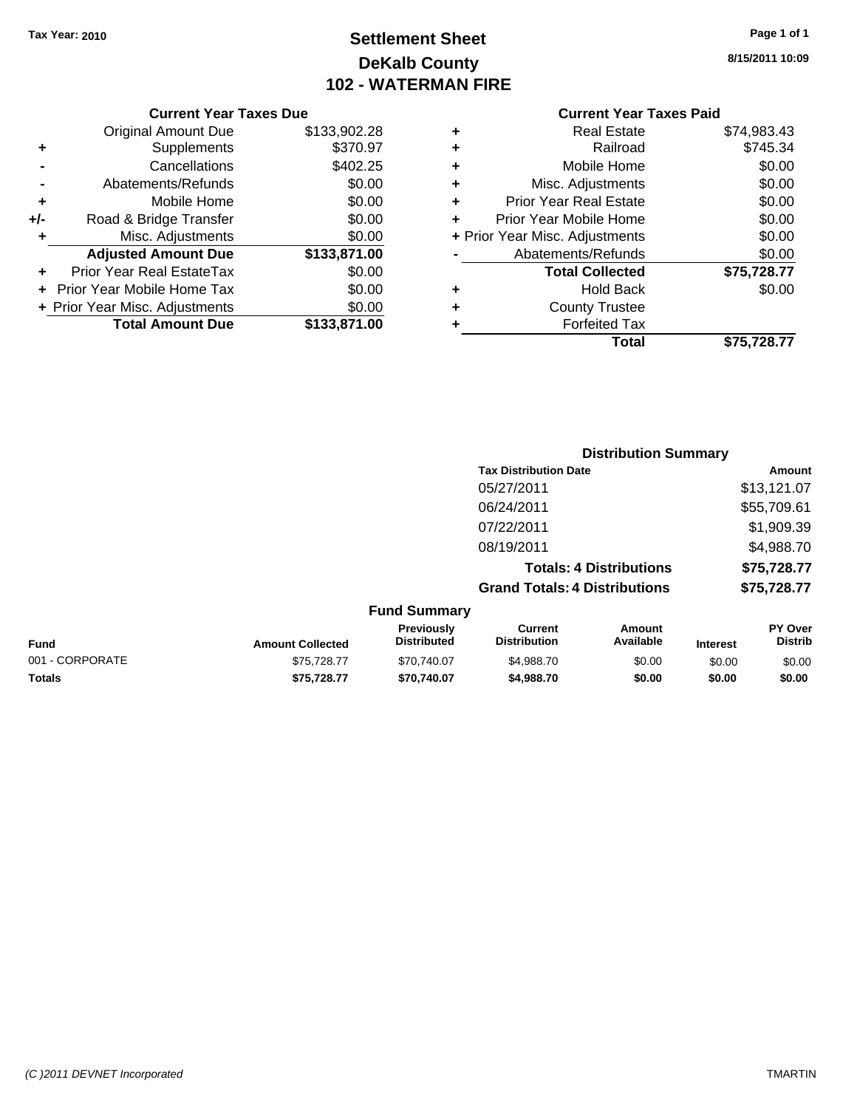## **Settlement Sheet Tax Year: 2010 Page 1 of 1 DeKalb County 102 - WATERMAN FIRE**

**8/15/2011 10:09**

| <b>Current Year Taxes Due</b> |
|-------------------------------|
|-------------------------------|

| <b>Original Amount Due</b> | \$133,902.28                                              |
|----------------------------|-----------------------------------------------------------|
| Supplements                | \$370.97                                                  |
| Cancellations              | \$402.25                                                  |
| Abatements/Refunds         | \$0.00                                                    |
| Mobile Home                | \$0.00                                                    |
| Road & Bridge Transfer     | \$0.00                                                    |
| Misc. Adjustments          | \$0.00                                                    |
| <b>Adjusted Amount Due</b> | \$133,871.00                                              |
| Prior Year Real EstateTax  | \$0.00                                                    |
| Prior Year Mobile Home Tax | \$0.00                                                    |
|                            | \$0.00                                                    |
|                            | \$133,871.00                                              |
|                            | + Prior Year Misc. Adjustments<br><b>Total Amount Due</b> |

| ٠ | <b>Real Estate</b>             | \$74,983.43 |
|---|--------------------------------|-------------|
| ٠ | Railroad                       | \$745.34    |
| ٠ | Mobile Home                    | \$0.00      |
| ٠ | Misc. Adjustments              | \$0.00      |
| ٠ | <b>Prior Year Real Estate</b>  | \$0.00      |
| ÷ | Prior Year Mobile Home         | \$0.00      |
|   | + Prior Year Misc. Adjustments | \$0.00      |
|   | Abatements/Refunds             | \$0.00      |
|   | <b>Total Collected</b>         | \$75,728.77 |
| ٠ | Hold Back                      | \$0.00      |
| ٠ | <b>County Trustee</b>          |             |
| ٠ | <b>Forfeited Tax</b>           |             |
|   | Total                          | \$75,728.77 |
|   |                                |             |

|                         |                                  | <b>Distribution Summary</b>          |                                |                                                     |
|-------------------------|----------------------------------|--------------------------------------|--------------------------------|-----------------------------------------------------|
|                         |                                  | <b>Tax Distribution Date</b>         |                                | Amount                                              |
|                         |                                  | 05/27/2011                           |                                | \$13,121.07                                         |
|                         |                                  | 06/24/2011                           |                                | \$55,709.61                                         |
|                         |                                  | 07/22/2011                           |                                | \$1,909.39                                          |
|                         |                                  | 08/19/2011                           |                                | \$4,988.70                                          |
|                         |                                  |                                      | <b>Totals: 4 Distributions</b> | \$75,728.77                                         |
|                         |                                  | <b>Grand Totals: 4 Distributions</b> |                                | \$75,728.77                                         |
|                         | <b>Fund Summary</b>              |                                      |                                |                                                     |
| <b>Amount Collected</b> | Previously<br><b>Distributed</b> | Current<br><b>Distribution</b>       | Amount<br>Available            | <b>PY Over</b><br><b>Distrib</b><br><b>Interest</b> |

| <b>Fund</b>     | <b>Amount Collected</b> | ι ι σνιυμειν<br><b>Distributed</b> | <b>VULLEIR</b><br><b>Distribution</b> | Allivulit<br>Available | <b>Interest</b> | וטע ו<br>Distrib |
|-----------------|-------------------------|------------------------------------|---------------------------------------|------------------------|-----------------|------------------|
| 001 - CORPORATE | \$75,728,77             | \$70,740.07                        | \$4.988.70                            | \$0.00                 | \$0.00          | \$0.00           |
| <b>Totals</b>   | \$75.728.77             | \$70.740.07                        | \$4,988,70                            | \$0.00                 | \$0.00          | \$0.00           |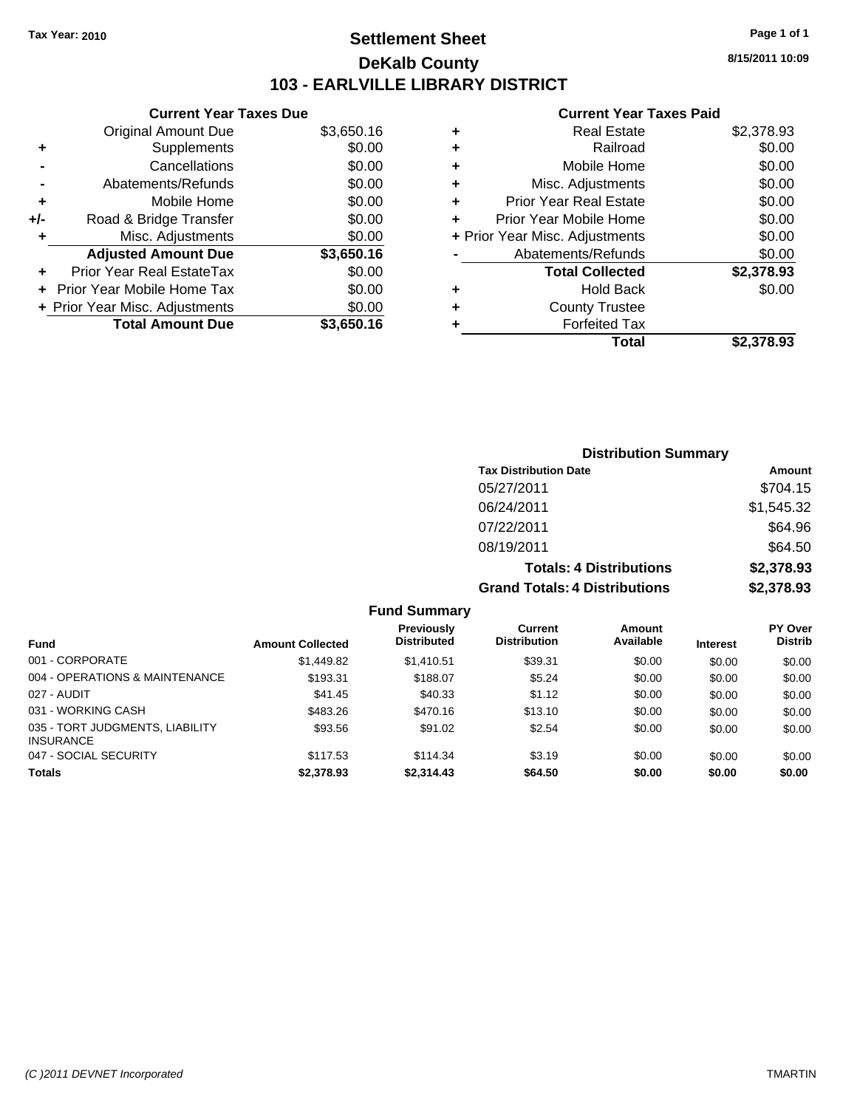## **Settlement Sheet Tax Year: 2010 Page 1 of 1 DeKalb County 103 - EARLVILLE LIBRARY DISTRICT**

**8/15/2011 10:09**

### **Current Year Taxes Paid**

|     | <b>Current Year Taxes Due</b>     |            |
|-----|-----------------------------------|------------|
|     | <b>Original Amount Due</b>        | \$3,650.16 |
| ٠   | Supplements                       | \$0.00     |
|     | Cancellations                     | \$0.00     |
|     | Abatements/Refunds                | \$0.00     |
| ٠   | Mobile Home                       | \$0.00     |
| +/- | Road & Bridge Transfer            | \$0.00     |
| ٠   | Misc. Adjustments                 | \$0.00     |
|     | <b>Adjusted Amount Due</b>        | \$3,650.16 |
|     | Prior Year Real EstateTax         | \$0.00     |
|     | <b>Prior Year Mobile Home Tax</b> | \$0.00     |
|     | + Prior Year Misc. Adjustments    | \$0.00     |
|     | <b>Total Amount Due</b>           | \$3,650.16 |
|     |                                   |            |

|   | <b>Real Estate</b>             | \$2,378.93 |
|---|--------------------------------|------------|
| ٠ | Railroad                       | \$0.00     |
| ٠ | Mobile Home                    | \$0.00     |
| ٠ | Misc. Adjustments              | \$0.00     |
| ٠ | <b>Prior Year Real Estate</b>  | \$0.00     |
| ٠ | Prior Year Mobile Home         | \$0.00     |
|   | + Prior Year Misc. Adjustments | \$0.00     |
|   | Abatements/Refunds             | \$0.00     |
|   | <b>Total Collected</b>         | \$2,378.93 |
| ٠ | <b>Hold Back</b>               | \$0.00     |
| ٠ | <b>County Trustee</b>          |            |
| ٠ | <b>Forfeited Tax</b>           |            |
|   | Total                          | \$2,378.93 |
|   |                                |            |

| <b>Distribution Summary</b>          |            |  |  |  |
|--------------------------------------|------------|--|--|--|
| <b>Tax Distribution Date</b>         | Amount     |  |  |  |
| 05/27/2011                           | \$704.15   |  |  |  |
| 06/24/2011                           | \$1,545.32 |  |  |  |
| 07/22/2011                           | \$64.96    |  |  |  |
| 08/19/2011                           | \$64.50    |  |  |  |
| <b>Totals: 4 Distributions</b>       | \$2,378.93 |  |  |  |
| <b>Grand Totals: 4 Distributions</b> | \$2,378.93 |  |  |  |

|                                                     |                         | Previously         | Current             | Amount    |                 | <b>PY Over</b> |
|-----------------------------------------------------|-------------------------|--------------------|---------------------|-----------|-----------------|----------------|
| <b>Fund</b>                                         | <b>Amount Collected</b> | <b>Distributed</b> | <b>Distribution</b> | Available | <b>Interest</b> | <b>Distrib</b> |
| 001 - CORPORATE                                     | \$1,449.82              | \$1.410.51         | \$39.31             | \$0.00    | \$0.00          | \$0.00         |
| 004 - OPERATIONS & MAINTENANCE                      | \$193.31                | \$188.07           | \$5.24              | \$0.00    | \$0.00          | \$0.00         |
| 027 - AUDIT                                         | \$41.45                 | \$40.33            | \$1.12              | \$0.00    | \$0.00          | \$0.00         |
| 031 - WORKING CASH                                  | \$483.26                | \$470.16           | \$13.10             | \$0.00    | \$0.00          | \$0.00         |
| 035 - TORT JUDGMENTS, LIABILITY<br><b>INSURANCE</b> | \$93.56                 | \$91.02            | \$2.54              | \$0.00    | \$0.00          | \$0.00         |
| 047 - SOCIAL SECURITY                               | \$117.53                | \$114.34           | \$3.19              | \$0.00    | \$0.00          | \$0.00         |
| <b>Totals</b>                                       | \$2,378.93              | \$2,314.43         | \$64.50             | \$0.00    | \$0.00          | \$0.00         |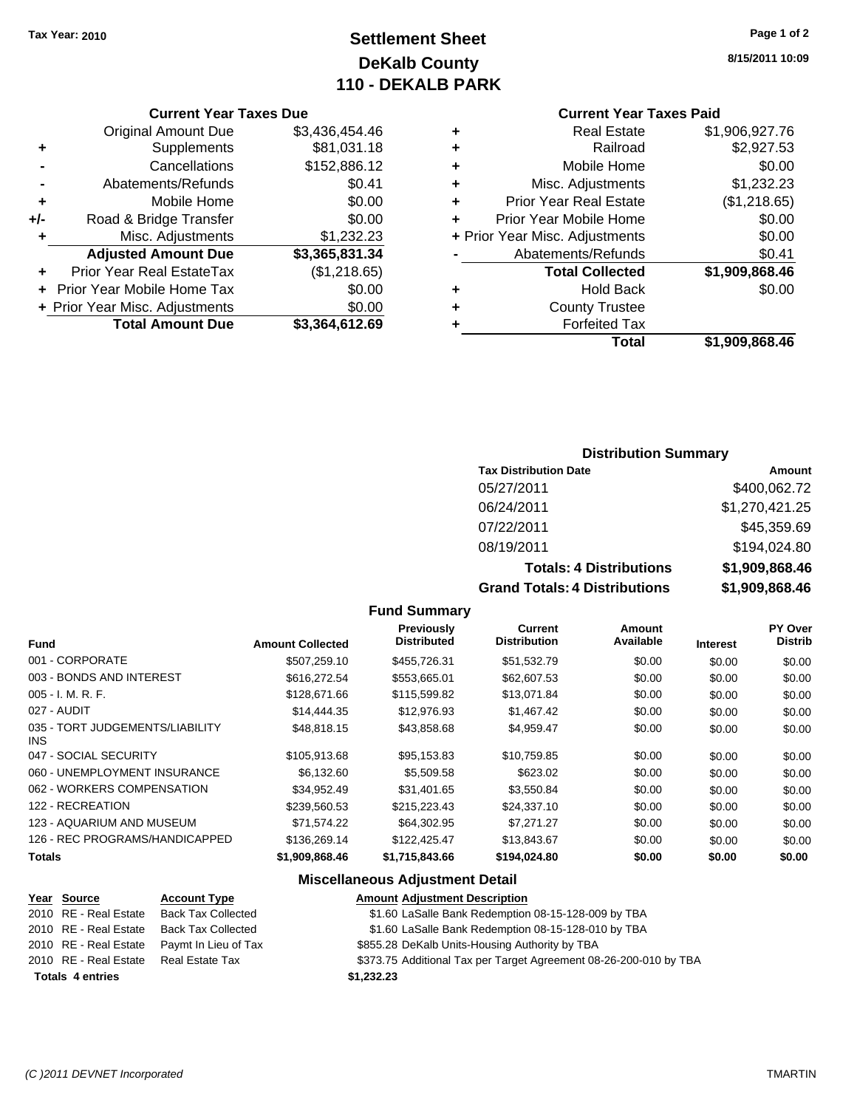## **Settlement Sheet Tax Year: 2010 Page 1 of 2 DeKalb County 110 - DEKALB PARK**

### **Current Year Taxes Due**

|     | <b>Original Amount Due</b>        | \$3,436,454.46 |
|-----|-----------------------------------|----------------|
| ٠   | Supplements                       | \$81,031.18    |
|     | Cancellations                     | \$152,886.12   |
|     | Abatements/Refunds                | \$0.41         |
| ÷   | Mobile Home                       | \$0.00         |
| +/- | Road & Bridge Transfer            | \$0.00         |
| ٠   | Misc. Adjustments                 | \$1,232.23     |
|     | <b>Adjusted Amount Due</b>        | \$3,365,831.34 |
|     | Prior Year Real EstateTax         | (\$1,218.65)   |
|     | <b>Prior Year Mobile Home Tax</b> | \$0.00         |
|     | + Prior Year Misc. Adjustments    | \$0.00         |
|     | <b>Total Amount Due</b>           | \$3,364,612.69 |

## **Current Year Taxes Paid**

| ٠ | <b>Real Estate</b>             | \$1,906,927.76 |
|---|--------------------------------|----------------|
| ٠ | Railroad                       | \$2,927.53     |
| ٠ | Mobile Home                    | \$0.00         |
| ٠ | Misc. Adjustments              | \$1,232.23     |
| ٠ | <b>Prior Year Real Estate</b>  | (\$1,218.65)   |
| ÷ | Prior Year Mobile Home         | \$0.00         |
|   | + Prior Year Misc. Adjustments | \$0.00         |
|   | Abatements/Refunds             | \$0.41         |
|   | <b>Total Collected</b>         | \$1,909,868.46 |
| ٠ | <b>Hold Back</b>               | \$0.00         |
| ٠ | <b>County Trustee</b>          |                |
| ٠ | <b>Forfeited Tax</b>           |                |
|   | Total                          | \$1,909,868.46 |

### **Distribution Summary**

| <b>Tax Distribution Date</b>   | Amount         |
|--------------------------------|----------------|
| 05/27/2011                     | \$400,062.72   |
| 06/24/2011                     | \$1,270,421.25 |
| 07/22/2011                     | \$45,359.69    |
| 08/19/2011                     | \$194,024.80   |
| <b>Totals: 4 Distributions</b> | \$1,909,868.46 |
| Crond Totolo: 4 Diotributions  | CA DOD OCO AC  |

**Grand Totals: 4 Distributions \$1,909,868.46**

### **Fund Summary**

| <b>Fund</b>                             | <b>Amount Collected</b> | Previously<br><b>Distributed</b> | Current<br><b>Distribution</b> | Amount<br>Available | <b>Interest</b> | PY Over<br><b>Distrib</b> |
|-----------------------------------------|-------------------------|----------------------------------|--------------------------------|---------------------|-----------------|---------------------------|
| 001 - CORPORATE                         | \$507.259.10            | \$455.726.31                     | \$51,532.79                    | \$0.00              | \$0.00          | \$0.00                    |
| 003 - BONDS AND INTEREST                | \$616,272.54            | \$553.665.01                     | \$62,607.53                    | \$0.00              | \$0.00          | \$0.00                    |
| $005 - I. M. R. F.$                     | \$128,671,66            | \$115,599.82                     | \$13,071.84                    | \$0.00              | \$0.00          | \$0.00                    |
| 027 - AUDIT                             | \$14,444.35             | \$12,976.93                      | \$1,467.42                     | \$0.00              | \$0.00          | \$0.00                    |
| 035 - TORT JUDGEMENTS/LIABILITY<br>INS. | \$48,818.15             | \$43,858,68                      | \$4,959.47                     | \$0.00              | \$0.00          | \$0.00                    |
| 047 - SOCIAL SECURITY                   | \$105,913.68            | \$95,153.83                      | \$10,759.85                    | \$0.00              | \$0.00          | \$0.00                    |
| 060 - UNEMPLOYMENT INSURANCE            | \$6.132.60              | \$5,509.58                       | \$623.02                       | \$0.00              | \$0.00          | \$0.00                    |
| 062 - WORKERS COMPENSATION              | \$34,952.49             | \$31.401.65                      | \$3.550.84                     | \$0.00              | \$0.00          | \$0.00                    |
| 122 - RECREATION                        | \$239,560.53            | \$215,223,43                     | \$24,337.10                    | \$0.00              | \$0.00          | \$0.00                    |
| 123 - AQUARIUM AND MUSEUM               | \$71.574.22             | \$64,302.95                      | \$7,271.27                     | \$0.00              | \$0.00          | \$0.00                    |
| 126 - REC PROGRAMS/HANDICAPPED          | \$136,269.14            | \$122,425,47                     | \$13,843.67                    | \$0.00              | \$0.00          | \$0.00                    |
| <b>Totals</b>                           | \$1,909,868.46          | \$1,715,843.66                   | \$194,024.80                   | \$0.00              | \$0.00          | \$0.00                    |

### **Miscellaneous Adjustment Detail**

|                         | Year Source           | <b>Account Type</b>       | <b>Amount Adjustment Description</b>                              |
|-------------------------|-----------------------|---------------------------|-------------------------------------------------------------------|
|                         | 2010 RE - Real Estate | <b>Back Tax Collected</b> | \$1.60 LaSalle Bank Redemption 08-15-128-009 by TBA               |
|                         | 2010 RE - Real Estate | <b>Back Tax Collected</b> | \$1.60 LaSalle Bank Redemption 08-15-128-010 by TBA               |
|                         | 2010 RE - Real Estate | Paymt In Lieu of Tax      | \$855.28 DeKalb Units-Housing Authority by TBA                    |
|                         | 2010 RE - Real Estate | Real Estate Tax           | \$373.75 Additional Tax per Target Agreement 08-26-200-010 by TBA |
| <b>Totals 4 entries</b> |                       |                           | \$1,232.23                                                        |
|                         |                       |                           |                                                                   |

**8/15/2011 10:09**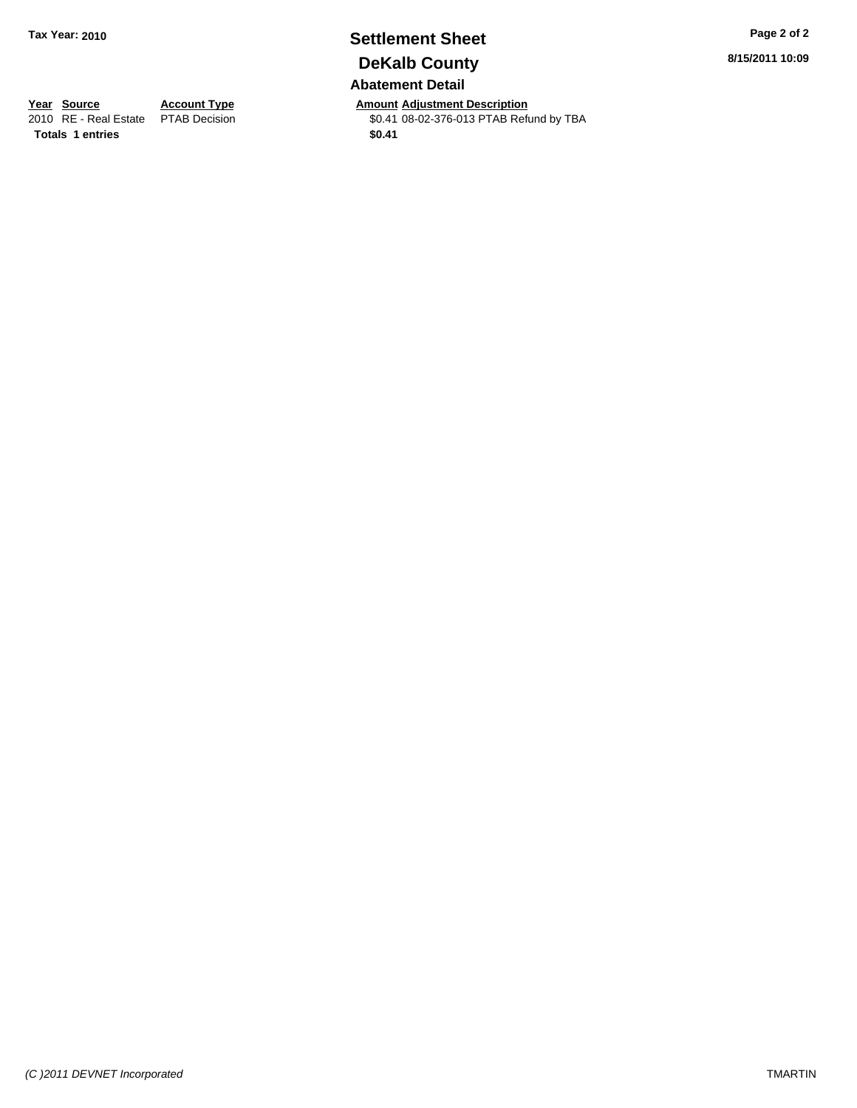## **Settlement Sheet Tax Year: 2010 Page 2 of 2 DeKalb County Abatement Detail**

**Year Source Account Type Amount Adjustment Description**<br>
2010 RE - Real Estate PTAB Decision **Amount Adjustment Description**<br>
\$0.41 08-02-376-013 PTAB Refu \$0.41 08-02-376-013 PTAB Refund by TBA **8/15/2011 10:09**

Totals 1 entries \$0.41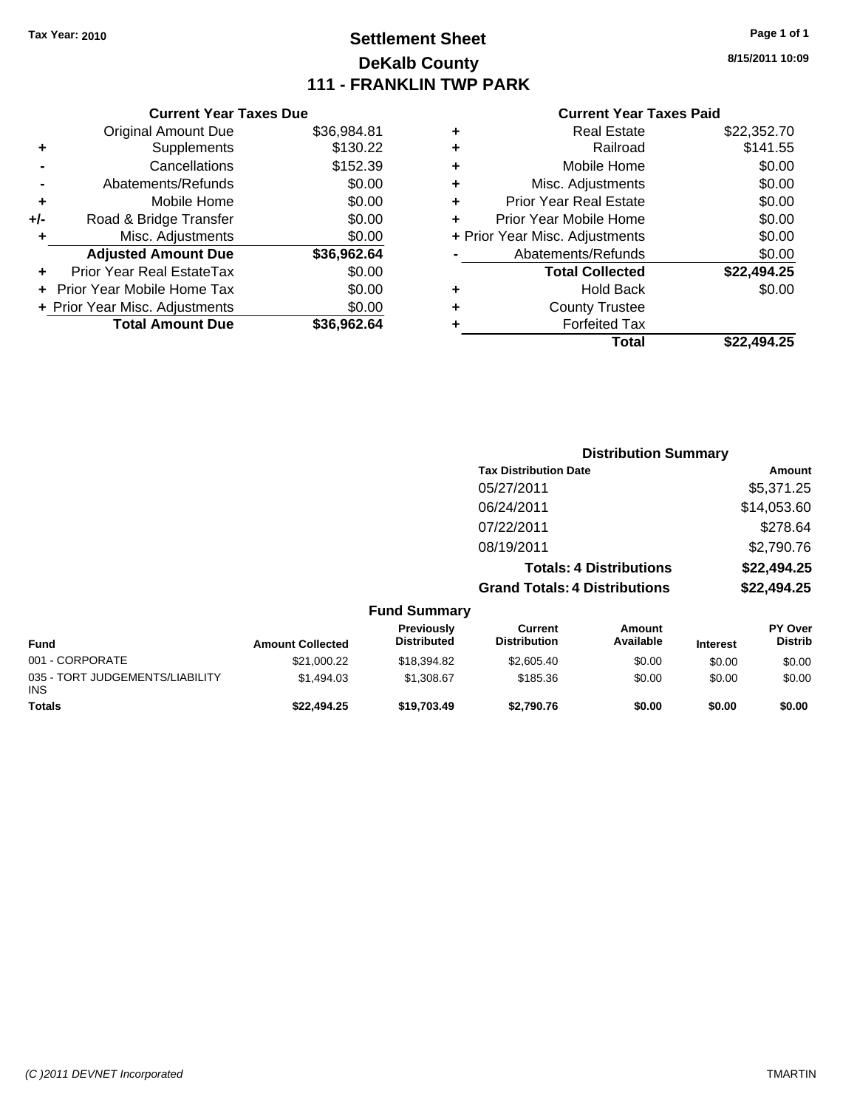## **Settlement Sheet Tax Year: 2010 Page 1 of 1 DeKalb County 111 - FRANKLIN TWP PARK**

**8/15/2011 10:09**

|                              | <b>Current Year Taxes Due</b>     |             |  |  |
|------------------------------|-----------------------------------|-------------|--|--|
|                              | <b>Original Amount Due</b>        | \$36,984.81 |  |  |
| \$130.22<br>Supplements<br>٠ |                                   |             |  |  |
|                              | Cancellations                     | \$152.39    |  |  |
|                              | Abatements/Refunds                | \$0.00      |  |  |
| ٠                            | Mobile Home                       | \$0.00      |  |  |
| +/-                          | Road & Bridge Transfer            | \$0.00      |  |  |
| ٠                            | Misc. Adjustments                 | \$0.00      |  |  |
|                              | <b>Adjusted Amount Due</b>        | \$36,962.64 |  |  |
|                              | Prior Year Real EstateTax         | \$0.00      |  |  |
|                              | <b>Prior Year Mobile Home Tax</b> | \$0.00      |  |  |
|                              | + Prior Year Misc. Adjustments    | \$0.00      |  |  |
|                              | <b>Total Amount Due</b>           | \$36,962.64 |  |  |
|                              |                                   |             |  |  |

| ٠ | <b>Real Estate</b>             | \$22,352.70 |
|---|--------------------------------|-------------|
| ٠ | Railroad                       | \$141.55    |
| ٠ | Mobile Home                    | \$0.00      |
| ٠ | Misc. Adjustments              | \$0.00      |
| ÷ | <b>Prior Year Real Estate</b>  | \$0.00      |
| ٠ | Prior Year Mobile Home         | \$0.00      |
|   | + Prior Year Misc. Adjustments | \$0.00      |
|   | Abatements/Refunds             | \$0.00      |
|   | <b>Total Collected</b>         | \$22,494.25 |
| ٠ | <b>Hold Back</b>               | \$0.00      |
| ٠ | <b>County Trustee</b>          |             |
| ٠ | <b>Forfeited Tax</b>           |             |
|   | Total                          | \$22,494.25 |
|   |                                |             |

|                                               |                         |                                  | <b>Distribution Summary</b>           |                                |                 |                           |
|-----------------------------------------------|-------------------------|----------------------------------|---------------------------------------|--------------------------------|-----------------|---------------------------|
|                                               |                         |                                  | <b>Tax Distribution Date</b>          |                                |                 | Amount                    |
|                                               |                         |                                  | 05/27/2011                            |                                |                 | \$5,371.25                |
|                                               |                         |                                  | 06/24/2011                            |                                |                 | \$14,053.60               |
|                                               |                         |                                  | 07/22/2011                            |                                |                 | \$278.64                  |
|                                               |                         |                                  | 08/19/2011                            |                                |                 | \$2,790.76                |
|                                               |                         |                                  |                                       | <b>Totals: 4 Distributions</b> |                 | \$22,494.25               |
|                                               |                         |                                  | <b>Grand Totals: 4 Distributions</b>  |                                |                 | \$22,494.25               |
|                                               |                         | <b>Fund Summary</b>              |                                       |                                |                 |                           |
| <b>Fund</b>                                   | <b>Amount Collected</b> | Previously<br><b>Distributed</b> | <b>Current</b><br><b>Distribution</b> | <b>Amount</b><br>Available     | <b>Interest</b> | PY Over<br><b>Distrib</b> |
| 001 - CORPORATE                               | \$21,000.22             | \$18,394.82                      | \$2,605.40                            | \$0.00                         | \$0.00          | \$0.00                    |
| 035 - TORT JUDGEMENTS/LIABILITY<br><b>INS</b> | \$1,494.03              | \$1,308.67                       | \$185.36                              | \$0.00                         | \$0.00          | \$0.00                    |
| Totals                                        | \$22,494.25             | \$19,703.49                      | \$2,790.76                            | \$0.00                         | \$0.00          | \$0.00                    |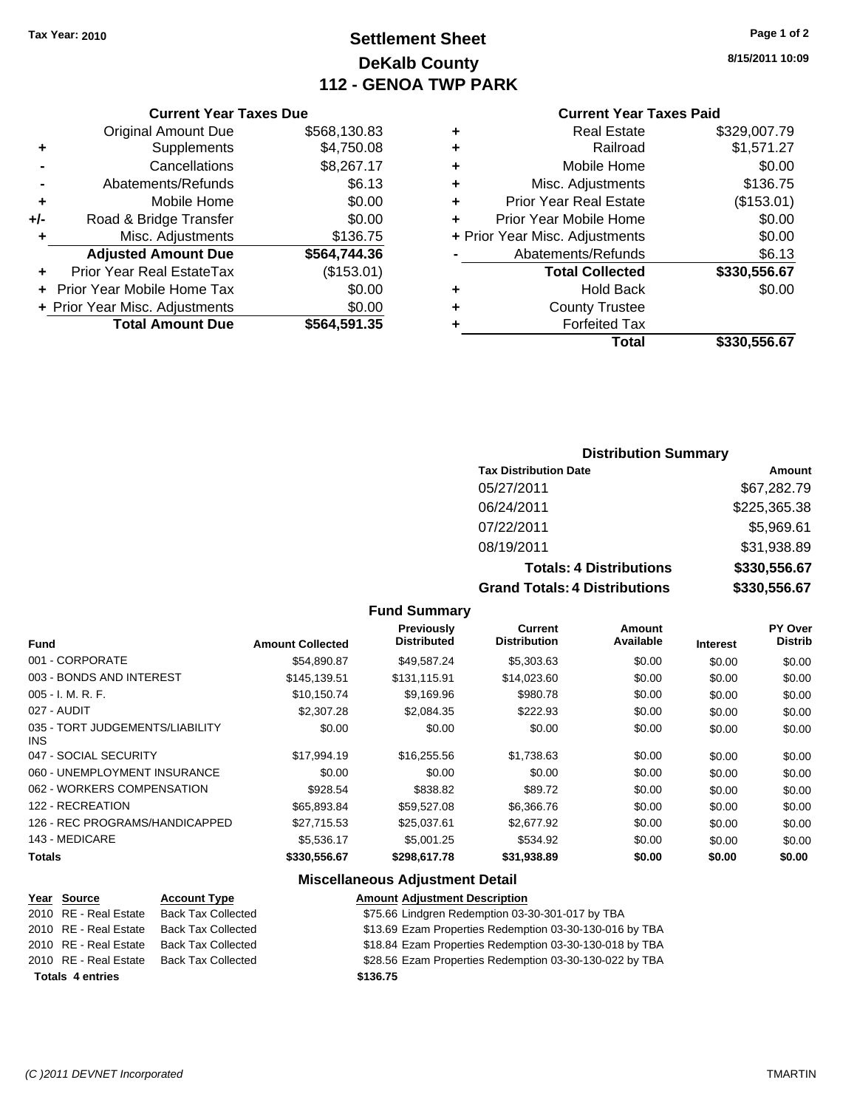## **Settlement Sheet Tax Year: 2010 Page 1 of 2 DeKalb County 112 - GENOA TWP PARK**

**8/15/2011 10:09**

### **Current Year Taxes Paid**

### **Current Year Taxes Due**

|     | + Prior Year Misc. Adjustments<br><b>Total Amount Due</b> | \$0.00<br>\$564,591.35 |
|-----|-----------------------------------------------------------|------------------------|
|     | Prior Year Mobile Home Tax                                | \$0.00                 |
|     | <b>Prior Year Real EstateTax</b>                          | (\$153.01)             |
|     | <b>Adjusted Amount Due</b>                                | \$564,744.36           |
| ٠   | Misc. Adjustments                                         | \$136.75               |
| +/- | Road & Bridge Transfer                                    | \$0.00                 |
| ٠   | Mobile Home                                               | \$0.00                 |
|     | Abatements/Refunds                                        | \$6.13                 |
|     | Cancellations                                             | \$8,267.17             |
| ٠   | Supplements                                               | \$4,750.08             |
|     | <b>Original Amount Due</b>                                | \$568,130.83           |
|     |                                                           |                        |

### **Distribution Summary**

| <b>Tax Distribution Date</b>         | Amount       |
|--------------------------------------|--------------|
| 05/27/2011                           | \$67,282.79  |
| 06/24/2011                           | \$225,365.38 |
| 07/22/2011                           | \$5,969.61   |
| 08/19/2011                           | \$31,938.89  |
| <b>Totals: 4 Distributions</b>       | \$330,556.67 |
| <b>Grand Totals: 4 Distributions</b> | \$330,556.67 |

### **Fund Summary**

| <b>Fund</b>                             | <b>Amount Collected</b> | Previously<br><b>Distributed</b> | <b>Current</b><br><b>Distribution</b> | Amount<br>Available | <b>Interest</b> | <b>PY Over</b><br><b>Distrib</b> |
|-----------------------------------------|-------------------------|----------------------------------|---------------------------------------|---------------------|-----------------|----------------------------------|
| 001 - CORPORATE                         | \$54,890.87             | \$49.587.24                      | \$5,303.63                            | \$0.00              | \$0.00          | \$0.00                           |
| 003 - BONDS AND INTEREST                | \$145,139.51            | \$131,115.91                     | \$14,023.60                           | \$0.00              | \$0.00          | \$0.00                           |
| $005 - I. M. R. F.$                     | \$10.150.74             | \$9.169.96                       | \$980.78                              | \$0.00              | \$0.00          | \$0.00                           |
| 027 - AUDIT                             | \$2,307.28              | \$2,084.35                       | \$222.93                              | \$0.00              | \$0.00          | \$0.00                           |
| 035 - TORT JUDGEMENTS/LIABILITY<br>INS. | \$0.00                  | \$0.00                           | \$0.00                                | \$0.00              | \$0.00          | \$0.00                           |
| 047 - SOCIAL SECURITY                   | \$17,994.19             | \$16,255.56                      | \$1,738.63                            | \$0.00              | \$0.00          | \$0.00                           |
| 060 - UNEMPLOYMENT INSURANCE            | \$0.00                  | \$0.00                           | \$0.00                                | \$0.00              | \$0.00          | \$0.00                           |
| 062 - WORKERS COMPENSATION              | \$928.54                | \$838.82                         | \$89.72                               | \$0.00              | \$0.00          | \$0.00                           |
| 122 - RECREATION                        | \$65,893.84             | \$59,527.08                      | \$6,366.76                            | \$0.00              | \$0.00          | \$0.00                           |
| 126 - REC PROGRAMS/HANDICAPPED          | \$27.715.53             | \$25,037.61                      | \$2,677.92                            | \$0.00              | \$0.00          | \$0.00                           |
| 143 - MEDICARE                          | \$5,536.17              | \$5,001.25                       | \$534.92                              | \$0.00              | \$0.00          | \$0.00                           |
| <b>Totals</b>                           | \$330,556.67            | \$298,617.78                     | \$31,938.89                           | \$0.00              | \$0.00          | \$0.00                           |

## **Miscellaneous Adjustment Detail**

| Year Source             | <b>Account Type</b>       | <b>Amount Adjustment Description</b>                    |
|-------------------------|---------------------------|---------------------------------------------------------|
| 2010 RE - Real Estate   | <b>Back Tax Collected</b> | \$75.66 Lindgren Redemption 03-30-301-017 by TBA        |
| 2010 RE - Real Estate   | <b>Back Tax Collected</b> | \$13.69 Ezam Properties Redemption 03-30-130-016 by TBA |
| 2010 RE - Real Estate   | <b>Back Tax Collected</b> | \$18.84 Ezam Properties Redemption 03-30-130-018 by TBA |
| 2010 RE - Real Estate   | <b>Back Tax Collected</b> | \$28.56 Ezam Properties Redemption 03-30-130-022 by TBA |
| <b>Totals 4 entries</b> |                           | \$136.75                                                |
|                         |                           |                                                         |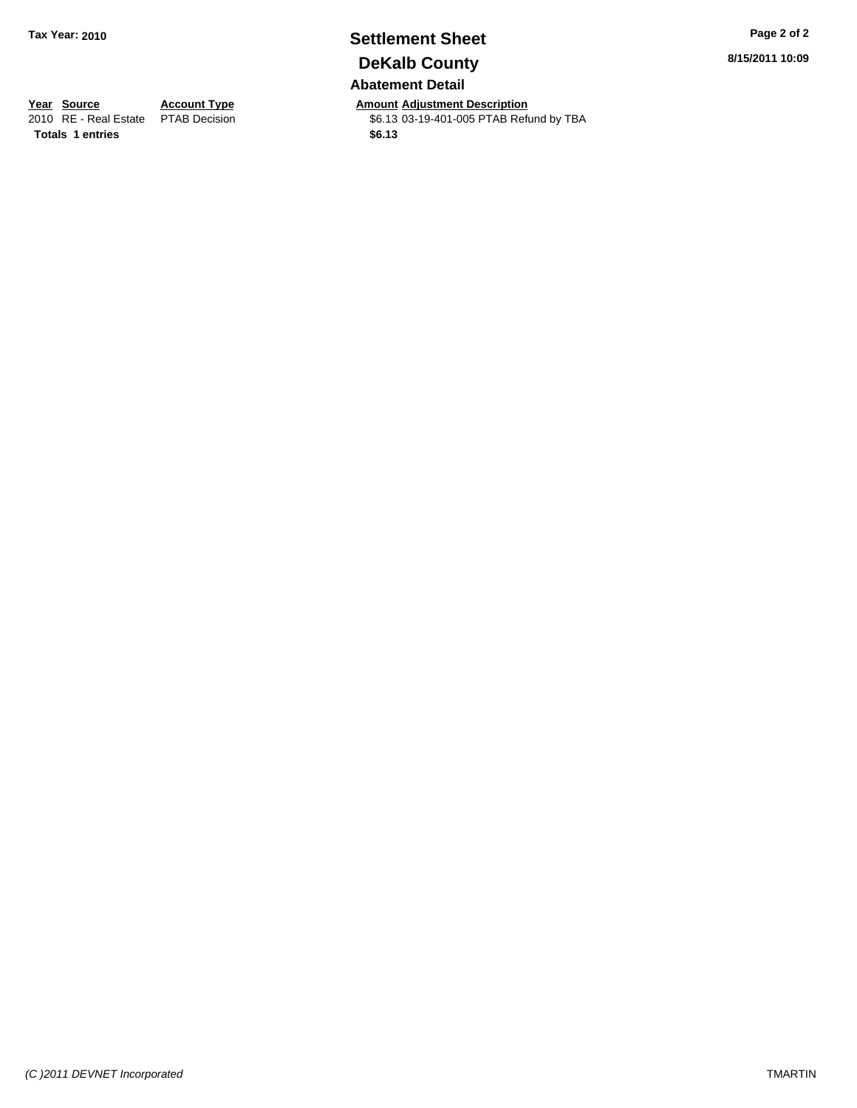## **Settlement Sheet Tax Year: 2010 Page 2 of 2 DeKalb County Abatement Detail**

**Year Source Account Type Amount Adjustment Description**<br>
2010 RE - Real Estate PTAB Decision **Amount 46.13** 03-19-401-005 PTAB Refu \$6.13 03-19-401-005 PTAB Refund by TBA

**8/15/2011 10:09**

**Totals \$6.13 1 entries**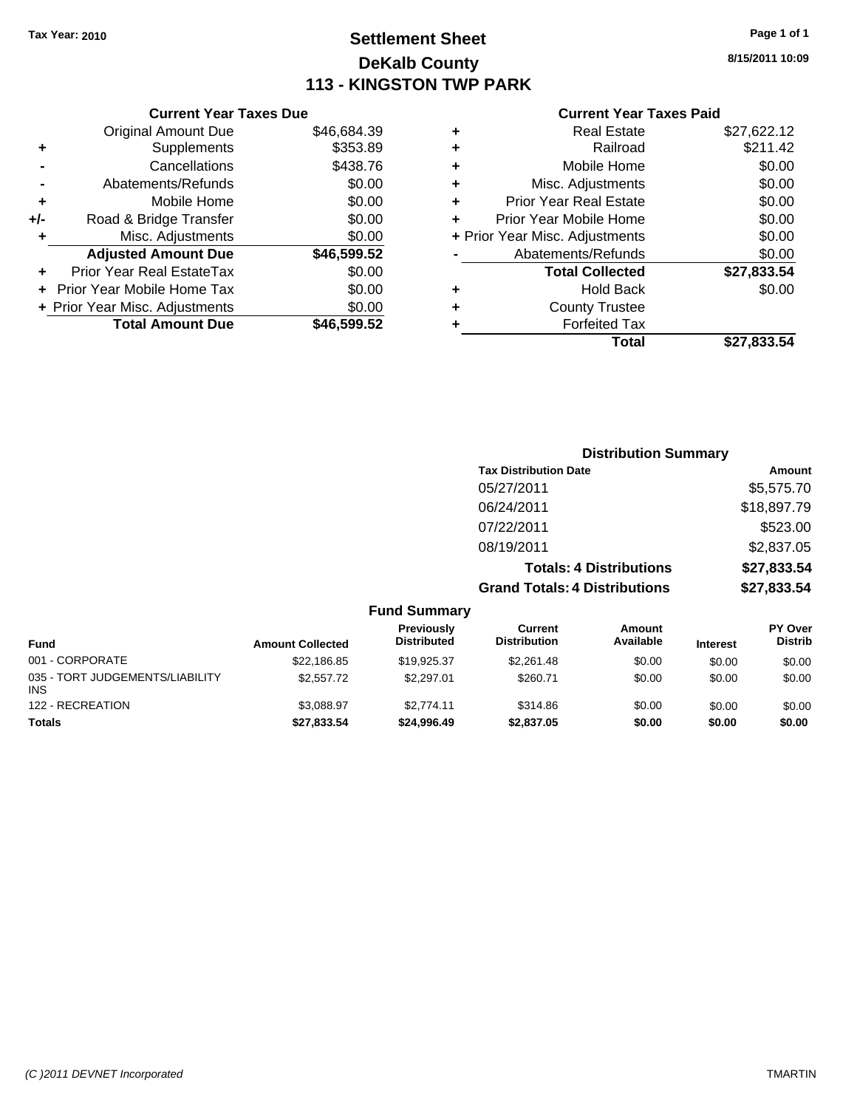## **Settlement Sheet Tax Year: 2010 Page 1 of 1 DeKalb County 113 - KINGSTON TWP PARK**

**8/15/2011 10:09**

|       | <b>Current Year Taxes Due</b>  |             |
|-------|--------------------------------|-------------|
|       | <b>Original Amount Due</b>     | \$46,684.39 |
| ٠     | Supplements                    | \$353.89    |
|       | Cancellations                  | \$438.76    |
|       | Abatements/Refunds             | \$0.00      |
| ٠     | Mobile Home                    | \$0.00      |
| $+/-$ | Road & Bridge Transfer         | \$0.00      |
| ٠     | Misc. Adjustments              | \$0.00      |
|       | <b>Adjusted Amount Due</b>     | \$46,599.52 |
|       | Prior Year Real EstateTax      | \$0.00      |
|       | Prior Year Mobile Home Tax     | \$0.00      |
|       | + Prior Year Misc. Adjustments | \$0.00      |
|       | <b>Total Amount Due</b>        | \$46,599.52 |
|       |                                |             |

| ٠ | <b>Real Estate</b>             | \$27,622.12 |
|---|--------------------------------|-------------|
| ٠ | Railroad                       | \$211.42    |
| ٠ | Mobile Home                    | \$0.00      |
| ٠ | Misc. Adjustments              | \$0.00      |
| ÷ | <b>Prior Year Real Estate</b>  | \$0.00      |
| ٠ | Prior Year Mobile Home         | \$0.00      |
|   | + Prior Year Misc. Adjustments | \$0.00      |
|   | Abatements/Refunds             | \$0.00      |
|   | <b>Total Collected</b>         | \$27,833.54 |
| ٠ | <b>Hold Back</b>               | \$0.00      |
| ٠ | <b>County Trustee</b>          |             |
| ٠ | <b>Forfeited Tax</b>           |             |
|   | Total                          | \$27,833.54 |
|   |                                |             |

|                         |                                  |                                       | <b>Distribution Summary</b>    |                 |                           |
|-------------------------|----------------------------------|---------------------------------------|--------------------------------|-----------------|---------------------------|
|                         |                                  | <b>Tax Distribution Date</b>          |                                |                 | Amount                    |
|                         |                                  | 05/27/2011                            |                                |                 | \$5,575.70                |
|                         |                                  | 06/24/2011                            |                                |                 | \$18,897.79               |
|                         |                                  | 07/22/2011                            |                                |                 | \$523.00                  |
|                         |                                  | 08/19/2011                            |                                |                 | \$2,837.05                |
|                         |                                  |                                       | <b>Totals: 4 Distributions</b> |                 | \$27,833.54               |
|                         |                                  | <b>Grand Totals: 4 Distributions</b>  |                                |                 | \$27,833.54               |
|                         | <b>Fund Summary</b>              |                                       |                                |                 |                           |
| <b>Amount Collected</b> | Previously<br><b>Distributed</b> | <b>Current</b><br><b>Distribution</b> | Amount<br>Available            | <b>Interest</b> | PY Over<br><b>Distrib</b> |

| Fund                                          | <b>Amount Collected</b> | <b>Distributed</b> | <b>Distribution</b> | Available | <b>Interest</b> | Distrib |
|-----------------------------------------------|-------------------------|--------------------|---------------------|-----------|-----------------|---------|
| 001 - CORPORATE                               | \$22,186.85             | \$19,925.37        | \$2,261.48          | \$0.00    | \$0.00          | \$0.00  |
| 035 - TORT JUDGEMENTS/LIABILITY<br><b>INS</b> | \$2,557.72              | \$2,297.01         | \$260.71            | \$0.00    | \$0.00          | \$0.00  |
| 122 - RECREATION                              | \$3.088.97              | \$2.774.11         | \$314.86            | \$0.00    | \$0.00          | \$0.00  |
| <b>Totals</b>                                 | \$27,833.54             | \$24,996,49        | \$2,837.05          | \$0.00    | \$0.00          | \$0.00  |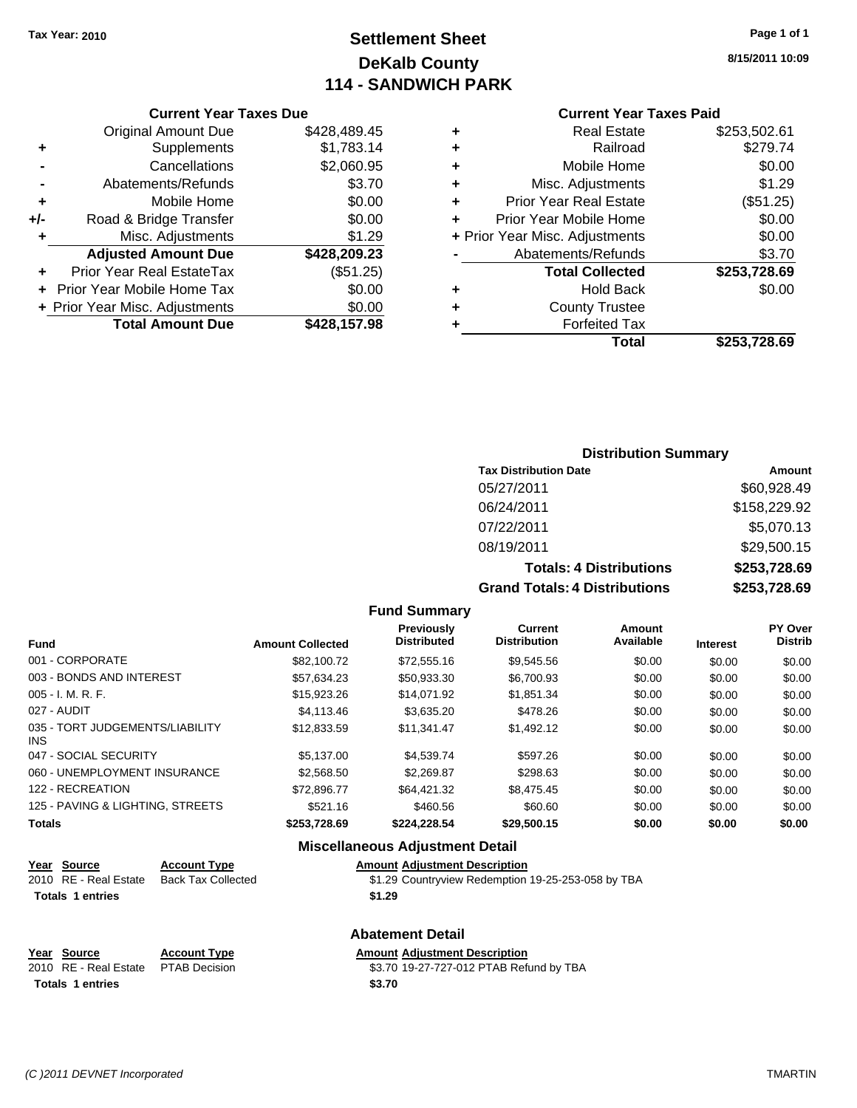## **Settlement Sheet Tax Year: 2010 Page 1 of 1 DeKalb County 114 - SANDWICH PARK**

**8/15/2011 10:09**

### **Current Year Taxes Paid**

|     | <b>Current Year Taxes Due</b>  |              |   | <b>Current Year Taxes Paid</b> |                     |
|-----|--------------------------------|--------------|---|--------------------------------|---------------------|
|     | Original Amount Due            | \$428,489.45 |   | <b>Real Estate</b>             | \$253,502.61        |
| ٠   | Supplements                    | \$1,783.14   | ٠ | Railroad                       | \$279.74            |
|     | Cancellations                  | \$2,060.95   | ٠ | Mobile Home                    | \$0.00              |
|     | Abatements/Refunds             | \$3.70       | ٠ | Misc. Adjustments              | \$1.29              |
| ٠   | Mobile Home                    | \$0.00       | ٠ | <b>Prior Year Real Estate</b>  | (\$51.25)           |
| +/- | Road & Bridge Transfer         | \$0.00       |   | Prior Year Mobile Home         | \$0.00              |
|     | Misc. Adjustments              | \$1.29       |   | + Prior Year Misc. Adjustments | \$0.00              |
|     | <b>Adjusted Amount Due</b>     | \$428,209.23 |   | Abatements/Refunds             | \$3.70              |
| ÷.  | Prior Year Real EstateTax      | (\$51.25)    |   | <b>Total Collected</b>         | \$253,728.69        |
|     | + Prior Year Mobile Home Tax   | \$0.00       | ٠ | <b>Hold Back</b>               | \$0.00              |
|     | + Prior Year Misc. Adjustments | \$0.00       | ٠ | <b>County Trustee</b>          |                     |
|     | <b>Total Amount Due</b>        | \$428,157.98 |   | <b>Forfeited Tax</b>           |                     |
|     |                                |              |   | <b>Tatal</b>                   | <u> CAES 700 CN</u> |

|    | Total                          | \$253,728.69 |
|----|--------------------------------|--------------|
| ٠  | <b>Forfeited Tax</b>           |              |
| ÷. | <b>County Trustee</b>          |              |
| ÷  | <b>Hold Back</b>               | \$0.00       |
|    | <b>Total Collected</b>         | \$253,728.69 |
|    | Abatements/Refunds             | \$3.70       |
|    | + Prior Year Misc. Adjustments | \$0.00       |
| ÷  | Prior Year Mobile Home         | \$0.00       |
| ÷  | <b>Prior Year Real Estate</b>  | (\$51.25)    |
| ÷  | Misc. Adjustments              | \$1.29       |
| ÷  | Mobile Home                    | \$0.00       |
|    |                                |              |

### **Distribution Summary**

| <b>Tax Distribution Date</b>         | Amount       |
|--------------------------------------|--------------|
| 05/27/2011                           | \$60,928.49  |
| 06/24/2011                           | \$158,229.92 |
| 07/22/2011                           | \$5,070.13   |
| 08/19/2011                           | \$29,500.15  |
| <b>Totals: 4 Distributions</b>       | \$253,728.69 |
| <b>Grand Totals: 4 Distributions</b> | \$253,728.69 |

### **Fund Summary**

| <b>Fund</b>                             | <b>Amount Collected</b> | <b>Previously</b><br><b>Distributed</b> | <b>Current</b><br><b>Distribution</b> | <b>Amount</b><br>Available | <b>Interest</b> | PY Over<br><b>Distrib</b> |
|-----------------------------------------|-------------------------|-----------------------------------------|---------------------------------------|----------------------------|-----------------|---------------------------|
| 001 - CORPORATE                         | \$82,100.72             | \$72,555.16                             | \$9.545.56                            | \$0.00                     | \$0.00          | \$0.00                    |
| 003 - BONDS AND INTEREST                | \$57.634.23             | \$50.933.30                             | \$6,700.93                            | \$0.00                     | \$0.00          | \$0.00                    |
| 005 - I. M. R. F.                       | \$15,923.26             | \$14,071.92                             | \$1,851.34                            | \$0.00                     | \$0.00          | \$0.00                    |
| 027 - AUDIT                             | \$4,113,46              | \$3,635.20                              | \$478.26                              | \$0.00                     | \$0.00          | \$0.00                    |
| 035 - TORT JUDGEMENTS/LIABILITY<br>INS. | \$12.833.59             | \$11,341.47                             | \$1,492.12                            | \$0.00                     | \$0.00          | \$0.00                    |
| 047 - SOCIAL SECURITY                   | \$5,137,00              | \$4.539.74                              | \$597.26                              | \$0.00                     | \$0.00          | \$0.00                    |
| 060 - UNEMPLOYMENT INSURANCE            | \$2,568,50              | \$2,269.87                              | \$298.63                              | \$0.00                     | \$0.00          | \$0.00                    |
| 122 - RECREATION                        | \$72,896.77             | \$64,421.32                             | \$8,475.45                            | \$0.00                     | \$0.00          | \$0.00                    |
| 125 - PAVING & LIGHTING, STREETS        | \$521.16                | \$460.56                                | \$60.60                               | \$0.00                     | \$0.00          | \$0.00                    |
| Totals                                  | \$253,728.69            | \$224,228.54                            | \$29,500.15                           | \$0.00                     | \$0.00          | \$0.00                    |

### **Miscellaneous Adjustment Detail**

| Year Source<br><b>Account Type</b> | <b>Amount Adiustment Description</b> |
|------------------------------------|--------------------------------------|
|------------------------------------|--------------------------------------|

|  | 2010 RE - Real Estate Back Tax Collected | \$1.29 Countryview Redemption 19-25-253-058 by TBA |
|--|------------------------------------------|----------------------------------------------------|
|  |                                          |                                                    |

```
Totals 1 entries $1.29
```
### **Abatement Detail Year Source Account Type Amount Adjustment Description** 2010 RE - Real Estate \$3.70 19-27-727-012 PTAB Refund by TBA PTAB Decision Totals 1 entries \$3.70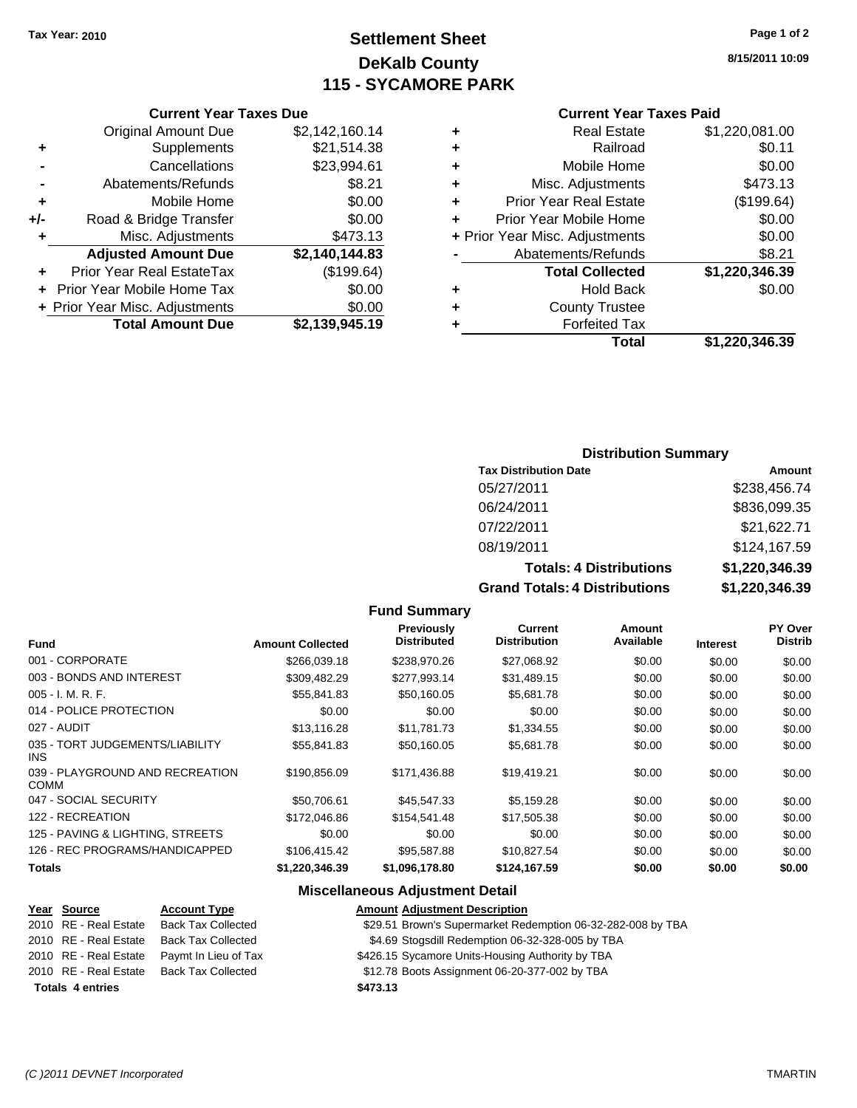## **Settlement Sheet Tax Year: 2010 Page 1 of 2 DeKalb County 115 - SYCAMORE PARK**

**8/15/2011 10:09**

### **Current Year Taxes Paid**

|   | Total                          | \$1,220,346.39 |
|---|--------------------------------|----------------|
|   | <b>Forfeited Tax</b>           |                |
| ٠ | <b>County Trustee</b>          |                |
| ٠ | <b>Hold Back</b>               | \$0.00         |
|   | <b>Total Collected</b>         | \$1,220,346.39 |
|   | Abatements/Refunds             | \$8.21         |
|   | + Prior Year Misc. Adjustments | \$0.00         |
|   | Prior Year Mobile Home         | \$0.00         |
| ٠ | <b>Prior Year Real Estate</b>  | (\$199.64)     |
| ٠ | Misc. Adjustments              | \$473.13       |
| ٠ | Mobile Home                    | \$0.00         |
| ٠ | Railroad                       | \$0.11         |
|   | <b>Real Estate</b>             | \$1,220,081.00 |

### **Current Year Taxes Due** Original Amount Due \$2,142,160.14 **+** Supplements \$21,514.38 **-** Cancellations \$23,994.61 **-** Abatements/Refunds **\$8.21 +** Mobile Home \$0.00 **+/-** Road & Bridge Transfer \$0.00 **+** Misc. Adjustments \$473.13 **Adjusted Amount Due \$2,140,144.83 +** Prior Year Real EstateTax (\$199.64) **+** Prior Year Mobile Home Tax \$0.00 **+ Prior Year Misc. Adjustments**  $$0.00$

**Total Amount Due \$2,139,945.19**

### **Distribution Summary**

| <b>Tax Distribution Date</b>   | Amount               |
|--------------------------------|----------------------|
| 05/27/2011                     | \$238,456.74         |
| 06/24/2011                     | \$836,099.35         |
| 07/22/2011                     | \$21,622.71          |
| 08/19/2011                     | \$124,167.59         |
| <b>Totals: 4 Distributions</b> | \$1,220,346.39       |
| Crond Totole: A Dietributione  | <b>¢4 ኃንስ 24ድ 20</b> |

**Grand Totals: 4 Distributions \$1,220,346.39**

### **Fund Summary**

| <b>Fund</b>                                    | <b>Amount Collected</b> | <b>Previously</b><br><b>Distributed</b> | Current<br><b>Distribution</b> | Amount<br>Available | <b>Interest</b> | <b>PY Over</b><br><b>Distrib</b> |
|------------------------------------------------|-------------------------|-----------------------------------------|--------------------------------|---------------------|-----------------|----------------------------------|
|                                                |                         |                                         |                                |                     |                 |                                  |
| 001 - CORPORATE                                | \$266.039.18            | \$238,970.26                            | \$27,068.92                    | \$0.00              | \$0.00          | \$0.00                           |
| 003 - BONDS AND INTEREST                       | \$309,482.29            | \$277,993.14                            | \$31,489.15                    | \$0.00              | \$0.00          | \$0.00                           |
| 005 - I. M. R. F.                              | \$55,841.83             | \$50,160.05                             | \$5,681.78                     | \$0.00              | \$0.00          | \$0.00                           |
| 014 - POLICE PROTECTION                        | \$0.00                  | \$0.00                                  | \$0.00                         | \$0.00              | \$0.00          | \$0.00                           |
| 027 - AUDIT                                    | \$13.116.28             | \$11.781.73                             | \$1,334.55                     | \$0.00              | \$0.00          | \$0.00                           |
| 035 - TORT JUDGEMENTS/LIABILITY<br>INS.        | \$55.841.83             | \$50.160.05                             | \$5,681.78                     | \$0.00              | \$0.00          | \$0.00                           |
| 039 - PLAYGROUND AND RECREATION<br><b>COMM</b> | \$190.856.09            | \$171,436.88                            | \$19.419.21                    | \$0.00              | \$0.00          | \$0.00                           |
| 047 - SOCIAL SECURITY                          | \$50,706.61             | \$45,547,33                             | \$5,159.28                     | \$0.00              | \$0.00          | \$0.00                           |
| 122 - RECREATION                               | \$172,046.86            | \$154,541.48                            | \$17,505.38                    | \$0.00              | \$0.00          | \$0.00                           |
| 125 - PAVING & LIGHTING, STREETS               | \$0.00                  | \$0.00                                  | \$0.00                         | \$0.00              | \$0.00          | \$0.00                           |
| 126 - REC PROGRAMS/HANDICAPPED                 | \$106,415.42            | \$95,587.88                             | \$10,827.54                    | \$0.00              | \$0.00          | \$0.00                           |
| <b>Totals</b>                                  | \$1,220,346.39          | \$1,096,178.80                          | \$124,167.59                   | \$0.00              | \$0.00          | \$0.00                           |

### **Miscellaneous Adjustment Detail**

| Year Source             | <b>Account Type</b>       | <b>Amount Adjustment Description</b>                        |
|-------------------------|---------------------------|-------------------------------------------------------------|
| 2010 RE - Real Estate   | <b>Back Tax Collected</b> | \$29.51 Brown's Supermarket Redemption 06-32-282-008 by TBA |
| 2010 RE - Real Estate   | <b>Back Tax Collected</b> | \$4.69 Stogsdill Redemption 06-32-328-005 by TBA            |
| 2010 RE - Real Estate   | Paymt In Lieu of Tax      | \$426.15 Sycamore Units-Housing Authority by TBA            |
| 2010 RE - Real Estate   | Back Tax Collected        | \$12.78 Boots Assignment 06-20-377-002 by TBA               |
| <b>Totals 4 entries</b> |                           | \$473.13                                                    |

### *(C )2011 DEVNET Incorporated* TMARTIN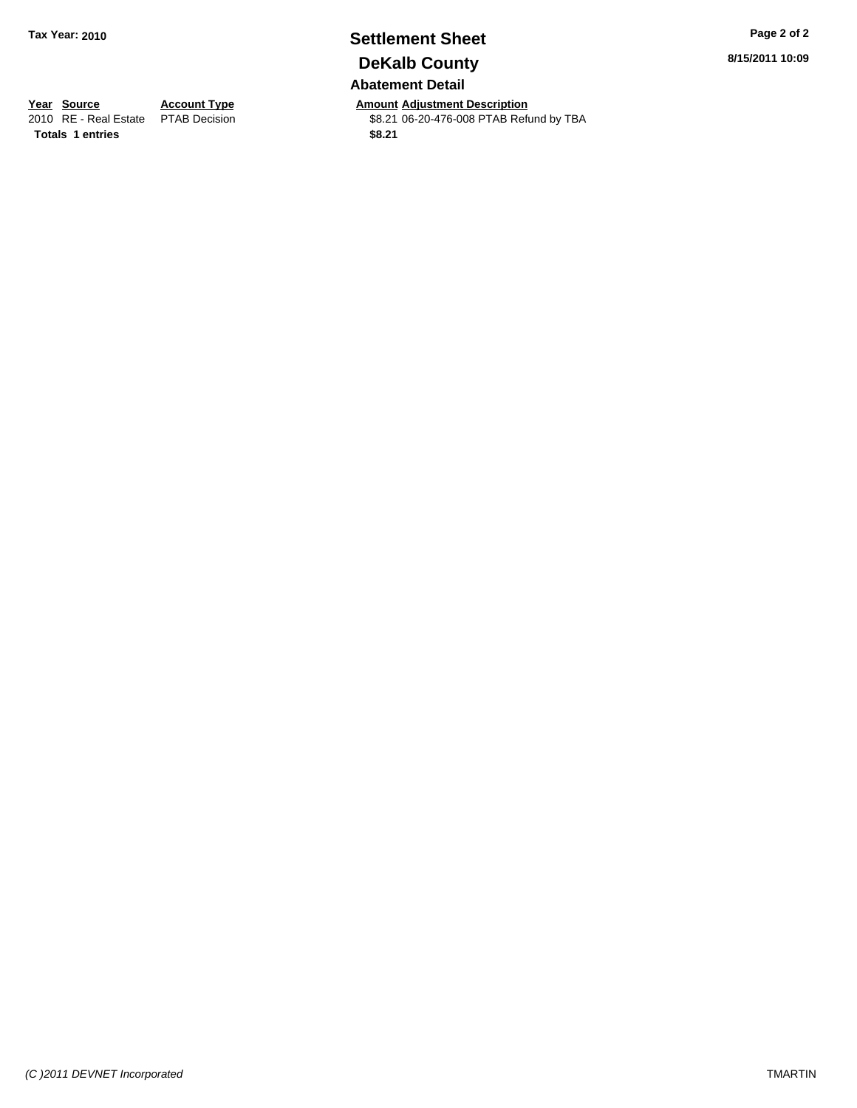## **Settlement Sheet Tax Year: 2010 Page 2 of 2 DeKalb County Abatement Detail**

**Year Source Account Type Amount Adjustment Description**<br>
2010 RE - Real Estate PTAB Decision **Amount** \$8.21 06-20-476-008 PTAB Refu \$8.21 06-20-476-008 PTAB Refund by TBA

**8/15/2011 10:09**

**Totals \$8.21 1 entries**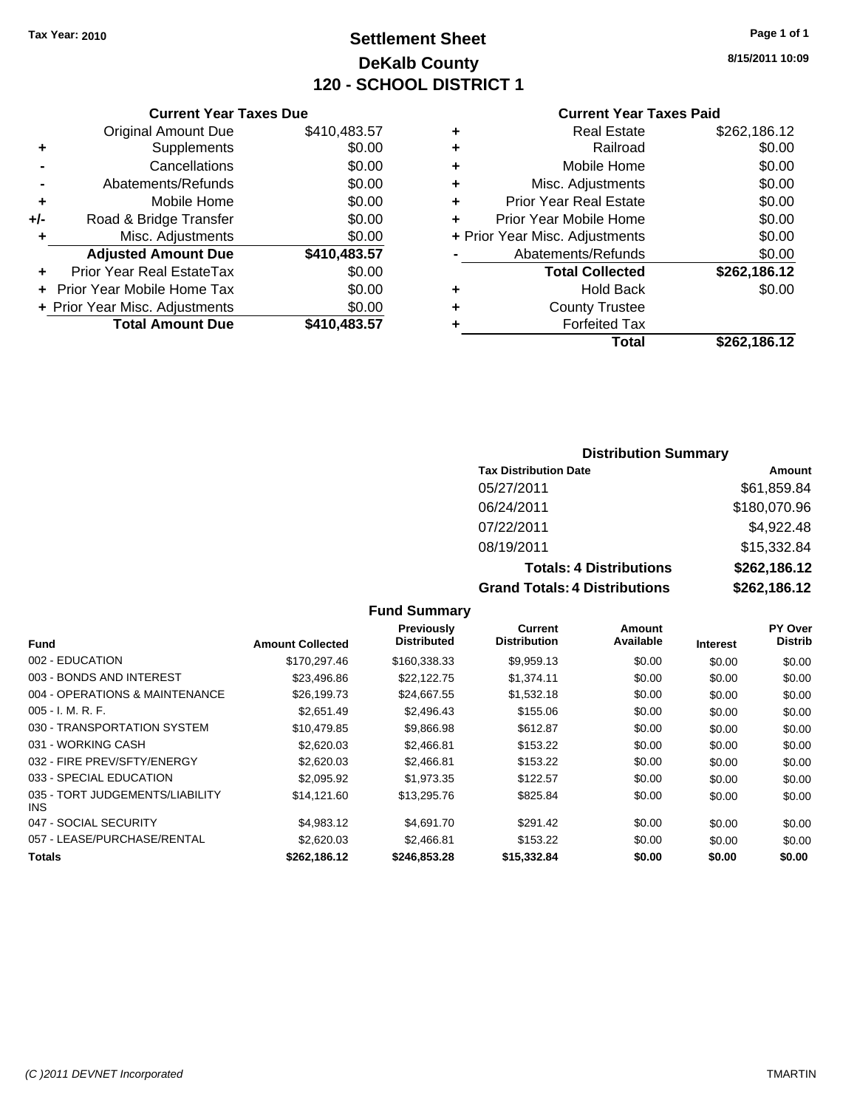## **Settlement Sheet Tax Year: 2010 Page 1 of 1 DeKalb County 120 - SCHOOL DISTRICT 1**

**8/15/2011 10:09**

### **Current Year Taxes Due**

|       | <b>Original Amount Due</b>       | \$410,483.57 |
|-------|----------------------------------|--------------|
| ٠     | Supplements                      | \$0.00       |
|       | Cancellations                    | \$0.00       |
|       | Abatements/Refunds               | \$0.00       |
| ٠     | Mobile Home                      | \$0.00       |
| $+/-$ | Road & Bridge Transfer           | \$0.00       |
| ٠     | Misc. Adjustments                | \$0.00       |
|       |                                  |              |
|       | <b>Adjusted Amount Due</b>       | \$410,483.57 |
|       | <b>Prior Year Real EstateTax</b> | \$0.00       |
|       | Prior Year Mobile Home Tax       | \$0.00       |
|       | + Prior Year Misc. Adjustments   | \$0.00       |

### **Current Year Taxes Paid**

| ٠ | <b>Real Estate</b>             | \$262,186.12 |
|---|--------------------------------|--------------|
| ٠ | Railroad                       | \$0.00       |
| ٠ | Mobile Home                    | \$0.00       |
| ٠ | Misc. Adjustments              | \$0.00       |
| ٠ | <b>Prior Year Real Estate</b>  | \$0.00       |
|   | Prior Year Mobile Home         | \$0.00       |
|   | + Prior Year Misc. Adjustments | \$0.00       |
|   | Abatements/Refunds             | \$0.00       |
|   | <b>Total Collected</b>         | \$262,186.12 |
| ٠ | <b>Hold Back</b>               | \$0.00       |
| ٠ | <b>County Trustee</b>          |              |
| ٠ | <b>Forfeited Tax</b>           |              |
|   | Total                          | \$262,186.12 |
|   |                                |              |

### **Distribution Summary**

| <b>Tax Distribution Date</b>         | <b>Amount</b> |
|--------------------------------------|---------------|
| 05/27/2011                           | \$61,859.84   |
| 06/24/2011                           | \$180,070.96  |
| 07/22/2011                           | \$4,922.48    |
| 08/19/2011                           | \$15,332.84   |
| <b>Totals: 4 Distributions</b>       | \$262,186.12  |
| <b>Grand Totals: 4 Distributions</b> | \$262,186.12  |

|                                         |                         | <b>Previously</b>  | Current             | Amount    |                 | <b>PY Over</b> |
|-----------------------------------------|-------------------------|--------------------|---------------------|-----------|-----------------|----------------|
| <b>Fund</b>                             | <b>Amount Collected</b> | <b>Distributed</b> | <b>Distribution</b> | Available | <b>Interest</b> | <b>Distrib</b> |
| 002 - EDUCATION                         | \$170,297.46            | \$160,338.33       | \$9,959.13          | \$0.00    | \$0.00          | \$0.00         |
| 003 - BONDS AND INTEREST                | \$23,496.86             | \$22,122.75        | \$1,374.11          | \$0.00    | \$0.00          | \$0.00         |
| 004 - OPERATIONS & MAINTENANCE          | \$26,199.73             | \$24,667.55        | \$1,532.18          | \$0.00    | \$0.00          | \$0.00         |
| $005 - I. M. R. F.$                     | \$2,651.49              | \$2,496.43         | \$155.06            | \$0.00    | \$0.00          | \$0.00         |
| 030 - TRANSPORTATION SYSTEM             | \$10,479.85             | \$9,866.98         | \$612.87            | \$0.00    | \$0.00          | \$0.00         |
| 031 - WORKING CASH                      | \$2,620.03              | \$2,466.81         | \$153.22            | \$0.00    | \$0.00          | \$0.00         |
| 032 - FIRE PREV/SFTY/ENERGY             | \$2,620.03              | \$2,466.81         | \$153.22            | \$0.00    | \$0.00          | \$0.00         |
| 033 - SPECIAL EDUCATION                 | \$2,095.92              | \$1,973.35         | \$122.57            | \$0.00    | \$0.00          | \$0.00         |
| 035 - TORT JUDGEMENTS/LIABILITY<br>INS. | \$14,121.60             | \$13,295.76        | \$825.84            | \$0.00    | \$0.00          | \$0.00         |
| 047 - SOCIAL SECURITY                   | \$4,983.12              | \$4,691.70         | \$291.42            | \$0.00    | \$0.00          | \$0.00         |
| 057 - LEASE/PURCHASE/RENTAL             | \$2,620.03              | \$2,466.81         | \$153.22            | \$0.00    | \$0.00          | \$0.00         |
| <b>Totals</b>                           | \$262,186.12            | \$246,853,28       | \$15,332.84         | \$0.00    | \$0.00          | \$0.00         |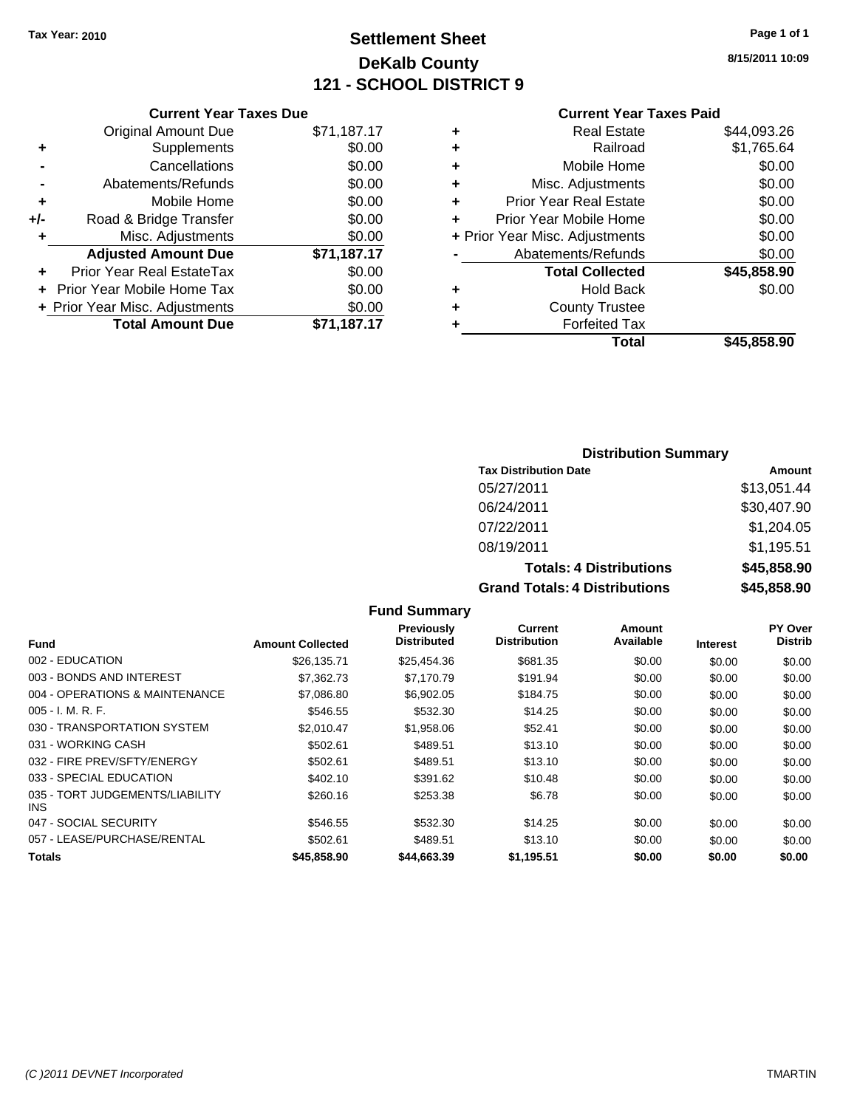## **Settlement Sheet Tax Year: 2010 Page 1 of 1 DeKalb County 121 - SCHOOL DISTRICT 9**

**8/15/2011 10:09**

### **Current Year Taxes Paid**

|     | <b>Current Year Taxes Due</b>  |             |
|-----|--------------------------------|-------------|
|     | <b>Original Amount Due</b>     | \$71,187.17 |
| ٠   | Supplements                    | \$0.00      |
|     | Cancellations                  | \$0.00      |
|     | Abatements/Refunds             | \$0.00      |
| ٠   | Mobile Home                    | \$0.00      |
| +/- | Road & Bridge Transfer         | \$0.00      |
| ٠   | Misc. Adjustments              | \$0.00      |
|     | <b>Adjusted Amount Due</b>     | \$71,187.17 |
|     | Prior Year Real EstateTax      | \$0.00      |
|     | Prior Year Mobile Home Tax     | \$0.00      |
|     | + Prior Year Misc. Adjustments | \$0.00      |
|     | <b>Total Amount Due</b>        | \$71,187.17 |
|     |                                |             |

|   | <b>Real Estate</b>             | \$44,093.26 |
|---|--------------------------------|-------------|
| ٠ | Railroad                       | \$1,765.64  |
| ٠ | Mobile Home                    | \$0.00      |
| ٠ | Misc. Adjustments              | \$0.00      |
| ÷ | Prior Year Real Estate         | \$0.00      |
| ÷ | Prior Year Mobile Home         | \$0.00      |
|   | + Prior Year Misc. Adjustments | \$0.00      |
|   | Abatements/Refunds             | \$0.00      |
|   | <b>Total Collected</b>         | \$45,858.90 |
| ٠ | <b>Hold Back</b>               | \$0.00      |
| ٠ | <b>County Trustee</b>          |             |
| ٠ | <b>Forfeited Tax</b>           |             |
|   | Total                          | \$45,858.90 |
|   |                                |             |

### **Distribution Summary**

| <b>Tax Distribution Date</b>         | Amount      |
|--------------------------------------|-------------|
| 05/27/2011                           | \$13,051.44 |
| 06/24/2011                           | \$30,407.90 |
| 07/22/2011                           | \$1,204.05  |
| 08/19/2011                           | \$1,195.51  |
| <b>Totals: 4 Distributions</b>       | \$45,858.90 |
| <b>Grand Totals: 4 Distributions</b> | \$45,858.90 |

|                                         |                         | Previously         | <b>Current</b>      | Amount    |                 | <b>PY Over</b> |
|-----------------------------------------|-------------------------|--------------------|---------------------|-----------|-----------------|----------------|
| Fund                                    | <b>Amount Collected</b> | <b>Distributed</b> | <b>Distribution</b> | Available | <b>Interest</b> | <b>Distrib</b> |
| 002 - EDUCATION                         | \$26,135.71             | \$25,454.36        | \$681.35            | \$0.00    | \$0.00          | \$0.00         |
| 003 - BONDS AND INTEREST                | \$7.362.73              | \$7.170.79         | \$191.94            | \$0.00    | \$0.00          | \$0.00         |
| 004 - OPERATIONS & MAINTENANCE          | \$7,086.80              | \$6,902.05         | \$184.75            | \$0.00    | \$0.00          | \$0.00         |
| $005 - I. M. R. F.$                     | \$546.55                | \$532.30           | \$14.25             | \$0.00    | \$0.00          | \$0.00         |
| 030 - TRANSPORTATION SYSTEM             | \$2.010.47              | \$1,958.06         | \$52.41             | \$0.00    | \$0.00          | \$0.00         |
| 031 - WORKING CASH                      | \$502.61                | \$489.51           | \$13.10             | \$0.00    | \$0.00          | \$0.00         |
| 032 - FIRE PREV/SFTY/ENERGY             | \$502.61                | \$489.51           | \$13.10             | \$0.00    | \$0.00          | \$0.00         |
| 033 - SPECIAL EDUCATION                 | \$402.10                | \$391.62           | \$10.48             | \$0.00    | \$0.00          | \$0.00         |
| 035 - TORT JUDGEMENTS/LIABILITY<br>INS. | \$260.16                | \$253.38           | \$6.78              | \$0.00    | \$0.00          | \$0.00         |
| 047 - SOCIAL SECURITY                   | \$546.55                | \$532.30           | \$14.25             | \$0.00    | \$0.00          | \$0.00         |
| 057 - LEASE/PURCHASE/RENTAL             | \$502.61                | \$489.51           | \$13.10             | \$0.00    | \$0.00          | \$0.00         |
| <b>Totals</b>                           | \$45,858.90             | \$44,663.39        | \$1,195.51          | \$0.00    | \$0.00          | \$0.00         |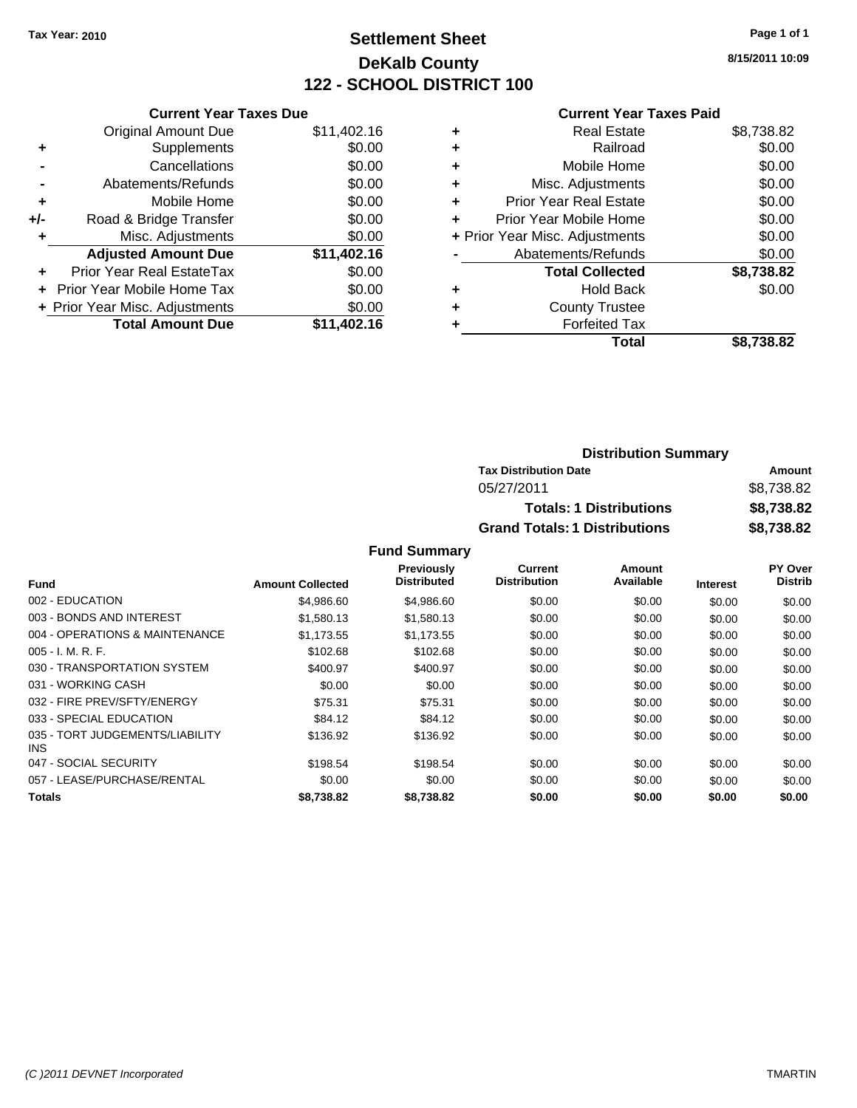## **Settlement Sheet Tax Year: 2010 Page 1 of 1 DeKalb County 122 - SCHOOL DISTRICT 100**

**8/15/2011 10:09**

### **Current Year Taxes Paid**

|     | <b>Current Year Taxes Due</b>  |             |
|-----|--------------------------------|-------------|
|     | <b>Original Amount Due</b>     | \$11,402.16 |
| ٠   | Supplements                    | \$0.00      |
|     | Cancellations                  | \$0.00      |
|     | Abatements/Refunds             | \$0.00      |
| ٠   | Mobile Home                    | \$0.00      |
| +/- | Road & Bridge Transfer         | \$0.00      |
|     | Misc. Adjustments              | \$0.00      |
|     | <b>Adjusted Amount Due</b>     | \$11,402.16 |
| ÷   | Prior Year Real EstateTax      | \$0.00      |
|     | Prior Year Mobile Home Tax     | \$0.00      |
|     | + Prior Year Misc. Adjustments | \$0.00      |
|     | <b>Total Amount Due</b>        | \$11.402.16 |
|     |                                |             |

| <b>Real Estate</b>             | \$8,738.82 |
|--------------------------------|------------|
| Railroad                       | \$0.00     |
| Mobile Home                    | \$0.00     |
| Misc. Adjustments              | \$0.00     |
| Prior Year Real Estate         | \$0.00     |
| Prior Year Mobile Home         | \$0.00     |
| + Prior Year Misc. Adjustments | \$0.00     |
| Abatements/Refunds             | \$0.00     |
| <b>Total Collected</b>         | \$8,738.82 |
| <b>Hold Back</b>               | \$0.00     |
| <b>County Trustee</b>          |            |
| <b>Forfeited Tax</b>           |            |
| Total                          | \$8,738.82 |
|                                |            |

| <b>Distribution Summary</b>          |            |
|--------------------------------------|------------|
| <b>Tax Distribution Date</b>         | Amount     |
| 05/27/2011                           | \$8,738.82 |
| <b>Totals: 1 Distributions</b>       | \$8,738.82 |
| <b>Grand Totals: 1 Distributions</b> | \$8,738.82 |

|                                         |                         | <b>Previously</b>  | Current             | Amount    |                 | <b>PY Over</b> |
|-----------------------------------------|-------------------------|--------------------|---------------------|-----------|-----------------|----------------|
| <b>Fund</b>                             | <b>Amount Collected</b> | <b>Distributed</b> | <b>Distribution</b> | Available | <b>Interest</b> | <b>Distrib</b> |
| 002 - EDUCATION                         | \$4,986.60              | \$4,986.60         | \$0.00              | \$0.00    | \$0.00          | \$0.00         |
| 003 - BONDS AND INTEREST                | \$1,580.13              | \$1,580.13         | \$0.00              | \$0.00    | \$0.00          | \$0.00         |
| 004 - OPERATIONS & MAINTENANCE          | \$1,173.55              | \$1,173.55         | \$0.00              | \$0.00    | \$0.00          | \$0.00         |
| $005 - I. M. R. F.$                     | \$102.68                | \$102.68           | \$0.00              | \$0.00    | \$0.00          | \$0.00         |
| 030 - TRANSPORTATION SYSTEM             | \$400.97                | \$400.97           | \$0.00              | \$0.00    | \$0.00          | \$0.00         |
| 031 - WORKING CASH                      | \$0.00                  | \$0.00             | \$0.00              | \$0.00    | \$0.00          | \$0.00         |
| 032 - FIRE PREV/SFTY/ENERGY             | \$75.31                 | \$75.31            | \$0.00              | \$0.00    | \$0.00          | \$0.00         |
| 033 - SPECIAL EDUCATION                 | \$84.12                 | \$84.12            | \$0.00              | \$0.00    | \$0.00          | \$0.00         |
| 035 - TORT JUDGEMENTS/LIABILITY<br>INS. | \$136.92                | \$136.92           | \$0.00              | \$0.00    | \$0.00          | \$0.00         |
| 047 - SOCIAL SECURITY                   | \$198.54                | \$198.54           | \$0.00              | \$0.00    | \$0.00          | \$0.00         |
| 057 - LEASE/PURCHASE/RENTAL             | \$0.00                  | \$0.00             | \$0.00              | \$0.00    | \$0.00          | \$0.00         |
| <b>Totals</b>                           | \$8,738.82              | \$8,738,82         | \$0.00              | \$0.00    | \$0.00          | \$0.00         |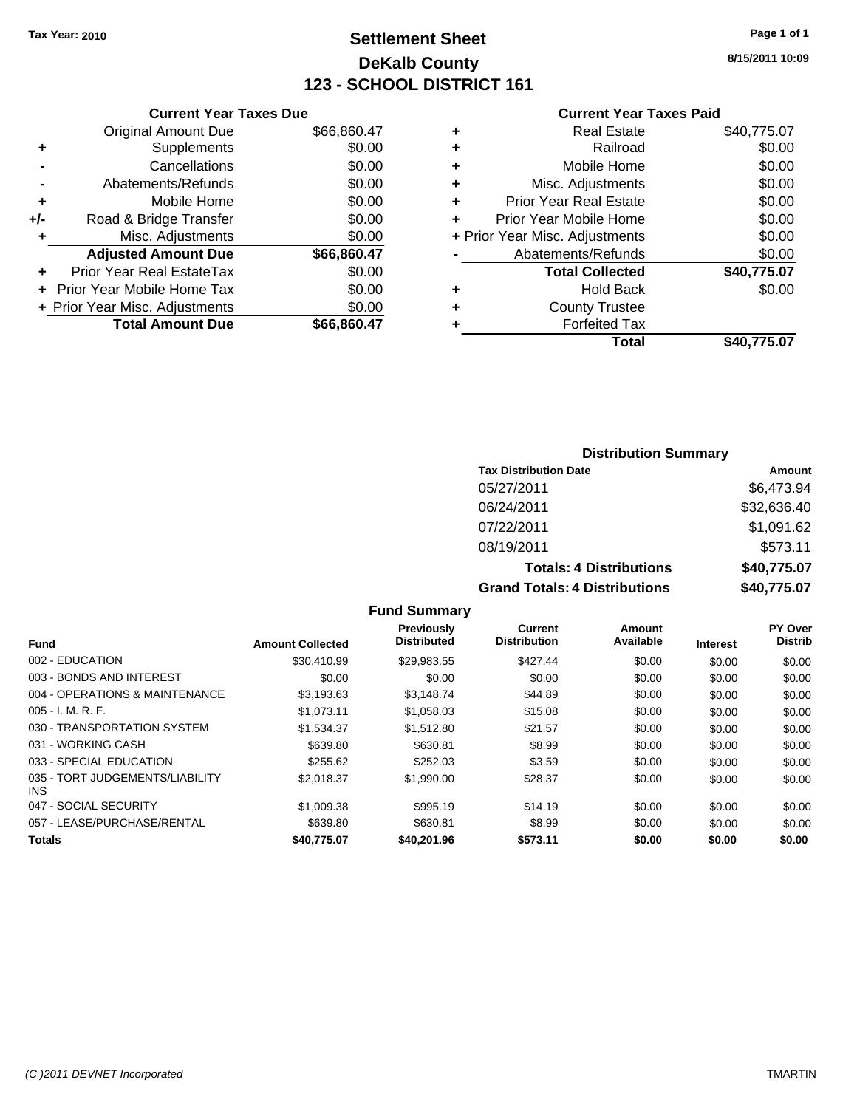## **Settlement Sheet Tax Year: 2010 Page 1 of 1 DeKalb County 123 - SCHOOL DISTRICT 161**

**8/15/2011 10:09**

### **Current Year Taxes Paid**

|     | <b>Current Year Taxes Due</b>  |             |
|-----|--------------------------------|-------------|
|     | <b>Original Amount Due</b>     | \$66,860.47 |
| ٠   | Supplements                    | \$0.00      |
|     | Cancellations                  | \$0.00      |
|     | Abatements/Refunds             | \$0.00      |
| ٠   | Mobile Home                    | \$0.00      |
| +/- | Road & Bridge Transfer         | \$0.00      |
| ٠   | Misc. Adjustments              | \$0.00      |
|     | <b>Adjusted Amount Due</b>     | \$66,860.47 |
|     | Prior Year Real EstateTax      | \$0.00      |
|     | Prior Year Mobile Home Tax     | \$0.00      |
|     | + Prior Year Misc. Adjustments | \$0.00      |
|     | <b>Total Amount Due</b>        | \$66,860.47 |
|     |                                |             |

| ٠ | <b>Real Estate</b>             | \$40,775.07 |
|---|--------------------------------|-------------|
| ٠ | Railroad                       | \$0.00      |
| ٠ | Mobile Home                    | \$0.00      |
| ٠ | Misc. Adjustments              | \$0.00      |
| ÷ | <b>Prior Year Real Estate</b>  | \$0.00      |
| ٠ | Prior Year Mobile Home         | \$0.00      |
|   | + Prior Year Misc. Adjustments | \$0.00      |
|   | Abatements/Refunds             | \$0.00      |
|   | <b>Total Collected</b>         | \$40,775.07 |
| ٠ | <b>Hold Back</b>               | \$0.00      |
| ٠ | <b>County Trustee</b>          |             |
| ٠ | <b>Forfeited Tax</b>           |             |
|   | Total                          | \$40.775.07 |
|   |                                |             |

### **Distribution Summary Tax Distribution Date Amount** 05/27/2011 \$6,473.94 06/24/2011 \$32,636.40 07/22/2011 \$1,091.62 08/19/2011 \$573.11

## **Totals: 4 Distributions \$40,775.07**

**Grand Totals: 4 Distributions \$40,775.07**

| <b>Fund</b>                                   | <b>Amount Collected</b> | Previously<br><b>Distributed</b> | Current<br><b>Distribution</b> | Amount<br>Available | <b>Interest</b> | PY Over<br><b>Distrib</b> |
|-----------------------------------------------|-------------------------|----------------------------------|--------------------------------|---------------------|-----------------|---------------------------|
| 002 - EDUCATION                               | \$30,410.99             | \$29.983.55                      | \$427.44                       | \$0.00              | \$0.00          | \$0.00                    |
| 003 - BONDS AND INTEREST                      | \$0.00                  | \$0.00                           | \$0.00                         | \$0.00              | \$0.00          | \$0.00                    |
| 004 - OPERATIONS & MAINTENANCE                | \$3.193.63              | \$3.148.74                       | \$44.89                        | \$0.00              | \$0.00          | \$0.00                    |
| $005 - I. M. R. F.$                           | \$1,073.11              | \$1,058.03                       | \$15.08                        | \$0.00              | \$0.00          | \$0.00                    |
| 030 - TRANSPORTATION SYSTEM                   | \$1.534.37              | \$1.512.80                       | \$21.57                        | \$0.00              | \$0.00          | \$0.00                    |
| 031 - WORKING CASH                            | \$639.80                | \$630.81                         | \$8.99                         | \$0.00              | \$0.00          | \$0.00                    |
| 033 - SPECIAL EDUCATION                       | \$255.62                | \$252.03                         | \$3.59                         | \$0.00              | \$0.00          | \$0.00                    |
| 035 - TORT JUDGEMENTS/LIABILITY<br><b>INS</b> | \$2.018.37              | \$1,990.00                       | \$28.37                        | \$0.00              | \$0.00          | \$0.00                    |
| 047 - SOCIAL SECURITY                         | \$1,009.38              | \$995.19                         | \$14.19                        | \$0.00              | \$0.00          | \$0.00                    |
| 057 - LEASE/PURCHASE/RENTAL                   | \$639.80                | \$630.81                         | \$8.99                         | \$0.00              | \$0.00          | \$0.00                    |
| <b>Totals</b>                                 | \$40,775.07             | \$40,201.96                      | \$573.11                       | \$0.00              | \$0.00          | \$0.00                    |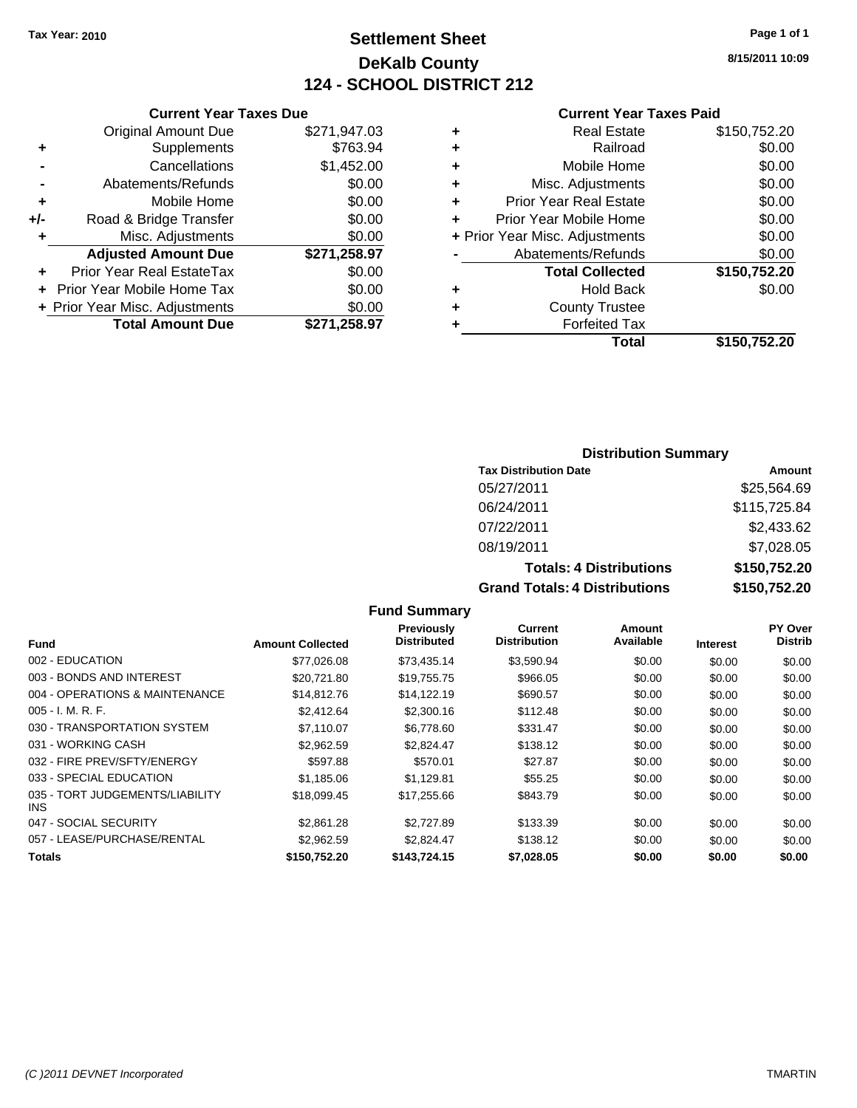## **Settlement Sheet Tax Year: 2010 Page 1 of 1 DeKalb County 124 - SCHOOL DISTRICT 212**

**8/15/2011 10:09**

#### **Current Year Taxes Paid**

| <b>Current Yea</b>            |   |              | <b>Current Year Taxes Due</b>  |       |
|-------------------------------|---|--------------|--------------------------------|-------|
| <b>Real Estat</b>             | ÷ | \$271,947.03 | Original Amount Due            |       |
| Railroa                       | ÷ | \$763.94     | <b>Supplements</b>             |       |
| Mobile Hom                    | ÷ | \$1,452.00   | Cancellations                  |       |
| Misc. Adjustment              | ÷ | \$0.00       | Abatements/Refunds             |       |
| <b>Prior Year Real Estat</b>  | ÷ | \$0.00       | Mobile Home                    | ٠     |
| Prior Year Mobile Hom         | ÷ | \$0.00       | Road & Bridge Transfer         | $+/-$ |
| + Prior Year Misc. Adjustment |   | \$0.00       | Misc. Adjustments              | ٠     |
| Abatements/Refund             |   | \$271,258.97 | <b>Adjusted Amount Due</b>     |       |
| <b>Total Collecte</b>         |   | \$0.00       | Prior Year Real EstateTax      |       |
| <b>Hold Bac</b>               | ٠ | \$0.00       | + Prior Year Mobile Home Tax   |       |
| <b>County Truste</b>          | ÷ | \$0.00       | + Prior Year Misc. Adjustments |       |
| <b>Forfeited Ta</b>           | ٠ | \$271,258.97 | <b>Total Amount Due</b>        |       |
| $T_{\alpha\beta}$             |   |              |                                |       |

|   | Total                          | \$150,752.20 |
|---|--------------------------------|--------------|
|   | <b>Forfeited Tax</b>           |              |
|   | <b>County Trustee</b>          |              |
|   | <b>Hold Back</b>               | \$0.00       |
|   | <b>Total Collected</b>         | \$150,752.20 |
|   | Abatements/Refunds             | \$0.00       |
|   | + Prior Year Misc. Adjustments | \$0.00       |
| ÷ | Prior Year Mobile Home         | \$0.00       |
| ٠ | <b>Prior Year Real Estate</b>  | \$0.00       |
|   | Misc. Adjustments              | \$0.00       |
|   | Mobile Home                    | \$0.00       |
|   | Railroad                       | \$0.00       |
|   | <b>Real Estate</b>             | \$150,752.20 |
|   |                                |              |

#### **Distribution Summary**

| <b>Tax Distribution Date</b>         | Amount       |
|--------------------------------------|--------------|
| 05/27/2011                           | \$25,564.69  |
| 06/24/2011                           | \$115,725.84 |
| 07/22/2011                           | \$2,433.62   |
| 08/19/2011                           | \$7,028.05   |
| <b>Totals: 4 Distributions</b>       | \$150,752.20 |
| <b>Grand Totals: 4 Distributions</b> | \$150,752.20 |

#### **Fund Summary Current Previously**

| <b>Fund</b>                                   | <b>Amount Collected</b> | Previously<br><b>Distributed</b> | <b>Current</b><br><b>Distribution</b> | Amount<br>Available | <b>Interest</b> | <b>PY Over</b><br><b>Distrib</b> |
|-----------------------------------------------|-------------------------|----------------------------------|---------------------------------------|---------------------|-----------------|----------------------------------|
|                                               |                         |                                  |                                       |                     |                 |                                  |
| 002 - EDUCATION                               | \$77,026.08             | \$73.435.14                      | \$3,590.94                            | \$0.00              | \$0.00          | \$0.00                           |
| 003 - BONDS AND INTEREST                      | \$20,721.80             | \$19,755.75                      | \$966.05                              | \$0.00              | \$0.00          | \$0.00                           |
| 004 - OPERATIONS & MAINTENANCE                | \$14,812.76             | \$14,122.19                      | \$690.57                              | \$0.00              | \$0.00          | \$0.00                           |
| $005 - I. M. R. F.$                           | \$2,412.64              | \$2,300.16                       | \$112.48                              | \$0.00              | \$0.00          | \$0.00                           |
| 030 - TRANSPORTATION SYSTEM                   | \$7,110.07              | \$6,778.60                       | \$331.47                              | \$0.00              | \$0.00          | \$0.00                           |
| 031 - WORKING CASH                            | \$2.962.59              | \$2.824.47                       | \$138.12                              | \$0.00              | \$0.00          | \$0.00                           |
| 032 - FIRE PREV/SFTY/ENERGY                   | \$597.88                | \$570.01                         | \$27.87                               | \$0.00              | \$0.00          | \$0.00                           |
| 033 - SPECIAL EDUCATION                       | \$1,185.06              | \$1,129.81                       | \$55.25                               | \$0.00              | \$0.00          | \$0.00                           |
| 035 - TORT JUDGEMENTS/LIABILITY<br><b>INS</b> | \$18,099.45             | \$17,255.66                      | \$843.79                              | \$0.00              | \$0.00          | \$0.00                           |
| 047 - SOCIAL SECURITY                         | \$2,861.28              | \$2.727.89                       | \$133.39                              | \$0.00              | \$0.00          | \$0.00                           |
| 057 - LEASE/PURCHASE/RENTAL                   | \$2.962.59              | \$2.824.47                       | \$138.12                              | \$0.00              | \$0.00          | \$0.00                           |
| Totals                                        | \$150,752.20            | \$143,724.15                     | \$7,028.05                            | \$0.00              | \$0.00          | \$0.00                           |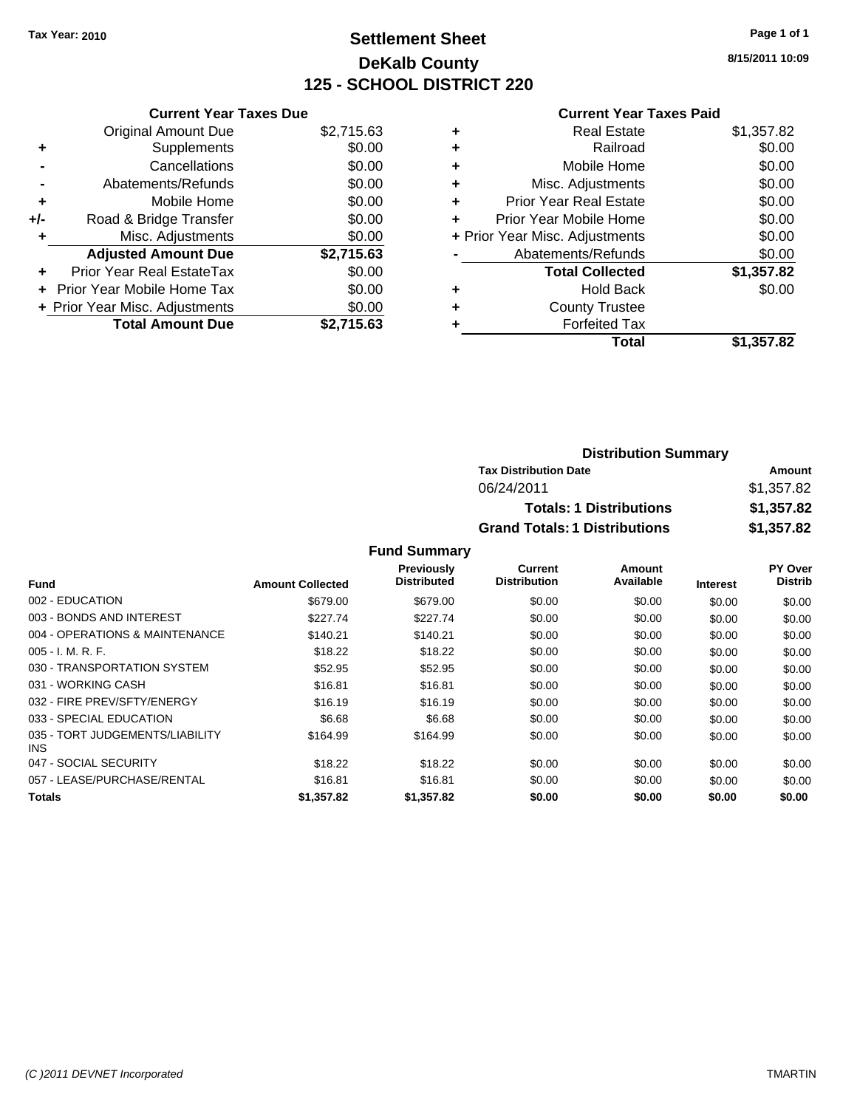## **Settlement Sheet Tax Year: 2010 Page 1 of 1 DeKalb County 125 - SCHOOL DISTRICT 220**

**8/15/2011 10:09**

|     | <b>Current Year Taxes Due</b>     |            |  |  |  |  |  |
|-----|-----------------------------------|------------|--|--|--|--|--|
|     | <b>Original Amount Due</b>        | \$2,715.63 |  |  |  |  |  |
| ٠   | Supplements                       | \$0.00     |  |  |  |  |  |
|     | Cancellations                     | \$0.00     |  |  |  |  |  |
|     | Abatements/Refunds                | \$0.00     |  |  |  |  |  |
| ٠   | Mobile Home                       | \$0.00     |  |  |  |  |  |
| +/- | Road & Bridge Transfer            | \$0.00     |  |  |  |  |  |
|     | Misc. Adjustments                 | \$0.00     |  |  |  |  |  |
|     | <b>Adjusted Amount Due</b>        | \$2,715.63 |  |  |  |  |  |
|     | Prior Year Real EstateTax         | \$0.00     |  |  |  |  |  |
|     | <b>Prior Year Mobile Home Tax</b> | \$0.00     |  |  |  |  |  |
|     | + Prior Year Misc. Adjustments    | \$0.00     |  |  |  |  |  |
|     | <b>Total Amount Due</b>           | \$2.715.63 |  |  |  |  |  |
|     |                                   |            |  |  |  |  |  |

#### **Current Year Taxes Paid**

| \$0.00<br>Railroad<br>÷<br>\$0.00<br>Mobile Home<br>÷<br>\$0.00<br>Misc. Adjustments<br>٠<br>\$0.00<br><b>Prior Year Real Estate</b><br>٠<br>\$0.00<br>Prior Year Mobile Home<br>\$0.00<br>+ Prior Year Misc. Adjustments<br>\$0.00<br>Abatements/Refunds<br>\$1,357.82<br><b>Total Collected</b><br>\$0.00<br><b>Hold Back</b><br>٠<br><b>County Trustee</b><br>٠<br><b>Forfeited Tax</b> | <b>Real Estate</b> | \$1,357.82 |
|--------------------------------------------------------------------------------------------------------------------------------------------------------------------------------------------------------------------------------------------------------------------------------------------------------------------------------------------------------------------------------------------|--------------------|------------|
|                                                                                                                                                                                                                                                                                                                                                                                            |                    |            |
|                                                                                                                                                                                                                                                                                                                                                                                            |                    |            |
|                                                                                                                                                                                                                                                                                                                                                                                            |                    |            |
|                                                                                                                                                                                                                                                                                                                                                                                            |                    |            |
|                                                                                                                                                                                                                                                                                                                                                                                            |                    |            |
|                                                                                                                                                                                                                                                                                                                                                                                            |                    |            |
|                                                                                                                                                                                                                                                                                                                                                                                            |                    |            |
|                                                                                                                                                                                                                                                                                                                                                                                            |                    |            |
|                                                                                                                                                                                                                                                                                                                                                                                            |                    |            |
|                                                                                                                                                                                                                                                                                                                                                                                            |                    |            |
|                                                                                                                                                                                                                                                                                                                                                                                            |                    |            |
| Total<br>\$1,357.82                                                                                                                                                                                                                                                                                                                                                                        |                    |            |
|                                                                                                                                                                                                                                                                                                                                                                                            |                    |            |

| <b>Distribution Summary</b>          |            |
|--------------------------------------|------------|
| <b>Tax Distribution Date</b>         | Amount     |
| 06/24/2011                           | \$1,357.82 |
| <b>Totals: 1 Distributions</b>       | \$1,357.82 |
| <b>Grand Totals: 1 Distributions</b> | \$1,357.82 |

|                                         |                         | <b>Previously</b>  | Current             | Amount    |                 | <b>PY Over</b> |
|-----------------------------------------|-------------------------|--------------------|---------------------|-----------|-----------------|----------------|
| <b>Fund</b>                             | <b>Amount Collected</b> | <b>Distributed</b> | <b>Distribution</b> | Available | <b>Interest</b> | <b>Distrib</b> |
| 002 - EDUCATION                         | \$679.00                | \$679.00           | \$0.00              | \$0.00    | \$0.00          | \$0.00         |
| 003 - BONDS AND INTEREST                | \$227.74                | \$227.74           | \$0.00              | \$0.00    | \$0.00          | \$0.00         |
| 004 - OPERATIONS & MAINTENANCE          | \$140.21                | \$140.21           | \$0.00              | \$0.00    | \$0.00          | \$0.00         |
| $005 - I. M. R. F.$                     | \$18.22                 | \$18.22            | \$0.00              | \$0.00    | \$0.00          | \$0.00         |
| 030 - TRANSPORTATION SYSTEM             | \$52.95                 | \$52.95            | \$0.00              | \$0.00    | \$0.00          | \$0.00         |
| 031 - WORKING CASH                      | \$16.81                 | \$16.81            | \$0.00              | \$0.00    | \$0.00          | \$0.00         |
| 032 - FIRE PREV/SFTY/ENERGY             | \$16.19                 | \$16.19            | \$0.00              | \$0.00    | \$0.00          | \$0.00         |
| 033 - SPECIAL EDUCATION                 | \$6.68                  | \$6.68             | \$0.00              | \$0.00    | \$0.00          | \$0.00         |
| 035 - TORT JUDGEMENTS/LIABILITY<br>INS. | \$164.99                | \$164.99           | \$0.00              | \$0.00    | \$0.00          | \$0.00         |
| 047 - SOCIAL SECURITY                   | \$18.22                 | \$18.22            | \$0.00              | \$0.00    | \$0.00          | \$0.00         |
| 057 - LEASE/PURCHASE/RENTAL             | \$16.81                 | \$16.81            | \$0.00              | \$0.00    | \$0.00          | \$0.00         |
| <b>Totals</b>                           | \$1,357.82              | \$1,357.82         | \$0.00              | \$0.00    | \$0.00          | \$0.00         |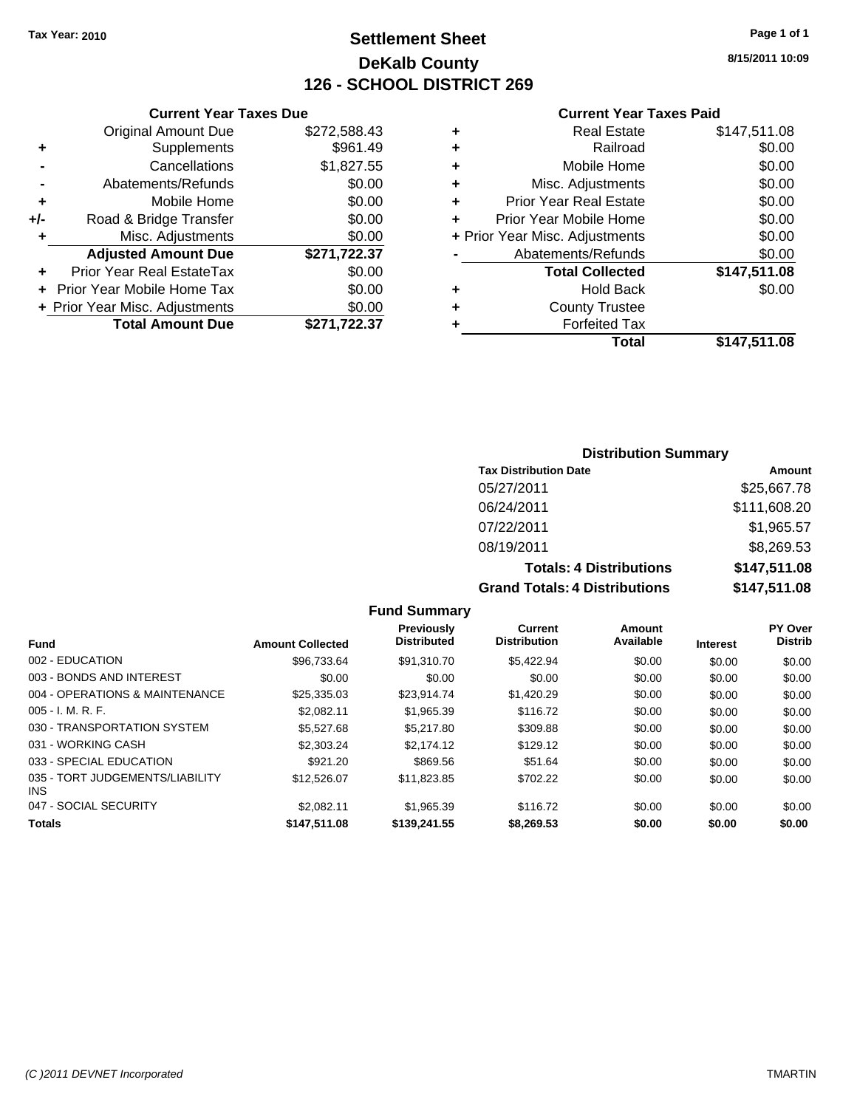## **Settlement Sheet Tax Year: 2010 Page 1 of 1 DeKalb County 126 - SCHOOL DISTRICT 269**

**8/15/2011 10:09**

#### **Current Year Taxes Paid**

| <b>Current</b>            |   |              | <b>Current Year Taxes Due</b>  |       |
|---------------------------|---|--------------|--------------------------------|-------|
| Real E                    | ٠ | \$272,588.43 | <b>Original Amount Due</b>     |       |
| Ra                        | ٠ | \$961.49     | Supplements                    | ٠     |
| Mobile                    | ٠ | \$1,827.55   | Cancellations                  |       |
| Misc. Adjusti             | ٠ | \$0.00       | Abatements/Refunds             |       |
| <b>Prior Year Real E</b>  | ٠ | \$0.00       | Mobile Home                    | ٠     |
| Prior Year Mobile         |   | \$0.00       | Road & Bridge Transfer         | $+/-$ |
| + Prior Year Misc. Adjust |   | \$0.00       | Misc. Adjustments              | ٠     |
| Abatements/Re             |   | \$271,722.37 | <b>Adjusted Amount Due</b>     |       |
| <b>Total Coll</b>         |   | \$0.00       | Prior Year Real EstateTax      |       |
| Hold                      | ٠ | \$0.00       | + Prior Year Mobile Home Tax   |       |
| County Tr                 | ٠ | \$0.00       | + Prior Year Misc. Adjustments |       |
| Forfeite                  |   | \$271,722.37 | <b>Total Amount Due</b>        |       |
|                           |   |              |                                |       |

|   | Total                          | \$147,511.08 |
|---|--------------------------------|--------------|
|   | <b>Forfeited Tax</b>           |              |
|   | <b>County Trustee</b>          |              |
|   | Hold Back                      | \$0.00       |
|   | <b>Total Collected</b>         | \$147,511.08 |
|   | Abatements/Refunds             | \$0.00       |
|   | + Prior Year Misc. Adjustments | \$0.00       |
|   | Prior Year Mobile Home         | \$0.00       |
|   | <b>Prior Year Real Estate</b>  | \$0.00       |
|   | Misc. Adjustments              | \$0.00       |
|   | Mobile Home                    | \$0.00       |
|   | Railroad                       | \$0.00       |
| ٠ | <b>Real Estate</b>             | \$147,511.08 |

#### **Distribution Summary**

| <b>Tax Distribution Date</b>         | Amount       |
|--------------------------------------|--------------|
| 05/27/2011                           | \$25,667.78  |
| 06/24/2011                           | \$111,608.20 |
| 07/22/2011                           | \$1,965.57   |
| 08/19/2011                           | \$8,269.53   |
| <b>Totals: 4 Distributions</b>       | \$147,511.08 |
| <b>Grand Totals: 4 Distributions</b> | \$147,511.08 |

|                                         |                         | <b>Previously</b><br><b>Distributed</b> | <b>Current</b><br><b>Distribution</b> | Amount<br>Available |                 | PY Over<br><b>Distrib</b> |
|-----------------------------------------|-------------------------|-----------------------------------------|---------------------------------------|---------------------|-----------------|---------------------------|
| <b>Fund</b>                             | <b>Amount Collected</b> |                                         |                                       |                     | <b>Interest</b> |                           |
| 002 - EDUCATION                         | \$96.733.64             | \$91,310.70                             | \$5.422.94                            | \$0.00              | \$0.00          | \$0.00                    |
| 003 - BONDS AND INTEREST                | \$0.00                  | \$0.00                                  | \$0.00                                | \$0.00              | \$0.00          | \$0.00                    |
| 004 - OPERATIONS & MAINTENANCE          | \$25,335.03             | \$23.914.74                             | \$1,420.29                            | \$0.00              | \$0.00          | \$0.00                    |
| $005 - I. M. R. F.$                     | \$2.082.11              | \$1,965.39                              | \$116.72                              | \$0.00              | \$0.00          | \$0.00                    |
| 030 - TRANSPORTATION SYSTEM             | \$5,527.68              | \$5,217.80                              | \$309.88                              | \$0.00              | \$0.00          | \$0.00                    |
| 031 - WORKING CASH                      | \$2,303.24              | \$2.174.12                              | \$129.12                              | \$0.00              | \$0.00          | \$0.00                    |
| 033 - SPECIAL EDUCATION                 | \$921.20                | \$869.56                                | \$51.64                               | \$0.00              | \$0.00          | \$0.00                    |
| 035 - TORT JUDGEMENTS/LIABILITY<br>INS. | \$12,526.07             | \$11.823.85                             | \$702.22                              | \$0.00              | \$0.00          | \$0.00                    |
| 047 - SOCIAL SECURITY                   | \$2.082.11              | \$1,965.39                              | \$116.72                              | \$0.00              | \$0.00          | \$0.00                    |
| <b>Totals</b>                           | \$147.511.08            | \$139,241.55                            | \$8,269.53                            | \$0.00              | \$0.00          | \$0.00                    |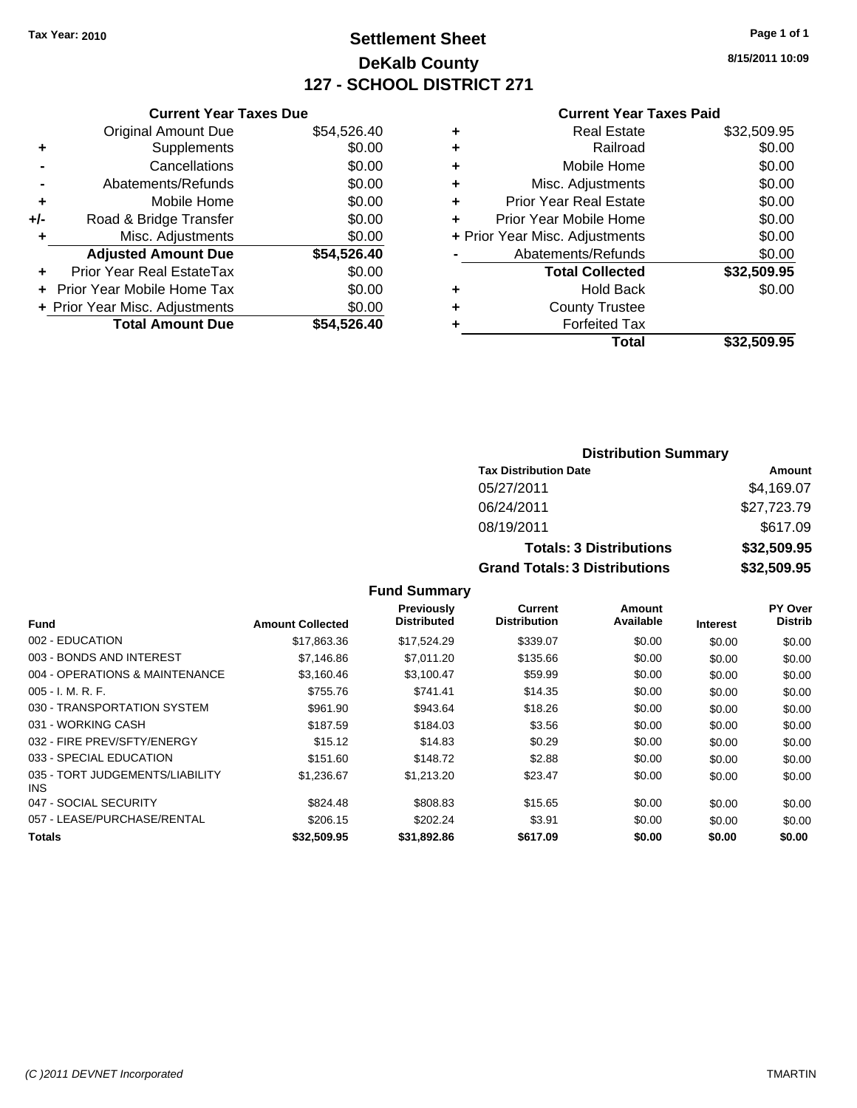## **Settlement Sheet Tax Year: 2010 Page 1 of 1 DeKalb County 127 - SCHOOL DISTRICT 271**

**8/15/2011 10:09**

#### **Current Year Taxes Paid**

|     | <b>Current Year Taxes Due</b>  |             |
|-----|--------------------------------|-------------|
|     | <b>Original Amount Due</b>     | \$54,526.40 |
| ٠   | Supplements                    | \$0.00      |
|     | Cancellations                  | \$0.00      |
|     | Abatements/Refunds             | \$0.00      |
| ٠   | Mobile Home                    | \$0.00      |
| +/- | Road & Bridge Transfer         | \$0.00      |
| ٠   | Misc. Adjustments              | \$0.00      |
|     | <b>Adjusted Amount Due</b>     | \$54,526.40 |
| ٠   | Prior Year Real EstateTax      | \$0.00      |
|     | Prior Year Mobile Home Tax     | \$0.00      |
|     | + Prior Year Misc. Adjustments | \$0.00      |
|     | <b>Total Amount Due</b>        | \$54.526.40 |
|     |                                |             |

| \$32,509.95<br><b>Real Estate</b>        |
|------------------------------------------|
| \$0.00<br>Railroad                       |
| \$0.00<br>Mobile Home                    |
| \$0.00<br>Misc. Adjustments              |
| \$0.00<br><b>Prior Year Real Estate</b>  |
| \$0.00<br>Prior Year Mobile Home         |
| \$0.00<br>+ Prior Year Misc. Adjustments |
| \$0.00<br>Abatements/Refunds             |
| \$32,509.95<br><b>Total Collected</b>    |
| \$0.00<br><b>Hold Back</b>               |
| <b>County Trustee</b>                    |
| <b>Forfeited Tax</b>                     |
| \$32,509.95<br>Total                     |
|                                          |

### **Distribution Summary Tax Distribution Date Amount** 05/27/2011 \$4,169.07 06/24/2011 \$27,723.79 08/19/2011 \$617.09 **Totals: 3 Distributions \$32,509.95 Grand Totals: 3 Distributions \$32,509.95**

| <b>Fund</b>                             | <b>Amount Collected</b> | Previously<br><b>Distributed</b> | <b>Current</b><br><b>Distribution</b> | Amount<br>Available | <b>Interest</b> | PY Over<br><b>Distrib</b> |
|-----------------------------------------|-------------------------|----------------------------------|---------------------------------------|---------------------|-----------------|---------------------------|
| 002 - EDUCATION                         | \$17,863.36             | \$17,524.29                      | \$339.07                              | \$0.00              | \$0.00          | \$0.00                    |
| 003 - BONDS AND INTEREST                | \$7,146.86              | \$7,011.20                       | \$135.66                              | \$0.00              | \$0.00          | \$0.00                    |
| 004 - OPERATIONS & MAINTENANCE          | \$3.160.46              | \$3.100.47                       | \$59.99                               | \$0.00              | \$0.00          | \$0.00                    |
| $005 - I. M. R. F.$                     | \$755.76                | \$741.41                         | \$14.35                               | \$0.00              | \$0.00          | \$0.00                    |
| 030 - TRANSPORTATION SYSTEM             | \$961.90                | \$943.64                         | \$18.26                               | \$0.00              | \$0.00          | \$0.00                    |
| 031 - WORKING CASH                      | \$187.59                | \$184.03                         | \$3.56                                | \$0.00              | \$0.00          | \$0.00                    |
| 032 - FIRE PREV/SFTY/ENERGY             | \$15.12                 | \$14.83                          | \$0.29                                | \$0.00              | \$0.00          | \$0.00                    |
| 033 - SPECIAL EDUCATION                 | \$151.60                | \$148.72                         | \$2.88                                | \$0.00              | \$0.00          | \$0.00                    |
| 035 - TORT JUDGEMENTS/LIABILITY<br>INS. | \$1.236.67              | \$1,213.20                       | \$23.47                               | \$0.00              | \$0.00          | \$0.00                    |
| 047 - SOCIAL SECURITY                   | \$824.48                | \$808.83                         | \$15.65                               | \$0.00              | \$0.00          | \$0.00                    |
| 057 - LEASE/PURCHASE/RENTAL             | \$206.15                | \$202.24                         | \$3.91                                | \$0.00              | \$0.00          | \$0.00                    |
| <b>Totals</b>                           | \$32.509.95             | \$31,892.86                      | \$617.09                              | \$0.00              | \$0.00          | \$0.00                    |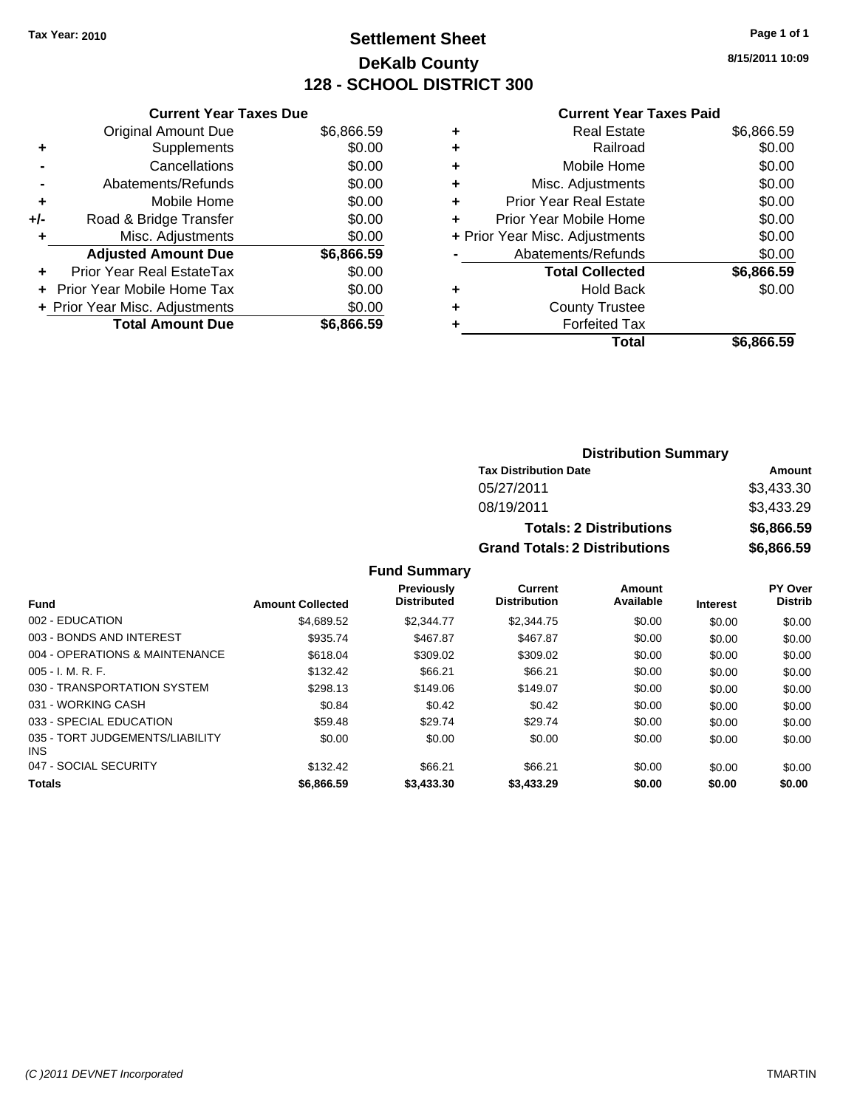## **Settlement Sheet Tax Year: 2010 Page 1 of 1 DeKalb County 128 - SCHOOL DISTRICT 300**

**8/15/2011 10:09**

#### **Current Year Taxes Paid**

|     | <b>Current Year Taxes Due</b>     |            |
|-----|-----------------------------------|------------|
|     | <b>Original Amount Due</b>        | \$6,866.59 |
| ٠   | Supplements                       | \$0.00     |
|     | Cancellations                     | \$0.00     |
|     | Abatements/Refunds                | \$0.00     |
| ٠   | Mobile Home                       | \$0.00     |
| +/- | Road & Bridge Transfer            | \$0.00     |
|     | Misc. Adjustments                 | \$0.00     |
|     | <b>Adjusted Amount Due</b>        | \$6,866.59 |
| ÷   | Prior Year Real EstateTax         | \$0.00     |
|     | <b>Prior Year Mobile Home Tax</b> | \$0.00     |
|     | + Prior Year Misc. Adjustments    | \$0.00     |
|     | <b>Total Amount Due</b>           | \$6,866.59 |
|     |                                   |            |

|   | <b>Real Estate</b>             | \$6,866.59 |
|---|--------------------------------|------------|
| ٠ | Railroad                       | \$0.00     |
| ٠ | Mobile Home                    | \$0.00     |
| ٠ | Misc. Adjustments              | \$0.00     |
| ٠ | <b>Prior Year Real Estate</b>  | \$0.00     |
| ÷ | Prior Year Mobile Home         | \$0.00     |
|   | + Prior Year Misc. Adjustments | \$0.00     |
|   | Abatements/Refunds             | \$0.00     |
|   | <b>Total Collected</b>         | \$6,866.59 |
| ٠ | Hold Back                      | \$0.00     |
| ٠ | <b>County Trustee</b>          |            |
| ٠ | <b>Forfeited Tax</b>           |            |
|   | Total                          | \$6,866.59 |
|   |                                |            |

#### **Distribution Summary Tax Distribution Date Amount** 05/27/2011 \$3,433.30 08/19/2011 \$3,433.29 **Totals: 2 Distributions \$6,866.59 Grand Totals: 2 Distributions \$6,866.59**

|                                         |                         | <b>Previously</b>  | <b>Current</b>      | Amount    |                 | <b>PY Over</b> |
|-----------------------------------------|-------------------------|--------------------|---------------------|-----------|-----------------|----------------|
| <b>Fund</b>                             | <b>Amount Collected</b> | <b>Distributed</b> | <b>Distribution</b> | Available | <b>Interest</b> | <b>Distrib</b> |
| 002 - EDUCATION                         | \$4.689.52              | \$2,344.77         | \$2,344.75          | \$0.00    | \$0.00          | \$0.00         |
| 003 - BONDS AND INTEREST                | \$935.74                | \$467.87           | \$467.87            | \$0.00    | \$0.00          | \$0.00         |
| 004 - OPERATIONS & MAINTENANCE          | \$618.04                | \$309.02           | \$309.02            | \$0.00    | \$0.00          | \$0.00         |
| $005 - I. M. R. F.$                     | \$132.42                | \$66.21            | \$66.21             | \$0.00    | \$0.00          | \$0.00         |
| 030 - TRANSPORTATION SYSTEM             | \$298.13                | \$149.06           | \$149.07            | \$0.00    | \$0.00          | \$0.00         |
| 031 - WORKING CASH                      | \$0.84                  | \$0.42             | \$0.42              | \$0.00    | \$0.00          | \$0.00         |
| 033 - SPECIAL EDUCATION                 | \$59.48                 | \$29.74            | \$29.74             | \$0.00    | \$0.00          | \$0.00         |
| 035 - TORT JUDGEMENTS/LIABILITY<br>INS. | \$0.00                  | \$0.00             | \$0.00              | \$0.00    | \$0.00          | \$0.00         |
| 047 - SOCIAL SECURITY                   | \$132.42                | \$66.21            | \$66.21             | \$0.00    | \$0.00          | \$0.00         |
| <b>Totals</b>                           | \$6,866.59              | \$3,433,30         | \$3,433.29          | \$0.00    | \$0.00          | \$0.00         |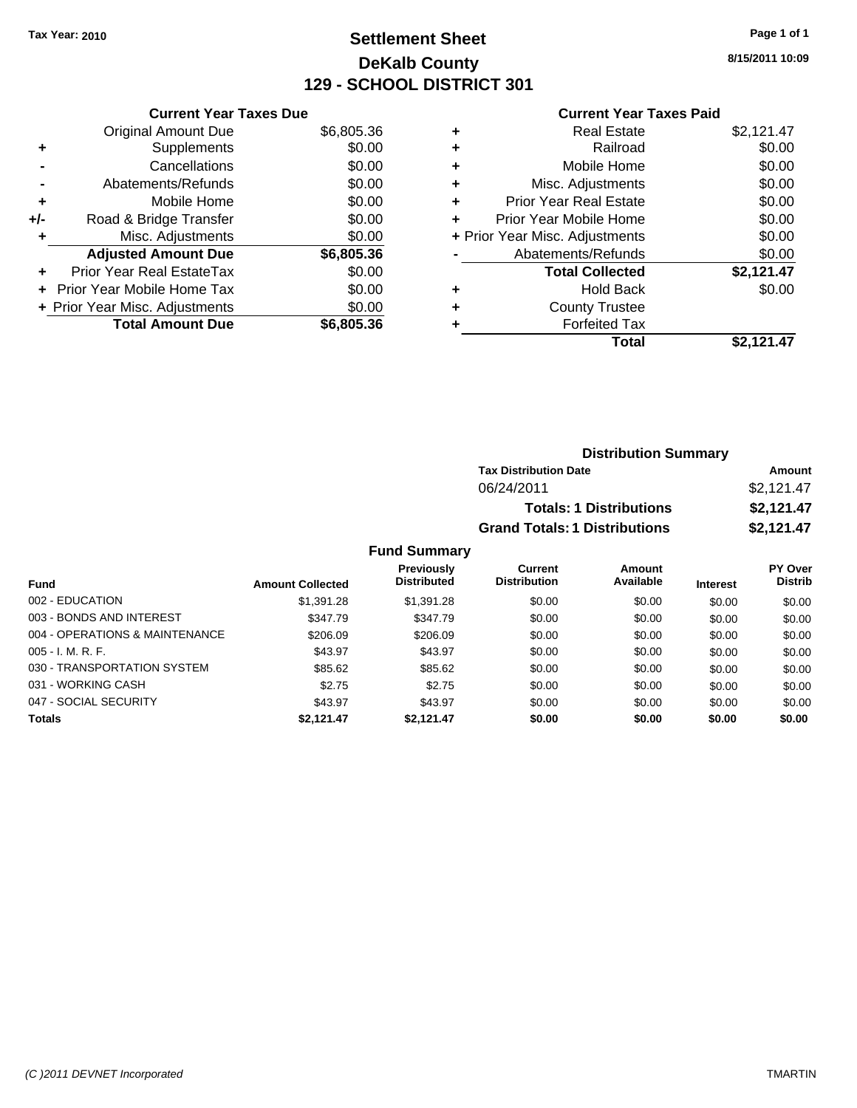## **Settlement Sheet Tax Year: 2010 Page 1 of 1 DeKalb County 129 - SCHOOL DISTRICT 301**

**8/15/2011 10:09**

#### **Current Year Taxes Paid**

|     | <b>Current Year Taxes Due</b>     |            |
|-----|-----------------------------------|------------|
|     | <b>Original Amount Due</b>        | \$6,805.36 |
| ٠   | Supplements                       | \$0.00     |
|     | Cancellations                     | \$0.00     |
|     | Abatements/Refunds                | \$0.00     |
| ٠   | Mobile Home                       | \$0.00     |
| +/- | Road & Bridge Transfer            | \$0.00     |
| ٠   | Misc. Adjustments                 | \$0.00     |
|     | <b>Adjusted Amount Due</b>        | \$6,805.36 |
| ÷   | Prior Year Real EstateTax         | \$0.00     |
|     | <b>Prior Year Mobile Home Tax</b> | \$0.00     |
|     | + Prior Year Misc. Adjustments    | \$0.00     |
|     | <b>Total Amount Due</b>           | \$6,805.36 |

|   | <b>Real Estate</b>             | \$2,121.47 |
|---|--------------------------------|------------|
| ٠ | Railroad                       | \$0.00     |
| ٠ | Mobile Home                    | \$0.00     |
| ٠ | Misc. Adjustments              | \$0.00     |
| ÷ | Prior Year Real Estate         | \$0.00     |
| ÷ | Prior Year Mobile Home         | \$0.00     |
|   | + Prior Year Misc. Adjustments | \$0.00     |
|   | Abatements/Refunds             | \$0.00     |
|   | <b>Total Collected</b>         | \$2,121.47 |
| ٠ | <b>Hold Back</b>               | \$0.00     |
| ÷ | <b>County Trustee</b>          |            |
|   | <b>Forfeited Tax</b>           |            |
|   | Total                          | \$2.121.47 |

| <b>Distribution Summary</b>          |            |
|--------------------------------------|------------|
| <b>Tax Distribution Date</b>         | Amount     |
| 06/24/2011                           | \$2,121.47 |
| <b>Totals: 1 Distributions</b>       | \$2,121.47 |
| <b>Grand Totals: 1 Distributions</b> | \$2,121.47 |

|                                |                         | <b>Previously</b>  | Current             | <b>Amount</b> |                 | <b>PY Over</b> |
|--------------------------------|-------------------------|--------------------|---------------------|---------------|-----------------|----------------|
| Fund                           | <b>Amount Collected</b> | <b>Distributed</b> | <b>Distribution</b> | Available     | <b>Interest</b> | <b>Distrib</b> |
| 002 - EDUCATION                | \$1,391.28              | \$1,391.28         | \$0.00              | \$0.00        | \$0.00          | \$0.00         |
| 003 - BONDS AND INTEREST       | \$347.79                | \$347.79           | \$0.00              | \$0.00        | \$0.00          | \$0.00         |
| 004 - OPERATIONS & MAINTENANCE | \$206.09                | \$206.09           | \$0.00              | \$0.00        | \$0.00          | \$0.00         |
| $005 - I. M. R. F.$            | \$43.97                 | \$43.97            | \$0.00              | \$0.00        | \$0.00          | \$0.00         |
| 030 - TRANSPORTATION SYSTEM    | \$85.62                 | \$85.62            | \$0.00              | \$0.00        | \$0.00          | \$0.00         |
| 031 - WORKING CASH             | \$2.75                  | \$2.75             | \$0.00              | \$0.00        | \$0.00          | \$0.00         |
| 047 - SOCIAL SECURITY          | \$43.97                 | \$43.97            | \$0.00              | \$0.00        | \$0.00          | \$0.00         |
| <b>Totals</b>                  | \$2.121.47              | \$2.121.47         | \$0.00              | \$0.00        | \$0.00          | \$0.00         |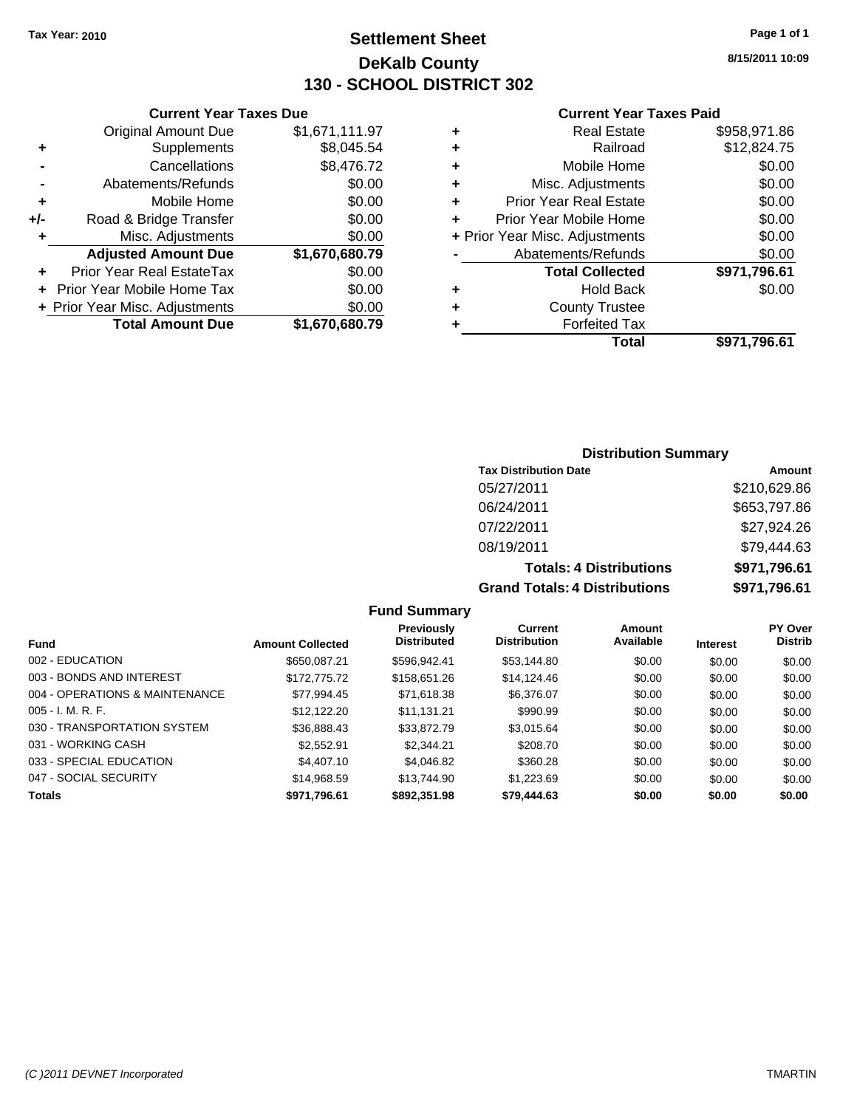## **Settlement Sheet Tax Year: 2010 Page 1 of 1 DeKalb County 130 - SCHOOL DISTRICT 302**

**8/15/2011 10:09**

#### **Current Year Taxes Paid**

|   | Total                          | \$971.796.61 |
|---|--------------------------------|--------------|
| ٠ | <b>Forfeited Tax</b>           |              |
| ٠ | <b>County Trustee</b>          |              |
| ٠ | <b>Hold Back</b>               | \$0.00       |
|   | <b>Total Collected</b>         | \$971,796.61 |
|   | Abatements/Refunds             | \$0.00       |
|   | + Prior Year Misc. Adjustments | \$0.00       |
| ÷ | Prior Year Mobile Home         | \$0.00       |
| ÷ | <b>Prior Year Real Estate</b>  | \$0.00       |
| ٠ | Misc. Adjustments              | \$0.00       |
| ٠ | Mobile Home                    | \$0.00       |
| ٠ | Railroad                       | \$12,824.75  |
| ٠ | <b>Real Estate</b>             | \$958,971.86 |

|     | <b>Current Year Taxes Due</b>  |                |
|-----|--------------------------------|----------------|
|     | <b>Original Amount Due</b>     | \$1,671,111.97 |
| ٠   | Supplements                    | \$8,045.54     |
|     | Cancellations                  | \$8,476.72     |
|     | Abatements/Refunds             | \$0.00         |
| ٠   | Mobile Home                    | \$0.00         |
| +/- | Road & Bridge Transfer         | \$0.00         |
| ٠   | Misc. Adjustments              | \$0.00         |
|     | <b>Adjusted Amount Due</b>     | \$1,670,680.79 |
|     | Prior Year Real EstateTax      | \$0.00         |
|     | Prior Year Mobile Home Tax     | \$0.00         |
|     | + Prior Year Misc. Adjustments | \$0.00         |
|     | <b>Total Amount Due</b>        | \$1,670,680.79 |
|     |                                |                |

#### **Distribution Summary**

| <b>Tax Distribution Date</b>         | Amount       |
|--------------------------------------|--------------|
| 05/27/2011                           | \$210,629.86 |
| 06/24/2011                           | \$653,797.86 |
| 07/22/2011                           | \$27,924.26  |
| 08/19/2011                           | \$79,444.63  |
| <b>Totals: 4 Distributions</b>       | \$971,796.61 |
| <b>Grand Totals: 4 Distributions</b> | \$971,796.61 |

|                                |                         | Previously         | Current             | Amount    |                 | <b>PY Over</b> |
|--------------------------------|-------------------------|--------------------|---------------------|-----------|-----------------|----------------|
| <b>Fund</b>                    | <b>Amount Collected</b> | <b>Distributed</b> | <b>Distribution</b> | Available | <b>Interest</b> | <b>Distrib</b> |
| 002 - EDUCATION                | \$650.087.21            | \$596.942.41       | \$53,144.80         | \$0.00    | \$0.00          | \$0.00         |
| 003 - BONDS AND INTEREST       | \$172,775.72            | \$158,651.26       | \$14,124.46         | \$0.00    | \$0.00          | \$0.00         |
| 004 - OPERATIONS & MAINTENANCE | \$77.994.45             | \$71,618.38        | \$6,376.07          | \$0.00    | \$0.00          | \$0.00         |
| $005 - I. M. R. F.$            | \$12,122,20             | \$11.131.21        | \$990.99            | \$0.00    | \$0.00          | \$0.00         |
| 030 - TRANSPORTATION SYSTEM    | \$36,888.43             | \$33,872.79        | \$3,015.64          | \$0.00    | \$0.00          | \$0.00         |
| 031 - WORKING CASH             | \$2,552.91              | \$2.344.21         | \$208.70            | \$0.00    | \$0.00          | \$0.00         |
| 033 - SPECIAL EDUCATION        | \$4,407.10              | \$4.046.82         | \$360.28            | \$0.00    | \$0.00          | \$0.00         |
| 047 - SOCIAL SECURITY          | \$14.968.59             | \$13,744.90        | \$1,223.69          | \$0.00    | \$0.00          | \$0.00         |
| <b>Totals</b>                  | \$971,796.61            | \$892,351.98       | \$79,444.63         | \$0.00    | \$0.00          | \$0.00         |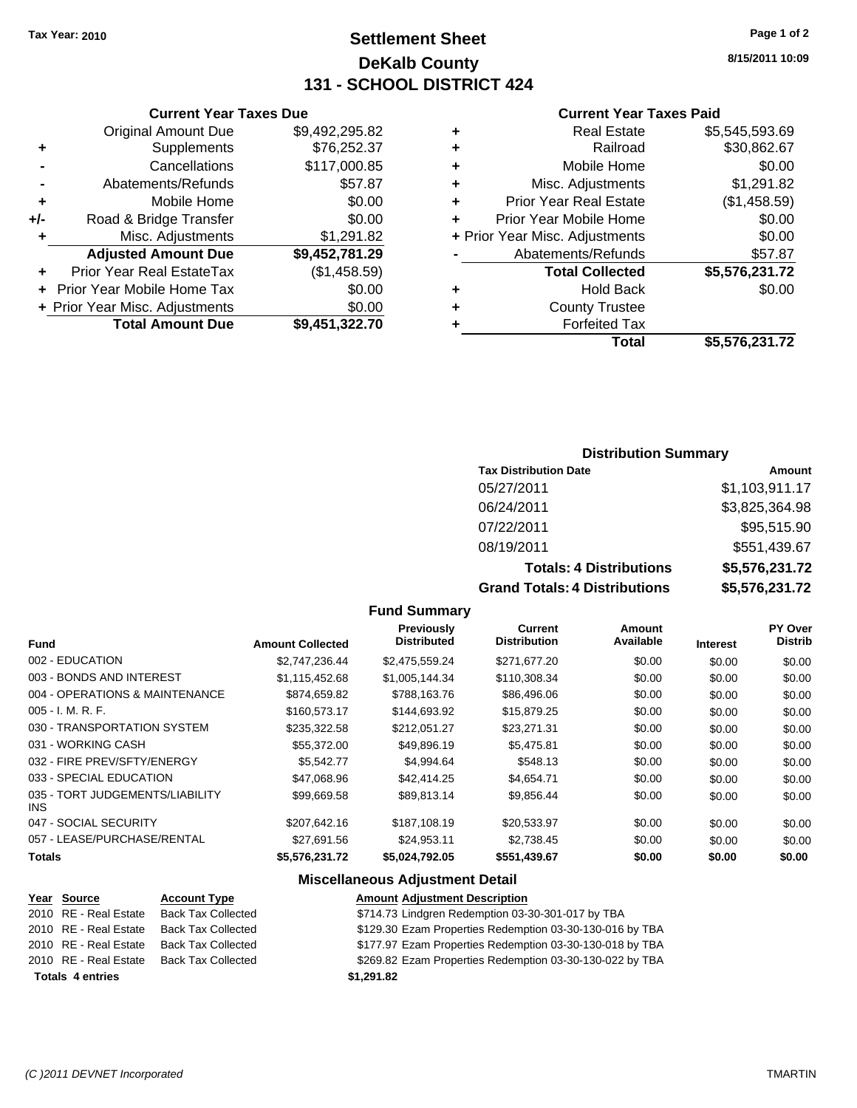## **Settlement Sheet Tax Year: 2010 Page 1 of 2 DeKalb County 131 - SCHOOL DISTRICT 424**

**8/15/2011 10:09**

#### **Current Year Taxes Paid**

| ٠ | <b>Real Estate</b>             | \$5,545,593.69 |
|---|--------------------------------|----------------|
|   | Railroad                       | \$30,862.67    |
| ٠ | Mobile Home                    | \$0.00         |
| ٠ | Misc. Adjustments              | \$1,291.82     |
| ٠ | <b>Prior Year Real Estate</b>  | (\$1,458.59)   |
|   | Prior Year Mobile Home         | \$0.00         |
|   | + Prior Year Misc. Adjustments | \$0.00         |
|   | Abatements/Refunds             | \$57.87        |
|   | <b>Total Collected</b>         | \$5,576,231.72 |
| ٠ | <b>Hold Back</b>               | \$0.00         |
| ÷ | <b>County Trustee</b>          |                |
|   | <b>Forfeited Tax</b>           |                |
|   | Total                          | \$5,576,231.72 |

|     | <b>Current Year Taxes Due</b>  |                |
|-----|--------------------------------|----------------|
|     | <b>Original Amount Due</b>     | \$9,492,295.82 |
| ٠   | Supplements                    | \$76,252.37    |
|     | Cancellations                  | \$117,000.85   |
|     | Abatements/Refunds             | \$57.87        |
| ٠   | Mobile Home                    | \$0.00         |
| +/- | Road & Bridge Transfer         | \$0.00         |
| ٠   | Misc. Adjustments              | \$1,291.82     |
|     | <b>Adjusted Amount Due</b>     | \$9,452,781.29 |
|     | Prior Year Real EstateTax      | (\$1,458.59)   |
|     | Prior Year Mobile Home Tax     | \$0.00         |
|     | + Prior Year Misc. Adjustments | \$0.00         |
|     | <b>Total Amount Due</b>        | \$9,451,322.70 |

#### **Distribution Summary**

| <b>Tax Distribution Date</b>   | Amount         |
|--------------------------------|----------------|
| 05/27/2011                     | \$1,103,911.17 |
| 06/24/2011                     | \$3,825,364.98 |
| 07/22/2011                     | \$95,515.90    |
| 08/19/2011                     | \$551,439.67   |
| <b>Totals: 4 Distributions</b> | \$5,576,231.72 |
| Crond Tatolo: 1 Diotributiona  | ¢E E7C 994 79  |

**Grand Totals: 4 Distributions \$5,576,231.72**

| \$5,576,231.7 |
|---------------|
| \$5.576.231.7 |

#### **Fund Summary**

| <b>Fund</b>                             | <b>Amount Collected</b> | Previously<br><b>Distributed</b> | Current<br><b>Distribution</b> | Amount<br>Available | <b>Interest</b> | PY Over<br><b>Distrib</b> |
|-----------------------------------------|-------------------------|----------------------------------|--------------------------------|---------------------|-----------------|---------------------------|
|                                         |                         |                                  |                                |                     |                 |                           |
| 002 - EDUCATION                         | \$2,747,236.44          | \$2,475,559.24                   | \$271,677.20                   | \$0.00              | \$0.00          | \$0.00                    |
| 003 - BONDS AND INTEREST                | \$1,115,452.68          | \$1,005,144.34                   | \$110,308.34                   | \$0.00              | \$0.00          | \$0.00                    |
| 004 - OPERATIONS & MAINTENANCE          | \$874.659.82            | \$788.163.76                     | \$86,496,06                    | \$0.00              | \$0.00          | \$0.00                    |
| $005 - I. M. R. F.$                     | \$160,573.17            | \$144,693.92                     | \$15,879.25                    | \$0.00              | \$0.00          | \$0.00                    |
| 030 - TRANSPORTATION SYSTEM             | \$235,322.58            | \$212,051.27                     | \$23.271.31                    | \$0.00              | \$0.00          | \$0.00                    |
| 031 - WORKING CASH                      | \$55,372.00             | \$49,896.19                      | \$5,475.81                     | \$0.00              | \$0.00          | \$0.00                    |
| 032 - FIRE PREV/SFTY/ENERGY             | \$5.542.77              | \$4,994.64                       | \$548.13                       | \$0.00              | \$0.00          | \$0.00                    |
| 033 - SPECIAL EDUCATION                 | \$47,068.96             | \$42,414.25                      | \$4,654.71                     | \$0.00              | \$0.00          | \$0.00                    |
| 035 - TORT JUDGEMENTS/LIABILITY<br>INS. | \$99.669.58             | \$89.813.14                      | \$9.856.44                     | \$0.00              | \$0.00          | \$0.00                    |
| 047 - SOCIAL SECURITY                   | \$207,642.16            | \$187,108.19                     | \$20,533.97                    | \$0.00              | \$0.00          | \$0.00                    |
| 057 - LEASE/PURCHASE/RENTAL             | \$27.691.56             | \$24.953.11                      | \$2.738.45                     | \$0.00              | \$0.00          | \$0.00                    |
| <b>Totals</b>                           | \$5,576,231.72          | \$5,024,792.05                   | \$551,439.67                   | \$0.00              | \$0.00          | \$0.00                    |

#### **Miscellaneous Adjustment Detail**

| Year Source             | <b>Account Type</b>       | <b>Amount Adjustment Description</b>                     |
|-------------------------|---------------------------|----------------------------------------------------------|
| 2010 RE - Real Estate   | <b>Back Tax Collected</b> | \$714.73 Lindgren Redemption 03-30-301-017 by TBA        |
| 2010 RE - Real Estate   | <b>Back Tax Collected</b> | \$129.30 Ezam Properties Redemption 03-30-130-016 by TBA |
| 2010 RE - Real Estate   | <b>Back Tax Collected</b> | \$177.97 Ezam Properties Redemption 03-30-130-018 by TBA |
| 2010 RE - Real Estate   | <b>Back Tax Collected</b> | \$269.82 Ezam Properties Redemption 03-30-130-022 by TBA |
| <b>Totals 4 entries</b> |                           | \$1,291.82                                               |
|                         |                           |                                                          |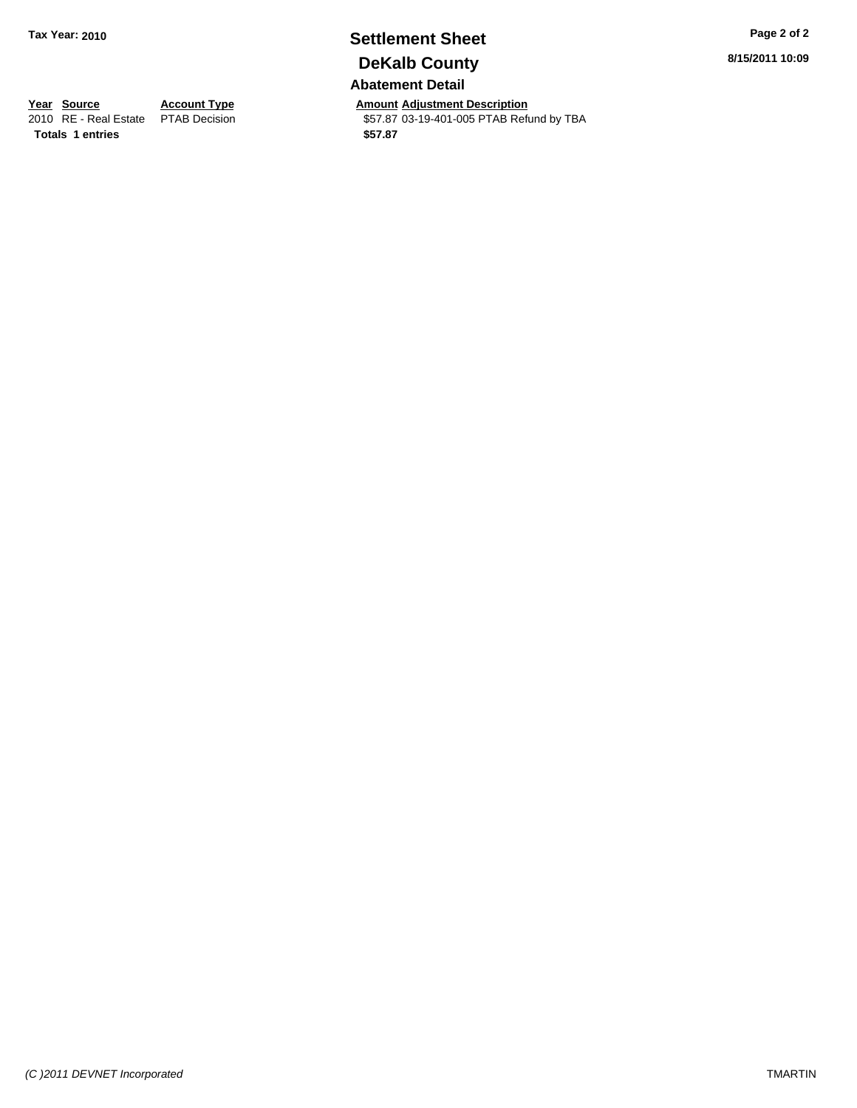## **Settlement Sheet Tax Year: 2010 Page 2 of 2 DeKalb County**

**Abatement Detail**

**Year Source Account Type Amount Adjustment Description**<br>
2010 RE - Real Estate PTAB Decision **Amount** \$57.87 03-19-401-005 PTAB Refu \$57.87 03-19-401-005 PTAB Refund by TBA

**8/15/2011 10:09**

**Totals \$57.87 1 entries**

*(C )2011 DEVNET Incorporated* TMARTIN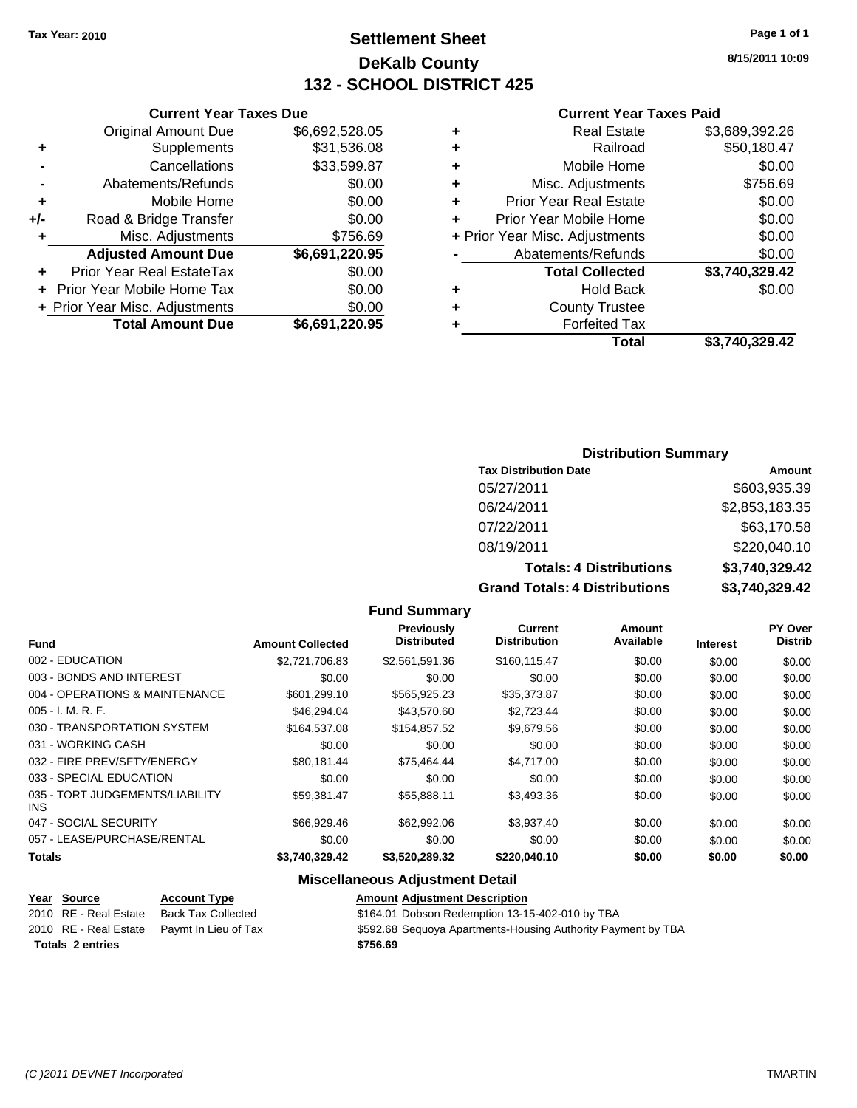## **Settlement Sheet Tax Year: 2010 Page 1 of 1 DeKalb County 132 - SCHOOL DISTRICT 425**

#### **Current Year Taxes Due**

|     | <b>Original Amount Due</b>       | \$6,692,528.05 |
|-----|----------------------------------|----------------|
| ٠   | Supplements                      | \$31,536.08    |
|     | Cancellations                    | \$33,599.87    |
|     | Abatements/Refunds               | \$0.00         |
| ٠   | Mobile Home                      | \$0.00         |
| +/- | Road & Bridge Transfer           | \$0.00         |
| ٠   | Misc. Adjustments                | \$756.69       |
|     | <b>Adjusted Amount Due</b>       | \$6,691,220.95 |
|     | <b>Prior Year Real EstateTax</b> | \$0.00         |
|     | Prior Year Mobile Home Tax       | \$0.00         |
|     | + Prior Year Misc. Adjustments   | \$0.00         |
|     | <b>Total Amount Due</b>          | \$6,691,220.95 |

#### **Current Year Taxes Paid**

|   | <b>Real Estate</b>             | \$3,689,392.26 |
|---|--------------------------------|----------------|
| ٠ | Railroad                       | \$50,180.47    |
| ٠ | Mobile Home                    | \$0.00         |
| ٠ | Misc. Adjustments              | \$756.69       |
| ٠ | <b>Prior Year Real Estate</b>  | \$0.00         |
|   | Prior Year Mobile Home         | \$0.00         |
|   | + Prior Year Misc. Adjustments | \$0.00         |
|   | Abatements/Refunds             | \$0.00         |
|   | <b>Total Collected</b>         | \$3,740,329.42 |
| ٠ | <b>Hold Back</b>               | \$0.00         |
| ٠ | <b>County Trustee</b>          |                |
| ٠ | <b>Forfeited Tax</b>           |                |
|   | Total                          | \$3,740,329.42 |
|   |                                |                |

#### **Distribution Summary**

| <b>Tax Distribution Date</b>     | Amount         |
|----------------------------------|----------------|
| 05/27/2011                       | \$603,935.39   |
| 06/24/2011                       | \$2,853,183.35 |
| 07/22/2011                       | \$63,170.58    |
| 08/19/2011                       | \$220,040.10   |
| <b>Totals: 4 Distributions</b>   | \$3,740,329.42 |
| Osan di Tatalan 4 Diatullantiana | 00 710 000 10  |

**Grand Totals: 4 Distributions \$3,740,329.42**

| <b>Fund</b>                             | <b>Amount Collected</b> | <b>Previously</b><br><b>Distributed</b> | <b>Current</b><br><b>Distribution</b> | <b>Amount</b><br>Available | <b>Interest</b> | PY Over<br><b>Distrib</b> |
|-----------------------------------------|-------------------------|-----------------------------------------|---------------------------------------|----------------------------|-----------------|---------------------------|
| 002 - EDUCATION                         | \$2,721,706.83          | \$2.561.591.36                          | \$160.115.47                          | \$0.00                     | \$0.00          | \$0.00                    |
| 003 - BONDS AND INTEREST                | \$0.00                  | \$0.00                                  | \$0.00                                | \$0.00                     | \$0.00          | \$0.00                    |
| 004 - OPERATIONS & MAINTENANCE          | \$601,299.10            | \$565,925.23                            | \$35,373.87                           | \$0.00                     | \$0.00          | \$0.00                    |
| $005 - I. M. R. F.$                     | \$46,294,04             | \$43,570.60                             | \$2,723.44                            | \$0.00                     | \$0.00          | \$0.00                    |
| 030 - TRANSPORTATION SYSTEM             | \$164,537.08            | \$154,857.52                            | \$9,679.56                            | \$0.00                     | \$0.00          | \$0.00                    |
| 031 - WORKING CASH                      | \$0.00                  | \$0.00                                  | \$0.00                                | \$0.00                     | \$0.00          | \$0.00                    |
| 032 - FIRE PREV/SFTY/ENERGY             | \$80.181.44             | \$75.464.44                             | \$4.717.00                            | \$0.00                     | \$0.00          | \$0.00                    |
| 033 - SPECIAL EDUCATION                 | \$0.00                  | \$0.00                                  | \$0.00                                | \$0.00                     | \$0.00          | \$0.00                    |
| 035 - TORT JUDGEMENTS/LIABILITY<br>INS. | \$59,381.47             | \$55,888.11                             | \$3,493.36                            | \$0.00                     | \$0.00          | \$0.00                    |
| 047 - SOCIAL SECURITY                   | \$66,929.46             | \$62,992.06                             | \$3,937.40                            | \$0.00                     | \$0.00          | \$0.00                    |
| 057 - LEASE/PURCHASE/RENTAL             | \$0.00                  | \$0.00                                  | \$0.00                                | \$0.00                     | \$0.00          | \$0.00                    |
| <b>Totals</b>                           | \$3,740,329.42          | \$3,520,289.32                          | \$220,040.10                          | \$0.00                     | \$0.00          | \$0.00                    |
|                                         |                         |                                         |                                       |                            |                 |                           |

**Fund Summary**

#### **Miscellaneous Adjustment Detail**

# **Totals \$756.69 2 entries**

**Year Source Account Type Amount Adjustment Description** 2010 RE - Real Estate Back Tax Collected \$164.01 Dobson Redemption 13-15-402-010 by TBA 2010 RE - Real Estate Paymt In Lieu of Tax \$592.68 Sequoya Apartments-Housing Authority Payment by TBA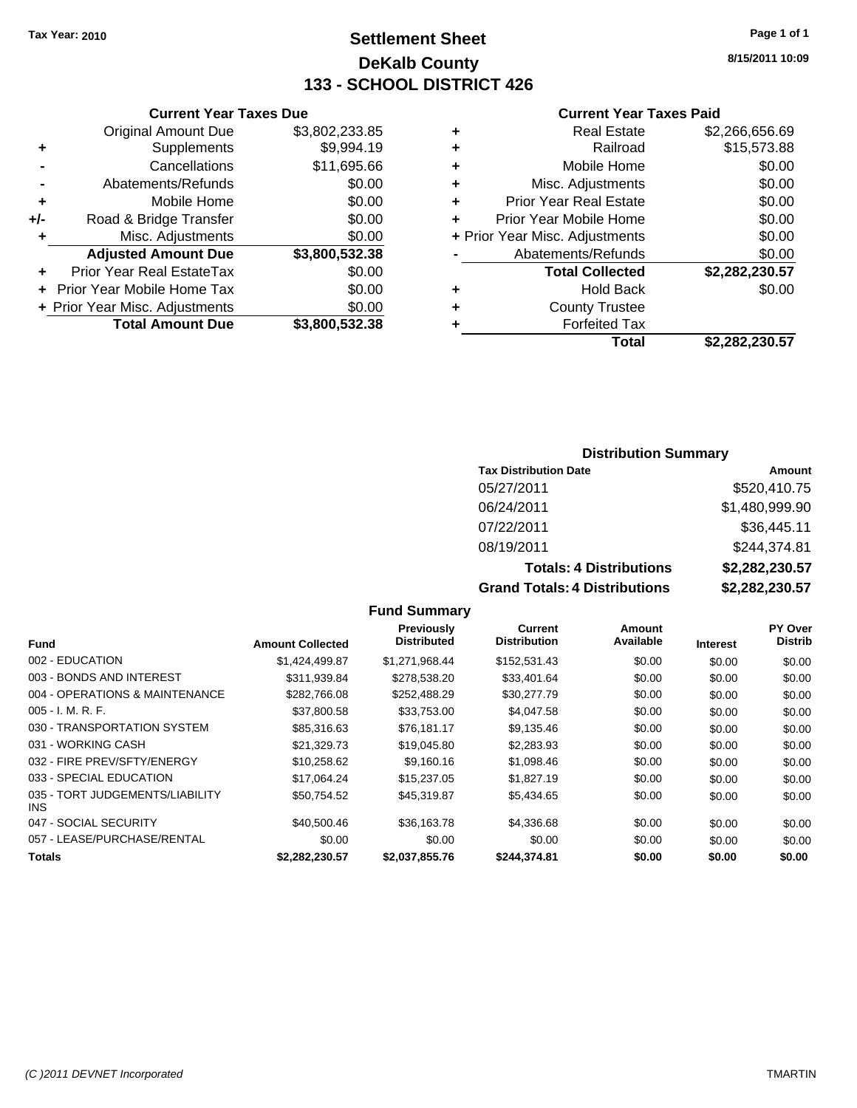## **Settlement Sheet Tax Year: 2010 Page 1 of 1 DeKalb County 133 - SCHOOL DISTRICT 426**

**8/15/2011 10:09**

#### **Current Year Taxes Paid**

| ٠ | <b>Real Estate</b>             | \$2,266,656.69 |
|---|--------------------------------|----------------|
|   | Railroad                       | \$15,573.88    |
| ٠ | Mobile Home                    | \$0.00         |
| ٠ | Misc. Adjustments              | \$0.00         |
| ٠ | <b>Prior Year Real Estate</b>  | \$0.00         |
|   | Prior Year Mobile Home         | \$0.00         |
|   | + Prior Year Misc. Adjustments | \$0.00         |
|   | Abatements/Refunds             | \$0.00         |
|   | <b>Total Collected</b>         | \$2,282,230.57 |
| ٠ | <b>Hold Back</b>               | \$0.00         |
| ٠ | <b>County Trustee</b>          |                |
|   | <b>Forfeited Tax</b>           |                |
|   | Total                          | \$2.282.230.57 |

|     | <b>Current Year Taxes Due</b>  |                |  |  |
|-----|--------------------------------|----------------|--|--|
|     | <b>Original Amount Due</b>     | \$3,802,233.85 |  |  |
| ٠   | Supplements                    | \$9,994.19     |  |  |
|     | Cancellations                  | \$11,695.66    |  |  |
|     | Abatements/Refunds             | \$0.00         |  |  |
| ٠   | Mobile Home                    | \$0.00         |  |  |
| +/- | Road & Bridge Transfer         | \$0.00         |  |  |
| ٠   | Misc. Adjustments              | \$0.00         |  |  |
|     | <b>Adjusted Amount Due</b>     | \$3,800,532.38 |  |  |
|     | Prior Year Real EstateTax      | \$0.00         |  |  |
|     | Prior Year Mobile Home Tax     | \$0.00         |  |  |
|     | + Prior Year Misc. Adjustments | \$0.00         |  |  |
|     | <b>Total Amount Due</b>        | \$3.800.532.38 |  |  |

#### **Distribution Summary**

| <b>Tax Distribution Date</b>   | Amount             |
|--------------------------------|--------------------|
| 05/27/2011                     | \$520,410.75       |
| 06/24/2011                     | \$1,480,999.90     |
| 07/22/2011                     | \$36,445.11        |
| 08/19/2011                     | \$244,374.81       |
| <b>Totals: 4 Distributions</b> | \$2,282,230.57     |
| Crond Tatolo: 1 Diotributional | <u>  ስል ባሳስ ደግ</u> |

**Grand Totals: 4 Distributions \$2,282,230.57**

| s | \$2,282,230.5 |
|---|---------------|
| ŝ | \$2,282,230.5 |

| <b>Fund</b>                                   | <b>Amount Collected</b> | Previously<br><b>Distributed</b> | Current<br><b>Distribution</b> | Amount<br>Available | <b>Interest</b> | PY Over<br><b>Distrib</b> |
|-----------------------------------------------|-------------------------|----------------------------------|--------------------------------|---------------------|-----------------|---------------------------|
| 002 - EDUCATION                               | \$1,424,499.87          | \$1.271.968.44                   | \$152,531.43                   | \$0.00              | \$0.00          | \$0.00                    |
| 003 - BONDS AND INTEREST                      | \$311,939.84            | \$278,538.20                     | \$33,401.64                    | \$0.00              | \$0.00          | \$0.00                    |
| 004 - OPERATIONS & MAINTENANCE                | \$282.766.08            | \$252.488.29                     | \$30,277.79                    | \$0.00              | \$0.00          | \$0.00                    |
| $005 - I. M. R. F.$                           | \$37,800.58             | \$33,753.00                      | \$4,047.58                     | \$0.00              | \$0.00          | \$0.00                    |
| 030 - TRANSPORTATION SYSTEM                   | \$85,316.63             | \$76.181.17                      | \$9.135.46                     | \$0.00              | \$0.00          | \$0.00                    |
| 031 - WORKING CASH                            | \$21,329.73             | \$19,045.80                      | \$2,283.93                     | \$0.00              | \$0.00          | \$0.00                    |
| 032 - FIRE PREV/SFTY/ENERGY                   | \$10,258.62             | \$9.160.16                       | \$1,098.46                     | \$0.00              | \$0.00          | \$0.00                    |
| 033 - SPECIAL EDUCATION                       | \$17.064.24             | \$15,237.05                      | \$1,827.19                     | \$0.00              | \$0.00          | \$0.00                    |
| 035 - TORT JUDGEMENTS/LIABILITY<br><b>INS</b> | \$50.754.52             | \$45,319.87                      | \$5,434.65                     | \$0.00              | \$0.00          | \$0.00                    |
| 047 - SOCIAL SECURITY                         | \$40,500.46             | \$36,163,78                      | \$4,336,68                     | \$0.00              | \$0.00          | \$0.00                    |
| 057 - LEASE/PURCHASE/RENTAL                   | \$0.00                  | \$0.00                           | \$0.00                         | \$0.00              | \$0.00          | \$0.00                    |
| <b>Totals</b>                                 | \$2.282.230.57          | \$2.037.855.76                   | \$244.374.81                   | \$0.00              | \$0.00          | \$0.00                    |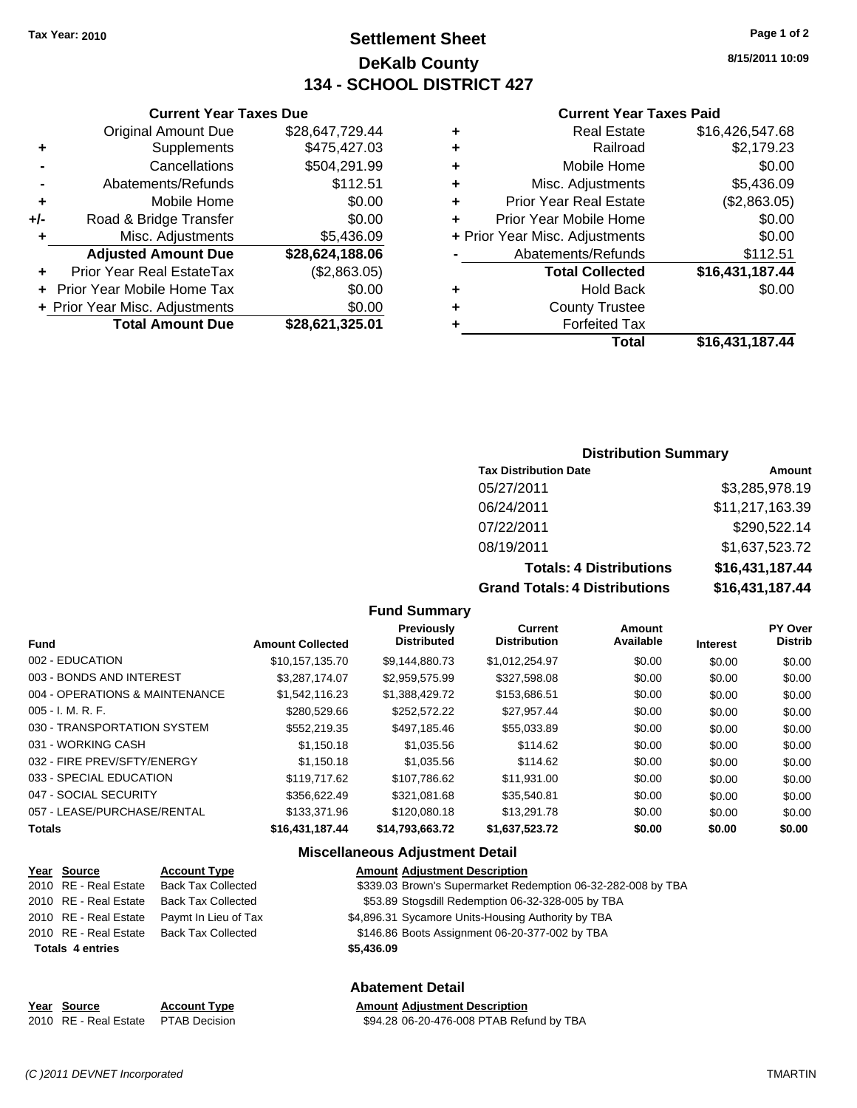## **Settlement Sheet Tax Year: 2010 Page 1 of 2 DeKalb County 134 - SCHOOL DISTRICT 427**

**8/15/2011 10:09**

#### **Current Year Taxes Paid**

| ٠ | <b>Real Estate</b>             | \$16,426,547.68 |
|---|--------------------------------|-----------------|
| ٠ | Railroad                       | \$2,179.23      |
| ٠ | Mobile Home                    | \$0.00          |
| ٠ | Misc. Adjustments              | \$5,436.09      |
| ٠ | <b>Prior Year Real Estate</b>  | (\$2,863.05)    |
| ÷ | Prior Year Mobile Home         | \$0.00          |
|   | + Prior Year Misc. Adjustments | \$0.00          |
|   | Abatements/Refunds             | \$112.51        |
|   | <b>Total Collected</b>         | \$16,431,187.44 |
| ٠ | <b>Hold Back</b>               | \$0.00          |
| ٠ | <b>County Trustee</b>          |                 |
|   | <b>Forfeited Tax</b>           |                 |
|   | Total                          | \$16,431,187.44 |

#### **Current Year Taxes Due** Original Amount Due \$28,647,729.44 **+** Supplements \$475,427.03 **-** Cancellations \$504,291.99 **-** Abatements/Refunds \$112.51 **+** Mobile Home \$0.00 **+/-** Road & Bridge Transfer \$0.00 **+** Misc. Adjustments \$5,436.09 **Adjusted Amount Due \$28,624,188.06 +** Prior Year Real EstateTax (\$2,863.05) **+** Prior Year Mobile Home Tax \$0.00 **+ Prior Year Misc. Adjustments**  $$0.00$ **Total Amount Due \$28,621,325.01**

#### **Distribution Summary**

| <b>Tax Distribution Date</b>   | Amount          |
|--------------------------------|-----------------|
| 05/27/2011                     | \$3,285,978.19  |
| 06/24/2011                     | \$11,217,163.39 |
| 07/22/2011                     | \$290,522.14    |
| 08/19/2011                     | \$1,637,523.72  |
| <b>Totals: 4 Distributions</b> | \$16,431,187.44 |

**Grand Totals: 4 Distributions \$16,431,187.44**

#### **Fund Summary**

| <b>Fund</b>                    | <b>Amount Collected</b> | <b>Previously</b><br><b>Distributed</b> | <b>Current</b><br><b>Distribution</b> | Amount<br>Available | <b>Interest</b> | PY Over<br><b>Distrib</b> |
|--------------------------------|-------------------------|-----------------------------------------|---------------------------------------|---------------------|-----------------|---------------------------|
| 002 - EDUCATION                | \$10.157.135.70         | \$9.144.880.73                          | \$1.012.254.97                        | \$0.00              | \$0.00          | \$0.00                    |
| 003 - BONDS AND INTEREST       | \$3.287.174.07          | \$2.959.575.99                          | \$327,598.08                          | \$0.00              | \$0.00          | \$0.00                    |
| 004 - OPERATIONS & MAINTENANCE | \$1.542.116.23          | \$1.388.429.72                          | \$153,686.51                          | \$0.00              | \$0.00          | \$0.00                    |
| 005 - I. M. R. F.              | \$280,529,66            | \$252,572.22                            | \$27.957.44                           | \$0.00              | \$0.00          | \$0.00                    |
| 030 - TRANSPORTATION SYSTEM    | \$552,219.35            | \$497.185.46                            | \$55.033.89                           | \$0.00              | \$0.00          | \$0.00                    |
| 031 - WORKING CASH             | \$1.150.18              | \$1,035.56                              | \$114.62                              | \$0.00              | \$0.00          | \$0.00                    |
| 032 - FIRE PREV/SFTY/ENERGY    | \$1,150.18              | \$1,035.56                              | \$114.62                              | \$0.00              | \$0.00          | \$0.00                    |
| 033 - SPECIAL EDUCATION        | \$119.717.62            | \$107,786.62                            | \$11,931.00                           | \$0.00              | \$0.00          | \$0.00                    |
| 047 - SOCIAL SECURITY          | \$356,622.49            | \$321.081.68                            | \$35,540.81                           | \$0.00              | \$0.00          | \$0.00                    |
| 057 - LEASE/PURCHASE/RENTAL    | \$133,371,96            | \$120,080.18                            | \$13,291.78                           | \$0.00              | \$0.00          | \$0.00                    |
| Totals                         | \$16,431,187.44         | \$14,793,663.72                         | \$1,637,523.72                        | \$0.00              | \$0.00          | \$0.00                    |

#### **Miscellaneous Adjustment Detail**

| Year Source             | <b>Account Type</b>       | <b>Amount Adiustment Description</b>                         |
|-------------------------|---------------------------|--------------------------------------------------------------|
| 2010 RE - Real Estate   | <b>Back Tax Collected</b> | \$339.03 Brown's Supermarket Redemption 06-32-282-008 by TBA |
| 2010 RE - Real Estate   | <b>Back Tax Collected</b> | \$53.89 Stogsdill Redemption 06-32-328-005 by TBA            |
| 2010 RE - Real Estate   | Paymt In Lieu of Tax      | \$4,896.31 Sycamore Units-Housing Authority by TBA           |
| 2010 RE - Real Estate   | <b>Back Tax Collected</b> | \$146.86 Boots Assignment 06-20-377-002 by TBA               |
| <b>Totals 4 entries</b> |                           | \$5,436.09                                                   |
|                         |                           | <b>Abatement Detail</b>                                      |
| Year Source             | <b>Account Type</b>       | <b>Amount Adjustment Description</b>                         |

2010 RE - Real Estate \$94.28 06-20-476-008 PTAB Refund by TBA PTAB Decision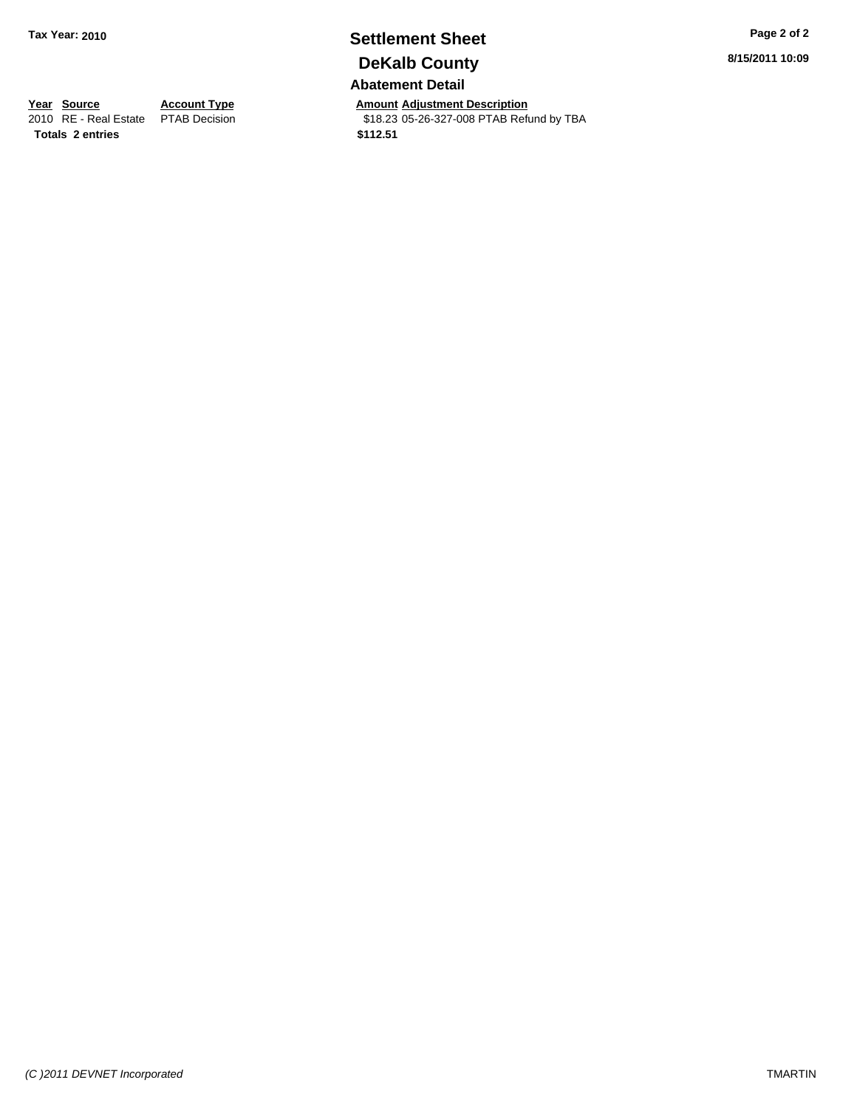## **Settlement Sheet Tax Year: 2010 Page 2 of 2 DeKalb County Abatement Detail**

**Year Source Account Type Amount Adjustment Description**<br>
2010 RE - Real Estate PTAB Decision **Amount** \$18.23 05-26-327-008 PTAB Refu \$18.23 05-26-327-008 PTAB Refund by TBA

**8/15/2011 10:09**

**Totals \$112.51 2 entries**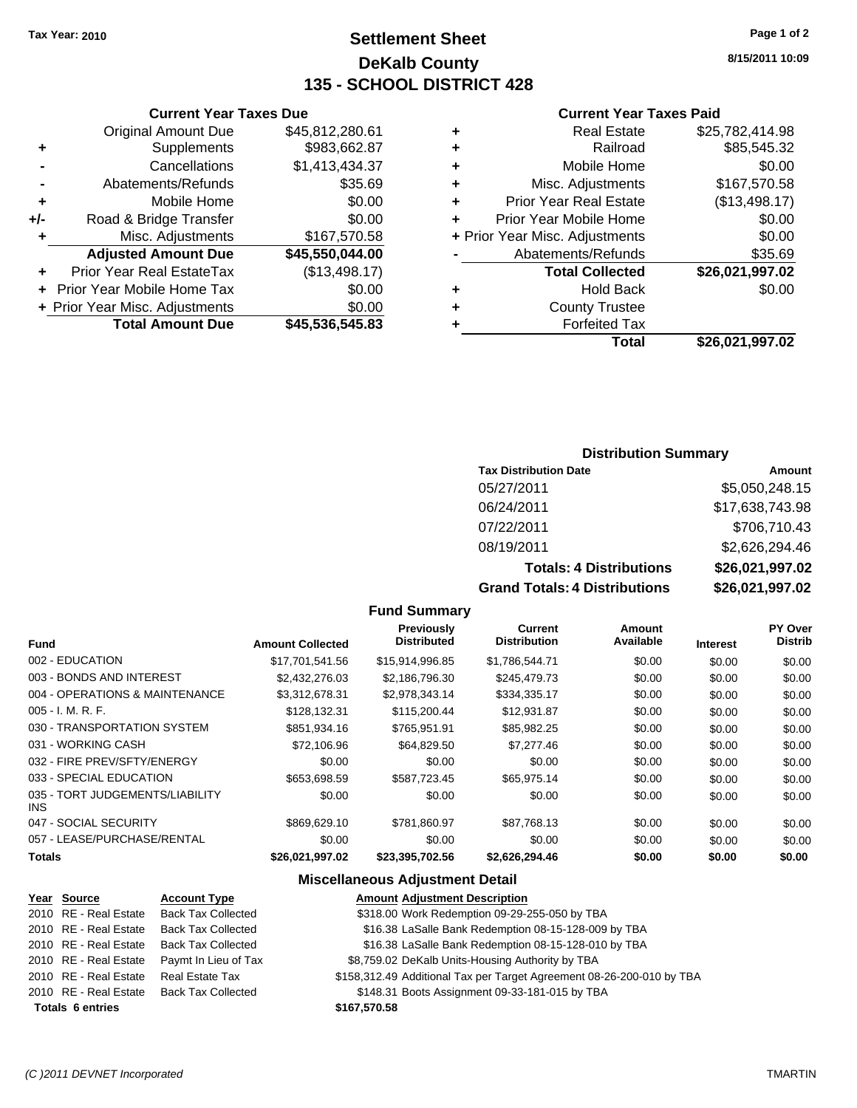## **Settlement Sheet Tax Year: 2010 Page 1 of 2 DeKalb County 135 - SCHOOL DISTRICT 428**

**8/15/2011 10:09**

#### **Current Year Taxes Paid**

| <b>Real Estate</b>                 | \$25,782,414.98          |
|------------------------------------|--------------------------|
| Railroad<br>٠                      | \$85,545.32              |
| Mobile Home<br>٠                   | \$0.00                   |
| Misc. Adjustments<br>٠             | \$167,570.58             |
| <b>Prior Year Real Estate</b><br>٠ | (\$13,498.17)            |
| Prior Year Mobile Home<br>÷        | \$0.00                   |
| + Prior Year Misc. Adjustments     | \$0.00                   |
| Abatements/Refunds                 | \$35.69                  |
| <b>Total Collected</b>             | \$26,021,997.02          |
| <b>Hold Back</b>                   | \$0.00                   |
| <b>County Trustee</b>              |                          |
| <b>Forfeited Tax</b>               |                          |
|                                    | \$26,021,997.02<br>Total |

|                | <b>Original Amount Due</b> | \$45,812,280.61 |
|----------------|----------------------------|-----------------|
| ٠              | Supplements                | \$983,662.87    |
| $\blacksquare$ | Cancellations              | \$1,413,434.37  |
| $\blacksquare$ | Abatements/Refunds         | \$35.69         |
| ÷              | Mobile Home                | \$0.00          |
| +/-            | Road & Bridge Transfer     | \$0.00          |
| ÷              | Misc. Adjustments          | \$167,570.58    |
|                |                            |                 |

**+** Prior Year Real EstateTax (\$13,498.17) **+** Prior Year Mobile Home Tax \$0.00 **+ Prior Year Misc. Adjustments** \$0.00<br>Total Amount Due \$45,536,545.83

**Total Amount Due** 

**Adjusted Amount Due \$45,550,044.00**

**Current Year Taxes Due**

#### **Distribution Summary**

| <b>Tax Distribution Date</b>   | Amount          |
|--------------------------------|-----------------|
| 05/27/2011                     | \$5,050,248.15  |
| 06/24/2011                     | \$17,638,743.98 |
| 07/22/2011                     | \$706,710.43    |
| 08/19/2011                     | \$2,626,294.46  |
| <b>Totals: 4 Distributions</b> | \$26,021,997.02 |
|                                |                 |

**Grand Totals: 4 Distributions \$26,021,997.02**

|  | <b>Fund Summary</b> |  |
|--|---------------------|--|
|--|---------------------|--|

|                                         |                         | Previously<br><b>Distributed</b> | Current<br><b>Distribution</b> | Amount<br>Available |                 | <b>PY Over</b><br><b>Distrib</b> |
|-----------------------------------------|-------------------------|----------------------------------|--------------------------------|---------------------|-----------------|----------------------------------|
| <b>Fund</b>                             | <b>Amount Collected</b> |                                  |                                |                     | <b>Interest</b> |                                  |
| 002 - EDUCATION                         | \$17,701,541.56         | \$15,914,996.85                  | \$1,786,544.71                 | \$0.00              | \$0.00          | \$0.00                           |
| 003 - BONDS AND INTEREST                | \$2,432,276.03          | \$2,186,796.30                   | \$245,479.73                   | \$0.00              | \$0.00          | \$0.00                           |
| 004 - OPERATIONS & MAINTENANCE          | \$3,312,678.31          | \$2.978.343.14                   | \$334,335.17                   | \$0.00              | \$0.00          | \$0.00                           |
| $005 - I. M. R. F.$                     | \$128,132.31            | \$115,200.44                     | \$12,931.87                    | \$0.00              | \$0.00          | \$0.00                           |
| 030 - TRANSPORTATION SYSTEM             | \$851,934.16            | \$765,951.91                     | \$85,982.25                    | \$0.00              | \$0.00          | \$0.00                           |
| 031 - WORKING CASH                      | \$72,106.96             | \$64,829.50                      | \$7,277,46                     | \$0.00              | \$0.00          | \$0.00                           |
| 032 - FIRE PREV/SFTY/ENERGY             | \$0.00                  | \$0.00                           | \$0.00                         | \$0.00              | \$0.00          | \$0.00                           |
| 033 - SPECIAL EDUCATION                 | \$653,698.59            | \$587,723.45                     | \$65,975.14                    | \$0.00              | \$0.00          | \$0.00                           |
| 035 - TORT JUDGEMENTS/LIABILITY<br>INS. | \$0.00                  | \$0.00                           | \$0.00                         | \$0.00              | \$0.00          | \$0.00                           |
| 047 - SOCIAL SECURITY                   | \$869,629.10            | \$781.860.97                     | \$87.768.13                    | \$0.00              | \$0.00          | \$0.00                           |
| 057 - LEASE/PURCHASE/RENTAL             | \$0.00                  | \$0.00                           | \$0.00                         | \$0.00              | \$0.00          | \$0.00                           |
| <b>Totals</b>                           | \$26,021,997.02         | \$23,395,702.56                  | \$2,626,294.46                 | \$0.00              | \$0.00          | \$0.00                           |

#### **Miscellaneous Adjustment Detail**

| Year Source             | <b>Account Type</b>       | <b>Amount Adjustment Description</b>                                  |
|-------------------------|---------------------------|-----------------------------------------------------------------------|
| 2010 RE - Real Estate   | <b>Back Tax Collected</b> | \$318.00 Work Redemption 09-29-255-050 by TBA                         |
| 2010 RE - Real Estate   | <b>Back Tax Collected</b> | \$16.38 LaSalle Bank Redemption 08-15-128-009 by TBA                  |
| 2010 RE - Real Estate   | <b>Back Tax Collected</b> | \$16.38 LaSalle Bank Redemption 08-15-128-010 by TBA                  |
| 2010 RE - Real Estate   | Paymt In Lieu of Tax      | \$8,759.02 DeKalb Units-Housing Authority by TBA                      |
| 2010 RE - Real Estate   | <b>Real Estate Tax</b>    | \$158,312.49 Additional Tax per Target Agreement 08-26-200-010 by TBA |
| 2010 RE - Real Estate   | <b>Back Tax Collected</b> | \$148.31 Boots Assignment 09-33-181-015 by TBA                        |
| <b>Totals 6 entries</b> |                           | \$167,570.58                                                          |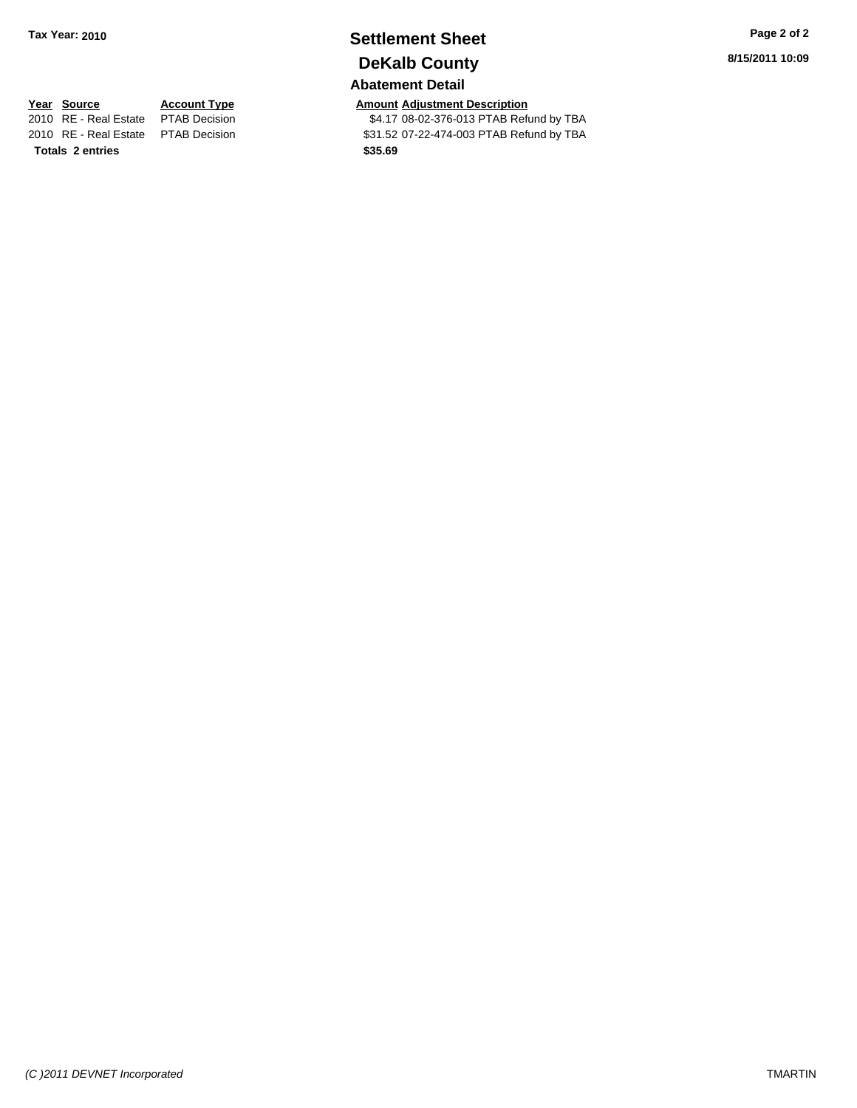## **Settlement Sheet Tax Year: 2010 Page 2 of 2 DeKalb County**

## **Abatement Detail**

**Year Source Account Type Amount Adjustment Description**<br>2010 RE - Real Estate PTAB Decision **AMOU SE 184.17** 08-02-376-013 PTAB Refu \$4.17 08-02-376-013 PTAB Refund by TBA 2010 RE - Real Estate \$31.52 07-22-474-003 PTAB Refund by TBA PTAB Decision **8/15/2011 10:09**

**Totals \$35.69 2 entries**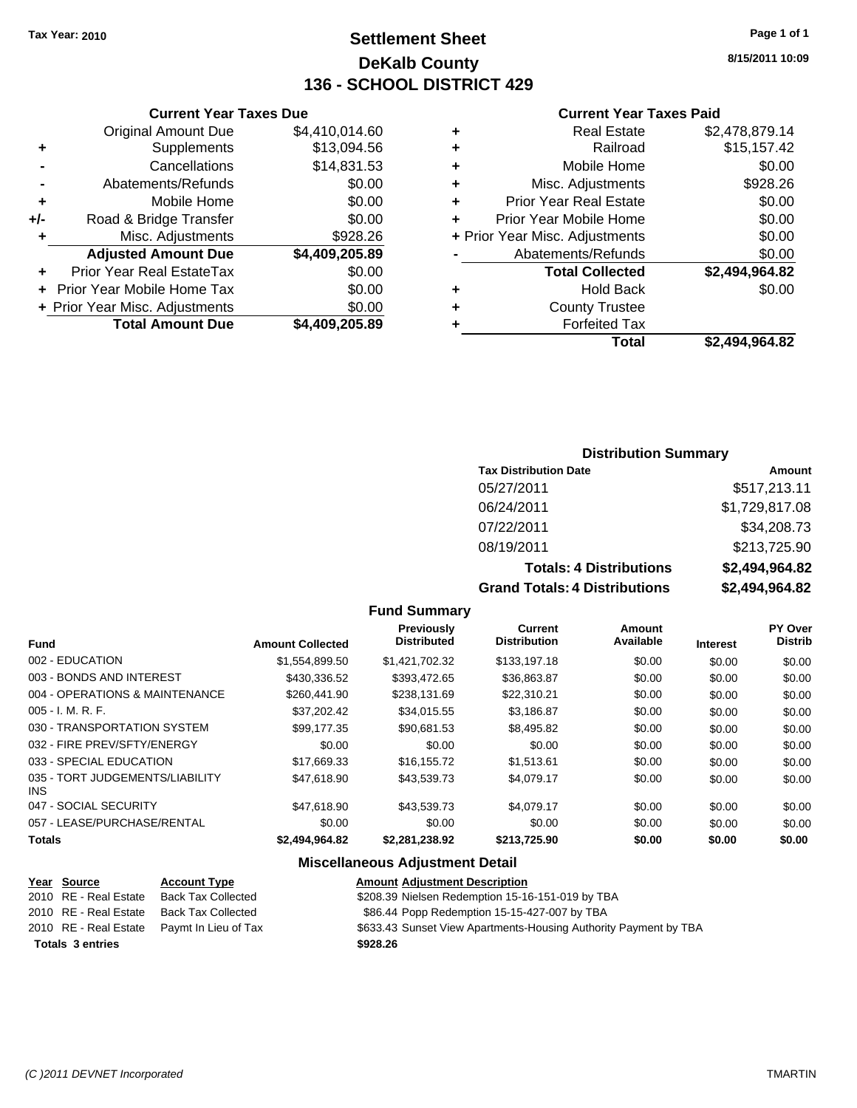## **Settlement Sheet Tax Year: 2010 Page 1 of 1 DeKalb County 136 - SCHOOL DISTRICT 429**

**8/15/2011 10:09**

#### **Current Year Taxes Paid**

| + Prior Year Misc. Adjustments<br>Abatements/Refunds<br><b>Total Collected</b><br><b>Hold Back</b><br><b>County Trustee</b><br><b>Forfeited Tax</b> | \$0.00<br>\$0.00<br>\$2,494,964.82<br>\$0.00 |
|-----------------------------------------------------------------------------------------------------------------------------------------------------|----------------------------------------------|
|                                                                                                                                                     |                                              |
|                                                                                                                                                     |                                              |
|                                                                                                                                                     |                                              |
|                                                                                                                                                     |                                              |
|                                                                                                                                                     |                                              |
|                                                                                                                                                     |                                              |
| Prior Year Mobile Home                                                                                                                              | \$0.00                                       |
| <b>Prior Year Real Estate</b>                                                                                                                       | \$0.00                                       |
| Misc. Adjustments                                                                                                                                   | \$928.26                                     |
|                                                                                                                                                     | \$0.00                                       |
| Mobile Home                                                                                                                                         |                                              |
| Railroad                                                                                                                                            | \$15,157.42                                  |
|                                                                                                                                                     |                                              |

|     | <b>Current Year Taxes Due</b>  |                |
|-----|--------------------------------|----------------|
|     | <b>Original Amount Due</b>     | \$4,410,014.60 |
| ٠   | Supplements                    | \$13,094.56    |
|     | Cancellations                  | \$14,831.53    |
|     | Abatements/Refunds             | \$0.00         |
| ٠   | Mobile Home                    | \$0.00         |
| +/- | Road & Bridge Transfer         | \$0.00         |
| ٠   | Misc. Adjustments              | \$928.26       |
|     | <b>Adjusted Amount Due</b>     | \$4,409,205.89 |
|     | Prior Year Real EstateTax      | \$0.00         |
|     | Prior Year Mobile Home Tax     | \$0.00         |
|     | + Prior Year Misc. Adjustments | \$0.00         |
|     | <b>Total Amount Due</b>        | \$4,409,205.89 |

#### **Distribution Summary**

| <b>Tax Distribution Date</b>   | Amount         |
|--------------------------------|----------------|
| 05/27/2011                     | \$517,213.11   |
| 06/24/2011                     | \$1,729,817.08 |
| 07/22/2011                     | \$34,208.73    |
| 08/19/2011                     | \$213,725.90   |
| <b>Totals: 4 Distributions</b> | \$2,494,964.82 |
| _____________                  | .              |

**Grand Totals: 4 Distributions \$2,494,964.82**

| <b>Fund Summary</b> |  |
|---------------------|--|
|---------------------|--|

| <b>Fund</b>                                   | <b>Amount Collected</b> | Previously<br><b>Distributed</b> | Current<br><b>Distribution</b> | Amount<br>Available | <b>Interest</b> | PY Over<br><b>Distrib</b> |
|-----------------------------------------------|-------------------------|----------------------------------|--------------------------------|---------------------|-----------------|---------------------------|
|                                               |                         |                                  |                                |                     |                 |                           |
| 002 - EDUCATION                               | \$1,554,899.50          | \$1,421,702.32                   | \$133,197.18                   | \$0.00              | \$0.00          | \$0.00                    |
| 003 - BONDS AND INTEREST                      | \$430,336.52            | \$393.472.65                     | \$36,863.87                    | \$0.00              | \$0.00          | \$0.00                    |
| 004 - OPERATIONS & MAINTENANCE                | \$260,441,90            | \$238,131.69                     | \$22,310.21                    | \$0.00              | \$0.00          | \$0.00                    |
| $005 - I. M. R. F.$                           | \$37.202.42             | \$34.015.55                      | \$3,186.87                     | \$0.00              | \$0.00          | \$0.00                    |
| 030 - TRANSPORTATION SYSTEM                   | \$99.177.35             | \$90,681.53                      | \$8,495.82                     | \$0.00              | \$0.00          | \$0.00                    |
| 032 - FIRE PREV/SFTY/ENERGY                   | \$0.00                  | \$0.00                           | \$0.00                         | \$0.00              | \$0.00          | \$0.00                    |
| 033 - SPECIAL EDUCATION                       | \$17.669.33             | \$16.155.72                      | \$1.513.61                     | \$0.00              | \$0.00          | \$0.00                    |
| 035 - TORT JUDGEMENTS/LIABILITY<br><b>INS</b> | \$47.618.90             | \$43.539.73                      | \$4.079.17                     | \$0.00              | \$0.00          | \$0.00                    |
| 047 - SOCIAL SECURITY                         | \$47.618.90             | \$43,539.73                      | \$4.079.17                     | \$0.00              | \$0.00          | \$0.00                    |
| 057 - LEASE/PURCHASE/RENTAL                   | \$0.00                  | \$0.00                           | \$0.00                         | \$0.00              | \$0.00          | \$0.00                    |
| <b>Totals</b>                                 | \$2,494,964.82          | \$2,281,238.92                   | \$213,725.90                   | \$0.00              | \$0.00          | \$0.00                    |

#### **Miscellaneous Adjustment Detail**

| <u>Year Source</u>      | <b>Account Type</b>  | <b>Amount Adjustment Description</b>                             |
|-------------------------|----------------------|------------------------------------------------------------------|
| 2010 RE - Real Estate   | Back Tax Collected   | \$208.39 Nielsen Redemption 15-16-151-019 by TBA                 |
| 2010 RE - Real Estate   | Back Tax Collected   | \$86.44 Popp Redemption 15-15-427-007 by TBA                     |
| 2010 RE - Real Estate   | Paymt In Lieu of Tax | \$633.43 Sunset View Apartments-Housing Authority Payment by TBA |
| <b>Totals 3 entries</b> |                      | \$928.26                                                         |
|                         |                      |                                                                  |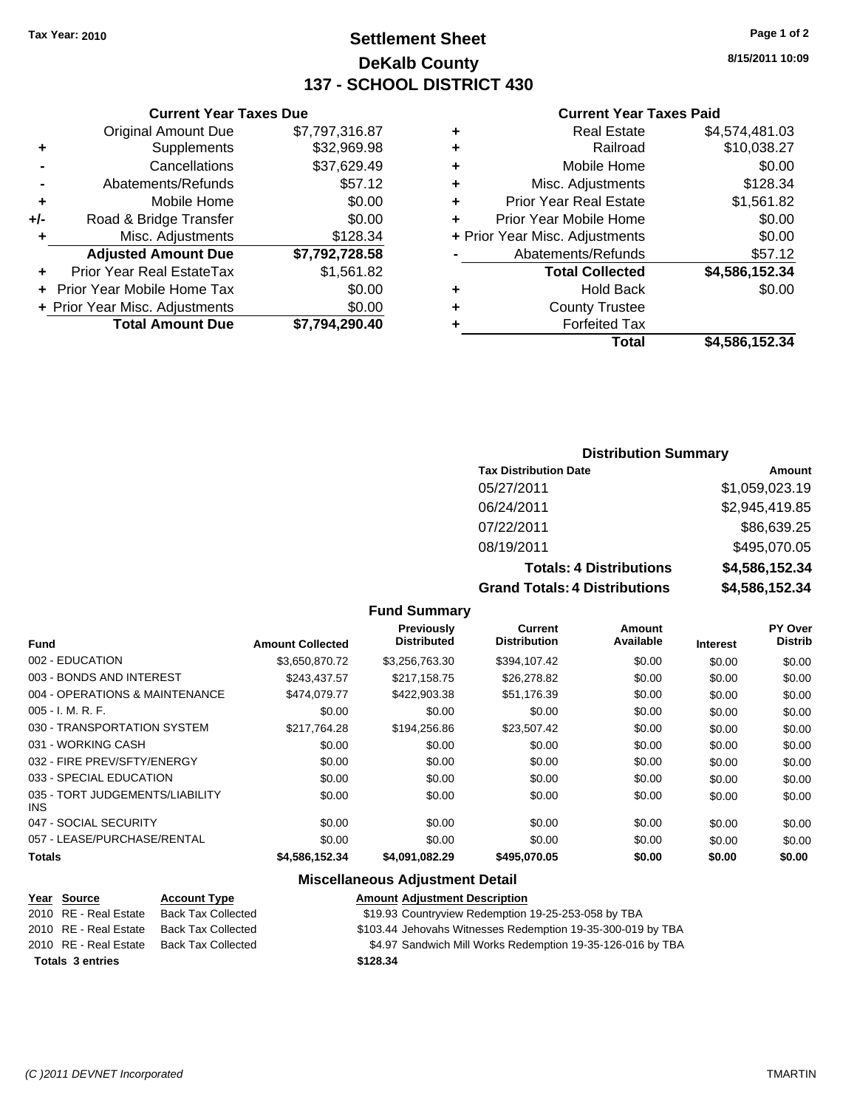## **Settlement Sheet Tax Year: 2010 Page 1 of 2 DeKalb County 137 - SCHOOL DISTRICT 430**

**8/15/2011 10:09**

#### **Current Year Taxes Paid**

|   | <b>Real Estate</b>             | \$4,574,481.03 |
|---|--------------------------------|----------------|
| ٠ | Railroad                       | \$10,038.27    |
| ٠ | Mobile Home                    | \$0.00         |
| ٠ | Misc. Adjustments              | \$128.34       |
| ٠ | <b>Prior Year Real Estate</b>  | \$1,561.82     |
| ÷ | Prior Year Mobile Home         | \$0.00         |
|   | + Prior Year Misc. Adjustments | \$0.00         |
|   | Abatements/Refunds             | \$57.12        |
|   | <b>Total Collected</b>         | \$4,586,152.34 |
| ٠ | <b>Hold Back</b>               | \$0.00         |
| ÷ | <b>County Trustee</b>          |                |
|   | <b>Forfeited Tax</b>           |                |
|   | Total                          | \$4.586.152.34 |

|     | <b>Current Year Taxes Due</b>  |                |  |
|-----|--------------------------------|----------------|--|
|     | <b>Original Amount Due</b>     | \$7,797,316.87 |  |
| ٠   | Supplements                    | \$32,969.98    |  |
|     | Cancellations                  | \$37,629.49    |  |
|     | Abatements/Refunds             | \$57.12        |  |
| ٠   | Mobile Home                    | \$0.00         |  |
| +/- | Road & Bridge Transfer         | \$0.00         |  |
| ٠   | Misc. Adjustments              | \$128.34       |  |
|     | <b>Adjusted Amount Due</b>     | \$7,792,728.58 |  |
|     | Prior Year Real EstateTax      | \$1,561.82     |  |
|     | Prior Year Mobile Home Tax     | \$0.00         |  |
|     | + Prior Year Misc. Adjustments | \$0.00         |  |
|     | <b>Total Amount Due</b>        | \$7,794,290.40 |  |

#### **Distribution Summary**

| <b>Tax Distribution Date</b>      | Amount         |
|-----------------------------------|----------------|
| 05/27/2011                        | \$1,059,023.19 |
| 06/24/2011                        | \$2,945,419.85 |
| 07/22/2011                        | \$86,639.25    |
| 08/19/2011                        | \$495,070.05   |
| <b>Totals: 4 Distributions</b>    | \$4,586,152.34 |
| Osan di Tatalan 4 Diatullantiana. | 01 FOO 1FO 01  |

**Grand Totals: 4 Distributions \$4,586,152.34**

| <b>Fund</b>                                   | <b>Amount Collected</b> | <b>Previously</b><br><b>Distributed</b> | <b>Current</b><br><b>Distribution</b> | <b>Amount</b><br>Available | <b>Interest</b> | PY Over<br><b>Distrib</b> |
|-----------------------------------------------|-------------------------|-----------------------------------------|---------------------------------------|----------------------------|-----------------|---------------------------|
| 002 - EDUCATION                               | \$3.650.870.72          | \$3,256,763.30                          | \$394.107.42                          | \$0.00                     | \$0.00          | \$0.00                    |
| 003 - BONDS AND INTEREST                      | \$243.437.57            | \$217.158.75                            | \$26,278.82                           | \$0.00                     | \$0.00          | \$0.00                    |
| 004 - OPERATIONS & MAINTENANCE                | \$474,079.77            | \$422,903.38                            | \$51.176.39                           | \$0.00                     | \$0.00          | \$0.00                    |
| $005 - I. M. R. F.$                           | \$0.00                  | \$0.00                                  | \$0.00                                | \$0.00                     | \$0.00          | \$0.00                    |
| 030 - TRANSPORTATION SYSTEM                   | \$217.764.28            | \$194.256.86                            | \$23.507.42                           | \$0.00                     | \$0.00          | \$0.00                    |
| 031 - WORKING CASH                            | \$0.00                  | \$0.00                                  | \$0.00                                | \$0.00                     | \$0.00          | \$0.00                    |
| 032 - FIRE PREV/SFTY/ENERGY                   | \$0.00                  | \$0.00                                  | \$0.00                                | \$0.00                     | \$0.00          | \$0.00                    |
| 033 - SPECIAL EDUCATION                       | \$0.00                  | \$0.00                                  | \$0.00                                | \$0.00                     | \$0.00          | \$0.00                    |
| 035 - TORT JUDGEMENTS/LIABILITY<br><b>INS</b> | \$0.00                  | \$0.00                                  | \$0.00                                | \$0.00                     | \$0.00          | \$0.00                    |
| 047 - SOCIAL SECURITY                         | \$0.00                  | \$0.00                                  | \$0.00                                | \$0.00                     | \$0.00          | \$0.00                    |
| 057 - LEASE/PURCHASE/RENTAL                   | \$0.00                  | \$0.00                                  | \$0.00                                | \$0.00                     | \$0.00          | \$0.00                    |
| <b>Totals</b>                                 | \$4,586,152.34          | \$4,091,082.29                          | \$495,070.05                          | \$0.00                     | \$0.00          | \$0.00                    |

**Fund Summary**

#### **Miscellaneous Adjustment Detail**

| Year Source             | <b>Account Type</b>       | Amount   |
|-------------------------|---------------------------|----------|
| 2010 RE - Real Estate   | <b>Back Tax Collected</b> | \$19.93  |
| 2010 RE - Real Estate   | <b>Back Tax Collected</b> | \$103.44 |
| 2010 RE - Real Estate   | Back Tax Collected        | \$4.97   |
| <b>Totals 3 entries</b> |                           | \$128.34 |

**Year Source Account Type Amount Adjustment Description** 19.93 Countryview Redemption 19-25-253-058 by TBA

2014 Jehovahs Witnesses Redemption 19-35-300-019 by TBA

\$4.97 Sandwich Mill Works Redemption 19-35-126-016 by TBA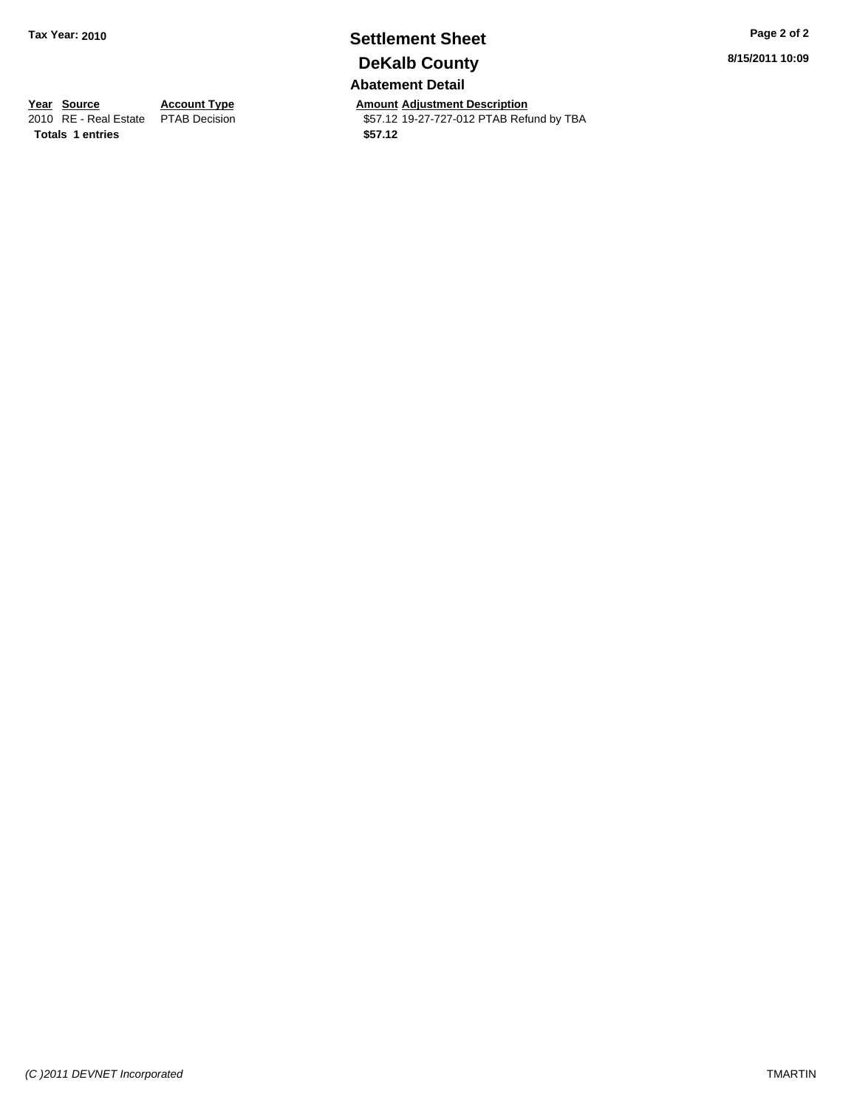## **Settlement Sheet Tax Year: 2010 Page 2 of 2 DeKalb County**

**Abatement Detail**

**Year Source Account Type Amount Adjustment Description**<br>
2010 RE - Real Estate PTAB Decision **Amount** 19-27-727-012 PTAB Refu \$57.12 19-27-727-012 PTAB Refund by TBA **8/15/2011 10:09**

**Totals 1 entries** \$57.12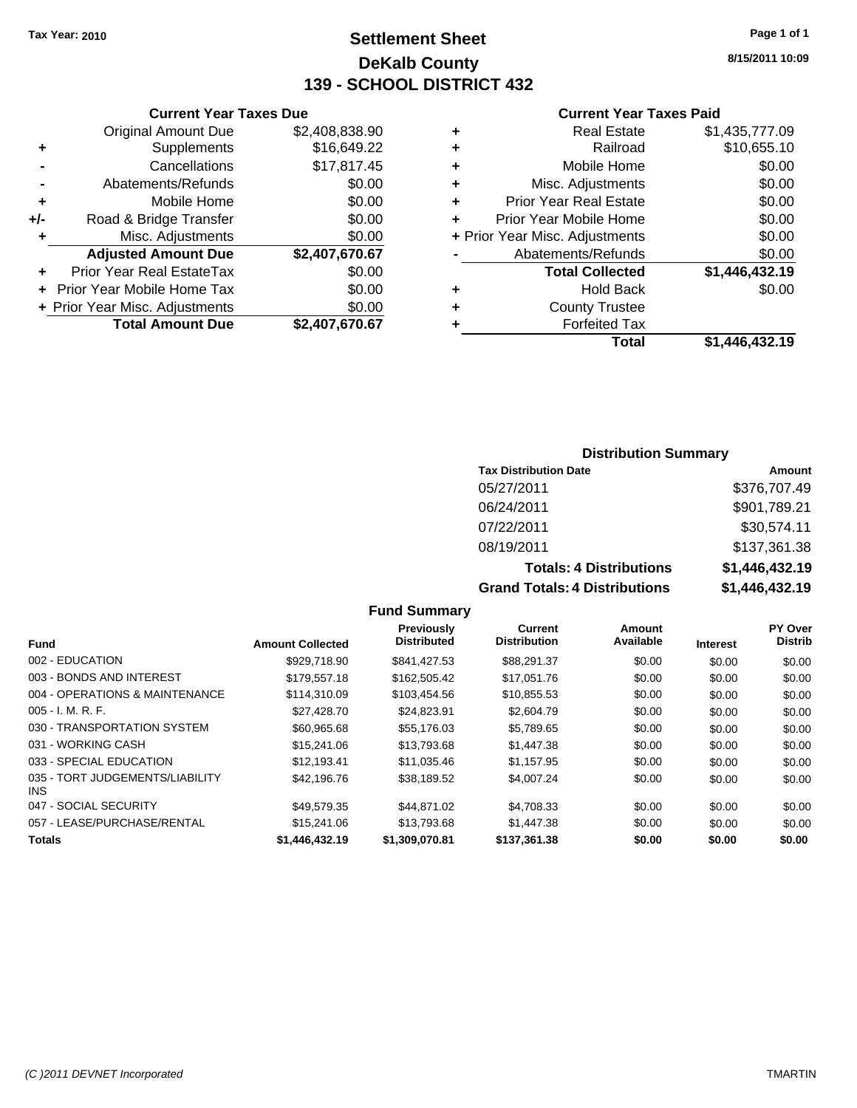## **Settlement Sheet Tax Year: 2010 Page 1 of 1 DeKalb County 139 - SCHOOL DISTRICT 432**

**8/15/2011 10:09**

#### **Current Year Taxes Paid**

|   | <b>Real Estate</b>             | \$1,435,777.09 |
|---|--------------------------------|----------------|
| ٠ | Railroad                       | \$10,655.10    |
| ٠ | Mobile Home                    | \$0.00         |
| ٠ | Misc. Adjustments              | \$0.00         |
| ٠ | <b>Prior Year Real Estate</b>  | \$0.00         |
|   | Prior Year Mobile Home         | \$0.00         |
|   | + Prior Year Misc. Adjustments | \$0.00         |
|   | Abatements/Refunds             | \$0.00         |
|   | <b>Total Collected</b>         | \$1,446,432.19 |
| ٠ | <b>Hold Back</b>               | \$0.00         |
| ٠ | <b>County Trustee</b>          |                |
|   | <b>Forfeited Tax</b>           |                |
|   | Total                          | \$1,446,432.19 |

|     | <b>Current Year Taxes Due</b>     |                |
|-----|-----------------------------------|----------------|
|     | <b>Original Amount Due</b>        | \$2,408,838.90 |
| ٠   | Supplements                       | \$16,649.22    |
|     | Cancellations                     | \$17,817.45    |
|     | Abatements/Refunds                | \$0.00         |
| ٠   | Mobile Home                       | \$0.00         |
| +/- | Road & Bridge Transfer            | \$0.00         |
| ٠   | Misc. Adjustments                 | \$0.00         |
|     | <b>Adjusted Amount Due</b>        | \$2,407,670.67 |
|     | <b>Prior Year Real EstateTax</b>  | \$0.00         |
|     | <b>Prior Year Mobile Home Tax</b> | \$0.00         |
|     | + Prior Year Misc. Adjustments    | \$0.00         |
|     | <b>Total Amount Due</b>           | \$2,407,670.67 |

#### **Distribution Summary**

| <b>Tax Distribution Date</b>   | Amount               |
|--------------------------------|----------------------|
| 05/27/2011                     | \$376,707.49         |
| 06/24/2011                     | \$901,789.21         |
| 07/22/2011                     | \$30,574.11          |
| 08/19/2011                     | \$137.361.38         |
| <b>Totals: 4 Distributions</b> | \$1,446,432.19       |
| Crond Totolo: 4 Diotributions  | <b>CA AAC ASS AD</b> |

**Grand Totals: 4 Distributions \$1,446,432.19**

| s | \$1,446,432.1  |
|---|----------------|
| s | \$1,446,432.19 |

|                                               |                         | <b>Previously</b>  | <b>Current</b>      | Amount    |                 | PY Over        |
|-----------------------------------------------|-------------------------|--------------------|---------------------|-----------|-----------------|----------------|
| <b>Fund</b>                                   | <b>Amount Collected</b> | <b>Distributed</b> | <b>Distribution</b> | Available | <b>Interest</b> | <b>Distrib</b> |
| 002 - EDUCATION                               | \$929,718.90            | \$841.427.53       | \$88,291,37         | \$0.00    | \$0.00          | \$0.00         |
| 003 - BONDS AND INTEREST                      | \$179,557.18            | \$162,505.42       | \$17,051.76         | \$0.00    | \$0.00          | \$0.00         |
| 004 - OPERATIONS & MAINTENANCE                | \$114.310.09            | \$103.454.56       | \$10,855.53         | \$0.00    | \$0.00          | \$0.00         |
| $005 - I. M. R. F.$                           | \$27,428.70             | \$24,823.91        | \$2,604.79          | \$0.00    | \$0.00          | \$0.00         |
| 030 - TRANSPORTATION SYSTEM                   | \$60.965.68             | \$55,176,03        | \$5.789.65          | \$0.00    | \$0.00          | \$0.00         |
| 031 - WORKING CASH                            | \$15,241.06             | \$13,793.68        | \$1,447.38          | \$0.00    | \$0.00          | \$0.00         |
| 033 - SPECIAL EDUCATION                       | \$12.193.41             | \$11,035.46        | \$1,157.95          | \$0.00    | \$0.00          | \$0.00         |
| 035 - TORT JUDGEMENTS/LIABILITY<br><b>INS</b> | \$42,196.76             | \$38,189.52        | \$4,007.24          | \$0.00    | \$0.00          | \$0.00         |
| 047 - SOCIAL SECURITY                         | \$49.579.35             | \$44.871.02        | \$4,708.33          | \$0.00    | \$0.00          | \$0.00         |
| 057 - LEASE/PURCHASE/RENTAL                   | \$15,241.06             | \$13,793.68        | \$1,447.38          | \$0.00    | \$0.00          | \$0.00         |
| <b>Totals</b>                                 | \$1,446,432.19          | \$1,309,070.81     | \$137,361.38        | \$0.00    | \$0.00          | \$0.00         |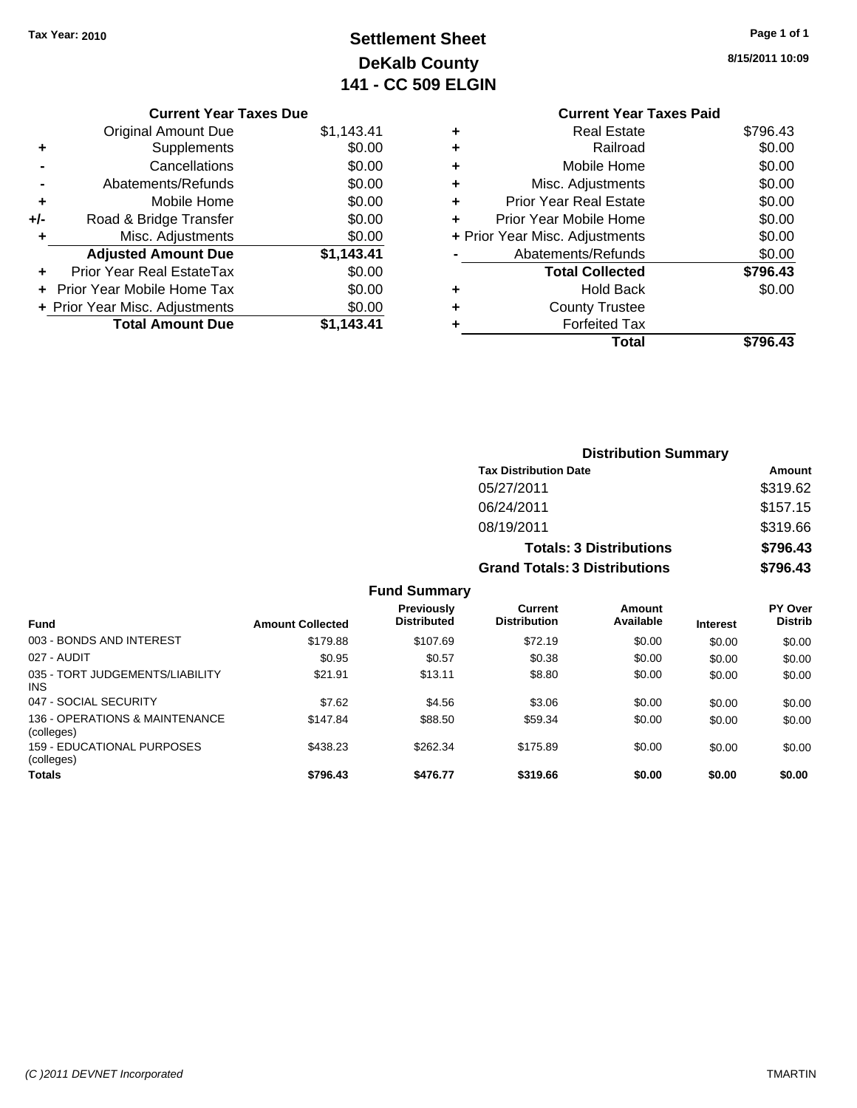## **Settlement Sheet Tax Year: 2010 Page 1 of 1 DeKalb County 141 - CC 509 ELGIN**

**8/15/2011 10:09**

#### **Current Year Taxes Paid +** Real Estate \$796.43 **+** Railroad \$0.00 **+** Mobile Home \$0.00 **+** Misc. Adjustments \$0.00 **+** Prior Year Real Estate \$0.00 **+** Prior Year Mobile Home \$0.00 **+** Prior Year Misc. Adjustments \$0.00 **-** Abatements/Refunds \$0.00 **Total Collected \$796.43 +** Hold Back \$0.00 **+** County Trustee **+** Forfeited Tax **Total \$796.43**

|     | <b>Current Year Taxes Due</b>  |            |
|-----|--------------------------------|------------|
|     | Original Amount Due            | \$1,143.41 |
| ٠   | Supplements                    | \$0.00     |
|     | Cancellations                  | \$0.00     |
|     | Abatements/Refunds             | \$0.00     |
| ٠   | Mobile Home                    | \$0.00     |
| +/- | Road & Bridge Transfer         | \$0.00     |
|     | Misc. Adjustments              | \$0.00     |
|     | <b>Adjusted Amount Due</b>     | \$1,143.41 |
|     | Prior Year Real EstateTax      | \$0.00     |
|     | Prior Year Mobile Home Tax     | \$0.00     |
|     | + Prior Year Misc. Adjustments | \$0.00     |
|     | <b>Total Amount Due</b>        | \$1,143.41 |
|     |                                |            |

|                          |                         |                                         | <b>Distribution Summary</b>           |                                |                 |                           |  |
|--------------------------|-------------------------|-----------------------------------------|---------------------------------------|--------------------------------|-----------------|---------------------------|--|
|                          |                         |                                         | <b>Tax Distribution Date</b>          |                                |                 | Amount                    |  |
|                          |                         |                                         | 05/27/2011                            |                                |                 | \$319.62                  |  |
|                          |                         |                                         | 06/24/2011                            |                                |                 | \$157.15                  |  |
|                          |                         |                                         | 08/19/2011                            |                                |                 | \$319.66                  |  |
|                          |                         |                                         |                                       | <b>Totals: 3 Distributions</b> |                 | \$796.43                  |  |
|                          |                         |                                         | <b>Grand Totals: 3 Distributions</b>  |                                |                 | \$796.43                  |  |
|                          |                         | <b>Fund Summary</b>                     |                                       |                                |                 |                           |  |
| <b>Fund</b>              | <b>Amount Collected</b> | <b>Previously</b><br><b>Distributed</b> | <b>Current</b><br><b>Distribution</b> | Amount<br>Available            | <b>Interest</b> | PY Over<br><b>Distrib</b> |  |
| 003 - BONDS AND INTEREST | \$179.88                | \$107.69                                | \$72.19                               | \$0.00                         | \$0.00          | \$0.00                    |  |
| 027 - AUDIT              | \$0.95                  | \$0.57                                  | \$0.38                                | \$0.00                         | \$0.00          | \$0.00                    |  |

| <b>Fund</b>                                   | <b>Amount Collected</b> | <b>Distributed</b> | <b>Distribution</b> | Available | <b>Interest</b> | <b>Distrib</b> |
|-----------------------------------------------|-------------------------|--------------------|---------------------|-----------|-----------------|----------------|
| 003 - BONDS AND INTEREST                      | \$179.88                | \$107.69           | \$72.19             | \$0.00    | \$0.00          | \$0.00         |
| 027 - AUDIT                                   | \$0.95                  | \$0.57             | \$0.38              | \$0.00    | \$0.00          | \$0.00         |
| 035 - TORT JUDGEMENTS/LIABILITY<br><b>INS</b> | \$21.91                 | \$13.11            | \$8.80              | \$0.00    | \$0.00          | \$0.00         |
| 047 - SOCIAL SECURITY                         | \$7.62                  | \$4.56             | \$3.06              | \$0.00    | \$0.00          | \$0.00         |
| 136 - OPERATIONS & MAINTENANCE<br>(colleges)  | \$147.84                | \$88.50            | \$59.34             | \$0.00    | \$0.00          | \$0.00         |
| 159 - EDUCATIONAL PURPOSES<br>(colleges)      | \$438.23                | \$262.34           | \$175.89            | \$0.00    | \$0.00          | \$0.00         |
| <b>Totals</b>                                 | \$796.43                | \$476.77           | \$319.66            | \$0.00    | \$0.00          | \$0.00         |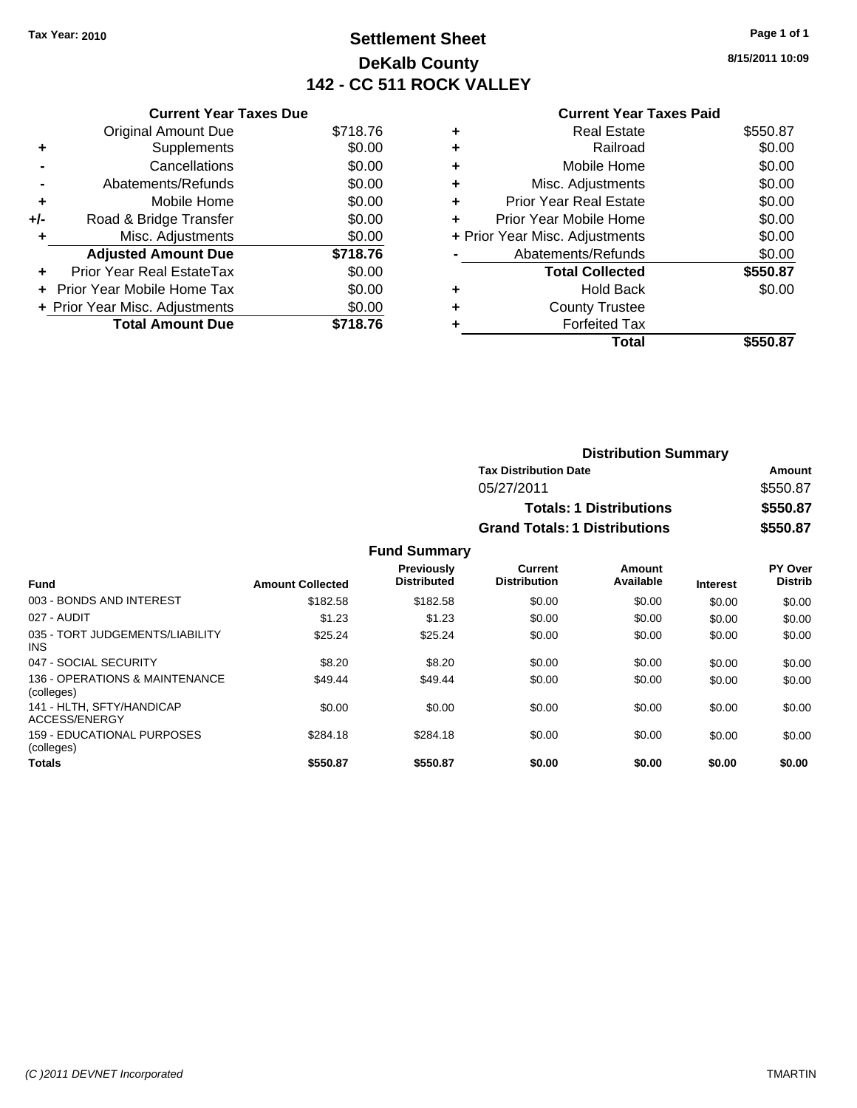## **Settlement Sheet Tax Year: 2010 Page 1 of 1 DeKalb County 142 - CC 511 ROCK VALLEY**

**8/15/2011 10:09**

#### **Current Year Taxes Paid**

|     | <b>Current Year Taxes Due</b>     |          |
|-----|-----------------------------------|----------|
|     | <b>Original Amount Due</b>        | \$718.76 |
| ٠   | Supplements                       | \$0.00   |
|     | Cancellations                     | \$0.00   |
|     | Abatements/Refunds                | \$0.00   |
| ٠   | Mobile Home                       | \$0.00   |
| +/- | Road & Bridge Transfer            | \$0.00   |
|     | Misc. Adjustments                 | \$0.00   |
|     | <b>Adjusted Amount Due</b>        | \$718.76 |
| ÷   | Prior Year Real EstateTax         | \$0.00   |
| ÷   | <b>Prior Year Mobile Home Tax</b> | \$0.00   |
|     | + Prior Year Misc. Adjustments    | \$0.00   |
|     | <b>Total Amount Due</b>           | \$718.76 |

|   | Total                          | \$550.87 |
|---|--------------------------------|----------|
| ٠ | <b>Forfeited Tax</b>           |          |
| ٠ | <b>County Trustee</b>          |          |
| ٠ | <b>Hold Back</b>               | \$0.00   |
|   | <b>Total Collected</b>         | \$550.87 |
|   | Abatements/Refunds             | \$0.00   |
|   | + Prior Year Misc. Adjustments | \$0.00   |
|   | Prior Year Mobile Home         | \$0.00   |
| ÷ | Prior Year Real Estate         | \$0.00   |
| ٠ | Misc. Adjustments              | \$0.00   |
| ٠ | Mobile Home                    | \$0.00   |
| ٠ | Railroad                       | \$0.00   |
| ٠ | <b>Real Estate</b>             | \$550.87 |
|   |                                |          |

| <b>Distribution Summary</b>          |          |  |  |
|--------------------------------------|----------|--|--|
| <b>Tax Distribution Date</b>         | Amount   |  |  |
| 05/27/2011                           | \$550.87 |  |  |
| <b>Totals: 1 Distributions</b>       | \$550.87 |  |  |
| <b>Grand Totals: 1 Distributions</b> | \$550.87 |  |  |

| <b>Fund</b>                                   | <b>Amount Collected</b> | <b>Previously</b><br><b>Distributed</b> | Current<br><b>Distribution</b> | Amount<br>Available | <b>Interest</b> | PY Over<br><b>Distrib</b> |
|-----------------------------------------------|-------------------------|-----------------------------------------|--------------------------------|---------------------|-----------------|---------------------------|
| 003 - BONDS AND INTEREST                      | \$182.58                | \$182.58                                | \$0.00                         | \$0.00              | \$0.00          | \$0.00                    |
| 027 - AUDIT                                   | \$1.23                  | \$1.23                                  | \$0.00                         | \$0.00              | \$0.00          | \$0.00                    |
| 035 - TORT JUDGEMENTS/LIABILITY<br><b>INS</b> | \$25.24                 | \$25.24                                 | \$0.00                         | \$0.00              | \$0.00          | \$0.00                    |
| 047 - SOCIAL SECURITY                         | \$8.20                  | \$8.20                                  | \$0.00                         | \$0.00              | \$0.00          | \$0.00                    |
| 136 - OPERATIONS & MAINTENANCE<br>(colleges)  | \$49.44                 | \$49.44                                 | \$0.00                         | \$0.00              | \$0.00          | \$0.00                    |
| 141 - HLTH. SFTY/HANDICAP<br>ACCESS/ENERGY    | \$0.00                  | \$0.00                                  | \$0.00                         | \$0.00              | \$0.00          | \$0.00                    |
| 159 - EDUCATIONAL PURPOSES<br>(colleges)      | \$284.18                | \$284.18                                | \$0.00                         | \$0.00              | \$0.00          | \$0.00                    |
| <b>Totals</b>                                 | \$550.87                | \$550.87                                | \$0.00                         | \$0.00              | \$0.00          | \$0.00                    |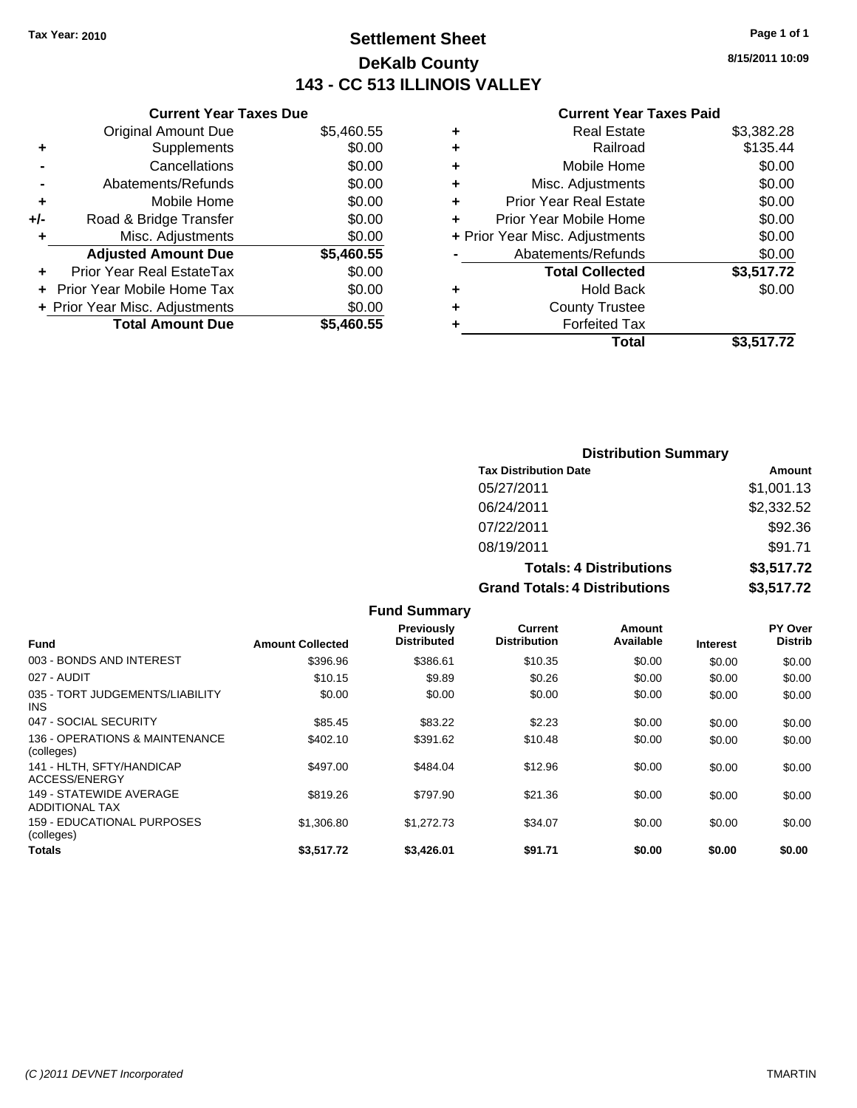## **Settlement Sheet Tax Year: 2010 Page 1 of 1 DeKalb County 143 - CC 513 ILLINOIS VALLEY**

**8/15/2011 10:09**

#### **Current Year Taxes Paid**

| <b>Current Year Taxes Due</b>         |            |  |  |  |
|---------------------------------------|------------|--|--|--|
| Original Amount Due                   | \$5,460.55 |  |  |  |
| Supplements<br>٠                      | \$0.00     |  |  |  |
| Cancellations                         | \$0.00     |  |  |  |
| Abatements/Refunds                    | \$0.00     |  |  |  |
| Mobile Home<br>٠                      | \$0.00     |  |  |  |
| Road & Bridge Transfer<br>+/-         | \$0.00     |  |  |  |
| Misc. Adjustments<br>٠                | \$0.00     |  |  |  |
| <b>Adjusted Amount Due</b>            | \$5,460.55 |  |  |  |
| <b>Prior Year Real EstateTax</b><br>٠ | \$0.00     |  |  |  |
|                                       |            |  |  |  |
| Prior Year Mobile Home Tax            | \$0.00     |  |  |  |
| + Prior Year Misc. Adjustments        | \$0.00     |  |  |  |

| <b>Real Estate</b>             | \$3,382.28 |
|--------------------------------|------------|
| Railroad                       | \$135.44   |
| Mobile Home                    | \$0.00     |
| Misc. Adjustments              | \$0.00     |
| <b>Prior Year Real Estate</b>  | \$0.00     |
| Prior Year Mobile Home         | \$0.00     |
| + Prior Year Misc. Adjustments | \$0.00     |
| Abatements/Refunds             | \$0.00     |
| <b>Total Collected</b>         | \$3,517.72 |
| <b>Hold Back</b>               | \$0.00     |
| <b>County Trustee</b>          |            |
| <b>Forfeited Tax</b>           |            |
| Total                          | \$3,517.72 |
|                                |            |

| <b>Distribution Summary</b> |                                      |            |  |
|-----------------------------|--------------------------------------|------------|--|
|                             | <b>Tax Distribution Date</b>         | Amount     |  |
|                             | 05/27/2011                           | \$1,001.13 |  |
|                             | 06/24/2011                           | \$2,332.52 |  |
|                             | 07/22/2011                           | \$92.36    |  |
|                             | 08/19/2011                           | \$91.71    |  |
|                             | <b>Totals: 4 Distributions</b>       | \$3,517.72 |  |
|                             | <b>Grand Totals: 4 Distributions</b> | \$3,517.72 |  |

|                                                  |                         | <b>Fund Summary</b>                     |                                       |                     |                 |                           |
|--------------------------------------------------|-------------------------|-----------------------------------------|---------------------------------------|---------------------|-----------------|---------------------------|
| <b>Fund</b>                                      | <b>Amount Collected</b> | <b>Previously</b><br><b>Distributed</b> | <b>Current</b><br><b>Distribution</b> | Amount<br>Available | <b>Interest</b> | PY Over<br><b>Distrib</b> |
| 003 - BONDS AND INTEREST                         | \$396.96                | \$386.61                                | \$10.35                               | \$0.00              | \$0.00          | \$0.00                    |
| 027 - AUDIT                                      | \$10.15                 | \$9.89                                  | \$0.26                                | \$0.00              | \$0.00          | \$0.00                    |
| 035 - TORT JUDGEMENTS/LIABILITY<br><b>INS</b>    | \$0.00                  | \$0.00                                  | \$0.00                                | \$0.00              | \$0.00          | \$0.00                    |
| 047 - SOCIAL SECURITY                            | \$85.45                 | \$83.22                                 | \$2.23                                | \$0.00              | \$0.00          | \$0.00                    |
| 136 - OPERATIONS & MAINTENANCE<br>(colleges)     | \$402.10                | \$391.62                                | \$10.48                               | \$0.00              | \$0.00          | \$0.00                    |
| 141 - HLTH. SFTY/HANDICAP<br>ACCESS/ENERGY       | \$497.00                | \$484.04                                | \$12.96                               | \$0.00              | \$0.00          | \$0.00                    |
| 149 - STATEWIDE AVERAGE<br><b>ADDITIONAL TAX</b> | \$819.26                | \$797.90                                | \$21.36                               | \$0.00              | \$0.00          | \$0.00                    |
| 159 - EDUCATIONAL PURPOSES<br>(colleges)         | \$1,306.80              | \$1,272.73                              | \$34.07                               | \$0.00              | \$0.00          | \$0.00                    |
| Totals                                           | \$3,517.72              | \$3,426.01                              | \$91.71                               | \$0.00              | \$0.00          | \$0.00                    |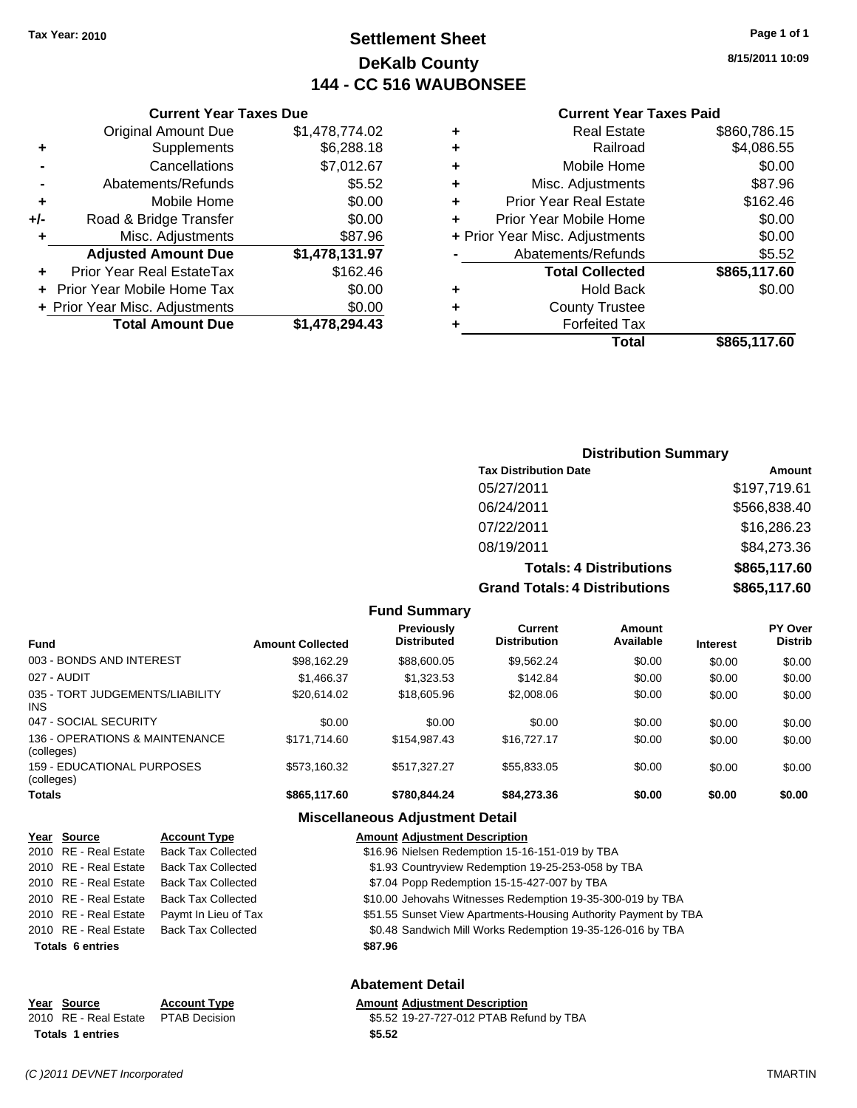## **Settlement Sheet Tax Year: 2010 Page 1 of 1 DeKalb County 144 - CC 516 WAUBONSEE**

**8/15/2011 10:09**

#### **Current Year Taxes Paid**

|   | Total                          | \$865,117.60 |
|---|--------------------------------|--------------|
| ٠ | <b>Forfeited Tax</b>           |              |
| ٠ | <b>County Trustee</b>          |              |
| ٠ | <b>Hold Back</b>               | \$0.00       |
|   | <b>Total Collected</b>         | \$865,117.60 |
|   | Abatements/Refunds             | \$5.52       |
|   | + Prior Year Misc. Adjustments | \$0.00       |
| ÷ | Prior Year Mobile Home         | \$0.00       |
| ٠ | <b>Prior Year Real Estate</b>  | \$162.46     |
| ٠ | Misc. Adjustments              | \$87.96      |
| ٠ | Mobile Home                    | \$0.00       |
| ٠ | Railroad                       | \$4,086.55   |
| ٠ | <b>Real Estate</b>             | \$860,786.15 |

|     | <b>Current Year Taxes Due</b>  |                |  |  |
|-----|--------------------------------|----------------|--|--|
|     | <b>Original Amount Due</b>     | \$1,478,774.02 |  |  |
| ٠   | Supplements                    | \$6,288.18     |  |  |
|     | Cancellations                  | \$7,012.67     |  |  |
|     | Abatements/Refunds             | \$5.52         |  |  |
| ٠   | Mobile Home                    | \$0.00         |  |  |
| +/- | Road & Bridge Transfer         | \$0.00         |  |  |
| ٠   | Misc. Adjustments              | \$87.96        |  |  |
|     | <b>Adjusted Amount Due</b>     | \$1,478,131.97 |  |  |
|     | Prior Year Real EstateTax      | \$162.46       |  |  |
|     | Prior Year Mobile Home Tax     | \$0.00         |  |  |
|     | + Prior Year Misc. Adjustments | \$0.00         |  |  |
|     | <b>Total Amount Due</b>        | \$1,478,294.43 |  |  |

#### **Distribution Summary**

| <b>Tax Distribution Date</b>         | Amount       |
|--------------------------------------|--------------|
| 05/27/2011                           | \$197,719.61 |
| 06/24/2011                           | \$566,838.40 |
| 07/22/2011                           | \$16,286.23  |
| 08/19/2011                           | \$84,273.36  |
| <b>Totals: 4 Distributions</b>       | \$865,117.60 |
| <b>Grand Totals: 4 Distributions</b> | \$865,117.60 |

#### **Fund Summary Fund Interest Amount Collected Distributed PY Over Distrib Amount Available Current Distribution Previously** 003 - BONDS AND INTEREST \$98,162.29 \$88,600.05 \$9,562.24 \$0.00 \$0.00 \$0.00 027 - AUDIT \$1,466.37 \$1,323.53 \$142.84 \$0.00 \$0.00 \$0.00 035 - TORT JUDGEMENTS/LIABILITY  $$20,614.02$   $$18,605.96$   $$2,008.06$   $$0.00$   $$0.00$   $$0.00$ 047 - SOCIAL SECURITY 60.00 \$0.00 \$0.00 \$0.00 \$0.00 \$0.00 \$0.00 \$0.00 \$0.00 \$0.00 136 - OPERATIONS & MAINTENANCE (colleges) \$171,714.60 \$154,987.43 \$16,727.17 \$0.00 \$0.00 \$0.00 159 - EDUCATIONAL PURPOSES (colleges) \$573,160.32 \$517,327.27 \$55,833.05 \$0.00 \$0.00 \$0.00 **Totals \$865,117.60 \$780,844.24 \$84,273.36 \$0.00 \$0.00 \$0.00**

#### **Miscellaneous Adjustment Detail**

| Year Source             | <b>Account Type</b>       | <b>Amount Adjustment Description</b>                            |  |  |
|-------------------------|---------------------------|-----------------------------------------------------------------|--|--|
| 2010 RE - Real Estate   | <b>Back Tax Collected</b> | \$16.96 Nielsen Redemption 15-16-151-019 by TBA                 |  |  |
| 2010 RE - Real Estate   | <b>Back Tax Collected</b> | \$1.93 Countryview Redemption 19-25-253-058 by TBA              |  |  |
| 2010 RE - Real Estate   | Back Tax Collected        | \$7.04 Popp Redemption 15-15-427-007 by TBA                     |  |  |
| 2010 RE - Real Estate   | <b>Back Tax Collected</b> | \$10.00 Jehovahs Witnesses Redemption 19-35-300-019 by TBA      |  |  |
| 2010 RE - Real Estate   | Paymt In Lieu of Tax      | \$51.55 Sunset View Apartments-Housing Authority Payment by TBA |  |  |
| 2010 RE - Real Estate   | <b>Back Tax Collected</b> | \$0.48 Sandwich Mill Works Redemption 19-35-126-016 by TBA      |  |  |
| <b>Totals 6 entries</b> |                           | \$87.96                                                         |  |  |
| <b>Abatement Detail</b> |                           |                                                                 |  |  |

|        | <b>Amount Adiustment Description</b>    |
|--------|-----------------------------------------|
|        | \$5.52 19-27-727-012 PTAB Refund by TBA |
| \$5.52 |                                         |

**Totals 1 entries** 

**Year Source Account Type** 2010 RE - Real Estate \$5.52 19-27-727-012 PTAB Refund by TBA PTAB Decision

INS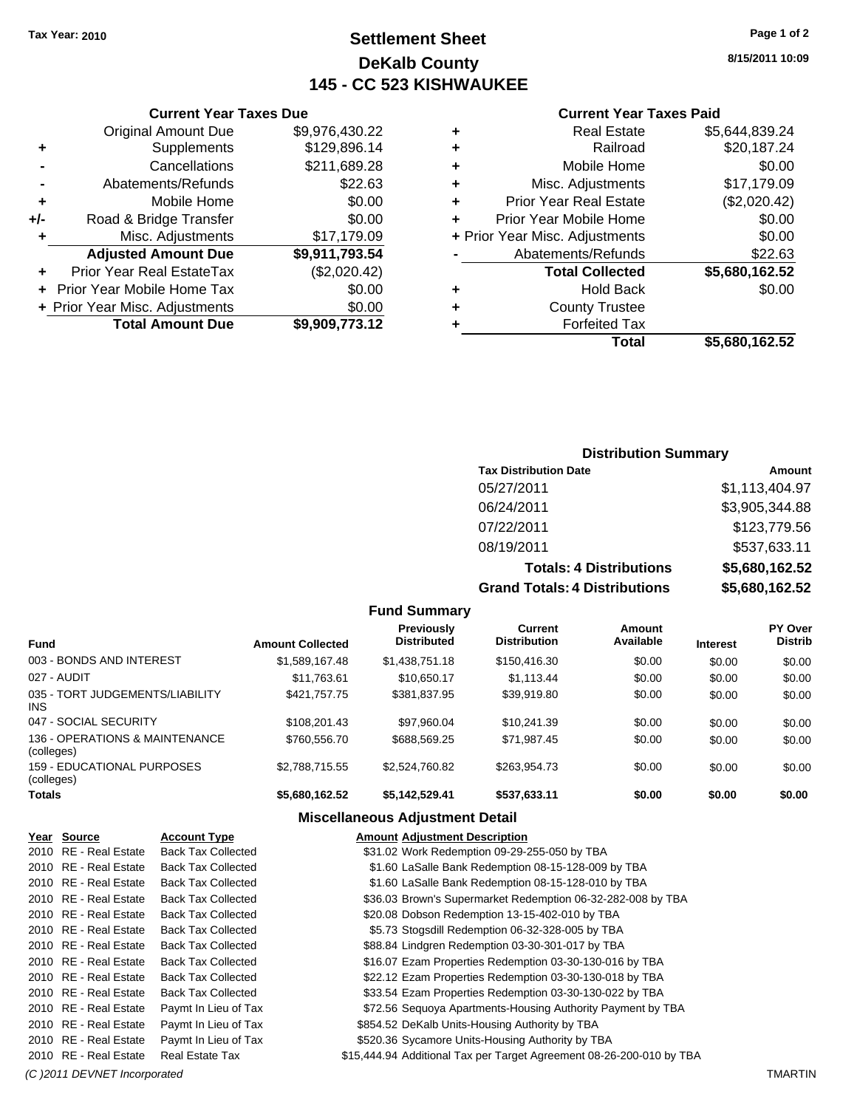## **Settlement Sheet Tax Year: 2010 Page 1 of 2 DeKalb County 145 - CC 523 KISHWAUKEE**

**8/15/2011 10:09**

#### **Current Year Taxes Paid**

|                                | <b>Real Estate</b>            | \$5,644,839.24 |
|--------------------------------|-------------------------------|----------------|
| ٠                              | Railroad                      | \$20,187.24    |
| ٠                              | Mobile Home                   | \$0.00         |
| ٠                              | Misc. Adjustments             | \$17,179.09    |
| ٠                              | <b>Prior Year Real Estate</b> | (\$2,020.42)   |
|                                | Prior Year Mobile Home        | \$0.00         |
| + Prior Year Misc. Adjustments |                               | \$0.00         |
|                                | Abatements/Refunds            | \$22.63        |
|                                | <b>Total Collected</b>        | \$5,680,162.52 |
| ٠                              | <b>Hold Back</b>              | \$0.00         |
| ٠                              | <b>County Trustee</b>         |                |
|                                | <b>Forfeited Tax</b>          |                |
|                                | Total                         | \$5,680,162.52 |

#### **Current Year Taxes Due** Original Amount Due \$9,976,430.22 **+** Supplements \$129,896.14 **-** Cancellations \$211,689.28 **-** Abatements/Refunds \$22.63 **+** Mobile Home \$0.00 **+/-** Road & Bridge Transfer \$0.00 **+** Misc. Adjustments \$17,179.09 **Adjusted Amount Due \$9,911,793.54 +** Prior Year Real EstateTax (\$2,020.42) **+** Prior Year Mobile Home Tax \$0.00 **+ Prior Year Misc. Adjustments**  $$0.00$ **Total Amount Due \$9,909,773.12**

#### **Distribution Summary**

| <b>Tax Distribution Date</b>    | Amount         |
|---------------------------------|----------------|
| 05/27/2011                      | \$1,113,404.97 |
| 06/24/2011                      | \$3,905,344.88 |
| 07/22/2011                      | \$123,779.56   |
| 08/19/2011                      | \$537,633.11   |
| <b>Totals: 4 Distributions</b>  | \$5,680,162.52 |
| Cropel Tatalo: A Diotributional | ¢E CON 1CO EO  |

**Grand Totals: 4 Distributions \$5,680,162.52**

| \$5,680,162.52 |
|----------------|
|                |

| <b>Fund</b>                                     | <b>Amount Collected</b> | Previously<br><b>Distributed</b> | Current<br><b>Distribution</b> | Amount<br>Available | <b>Interest</b> | PY Over<br><b>Distrib</b> |
|-------------------------------------------------|-------------------------|----------------------------------|--------------------------------|---------------------|-----------------|---------------------------|
| 003 - BONDS AND INTEREST                        | \$1,589,167.48          | \$1,438,751.18                   | \$150,416.30                   | \$0.00              | \$0.00          | \$0.00                    |
| 027 - AUDIT                                     | \$11,763.61             | \$10.650.17                      | \$1.113.44                     | \$0.00              | \$0.00          | \$0.00                    |
| 035 - TORT JUDGEMENTS/LIABILITY<br><b>INS</b>   | \$421.757.75            | \$381.837.95                     | \$39.919.80                    | \$0.00              | \$0.00          | \$0.00                    |
| 047 - SOCIAL SECURITY                           | \$108.201.43            | \$97.960.04                      | \$10.241.39                    | \$0.00              | \$0.00          | \$0.00                    |
| 136 - OPERATIONS & MAINTENANCE<br>(colleges)    | \$760,556.70            | \$688,569.25                     | \$71,987.45                    | \$0.00              | \$0.00          | \$0.00                    |
| <b>159 - EDUCATIONAL PURPOSES</b><br>(colleges) | \$2,788,715.55          | \$2,524,760.82                   | \$263.954.73                   | \$0.00              | \$0.00          | \$0.00                    |
| Totals                                          | \$5,680,162.52          | \$5,142,529.41                   | \$537,633.11                   | \$0.00              | \$0.00          | \$0.00                    |

**Fund Summary**

#### **Miscellaneous Adjustment Detail**

| Year Source           | <b>Account Type</b>       | <b>Amount Adjustment Description</b>                                 |
|-----------------------|---------------------------|----------------------------------------------------------------------|
| 2010 RE - Real Estate | <b>Back Tax Collected</b> | \$31.02 Work Redemption 09-29-255-050 by TBA                         |
| 2010 RE - Real Estate | <b>Back Tax Collected</b> | \$1.60 LaSalle Bank Redemption 08-15-128-009 by TBA                  |
| 2010 RE - Real Estate | <b>Back Tax Collected</b> | \$1.60 LaSalle Bank Redemption 08-15-128-010 by TBA                  |
| 2010 RE - Real Estate | <b>Back Tax Collected</b> | \$36.03 Brown's Supermarket Redemption 06-32-282-008 by TBA          |
| 2010 RE - Real Estate | <b>Back Tax Collected</b> | \$20.08 Dobson Redemption 13-15-402-010 by TBA                       |
| 2010 RE - Real Estate | <b>Back Tax Collected</b> | \$5.73 Stogsdill Redemption 06-32-328-005 by TBA                     |
| 2010 RE - Real Estate | <b>Back Tax Collected</b> | \$88.84 Lindgren Redemption 03-30-301-017 by TBA                     |
| 2010 RE - Real Estate | <b>Back Tax Collected</b> | \$16.07 Ezam Properties Redemption 03-30-130-016 by TBA              |
| 2010 RE - Real Estate | <b>Back Tax Collected</b> | \$22.12 Ezam Properties Redemption 03-30-130-018 by TBA              |
| 2010 RE - Real Estate | <b>Back Tax Collected</b> | \$33.54 Ezam Properties Redemption 03-30-130-022 by TBA              |
| 2010 RE - Real Estate | Paymt In Lieu of Tax      | \$72.56 Sequoya Apartments-Housing Authority Payment by TBA          |
| 2010 RE - Real Estate | Paymt In Lieu of Tax      | \$854.52 DeKalb Units-Housing Authority by TBA                       |
| 2010 RE - Real Estate | Paymt In Lieu of Tax      | \$520.36 Sycamore Units-Housing Authority by TBA                     |
| 2010 RE - Real Estate | <b>Real Estate Tax</b>    | \$15,444.94 Additional Tax per Target Agreement 08-26-200-010 by TBA |

*(C )2011 DEVNET Incorporated* TMARTIN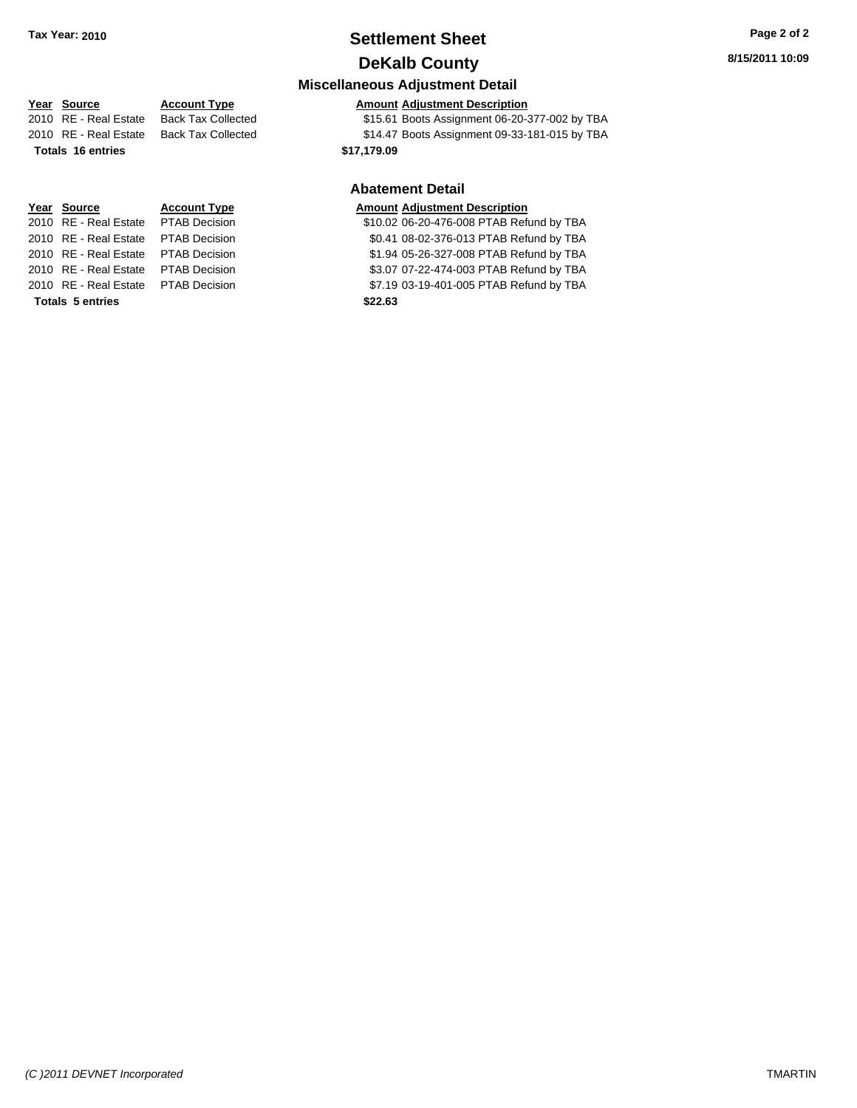## **Settlement Sheet Tax Year: 2010 Page 2 of 2 DeKalb County**

**Miscellaneous Adjustment Detail**

# **Totals 16 entries 16 and 17,179.09**

**Totals \$22.63 5 entries**

#### **Year Source Account Type Amount Adjustment Description** 2010 RE - Real Estate Back Tax Collected \$15.61 Boots Assignment 06-20-377-002 by TBA

2010 RE - Real Estate Back Tax Collected \$14.47 Boots Assignment 09-33-181-015 by TBA

#### **Abatement Detail**

## **Year Source Account Type Amount Adjustment Description**

2010 RE - Real Estate \$10.02 06-20-476-008 PTAB Refund by TBA PTAB Decision 2010 RE - Real Estate \$0.41 08-02-376-013 PTAB Refund by TBA PTAB Decision 2010 RE - Real Estate \$1.94 05-26-327-008 PTAB Refund by TBA PTAB Decision 2010 RE - Real Estate \$3.07 07-22-474-003 PTAB Refund by TBA PTAB Decision 2010 RE - Real Estate \$7.19 03-19-401-005 PTAB Refund by TBA PTAB Decision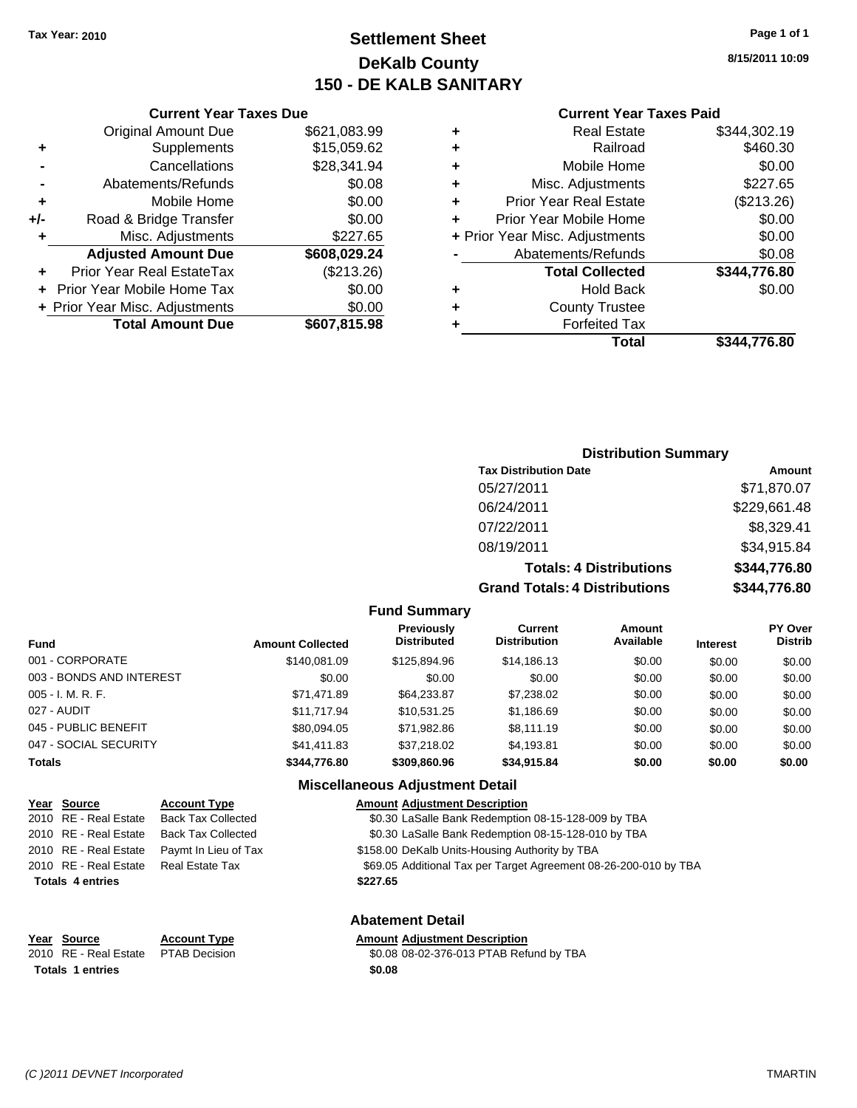## **Settlement Sheet Tax Year: 2010 Page 1 of 1 DeKalb County 150 - DE KALB SANITARY**

**8/15/2011 10:09**

|     | <b>Current Year Taxes Due</b>  |              |
|-----|--------------------------------|--------------|
|     | <b>Original Amount Due</b>     | \$621,083.99 |
| ٠   | Supplements                    | \$15,059.62  |
|     | Cancellations                  | \$28,341.94  |
|     | Abatements/Refunds             | \$0.08       |
| ÷   | Mobile Home                    | \$0.00       |
| +/- | Road & Bridge Transfer         | \$0.00       |
| ٠   | Misc. Adjustments              | \$227.65     |
|     | <b>Adjusted Amount Due</b>     | \$608,029.24 |
|     | Prior Year Real EstateTax      | (\$213.26)   |
|     | Prior Year Mobile Home Tax     | \$0.00       |
|     | + Prior Year Misc. Adjustments | \$0.00       |
|     | <b>Total Amount Due</b>        | \$607,815.98 |
|     |                                |              |

#### **Current Year Taxes Paid**

|   | Total                          | \$344,776.80 |
|---|--------------------------------|--------------|
| ٠ | <b>Forfeited Tax</b>           |              |
| ٠ | <b>County Trustee</b>          |              |
| ٠ | <b>Hold Back</b>               | \$0.00       |
|   | <b>Total Collected</b>         | \$344,776.80 |
|   | Abatements/Refunds             | \$0.08       |
|   | + Prior Year Misc. Adjustments | \$0.00       |
| ÷ | Prior Year Mobile Home         | \$0.00       |
| ٠ | <b>Prior Year Real Estate</b>  | (\$213.26)   |
| ٠ | Misc. Adjustments              | \$227.65     |
| ٠ | Mobile Home                    | \$0.00       |
| ٠ | Railroad                       | \$460.30     |
| ٠ | <b>Real Estate</b>             | \$344,302.19 |

#### **Distribution Summary**

| <b>Tax Distribution Date</b>         | Amount       |
|--------------------------------------|--------------|
| 05/27/2011                           | \$71,870.07  |
| 06/24/2011                           | \$229,661.48 |
| 07/22/2011                           | \$8,329.41   |
| 08/19/2011                           | \$34,915.84  |
| <b>Totals: 4 Distributions</b>       | \$344,776.80 |
| <b>Grand Totals: 4 Distributions</b> | \$344,776.80 |

#### **Fund Summary**

| <b>Fund</b>              | <b>Amount Collected</b> | Previously<br><b>Distributed</b> | <b>Current</b><br><b>Distribution</b> | <b>Amount</b><br>Available | <b>Interest</b> | <b>PY Over</b><br><b>Distrib</b> |
|--------------------------|-------------------------|----------------------------------|---------------------------------------|----------------------------|-----------------|----------------------------------|
| 001 - CORPORATE          | \$140.081.09            | \$125,894.96                     | \$14.186.13                           | \$0.00                     | \$0.00          | \$0.00                           |
| 003 - BONDS AND INTEREST | \$0.00                  | \$0.00                           | \$0.00                                | \$0.00                     | \$0.00          | \$0.00                           |
| 005 - I. M. R. F.        | \$71.471.89             | \$64,233,87                      | \$7,238.02                            | \$0.00                     | \$0.00          | \$0.00                           |
| 027 - AUDIT              | \$11.717.94             | \$10.531.25                      | \$1,186.69                            | \$0.00                     | \$0.00          | \$0.00                           |
| 045 - PUBLIC BENEFIT     | \$80.094.05             | \$71.982.86                      | \$8,111.19                            | \$0.00                     | \$0.00          | \$0.00                           |
| 047 - SOCIAL SECURITY    | \$41.411.83             | \$37,218,02                      | \$4,193.81                            | \$0.00                     | \$0.00          | \$0.00                           |
| Totals                   | \$344,776.80            | \$309,860.96                     | \$34,915.84                           | \$0.00                     | \$0.00          | \$0.00                           |

#### **Miscellaneous Adjustment Detail**

#### **Year Source Account Type Amount Adjustment Description** 2010 RE - Real Estate Back Tax Collected \$0.30 LaSalle Bank Redemption 08-15-128-009 by TBA 2010 RE - Real Estate Back Tax Collected \$0.30 LaSalle Bank Redemption 08-15-128-010 by TBA 2010 RE - Real Estate Paymt In Lieu of Tax \$158.00 DeKalb Units-Housing Authority by TBA 2010 RE - Real Estate Real Estate Tax **69.05 Additional Tax per Target Agreement 08-26-200-010 by TBA Totals \$227.65 4 entries**

## **Totals \$0.08 1 entries**

## **Abatement Detail**

#### **Year Source Account Type Amount Adjustment Description**

2010 RE - Real Estate \$0.08 08-02-376-013 PTAB Refund by TBA PTAB Decision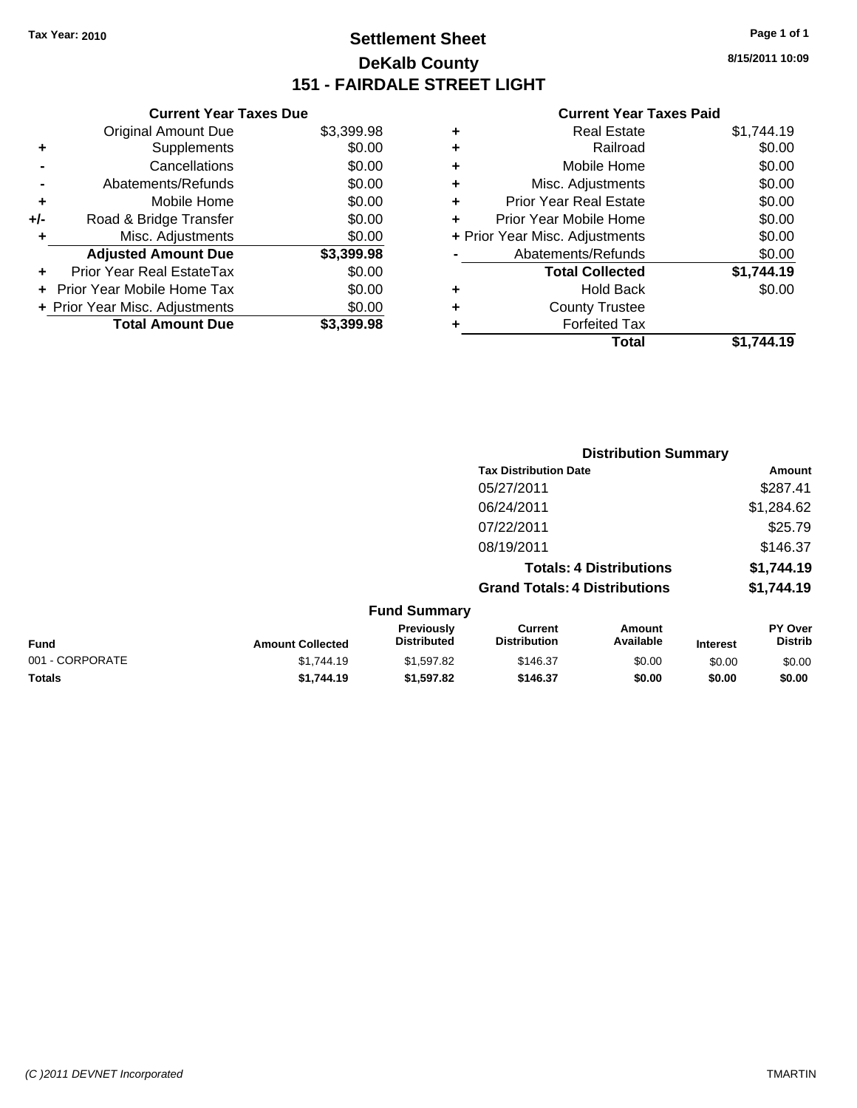## **Settlement Sheet Tax Year: 2010 Page 1 of 1 DeKalb County 151 - FAIRDALE STREET LIGHT**

**8/15/2011 10:09**

#### **Current Year Taxes Paid**

|     | <b>Current Year Taxes Due</b>  |            |
|-----|--------------------------------|------------|
|     | <b>Original Amount Due</b>     | \$3,399.98 |
| ٠   | Supplements                    | \$0.00     |
|     | Cancellations                  | \$0.00     |
|     | Abatements/Refunds             | \$0.00     |
| ٠   | Mobile Home                    | \$0.00     |
| +/- | Road & Bridge Transfer         | \$0.00     |
| ٠   | Misc. Adjustments              | \$0.00     |
|     | <b>Adjusted Amount Due</b>     | \$3,399.98 |
| ٠   | Prior Year Real EstateTax      | \$0.00     |
|     | Prior Year Mobile Home Tax     | \$0.00     |
|     | + Prior Year Misc. Adjustments | \$0.00     |
|     | <b>Total Amount Due</b>        | \$3,399.98 |

| <b>Real Estate</b>             | \$1,744.19 |
|--------------------------------|------------|
| Railroad                       | \$0.00     |
| Mobile Home                    | \$0.00     |
| Misc. Adjustments              | \$0.00     |
| <b>Prior Year Real Estate</b>  | \$0.00     |
| Prior Year Mobile Home         | \$0.00     |
| + Prior Year Misc. Adjustments | \$0.00     |
| Abatements/Refunds             | \$0.00     |
| <b>Total Collected</b>         | \$1,744.19 |
| Hold Back                      | \$0.00     |
| <b>County Trustee</b>          |            |
| <b>Forfeited Tax</b>           |            |
| Total                          | \$1,744.19 |
|                                |            |

|                 |                         |                                  | <b>Distribution Summary</b>           |                                |                 |                                  |
|-----------------|-------------------------|----------------------------------|---------------------------------------|--------------------------------|-----------------|----------------------------------|
|                 |                         |                                  | <b>Tax Distribution Date</b>          |                                |                 | Amount                           |
|                 |                         |                                  | 05/27/2011                            |                                |                 | \$287.41                         |
|                 |                         |                                  | 06/24/2011                            |                                |                 | \$1,284.62                       |
|                 |                         |                                  | 07/22/2011                            |                                |                 | \$25.79                          |
|                 |                         |                                  | 08/19/2011                            |                                |                 | \$146.37                         |
|                 |                         |                                  |                                       | <b>Totals: 4 Distributions</b> |                 | \$1,744.19                       |
|                 |                         |                                  | <b>Grand Totals: 4 Distributions</b>  |                                |                 | \$1,744.19                       |
|                 |                         | <b>Fund Summary</b>              |                                       |                                |                 |                                  |
| <b>Fund</b>     | <b>Amount Collected</b> | Previously<br><b>Distributed</b> | <b>Current</b><br><b>Distribution</b> | Amount<br>Available            | <b>Interest</b> | <b>PY Over</b><br><b>Distrib</b> |
| 001 - CORPORATE | \$1,744.19              | \$1,597.82                       | \$146.37                              | \$0.00                         | \$0.00          | \$0.00                           |
| Totals          | \$1,744.19              | \$1,597.82                       | \$146.37                              | \$0.00                         | \$0.00          | \$0.00                           |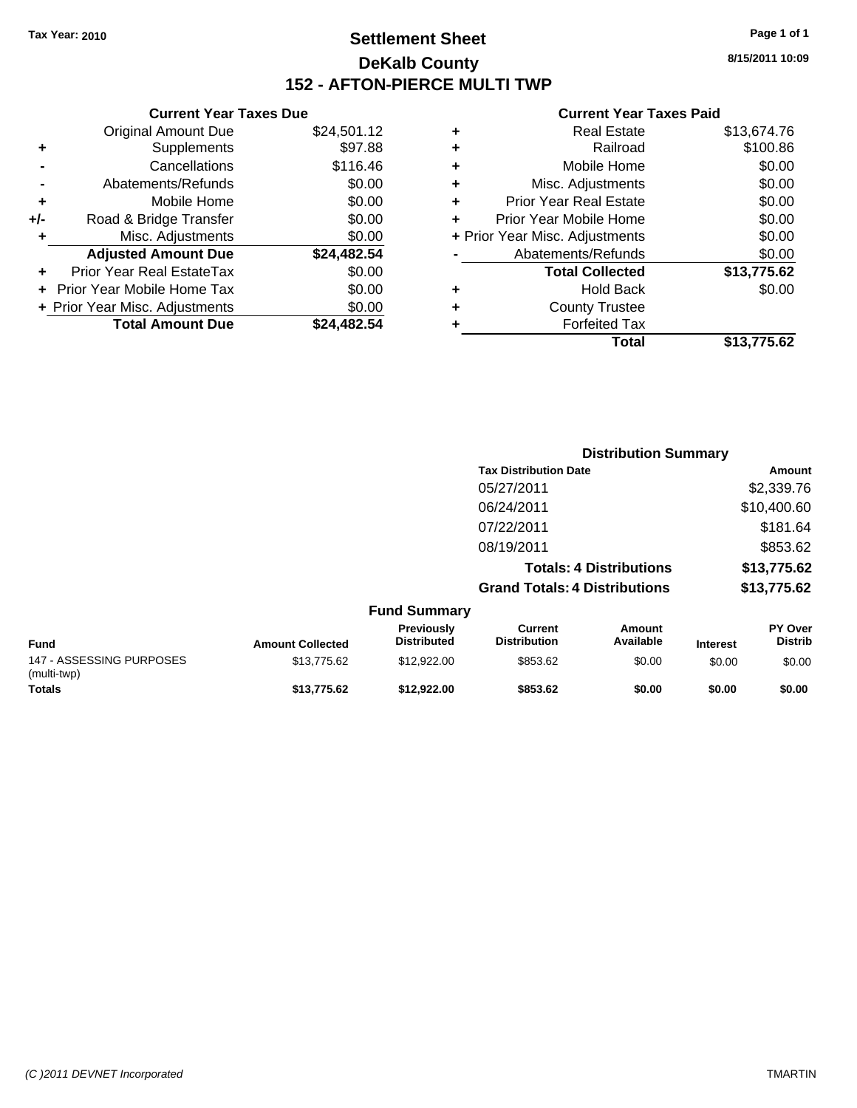**Current Year Taxes Due** Original Amount Due \$24,501.12

**Adjusted Amount Due \$24,482.54**

**Total Amount Due \$24,482.54**

**+** Supplements \$97.88 **-** Cancellations \$116.46 **-** Abatements/Refunds \$0.00 **+** Mobile Home \$0.00 **+/-** Road & Bridge Transfer \$0.00 **+** Misc. Adjustments \$0.00

**+** Prior Year Real EstateTax \$0.00 **+** Prior Year Mobile Home Tax \$0.00 **+ Prior Year Misc. Adjustments**  $$0.00$ 

## **Settlement Sheet Tax Year: 2010 Page 1 of 1 DeKalb County 152 - AFTON-PIERCE MULTI TWP**

**8/15/2011 10:09**

#### **Current Year Taxes Paid**

|   | Total                          | \$13.775.62 |
|---|--------------------------------|-------------|
| ٠ | <b>Forfeited Tax</b>           |             |
| ٠ | <b>County Trustee</b>          |             |
| ٠ | <b>Hold Back</b>               | \$0.00      |
|   | <b>Total Collected</b>         | \$13,775.62 |
|   | Abatements/Refunds             | \$0.00      |
|   | + Prior Year Misc. Adjustments | \$0.00      |
| ٠ | Prior Year Mobile Home         | \$0.00      |
| ٠ | <b>Prior Year Real Estate</b>  | \$0.00      |
| ٠ | Misc. Adjustments              | \$0.00      |
| ٠ | Mobile Home                    | \$0.00      |
| ٠ | Railroad                       | \$100.86    |
| ٠ | <b>Real Estate</b>             | \$13,674.76 |

|                                         |                         |                                  | <b>Distribution Summary</b>           |                                |                 |                                  |
|-----------------------------------------|-------------------------|----------------------------------|---------------------------------------|--------------------------------|-----------------|----------------------------------|
|                                         |                         |                                  | <b>Tax Distribution Date</b>          |                                |                 | Amount                           |
|                                         |                         |                                  | 05/27/2011                            |                                |                 | \$2,339.76                       |
|                                         |                         |                                  | 06/24/2011                            |                                |                 | \$10,400.60                      |
|                                         |                         |                                  | 07/22/2011                            |                                |                 | \$181.64                         |
|                                         |                         |                                  | 08/19/2011                            |                                |                 | \$853.62                         |
|                                         |                         |                                  |                                       | <b>Totals: 4 Distributions</b> |                 | \$13,775.62                      |
|                                         |                         |                                  | <b>Grand Totals: 4 Distributions</b>  |                                |                 | \$13,775.62                      |
|                                         |                         | <b>Fund Summary</b>              |                                       |                                |                 |                                  |
| <b>Fund</b>                             | <b>Amount Collected</b> | Previously<br><b>Distributed</b> | <b>Current</b><br><b>Distribution</b> | <b>Amount</b><br>Available     | <b>Interest</b> | <b>PY Over</b><br><b>Distrib</b> |
| 147 - ASSESSING PURPOSES<br>(multi-twp) | \$13,775.62             | \$12,922.00                      | \$853.62                              | \$0.00                         | \$0.00          | \$0.00                           |
| <b>Totals</b>                           | \$13,775.62             | \$12,922.00                      | \$853.62                              | \$0.00                         | \$0.00          | \$0.00                           |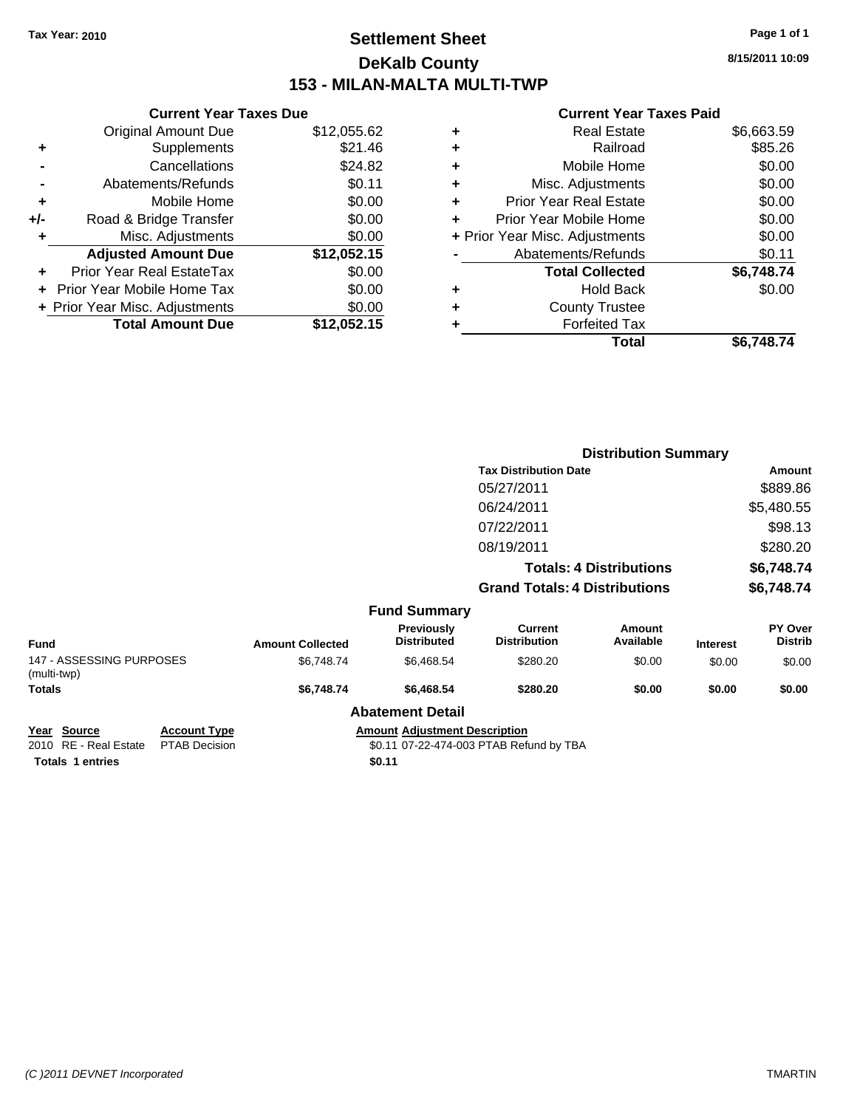## **Settlement Sheet Tax Year: 2010 Page 1 of 1 DeKalb County 153 - MILAN-MALTA MULTI-TWP**

**8/15/2011 10:09**

#### **Current Year Taxes Paid**

|     | <b>Current Year Taxes Due</b>  |             |  |  |  |  |
|-----|--------------------------------|-------------|--|--|--|--|
|     | <b>Original Amount Due</b>     | \$12,055.62 |  |  |  |  |
| ٠   | Supplements                    | \$21.46     |  |  |  |  |
|     | Cancellations                  | \$24.82     |  |  |  |  |
|     | Abatements/Refunds             | \$0.11      |  |  |  |  |
| ÷   | Mobile Home                    | \$0.00      |  |  |  |  |
| +/- | Road & Bridge Transfer         | \$0.00      |  |  |  |  |
|     | Misc. Adjustments              | \$0.00      |  |  |  |  |
|     | <b>Adjusted Amount Due</b>     | \$12,052.15 |  |  |  |  |
|     | Prior Year Real EstateTax      | \$0.00      |  |  |  |  |
|     | + Prior Year Mobile Home Tax   | \$0.00      |  |  |  |  |
|     | + Prior Year Misc. Adjustments | \$0.00      |  |  |  |  |
|     | <b>Total Amount Due</b>        | \$12,052.15 |  |  |  |  |

|                                         |              |                         |                                         | <b>Distribution Summary</b>           |                                |                 |                           |
|-----------------------------------------|--------------|-------------------------|-----------------------------------------|---------------------------------------|--------------------------------|-----------------|---------------------------|
|                                         |              |                         |                                         | <b>Tax Distribution Date</b>          |                                |                 | Amount                    |
|                                         |              |                         |                                         | 05/27/2011                            |                                |                 | \$889.86                  |
|                                         |              |                         |                                         | 06/24/2011                            |                                |                 | \$5,480.55                |
|                                         |              |                         |                                         | 07/22/2011                            |                                |                 | \$98.13                   |
|                                         |              |                         |                                         | 08/19/2011                            |                                |                 | \$280.20                  |
|                                         |              |                         |                                         |                                       | <b>Totals: 4 Distributions</b> |                 | \$6,748.74                |
|                                         |              |                         |                                         | <b>Grand Totals: 4 Distributions</b>  |                                |                 | \$6,748.74                |
|                                         |              |                         | <b>Fund Summary</b>                     |                                       |                                |                 |                           |
| Fund                                    |              | <b>Amount Collected</b> | <b>Previously</b><br><b>Distributed</b> | <b>Current</b><br><b>Distribution</b> | <b>Amount</b><br>Available     | <b>Interest</b> | PY Over<br><b>Distrib</b> |
| 147 - ASSESSING PURPOSES<br>(multi-twp) |              | \$6,748.74              | \$6,468.54                              | \$280.20                              | \$0.00                         | \$0.00          | \$0.00                    |
| Totals                                  |              | \$6,748.74              | \$6,468.54                              | \$280.20                              | \$0.00                         | \$0.00          | \$0.00                    |
|                                         |              |                         | <b>Abatement Detail</b>                 |                                       |                                |                 |                           |
| Voor Source                             | Account Type |                         | Amount Adjustment Description           |                                       |                                |                 |                           |

**<u>Year Source</u> Account Type**<br> **Account Type**<br> **ADJUSTMENT PRAB** Decision

Totals 1 entries \$0.11

**2010 Amount Adjustment Description**<br>\$0.11 07-22-474-003 PTAB Refund by TBA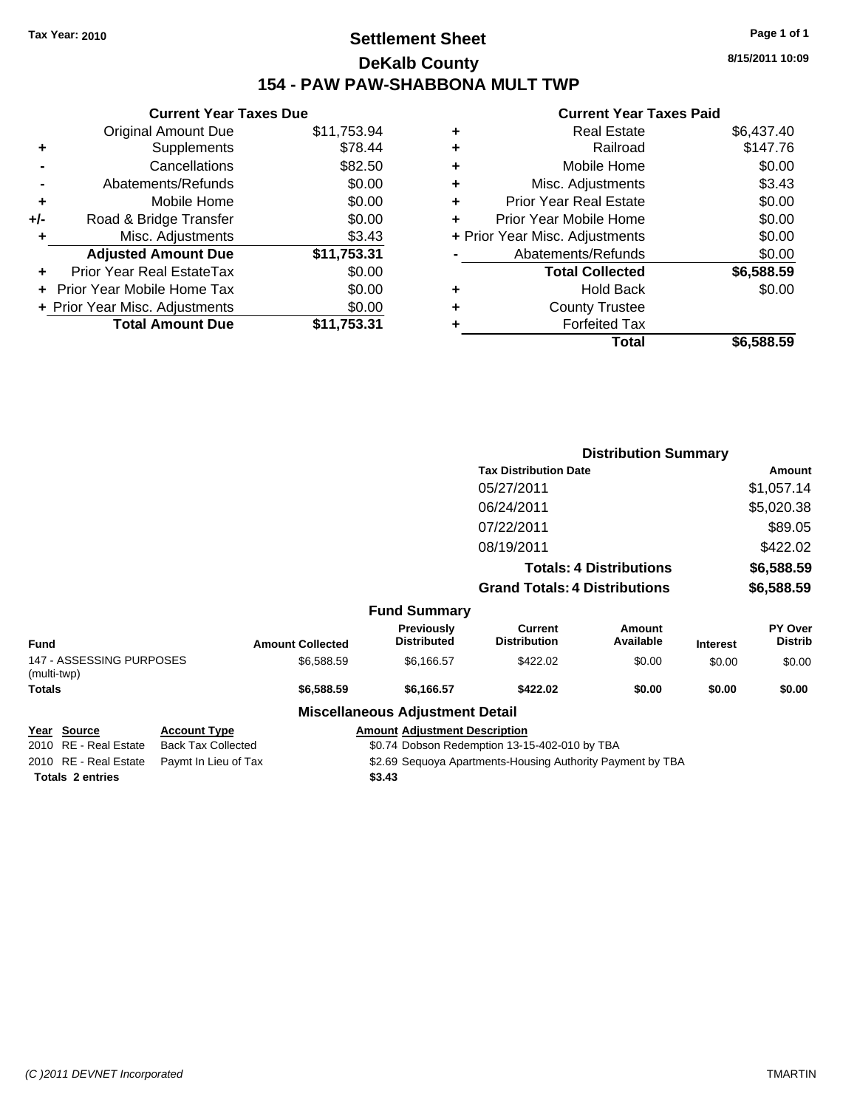## **Settlement Sheet Tax Year: 2010 Page 1 of 1 DeKalb County 154 - PAW PAW-SHABBONA MULT TWP**

**8/15/2011 10:09**

## **Current Year Taxes Paid**

|     | <b>Current Year Taxes Due</b>     |             |
|-----|-----------------------------------|-------------|
|     | <b>Original Amount Due</b>        | \$11,753.94 |
| ٠   | Supplements                       | \$78.44     |
|     | Cancellations                     | \$82.50     |
|     | Abatements/Refunds                | \$0.00      |
| ÷   | Mobile Home                       | \$0.00      |
| +/- | Road & Bridge Transfer            | \$0.00      |
| ٠   | Misc. Adjustments                 | \$3.43      |
|     | <b>Adjusted Amount Due</b>        | \$11,753.31 |
| ÷   | Prior Year Real EstateTax         | \$0.00      |
|     | <b>Prior Year Mobile Home Tax</b> | \$0.00      |
|     | + Prior Year Misc. Adjustments    | \$0.00      |
|     | <b>Total Amount Due</b>           | \$11.753.31 |
|     |                                   |             |

| ٠ | <b>Real Estate</b>             | \$6,437.40 |
|---|--------------------------------|------------|
| ٠ | Railroad                       | \$147.76   |
| ٠ | Mobile Home                    | \$0.00     |
| ٠ | Misc. Adjustments              | \$3.43     |
| ÷ | <b>Prior Year Real Estate</b>  | \$0.00     |
| ٠ | Prior Year Mobile Home         | \$0.00     |
|   | + Prior Year Misc. Adjustments | \$0.00     |
|   | Abatements/Refunds             | \$0.00     |
|   | <b>Total Collected</b>         | \$6,588.59 |
| ٠ | <b>Hold Back</b>               | \$0.00     |
| ٠ | <b>County Trustee</b>          |            |
| ٠ | <b>Forfeited Tax</b>           |            |
|   | Total                          | \$6,588,59 |

|                                         |              |                         |                                        | <b>Distribution Summary</b>          |                                |                 |                           |
|-----------------------------------------|--------------|-------------------------|----------------------------------------|--------------------------------------|--------------------------------|-----------------|---------------------------|
|                                         |              |                         |                                        | <b>Tax Distribution Date</b>         |                                |                 | Amount                    |
|                                         |              |                         |                                        | 05/27/2011                           |                                |                 | \$1,057.14                |
|                                         |              |                         |                                        | 06/24/2011                           |                                |                 | \$5,020.38                |
|                                         |              |                         |                                        | 07/22/2011                           |                                |                 | \$89.05                   |
|                                         |              |                         |                                        | 08/19/2011                           |                                |                 | \$422.02                  |
|                                         |              |                         |                                        |                                      | <b>Totals: 4 Distributions</b> |                 | \$6,588.59                |
|                                         |              |                         |                                        | <b>Grand Totals: 4 Distributions</b> |                                |                 | \$6,588.59                |
|                                         |              |                         | <b>Fund Summary</b>                    |                                      |                                |                 |                           |
| <b>Fund</b>                             |              | <b>Amount Collected</b> | Previously<br><b>Distributed</b>       | Current<br><b>Distribution</b>       | Amount<br>Available            | <b>Interest</b> | PY Over<br><b>Distrib</b> |
| 147 - ASSESSING PURPOSES<br>(multi-twp) |              | \$6,588.59              | \$6,166.57                             | \$422.02                             | \$0.00                         | \$0.00          | \$0.00                    |
| Totals                                  |              | \$6,588.59              | \$6,166.57                             | \$422.02                             | \$0.00                         | \$0.00          | \$0.00                    |
|                                         |              |                         | <b>Miscellaneous Adjustment Detail</b> |                                      |                                |                 |                           |
| Voor Source                             | Account Type |                         | Amount Adjustment Description          |                                      |                                |                 |                           |

| rear Source             | ACCOUNT TYPE                               | AIIIUUIIL |
|-------------------------|--------------------------------------------|-----------|
| 2010 RE - Real Estate   | Back Tax Collected                         | \$0.74    |
|                         | 2010 RE - Real Estate Paymt In Lieu of Tax | \$2.69    |
| <b>Totals 2 entries</b> |                                            | \$3.43    |

**Year Source Account Type Amount Adjustment Description** \$0.74 Dobson Redemption 13-15-402-010 by TBA nt In Lieu of Tax **Frank State State State State State State State State State State In Lieu of Tax** Payment by TBA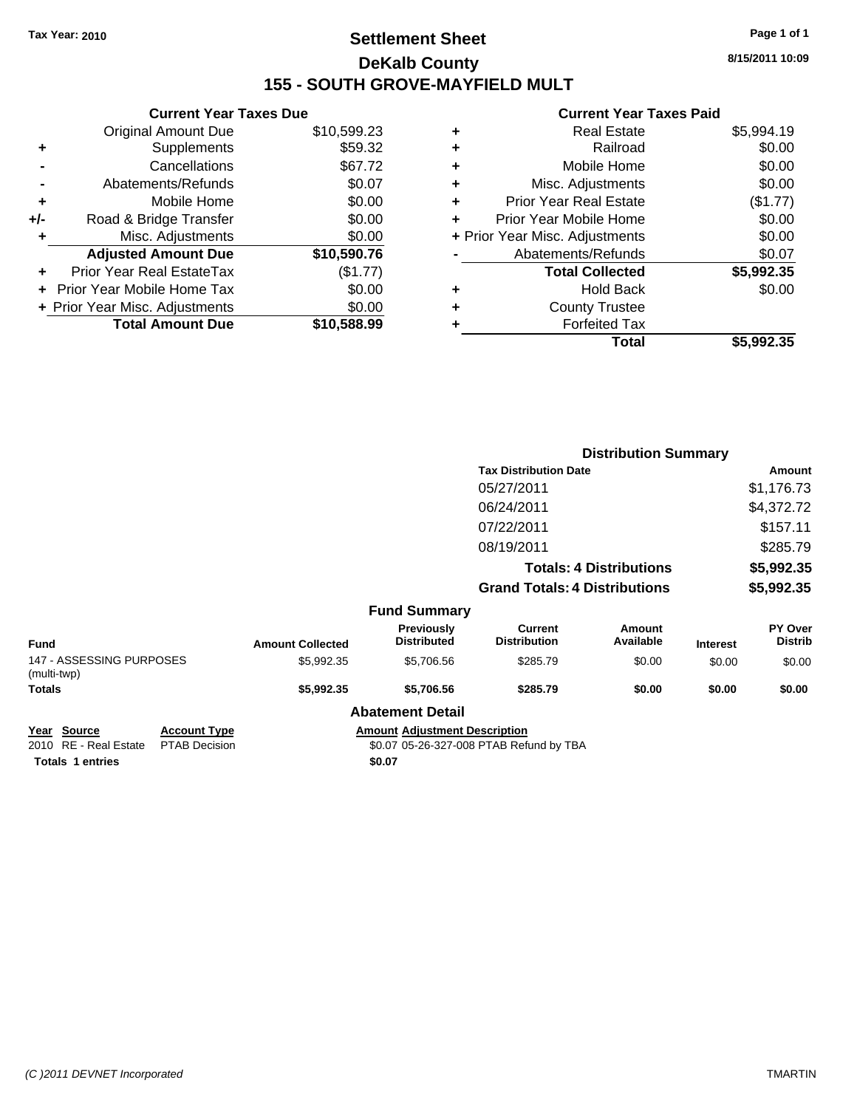## **Settlement Sheet Tax Year: 2010 Page 1 of 1 DeKalb County 155 - SOUTH GROVE-MAYFIELD MULT**

**8/15/2011 10:09**

#### **Current Year Taxes Paid**

|     | <b>Current Year Taxes Due</b>  |             |
|-----|--------------------------------|-------------|
|     | <b>Original Amount Due</b>     | \$10,599.23 |
| ٠   | Supplements                    | \$59.32     |
|     | Cancellations                  | \$67.72     |
|     | Abatements/Refunds             | \$0.07      |
| ٠   | Mobile Home                    | \$0.00      |
| +/- | Road & Bridge Transfer         | \$0.00      |
|     | Misc. Adjustments              | \$0.00      |
|     | <b>Adjusted Amount Due</b>     | \$10,590.76 |
|     | Prior Year Real EstateTax      | (\$1.77)    |
|     | Prior Year Mobile Home Tax     | \$0.00      |
|     | + Prior Year Misc. Adjustments | \$0.00      |
|     | <b>Total Amount Due</b>        | \$10,588.99 |
|     |                                |             |

|   | <b>Real Estate</b>             | \$5,994.19 |
|---|--------------------------------|------------|
| ٠ | Railroad                       | \$0.00     |
| ٠ | Mobile Home                    | \$0.00     |
| ٠ | Misc. Adjustments              | \$0.00     |
| ÷ | <b>Prior Year Real Estate</b>  | (\$1.77)   |
| ٠ | Prior Year Mobile Home         | \$0.00     |
|   | + Prior Year Misc. Adjustments | \$0.00     |
|   | Abatements/Refunds             | \$0.07     |
|   | <b>Total Collected</b>         | \$5,992.35 |
| ٠ | <b>Hold Back</b>               | \$0.00     |
| ٠ | <b>County Trustee</b>          |            |
| ٠ | <b>Forfeited Tax</b>           |            |
|   | Total                          | \$5,992.35 |

|                                         |                         |                                  | <b>Distribution Summary</b>           |                                |                 |                           |
|-----------------------------------------|-------------------------|----------------------------------|---------------------------------------|--------------------------------|-----------------|---------------------------|
|                                         |                         |                                  | <b>Tax Distribution Date</b>          |                                |                 | Amount                    |
|                                         |                         |                                  | 05/27/2011                            |                                |                 | \$1,176.73                |
|                                         |                         |                                  | 06/24/2011                            |                                |                 | \$4,372.72                |
|                                         |                         |                                  | 07/22/2011                            |                                |                 | \$157.11                  |
|                                         |                         |                                  | 08/19/2011                            |                                |                 | \$285.79                  |
|                                         |                         |                                  |                                       | <b>Totals: 4 Distributions</b> |                 | \$5,992.35                |
|                                         |                         |                                  | <b>Grand Totals: 4 Distributions</b>  |                                |                 | \$5,992.35                |
|                                         |                         | <b>Fund Summary</b>              |                                       |                                |                 |                           |
| <b>Fund</b>                             | <b>Amount Collected</b> | Previously<br><b>Distributed</b> | <b>Current</b><br><b>Distribution</b> | Amount<br>Available            | <b>Interest</b> | PY Over<br><b>Distrib</b> |
| 147 - ASSESSING PURPOSES<br>(multi-twp) | \$5,992.35              | \$5,706.56                       | \$285.79                              | \$0.00                         | \$0.00          | \$0.00                    |
| <b>Totals</b>                           | \$5,992.35              | \$5,706.56                       | \$285.79                              | \$0.00                         | \$0.00          | \$0.00                    |
|                                         |                         | <b>Abatement Detail</b>          |                                       |                                |                 |                           |
|                                         |                         |                                  |                                       |                                |                 |                           |

Totals 1 entries \$0.07

**Year Source Account Type Amount Adjustment Description** 2010 RE - Real Estate \$0.07 05-26-327-008 PTAB Refund by TBA PTAB Decision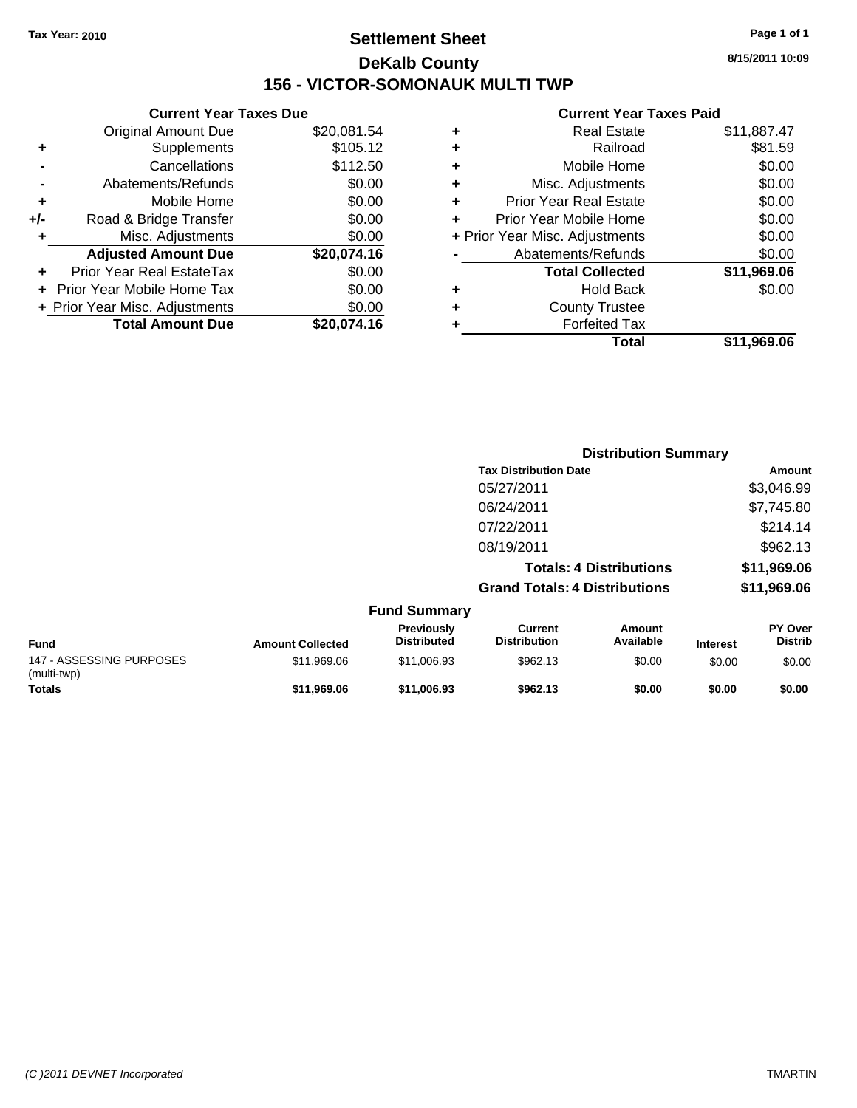## **Settlement Sheet Tax Year: 2010 Page 1 of 1 DeKalb County 156 - VICTOR-SOMONAUK MULTI TWP**

|   | <b>Current Year Taxes Paid</b> |             |
|---|--------------------------------|-------------|
| ٠ | <b>Real Estate</b>             | \$11,887.47 |
| ٠ | Railroad                       | \$81.59     |
| ٠ | Mobile Home                    | \$0.00      |
| ٠ | Misc. Adjustments              | \$0.00      |
| ٠ | <b>Prior Year Real Estate</b>  | \$0.00      |
|   | Prior Year Mobile Home         | \$0.00      |
|   | + Prior Year Misc. Adjustments | \$0.00      |
|   | Abatements/Refunds             | \$0.00      |
|   | <b>Total Collected</b>         | \$11,969.06 |
| ٠ | <b>Hold Back</b>               | \$0.00      |
| ٠ | <b>County Trustee</b>          |             |
| ٠ | <b>Forfeited Tax</b>           |             |
|   | Total                          | \$11.969.06 |
|   |                                |             |

**Distribution Summary**

|     | <b>Current Year Taxes Due</b>  |             |  |  |  |
|-----|--------------------------------|-------------|--|--|--|
|     | <b>Original Amount Due</b>     | \$20,081.54 |  |  |  |
| ٠   | Supplements                    | \$105.12    |  |  |  |
|     | Cancellations                  | \$112.50    |  |  |  |
|     | Abatements/Refunds             | \$0.00      |  |  |  |
| ٠   | Mobile Home                    | \$0.00      |  |  |  |
| +/- | Road & Bridge Transfer         | \$0.00      |  |  |  |
| ٠   | Misc. Adjustments              | \$0.00      |  |  |  |
|     | <b>Adjusted Amount Due</b>     | \$20,074.16 |  |  |  |
|     | Prior Year Real EstateTax      | \$0.00      |  |  |  |
|     | Prior Year Mobile Home Tax     | \$0.00      |  |  |  |
|     | + Prior Year Misc. Adjustments | \$0.00      |  |  |  |
|     | <b>Total Amount Due</b>        | \$20,074.16 |  |  |  |

|                                         |                         |                                  | <b>Tax Distribution Date</b>          |                                | Amount          |                           |
|-----------------------------------------|-------------------------|----------------------------------|---------------------------------------|--------------------------------|-----------------|---------------------------|
|                                         |                         |                                  | 05/27/2011                            |                                |                 | \$3,046.99                |
|                                         |                         |                                  | 06/24/2011                            |                                |                 | \$7,745.80                |
|                                         |                         |                                  | 07/22/2011                            |                                |                 | \$214.14                  |
|                                         |                         |                                  | 08/19/2011                            |                                |                 | \$962.13                  |
|                                         |                         |                                  |                                       | <b>Totals: 4 Distributions</b> |                 | \$11,969.06               |
|                                         |                         |                                  | <b>Grand Totals: 4 Distributions</b>  |                                |                 | \$11,969.06               |
|                                         |                         | <b>Fund Summary</b>              |                                       |                                |                 |                           |
| <b>Fund</b>                             | <b>Amount Collected</b> | Previously<br><b>Distributed</b> | <b>Current</b><br><b>Distribution</b> | <b>Amount</b><br>Available     | <b>Interest</b> | PY Over<br><b>Distrib</b> |
| 147 - ASSESSING PURPOSES<br>(multi-twp) | \$11,969.06             | \$11,006.93                      | \$962.13                              | \$0.00                         | \$0.00          | \$0.00                    |
| <b>Totals</b>                           | \$11,969.06             | \$11,006.93                      | \$962.13                              | \$0.00                         | \$0.00          | \$0.00                    |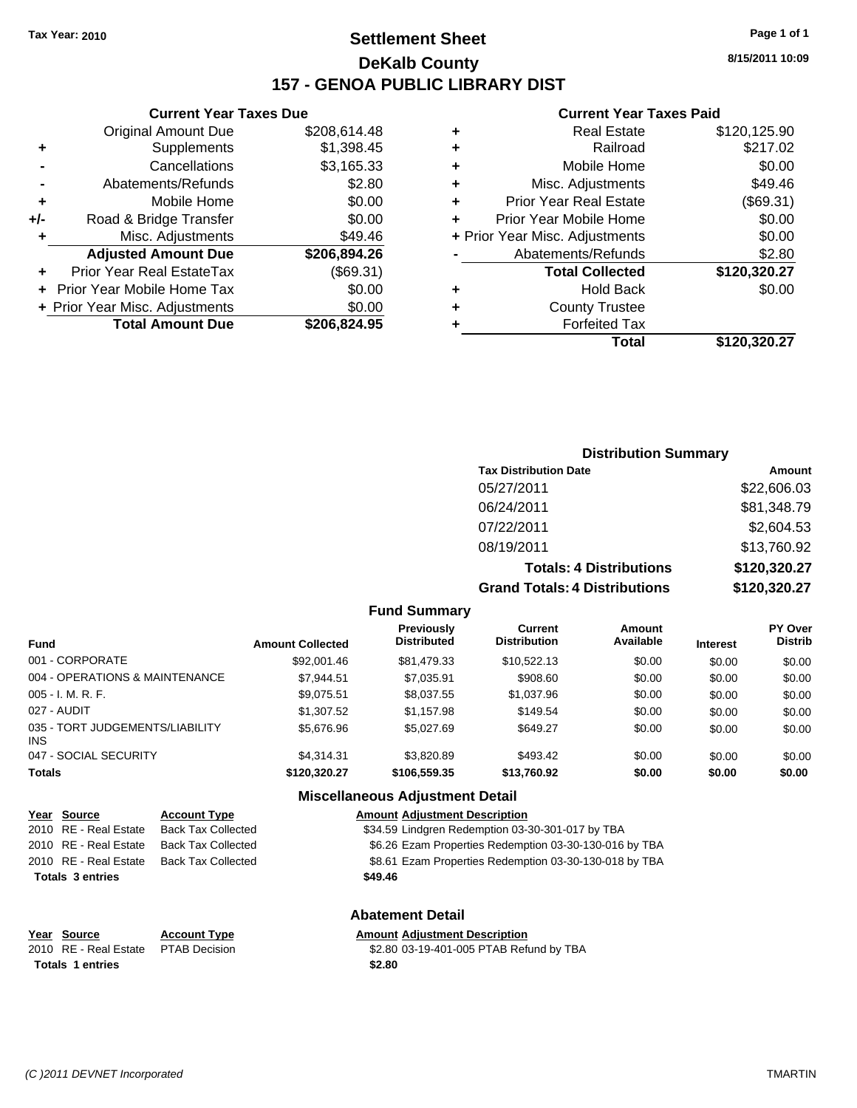## **Settlement Sheet Tax Year: 2010 Page 1 of 1 DeKalb County 157 - GENOA PUBLIC LIBRARY DIST**

**8/15/2011 10:09**

#### **Current Year Taxes Paid**

|   | <b>Real Estate</b>             | \$120,125.90 |
|---|--------------------------------|--------------|
| ٠ | Railroad                       | \$217.02     |
| ٠ | Mobile Home                    | \$0.00       |
| ٠ | Misc. Adjustments              | \$49.46      |
| ٠ | <b>Prior Year Real Estate</b>  | (\$69.31)    |
| ÷ | Prior Year Mobile Home         | \$0.00       |
|   | + Prior Year Misc. Adjustments | \$0.00       |
|   | Abatements/Refunds             | \$2.80       |
|   | <b>Total Collected</b>         | \$120,320.27 |
| ٠ | <b>Hold Back</b>               | \$0.00       |
|   | <b>County Trustee</b>          |              |
|   | <b>Forfeited Tax</b>           |              |
|   | Total                          | \$120.320.27 |

|     | <b>Current Year Taxes Due</b>  |              |
|-----|--------------------------------|--------------|
|     | <b>Original Amount Due</b>     | \$208,614.48 |
| ٠   | Supplements                    | \$1,398.45   |
|     | Cancellations                  | \$3,165.33   |
|     | Abatements/Refunds             | \$2.80       |
| ٠   | Mobile Home                    | \$0.00       |
| +/- | Road & Bridge Transfer         | \$0.00       |
| ٠   | Misc. Adjustments              | \$49.46      |
|     | <b>Adjusted Amount Due</b>     | \$206,894.26 |
|     | Prior Year Real EstateTax      | (\$69.31)    |
|     | Prior Year Mobile Home Tax     | \$0.00       |
|     | + Prior Year Misc. Adjustments | \$0.00       |
|     | <b>Total Amount Due</b>        | \$206,824.95 |
|     |                                |              |

### **Distribution Summary**

| <b>Tax Distribution Date</b>         | Amount       |
|--------------------------------------|--------------|
| 05/27/2011                           | \$22,606.03  |
| 06/24/2011                           | \$81,348.79  |
| 07/22/2011                           | \$2,604.53   |
| 08/19/2011                           | \$13,760.92  |
| <b>Totals: 4 Distributions</b>       | \$120,320.27 |
| <b>Grand Totals: 4 Distributions</b> | \$120,320.27 |

**Fund Summary**

| Fund                                   | <b>Amount Collected</b> | Previously<br><b>Distributed</b> | <b>Current</b><br><b>Distribution</b> | Amount<br>Available | <b>Interest</b> | <b>PY Over</b><br><b>Distrib</b> |
|----------------------------------------|-------------------------|----------------------------------|---------------------------------------|---------------------|-----------------|----------------------------------|
| 001 - CORPORATE                        | \$92,001.46             | \$81,479.33                      | \$10.522.13                           | \$0.00              | \$0.00          | \$0.00                           |
| 004 - OPERATIONS & MAINTENANCE         | \$7.944.51              | \$7,035.91                       | \$908.60                              | \$0.00              | \$0.00          | \$0.00                           |
| 005 - I. M. R. F.                      | \$9,075.51              | \$8,037.55                       | \$1,037.96                            | \$0.00              | \$0.00          | \$0.00                           |
| 027 - AUDIT                            | \$1,307.52              | \$1,157.98                       | \$149.54                              | \$0.00              | \$0.00          | \$0.00                           |
| 035 - TORT JUDGEMENTS/LIABILITY<br>INS | \$5,676.96              | \$5.027.69                       | \$649.27                              | \$0.00              | \$0.00          | \$0.00                           |
| 047 - SOCIAL SECURITY                  | \$4.314.31              | \$3,820.89                       | \$493.42                              | \$0.00              | \$0.00          | \$0.00                           |
| Totals                                 | \$120,320.27            | \$106,559.35                     | \$13,760.92                           | \$0.00              | \$0.00          | \$0.00                           |

#### **Miscellaneous Adjustment Detail**

| Year Source             | <b>Account Type</b>       | <b>Amount Adjustment Description</b>                   |
|-------------------------|---------------------------|--------------------------------------------------------|
| 2010 RE - Real Estate   | <b>Back Tax Collected</b> | \$34.59 Lindgren Redemption 03-30-301-017 by TBA       |
| 2010 RE - Real Estate   | <b>Back Tax Collected</b> | \$6.26 Ezam Properties Redemption 03-30-130-016 by TBA |
| 2010 RE - Real Estate   | <b>Back Tax Collected</b> | \$8.61 Ezam Properties Redemption 03-30-130-018 by TBA |
| <b>Totals 3 entries</b> |                           | \$49.46                                                |
|                         |                           |                                                        |

#### **Abatement Detail**

| Year Source                         | <b>Account Type</b> | <b>Amount Adjustment Description</b> |
|-------------------------------------|---------------------|--------------------------------------|
| 2010 RE - Real Estate PTAB Decision |                     | \$2.80 03-19-401-005 PTAB Refu       |
| Totals 1 entries                    |                     | \$2.80                               |

 $\overline{22.80}$  03-19-401-005 PTAB Refund by TBA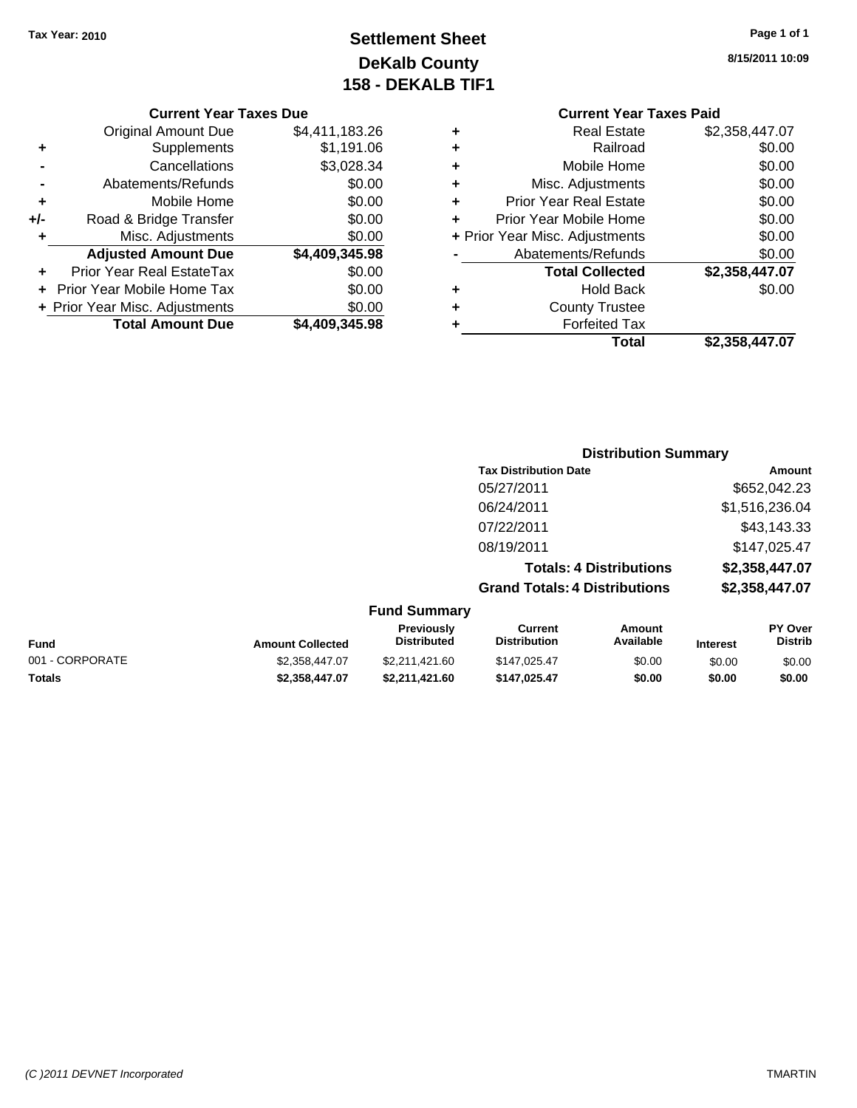## **Settlement Sheet Tax Year: 2010 Page 1 of 1 DeKalb County 158 - DEKALB TIF1**

## **8/15/2011 10:09**

#### **Current Year Taxes Due**

|       | <b>Original Amount Due</b>       | \$4,411,183.26 |
|-------|----------------------------------|----------------|
| ٠     | Supplements                      | \$1,191.06     |
|       | Cancellations                    | \$3,028.34     |
|       | Abatements/Refunds               | \$0.00         |
| ٠     | Mobile Home                      | \$0.00         |
| $+/-$ | Road & Bridge Transfer           | \$0.00         |
| ٠     | Misc. Adjustments                | \$0.00         |
|       | <b>Adjusted Amount Due</b>       | \$4,409,345.98 |
|       | <b>Prior Year Real EstateTax</b> | \$0.00         |
|       | Prior Year Mobile Home Tax       | \$0.00         |
|       | + Prior Year Misc. Adjustments   | \$0.00         |
|       | <b>Total Amount Due</b>          | \$4,409,345.98 |

#### **Current Year Taxes Paid +** Real Estate \$2,358,447.07 **+** Railroad \$0.00

|   | Total                          | \$2,358,447.07 |
|---|--------------------------------|----------------|
|   | <b>Forfeited Tax</b>           |                |
| ÷ | <b>County Trustee</b>          |                |
| ٠ | <b>Hold Back</b>               | \$0.00         |
|   | <b>Total Collected</b>         | \$2,358,447.07 |
|   | Abatements/Refunds             | \$0.00         |
|   | + Prior Year Misc. Adjustments | \$0.00         |
|   | Prior Year Mobile Home         | \$0.00         |
| ٠ | <b>Prior Year Real Estate</b>  | \$0.00         |
| ÷ | Misc. Adjustments              | \$0.00         |
| ÷ | Mobile Home                    | \$0.00         |
|   |                                | vv.vv          |

## **Distribution Summary Tax Distribution Date Amount** 05/27/2011 \$652,042.23 06/24/2011 \$1,516,236.04 07/22/2011 \$43,143.33 08/19/2011 \$147,025.47 **Totals: 4 Distributions \$2,358,447.07 Grand Totals: 4 Distributions \$2,358,447.07**

| <b>Fund Summary</b> |                         |                                         |                                |                     |                 |                                  |
|---------------------|-------------------------|-----------------------------------------|--------------------------------|---------------------|-----------------|----------------------------------|
| <b>Fund</b>         | <b>Amount Collected</b> | <b>Previously</b><br><b>Distributed</b> | Current<br><b>Distribution</b> | Amount<br>Available | <b>Interest</b> | <b>PY Over</b><br><b>Distrib</b> |
| 001 - CORPORATE     | \$2,358,447.07          | \$2,211,421.60                          | \$147,025.47                   | \$0.00              | \$0.00          | \$0.00                           |
| <b>Totals</b>       | \$2,358,447.07          | \$2.211.421.60                          | \$147.025.47                   | \$0.00              | \$0.00          | \$0.00                           |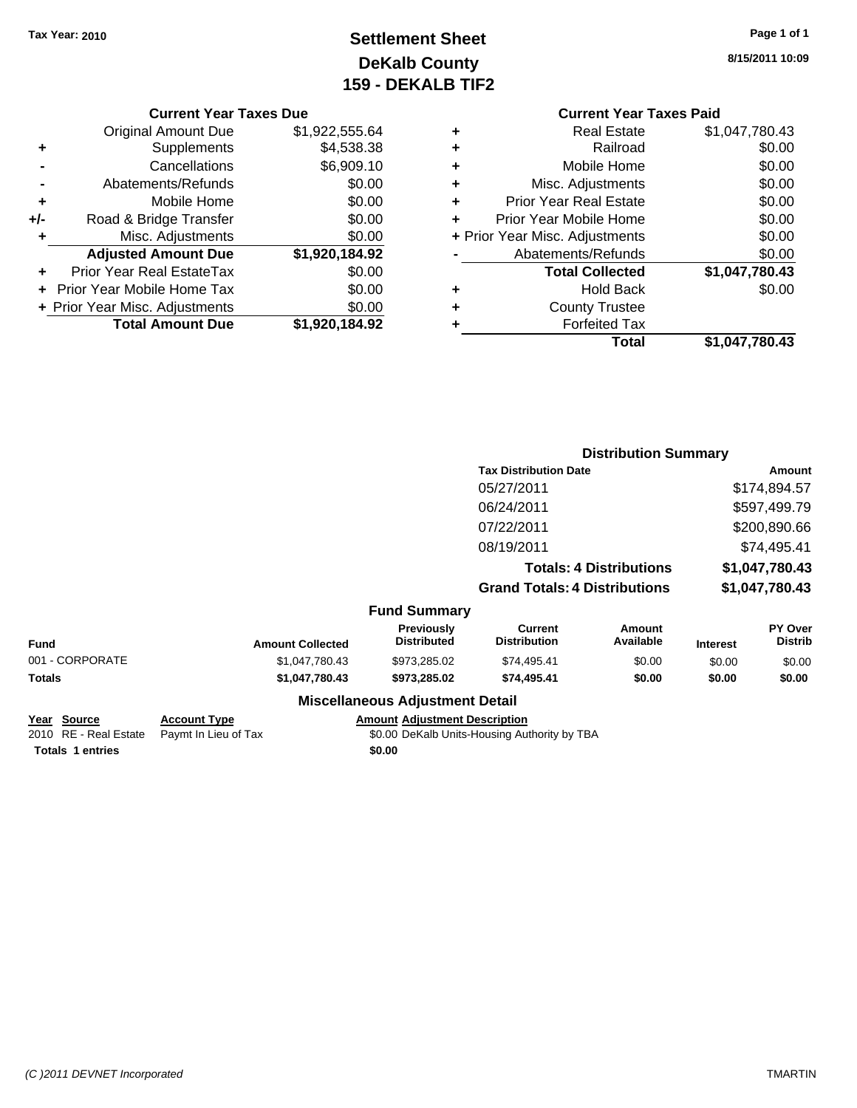## **Settlement Sheet Tax Year: 2010 Page 1 of 1 DeKalb County 159 - DEKALB TIF2**

**8/15/2011 10:09**

## **Current Year Taxes Paid**

|     | <b>Current Year Taxes Due</b>  |                |  |
|-----|--------------------------------|----------------|--|
|     | <b>Original Amount Due</b>     | \$1,922,555.64 |  |
| ٠   | Supplements                    | \$4,538.38     |  |
|     | Cancellations                  | \$6,909.10     |  |
|     | Abatements/Refunds             | \$0.00         |  |
| ٠   | Mobile Home                    | \$0.00         |  |
| +/- | Road & Bridge Transfer         | \$0.00         |  |
| ٠   | Misc. Adjustments              | \$0.00         |  |
|     | <b>Adjusted Amount Due</b>     | \$1,920,184.92 |  |
| ٠   | Prior Year Real EstateTax      | \$0.00         |  |
|     | Prior Year Mobile Home Tax     | \$0.00         |  |
|     | + Prior Year Misc. Adjustments | \$0.00         |  |
|     | <b>Total Amount Due</b>        | \$1,920,184.92 |  |
|     |                                |                |  |

|   | Total                          | \$1,047,780.43 |
|---|--------------------------------|----------------|
| ٠ | <b>Forfeited Tax</b>           |                |
| ٠ | <b>County Trustee</b>          |                |
| ٠ | <b>Hold Back</b>               | \$0.00         |
|   | <b>Total Collected</b>         | \$1,047,780.43 |
|   | Abatements/Refunds             | \$0.00         |
|   | + Prior Year Misc. Adjustments | \$0.00         |
| ٠ | Prior Year Mobile Home         | \$0.00         |
| ÷ | <b>Prior Year Real Estate</b>  | \$0.00         |
| ٠ | Misc. Adjustments              | \$0.00         |
| ÷ | Mobile Home                    | \$0.00         |
| ٠ | Railroad                       | \$0.00         |
| ٠ | <b>Real Estate</b>             | \$1,047,780.43 |
|   |                                |                |

|                 |                         |                                  | <b>Distribution Summary</b>           |                                |                 |                           |
|-----------------|-------------------------|----------------------------------|---------------------------------------|--------------------------------|-----------------|---------------------------|
|                 |                         |                                  | <b>Tax Distribution Date</b>          |                                |                 | Amount                    |
|                 |                         |                                  | 05/27/2011                            |                                |                 | \$174,894.57              |
|                 |                         |                                  | 06/24/2011                            |                                |                 | \$597,499.79              |
|                 |                         |                                  | 07/22/2011                            |                                |                 | \$200,890.66              |
|                 |                         |                                  | 08/19/2011                            |                                |                 | \$74,495.41               |
|                 |                         |                                  |                                       | <b>Totals: 4 Distributions</b> |                 | \$1,047,780.43            |
|                 |                         |                                  | <b>Grand Totals: 4 Distributions</b>  |                                | \$1,047,780.43  |                           |
|                 |                         | <b>Fund Summary</b>              |                                       |                                |                 |                           |
| <b>Fund</b>     | <b>Amount Collected</b> | Previously<br><b>Distributed</b> | <b>Current</b><br><b>Distribution</b> | Amount<br>Available            | <b>Interest</b> | PY Over<br><b>Distrib</b> |
| 001 - CORPORATE | \$1,047,780.43          | \$973.285.02                     | \$74,495.41                           | \$0.00                         | \$0.00          | \$0.00                    |
| Totals          | \$1,047,780.43          | \$973,285.02                     | \$74,495.41                           | \$0.00                         | \$0.00          | \$0.00                    |
|                 | --- --                  | .                                |                                       |                                |                 |                           |

#### **Miscellaneous Adjustment Detail**

| Year Source             | <b>Account Type</b>                        | <b>Amount Adiustment Description</b>         |
|-------------------------|--------------------------------------------|----------------------------------------------|
|                         | 2010 RE - Real Estate Paymt In Lieu of Tax | \$0.00 DeKalb Units-Housing Authority by TBA |
| <b>Totals 1 entries</b> |                                            | \$0.00                                       |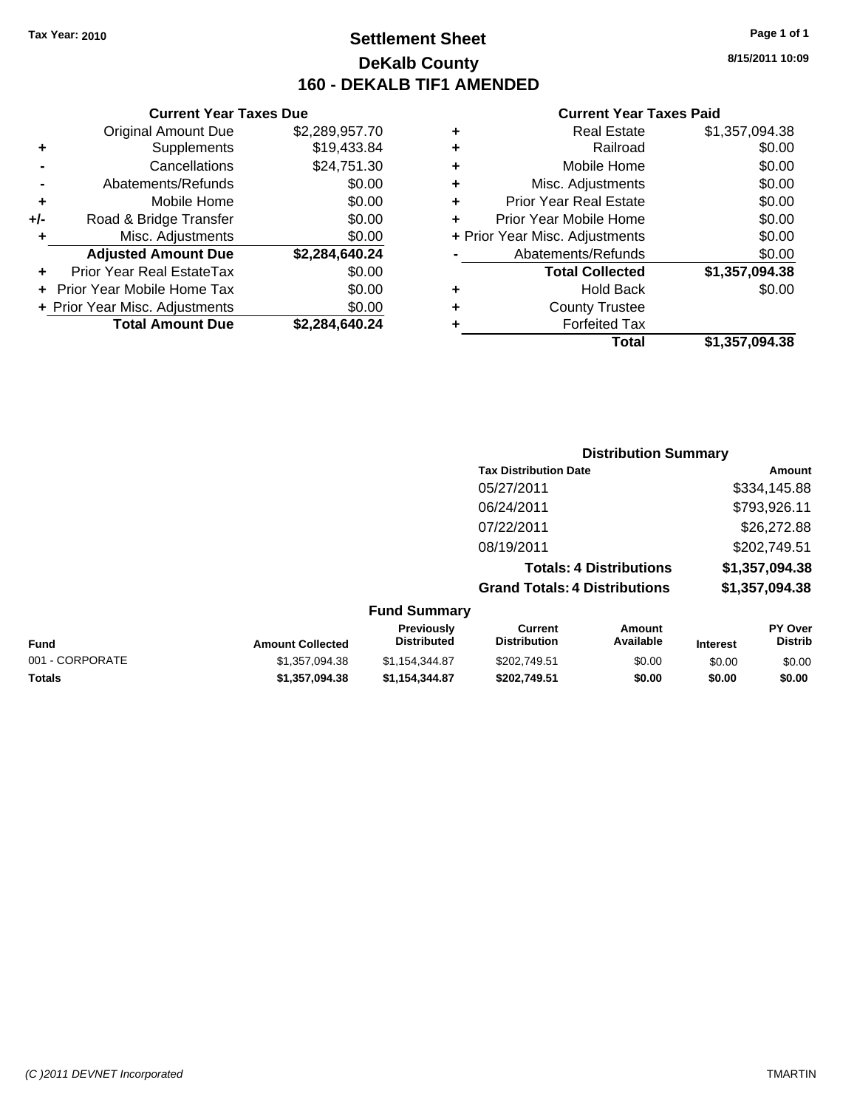## **Settlement Sheet Tax Year: 2010 Page 1 of 1 DeKalb County 160 - DEKALB TIF1 AMENDED**

|     | <b>Current Year Taxes Due</b>  |                |  |  |
|-----|--------------------------------|----------------|--|--|
|     | <b>Original Amount Due</b>     | \$2,289,957.70 |  |  |
| ٠   | Supplements                    | \$19,433.84    |  |  |
|     | Cancellations                  | \$24,751.30    |  |  |
|     | Abatements/Refunds             | \$0.00         |  |  |
| ٠   | Mobile Home                    | \$0.00         |  |  |
| +/- | Road & Bridge Transfer         | \$0.00         |  |  |
| ٠   | Misc. Adjustments              | \$0.00         |  |  |
|     | <b>Adjusted Amount Due</b>     | \$2,284,640.24 |  |  |
| ٠   | Prior Year Real EstateTax      | \$0.00         |  |  |
|     | Prior Year Mobile Home Tax     | \$0.00         |  |  |
|     | + Prior Year Misc. Adjustments | \$0.00         |  |  |
|     | <b>Total Amount Due</b>        | \$2,284,640.24 |  |  |
|     |                                |                |  |  |

#### **Current Year Taxes Paid**

| ٠ | <b>Real Estate</b>             | \$1,357,094.38 |
|---|--------------------------------|----------------|
| ٠ | Railroad                       | \$0.00         |
| ٠ | Mobile Home                    | \$0.00         |
| ٠ | Misc. Adjustments              | \$0.00         |
| ٠ | <b>Prior Year Real Estate</b>  | \$0.00         |
| ÷ | Prior Year Mobile Home         | \$0.00         |
|   | + Prior Year Misc. Adjustments | \$0.00         |
|   | Abatements/Refunds             | \$0.00         |
|   | <b>Total Collected</b>         | \$1,357,094.38 |
| ٠ | Hold Back                      | \$0.00         |
| ٠ | <b>County Trustee</b>          |                |
| ٠ | <b>Forfeited Tax</b>           |                |
|   | Total                          | \$1,357,094.38 |
|   |                                |                |

|                     | <b>Distribution Summary</b>          |                |
|---------------------|--------------------------------------|----------------|
|                     | <b>Tax Distribution Date</b>         | Amount         |
|                     | 05/27/2011                           | \$334,145.88   |
|                     | 06/24/2011                           | \$793,926.11   |
|                     | 07/22/2011                           | \$26,272.88    |
|                     | 08/19/2011                           | \$202,749.51   |
|                     | <b>Totals: 4 Distributions</b>       | \$1,357,094.38 |
|                     | <b>Grand Totals: 4 Distributions</b> | \$1,357,094.38 |
| <b>Fund Summary</b> |                                      |                |

| Fund            | <b>Amount Collected</b> | <b>Previously</b><br><b>Distributed</b> | Current<br><b>Distribution</b> | Amount<br>Available | <b>Interest</b> | PY Over<br>Distrib |
|-----------------|-------------------------|-----------------------------------------|--------------------------------|---------------------|-----------------|--------------------|
| 001 - CORPORATE | \$1.357.094.38          | \$1.154.344.87                          | \$202,749.51                   | \$0.00              | \$0.00          | \$0.00             |
| Totals          | \$1,357,094,38          | \$1.154.344.87                          | \$202.749.51                   | \$0.00              | \$0.00          | \$0.00             |

**8/15/2011 10:09**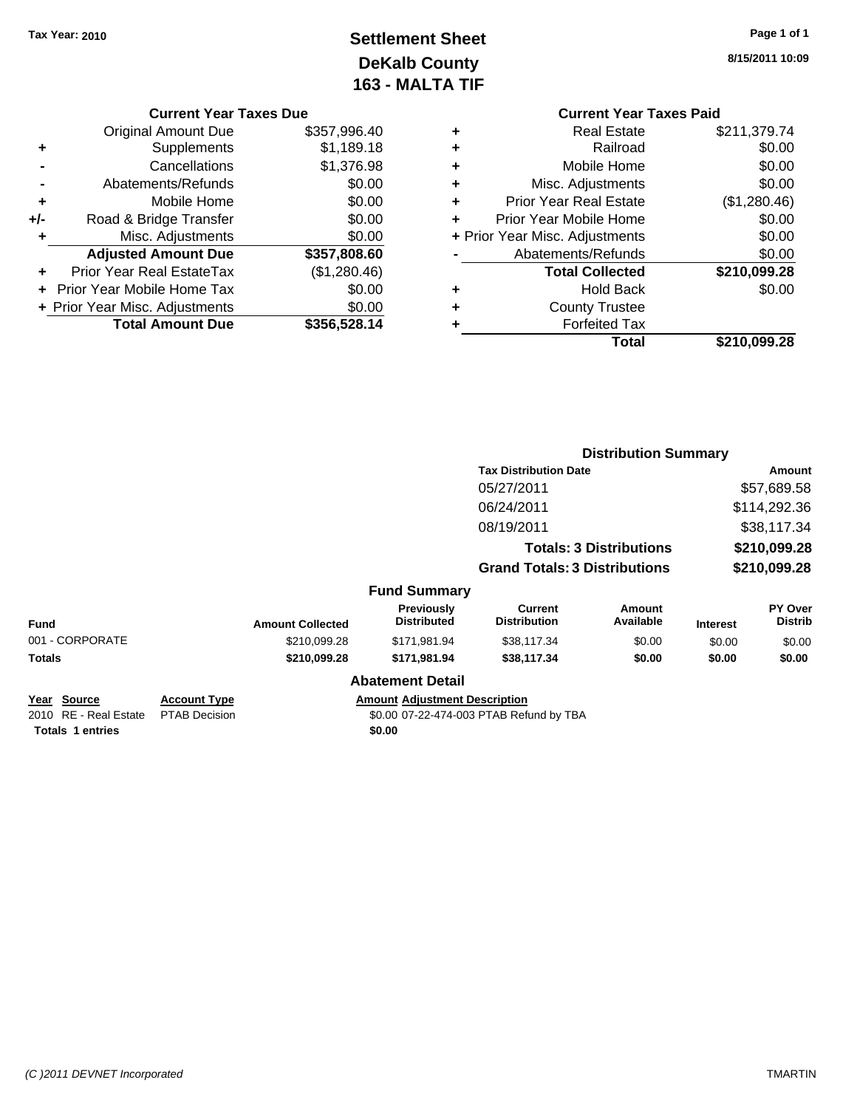# **Settlement Sheet Tax Year: 2010 Page 1 of 1 DeKalb County 163 - MALTA TIF**

**8/15/2011 10:09**

| <b>Current Year Taxes Due</b> |              |   |
|-------------------------------|--------------|---|
| ıl Amount Due                 | \$357,996.40 | ٠ |
| $\sim$                        |              |   |

|     | <b>Original Amount Due</b>        | \$357,996.40 |
|-----|-----------------------------------|--------------|
| ٠   | Supplements                       | \$1,189.18   |
|     | Cancellations                     | \$1,376.98   |
|     | Abatements/Refunds                | \$0.00       |
| ÷   | Mobile Home                       | \$0.00       |
| +/- | Road & Bridge Transfer            | \$0.00       |
| ٠   | Misc. Adjustments                 | \$0.00       |
|     | <b>Adjusted Amount Due</b>        | \$357,808.60 |
|     | <b>Prior Year Real EstateTax</b>  | (\$1,280.46) |
|     | <b>Prior Year Mobile Home Tax</b> | \$0.00       |
|     | + Prior Year Misc. Adjustments    | \$0.00       |
|     | <b>Total Amount Due</b>           | \$356,528.14 |

|   | <b>Current Year Taxes Paid</b> |              |
|---|--------------------------------|--------------|
| ٠ | <b>Real Estate</b>             | \$211,379.74 |
| ٠ | Railroad                       | \$0.00       |
| ٠ | Mobile Home                    | \$0.00       |
| ٠ | Misc. Adjustments              | \$0.00       |
| ٠ | <b>Prior Year Real Estate</b>  | (\$1,280.46) |
| ÷ | Prior Year Mobile Home         | \$0.00       |
|   | + Prior Year Misc. Adjustments | \$0.00       |
|   | Abatements/Refunds             | \$0.00       |
|   | <b>Total Collected</b>         | \$210,099.28 |
| ٠ | <b>Hold Back</b>               | \$0.00       |
|   | <b>County Trustee</b>          |              |
| ٠ | <b>Forfeited Tax</b>           |              |
|   | <b>Total</b>                   | \$210,099.28 |
|   |                                |              |

|                                                                        |                                             |                         |                                                | <b>Distribution Summary</b>             |                                |                 |                           |
|------------------------------------------------------------------------|---------------------------------------------|-------------------------|------------------------------------------------|-----------------------------------------|--------------------------------|-----------------|---------------------------|
|                                                                        |                                             |                         |                                                | <b>Tax Distribution Date</b>            |                                | Amount          |                           |
|                                                                        |                                             |                         |                                                | 05/27/2011                              |                                |                 | \$57,689.58               |
|                                                                        |                                             |                         |                                                | 06/24/2011                              |                                |                 | \$114,292.36              |
|                                                                        |                                             |                         |                                                | 08/19/2011                              |                                |                 | \$38,117.34               |
|                                                                        |                                             |                         |                                                |                                         | <b>Totals: 3 Distributions</b> |                 | \$210,099.28              |
|                                                                        |                                             |                         |                                                | <b>Grand Totals: 3 Distributions</b>    |                                | \$210,099.28    |                           |
|                                                                        |                                             |                         | <b>Fund Summary</b>                            |                                         |                                |                 |                           |
| Fund                                                                   |                                             | <b>Amount Collected</b> | <b>Previously</b><br><b>Distributed</b>        | <b>Current</b><br><b>Distribution</b>   | Amount<br>Available            | <b>Interest</b> | PY Over<br><b>Distrib</b> |
| 001 - CORPORATE                                                        |                                             | \$210,099.28            | \$171,981.94                                   | \$38,117.34                             | \$0.00                         | \$0.00          | \$0.00                    |
| Totals                                                                 |                                             | \$210,099.28            | \$171,981.94                                   | \$38,117.34                             | \$0.00                         | \$0.00          | \$0.00                    |
|                                                                        |                                             |                         | <b>Abatement Detail</b>                        |                                         |                                |                 |                           |
| <u>Year Source</u><br>2010 RE - Real Estate<br><b>Totals 1 entries</b> | <b>Account Type</b><br><b>PTAB Decision</b> |                         | <b>Amount Adjustment Description</b><br>\$0.00 | \$0.00 07-22-474-003 PTAB Refund by TBA |                                |                 |                           |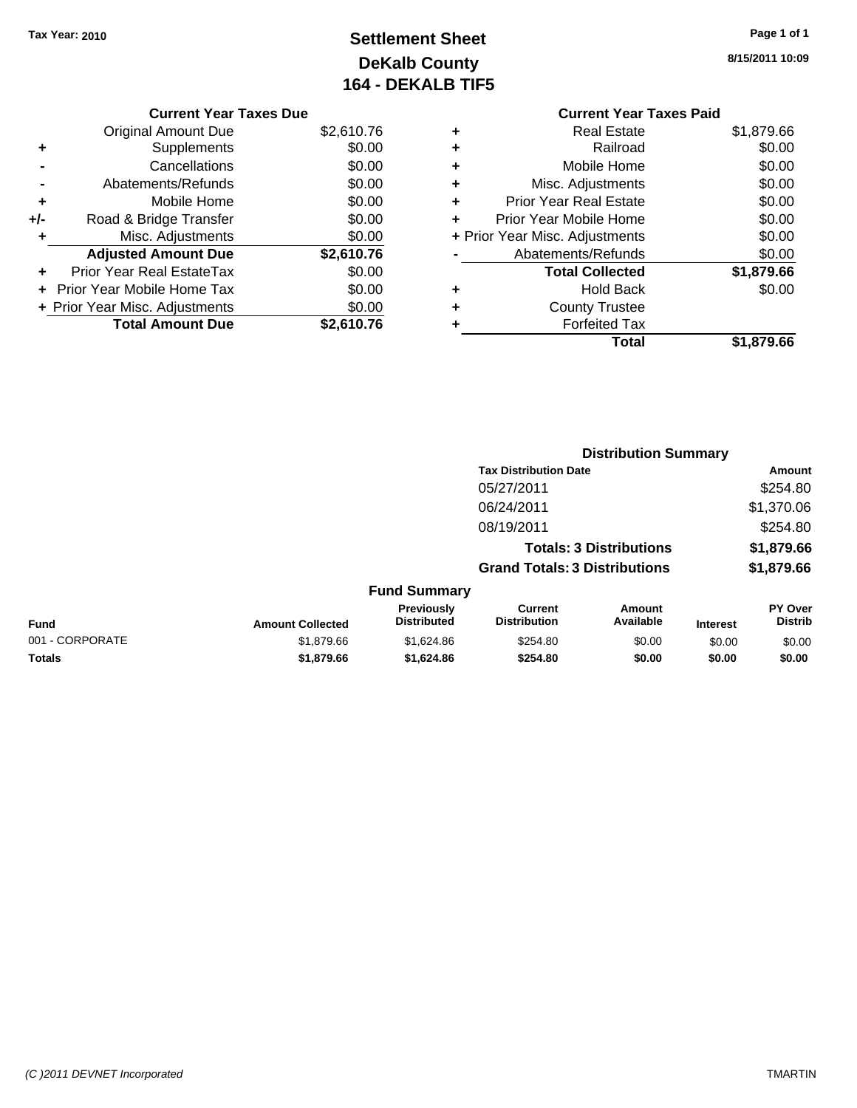# **Settlement Sheet Tax Year: 2010 Page 1 of 1 DeKalb County 164 - DEKALB TIF5**

**8/15/2011 10:09**

### **Current Year Taxes Due**

|     | <b>Original Amount Due</b>       | \$2,610.76 |
|-----|----------------------------------|------------|
| ٠   | Supplements                      | \$0.00     |
|     | Cancellations                    | \$0.00     |
|     | Abatements/Refunds               | \$0.00     |
| ٠   | Mobile Home                      | \$0.00     |
| +/- | Road & Bridge Transfer           | \$0.00     |
|     | Misc. Adjustments                | \$0.00     |
|     | <b>Adjusted Amount Due</b>       | \$2,610.76 |
|     | <b>Prior Year Real EstateTax</b> | \$0.00     |
|     | Prior Year Mobile Home Tax       | \$0.00     |
|     | + Prior Year Misc. Adjustments   | \$0.00     |
|     | <b>Total Amount Due</b>          | \$2.610.76 |

### **Current Year Taxes Paid +** Real Estate \$1,879.66 **+** Railroad \$0.00 **+** Mobile Home \$0.00 **+** Misc. Adjustments \$0.00 **+** Prior Year Real Estate \$0.00 **+** Prior Year Mobile Home \$0.00 **+** Prior Year Misc. Adjustments  $$0.00$ **-** Abatements/Refunds \$0.00

|   | <b>Total</b>           | \$1,879.66 |
|---|------------------------|------------|
| ٠ | <b>Forfeited Tax</b>   |            |
| ٠ | <b>County Trustee</b>  |            |
| ٠ | <b>Hold Back</b>       | \$0.00     |
|   | <b>Total Collected</b> | \$1,879.66 |
|   | AVAIGHIGHIS/INGIUHUS   | vv.vv      |

| <b>Tax Distribution Date</b><br>05/27/2011<br>\$1,370.06<br>06/24/2011<br>08/19/2011<br>\$1,879.66<br><b>Totals: 3 Distributions</b><br>\$1,879.66<br><b>Grand Totals: 3 Distributions</b><br><b>Fund Summary</b><br>Previously<br><b>Current</b><br>Amount<br>Available<br><b>Distributed</b><br><b>Distribution</b><br><b>Fund</b><br><b>Amount Collected</b><br><b>Interest</b><br>001 - CORPORATE<br>\$1,879.66<br>\$1,624.86<br>\$254.80<br>\$0.00<br>\$0.00 |                                  |  |
|-------------------------------------------------------------------------------------------------------------------------------------------------------------------------------------------------------------------------------------------------------------------------------------------------------------------------------------------------------------------------------------------------------------------------------------------------------------------|----------------------------------|--|
|                                                                                                                                                                                                                                                                                                                                                                                                                                                                   | Amount                           |  |
|                                                                                                                                                                                                                                                                                                                                                                                                                                                                   | \$254.80                         |  |
|                                                                                                                                                                                                                                                                                                                                                                                                                                                                   |                                  |  |
|                                                                                                                                                                                                                                                                                                                                                                                                                                                                   | \$254.80                         |  |
|                                                                                                                                                                                                                                                                                                                                                                                                                                                                   |                                  |  |
|                                                                                                                                                                                                                                                                                                                                                                                                                                                                   |                                  |  |
|                                                                                                                                                                                                                                                                                                                                                                                                                                                                   |                                  |  |
|                                                                                                                                                                                                                                                                                                                                                                                                                                                                   | <b>PY Over</b><br><b>Distrib</b> |  |
|                                                                                                                                                                                                                                                                                                                                                                                                                                                                   | \$0.00                           |  |
| Totals<br>\$1,879.66<br>\$1,624.86<br>\$254.80<br>\$0.00<br>\$0.00                                                                                                                                                                                                                                                                                                                                                                                                | \$0.00                           |  |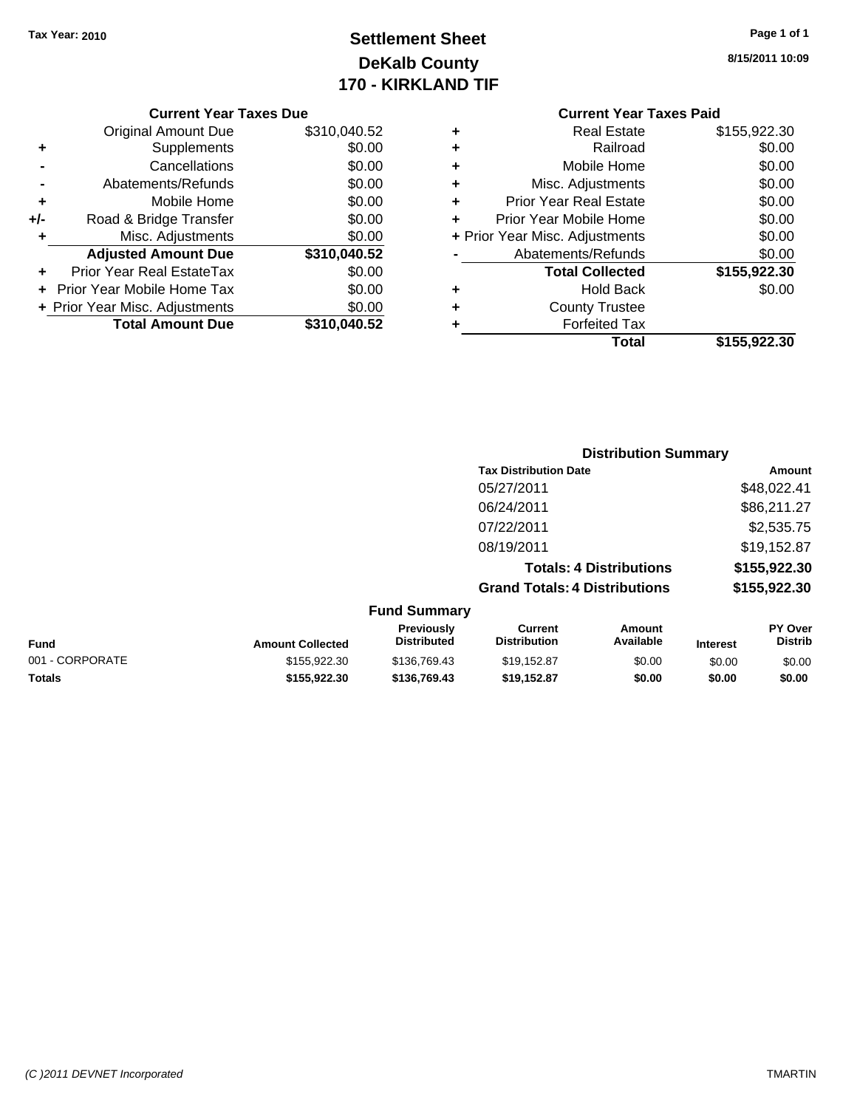# **Settlement Sheet Tax Year: 2010 Page 1 of 1 DeKalb County 170 - KIRKLAND TIF**

**8/15/2011 10:09**

#### **Current Year Taxes Due**

|       | <b>Original Amount Due</b>     | \$310,040.52 |
|-------|--------------------------------|--------------|
| ٠     | Supplements                    | \$0.00       |
|       | Cancellations                  | \$0.00       |
|       | Abatements/Refunds             | \$0.00       |
| ٠     | Mobile Home                    | \$0.00       |
| $+/-$ | Road & Bridge Transfer         | \$0.00       |
|       | Misc. Adjustments              | \$0.00       |
|       | <b>Adjusted Amount Due</b>     | \$310,040.52 |
|       | Prior Year Real EstateTax      | \$0.00       |
|       | Prior Year Mobile Home Tax     | \$0.00       |
|       | + Prior Year Misc. Adjustments | \$0.00       |
|       | <b>Total Amount Due</b>        | \$310,040.52 |

### **Current Year Taxes Paid**

| ٠ | <b>Real Estate</b>             | \$155,922.30 |
|---|--------------------------------|--------------|
| ٠ | Railroad                       | \$0.00       |
| ٠ | Mobile Home                    | \$0.00       |
| ٠ | Misc. Adjustments              | \$0.00       |
| ٠ | <b>Prior Year Real Estate</b>  | \$0.00       |
| ٠ | Prior Year Mobile Home         | \$0.00       |
|   | + Prior Year Misc. Adjustments | \$0.00       |
|   | Abatements/Refunds             | \$0.00       |
|   | <b>Total Collected</b>         | \$155,922.30 |
| ٠ | <b>Hold Back</b>               | \$0.00       |
| ٠ | <b>County Trustee</b>          |              |
| ٠ | <b>Forfeited Tax</b>           |              |
|   | Total                          | \$155,922.30 |
|   |                                |              |

### **Distribution Summary Tax Distribution Date Amount** 05/27/2011 \$48,022.41 06/24/2011 \$86,211.27 07/22/2011 \$2,535.75 08/19/2011 \$19,152.87 **Totals: 4 Distributions \$155,922.30 Grand Totals: 4 Distributions \$155,922.30 Fund Summary**

| Fund            | <b>Amount Collected</b> | <b>Previously</b><br><b>Distributed</b> | Current<br><b>Distribution</b> | Amount<br>Available | <b>Interest</b> | <b>PY Over</b><br><b>Distrib</b> |
|-----------------|-------------------------|-----------------------------------------|--------------------------------|---------------------|-----------------|----------------------------------|
| 001 - CORPORATE | \$155,922,30            | \$136,769.43                            | \$19.152.87                    | \$0.00              | \$0.00          | \$0.00                           |
| <b>Totals</b>   | \$155.922.30            | \$136,769.43                            | \$19.152.87                    | \$0.00              | \$0.00          | \$0.00                           |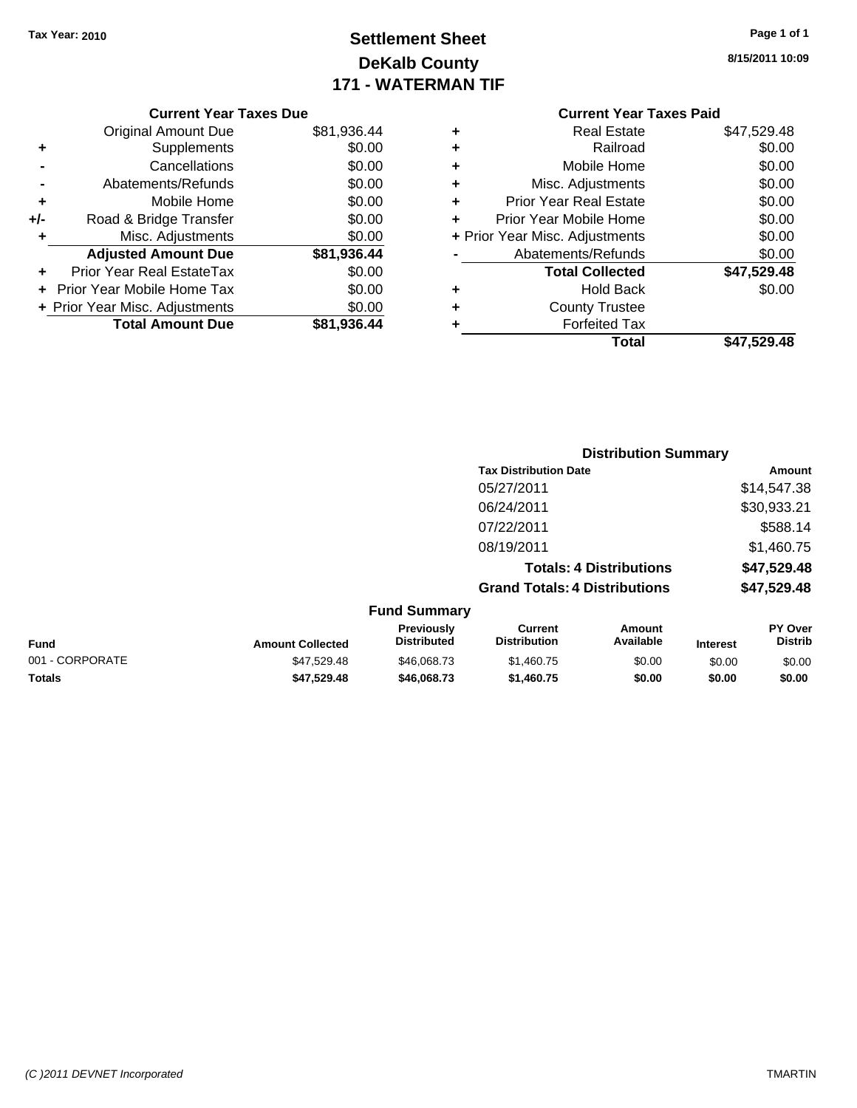# **Settlement Sheet Tax Year: 2010 Page 1 of 1 DeKalb County 171 - WATERMAN TIF**

**8/15/2011 10:09**

|   | <b>Current Year Taxes Paid</b> |             |  |  |  |
|---|--------------------------------|-------------|--|--|--|
| ٠ | <b>Real Estate</b>             | \$47,529.48 |  |  |  |
| ٠ | Railroad                       | \$0.00      |  |  |  |
| ٠ | Mobile Home                    | \$0.00      |  |  |  |
| ٠ | Misc. Adjustments              | \$0.00      |  |  |  |
| ٠ | <b>Prior Year Real Estate</b>  | \$0.00      |  |  |  |
| ÷ | Prior Year Mobile Home         | \$0.00      |  |  |  |
|   | + Prior Year Misc. Adjustments | \$0.00      |  |  |  |
|   | Abatements/Refunds             | \$0.00      |  |  |  |
|   | <b>Total Collected</b>         | \$47,529.48 |  |  |  |
| ٠ | <b>Hold Back</b>               | \$0.00      |  |  |  |
| ٠ | <b>County Trustee</b>          |             |  |  |  |
|   | <b>Forfeited Tax</b>           |             |  |  |  |
|   | Total                          | \$47.529.48 |  |  |  |

**Distribution Summary**

### **Current Year Taxes Due** Original Amount Due \$81,936.44 **+** Supplements \$0.00 **-** Cancellations \$0.00 **-** Abatements/Refunds \$0.00 **+** Mobile Home \$0.00 **+/-** Road & Bridge Transfer \$0.00 **+** Misc. Adjustments \$0.00 **Adjusted Amount Due \$81,936.44 +** Prior Year Real EstateTax \$0.00 **+** Prior Year Mobile Home Tax \$0.00 **+ Prior Year Misc. Adjustments**  $$0.00$ **Total Amount Due \$81,936.44**

|                 |                         |                                  | <b>Tax Distribution Date</b>          |                                |                 | Amount                           |
|-----------------|-------------------------|----------------------------------|---------------------------------------|--------------------------------|-----------------|----------------------------------|
|                 |                         |                                  | 05/27/2011                            |                                |                 | \$14,547.38                      |
|                 |                         |                                  | 06/24/2011                            |                                |                 | \$30,933.21                      |
|                 |                         |                                  | 07/22/2011                            |                                |                 | \$588.14                         |
|                 |                         |                                  | 08/19/2011                            |                                |                 | \$1,460.75                       |
|                 |                         |                                  |                                       | <b>Totals: 4 Distributions</b> |                 | \$47,529.48                      |
|                 |                         |                                  | <b>Grand Totals: 4 Distributions</b>  |                                |                 | \$47,529.48                      |
|                 |                         | <b>Fund Summary</b>              |                                       |                                |                 |                                  |
| <b>Fund</b>     | <b>Amount Collected</b> | Previously<br><b>Distributed</b> | <b>Current</b><br><b>Distribution</b> | Amount<br>Available            | <b>Interest</b> | <b>PY Over</b><br><b>Distrib</b> |
| 001 - CORPORATE | \$47.529.48             | \$46,068.73                      | \$1,460.75                            | \$0.00                         | \$0.00          | \$0.00                           |
| Totals          | \$47.529.48             | \$46,068,73                      | \$1,460.75                            | \$0.00                         | \$0.00          | \$0.00                           |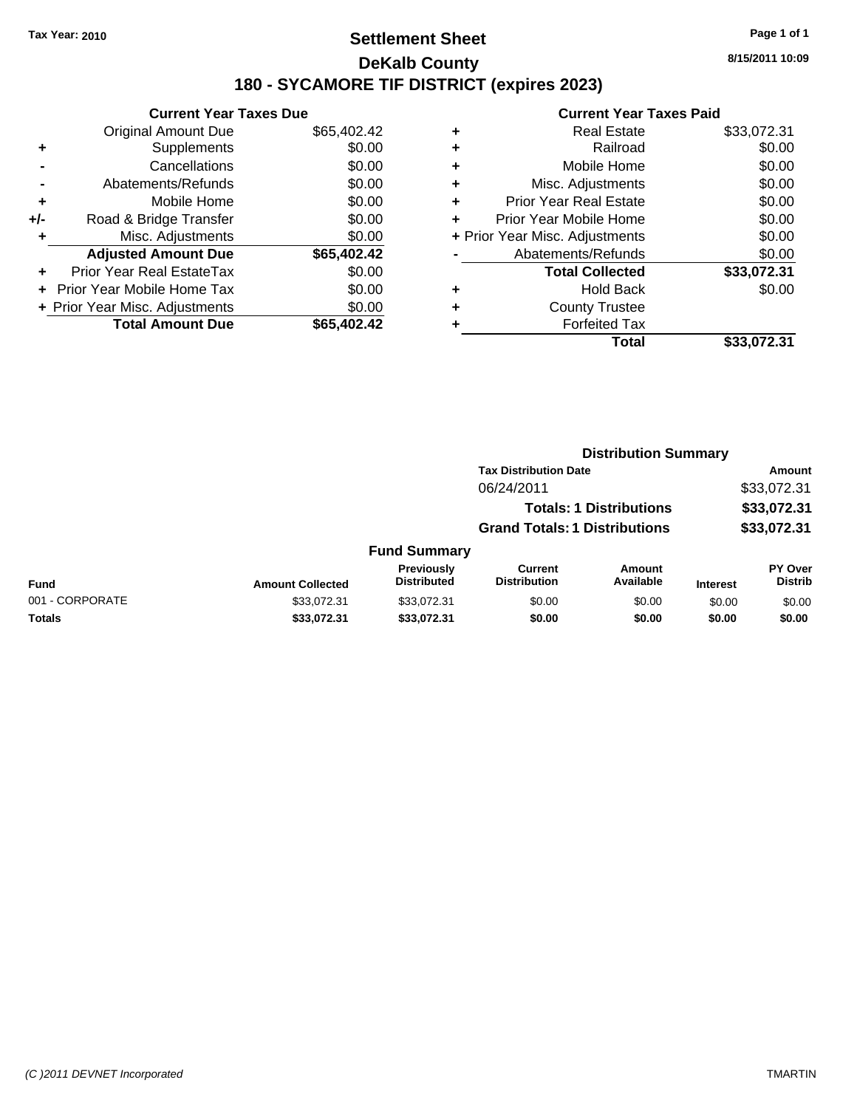### **Settlement Sheet Tax Year: 2010 Page 1 of 1 DeKalb County 180 - SYCAMORE TIF DISTRICT (expires 2023)**

**8/15/2011 10:09**

|       | <b>Current Year Taxes Due</b>  |             |  |  |  |  |
|-------|--------------------------------|-------------|--|--|--|--|
|       | Original Amount Due            | \$65,402.42 |  |  |  |  |
| ٠     | Supplements                    | \$0.00      |  |  |  |  |
|       | Cancellations                  | \$0.00      |  |  |  |  |
|       | Abatements/Refunds             | \$0.00      |  |  |  |  |
| ÷     | Mobile Home                    | \$0.00      |  |  |  |  |
| $+/-$ | Road & Bridge Transfer         | \$0.00      |  |  |  |  |
|       | Misc. Adjustments              | \$0.00      |  |  |  |  |
|       | <b>Adjusted Amount Due</b>     | \$65,402.42 |  |  |  |  |
|       | Prior Year Real EstateTax      | \$0.00      |  |  |  |  |
|       | Prior Year Mobile Home Tax     | \$0.00      |  |  |  |  |
|       | + Prior Year Misc. Adjustments | \$0.00      |  |  |  |  |
|       | <b>Total Amount Due</b>        | \$65,402.42 |  |  |  |  |
|       |                                |             |  |  |  |  |

| ٠ | <b>Real Estate</b>             | \$33,072.31 |
|---|--------------------------------|-------------|
| ÷ | Railroad                       | \$0.00      |
| ٠ | Mobile Home                    | \$0.00      |
| ٠ | Misc. Adjustments              | \$0.00      |
| ÷ | <b>Prior Year Real Estate</b>  | \$0.00      |
| ÷ | Prior Year Mobile Home         | \$0.00      |
|   | + Prior Year Misc. Adjustments | \$0.00      |
|   | Abatements/Refunds             | \$0.00      |
|   | <b>Total Collected</b>         | \$33,072.31 |
| ٠ | <b>Hold Back</b>               | \$0.00      |
| ٠ | <b>County Trustee</b>          |             |
| ٠ | <b>Forfeited Tax</b>           |             |
|   | Total                          | \$33,072.31 |
|   |                                |             |

|                 |                         |                                  | <b>Distribution Summary</b>           |                                |                 |                                  |
|-----------------|-------------------------|----------------------------------|---------------------------------------|--------------------------------|-----------------|----------------------------------|
|                 |                         |                                  | <b>Tax Distribution Date</b>          |                                |                 | <b>Amount</b>                    |
|                 |                         |                                  | 06/24/2011                            |                                |                 | \$33,072.31                      |
|                 |                         |                                  |                                       | <b>Totals: 1 Distributions</b> |                 | \$33,072.31                      |
|                 |                         |                                  | <b>Grand Totals: 1 Distributions</b>  |                                |                 | \$33,072.31                      |
|                 |                         | <b>Fund Summary</b>              |                                       |                                |                 |                                  |
| <b>Fund</b>     | <b>Amount Collected</b> | Previously<br><b>Distributed</b> | <b>Current</b><br><b>Distribution</b> | Amount<br>Available            | <b>Interest</b> | <b>PY Over</b><br><b>Distrib</b> |
| 001 - CORPORATE | \$33,072.31             | \$33.072.31                      | \$0.00                                | \$0.00                         | \$0.00          | \$0.00                           |
| Totals          | \$33,072.31             | \$33,072.31                      | \$0.00                                | \$0.00                         | \$0.00          | \$0.00                           |
|                 |                         |                                  |                                       |                                |                 |                                  |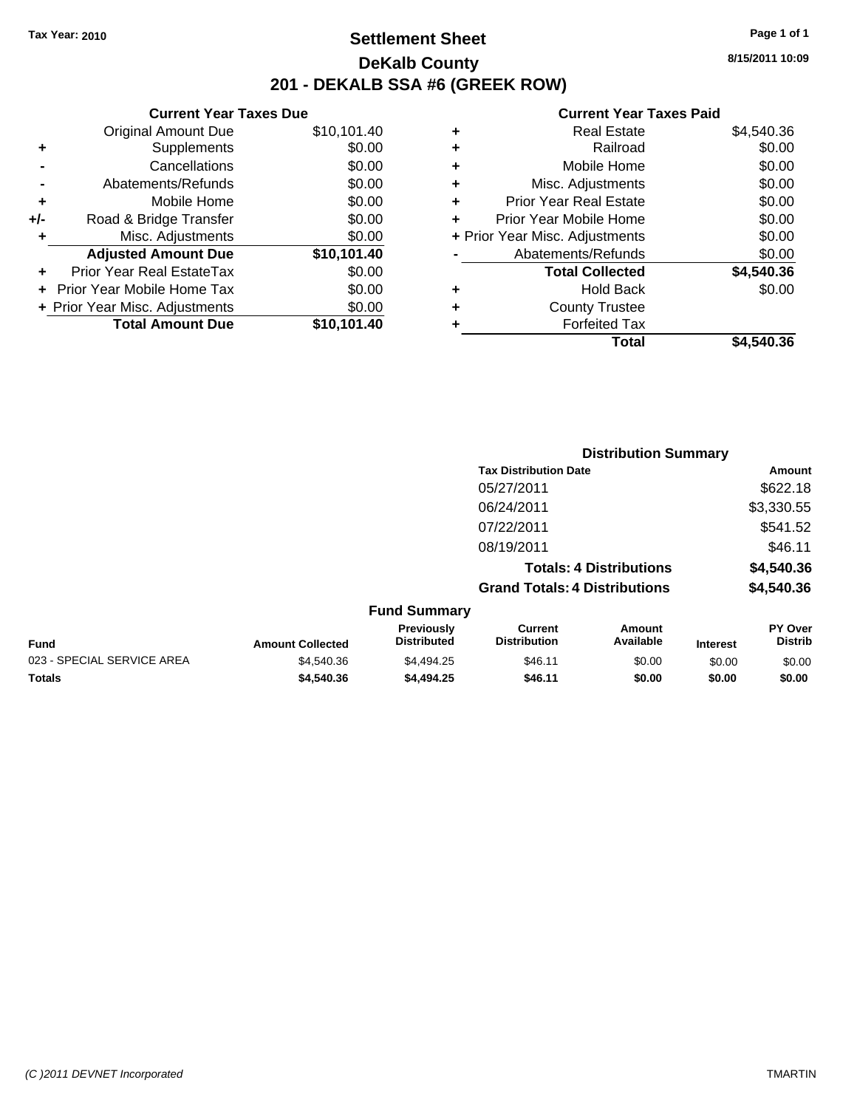**Current Year Taxes Due**

### **Settlement Sheet Tax Year: 2010 Page 1 of 1 DeKalb County 201 - DEKALB SSA #6 (GREEK ROW)**

**8/15/2011 10:09**

#### **Current Year Taxes Paid**

|     | <b>Total Amount Due</b>        | \$10,101.40 |   | <b>Forfeited Tax</b>           |            |
|-----|--------------------------------|-------------|---|--------------------------------|------------|
|     | + Prior Year Misc. Adjustments | \$0.00      | ٠ | <b>County Trustee</b>          |            |
|     | + Prior Year Mobile Home Tax   | \$0.00      | ٠ | <b>Hold Back</b>               | \$0.00     |
| ÷.  | Prior Year Real EstateTax      | \$0.00      |   | <b>Total Collected</b>         | \$4,540.36 |
|     | <b>Adjusted Amount Due</b>     | \$10,101.40 |   | Abatements/Refunds             | \$0.00     |
|     | Misc. Adjustments              | \$0.00      |   | + Prior Year Misc. Adjustments | \$0.00     |
| +/- | Road & Bridge Transfer         | \$0.00      | ÷ | Prior Year Mobile Home         | \$0.00     |
| ٠   | Mobile Home                    | \$0.00      | ٠ | <b>Prior Year Real Estate</b>  | \$0.00     |
|     | Abatements/Refunds             | \$0.00      | ٠ | Misc. Adjustments              | \$0.00     |
|     | Cancellations                  | \$0.00      | ٠ | Mobile Home                    | \$0.00     |
| ٠   | Supplements                    | \$0.00      | ٠ | Railroad                       | \$0.00     |
|     | <b>Original Amount Due</b>     | \$10,101.40 | ٠ | <b>Real Estate</b>             | \$4,540.36 |
|     |                                |             |   |                                |            |

|                            |                         |                                  | <b>Distribution Summary</b>           |                                |                 |                                  |
|----------------------------|-------------------------|----------------------------------|---------------------------------------|--------------------------------|-----------------|----------------------------------|
|                            |                         |                                  | <b>Tax Distribution Date</b>          |                                |                 | Amount                           |
|                            |                         |                                  | 05/27/2011                            |                                |                 | \$622.18                         |
|                            |                         |                                  | 06/24/2011                            |                                |                 | \$3,330.55                       |
|                            |                         |                                  | 07/22/2011                            |                                |                 | \$541.52                         |
|                            |                         |                                  | 08/19/2011                            |                                |                 | \$46.11                          |
|                            |                         |                                  |                                       | <b>Totals: 4 Distributions</b> |                 | \$4,540.36                       |
|                            |                         |                                  | <b>Grand Totals: 4 Distributions</b>  |                                |                 | \$4,540.36                       |
|                            |                         | <b>Fund Summary</b>              |                                       |                                |                 |                                  |
| <b>Fund</b>                | <b>Amount Collected</b> | Previously<br><b>Distributed</b> | <b>Current</b><br><b>Distribution</b> | Amount<br>Available            | <b>Interest</b> | <b>PY Over</b><br><b>Distrib</b> |
| 023 - SPECIAL SERVICE AREA | \$4,540.36              | \$4,494.25                       | \$46.11                               | \$0.00                         | \$0.00          | \$0.00                           |
|                            |                         |                                  |                                       |                                |                 |                                  |

**Totals \$4,540.36 \$4,494.25 \$46.11 \$0.00 \$0.00 \$0.00**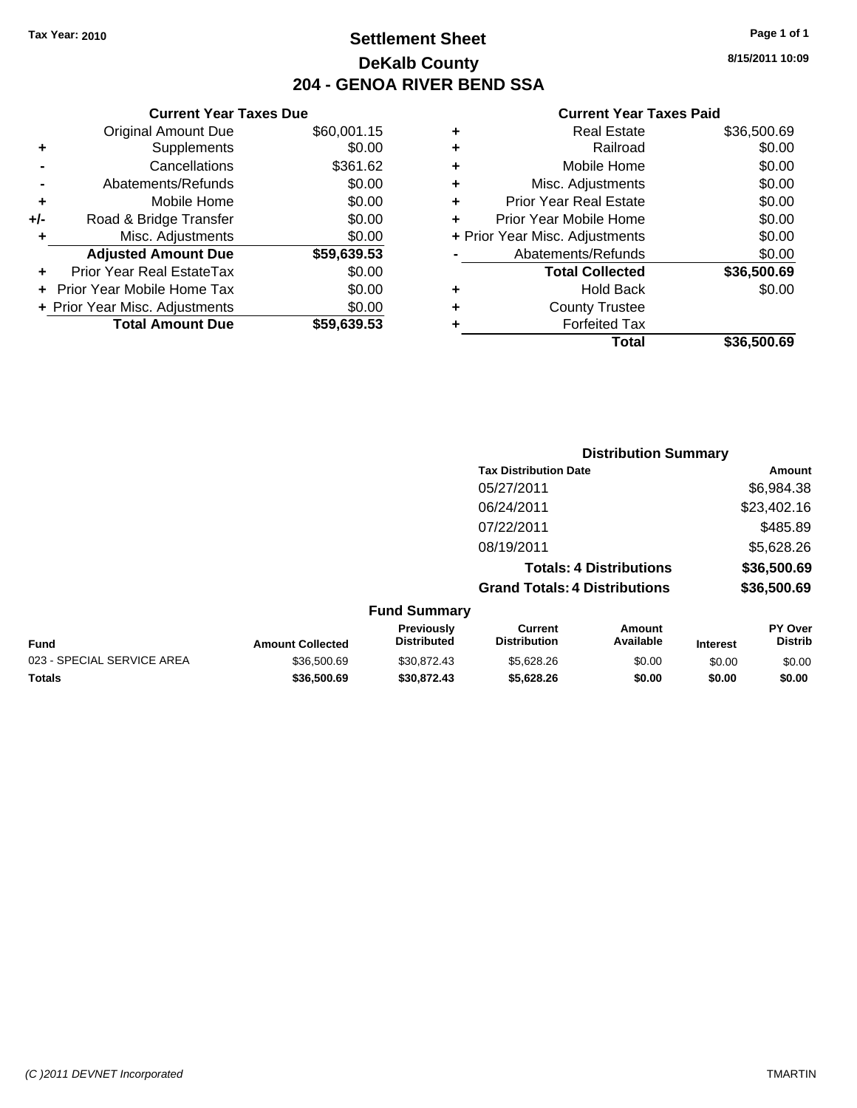### **Settlement Sheet Tax Year: 2010 Page 1 of 1 DeKalb County 204 - GENOA RIVER BEND SSA**

**8/15/2011 10:09**

| ٠ | Mobile Home                    | \$0.00      |
|---|--------------------------------|-------------|
| ٠ | Misc. Adjustments              | \$0.00      |
| ٠ | <b>Prior Year Real Estate</b>  | \$0.00      |
|   | Prior Year Mobile Home         | \$0.00      |
|   | + Prior Year Misc. Adjustments | \$0.00      |
|   | Abatements/Refunds             | \$0.00      |
|   | <b>Total Collected</b>         | \$36,500.69 |
| ٠ | <b>Hold Back</b>               | \$0.00      |
| ٠ | <b>County Trustee</b>          |             |
| ٠ | <b>Forfeited Tax</b>           |             |
|   |                                |             |
|   | Total                          | \$36,500.69 |

|     | <b>Current Year Taxes Due</b>  |             |
|-----|--------------------------------|-------------|
|     | <b>Original Amount Due</b>     | \$60,001.15 |
| ٠   | Supplements                    | \$0.00      |
|     | Cancellations                  | \$361.62    |
|     | Abatements/Refunds             | \$0.00      |
| ٠   | Mobile Home                    | \$0.00      |
| +/- | Road & Bridge Transfer         | \$0.00      |
| ٠   | Misc. Adjustments              | \$0.00      |
|     | <b>Adjusted Amount Due</b>     | \$59,639.53 |
| ٠   | Prior Year Real EstateTax      | \$0.00      |
|     | Prior Year Mobile Home Tax     | \$0.00      |
|     | + Prior Year Misc. Adjustments | \$0.00      |
|     | <b>Total Amount Due</b>        | \$59,639.53 |
|     |                                |             |

|                     | <b>Distribution Summary</b>          |                                |                |  |  |
|---------------------|--------------------------------------|--------------------------------|----------------|--|--|
|                     | <b>Tax Distribution Date</b>         |                                | Amount         |  |  |
|                     | 05/27/2011                           |                                | \$6,984.38     |  |  |
|                     | 06/24/2011                           |                                | \$23,402.16    |  |  |
|                     | 07/22/2011                           |                                | \$485.89       |  |  |
|                     | 08/19/2011                           |                                | \$5,628.26     |  |  |
|                     |                                      | <b>Totals: 4 Distributions</b> | \$36,500.69    |  |  |
|                     | <b>Grand Totals: 4 Distributions</b> |                                | \$36,500.69    |  |  |
| <b>Fund Summary</b> |                                      |                                |                |  |  |
| <b>Previously</b>   | Current                              | Amount                         | <b>PY Over</b> |  |  |

| <b>Amount Collected</b> | <b>Previousiv</b><br><b>Distributed</b> | Current<br><b>Distribution</b> | Amount<br>Available | <b>Interest</b> | <b>PY Over</b><br>Distrib |
|-------------------------|-----------------------------------------|--------------------------------|---------------------|-----------------|---------------------------|
| \$36,500.69             | \$30.872.43                             | \$5.628.26                     | \$0.00              | \$0.00          | \$0.00                    |
| \$36,500.69             | \$30,872.43                             | \$5.628.26                     | \$0.00              | \$0.00          | \$0.00                    |
|                         |                                         |                                |                     |                 |                           |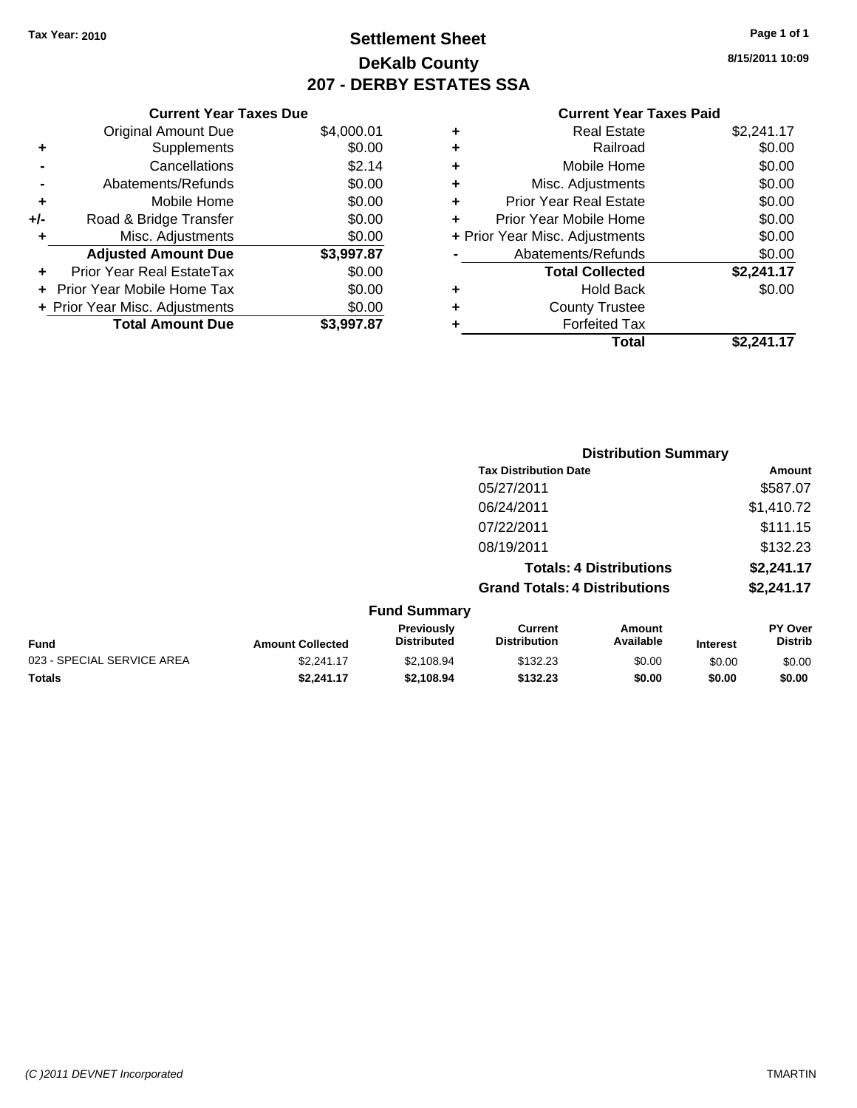# **Settlement Sheet Tax Year: 2010 Page 1 of 1 DeKalb County 207 - DERBY ESTATES SSA**

**8/15/2011 10:09**

|     | <b>Current Year Taxes Due</b>  |            |  |  |  |  |
|-----|--------------------------------|------------|--|--|--|--|
|     | <b>Original Amount Due</b>     | \$4,000.01 |  |  |  |  |
| ٠   | Supplements                    | \$0.00     |  |  |  |  |
|     | Cancellations                  | \$2.14     |  |  |  |  |
|     | Abatements/Refunds             | \$0.00     |  |  |  |  |
| ٠   | Mobile Home                    | \$0.00     |  |  |  |  |
| +/- | Road & Bridge Transfer         | \$0.00     |  |  |  |  |
| ٠   | Misc. Adjustments              | \$0.00     |  |  |  |  |
|     | <b>Adjusted Amount Due</b>     | \$3,997.87 |  |  |  |  |
| ٠   | Prior Year Real EstateTax      | \$0.00     |  |  |  |  |
|     | Prior Year Mobile Home Tax     | \$0.00     |  |  |  |  |
|     | + Prior Year Misc. Adjustments | \$0.00     |  |  |  |  |
|     | <b>Total Amount Due</b>        | \$3,997.87 |  |  |  |  |

|   | <b>Real Estate</b>             | \$2,241.17 |
|---|--------------------------------|------------|
| ٠ | Railroad                       | \$0.00     |
| ٠ | Mobile Home                    | \$0.00     |
| ٠ | Misc. Adjustments              | \$0.00     |
| ÷ | <b>Prior Year Real Estate</b>  | \$0.00     |
| ÷ | Prior Year Mobile Home         | \$0.00     |
|   | + Prior Year Misc. Adjustments | \$0.00     |
|   | Abatements/Refunds             | \$0.00     |
|   | <b>Total Collected</b>         | \$2,241.17 |
| ٠ | <b>Hold Back</b>               | \$0.00     |
| ٠ | <b>County Trustee</b>          |            |
| ٠ | <b>Forfeited Tax</b>           |            |
|   | Total                          | \$2.241.17 |
|   |                                |            |

|                            |                         |                                         |                                       | <b>Distribution Summary</b>    |                 |                           |
|----------------------------|-------------------------|-----------------------------------------|---------------------------------------|--------------------------------|-----------------|---------------------------|
|                            |                         |                                         | <b>Tax Distribution Date</b>          |                                |                 | <b>Amount</b>             |
|                            |                         |                                         | 05/27/2011                            |                                |                 | \$587.07                  |
|                            |                         |                                         | 06/24/2011                            |                                |                 | \$1,410.72                |
|                            |                         |                                         | 07/22/2011                            |                                |                 | \$111.15                  |
|                            |                         |                                         | 08/19/2011                            |                                |                 | \$132.23                  |
|                            |                         |                                         |                                       | <b>Totals: 4 Distributions</b> |                 | \$2,241.17                |
|                            |                         |                                         | <b>Grand Totals: 4 Distributions</b>  |                                |                 | \$2,241.17                |
|                            |                         | <b>Fund Summary</b>                     |                                       |                                |                 |                           |
| Fund                       | <b>Amount Collected</b> | <b>Previously</b><br><b>Distributed</b> | <b>Current</b><br><b>Distribution</b> | Amount<br>Available            | <b>Interest</b> | PY Over<br><b>Distrib</b> |
| 023 - SPECIAL SERVICE AREA | \$2,241.17              | \$2,108.94                              | \$132.23                              | \$0.00                         | \$0.00          | \$0.00                    |
| Totals                     | \$2,241.17              | \$2,108.94                              | \$132.23                              | \$0.00                         | \$0.00          | \$0.00                    |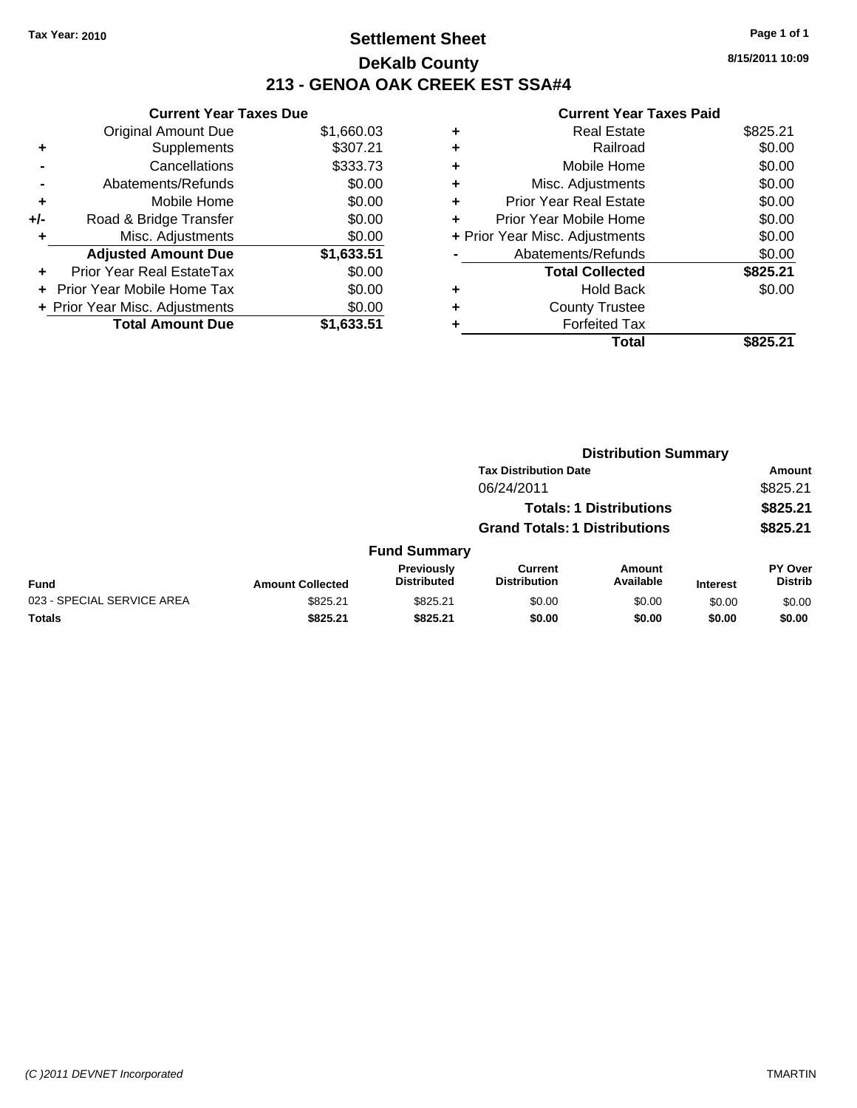# **Settlement Sheet Tax Year: 2010 Page 1 of 1 DeKalb County 213 - GENOA OAK CREEK EST SSA#4**

**8/15/2011 10:09**

|     | <b>Current Year Taxes Due</b>  |            |  |  |  |  |
|-----|--------------------------------|------------|--|--|--|--|
|     | <b>Original Amount Due</b>     | \$1,660.03 |  |  |  |  |
| ٠   | Supplements                    | \$307.21   |  |  |  |  |
|     | Cancellations                  | \$333.73   |  |  |  |  |
|     | Abatements/Refunds             | \$0.00     |  |  |  |  |
| ٠   | Mobile Home                    | \$0.00     |  |  |  |  |
| +/- | Road & Bridge Transfer         | \$0.00     |  |  |  |  |
| ٠   | Misc. Adjustments              | \$0.00     |  |  |  |  |
|     | <b>Adjusted Amount Due</b>     | \$1,633.51 |  |  |  |  |
| ÷   | Prior Year Real EstateTax      | \$0.00     |  |  |  |  |
| ÷   | Prior Year Mobile Home Tax     | \$0.00     |  |  |  |  |
|     | + Prior Year Misc. Adjustments | \$0.00     |  |  |  |  |
|     | <b>Total Amount Due</b>        | \$1.633.51 |  |  |  |  |

| \$825.21<br><b>Real Estate</b>           |
|------------------------------------------|
| \$0.00<br>Railroad                       |
| \$0.00<br>Mobile Home                    |
| \$0.00<br>Misc. Adjustments              |
| \$0.00<br>Prior Year Real Estate         |
| \$0.00<br>Prior Year Mobile Home         |
| \$0.00<br>+ Prior Year Misc. Adjustments |
| \$0.00<br>Abatements/Refunds             |
| \$825.21<br><b>Total Collected</b>       |
| \$0.00<br>Hold Back                      |
| <b>County Trustee</b>                    |
| <b>Forfeited Tax</b>                     |
| Total<br>\$825.21                        |
|                                          |

|                            |                         |                                  | <b>Distribution Summary</b>          |                                |                 |                                  |  |
|----------------------------|-------------------------|----------------------------------|--------------------------------------|--------------------------------|-----------------|----------------------------------|--|
|                            |                         |                                  | <b>Tax Distribution Date</b>         |                                |                 | Amount                           |  |
|                            |                         |                                  | 06/24/2011                           |                                |                 | \$825.21                         |  |
|                            |                         |                                  |                                      | <b>Totals: 1 Distributions</b> |                 | \$825.21                         |  |
|                            |                         |                                  | <b>Grand Totals: 1 Distributions</b> |                                |                 | \$825.21                         |  |
|                            |                         | <b>Fund Summary</b>              |                                      |                                |                 |                                  |  |
| <b>Fund</b>                | <b>Amount Collected</b> | Previously<br><b>Distributed</b> | Current<br><b>Distribution</b>       | Amount<br>Available            | <b>Interest</b> | <b>PY Over</b><br><b>Distrib</b> |  |
| 023 - SPECIAL SERVICE AREA | \$825.21                | \$825.21                         | \$0.00                               | \$0.00                         | \$0.00          | \$0.00                           |  |
| Totals                     | \$825.21                | \$825.21                         | \$0.00                               | \$0.00                         | \$0.00          | \$0.00                           |  |
|                            |                         |                                  |                                      |                                |                 |                                  |  |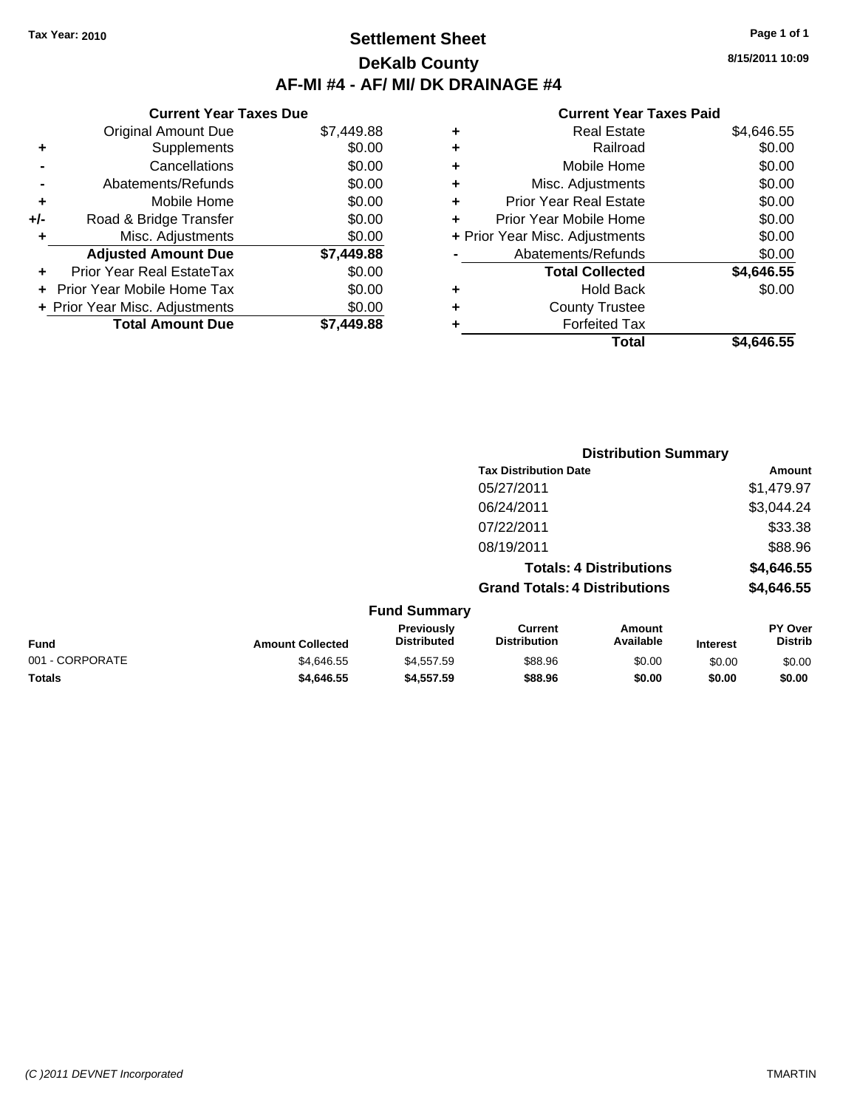### **Settlement Sheet Tax Year: 2010 Page 1 of 1 DeKalb County AF-MI #4 - AF/ MI/ DK DRAINAGE #4**

**Current Year Taxes Due** Original Amount Due \$7,449.88 **+** Supplements \$0.00 **-** Cancellations \$0.00 **-** Abatements/Refunds \$0.00 **+** Mobile Home \$0.00 **+/-** Road & Bridge Transfer \$0.00 **+** Misc. Adjustments \$0.00 **Adjusted Amount Due \$7,449.88 +** Prior Year Real EstateTax \$0.00 **+** Prior Year Mobile Home Tax \$0.00 **+ Prior Year Misc. Adjustments**  $$0.00$ **Total Amount Due \$7,449.88**

#### **Current Year Taxes Paid**

| ٠ | <b>Real Estate</b>             | \$4,646.55 |
|---|--------------------------------|------------|
| ÷ | Railroad                       | \$0.00     |
| ٠ | Mobile Home                    | \$0.00     |
| ٠ | Misc. Adjustments              | \$0.00     |
| ٠ | <b>Prior Year Real Estate</b>  | \$0.00     |
|   | Prior Year Mobile Home         | \$0.00     |
|   | + Prior Year Misc. Adjustments | \$0.00     |
|   | Abatements/Refunds             | \$0.00     |
|   | <b>Total Collected</b>         | \$4,646.55 |
| ٠ | Hold Back                      | \$0.00     |
| ٠ | <b>County Trustee</b>          |            |
| ٠ | <b>Forfeited Tax</b>           |            |
|   | Total                          | \$4.646.55 |
|   |                                |            |

|                 |                         |                                  | <b>Distribution Summary</b>           |                                |                 |                           |
|-----------------|-------------------------|----------------------------------|---------------------------------------|--------------------------------|-----------------|---------------------------|
|                 |                         |                                  | <b>Tax Distribution Date</b>          |                                |                 | Amount                    |
|                 |                         |                                  | 05/27/2011                            |                                |                 | \$1,479.97                |
|                 |                         |                                  | 06/24/2011                            |                                |                 | \$3,044.24                |
|                 |                         |                                  | 07/22/2011                            |                                |                 | \$33.38                   |
|                 |                         |                                  | 08/19/2011                            |                                |                 | \$88.96                   |
|                 |                         |                                  |                                       | <b>Totals: 4 Distributions</b> |                 | \$4,646.55                |
|                 |                         |                                  | <b>Grand Totals: 4 Distributions</b>  |                                |                 | \$4,646.55                |
|                 |                         | <b>Fund Summary</b>              |                                       |                                |                 |                           |
| <b>Fund</b>     | <b>Amount Collected</b> | Previously<br><b>Distributed</b> | <b>Current</b><br><b>Distribution</b> | <b>Amount</b><br>Available     | <b>Interest</b> | PY Over<br><b>Distrib</b> |
| 001 - CORPORATE | \$4,646.55              | \$4,557.59                       | \$88.96                               | \$0.00                         | \$0.00          | \$0.00                    |
| Totals          | \$4,646.55              | \$4,557.59                       | \$88.96                               | \$0.00                         | \$0.00          | \$0.00                    |

**8/15/2011 10:09**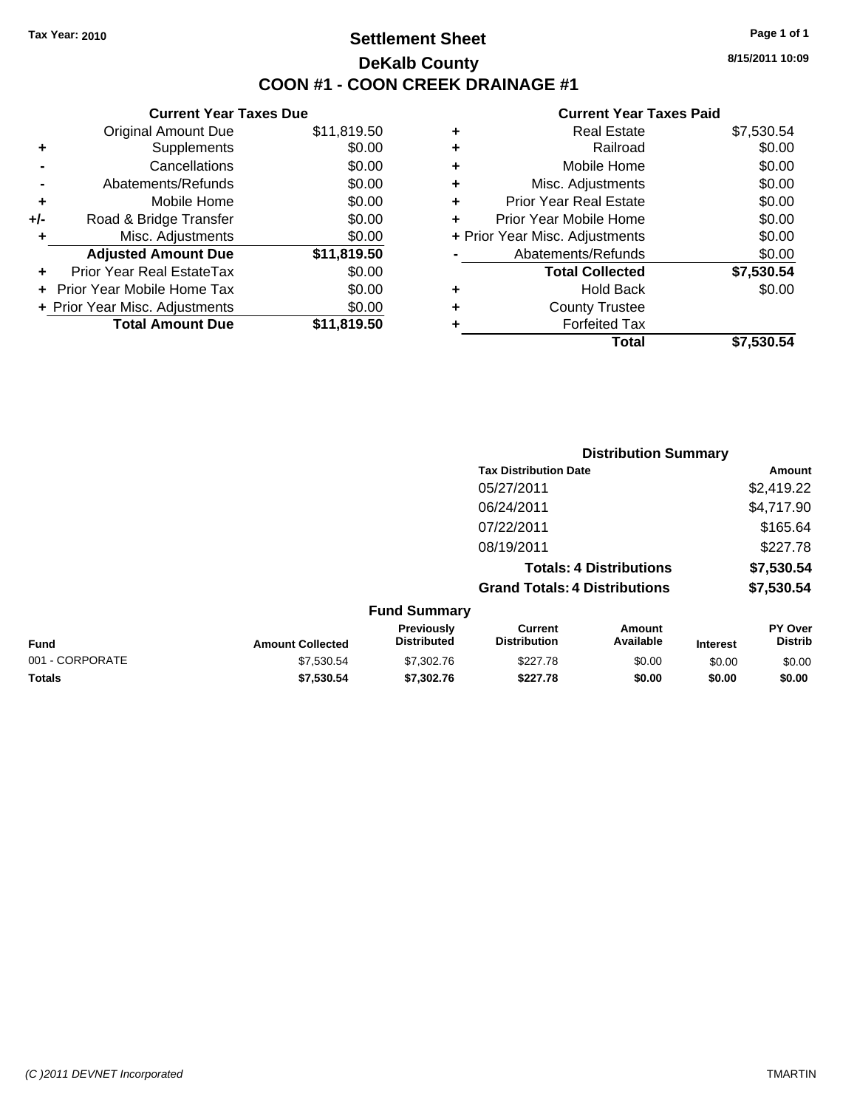# **Settlement Sheet Tax Year: 2010 Page 1 of 1 DeKalb County COON #1 - COON CREEK DRAINAGE #1**

**8/15/2011 10:09**

|     | <b>Current Year Taxes Due</b>     |             |  |  |  |  |
|-----|-----------------------------------|-------------|--|--|--|--|
|     | <b>Original Amount Due</b>        | \$11,819.50 |  |  |  |  |
| ٠   | Supplements                       | \$0.00      |  |  |  |  |
|     | Cancellations                     | \$0.00      |  |  |  |  |
|     | Abatements/Refunds                | \$0.00      |  |  |  |  |
| ٠   | Mobile Home                       | \$0.00      |  |  |  |  |
| +/- | Road & Bridge Transfer            | \$0.00      |  |  |  |  |
| ٠   | Misc. Adjustments                 | \$0.00      |  |  |  |  |
|     | <b>Adjusted Amount Due</b>        | \$11,819.50 |  |  |  |  |
|     | Prior Year Real EstateTax         | \$0.00      |  |  |  |  |
|     | <b>Prior Year Mobile Home Tax</b> | \$0.00      |  |  |  |  |
|     | + Prior Year Misc. Adjustments    | \$0.00      |  |  |  |  |
|     | <b>Total Amount Due</b>           | \$11,819.50 |  |  |  |  |
|     |                                   |             |  |  |  |  |

| <b>Real Estate</b>             | \$7,530.54 |
|--------------------------------|------------|
| Railroad                       | \$0.00     |
| Mobile Home                    | \$0.00     |
| Misc. Adjustments              | \$0.00     |
| <b>Prior Year Real Estate</b>  | \$0.00     |
| Prior Year Mobile Home         | \$0.00     |
| + Prior Year Misc. Adjustments | \$0.00     |
| Abatements/Refunds             | \$0.00     |
| <b>Total Collected</b>         | \$7,530.54 |
| Hold Back                      | \$0.00     |
| <b>County Trustee</b>          |            |
| <b>Forfeited Tax</b>           |            |
| Total                          | \$7,530.54 |
|                                |            |

|                 |                         |                                  |                                       |                                | <b>Distribution Summary</b> |                           |
|-----------------|-------------------------|----------------------------------|---------------------------------------|--------------------------------|-----------------------------|---------------------------|
|                 |                         |                                  | <b>Tax Distribution Date</b>          |                                |                             | Amount                    |
|                 |                         |                                  | 05/27/2011                            |                                |                             | \$2,419.22                |
|                 |                         |                                  | 06/24/2011                            |                                |                             | \$4,717.90                |
|                 |                         |                                  | 07/22/2011                            |                                |                             | \$165.64                  |
|                 |                         |                                  | 08/19/2011                            |                                |                             | \$227.78                  |
|                 |                         |                                  |                                       | <b>Totals: 4 Distributions</b> |                             | \$7,530.54                |
|                 |                         |                                  | <b>Grand Totals: 4 Distributions</b>  |                                |                             | \$7,530.54                |
|                 |                         | <b>Fund Summary</b>              |                                       |                                |                             |                           |
| <b>Fund</b>     | <b>Amount Collected</b> | Previously<br><b>Distributed</b> | <b>Current</b><br><b>Distribution</b> | Amount<br>Available            | <b>Interest</b>             | PY Over<br><b>Distrib</b> |
| 001 - CORPORATE | \$7,530.54              | \$7,302.76                       | \$227.78                              | \$0.00                         | \$0.00                      | \$0.00                    |
| Totals          | \$7,530.54              | \$7,302.76                       | \$227.78                              | \$0.00                         | \$0.00                      | \$0.00                    |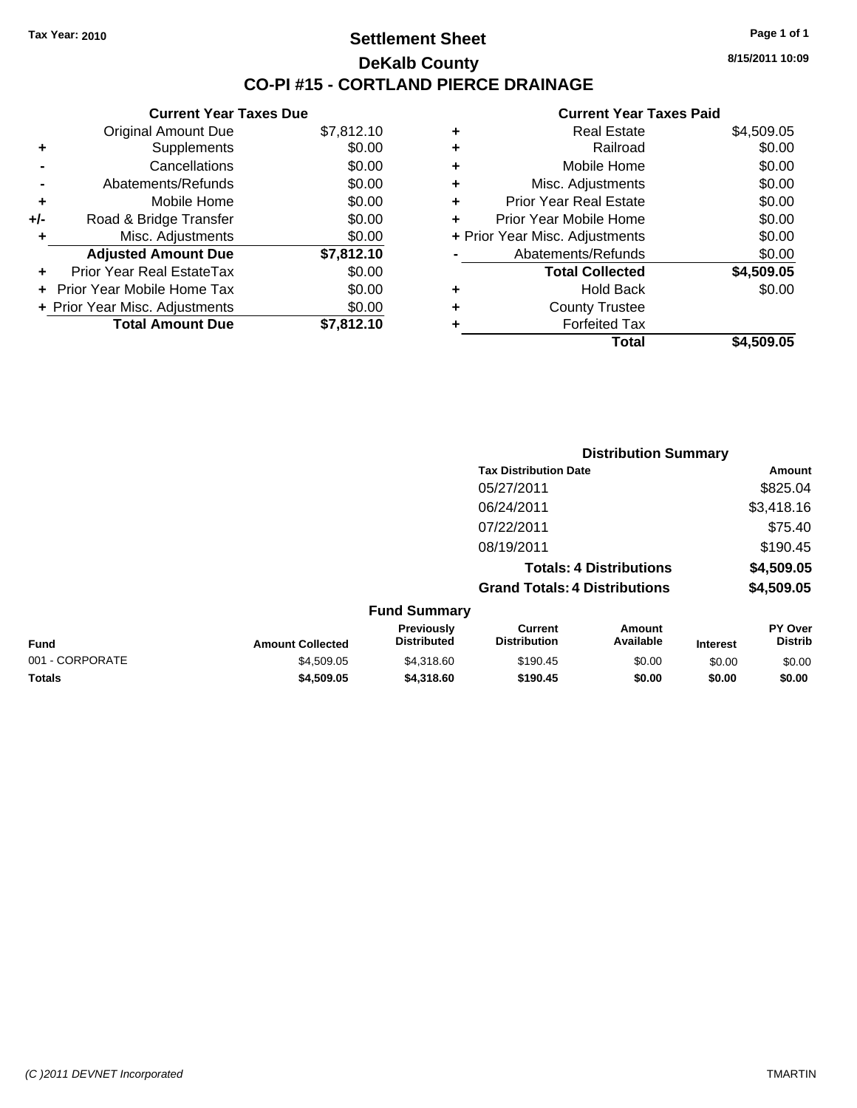### **Settlement Sheet Tax Year: 2010 Page 1 of 1 DeKalb County CO-PI #15 - CORTLAND PIERCE DRAINAGE**

**8/15/2011 10:09**

#### **Current Year Taxes Paid**

|     | <b>Current Year Taxes Due</b>  |            |           |
|-----|--------------------------------|------------|-----------|
|     | <b>Original Amount Due</b>     | \$7,812.10 | ٠         |
|     | <b>Supplements</b>             | \$0.00     | ٠         |
|     | Cancellations                  | \$0.00     | ٠         |
|     | Abatements/Refunds             | \$0.00     | ٠         |
|     | Mobile Home                    | \$0.00     | ٠         |
| +/- | Road & Bridge Transfer         | \$0.00     | P         |
|     | Misc. Adjustments              | \$0.00     | + Prior Y |
|     | <b>Adjusted Amount Due</b>     | \$7,812.10 |           |
|     | Prior Year Real EstateTax      | \$0.00     |           |
|     | Prior Year Mobile Home Tax     | \$0.00     |           |
|     | + Prior Year Misc. Adjustments | \$0.00     |           |
|     | <b>Total Amount Due</b>        | \$7,812.10 |           |
|     |                                |            |           |

| ٠                              | <b>Real Estate</b>     | \$4,509.05 |
|--------------------------------|------------------------|------------|
| ٠                              | Railroad               | \$0.00     |
| ٠                              | Mobile Home            | \$0.00     |
| ٠                              | Misc. Adjustments      | \$0.00     |
| ٠                              | Prior Year Real Estate | \$0.00     |
| ÷                              | Prior Year Mobile Home | \$0.00     |
| + Prior Year Misc. Adjustments |                        | \$0.00     |
|                                | Abatements/Refunds     | \$0.00     |
|                                | <b>Total Collected</b> | \$4,509.05 |
| ٠                              | <b>Hold Back</b>       | \$0.00     |
| ٠                              | <b>County Trustee</b>  |            |
| ٠                              | <b>Forfeited Tax</b>   |            |
|                                | Total                  | \$4,509.05 |

|                 |                         |                                  | <b>Distribution Summary</b>           |                                |                 |                           |
|-----------------|-------------------------|----------------------------------|---------------------------------------|--------------------------------|-----------------|---------------------------|
|                 |                         |                                  | <b>Tax Distribution Date</b>          |                                |                 | Amount                    |
|                 |                         |                                  | 05/27/2011                            |                                |                 | \$825.04                  |
|                 |                         |                                  | 06/24/2011                            |                                |                 | \$3,418.16                |
|                 |                         |                                  | 07/22/2011                            |                                |                 | \$75.40                   |
|                 |                         |                                  | 08/19/2011                            |                                |                 | \$190.45                  |
|                 |                         |                                  |                                       | <b>Totals: 4 Distributions</b> |                 | \$4,509.05                |
|                 |                         |                                  | <b>Grand Totals: 4 Distributions</b>  |                                |                 | \$4,509.05                |
|                 |                         | <b>Fund Summary</b>              |                                       |                                |                 |                           |
| Fund            | <b>Amount Collected</b> | Previously<br><b>Distributed</b> | <b>Current</b><br><b>Distribution</b> | Amount<br>Available            | <b>Interest</b> | PY Over<br><b>Distrib</b> |
| 001 - CORPORATE | \$4,509.05              | \$4,318.60                       | \$190.45                              | \$0.00                         | \$0.00          | \$0.00                    |

**Totals \$4,509.05 \$4,318.60 \$190.45 \$0.00 \$0.00 \$0.00**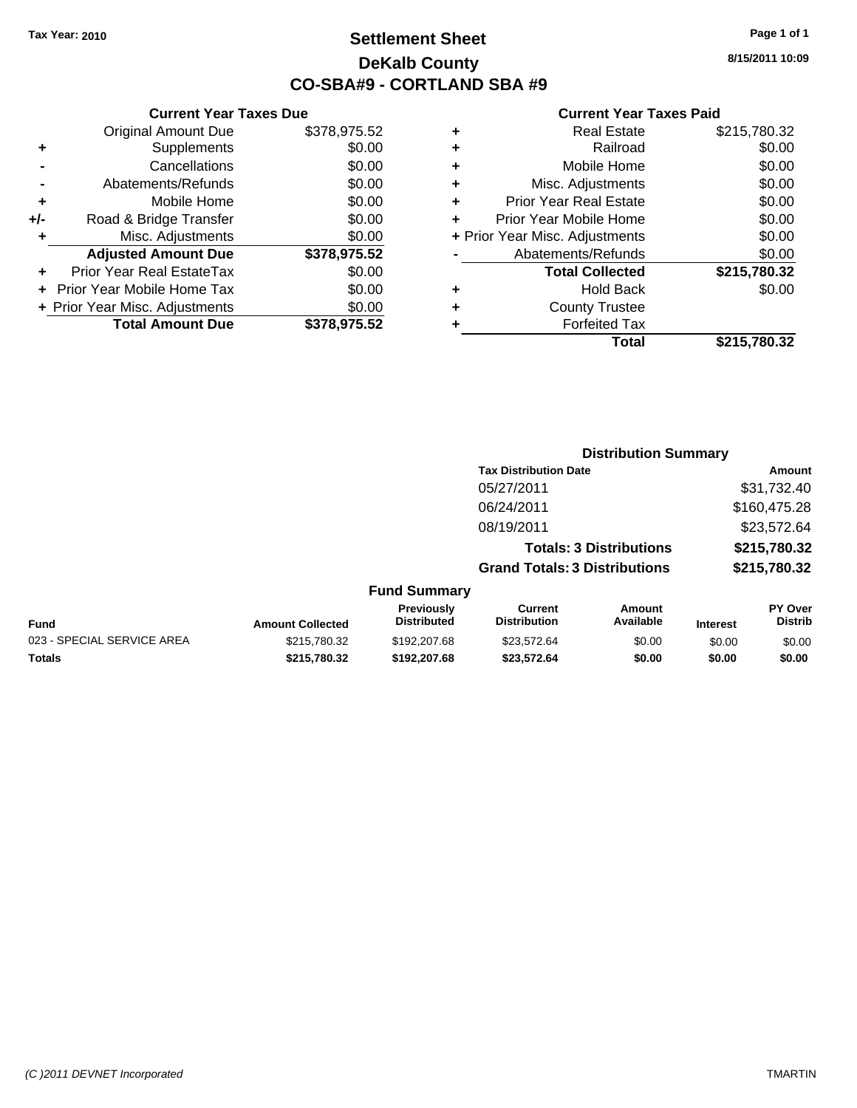# **Settlement Sheet Tax Year: 2010 Page 1 of 1 DeKalb County CO-SBA#9 - CORTLAND SBA #9**

**8/15/2011 10:09**

#### **Current Year Taxes Paid**

| \$215,780.32 |
|--------------|
|              |
|              |
| \$0.00       |
| \$215,780.32 |
| \$0.00       |
| \$0.00       |
| \$0.00       |
| \$0.00       |
| \$0.00       |
| \$0.00       |
| \$0.00       |
| \$215,780.32 |
|              |

|     | <b>Current Year Taxes Due</b>  |              |  |  |  |
|-----|--------------------------------|--------------|--|--|--|
|     | <b>Original Amount Due</b>     | \$378,975.52 |  |  |  |
| ٠   | Supplements                    | \$0.00       |  |  |  |
|     | Cancellations                  | \$0.00       |  |  |  |
|     | Abatements/Refunds             | \$0.00       |  |  |  |
| ٠   | Mobile Home                    | \$0.00       |  |  |  |
| +/- | Road & Bridge Transfer         | \$0.00       |  |  |  |
| ٠   | Misc. Adjustments              | \$0.00       |  |  |  |
|     | <b>Adjusted Amount Due</b>     | \$378,975.52 |  |  |  |
|     | Prior Year Real EstateTax      | \$0.00       |  |  |  |
|     | Prior Year Mobile Home Tax     | \$0.00       |  |  |  |
|     | + Prior Year Misc. Adjustments | \$0.00       |  |  |  |
|     | <b>Total Amount Due</b>        | \$378.975.52 |  |  |  |
|     |                                |              |  |  |  |

|                            |                         |                                  | <b>Distribution Summary</b>           |                                |                 |                                  |
|----------------------------|-------------------------|----------------------------------|---------------------------------------|--------------------------------|-----------------|----------------------------------|
|                            |                         |                                  | <b>Tax Distribution Date</b>          |                                |                 | Amount                           |
|                            |                         |                                  | 05/27/2011                            |                                |                 | \$31,732.40                      |
|                            |                         |                                  | 06/24/2011                            |                                |                 | \$160,475.28                     |
|                            |                         |                                  | 08/19/2011                            |                                |                 | \$23,572.64                      |
|                            |                         |                                  |                                       | <b>Totals: 3 Distributions</b> |                 | \$215,780.32                     |
|                            |                         |                                  | <b>Grand Totals: 3 Distributions</b>  |                                |                 | \$215,780.32                     |
|                            |                         | <b>Fund Summary</b>              |                                       |                                |                 |                                  |
| <b>Fund</b>                | <b>Amount Collected</b> | Previously<br><b>Distributed</b> | <b>Current</b><br><b>Distribution</b> | Amount<br>Available            | <b>Interest</b> | <b>PY Over</b><br><b>Distrib</b> |
| 023 - SPECIAL SERVICE AREA | \$215,780.32            | \$192,207.68                     | \$23.572.64                           | \$0.00                         | \$0.00          | \$0.00                           |

**Totals \$215,780.32 \$192,207.68 \$23,572.64 \$0.00 \$0.00 \$0.00**

*(C )2011 DEVNET Incorporated* TMARTIN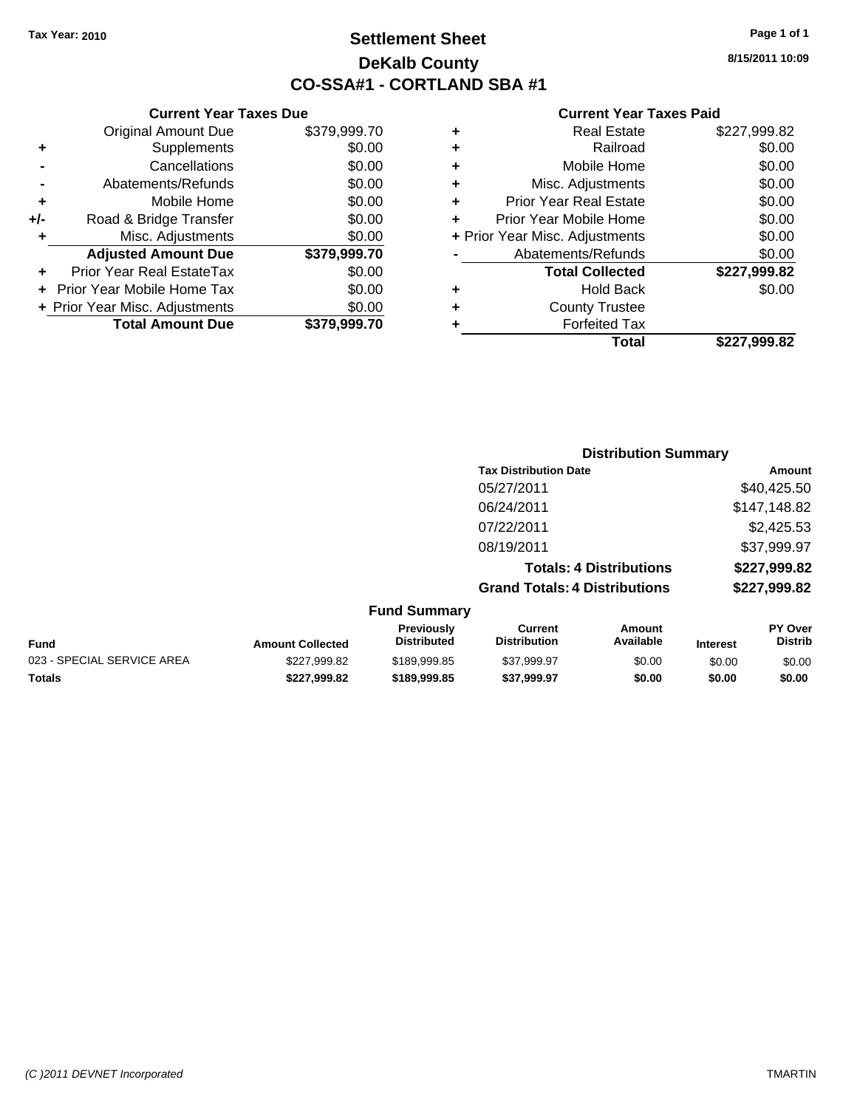# **Settlement Sheet Tax Year: 2010 Page 1 of 1 DeKalb County CO-SSA#1 - CORTLAND SBA #1**

**8/15/2011 10:09**

#### **Current Year Taxes Paid**

| <b>County Trustee</b><br><b>Forfeited Tax</b> |              |
|-----------------------------------------------|--------------|
|                                               |              |
|                                               | \$0.00       |
| <b>Hold Back</b>                              |              |
| <b>Total Collected</b>                        | \$227,999.82 |
| Abatements/Refunds                            | \$0.00       |
| + Prior Year Misc. Adjustments                | \$0.00       |
| Prior Year Mobile Home                        | \$0.00       |
| <b>Prior Year Real Estate</b>                 | \$0.00       |
| Misc. Adjustments                             | \$0.00       |
| Mobile Home                                   | \$0.00       |
| Railroad                                      | \$0.00       |
| <b>Real Estate</b>                            | \$227,999.82 |
|                                               |              |

|                            |                         |                                  |                                      | <b>Distribution Summary</b>    |                 |                           |
|----------------------------|-------------------------|----------------------------------|--------------------------------------|--------------------------------|-----------------|---------------------------|
|                            |                         |                                  | <b>Tax Distribution Date</b>         |                                |                 | <b>Amount</b>             |
|                            |                         |                                  | 05/27/2011                           |                                |                 | \$40,425.50               |
|                            |                         |                                  | 06/24/2011                           |                                |                 | \$147,148.82              |
|                            |                         |                                  | 07/22/2011                           |                                |                 | \$2,425.53                |
|                            |                         |                                  | 08/19/2011                           |                                |                 | \$37,999.97               |
|                            |                         |                                  |                                      | <b>Totals: 4 Distributions</b> |                 | \$227,999.82              |
|                            |                         |                                  | <b>Grand Totals: 4 Distributions</b> |                                |                 | \$227,999.82              |
|                            |                         | <b>Fund Summary</b>              |                                      |                                |                 |                           |
| <b>Fund</b>                | <b>Amount Collected</b> | Previously<br><b>Distributed</b> | Current<br><b>Distribution</b>       | Amount<br>Available            | <b>Interest</b> | PY Over<br><b>Distrib</b> |
| 023 - SPECIAL SERVICE AREA | \$227,999.82            | \$189,999.85                     | \$37,999.97                          | \$0.00                         | \$0.00          | \$0.00                    |
| Totals                     | \$227,999.82            | \$189,999.85                     | \$37,999.97                          | \$0.00                         | \$0.00          | \$0.00                    |

| ٠   | Supplements                      | \$0.00       |
|-----|----------------------------------|--------------|
|     | Cancellations                    | \$0.00       |
|     | Abatements/Refunds               | \$0.00       |
| ÷   | Mobile Home                      | \$0.00       |
| +/- | Road & Bridge Transfer           | \$0.00       |
| ٠   | Misc. Adjustments                | \$0.00       |
|     | <b>Adjusted Amount Due</b>       | \$379,999.70 |
| ÷   | <b>Prior Year Real EstateTax</b> | \$0.00       |
|     | Prior Year Mobile Home Tax       | \$0.00       |
|     | + Prior Year Misc. Adjustments   | \$0.00       |
|     | <b>Total Amount Due</b>          | \$379,999.70 |
|     |                                  |              |
|     |                                  |              |
|     |                                  |              |

**Current Year Taxes Due** Original Amount Due \$379,999.70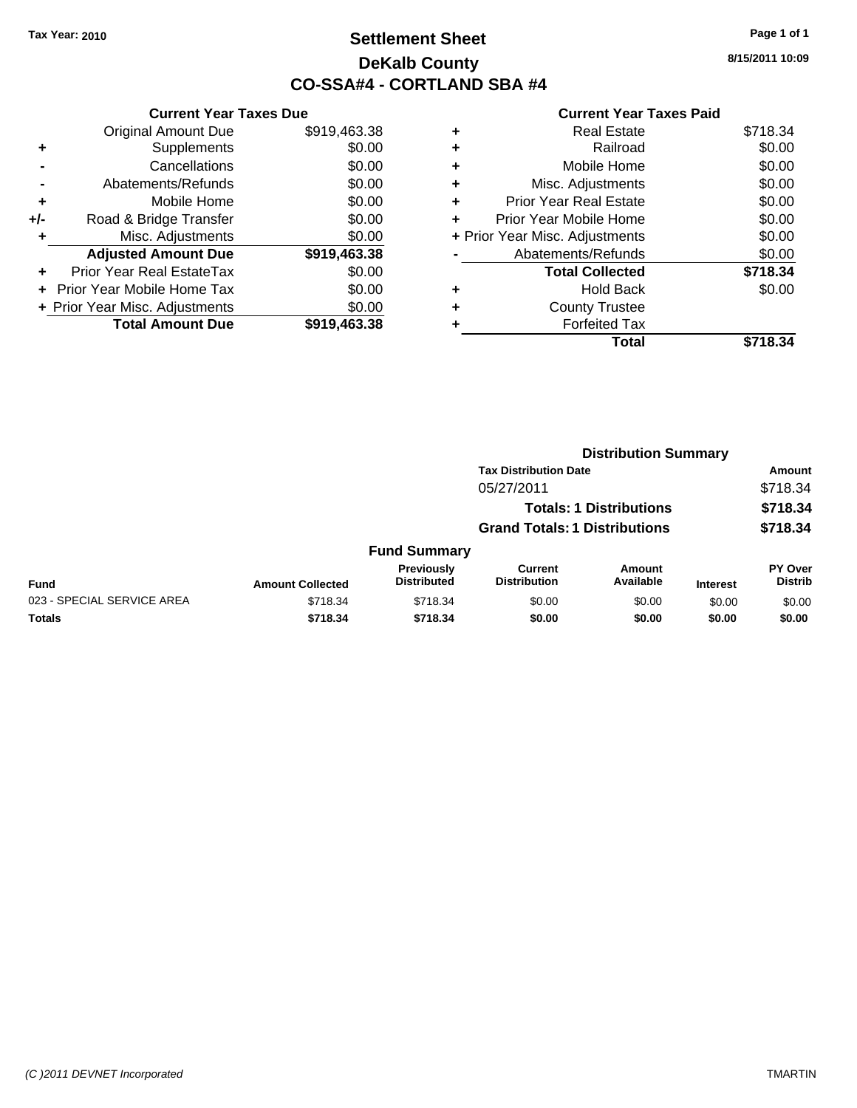# **Settlement Sheet Tax Year: 2010 Page 1 of 1 DeKalb County CO-SSA#4 - CORTLAND SBA #4**

**8/15/2011 10:09**

|     | <b>Current Year Taxes Due</b>  |              |  |  |  |
|-----|--------------------------------|--------------|--|--|--|
|     | <b>Original Amount Due</b>     | \$919,463.38 |  |  |  |
| ٠   | Supplements                    | \$0.00       |  |  |  |
|     | Cancellations                  | \$0.00       |  |  |  |
|     | Abatements/Refunds             | \$0.00       |  |  |  |
| ٠   | Mobile Home                    | \$0.00       |  |  |  |
| +/- | Road & Bridge Transfer         | \$0.00       |  |  |  |
| ٠   | Misc. Adjustments              | \$0.00       |  |  |  |
|     | <b>Adjusted Amount Due</b>     | \$919,463.38 |  |  |  |
| ÷   | Prior Year Real EstateTax      | \$0.00       |  |  |  |
|     | Prior Year Mobile Home Tax     | \$0.00       |  |  |  |
|     | + Prior Year Misc. Adjustments | \$0.00       |  |  |  |
|     | <b>Total Amount Due</b>        | \$919,463.38 |  |  |  |
|     |                                |              |  |  |  |

| ٠ | <b>Real Estate</b>             | \$718.34 |
|---|--------------------------------|----------|
| ٠ | Railroad                       | \$0.00   |
| ٠ | Mobile Home                    | \$0.00   |
| ٠ | Misc. Adjustments              | \$0.00   |
| ÷ | <b>Prior Year Real Estate</b>  | \$0.00   |
| ٠ | Prior Year Mobile Home         | \$0.00   |
|   | + Prior Year Misc. Adjustments | \$0.00   |
|   | Abatements/Refunds             | \$0.00   |
|   | <b>Total Collected</b>         | \$718.34 |
| ٠ | <b>Hold Back</b>               | \$0.00   |
| ٠ | <b>County Trustee</b>          |          |
| ٠ | <b>Forfeited Tax</b>           |          |
|   | Total                          | \$718.34 |
|   |                                |          |

|                            |                         |                                  |                                       | <b>Distribution Summary</b>    |                 |                           |
|----------------------------|-------------------------|----------------------------------|---------------------------------------|--------------------------------|-----------------|---------------------------|
|                            |                         |                                  | <b>Tax Distribution Date</b>          |                                |                 | Amount                    |
|                            |                         |                                  | 05/27/2011                            |                                |                 | \$718.34                  |
|                            |                         |                                  |                                       | <b>Totals: 1 Distributions</b> |                 | \$718.34                  |
|                            |                         |                                  | <b>Grand Totals: 1 Distributions</b>  |                                |                 | \$718.34                  |
|                            |                         | <b>Fund Summary</b>              |                                       |                                |                 |                           |
| <b>Fund</b>                | <b>Amount Collected</b> | Previously<br><b>Distributed</b> | <b>Current</b><br><b>Distribution</b> | Amount<br>Available            | <b>Interest</b> | PY Over<br><b>Distrib</b> |
| 023 - SPECIAL SERVICE AREA | \$718.34                | \$718.34                         | \$0.00                                | \$0.00                         | \$0.00          | \$0.00                    |
| Totals                     | \$718.34                | \$718.34                         | \$0.00                                | \$0.00                         | \$0.00          | \$0.00                    |
|                            |                         |                                  |                                       |                                |                 |                           |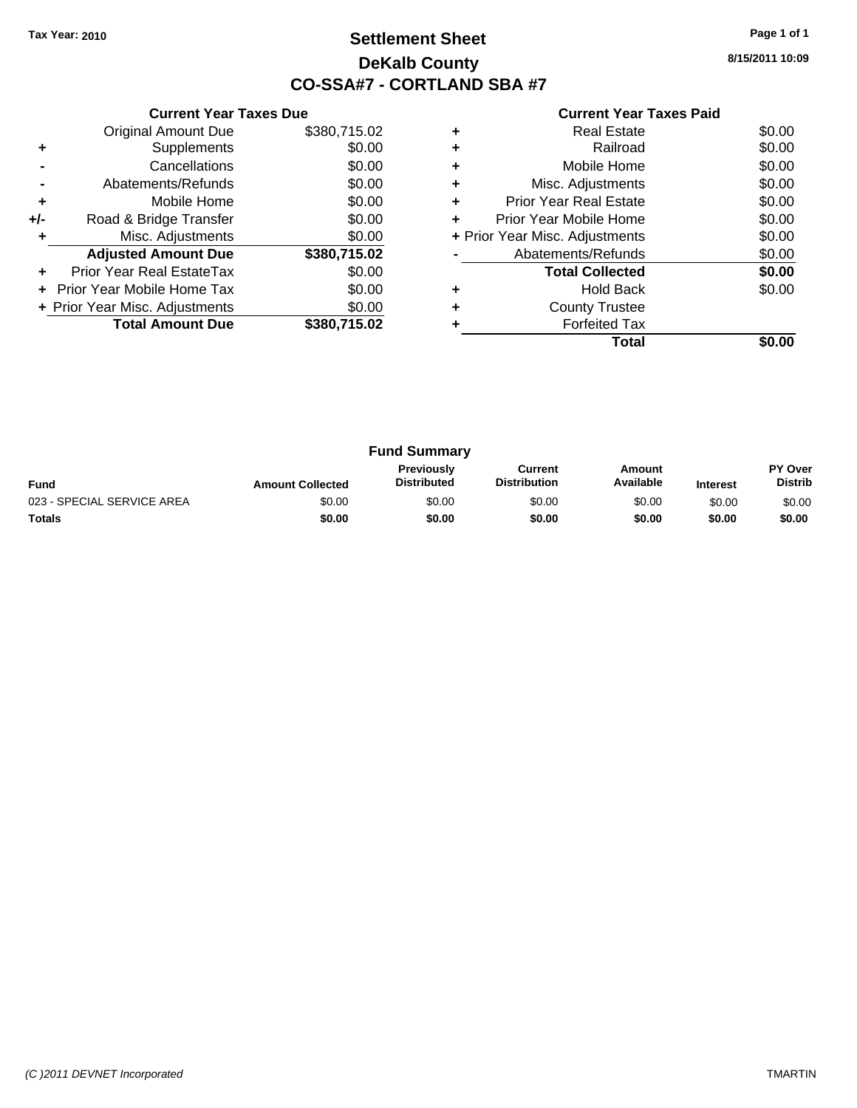# **Settlement Sheet Tax Year: 2010 Page 1 of 1 DeKalb County CO-SSA#7 - CORTLAND SBA #7**

**8/15/2011 10:09**

|     | <b>Current Year Taxes Due</b>  |              |  |  |  |
|-----|--------------------------------|--------------|--|--|--|
|     | <b>Original Amount Due</b>     | \$380,715.02 |  |  |  |
| ٠   | Supplements                    | \$0.00       |  |  |  |
|     | Cancellations                  | \$0.00       |  |  |  |
|     | Abatements/Refunds             | \$0.00       |  |  |  |
| ٠   | Mobile Home                    | \$0.00       |  |  |  |
| +/- | Road & Bridge Transfer         | \$0.00       |  |  |  |
| ٠   | Misc. Adjustments              | \$0.00       |  |  |  |
|     | <b>Adjusted Amount Due</b>     | \$380,715.02 |  |  |  |
| ÷   | Prior Year Real EstateTax      | \$0.00       |  |  |  |
|     | Prior Year Mobile Home Tax     | \$0.00       |  |  |  |
|     | + Prior Year Misc. Adjustments | \$0.00       |  |  |  |
|     | <b>Total Amount Due</b>        | \$380,715.02 |  |  |  |
|     |                                |              |  |  |  |

|   | <b>Real Estate</b>             | \$0.00 |
|---|--------------------------------|--------|
| ٠ | Railroad                       | \$0.00 |
| ٠ | Mobile Home                    | \$0.00 |
| ٠ | Misc. Adjustments              | \$0.00 |
| ٠ | <b>Prior Year Real Estate</b>  | \$0.00 |
| ÷ | Prior Year Mobile Home         | \$0.00 |
|   | + Prior Year Misc. Adjustments | \$0.00 |
|   | Abatements/Refunds             | \$0.00 |
|   | <b>Total Collected</b>         | \$0.00 |
|   | <b>Hold Back</b>               | \$0.00 |
| ٠ | <b>County Trustee</b>          |        |
|   | <b>Forfeited Tax</b>           |        |
|   | Total                          |        |

| <b>Fund Summary</b>        |                         |                                         |                                |                     |                 |                                  |
|----------------------------|-------------------------|-----------------------------------------|--------------------------------|---------------------|-----------------|----------------------------------|
| <b>Fund</b>                | <b>Amount Collected</b> | <b>Previously</b><br><b>Distributed</b> | Current<br><b>Distribution</b> | Amount<br>Available | <b>Interest</b> | <b>PY Over</b><br><b>Distrib</b> |
| 023 - SPECIAL SERVICE AREA | \$0.00                  | \$0.00                                  | \$0.00                         | \$0.00              | \$0.00          | \$0.00                           |
| <b>Totals</b>              | \$0.00                  | \$0.00                                  | \$0.00                         | \$0.00              | \$0.00          | \$0.00                           |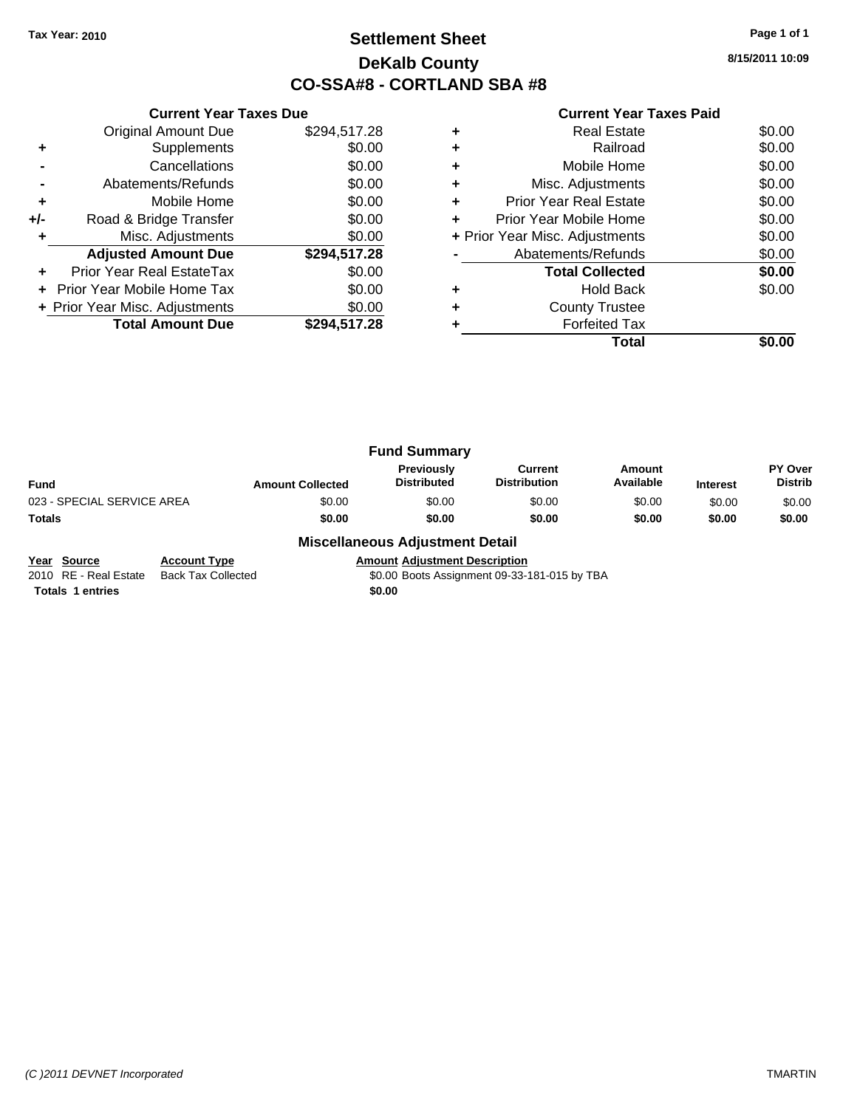# **Settlement Sheet Tax Year: 2010 Page 1 of 1 DeKalb County CO-SSA#8 - CORTLAND SBA #8**

**8/15/2011 10:09**

| <b>Current Year Taxes Due</b> |                                |  |  |  |  |
|-------------------------------|--------------------------------|--|--|--|--|
| <b>Original Amount Due</b>    | \$294,517.28                   |  |  |  |  |
| Supplements                   | \$0.00                         |  |  |  |  |
| Cancellations                 | \$0.00                         |  |  |  |  |
| Abatements/Refunds            | \$0.00                         |  |  |  |  |
| Mobile Home                   | \$0.00                         |  |  |  |  |
| Road & Bridge Transfer        | \$0.00                         |  |  |  |  |
| Misc. Adjustments             | \$0.00                         |  |  |  |  |
| <b>Adjusted Amount Due</b>    | \$294,517.28                   |  |  |  |  |
| Prior Year Real EstateTax     | \$0.00                         |  |  |  |  |
| Prior Year Mobile Home Tax    | \$0.00                         |  |  |  |  |
|                               | \$0.00                         |  |  |  |  |
| <b>Total Amount Due</b>       | \$294.517.28                   |  |  |  |  |
|                               | + Prior Year Misc. Adjustments |  |  |  |  |

#### **Current Year Taxes Paid**

|   | Real Estate                    | \$0.00 |
|---|--------------------------------|--------|
| ٠ | Railroad                       | \$0.00 |
| ٠ | Mobile Home                    | \$0.00 |
| ٠ | Misc. Adjustments              | \$0.00 |
|   | <b>Prior Year Real Estate</b>  | \$0.00 |
|   | Prior Year Mobile Home         | \$0.00 |
|   | + Prior Year Misc. Adjustments | \$0.00 |
|   | Abatements/Refunds             | \$0.00 |
|   | <b>Total Collected</b>         | \$0.00 |
|   | <b>Hold Back</b>               | \$0.00 |
| ٠ | <b>County Trustee</b>          |        |
|   | <b>Forfeited Tax</b>           |        |
|   | Total                          |        |

|                            |                         | <b>Fund Summary</b>                     |                                       |                     |                 |                                  |
|----------------------------|-------------------------|-----------------------------------------|---------------------------------------|---------------------|-----------------|----------------------------------|
| Fund                       | <b>Amount Collected</b> | <b>Previously</b><br><b>Distributed</b> | <b>Current</b><br><b>Distribution</b> | Amount<br>Available | <b>Interest</b> | <b>PY Over</b><br><b>Distrib</b> |
| 023 - SPECIAL SERVICE AREA | \$0.00                  | \$0.00                                  | \$0.00                                | \$0.00              | \$0.00          | \$0.00                           |
| Totals                     | \$0.00                  | \$0.00                                  | \$0.00                                | \$0.00              | \$0.00          | \$0.00                           |

#### **Miscellaneous Adjustment Detail**

**Year Source Account Type Annount Adjustment Description**<br>2010 RE - Real Estate Back Tax Collected \$0.00 Boots Assignment 09-33-\$0.00 Boots Assignment 09-33-181-015 by TBA

**Totals 1 entries** \$0.00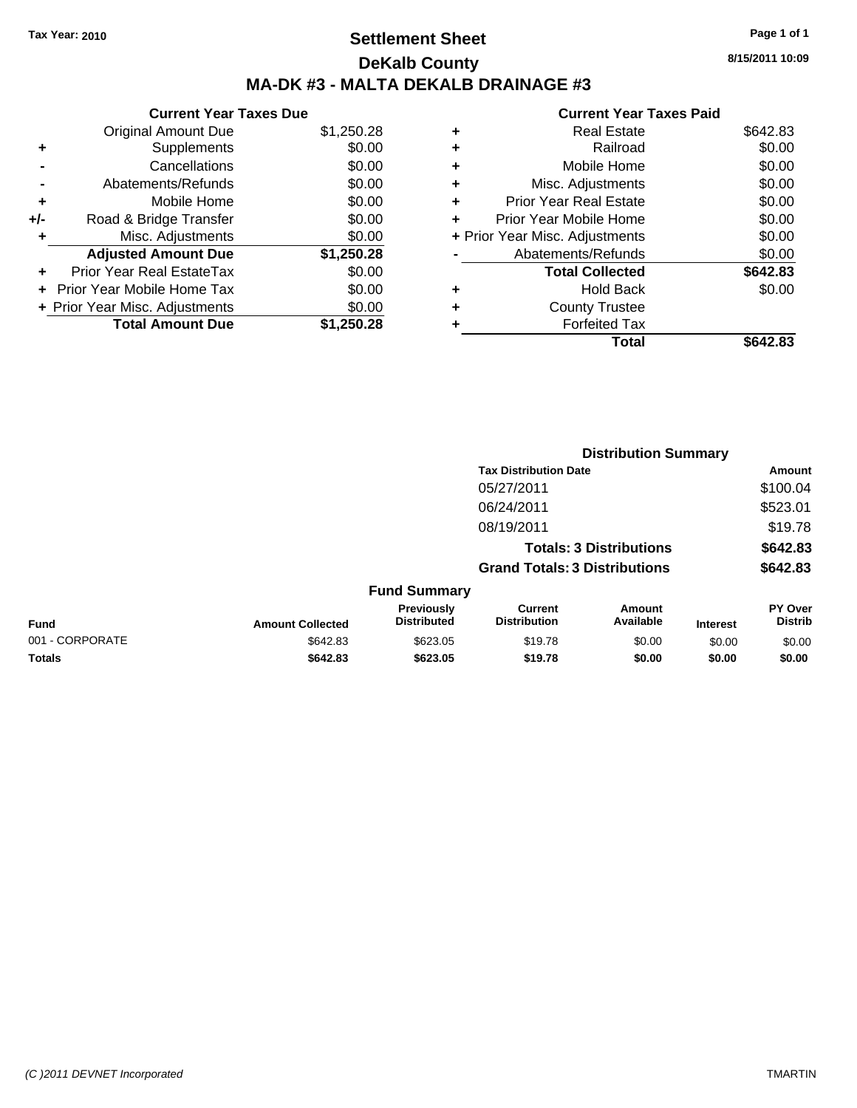# **Settlement Sheet Tax Year: 2010 Page 1 of 1 DeKalb County MA-DK #3 - MALTA DEKALB DRAINAGE #3**

**8/15/2011 10:09**

|     | <b>Current Year Taxes Due</b>  |            |
|-----|--------------------------------|------------|
|     | <b>Original Amount Due</b>     | \$1,250.28 |
| ٠   | Supplements                    | \$0.00     |
|     | Cancellations                  | \$0.00     |
|     | Abatements/Refunds             | \$0.00     |
| ٠   | Mobile Home                    | \$0.00     |
| +/- | Road & Bridge Transfer         | \$0.00     |
| ٠   | Misc. Adjustments              | \$0.00     |
|     | <b>Adjusted Amount Due</b>     | \$1,250.28 |
|     | Prior Year Real EstateTax      | \$0.00     |
|     | Prior Year Mobile Home Tax     | \$0.00     |
|     | + Prior Year Misc. Adjustments | \$0.00     |
|     | <b>Total Amount Due</b>        | \$1.250.28 |

|   | Total                          | \$642.83 |
|---|--------------------------------|----------|
|   | <b>Forfeited Tax</b>           |          |
|   | <b>County Trustee</b>          |          |
| ٠ | Hold Back                      | \$0.00   |
|   | <b>Total Collected</b>         | \$642.83 |
|   | Abatements/Refunds             | \$0.00   |
|   | + Prior Year Misc. Adjustments | \$0.00   |
|   | Prior Year Mobile Home         | \$0.00   |
| ÷ | <b>Prior Year Real Estate</b>  | \$0.00   |
| ٠ | Misc. Adjustments              | \$0.00   |
| ٠ | Mobile Home                    | \$0.00   |
| ٠ | Railroad                       | \$0.00   |
| ٠ | <b>Real Estate</b>             | \$642.83 |
|   |                                |          |

|                 |                         |                                  | <b>Distribution Summary</b>           |                                |                 |                                  |
|-----------------|-------------------------|----------------------------------|---------------------------------------|--------------------------------|-----------------|----------------------------------|
|                 |                         |                                  | <b>Tax Distribution Date</b>          |                                |                 | Amount                           |
|                 |                         |                                  | 05/27/2011                            |                                |                 | \$100.04                         |
|                 |                         |                                  | 06/24/2011                            |                                |                 | \$523.01                         |
|                 |                         |                                  | 08/19/2011                            |                                |                 | \$19.78                          |
|                 |                         |                                  |                                       | <b>Totals: 3 Distributions</b> |                 | \$642.83                         |
|                 |                         |                                  | <b>Grand Totals: 3 Distributions</b>  |                                |                 | \$642.83                         |
|                 |                         | <b>Fund Summary</b>              |                                       |                                |                 |                                  |
| <b>Fund</b>     | <b>Amount Collected</b> | Previously<br><b>Distributed</b> | <b>Current</b><br><b>Distribution</b> | Amount<br>Available            | <b>Interest</b> | <b>PY Over</b><br><b>Distrib</b> |
| 001 - CORPORATE | \$642.83                | \$623.05                         | \$19.78                               | \$0.00                         | \$0.00          | \$0.00                           |
| Totals          | \$642.83                | \$623.05                         | \$19.78                               | \$0.00                         | \$0.00          | \$0.00                           |
|                 |                         |                                  |                                       |                                |                 |                                  |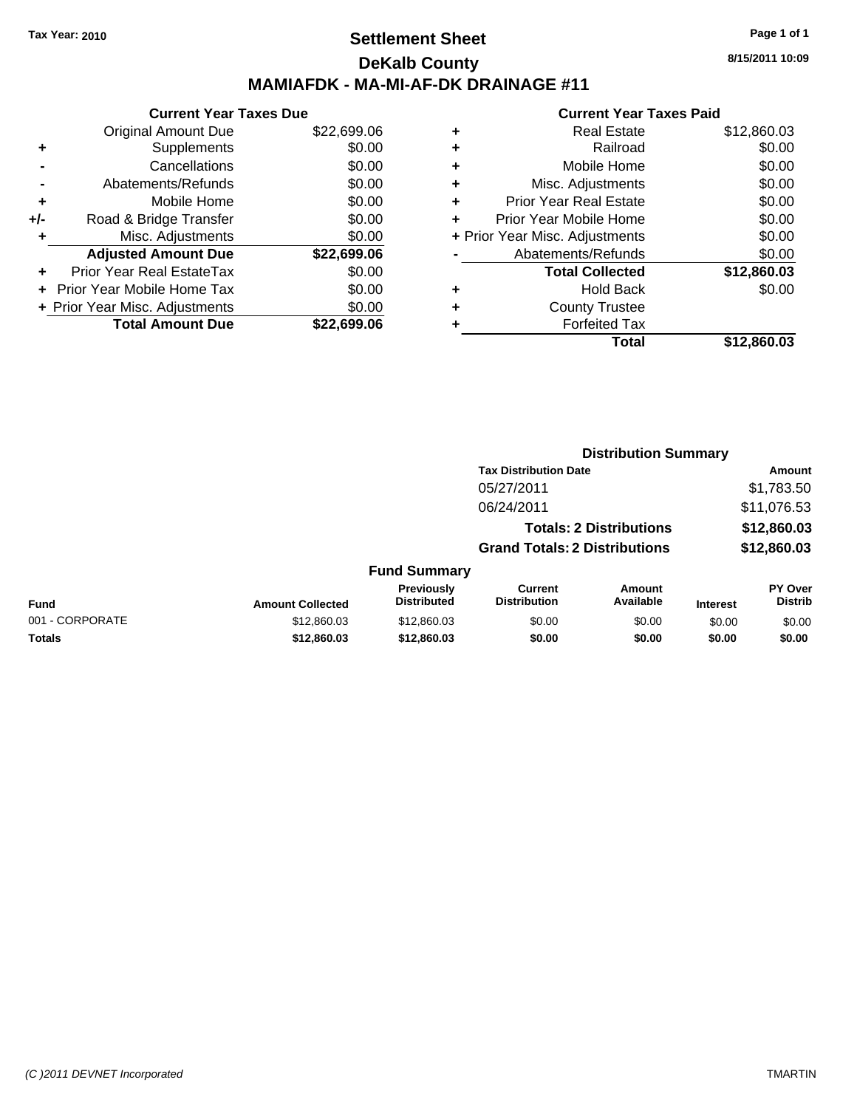### **Settlement Sheet Tax Year: 2010 Page 1 of 1 DeKalb County MAMIAFDK - MA-MI-AF-DK DRAINAGE #11**

**Current Year Taxes Due** Original Amount Due \$22,699.06 **+** Supplements \$0.00 **-** Cancellations \$0.00 **-** Abatements/Refunds \$0.00 **+** Mobile Home \$0.00 **+/-** Road & Bridge Transfer \$0.00 **+** Misc. Adjustments \$0.00 **Adjusted Amount Due \$22,699.06 +** Prior Year Real EstateTax \$0.00 **+** Prior Year Mobile Home Tax \$0.00 **+ Prior Year Misc. Adjustments**  $$0.00$ **Total Amount Due \$22,699.06**

#### **Current Year Taxes Paid**

|   | <b>Real Estate</b>             | \$12,860.03 |
|---|--------------------------------|-------------|
| ٠ | Railroad                       | \$0.00      |
| ٠ | Mobile Home                    | \$0.00      |
| ٠ | Misc. Adjustments              | \$0.00      |
| ٠ | <b>Prior Year Real Estate</b>  | \$0.00      |
|   | Prior Year Mobile Home         | \$0.00      |
|   | + Prior Year Misc. Adjustments | \$0.00      |
|   | Abatements/Refunds             | \$0.00      |
|   | <b>Total Collected</b>         | \$12,860.03 |
| ٠ | Hold Back                      | \$0.00      |
| ٠ | <b>County Trustee</b>          |             |
| ٠ | <b>Forfeited Tax</b>           |             |
|   | Total                          | \$12,860.03 |
|   |                                |             |

**Distribution Summary**

|                 |                         |                                  | <b>Tax Distribution Date</b>         |                                |          | Amount                           |
|-----------------|-------------------------|----------------------------------|--------------------------------------|--------------------------------|----------|----------------------------------|
|                 |                         |                                  | 05/27/2011                           |                                |          | \$1,783.50                       |
|                 |                         |                                  | 06/24/2011                           |                                |          | \$11,076.53                      |
|                 |                         |                                  |                                      | <b>Totals: 2 Distributions</b> |          | \$12,860.03                      |
|                 |                         |                                  | <b>Grand Totals: 2 Distributions</b> |                                |          | \$12,860.03                      |
|                 |                         | <b>Fund Summary</b>              |                                      |                                |          |                                  |
| <b>Fund</b>     | <b>Amount Collected</b> | Previously<br><b>Distributed</b> | Current<br><b>Distribution</b>       | Amount<br>Available            | Interest | <b>PY Over</b><br><b>Distrib</b> |
| 001 - CORPORATE | \$12,860.03             | \$12,860.03                      | \$0.00                               | \$0.00                         | \$0.00   | \$0.00                           |
| <b>Totals</b>   | \$12,860.03             | \$12,860.03                      | \$0.00                               | \$0.00                         | \$0.00   | \$0.00                           |
|                 |                         |                                  |                                      |                                |          |                                  |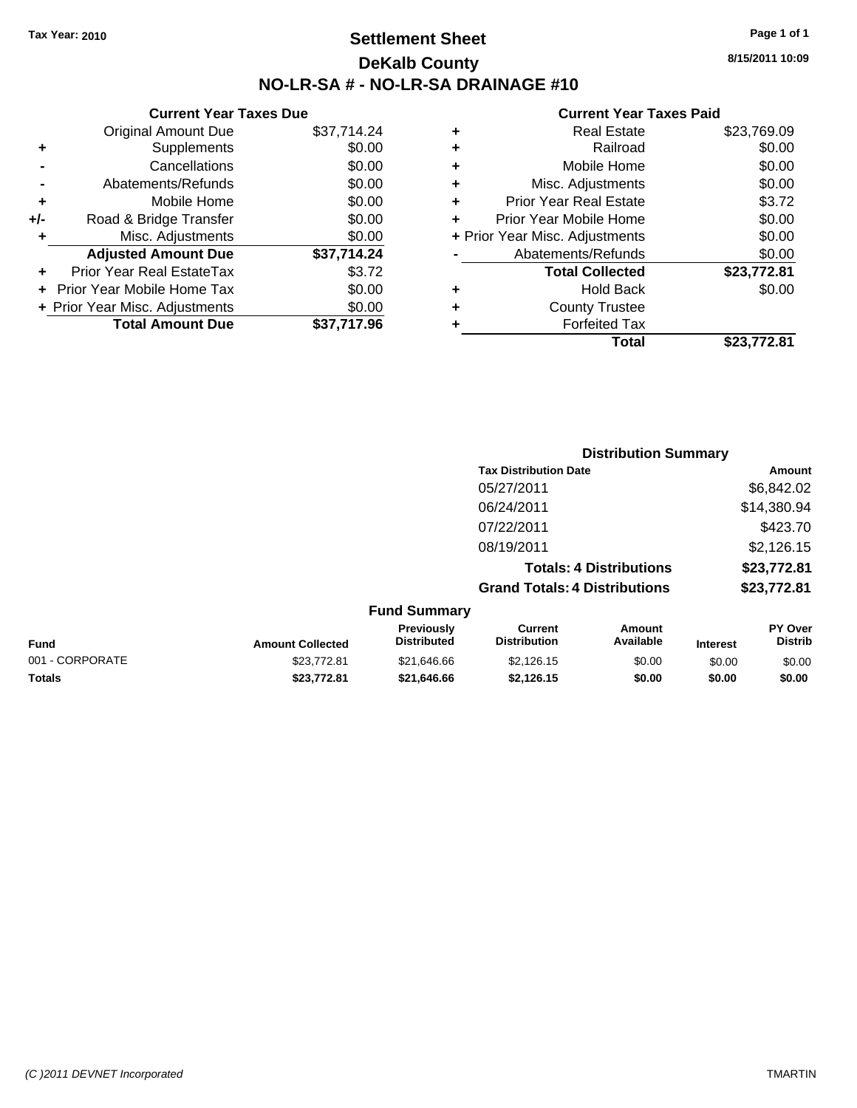# **Settlement Sheet Tax Year: 2010 Page 1 of 1 DeKalb County NO-LR-SA # - NO-LR-SA DRAINAGE #10**

**8/15/2011 10:09**

|     | <b>Current Year Taxes Due</b>  |             |
|-----|--------------------------------|-------------|
|     | Original Amount Due            | \$37,714.24 |
| ٠   | Supplements                    | \$0.00      |
|     | Cancellations                  | \$0.00      |
|     | Abatements/Refunds             | \$0.00      |
| ٠   | Mobile Home                    | \$0.00      |
| +/- | Road & Bridge Transfer         | \$0.00      |
| ÷   | Misc. Adjustments              | \$0.00      |
|     | <b>Adjusted Amount Due</b>     | \$37.714.24 |
| ٠   | Prior Year Real EstateTax      | \$3.72      |
|     | Prior Year Mobile Home Tax     | \$0.00      |
|     | + Prior Year Misc. Adjustments | \$0.00      |
|     | <b>Total Amount Due</b>        | \$37.717.96 |
|     |                                |             |

| ٠ | <b>Real Estate</b>             | \$23,769.09 |
|---|--------------------------------|-------------|
| ٠ | Railroad                       | \$0.00      |
| ٠ | Mobile Home                    | \$0.00      |
| ٠ | Misc. Adjustments              | \$0.00      |
| ٠ | <b>Prior Year Real Estate</b>  | \$3.72      |
| ٠ | Prior Year Mobile Home         | \$0.00      |
|   | + Prior Year Misc. Adjustments | \$0.00      |
|   | Abatements/Refunds             | \$0.00      |
|   | <b>Total Collected</b>         | \$23,772.81 |
| ٠ | <b>Hold Back</b>               | \$0.00      |
| ٠ | <b>County Trustee</b>          |             |
| ٠ | <b>Forfeited Tax</b>           |             |
|   | Total                          | \$23.772.81 |
|   |                                |             |

|                  |                                  |                                       | <b>Distribution Summary</b>    |             |                                  |
|------------------|----------------------------------|---------------------------------------|--------------------------------|-------------|----------------------------------|
|                  |                                  | <b>Tax Distribution Date</b>          |                                |             | Amount                           |
|                  |                                  | 05/27/2011                            |                                |             | \$6,842.02                       |
|                  |                                  | 06/24/2011                            |                                |             | \$14,380.94                      |
|                  |                                  | 07/22/2011                            |                                |             | \$423.70                         |
|                  |                                  | 08/19/2011                            |                                |             | \$2,126.15                       |
|                  |                                  |                                       | <b>Totals: 4 Distributions</b> |             | \$23,772.81                      |
|                  |                                  | <b>Grand Totals: 4 Distributions</b>  |                                |             | \$23,772.81                      |
|                  | <b>Fund Summary</b>              |                                       |                                |             |                                  |
| Amount Colloctod | <b>Previously</b><br>Distributed | <b>Current</b><br><b>Distribution</b> | Amount<br>Available            | In terms of | <b>PY Over</b><br><b>Distrib</b> |

| Fund            | <b>Amount Collected</b> | <b>Previously</b><br><b>Distributed</b> | Current<br><b>Distribution</b> | Amount<br>Available | <b>Interest</b> | PΥ<br>∵ Over<br><b>Distrib</b> |
|-----------------|-------------------------|-----------------------------------------|--------------------------------|---------------------|-----------------|--------------------------------|
| 001 - CORPORATE | \$23.772.81             | \$21.646.66                             | \$2.126.15                     | \$0.00              | \$0.00          | \$0.00                         |
| Totals          | \$23.772.81             | \$21,646,66                             | \$2.126.15                     | \$0.00              | \$0.00          | \$0.00                         |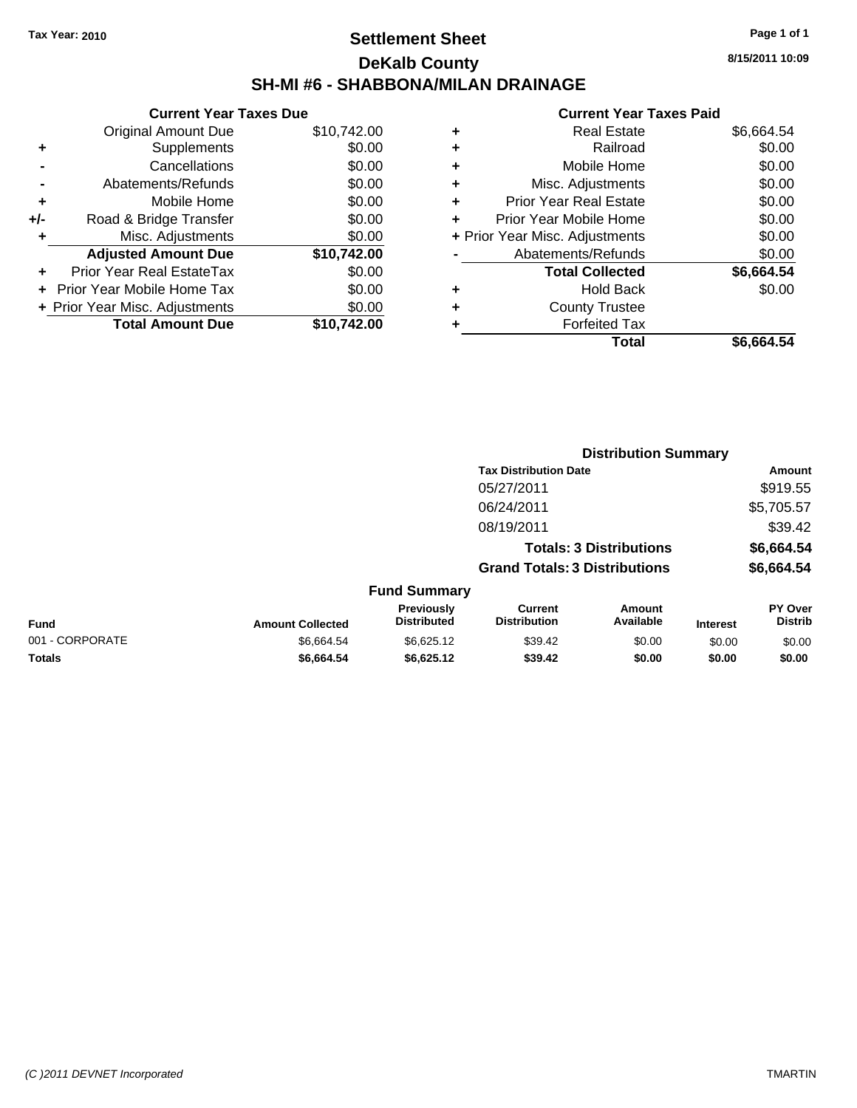# **Settlement Sheet Tax Year: 2010 Page 1 of 1 DeKalb County SH-MI #6 - SHABBONA/MILAN DRAINAGE**

**8/15/2011 10:09**

|       | <b>Current Year Taxes Due</b>     |             |
|-------|-----------------------------------|-------------|
|       | <b>Original Amount Due</b>        | \$10,742.00 |
| ٠     | Supplements                       | \$0.00      |
|       | Cancellations                     | \$0.00      |
|       | Abatements/Refunds                | \$0.00      |
| ٠     | Mobile Home                       | \$0.00      |
| $+/-$ | Road & Bridge Transfer            | \$0.00      |
| ٠     | Misc. Adjustments                 | \$0.00      |
|       | <b>Adjusted Amount Due</b>        | \$10,742.00 |
|       | Prior Year Real EstateTax         | \$0.00      |
|       | <b>Prior Year Mobile Home Tax</b> | \$0.00      |
|       | + Prior Year Misc. Adjustments    | \$0.00      |
|       | <b>Total Amount Due</b>           | \$10.742.00 |
|       |                                   |             |

| ٠ | <b>Real Estate</b>             | \$6,664.54 |
|---|--------------------------------|------------|
| ٠ | Railroad                       | \$0.00     |
| ٠ | Mobile Home                    | \$0.00     |
| ٠ | Misc. Adjustments              | \$0.00     |
| ÷ | <b>Prior Year Real Estate</b>  | \$0.00     |
| ٠ | Prior Year Mobile Home         | \$0.00     |
|   | + Prior Year Misc. Adjustments | \$0.00     |
|   | Abatements/Refunds             | \$0.00     |
|   | <b>Total Collected</b>         | \$6,664.54 |
| ٠ | <b>Hold Back</b>               | \$0.00     |
|   | <b>County Trustee</b>          |            |
| ٠ | <b>Forfeited Tax</b>           |            |
|   | Total                          | \$6,664.54 |
|   |                                |            |

|                 |                         |                                  |                                       | <b>Distribution Summary</b>    |                 |                                  |
|-----------------|-------------------------|----------------------------------|---------------------------------------|--------------------------------|-----------------|----------------------------------|
|                 |                         |                                  | <b>Tax Distribution Date</b>          |                                |                 | Amount                           |
|                 |                         |                                  | 05/27/2011                            |                                |                 | \$919.55                         |
|                 |                         |                                  | 06/24/2011                            |                                |                 | \$5,705.57                       |
|                 |                         |                                  | 08/19/2011                            |                                |                 | \$39.42                          |
|                 |                         |                                  |                                       | <b>Totals: 3 Distributions</b> |                 | \$6,664.54                       |
|                 |                         |                                  | <b>Grand Totals: 3 Distributions</b>  |                                |                 | \$6,664.54                       |
|                 |                         | <b>Fund Summary</b>              |                                       |                                |                 |                                  |
| <b>Fund</b>     | <b>Amount Collected</b> | Previously<br><b>Distributed</b> | <b>Current</b><br><b>Distribution</b> | Amount<br>Available            | <b>Interest</b> | <b>PY Over</b><br><b>Distrib</b> |
| 001 - CORPORATE | \$6,664.54              | \$6,625.12                       | \$39.42                               | \$0.00                         | \$0.00          | \$0.00                           |
| Totals          | \$6,664.54              | \$6,625.12                       | \$39.42                               | \$0.00                         | \$0.00          | \$0.00                           |
|                 |                         |                                  |                                       |                                |                 |                                  |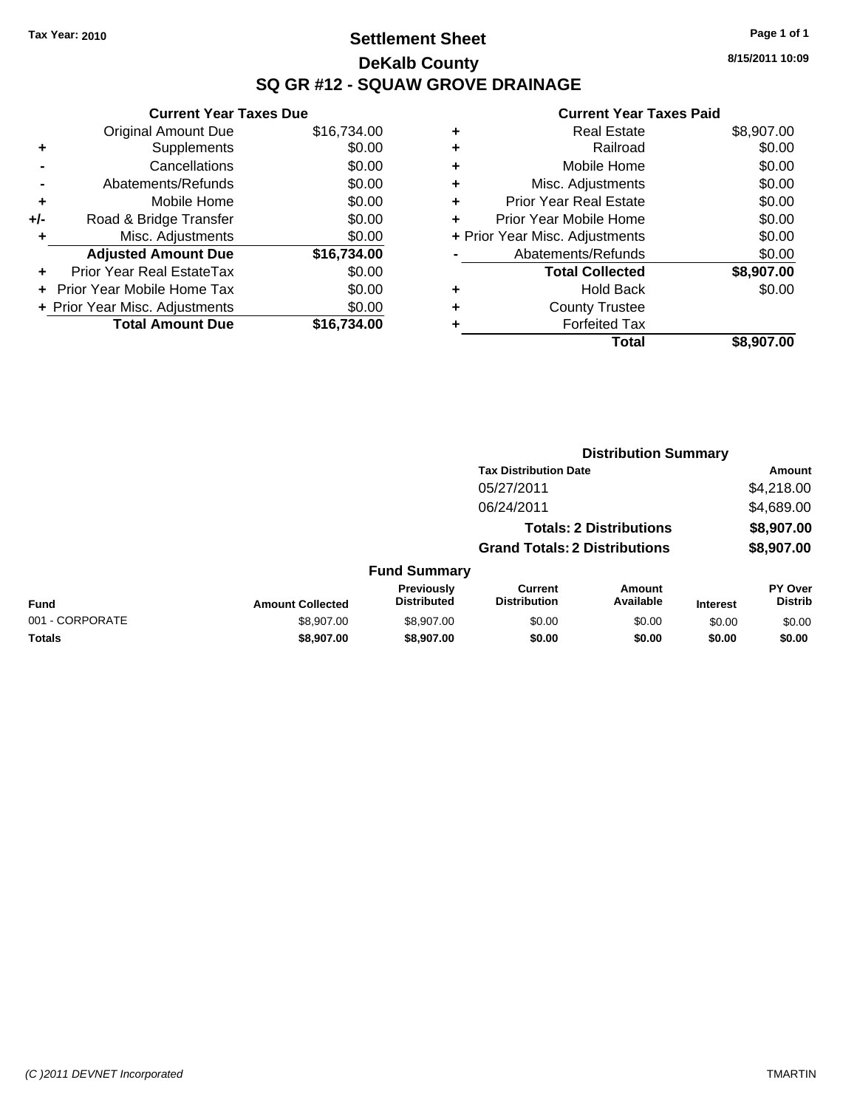### **Settlement Sheet Tax Year: 2010 Page 1 of 1 DeKalb County SQ GR #12 - SQUAW GROVE DRAINAGE**

**8/15/2011 10:09**

|                        |   | Total                          | \$8,907.00 |
|------------------------|---|--------------------------------|------------|
|                        |   | <b>Forfeited Tax</b>           |            |
| $\frac{0}{\mathbf{0}}$ | ٠ | <b>County Trustee</b>          |            |
| 0                      | ٠ | <b>Hold Back</b>               | \$0.00     |
| 0                      |   | <b>Total Collected</b>         | \$8,907.00 |
|                        |   | Abatements/Refunds             | \$0.00     |
| $\frac{0}{\mathbf{0}}$ |   | + Prior Year Misc. Adjustments | \$0.00     |
| 0                      |   | Prior Year Mobile Home         | \$0.00     |
| 0                      |   | <b>Prior Year Real Estate</b>  | \$0.00     |
| 0                      |   | Misc. Adjustments              | \$0.00     |
| 0                      |   | Mobile Home                    | \$0.00     |
| 0                      |   | Railroad                       | \$0.00     |
| 0                      |   | <b>Real Estate</b>             | \$8,907.00 |
|                        |   |                                |            |

|     | <b>Current Year Taxes Due</b>  |             |
|-----|--------------------------------|-------------|
|     | <b>Original Amount Due</b>     | \$16,734.00 |
| ٠   | Supplements                    | \$0.00      |
|     | Cancellations                  | \$0.00      |
|     | Abatements/Refunds             | \$0.00      |
| ٠   | Mobile Home                    | \$0.00      |
| +/- | Road & Bridge Transfer         | \$0.00      |
| ٠   | Misc. Adjustments              | \$0.00      |
|     | <b>Adjusted Amount Due</b>     | \$16,734.00 |
|     | Prior Year Real EstateTax      | \$0.00      |
|     | Prior Year Mobile Home Tax     | \$0.00      |
|     | + Prior Year Misc. Adjustments | \$0.00      |
|     | <b>Total Amount Due</b>        | \$16.734.00 |
|     |                                |             |

|                 |                         |                                  |                                       | <b>Distribution Summary</b>    |                 |                           |
|-----------------|-------------------------|----------------------------------|---------------------------------------|--------------------------------|-----------------|---------------------------|
|                 |                         |                                  | <b>Tax Distribution Date</b>          |                                |                 | Amount                    |
|                 |                         |                                  | 05/27/2011                            |                                |                 | \$4,218.00                |
|                 |                         |                                  | 06/24/2011                            |                                |                 | \$4,689.00                |
|                 |                         |                                  |                                       | <b>Totals: 2 Distributions</b> |                 | \$8,907.00                |
|                 |                         |                                  | <b>Grand Totals: 2 Distributions</b>  |                                |                 | \$8,907.00                |
|                 |                         | <b>Fund Summary</b>              |                                       |                                |                 |                           |
| <b>Fund</b>     | <b>Amount Collected</b> | Previously<br><b>Distributed</b> | <b>Current</b><br><b>Distribution</b> | Amount<br>Available            | <b>Interest</b> | PY Over<br><b>Distrib</b> |
| 001 - CORPORATE | \$8,907.00              | \$8,907.00                       | \$0.00                                | \$0.00                         | \$0.00          | \$0.00                    |
| <b>Totals</b>   | \$8,907.00              | \$8,907.00                       | \$0.00                                | \$0.00                         | \$0.00          | \$0.00                    |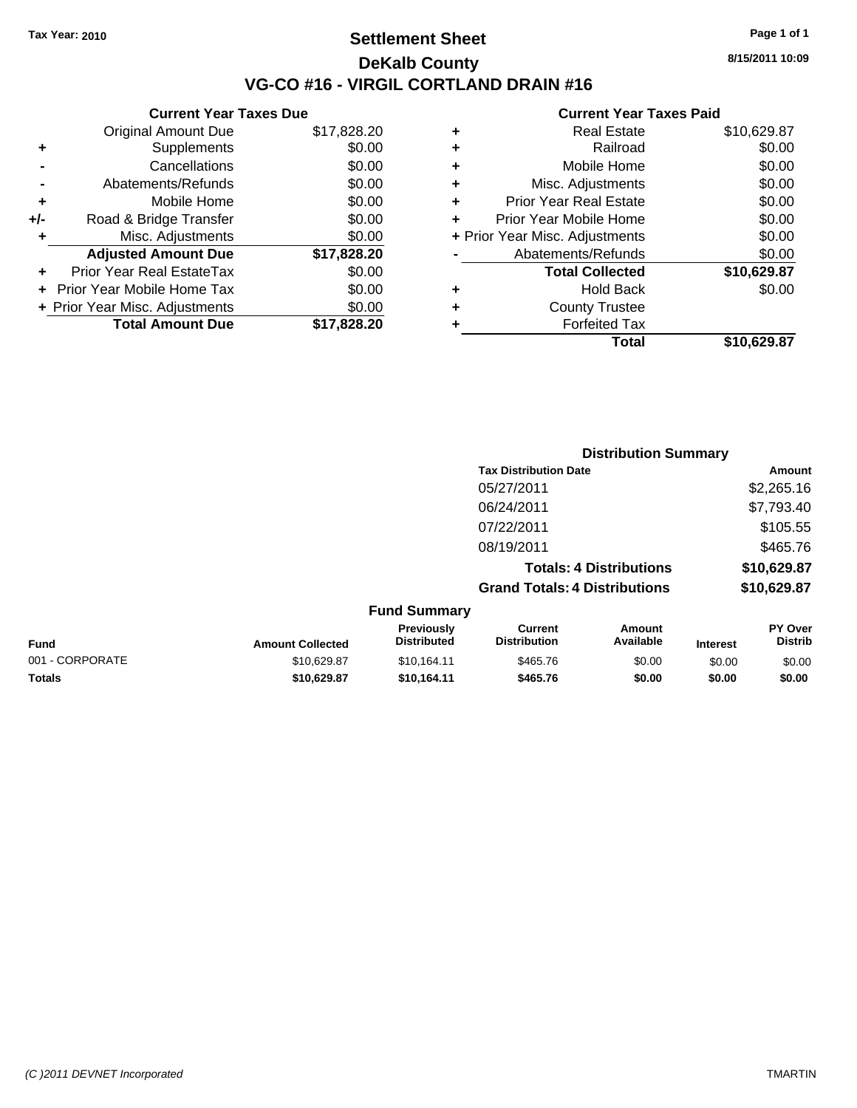### **Settlement Sheet Tax Year: 2010 Page 1 of 1 DeKalb County VG-CO #16 - VIRGIL CORTLAND DRAIN #16**

**8/15/2011 10:09**

|       | <b>Current Year Taxes Due</b>  |             |
|-------|--------------------------------|-------------|
|       | <b>Original Amount Due</b>     | \$17,828.20 |
| ٠     | Supplements                    | \$0.00      |
|       | Cancellations                  | \$0.00      |
|       | Abatements/Refunds             | \$0.00      |
| ٠     | Mobile Home                    | \$0.00      |
| $+/-$ | Road & Bridge Transfer         | \$0.00      |
| ٠     | Misc. Adjustments              | \$0.00      |
|       | <b>Adjusted Amount Due</b>     | \$17,828.20 |
|       | Prior Year Real EstateTax      | \$0.00      |
|       | Prior Year Mobile Home Tax     | \$0.00      |
|       | + Prior Year Misc. Adjustments | \$0.00      |
|       | <b>Total Amount Due</b>        | \$17,828.20 |
|       |                                |             |

| ٠ | <b>Real Estate</b>             | \$10,629.87 |
|---|--------------------------------|-------------|
| ٠ | Railroad                       | \$0.00      |
| ٠ | Mobile Home                    | \$0.00      |
| ٠ | Misc. Adjustments              | \$0.00      |
| ÷ | <b>Prior Year Real Estate</b>  | \$0.00      |
| ٠ | Prior Year Mobile Home         | \$0.00      |
|   | + Prior Year Misc. Adjustments | \$0.00      |
|   | Abatements/Refunds             | \$0.00      |
|   | <b>Total Collected</b>         | \$10,629.87 |
| ٠ | <b>Hold Back</b>               | \$0.00      |
|   | <b>County Trustee</b>          |             |
| ٠ | <b>Forfeited Tax</b>           |             |
|   | Total                          | \$10,629.87 |
|   |                                |             |

|                 |                         |                                  |                                       | <b>Distribution Summary</b>    |                 |                           |
|-----------------|-------------------------|----------------------------------|---------------------------------------|--------------------------------|-----------------|---------------------------|
|                 |                         |                                  | <b>Tax Distribution Date</b>          |                                |                 | Amount                    |
|                 |                         |                                  | 05/27/2011                            |                                |                 | \$2,265.16                |
|                 |                         |                                  | 06/24/2011                            |                                |                 | \$7,793.40                |
|                 |                         |                                  | 07/22/2011                            |                                |                 | \$105.55                  |
|                 |                         |                                  | 08/19/2011                            |                                |                 | \$465.76                  |
|                 |                         |                                  |                                       | <b>Totals: 4 Distributions</b> |                 | \$10,629.87               |
|                 |                         |                                  | <b>Grand Totals: 4 Distributions</b>  |                                |                 | \$10,629.87               |
|                 |                         | <b>Fund Summary</b>              |                                       |                                |                 |                           |
| <b>Fund</b>     | <b>Amount Collected</b> | Previously<br><b>Distributed</b> | <b>Current</b><br><b>Distribution</b> | Amount<br>Available            | <b>Interest</b> | PY Over<br><b>Distrib</b> |
| 001 - CORPORATE | \$10,629.87             | \$10,164.11                      | \$465.76                              | \$0.00                         | \$0.00          | \$0.00                    |
| Totals          | \$10,629.87             | \$10,164.11                      | \$465.76                              | \$0.00                         | \$0.00          | \$0.00                    |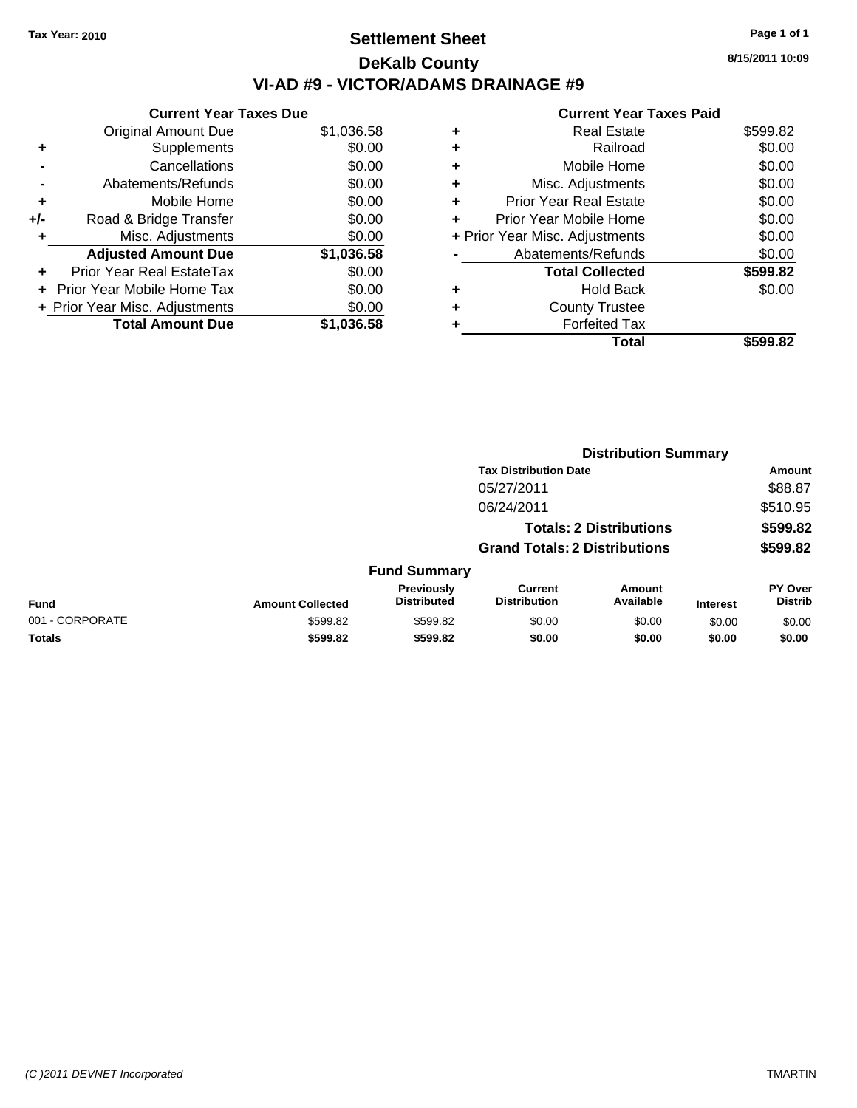# **Settlement Sheet Tax Year: 2010 Page 1 of 1 DeKalb County VI-AD #9 - VICTOR/ADAMS DRAINAGE #9**

**8/15/2011 10:09**

| \$1,036.58 |
|------------|
| \$0.00     |
| \$0.00     |
| \$0.00     |
| \$0.00     |
| \$0.00     |
| \$0.00     |
| \$1,036.58 |
| \$0.00     |
| \$0.00     |
| \$0.00     |
| \$1.036.58 |
|            |

|   | Total                          | \$599.82 |
|---|--------------------------------|----------|
|   | <b>Forfeited Tax</b>           |          |
| ٠ | <b>County Trustee</b>          |          |
| ٠ | <b>Hold Back</b>               | \$0.00   |
|   | <b>Total Collected</b>         | \$599.82 |
|   | Abatements/Refunds             | \$0.00   |
|   | + Prior Year Misc. Adjustments | \$0.00   |
| ٠ | Prior Year Mobile Home         | \$0.00   |
| ÷ | <b>Prior Year Real Estate</b>  | \$0.00   |
| ٠ | Misc. Adjustments              | \$0.00   |
| ÷ | Mobile Home                    | \$0.00   |
| ٠ | Railroad                       | \$0.00   |
| ٠ | <b>Real Estate</b>             | \$599.82 |
|   |                                |          |

|                 |                         |                                  |                                       | <b>Distribution Summary</b>    |                 |                           |
|-----------------|-------------------------|----------------------------------|---------------------------------------|--------------------------------|-----------------|---------------------------|
|                 |                         |                                  | <b>Tax Distribution Date</b>          |                                |                 | Amount                    |
|                 |                         |                                  | 05/27/2011                            |                                |                 | \$88.87                   |
|                 |                         |                                  | 06/24/2011                            |                                |                 | \$510.95                  |
|                 |                         |                                  |                                       | <b>Totals: 2 Distributions</b> |                 | \$599.82                  |
|                 |                         |                                  | <b>Grand Totals: 2 Distributions</b>  |                                |                 | \$599.82                  |
|                 |                         | <b>Fund Summary</b>              |                                       |                                |                 |                           |
| <b>Fund</b>     | <b>Amount Collected</b> | Previously<br><b>Distributed</b> | <b>Current</b><br><b>Distribution</b> | Amount<br>Available            | <b>Interest</b> | PY Over<br><b>Distrib</b> |
| 001 - CORPORATE | \$599.82                | \$599.82                         | \$0.00                                | \$0.00                         | \$0.00          | \$0.00                    |
| Totals          | \$599.82                | \$599.82                         | \$0.00                                | \$0.00                         | \$0.00          | \$0.00                    |
|                 |                         |                                  |                                       |                                |                 |                           |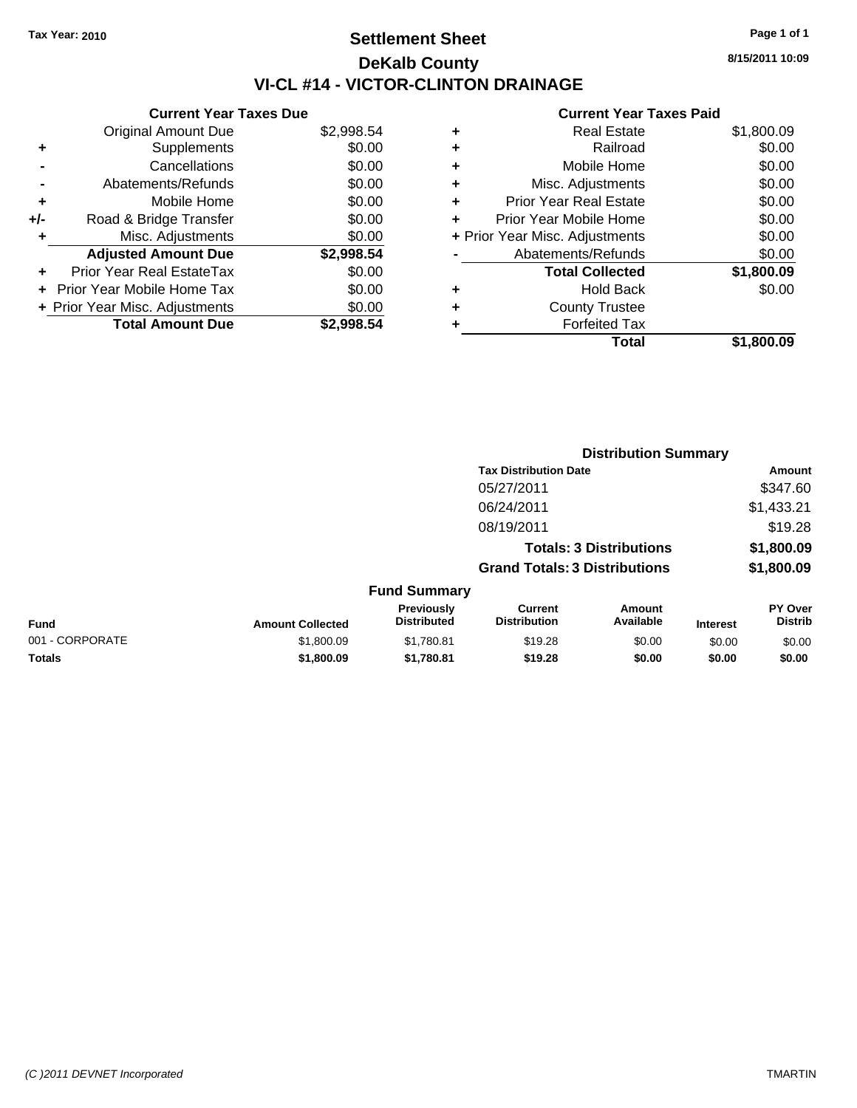# **Settlement Sheet Tax Year: 2010 Page 1 of 1 DeKalb County VI-CL #14 - VICTOR-CLINTON DRAINAGE**

**8/15/2011 10:09**

| <b>Current Year Taxes Due</b>  |            |
|--------------------------------|------------|
| <b>Original Amount Due</b>     | \$2,998.54 |
| Supplements                    | \$0.00     |
| Cancellations                  | \$0.00     |
| Abatements/Refunds             | \$0.00     |
| Mobile Home                    | \$0.00     |
| Road & Bridge Transfer         | \$0.00     |
| Misc. Adjustments              | \$0.00     |
| <b>Adjusted Amount Due</b>     | \$2,998.54 |
| Prior Year Real EstateTax      | \$0.00     |
| Prior Year Mobile Home Tax     | \$0.00     |
|                                |            |
| + Prior Year Misc. Adjustments | \$0.00     |
|                                |            |

|   | <b>Real Estate</b>             | \$1,800.09 |
|---|--------------------------------|------------|
| ٠ | Railroad                       | \$0.00     |
| ٠ | Mobile Home                    | \$0.00     |
| ٠ | Misc. Adjustments              | \$0.00     |
| ÷ | <b>Prior Year Real Estate</b>  | \$0.00     |
| ٠ | Prior Year Mobile Home         | \$0.00     |
|   | + Prior Year Misc. Adjustments | \$0.00     |
|   | Abatements/Refunds             | \$0.00     |
|   | <b>Total Collected</b>         | \$1,800.09 |
| ٠ | Hold Back                      | \$0.00     |
|   | <b>County Trustee</b>          |            |
| ٠ | <b>Forfeited Tax</b>           |            |
|   | Total                          | \$1,800.09 |
|   |                                |            |

|                 |                         |                                  | <b>Distribution Summary</b>           |                            |                 |                                  |
|-----------------|-------------------------|----------------------------------|---------------------------------------|----------------------------|-----------------|----------------------------------|
|                 |                         |                                  | <b>Tax Distribution Date</b>          |                            |                 | Amount                           |
|                 |                         |                                  | 05/27/2011                            |                            |                 | \$347.60                         |
|                 |                         |                                  | 06/24/2011                            |                            |                 | \$1,433.21                       |
|                 |                         |                                  | 08/19/2011                            |                            |                 | \$19.28                          |
|                 |                         |                                  | <b>Totals: 3 Distributions</b>        |                            |                 | \$1,800.09                       |
|                 |                         |                                  | <b>Grand Totals: 3 Distributions</b>  |                            |                 | \$1,800.09                       |
|                 |                         | <b>Fund Summary</b>              |                                       |                            |                 |                                  |
| <b>Fund</b>     | <b>Amount Collected</b> | Previously<br><b>Distributed</b> | <b>Current</b><br><b>Distribution</b> | <b>Amount</b><br>Available | <b>Interest</b> | <b>PY Over</b><br><b>Distrib</b> |
| 001 - CORPORATE | \$1,800.09              | \$1,780.81                       | \$19.28                               | \$0.00                     | \$0.00          | \$0.00                           |
| Totals          | \$1,800.09              | \$1,780.81                       | \$19.28                               | \$0.00                     | \$0.00          | \$0.00                           |
|                 |                         |                                  |                                       |                            |                 |                                  |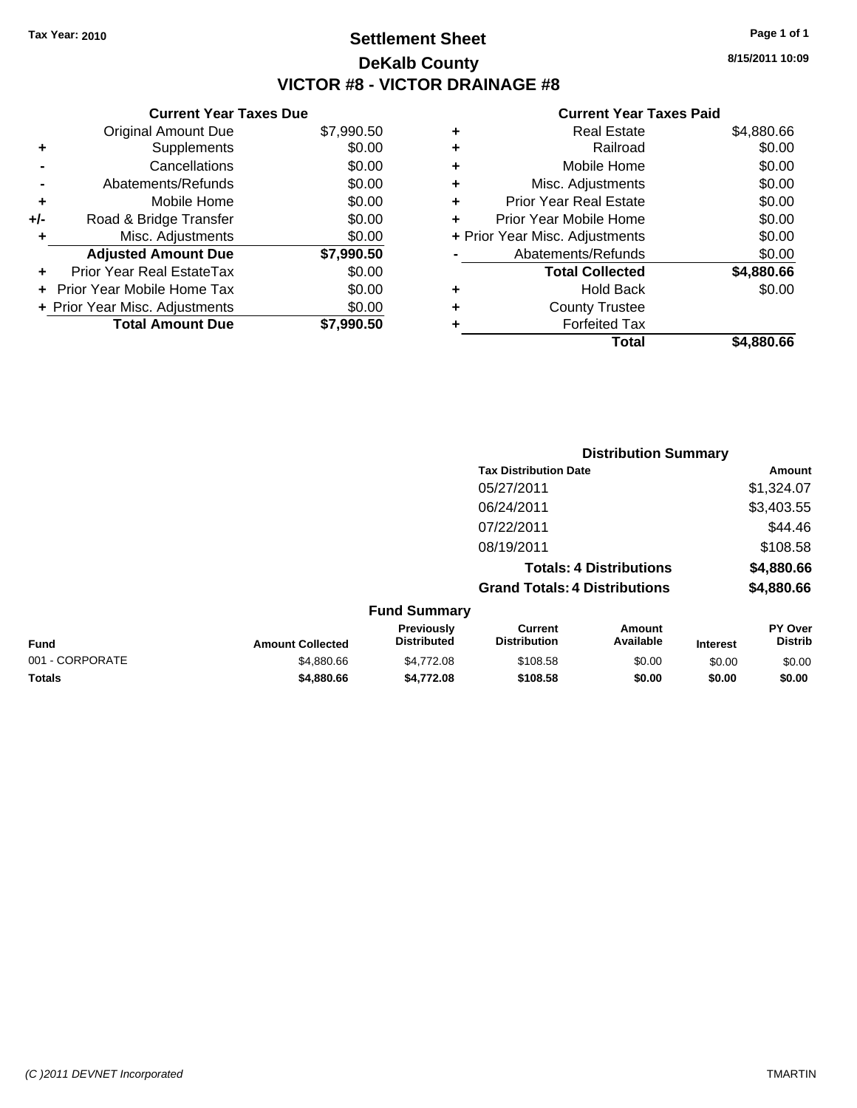### **Settlement Sheet Tax Year: 2010 Page 1 of 1 DeKalb County VICTOR #8 - VICTOR DRAINAGE #8**

**Current Year Taxes Due**

|     | <b>Original Amount Due</b>       | \$7,990.50 |
|-----|----------------------------------|------------|
| ٠   | Supplements                      | \$0.00     |
|     | Cancellations                    | \$0.00     |
|     | Abatements/Refunds               | \$0.00     |
| ٠   | Mobile Home                      | \$0.00     |
| +/- | Road & Bridge Transfer           | \$0.00     |
| ٠   | Misc. Adjustments                | \$0.00     |
|     | <b>Adjusted Amount Due</b>       | \$7,990.50 |
|     | <b>Prior Year Real EstateTax</b> | \$0.00     |
|     | Prior Year Mobile Home Tax       | \$0.00     |
|     | + Prior Year Misc. Adjustments   | \$0.00     |
|     | <b>Total Amount Due</b>          | \$7.990.50 |

#### **Current Year Taxes Paid**

|   | Real Estate                    | \$4,880.66 |
|---|--------------------------------|------------|
| ٠ | Railroad                       | \$0.00     |
| ٠ | Mobile Home                    | \$0.00     |
| ٠ | Misc. Adjustments              | \$0.00     |
| ٠ | <b>Prior Year Real Estate</b>  | \$0.00     |
|   | Prior Year Mobile Home         | \$0.00     |
|   | + Prior Year Misc. Adjustments | \$0.00     |
|   | Abatements/Refunds             | \$0.00     |
|   | <b>Total Collected</b>         | \$4,880.66 |
| ٠ | Hold Back                      | \$0.00     |
| ٠ | <b>County Trustee</b>          |            |
|   | <b>Forfeited Tax</b>           |            |
|   | Total                          | \$4,880.66 |
|   |                                |            |

|                 |                         |                                  |                                       | <b>Distribution Summary</b> |                 |                           |  |
|-----------------|-------------------------|----------------------------------|---------------------------------------|-----------------------------|-----------------|---------------------------|--|
|                 |                         |                                  | <b>Tax Distribution Date</b>          |                             |                 | Amount                    |  |
|                 |                         |                                  | 05/27/2011                            |                             |                 | \$1,324.07                |  |
|                 |                         |                                  | 06/24/2011                            |                             |                 | \$3,403.55                |  |
|                 |                         |                                  | 07/22/2011                            |                             |                 | \$44.46                   |  |
|                 |                         |                                  | 08/19/2011                            |                             |                 | \$108.58                  |  |
|                 |                         | <b>Totals: 4 Distributions</b>   |                                       |                             | \$4,880.66      |                           |  |
|                 |                         |                                  | <b>Grand Totals: 4 Distributions</b>  |                             |                 | \$4,880.66                |  |
|                 |                         | <b>Fund Summary</b>              |                                       |                             |                 |                           |  |
| <b>Fund</b>     | <b>Amount Collected</b> | Previously<br><b>Distributed</b> | <b>Current</b><br><b>Distribution</b> | Amount<br>Available         | <b>Interest</b> | PY Over<br><b>Distrib</b> |  |
| 001 - CORPORATE | \$4,880.66              | \$4,772.08                       | \$108.58                              | \$0.00                      | \$0.00          | \$0.00                    |  |

**Totals \$4,880.66 \$4,772.08 \$108.58 \$0.00 \$0.00 \$0.00**